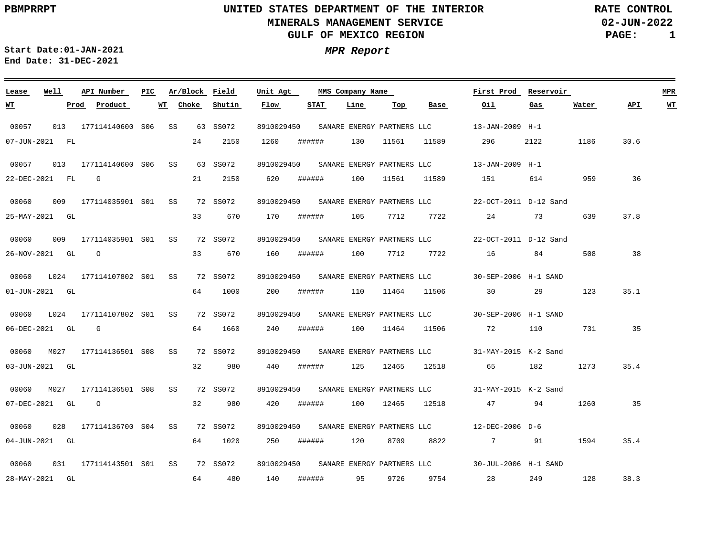<u> 1989 - Anna Maria Alemania, amerikana amerikana amerikana amerikana amerikana amerikana amerikana amerikana a</u>

**02-JUN-2022 PAGE: 1 RATE CONTROL**

**Start Date:01-JAN-2021 MPR Report End Date: 31-DEC-2021**

### 00057 00057 013 177114140600 S06 00060 00060 00060 L024 177114107802 S01 SS 00060 L024 177114107802 S01 SS 00060 M027 177114136501 S08 SS 00060 M027 177114136501 S08 SS 00060 00060 **Lease Well** 013 177114140600 S06 SS 009 177114035901 S01 SS 009 177114035901 S01 SS 028 177114136700 S04 SS 031 177114143501 S01 SS **API Number Ar/Block Field PIC MMS Company Name** SS 63 SS072 63 SS072 72 SS072 72 SS072 72 SS072 72 SS072 72 SS072 72 SS072 72 SS072 72 SS072 8910029450 8910029450 8910029450 8910029450 8910029450 8910029450 8910029450 8910029450 8910029450 8910029450 **Unit Agt**  13-JAN-2009 H-1 13-JAN-2009 H-1 22-OCT-2011 D-12 Sand 22-OCT-2011 D-12 Sand SANARE ENERGY PARTNERS LLC 30-SEP-2006 H-1 SAND SANARE ENERGY PARTNERS LLC 30-SEP-2006 H-1 SAND SANARE ENERGY PARTNERS LLC 31-MAY-2015 K-2 Sand 31-MAY-2015 K-2 Sand SANARE ENERGY PARTNERS LLC 12-DEC-2006 D-6 30-JUL-2006 H-1 SAND **First Prod Reservoir MPR** 07-JUN-2021 FL 22-DEC-2021 FL 25-MAY-2021 GL 26-NOV-2021 GL O 01-JUN-2021 GL 06-DEC-2021 GL 03-JUN-2021 GL 07-DEC-2021 GL 04-JUN-2021 GL 28-MAY-2021 GL **WT Prod Product WT** G G O 24 21 33 33 670 64 64 32 32 64 64 480 **Choke** 2150 2150 670 1000 1660 980 980 1020 **Shutin** 1260 620 170 160 200 240 440 420 250 ###### 140 **Flow** ###### ###### ###### ###### ###### ###### ###### ###### ###### **STAT** 130 100 105 100 7712 7722 110 100 11464 125 100 120 95 **Line** 11561 11561 7712 11464 12465 12465 8709 8822 9726 **Top** 11589 11589 7722 11506 30 11506 12518 65 12518 9754 **Base** 296 151 614 24 16 84 72 110 47 94 7 91 1594 28 **Oil** 2122 73 29 182 249 **Gas** 1186 30.6 959 639 508 123 731 1273 1260 128 **Water** 36 37.8 38 35.1 35 35.4 35 35.4 38.3 **API WT** SANARE ENERGY PARTNERS LLC SANARE ENERGY PARTNERS LLC SANARE ENERGY PARTNERS LLC SANARE ENERGY PARTNERS LLC SANARE ENERGY PARTNERS LLC SANARE ENERGY PARTNERS LLC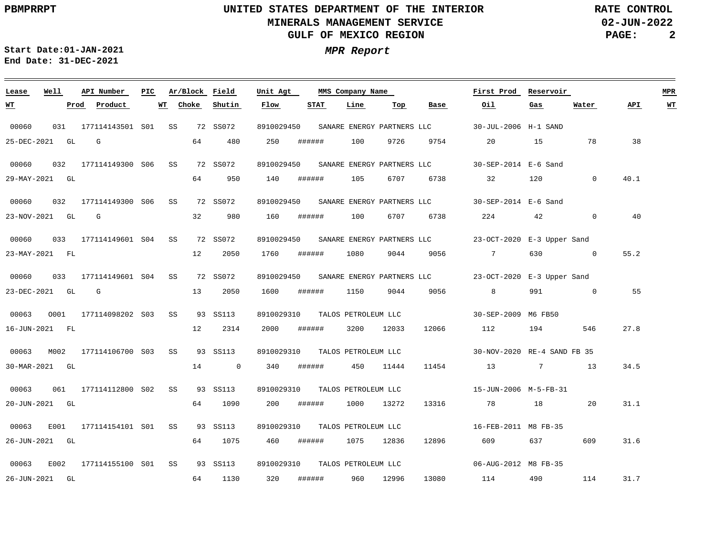**02-JUN-2022 PAGE: 2 RATE CONTROL**

 $\equiv$ 

**Start Date:01-JAN-2021 MPR Report End Date: 31-DEC-2021**

| Lease     | Well           | API Number               | PIC | Ar/Block    | Field          | Unit Agt   |        | MMS Company Name               |       |                                       | First Prod                                                       | Reservoir             |              |      | <b>MPR</b> |
|-----------|----------------|--------------------------|-----|-------------|----------------|------------|--------|--------------------------------|-------|---------------------------------------|------------------------------------------------------------------|-----------------------|--------------|------|------------|
| <u>WТ</u> | Prod           | Product                  |     | WT<br>Choke | Shutin         | Flow       | STAT   | Line                           | Тор   | Base                                  | Oil.                                                             | Gas                   | Water        | API  | <u>WT</u>  |
| 00060     |                | 031 177114143501 S01 SS  |     |             | 72 SS072       | 8910029450 |        |                                |       | SANARE ENERGY PARTNERS LLC            | 30-JUL-2006 H-1 SAND                                             |                       |              |      |            |
|           | 25-DEC-2021 GL | G                        |     | 64          | 480            | 250        | ###### | 100                            | 9726  | 9754                                  | 20                                                               | 15                    | 78           | 38   |            |
| 00060     |                | 032 177114149300 S06 SS  |     |             | 72 SS072       | 8910029450 |        |                                |       |                                       | SANARE ENERGY PARTNERS LLC 30-SEP-2014 E-6 Sand                  |                       |              |      |            |
|           | 29-MAY-2021 GL |                          |     | 64          | 950            | 140        | ###### | 105                            | 6707  | 6738                                  | 32                                                               | 120                   | $\mathbf{0}$ | 40.1 |            |
| 00060     |                | 032 177114149300 S06 SS  |     |             | 72 SS072       |            |        |                                |       | 8910029450 SANARE ENERGY PARTNERS LLC | 30-SEP-2014 E-6 Sand                                             |                       |              |      |            |
|           | 23-NOV-2021 GL | $\mathbb{G}$             |     | 32          | 980            | 160        | ###### | 100                            | 6707  | 6738                                  | 224                                                              | 42 and $\overline{a}$ | $\mathsf{O}$ | 40   |            |
| 00060     |                | 033 177114149601 S04 SS  |     |             | 72 SS072       | 8910029450 |        |                                |       | SANARE ENERGY PARTNERS LLC            | 23-OCT-2020 E-3 Upper Sand                                       |                       |              |      |            |
|           | 23-MAY-2021 FL |                          |     | 12          | 2050           | 1760       | ###### | 1080                           | 9044  | 9056                                  | $7\overline{ }$                                                  | 630                   | $\sim$ 0     | 55.2 |            |
| 00060     |                | 033 177114149601 S04 SS  |     |             | 72 SS072       |            |        |                                |       |                                       | 8910029450 SANARE ENERGY PARTNERS LLC 23-OCT-2020 E-3 Upper Sand |                       |              |      |            |
|           | 23-DEC-2021 GL | $\mathbb{G}$             |     | 13          | 2050           | 1600       | ###### | 1150                           | 9044  | 9056                                  | 8                                                                |                       | 991 0        | 55   |            |
| 00063     | 0001           | 177114098202 S03 SS      |     |             | 93 SS113       | 8910029310 |        | TALOS PETROLEUM LLC            |       |                                       | 30-SEP-2009 M6 FB50                                              |                       |              |      |            |
|           | 16-JUN-2021 FL |                          |     | 12          | 2314           | 2000       | ###### | 3200                           | 12033 | 12066                                 | 112                                                              | 194                   | 546          | 27.8 |            |
| 00063     |                | M002 177114106700 S03 SS |     |             | 93 SS113       |            |        | 8910029310 TALOS PETROLEUM LLC |       |                                       | 30-NOV-2020 RE-4 SAND FB 35                                      |                       |              |      |            |
|           | 30-MAR-2021 GL |                          |     | 14          | $\overline{0}$ | 340        | ###### | 450 11444                      |       | 11454                                 | 13                                                               | 7                     | 13           | 34.5 |            |
| 00063     |                | 061 177114112800 S02 SS  |     |             | 93 SS113       | 8910029310 |        | TALOS PETROLEUM LLC            |       |                                       | 15-JUN-2006 M-5-FB-31                                            |                       |              |      |            |
|           | 20-JUN-2021 GL |                          |     | 64          | 1090           | 200        | ###### | 1000                           | 13272 | 13316                                 | 78                                                               | 18                    | 20           | 31.1 |            |
| 00063     | E001           | 177114154101 S01 SS      |     |             | 93 SS113       |            |        | 8910029310 TALOS PETROLEUM LLC |       |                                       | 16-FEB-2011 M8 FB-35                                             |                       |              |      |            |
|           | 26-JUN-2021 GL |                          |     | 64          | 1075           | 460        | ###### | 1075                           | 12836 | 12896                                 | 609 — 100                                                        | 637 — 10              | 609          | 31.6 |            |
| 00063     | E002           | 177114155100 S01 SS      |     |             | 93 SS113       | 8910029310 |        | TALOS PETROLEUM LLC            |       |                                       | 06-AUG-2012 M8 FB-35                                             |                       |              |      |            |
|           | 26-JUN-2021 GL |                          |     | 64          | 1130           | 320        | ###### | 960                            | 12996 |                                       | 13080 114                                                        | 490 — 190             | 114          | 31.7 |            |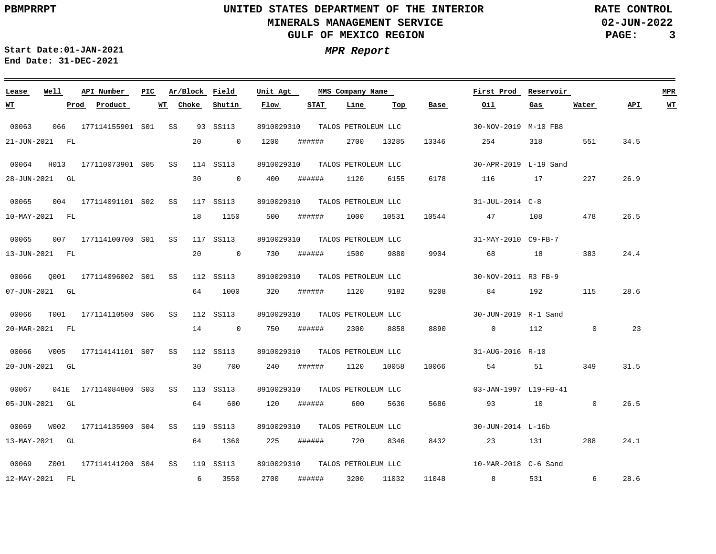**02-JUN-2022 PAGE: 3 RATE CONTROL**

**Start Date:01-JAN-2021 MPR Report End Date: 31-DEC-2021**

### **Lease Well API Number Ar/Block Field PIC MMS Company Name Unit Agt First Prod Reservoir MPR**  $\text{Product}$ **Choke STAT Line Top Water API WT WT Shutin Flow Base Oil Gas** 00063 066 177114155901 S01 SS 93 SS113 8910029310 TALOS PETROLEUM LLC 30-NOV-2019 M-10 FB8 13346 21-JUN-2021 FL 20 0 1200 ###### 2700 13285 254 318 551 34.5 00064 H013 177110073901 S05 SS 114 SS113 8910029310 TALOS PETROLEUM LLC 30-APR-2019 L-19 Sand ###### 6178 26.9 28-JUN-2021 GL 30 0 400 1120 6155 116 17 227 00065 004 177114091101 SS 117 SS113 S02 8910029310 TALOS PETROLEUM LLC 31-JUL-2014 C-8 18 1150 26.5 10-MAY-2021 FL 500 ###### 1000 10531 10544 47 108 478 00065 007 177114100700 S01 SS 117 SS113 8910029310 TALOS PETROLEUM LLC 31-MAY-2010 C9-FB-7 383 24.4 13-JUN-2021 FL 20 0 730 ###### 1500 9880 9904 68 18 00066 Q001 177114096002 S01 SS 112 SS113 8910029310 TALOS PETROLEUM LLC 30-NOV-2011 R3 FB-9 28.6 07-JUN-2021 GL 64 1000 320 ###### 1120 9182 9208 84 192 115 00066 T001 177114110500 S06 SS 112 SS113 8910029310 TALOS PETROLEUM LLC 30-JUN-2019 R-1 Sand 23 20-MAR-2021 FL 14 0 750 ###### 2300 8858 8890 0 112 0 00066 V005 177114141101 SS 112 SS113 8910029310 TALOS PETROLEUM LLC S07 31-AUG-2016 R-10 20-JUN-2021 GL 30 700 240 ###### 1120 10058 10066 54 51 349 31.5 00067 041E 177114084800 S03 SS 113 SS113 8910029310 TALOS PETROLEUM LLC 03-JAN-1997 L19-FB-41 5686 26.5 05-JUN-2021 GL 64 600 120 ###### 600 5636 93 10 0 00069 W002 177114135900 S04 SS 119 SS113 8910029310 30-JUN-2014 L-16b TALOS PETROLEUM LLC 13-MAY-2021 GL 64 1360 225 ###### 720 8346 8432 23 131 288 24.1 00069 Z001 177114141200 SS 119 SS113 8910029310 TALOS PETROLEUM LLC S0410-MAR-2018 C-6 Sand 2700 28.6 12-MAY-2021 FL 6 3550 ###### 3200 11032 11048 8 531 6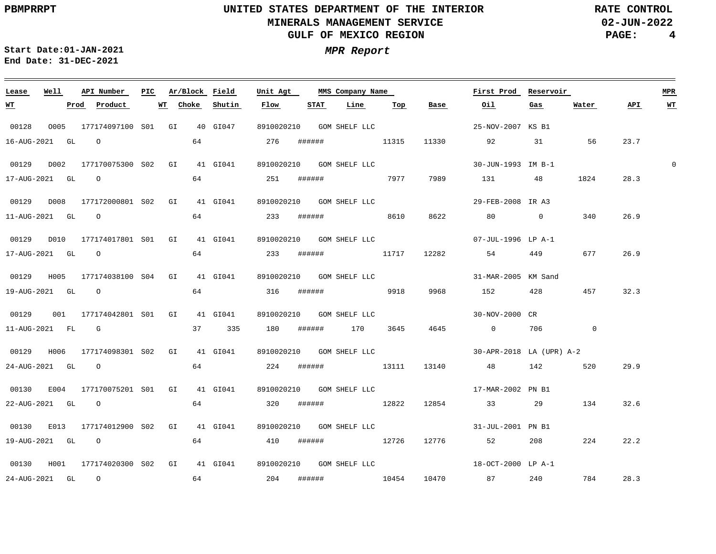<u> 1989 - Johann Stoff, deutscher Stoff, der Stoff, der Stoff, der Stoff, der Stoff, der Stoff, der Stoff, der S</u>

**02-JUN-2022 PAGE: 4 RATE CONTROL**

28.3

**Start Date:01-JAN-2021 MPR Report End Date: 31-DEC-2021**

24-AUG-2021 GL O

### 00128 0005 177174097100 S01 GI 40 GI047 8910020210 GOM SHELF LLC 00129 D002 177170075300 S02 GI 41 GI041 8910020210 GOM SHELF LLC 00129 D008 177172000801 S02 GI 41 GI041 8910020210 GOM SHELF LLC 00129 D010 177174017801 S01 GI 41 GI041 8910020210 GOM SHELF LLC 00129 H005 177174038100 S04 GI 41 GI041 8910020210 GOM SHELF LLC 6666 (31-MAR-2005 KM Sand 00129 001 177174042801 S01 GI 41 GI041 00129 H006 177174098301 S02 GI 41 GI041 8910020210 GOM SHELF LLC 00130 E004 177170075201 S01 GI 41 GI041 8910020210 GOM SHELF LLC 00130 E013 177174012900 S02 GI 41 GI041 8910020210 GOM SHELF LLC 00130 H001 177174020300 S02 GI 41 GI041 8910020210 GOM SHELF LLC **Lease Well API Number Ar/Block Field PIC MMS Company Name** 8910020210 GOM SHELF LLC **Unit Agt**  25-NOV-2007 KS B1 30-JUN-1993 IM B-1 29-FEB-2008 IR A3 07-JUL-1996 LP A-1 30-NOV-2000 CR 30-APR-2018 LA (UPR) A-2 17-MAR-2002 PN B1 31-JUL-2001 PN B1 18-OCT-2000 LP A-1 **First Prod Reservoir** 16-AUG-2021 GL O 17-AUG-2021 GL O 11-AUG-2021 GL O 17-AUG-2021 GL O 19-AUG-2021 GL O 11-AUG-2021 FL G 37 335 180 ###### 170 3645 24-AUG-2021 GL O 22-AUG-2021 GL O 19-AUG-2021 GL O **WT Prod Product WT** 64 64 251 ###### 7977 7989 64 233 ###### 64 233 ###### 11717 12282 54 449 677 64 316 ###### 64 224 ###### 13111 13140 48 142 520 64 320 ###### 12822 12854 33 29 64 410 ###### 12726 12776 52 208 224 **Choke Shutin Flow** 276 ###### **STAT Line** 11315 11330 92 31 56 8610 8622 80 0 340 9918 9968 152 428 457 32.3 **Top Base Oil** 4645 0 706 0 131 48 **Gas** 1824 134 32.6 **Water** 23.7 28.3 26.9 26.9 29.9 22.2 **API WT**

64 204 ###### 10454 10470 87 240 784

 $\Omega$ 

**MPR**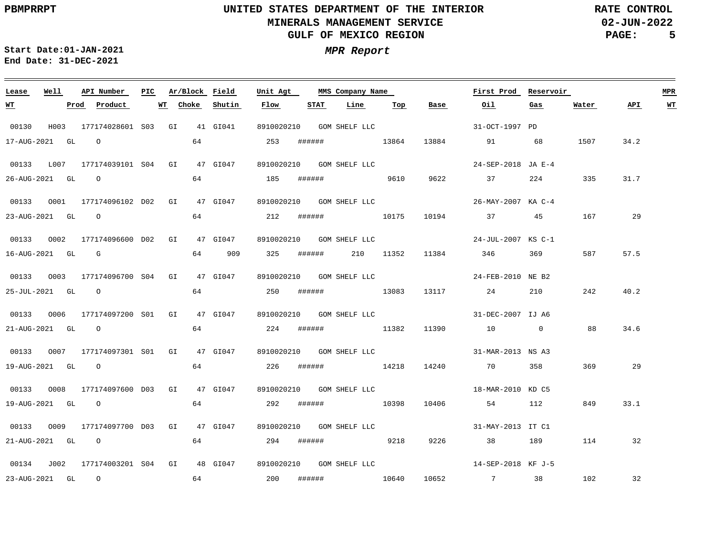**02-JUN-2022 PAGE: 5 RATE CONTROL**

**Start Date:01-JAN-2021 MPR Report End Date: 31-DEC-2021**

### <u> 1989 - Johann Stoff, deutscher Stoff, der Stoff, der Stoff, der Stoff, der Stoff, der Stoff, der Stoff, der S</u> **Lease Well API Number Ar/Block Field Unit Agt First Prod Reservoir MPR PIC MMS Company Name STAT WT Prod Product WT Choke Shutin Flow Line Top Base Oil Gas Water API WT** 00130 H003 177174028601 S03 GI 41 GI041 8910020210 GOM SHELF LLC 31-OCT-1997 PD 64 17-AUG-2021 GL O 253 ###### 13864 13884 91 68 1507 34.2 00133 L007 177174039101 S04 GI 47 GI047 8910020210 GOM SHELF LLC 24-SEP-2018 JA E-4 64 26-AUG-2021 GL O 185 ###### 9610 9622 37 224 335 31.7 00133 0001 177174096102 D02 GI 47 GI047 8910020210 GOM SHELF LLC 26-MAY-2007 KA C-4 64 23-AUG-2021 GL O 212 ###### 10175 10194 37 45 167 29 00133 O002 177174096600 GI 47 GI047 D02 8910020210 24-JUL-2007 KS C-1 GOM SHELF LLC 16-AUG-2021 GL G 64 909 325 ###### 210 11352 11384 346 369 587 57.5 00133 0003 177174096700 S04 GI 47 GI047 8910020210 GOM SHELF LLC 24-FEB-2010 NE B2 64 25-JUL-2021 GL O 250 ###### 13083 13117 24 210 242 40.2 00133 O006 177174097200 GI 47 GI047 S01 8910020210 31-DEC-2007 IJ A6 GOM SHELF LLC 64 88 34.6 21-AUG-2021 GL O 224 ###### 11382 11390 10 0 00133 O007 177174097301 GI 47 GI047 S01 8910020210 GOM SHELF LLC 31-MAR-2013 NS A3 64 19-AUG-2021 GL O 226 ###### 14218 14240 70 358 369 29 00133 O008 177174097600 GI 47 GI047 D03 8910020210 GOM SHELF LLC 18-MAR-2010 KD C5 64 19-AUG-2021 GL O 292 ###### 10398 10406 54 112 849 33.1 00133 O009 177174097700 GI 47 GI047 D03 8910020210 GOM SHELF LLC 31-MAY-2013 IT C1 64 21-AUG-2021 GL O 294 ###### 9218 9226 38 189 114 32 00134 J002 177174003201 GI 48 GI047 8910020210 GOM SHELF LLC S0414-SEP-2018 KF J-5 64 32 23-AUG-2021 GL O 200 ###### 10640 10652 7 38 102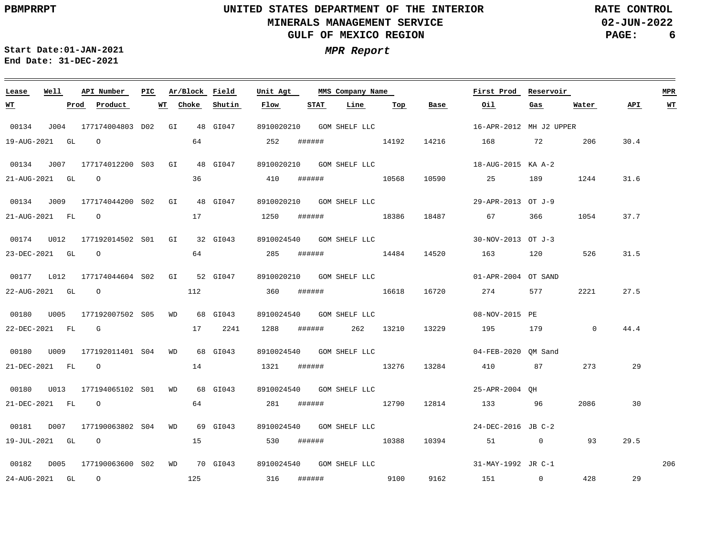**02-JUN-2022 PAGE: 6 RATE CONTROL**

 $\equiv$ 

**Start Date:01-JAN-2021 MPR Report End Date: 31-DEC-2021**

<u> 1989 - Johann Stein, marwolaethau a bhann an t-Amhair an t-Amhair an t-Amhair an t-Amhair an t-Amhair an t-A</u>

| Lease            | Well | API Number                                                                                                                                                                                                                                                                                                                         | PIC. | Ar/Block Field |          | Unit Agt   |        | MMS Company Name           |     |       | First Prod                                  | Reservoir |          |      | MPR                     |
|------------------|------|------------------------------------------------------------------------------------------------------------------------------------------------------------------------------------------------------------------------------------------------------------------------------------------------------------------------------------|------|----------------|----------|------------|--------|----------------------------|-----|-------|---------------------------------------------|-----------|----------|------|-------------------------|
| <u>WT</u>        |      | Product<br>Prod                                                                                                                                                                                                                                                                                                                    |      | WT Choke       | Shutin   | Flow       | STAT   | Line                       | Тор | Base  | Oil                                         | Gas       | Water    | API  | $\underline{\text{WT}}$ |
| 00134            |      | J004 177174004803 D02 GI 48 GI047                                                                                                                                                                                                                                                                                                  |      |                |          | 8910020210 |        | GOM SHELF LLC              |     |       | 16-APR-2012 MH J2 UPPER                     |           |          |      |                         |
| 19-AUG-2021 GL   |      | $\overline{O}$                                                                                                                                                                                                                                                                                                                     |      | 64             |          | 252        |        | ###### 14192               |     |       | 14216 168 72 206                            |           |          | 30.4 |                         |
| 00134            | J007 | 177174012200 S03 GI                                                                                                                                                                                                                                                                                                                |      |                | 48 GI047 |            |        | 8910020210 GOM SHELF LLC   |     |       | 18-AUG-2015 KA A-2                          |           |          |      |                         |
| 21-AUG-2021 GL   |      | $\overline{O}$                                                                                                                                                                                                                                                                                                                     |      | 36             |          | 410        | ###### | 10568                      |     | 10590 | 25 189                                      |           | 1244     | 31.6 |                         |
|                  |      | 00134 J009 177174044200 S02 GI 48 GI047                                                                                                                                                                                                                                                                                            |      |                |          |            |        | 8910020210   GOM SHELF LLC |     |       | 29-APR-2013 OT J-9                          |           |          |      |                         |
|                  |      | $21 - \text{AUG} - 2021$ FL $\qquad$ 0                                                                                                                                                                                                                                                                                             |      | 17             |          | 1250       |        | ###### 18386               |     |       | 18487 67                                    | 366 —     | 1054     | 37.7 |                         |
|                  |      |                                                                                                                                                                                                                                                                                                                                    |      |                |          |            |        | 8910024540   GOM SHELF LLC |     |       | 30-NOV-2013 OT J-3                          |           |          |      |                         |
| 23-DEC-2021 GL 0 |      |                                                                                                                                                                                                                                                                                                                                    |      | 64             |          | 285        | ###### | 14484                      |     |       | 14520 163 120 526                           |           |          | 31.5 |                         |
|                  |      | 00177 L012 177174044604 S02 GI 52 GI047                                                                                                                                                                                                                                                                                            |      |                |          |            |        | 8910020210   GOM SHELF LLC |     |       | 01-APR-2004 OT SAND                         |           |          |      |                         |
|                  |      | $22 - \text{AUG} - 2021$ GL $\qquad 0$                                                                                                                                                                                                                                                                                             |      | 112            |          | 360        |        | ####### 16618              |     | 16720 | 274                                         | 577       | 2221     | 27.5 |                         |
|                  |      |                                                                                                                                                                                                                                                                                                                                    |      |                |          |            |        | 8910024540   GOM SHELF LLC |     |       | 08-NOV-2015 PE                              |           |          |      |                         |
| 22-DEC-2021 FL G |      |                                                                                                                                                                                                                                                                                                                                    |      | 17             | 2241     | 1288       |        | ####### 262 13210          |     | 13229 | 195 179                                     |           | $\sim$ 0 | 44.4 |                         |
|                  |      |                                                                                                                                                                                                                                                                                                                                    |      |                |          |            |        | 8910024540   GOM SHELF LLC |     |       | 04-FEB-2020 OM Sand                         |           |          |      |                         |
|                  |      | 21-DEC-2021 FL 0                                                                                                                                                                                                                                                                                                                   |      | 14             |          | 1321       |        | ####### 13276              |     | 13284 | 410 87                                      |           | 273      | 29   |                         |
|                  |      |                                                                                                                                                                                                                                                                                                                                    |      |                | 68 GI043 |            |        | 8910024540 GOM SHELF LLC   |     |       | 25-APR-2004 OH                              |           |          |      |                         |
| 21-DEC-2021 FL   |      | $\overline{O}$ and $\overline{O}$ and $\overline{O}$ and $\overline{O}$ and $\overline{O}$ and $\overline{O}$ and $\overline{O}$ and $\overline{O}$ and $\overline{O}$ and $\overline{O}$ and $\overline{O}$ and $\overline{O}$ and $\overline{O}$ and $\overline{O}$ and $\overline{O}$ and $\overline{O}$ and $\overline{O}$ and |      |                |          | 281        | ###### | 12790                      |     |       | 12814 133 96                                |           | 2086     | 30   |                         |
|                  |      | 00181 D007 177190063802 S04 WD 69 GI043                                                                                                                                                                                                                                                                                            |      |                |          |            |        | 8910024540  GOM SHELF LLC  |     |       | 24-DEC-2016 JB C-2                          |           |          |      |                         |
|                  |      | 19-JUL-2021 GL 0                                                                                                                                                                                                                                                                                                                   |      | 15             |          | 530        |        | ####### 10388              |     | 10394 | 51 0                                        |           | 93       | 29.5 |                         |
|                  |      |                                                                                                                                                                                                                                                                                                                                    |      |                |          |            |        |                            |     |       | 8910024540 GOM SHELF LLC 31-MAY-1992 JR C-1 |           |          |      | 206                     |
| 24-AUG-2021 GL 0 |      |                                                                                                                                                                                                                                                                                                                                    |      | 125            |          | 316        |        | ###### 9100                |     |       | 9162 151 0                                  |           | 428      | 29   |                         |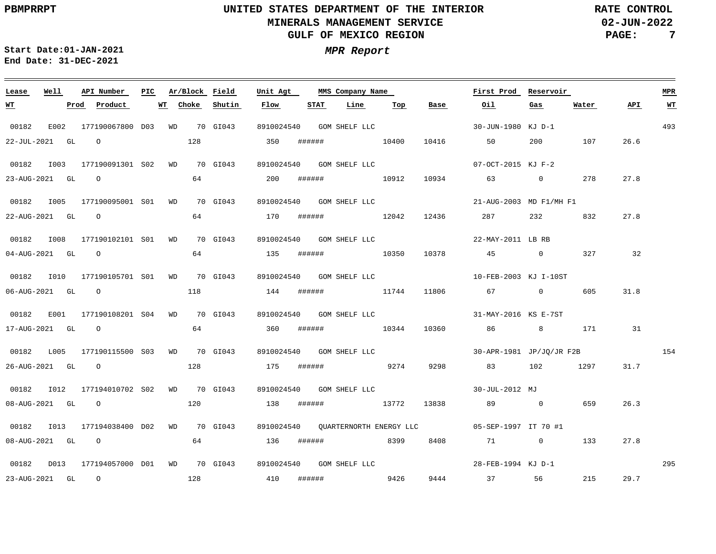$\qquad \qquad =$ 

# **UNITED STATES DEPARTMENT OF THE INTERIOR MINERALS MANAGEMENT SERVICE GULF OF MEXICO REGION**

**02-JUN-2022 PAGE: 7 RATE CONTROL**

**Start Date:01-JAN-2021 MPR Report End Date: 31-DEC-2021**

| Lease            | Well |      | API Number                                                                                                                                                                                                                                                                                                                         | PIC. |    | Ar/Block Field |                                                    | Unit Agt   |      | MMS Company Name           |     |                          | First Prod                                                  | Reservoir   |       |      | <b>MPR</b>              |
|------------------|------|------|------------------------------------------------------------------------------------------------------------------------------------------------------------------------------------------------------------------------------------------------------------------------------------------------------------------------------------|------|----|----------------|----------------------------------------------------|------------|------|----------------------------|-----|--------------------------|-------------------------------------------------------------|-------------|-------|------|-------------------------|
| <u> WТ</u>       |      | Prod | Product                                                                                                                                                                                                                                                                                                                            |      | WT | Choke          | Shutin                                             | Flow       | STAT | Line                       | Top | Base                     | Oil                                                         | Gas         | Water | API. | $\underline{\text{WT}}$ |
| 00182            | E002 |      | 177190067800 D03 WD 70 GI043                                                                                                                                                                                                                                                                                                       |      |    |                |                                                    | 8910024540 |      |                            |     |                          | GOM SHELF LLC 30-JUN-1980 KJ D-1                            |             |       |      | 493                     |
| 22-JUL-2021 GL   |      |      | $\overline{O}$ and $\overline{O}$ and $\overline{O}$ and $\overline{O}$ and $\overline{O}$ and $\overline{O}$ and $\overline{O}$ and $\overline{O}$ and $\overline{O}$ and $\overline{O}$ and $\overline{O}$ and $\overline{O}$ and $\overline{O}$ and $\overline{O}$ and $\overline{O}$ and $\overline{O}$ and $\overline{O}$ and |      |    | 128            |                                                    | 350        |      | ###### 10400               |     | 10416                    | 50                                                          | 200         | 107   | 26.6 |                         |
| 00182            | I003 |      | 177190091301 S02 WD 70 GI043                                                                                                                                                                                                                                                                                                       |      |    |                |                                                    |            |      | 8910024540 GOM SHELF LLC   |     |                          | 07-OCT-2015 KJ F-2                                          |             |       |      |                         |
| 23-AUG-2021 GL 0 |      |      |                                                                                                                                                                                                                                                                                                                                    |      |    | 64 —           |                                                    | 200        |      | ####### 10912              |     |                          | 10934 63 0 278                                              |             |       | 27.8 |                         |
| 00182            |      |      | 1005 177190095001 S01 WD 70 GI043                                                                                                                                                                                                                                                                                                  |      |    |                |                                                    |            |      |                            |     |                          | 8910024540 GOM SHELF LLC 21-AUG-2003 MD F1/MH F1            |             |       |      |                         |
| 22-AUG-2021 GL 0 |      |      |                                                                                                                                                                                                                                                                                                                                    |      |    | 64             |                                                    | 170        |      | ####### 12042              |     |                          | 12436 287                                                   | 232 and 232 | 832   | 27.8 |                         |
| 00182            | I008 |      | 177190102101 S01 WD 70 GI043                                                                                                                                                                                                                                                                                                       |      |    |                |                                                    |            |      |                            |     | 8910024540 GOM SHELF LLC | 22-MAY-2011 LB RB                                           |             |       |      |                         |
| 04-AUG-2021 GL 0 |      |      |                                                                                                                                                                                                                                                                                                                                    |      |    |                | 64 64 64 65                                        | 135        |      | ####### 10350              |     | 10378                    | 45 0 327                                                    |             |       | 32   |                         |
| 00182            |      |      | I010  177190105701  S01  WD  70  GI043                                                                                                                                                                                                                                                                                             |      |    |                |                                                    |            |      |                            |     |                          | 8910024540 GOM SHELF LLC 10-FEB-2003 KJ I-10ST              |             |       |      |                         |
|                  |      |      | $06 - \text{AUG} - 2021$ GL $0$                                                                                                                                                                                                                                                                                                    |      |    | 118            |                                                    | 144        |      | ####### 11744              |     | 11806                    | 67 0                                                        |             | 605   | 31.8 |                         |
| 00182            | E001 |      | 177190108201 S04 WD 70 GI043                                                                                                                                                                                                                                                                                                       |      |    |                |                                                    |            |      | 8910024540   GOM SHELF LLC |     |                          | 31-MAY-2016 KS E-7ST                                        |             |       |      |                         |
| 17-AUG-2021 GL 0 |      |      |                                                                                                                                                                                                                                                                                                                                    |      |    |                | 64 64 64 65                                        |            |      | 360 ###### 10344           |     |                          | 10360 86 8 171                                              |             |       | 31   |                         |
| 00182            |      |      | L005 177190115500 S03 WD 70 GI043                                                                                                                                                                                                                                                                                                  |      |    |                |                                                    |            |      |                            |     |                          | 8910024540 GOM SHELF LLC $30 - APR - 1981$ JP/JQ/JR F2B 154 |             |       |      |                         |
| 26-AUG-2021 GL 0 |      |      |                                                                                                                                                                                                                                                                                                                                    |      |    | 128            |                                                    | 175        |      | ####### 9274               |     | 9298                     | 83 102 1297                                                 |             |       | 31.7 |                         |
| 00182            | I012 |      | 177194010702 S02 WD 70 GI043                                                                                                                                                                                                                                                                                                       |      |    |                |                                                    |            |      | 8910024540   GOM SHELF LLC |     |                          | 30-JUL-2012 MJ                                              |             |       |      |                         |
|                  |      |      | 08-AUG-2021 GL 0                                                                                                                                                                                                                                                                                                                   |      |    |                | $120$ 138 $\text{#}\text{#}\text{#}\text{#}$ 13772 |            |      |                            |     | 13838                    | 89 0                                                        |             | 659   | 26.3 |                         |
| 00182            |      |      | I013 177194038400 D02 WD 70 GI043                                                                                                                                                                                                                                                                                                  |      |    |                |                                                    |            |      |                            |     |                          |                                                             |             |       |      |                         |
| 08-AUG-2021 GL   |      |      | $\overline{O}$                                                                                                                                                                                                                                                                                                                     |      |    | 64             |                                                    | 136        |      | ####### 8399               |     | 8408                     | 71 0                                                        |             | 133   | 27.8 |                         |
|                  |      |      | 00182  D013  177194057000  D01  WD  70  GI043  8910024540  GOM SHELF LLC                                                                                                                                                                                                                                                           |      |    |                |                                                    |            |      |                            |     |                          | 28-FEB-1994 KJ D-1                                          |             |       |      | 295                     |
| 23-AUG-2021 GL 0 |      |      | 128                                                                                                                                                                                                                                                                                                                                |      |    |                | 410                                                |            |      | ###### 9426                |     |                          | 9444 37 56 215                                              |             |       | 29.7 |                         |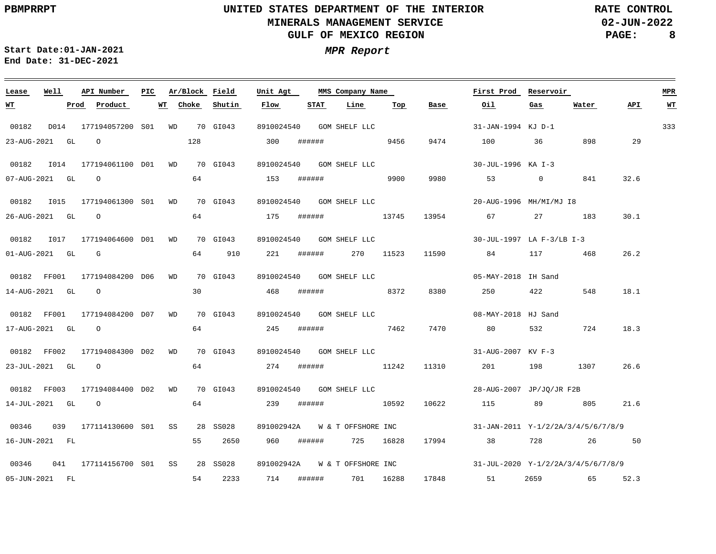$\equiv$ 

# **UNITED STATES DEPARTMENT OF THE INTERIOR MINERALS MANAGEMENT SERVICE GULF OF MEXICO REGION**

**02-JUN-2022 PAGE: 8 RATE CONTROL**

 $\equiv$ 

**Start Date:01-JAN-2021 MPR Report End Date: 31-DEC-2021**

| Lease            | Well | API Number                      | PIC. | Ar/Block Field |             | Unit Agt   |        | MMS Company Name           |     |                               | First Prod                                                                                                                                                                                                                      | Reservoir                                                                                                      |         |      | MPR                     |
|------------------|------|---------------------------------|------|----------------|-------------|------------|--------|----------------------------|-----|-------------------------------|---------------------------------------------------------------------------------------------------------------------------------------------------------------------------------------------------------------------------------|----------------------------------------------------------------------------------------------------------------|---------|------|-------------------------|
| <u>WТ</u>        |      | Prod<br>Product                 | WT   | Choke          | Shutin      | Flow       | STAT   | Line                       | Top | Base                          | Oil                                                                                                                                                                                                                             | Gas                                                                                                            | Water   | API  | $\underline{\text{WT}}$ |
| 00182            | D014 | 177194057200 S01 WD 70 GI043    |      |                |             | 8910024540 |        | GOM SHELF LLC              |     |                               | 31-JAN-1994 KJ D-1                                                                                                                                                                                                              |                                                                                                                |         |      | 333                     |
| 23-AUG-2021 GL   |      | $\overline{O}$                  |      | 128            |             | 300        |        | ###### 9456                |     | 9474                          | 100 36                                                                                                                                                                                                                          |                                                                                                                | 898     | 29   |                         |
| 00182 1014       |      | 177194061100 D01 WD 70 GI043    |      |                |             |            |        | 8910024540 GOM SHELF LLC   |     |                               | 30-JUL-1996 KA I-3                                                                                                                                                                                                              |                                                                                                                |         |      |                         |
| 07-AUG-2021 GL   |      | $\overline{O}$                  |      | 64             |             | 153        | ###### | 9900                       |     | 9980                          | 53                                                                                                                                                                                                                              | $\overline{0}$                                                                                                 | 841     | 32.6 |                         |
|                  |      |                                 |      |                |             |            |        | 8910024540  GOM SHELF LLC  |     |                               | 20-AUG-1996 MH/MI/MJ I8                                                                                                                                                                                                         |                                                                                                                |         |      |                         |
| 26-AUG-2021 GL 0 |      |                                 |      | 64             |             | 175        |        | ###### 13745               |     | 13954                         | 67 — 100 — 100 — 100 — 100 — 100 — 100 — 100 — 100 — 100 — 100 — 100 — 100 — 100 — 100 — 100 — 100 — 100 — 100 — 100 — 100 — 100 — 100 — 100 — 100 — 100 — 100 — 100 — 100 — 100 — 100 — 100 — 100 — 100 — 100 — 100 — 100 — 10 | 27 183                                                                                                         |         | 30.1 |                         |
| 00182 1017       |      | 177194064600 D01 WD             |      |                | 70 GI043    | 8910024540 |        | GOM SHELF LLC              |     |                               | 30-JUL-1997 LA F-3/LB I-3                                                                                                                                                                                                       |                                                                                                                |         |      |                         |
| 01-AUG-2021 GL G |      |                                 |      |                | 64 910      | 221        |        | ###### 270 11523           |     | 11590                         | 84 117 468                                                                                                                                                                                                                      |                                                                                                                |         | 26.2 |                         |
|                  |      | 00182 FF001 177194084200 D06 WD |      |                | 70 GI043    |            |        | 8910024540 GOM SHELF LLC   |     |                               | 05-MAY-2018 IH Sand                                                                                                                                                                                                             |                                                                                                                |         |      |                         |
| 14-AUG-2021 GL   |      | $\overline{O}$                  |      | 30             |             | 468        |        | ###### 8372                |     | 8380                          | 250                                                                                                                                                                                                                             | 422                                                                                                            | 548     | 18.1 |                         |
| 00182 FF001      |      | 177194084200 D07 WD             |      |                | 70 GI043    | 8910024540 |        | GOM SHELF LLC              |     |                               | 08-MAY-2018 HJ Sand                                                                                                                                                                                                             |                                                                                                                |         |      |                         |
| 17-AUG-2021 GL   |      | $\overline{O}$                  |      |                | 64 64 64 65 | 245        | ###### | 7462                       |     | 7470                          | 80 — 10                                                                                                                                                                                                                         | 532                                                                                                            | 724     | 18.3 |                         |
| 00182 FF002      |      | 177194084300 D02 WD             |      |                | 70 GI043    |            |        | 8910024540 GOM SHELF LLC   |     |                               | 31-AUG-2007 KV F-3                                                                                                                                                                                                              |                                                                                                                |         |      |                         |
| 23-JUL-2021 GL   |      | $\overline{O}$                  |      | 64             |             | 274        |        | ###### 11242               |     | 11310                         | 201                                                                                                                                                                                                                             | 198 — 198 — 198 — 198 — 198 — 198 — 198 — 198 — 198 — 198 — 198 — 198 — 198 — 198 — 198 — 198 — 198 — 198 — 19 | 1307    | 26.6 |                         |
| 00182 FF003      |      | 177194084400 D02 WD             |      |                | 70 GI043    |            |        | 8910024540   GOM SHELF LLC |     |                               | 28-AUG-2007 JP/JO/JR F2B                                                                                                                                                                                                        |                                                                                                                |         |      |                         |
| 14-JUL-2021 GL 0 |      |                                 |      | 64             |             | 239        | ###### | 10592                      |     | 10622                         | 115                                                                                                                                                                                                                             | 89 805                                                                                                         |         | 21.6 |                         |
| 00346            |      | 039 177114130600 S01 SS         |      |                | 28 SS028    |            |        |                            |     | 891002942A W & T OFFSHORE INC | 31-JAN-2011 Y-1/2/2A/3/4/5/6/7/8/9                                                                                                                                                                                              |                                                                                                                |         |      |                         |
| 16-JUN-2021 FL   |      |                                 |      | 55             | 2650        | 960        |        | ###### 725 16828           |     | 17994                         | 38                                                                                                                                                                                                                              | 728 — 120                                                                                                      | 26      | 50   |                         |
| 00346            |      | 041 177114156700 S01 SS         |      |                | 28 SS028    | 891002942A |        |                            |     |                               | W & T OFFSHORE INC 31-JUL-2020 Y-1/2/2A/3/4/5/6/7/8/9                                                                                                                                                                           |                                                                                                                |         |      |                         |
| 05-JUN-2021 FL   |      |                                 |      | 54             | 2233        | 714        |        | ###### 701 16288           |     |                               | 17848 51                                                                                                                                                                                                                        |                                                                                                                | 2659 65 | 52.3 |                         |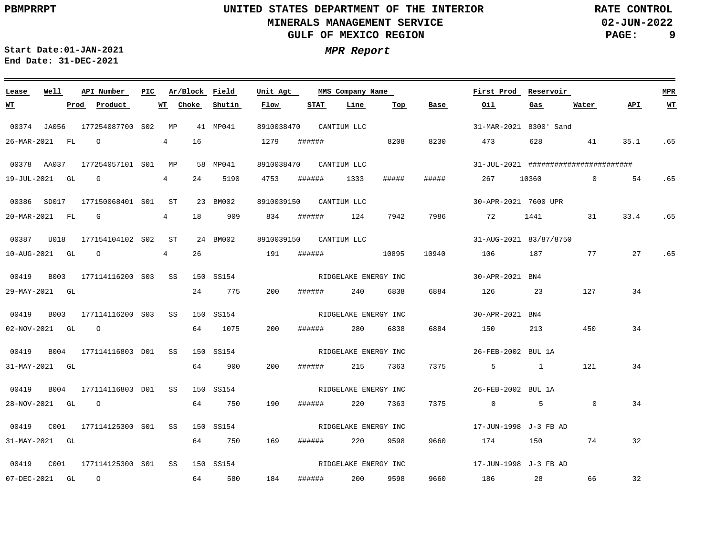**02-JUN-2022 PAGE: 9 RATE CONTROL**

**Start Date:01-JAN-2021 MPR Report End Date: 31-DEC-2021**

### **Lease Well API Number Ar/Block Field PIC MMS Company Name Unit Agt First Prod Reservoir MPR Shutin Flow STAT Line Top Base Oil Water API WT Prod Product WT Choke Gas WT** 00374 JA056 177254087700 S02 MP 41 MP041 8910038470 CANTIUM LLC 31-MAR-2021 8300' Sand 4 473 26-MAR-2021 FL O 16 1279 ###### 8208 8230 628 41 35.1 .65 00378 AA037 177254057101 S01 MP 58 MP041 8910038470 CANTIUM LLC 31-JUL-2021 ######################## 1333 ##### ##### 19-JUL-2021 GL G 4 24 5190 4753 ###### 267 10360 0 54 .65 00386 SD017 177150068401 S01 ST 23 BM002 8910039150 CANTIUM LLC 30-APR-2021 7600 UPR 4 18 909 20-MAR-2021 FL G 834 ###### 124 7942 7986 72 1441 31 33.4 .65 00387 U018 177154104102 ST S02 24 BM002 8910039150 CANTIUM LLC 31-AUG-2021 83/87/8750 26 .65 10-AUG-2021 GL O 4 191 ###### 10895 10940 106 187 77 27 RIDGELAKE ENERGY INC 00419 B003 177114116200 S03 SS 150 SS154 30-APR-2021 BN4 24 775 6838 29-MAY-2021 GL 200 ###### 240 6884 126 23 127 34 RIDGELAKE ENERGY INC 00419 B003 177114116200 S03 SS 150 SS154 30-APR-2021 BN4 64 1075 200 34 02-NOV-2021 GL O ###### 280 6838 6884 150 213 450 RIDGELAKE ENERGY INC 00419 B004 177114116803 D01 SS 150 SS154 26-FEB-2002 BUL 1A 31-MAY-2021 GL 64 900 200 ###### 215 7363 7375 5 1 121 34 00419 B004 177114116803 D01 SS 150 SS154 RIDGELAKE ENERGY INC 26-FEB-2002 BUL 1A 7375 28-NOV-2021 GL O 64 750 190 ###### 220 7363 0 5  $\overline{0}$ 34 RIDGELAKE ENERGY INC 00419 C001 177114125300 SS 150 SS154 S01 17-JUN-1998 J-3 FB AD 31-MAY-2021 GL 64 750 169 ###### 220 9598 9660 174 150 74 32 RIDGELAKE ENERGY INC 00419 C001 177114125300 SS 150 SS154 S0117-JUN-1998 J-3 FB AD 184 9660 66 32 07-DEC-2021 GL O 64 580 ###### 200 9598 186 28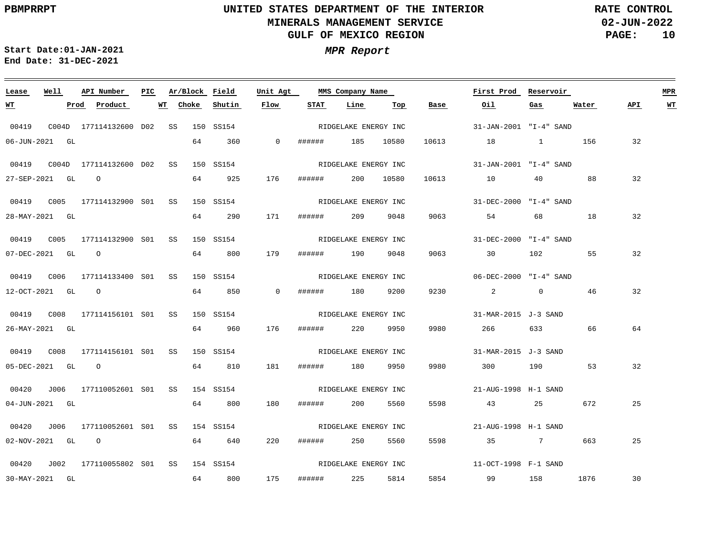**02-JUN-2022 PAGE: 10 RATE CONTROL**

**Start Date:01-JAN-2021 MPR Report End Date: 31-DEC-2021**

### **Lease Well API Number Ar/Block Field Unit Agt PIC MMS Company Name First Prod Reservoir MPR Choke Shutin Flow STAT Line Top Water API WT WT Prod Product WT Base Oil Gas** RIDGELAKE ENERGY INC 00419 C004D 177114132600 SS 150 SS154 D02 31-JAN-2001 "I-4" SAND 06-JUN-2021 GL 64 360 0 ###### 185 10580 10613 18 1 156 32 RIDGELAKE ENERGY INC 00419 C004D 177114132600 SS 150 SS154 D02 31-JAN-2001 "I-4" SAND 10613 88 32 27-SEP-2021 GL O 64 925 176 ###### 200 10580 10 40 RIDGELAKE ENERGY INC 00419 C005 177114132900 SS 150 SS154 S01 31-DEC-2000 "I-4" SAND 64 290 18 32 28-MAY-2021 GL 171 ###### 209 9048 9063 54 68 RIDGELAKE ENERGY INC 00419 C005 177114132900 SS 150 SS154 S01 31-DEC-2000 "I-4" SAND 179 55 32 07-DEC-2021 GL O 64 800 ###### 190 9048 9063 30 102 RIDGELAKE ENERGY INC 00419 C006 177114133400 SS 150 SS154 S01 06-DEC-2000 "I-4" SAND 46 32 12-OCT-2021 GL O 64 850 0 ###### 180 9200 9230 2 0 RIDGELAKE ENERGY INC 00419 C008 177114156101 SS 150 SS154 S01 31-MAR-2015 J-3 SAND 176 64 26-MAY-2021 GL 64 960 ###### 220 9950 9980 266 633 66 00419 C008 177114156101 SS 150 SS154 S01 RIDGELAKE ENERGY INC 31-MAR-2015 J-3 SAND 05-DEC-2021 GL O 64 810 181 ###### 180 9950 9980 300 190 53 32 00420 J006 177110052601 SS 154 SS154 S01 RIDGELAKE ENERGY INC 21-AUG-1998 H-1 SAND 5598 04-JUN-2021 GL 64 800 180 ###### 200 5560 43 25 672 25 RIDGELAKE ENERGY INC 00420 J006 177110052601 SS 154 SS154 S01 21-AUG-1998 H-1 SAND 02-NOV-2021 GL O 64 640 220 ###### 250 5560 5598 35 7 663 25 RIDGELAKE ENERGY INC 00420 J002 177110055802 SS 154 SS154 S0111-OCT-1998 F-1 SAND 175 5854 30 30-MAY-2021 GL 64 800 ###### 225 5814 99 158 1876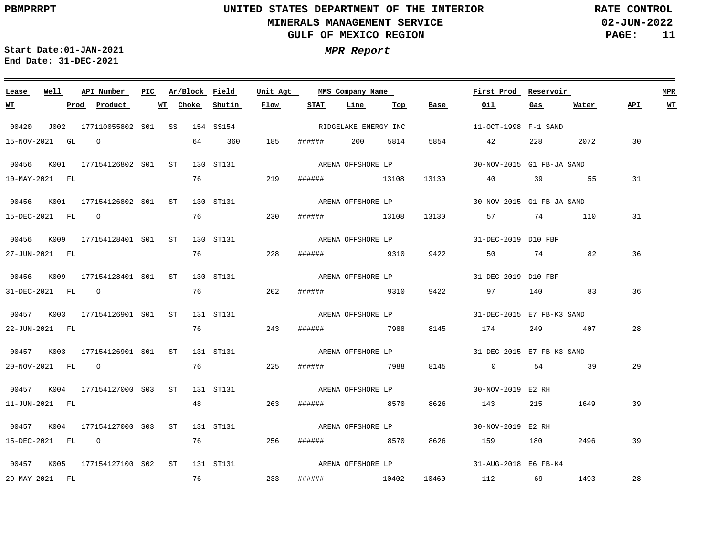**02-JUN-2022 PAGE: 11 RATE CONTROL**

**Start Date:01-JAN-2021 MPR Report End Date: 31-DEC-2021**

### 00420 J002 177110055802 SS 154 SS154 S01 00456 K001 177154126802 S01 ST 130 ST131 00456 K001 177154126802 S01 ST 130 ST131 00456 K009 177154128401 S01 ST 130 ST131 00456 K009 177154128401 S01 ST 130 ST131 00457 K003 177154126901 S01 ST 131 ST131 00457 K003 177154126901 S01 ST 131 ST131 00457 K004 177154127000 S03 ST 131 ST131 00457 K004 177154127000 S03 ST 131 ST131 00457 K005 177154127100 S02 ST 131 ST131 **Lease Well API Number Ar/Block Field Unit Agt PIC MMS Company Name** 11-OCT-1998 F-1 SAND 30-NOV-2015 G1 FB-JA SAND 30-NOV-2015 G1 FB-JA SAND 31-DEC-2019 D10 FBF ARENA OFFSHORE LP 31-DEC-2019 D10 FBF ARENA OFFSHORE LP 31-DEC-2015 E7 FB-K3 SAND ARENA OFFSHORE LP 31-DEC-2015 E7 FB-K3 SAND 30-NOV-2019 E2 RH 30-NOV-2019 E2 RH 31-AUG-2018 E6 FB-K4 **First Prod Reservoir MPR** 15-NOV-2021 GL O 10-MAY-2021 FL 15-DEC-2021 FL O 27-JUN-2021 FL 31-DEC-2021 FL O 22-JUN-2021 FL 20-NOV-2021 FL O 11-JUN-2021 FL 15-DEC-2021 FL O 29-MAY-2021 FL **WT Prod Product WT Choke Shutin Flow** 64 360 76 76 76 76 76 76 48 76 256 ###### 8570 8626 159 180 2496 76 185 ###### 200 5814 5854 219 230 ###### 13108 13130 57 74 110 228 202 ###### 9310 9422 97 140 83 243 225 ###### 7988 8145 0 54 39 263 233 ###### 10402 10460 112 69 1493 ###### 13108 13130 ###### 9310 ###### 7988 ###### 8570 8626 143 215 **STAT Line Top** 9422 50 74 82 8145 174 249 407 **Base Oil** 42 228 2072 40 39 55 31 **Gas** 1649 **Water** 30 31 36 36 28 29 39 39 28 **API WT** RIDGELAKE ENERGY INC ARENA OFFSHORE LP ARENA OFFSHORE LP ARENA OFFSHORE LP ARENA OFFSHORE LP ARENA OFFSHORE LP ARENA OFFSHORE LP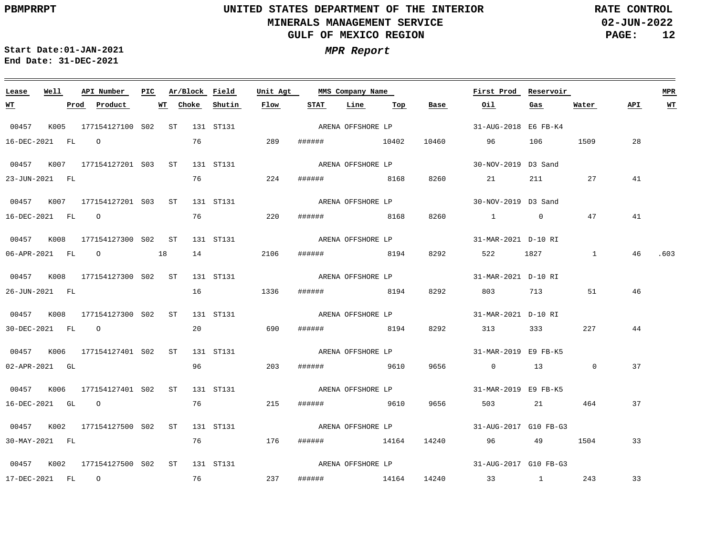**02-JUN-2022 PAGE: 12 RATE CONTROL**

**Start Date:01-JAN-2021 MPR Report End Date: 31-DEC-2021**

### **Lease Well API Number Ar/Block Field Unit Agt PIC MMS Company Name First Prod Reservoir MPR STAT Line WT Prod Product WT Choke Shutin Flow Top Base Oil Gas Water API WT** ARENA OFFSHORE LP 00457 K005 177154127100 S02 ST 131 ST131 31-AUG-2018 E6 FB-K4 16-DEC-2021 FL O 76 289 ###### 10402 10460 96 106 1509 28 ARENA OFFSHORE LP 00457 K007 177154127201 S03 ST 131 ST131 30-NOV-2019 D3 Sand 224 76 41 23-JUN-2021 FL ###### 8168 8260 21 211 27 ARENA OFFSHORE LP 00457 K007 177154127201 S03 ST 131 ST131 30-NOV-2019 D3 Sand 76 41 16-DEC-2021 FL O 220 ###### 8168 8260 1 0 47 00457 K008 177154127300 S02 ST 131 ST131 31-MAR-2021 D-10 RI ARENA OFFSHORE LP 06-APR-2021 FL O 18 14 2106 ###### 8194 8292 522 1827 1 46 .603 ARENA OFFSHORE LP 00457 K008 177154127300 S02 ST 131 ST131 31-MAR-2021 D-10 RI 46 26-JUN-2021 FL 16 1336 ###### 8194 8292 803 713 51 00457 K008 177154127300 S02 ST 131 ST131 31-MAR-2021 D-10 RI ARENA OFFSHORE LP 44 30-DEC-2021 FL O 20 690 ###### 8194 8292 313 333 227 00457 K006 177154127401 S02 ST 131 ST131 31-MAR-2019 E9 FB-K5 ARENA OFFSHORE LP 96 02-APR-2021 GL 203 ###### 9610 9656 0 13 0 37 ARENA OFFSHORE LP 00457 K006 177154127401 S02 ST 131 ST131 31-MAR-2019 E9 FB-K5 76 16-DEC-2021 GL O 215 ###### 9610 9656 503 21 464 37 ARENA OFFSHORE LP 00457 K002 177154127500 S02 ST 131 ST131 31-AUG-2017 G10 FB-G3 30-MAY-2021 FL 76 176 ###### 14164 14240 96 49 1504 33 ARENA OFFSHORE LP 00457 K002 177154127500 S02 ST 131 ST131 31-AUG-2017 G10 FB-G3 76 33 17-DEC-2021 FL O 237 ###### 14164 14240 33 1 243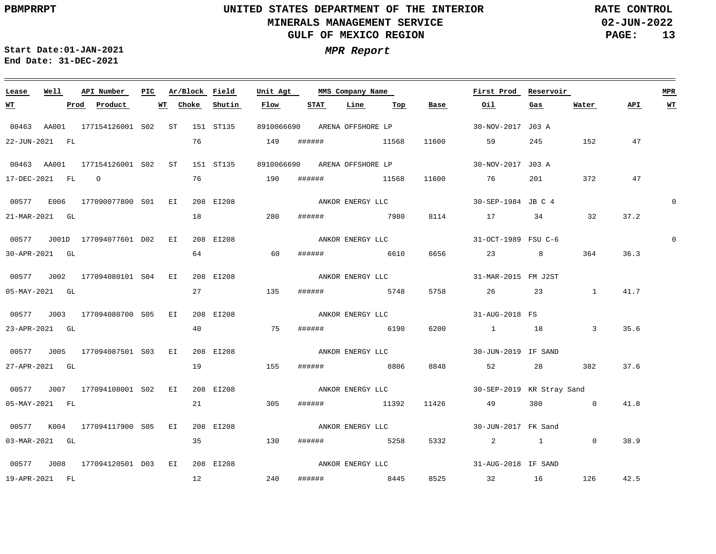$\equiv$ 

# **UNITED STATES DEPARTMENT OF THE INTERIOR MINERALS MANAGEMENT SERVICE GULF OF MEXICO REGION**

**02-JUN-2022 PAGE: 13 RATE CONTROL**

 $\equiv$ 

**Start Date:01-JAN-2021 MPR Report End Date: 31-DEC-2021**

<u> 1989 - Johann Stoff, amerikansk politiker (d. 1989)</u>

| Lease      | Well             | API Number                                | PIC. | Ar/Block Field |               | Unit Agt         |        | MMS Company Name             |                  |                              | First Prod                            | Reservoir     |                |      | MPR         |
|------------|------------------|-------------------------------------------|------|----------------|---------------|------------------|--------|------------------------------|------------------|------------------------------|---------------------------------------|---------------|----------------|------|-------------|
| <u> WТ</u> |                  | Prod Product                              | WT   | Choke          | Shutin        | Flow             | STAT   | Line                         | Тор              | Base                         | Oil                                   | Gas           | Water          | API  | WT          |
|            |                  | 00463 AA001 177154126001 S02 ST 151 ST135 |      |                |               |                  |        | 8910066690 ARENA OFFSHORE LP |                  |                              | 30-NOV-2017 J03 A                     |               |                |      |             |
|            | 22-JUN-2021 FL   |                                           |      | 76             |               | 149              |        | ###### 11568                 |                  |                              | 11600 59                              | 245           | 152            | 47   |             |
|            | 00463 AA001      | 177154126001 S02 ST                       |      |                | 151 ST135     |                  |        |                              |                  | 8910066690 ARENA OFFSHORE LP | 30-NOV-2017 J03 A                     |               |                |      |             |
|            | 17-DEC-2021 FL 0 |                                           |      | 76             | 190           |                  |        | ###### 11568                 |                  |                              | 11600 76                              |               | 372            | 47   |             |
|            |                  | 00577 E006 177090077800 S01 EI 208 EI208  |      |                |               |                  |        |                              | ANKOR ENERGY LLC |                              | 30-SEP-1984 JB C 4                    |               |                |      | $\mathbf 0$ |
|            | 21-MAR-2021 GL   |                                           |      | 18             | 280           |                  |        | ####### 7980                 |                  |                              | 8 1 1 3 4 3 4 3 4 3 4 3 4 $\sqrt{36}$ |               | 32             | 37.2 |             |
|            |                  | 00577 J001D 177094077601 D02 EI           |      |                | 208 EI208     |                  |        |                              | ANKOR ENERGY LLC |                              | 31-OCT-1989 FSU C-6                   |               |                |      | $\mathbf 0$ |
|            | 30-APR-2021 GL   |                                           |      |                | 64 64         | 60               | ###### | 6610                         |                  | 6656                         | 23 8                                  |               | 364            | 36.3 |             |
|            |                  | 00577 J002 177094080101 S04 EI            |      |                | 208 EI208     |                  |        |                              | ANKOR ENERGY LLC |                              | 31-MAR-2015 FM J2ST                   |               |                |      |             |
|            | 05-MAY-2021 GL   |                                           |      |                | 27 135        |                  |        | ####### 5748                 |                  |                              | 5758 26                               |               | 23 1           | 41.7 |             |
|            |                  | 00577 J003 177094080700 S05 EI            |      |                | 208 EI208     |                  |        | ANKOR ENERGY LLC             |                  |                              | 31-AUG-2018 FS                        |               |                |      |             |
|            | 23-APR-2021 GL   |                                           |      |                | 40 and $\sim$ | 75               | ###### | 6190                         |                  | 6200                         | 1 18                                  |               | $\overline{3}$ | 35.6 |             |
|            |                  | 00577 J005 177094087501 S03 EI            |      |                | 208 EI208     |                  |        |                              |                  |                              | ANKOR ENERGY LLC 30-JUN-2019 IF SAND  |               |                |      |             |
|            | 27-APR-2021 GL   |                                           |      | 19             | 155           |                  |        | ####### 8806                 |                  | 8848                         | 52                                    | 28 and $\sim$ | 382            | 37.6 |             |
|            |                  | 00577 J007 177094108001 S02 EI            |      |                | 208 EI208     |                  |        | ANKOR ENERGY LLC             |                  |                              | 30-SEP-2019 KR Stray Sand             |               |                |      |             |
|            | 05-MAY-2021 FL   |                                           |      |                | 21 305        |                  |        | ###### 11392                 |                  |                              | 11426 49 380 0                        |               |                | 41.8 |             |
|            |                  | 00577 K004 177094117900 S05 EI            |      |                | 208 EI208     | ANKOR ENERGY LLC |        |                              |                  |                              | 30-JUN-2017 FK Sand                   |               |                |      |             |
|            | 03-MAR-2021 GL   |                                           |      | 35             | 130           |                  |        | ####### 5258                 |                  | 5332                         | $2 \qquad \qquad 1$                   |               | $\overline{0}$ | 38.9 |             |
|            |                  | 00577 J008 177094120501 D03 EI            |      |                | 208 EI208     |                  |        |                              | ANKOR ENERGY LLC |                              | 31-AUG-2018 IF SAND                   |               |                |      |             |
|            | 19-APR-2021 FL   |                                           |      | 12             | 240           |                  |        |                              | ###### 8445      |                              | 8525 32 16 126                        |               |                | 42.5 |             |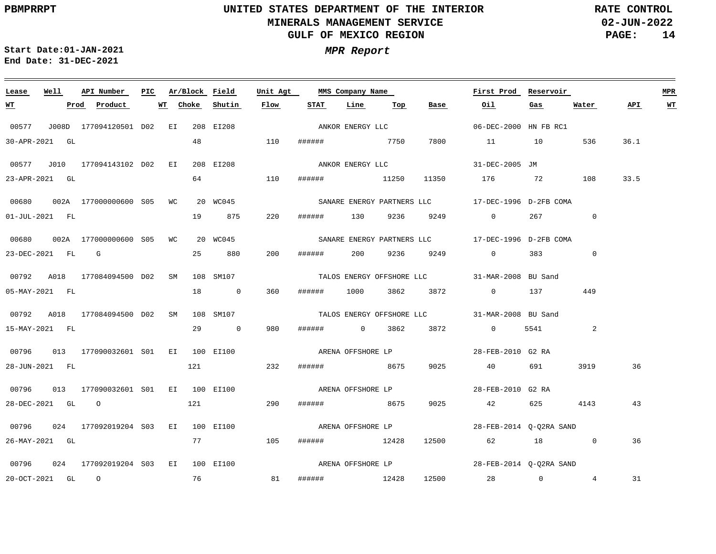**02-JUN-2022 PAGE: 14 RATE CONTROL**

 $\frac{1}{2}$ 

**Start Date:01-JAN-2021 MPR Report End Date: 31-DEC-2021**

<u> 1989 - Johann Stein, marwolaethau a bhann an t-Amhair an t-Amhair an t-Amhair an t-Amhair an t-Amhair an t-A</u>

| Lease          | Well           | API Number                                                                        | PIC Ar/Block Field |            | Unit Agt |              | MMS Company Name |     |                      | First Prod Reservoir                          |                          |                 |      | <b>MPR</b> |
|----------------|----------------|-----------------------------------------------------------------------------------|--------------------|------------|----------|--------------|------------------|-----|----------------------|-----------------------------------------------|--------------------------|-----------------|------|------------|
| <u>WT</u> 2007 |                | Prod Product                                                                      | <b>WT</b><br>Choke | Shutin     | Flow     | STAT         | Line             | Тор | Base                 | Oil                                           | Gas                      | Water           | API  | <b>WT</b>  |
| 00577          |                | J008D 177094120501 D02 EI 208 EI208                                               |                    |            |          |              |                  |     |                      | ANKOR ENERGY LLC 66-DEC-2000 HN FB RC1        |                          |                 |      |            |
| 30-APR-2021 GL |                |                                                                                   |                    | 48 110     |          | ####### 7750 |                  |     |                      | 7800 11 10                                    |                          | 536             | 36.1 |            |
|                |                | 00577 J010 177094143102 D02 EI                                                    |                    | 208 EI208  |          |              |                  |     |                      | ANKOR ENERGY LLC 31-DEC-2005 JM               |                          |                 |      |            |
|                | 23-APR-2021 GL |                                                                                   |                    | 64 110     |          |              |                  |     |                      | ###### 11250 11350 176 72 108                 |                          |                 | 33.5 |            |
|                |                | 00680  002A  177000000600  S05  WC  20  WC045                                     |                    |            |          |              |                  |     |                      |                                               |                          |                 |      |            |
|                |                | $01 - JUL - 2021$ FL                                                              |                    | 19 875 220 |          |              |                  |     |                      | ####### 130 9236 9249 0                       | 267                      | $\overline{0}$  |      |            |
|                |                |                                                                                   |                    |            |          |              |                  |     |                      |                                               |                          |                 |      |            |
|                |                | 23-DEC-2021 FL G                                                                  |                    | 25 880     | 200      |              |                  |     | ###### 200 9236 9249 | $\overline{0}$                                | 383 and $\overline{383}$ | $\mathbf{0}$    |      |            |
|                |                | 00792 A018 177084094500 D02 SM 108 SM107                                          |                    |            |          |              |                  |     |                      | TALOS ENERGY OFFSHORE LLC 31-MAR-2008 BU Sand |                          |                 |      |            |
|                |                | 05-MAY-2021 FL                                                                    |                    | 18 0 360   |          |              |                  |     |                      | ###### 1000 3862 3872 0 137                   |                          | 449             |      |            |
|                |                | 00792 A018 177084094500 D02 SM 108 SM107                                          |                    |            |          |              |                  |     |                      | TALOS ENERGY OFFSHORE LLC 31-MAR-2008 BU Sand |                          |                 |      |            |
| 15-MAY-2021 FL |                |                                                                                   |                    | 29 0       | 980      |              |                  |     | ####### 0 3862 3872  | $\overline{0}$                                | 5541                     | 2               |      |            |
|                |                | 00796 013 177090032601 S01 EI 100 EI100<br>aRENA OFFSHORE LP<br>28-FEB-2010 G2 RA |                    |            |          |              |                  |     |                      |                                               |                          |                 |      |            |
|                |                | 28-JUN-2021 FL 232                                                                |                    |            |          |              |                  |     |                      | ####### 8675 9025 40                          | 691 — 10                 | 3919            | 36   |            |
| 00796          |                | 013 177090032601 S01 EI 100 EI100                                                 |                    |            |          |              |                  |     | ARENA OFFSHORE LP    | 28-FEB-2010 G2 RA                             |                          |                 |      |            |
|                |                | 28-DEC-2021 GL 0                                                                  |                    | 121 290    |          | ####### 8675 |                  |     |                      | 9025 42                                       | 625 4143                 |                 | 43   |            |
|                |                | 00796 024 177092019204 S03 EI 100 EI100 ARENA OFFSHORE LP 28-FEB-2014 Q-Q2RA SAND |                    |            |          |              |                  |     |                      |                                               |                          |                 |      |            |
|                | 26-MAY-2021 GL |                                                                                   |                    | 77 105     |          | ###### 12428 |                  |     |                      | 12500 62 18                                   |                          | $\overline{0}$  | 36   |            |
|                |                | 00796  024  177092019204  S03  EI  100  EI100                                     |                    |            |          |              |                  |     |                      |                                               |                          |                 |      |            |
|                |                | 20-OCT-2021 GL O 76 81                                                            |                    |            |          |              |                  |     |                      | ###### 12428 12500 28 0                       |                          | $4\overline{ }$ | 31   |            |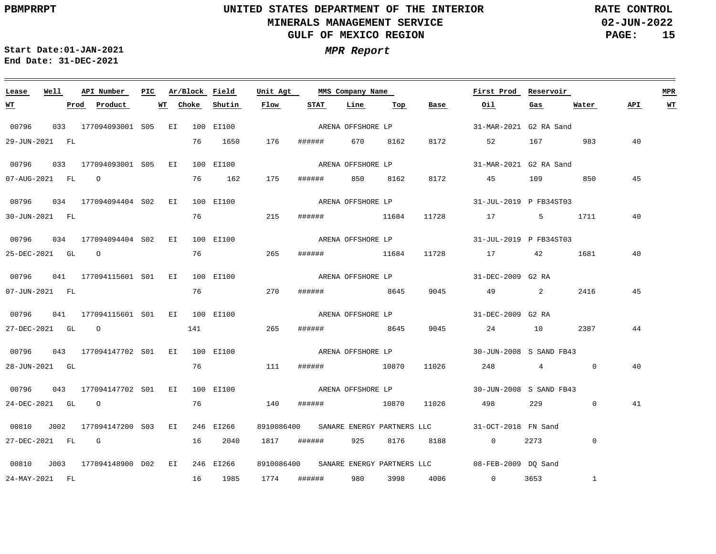**02-JUN-2022 PAGE: 15 RATE CONTROL**

**Start Date:01-JAN-2021 MPR Report End Date: 31-DEC-2021**

### 00796 033 177094093001 S05 EI 100 EI100 00796 033 177094093001 S05 EI 100 EI100 00796 034 177094094404 S02 EI 100 EI100 00796 034 177094094404 S02 EI 100 EI100 00796 041 177094115601 S01 EI 100 EI100 00796 041 177094115601 S01 EI 100 EI100 00796 043 177094147702 S01 EI 100 EI100 00796 043 177094147702 S01 EI 100 EI100 00810 J002 177094147200 EI 246 EI266 S03 00810 J003 177094148900 EI 246 EI266 D02**Lease Well API Number Ar/Block Field** 8910086400 31-OCT-2018 FN Sand SANARE ENERGY PARTNERS LLC 8910086400 SANARE ENERGY PARTNERS LLC **Unit Agt PIC MMS Company Name** 31-MAR-2021 G2 RA Sand 31-MAR-2021 G2 RA Sand 31-JUL-2019 P FB34ST03 31-JUL-2019 P FB34ST03 31-DEC-2009 G2 RA ARENA OFFSHORE LP 31-DEC-2009 G2 RA ARENA OFFSHORE LP 30-JUN-2008 S SAND FB43 30-JUN-2008 S SAND FB43 08-FEB-2009 DQ Sand **First Prod Reservoir MPR** 29-JUN-2021 FL 07-AUG-2021 FL O 30-JUN-2021 FL 25-DEC-2021 GL O 07-JUN-2021 FL 27-DEC-2021 GL O 141 28-JUN-2021 GL 24-DEC-2021 GL O 27-DEC-2021 FL G 24-MAY-2021 FL **WT Prod Product WT** 76 1650 76 162 175 ###### 850 8162 8172 45 109 850 76 76 76 76 111 ###### 10870 11026 248 4 0 76 16 2040 1817 ###### 925 8176 8188 0 2273 0 16 1985 **Choke Shutin Flow** 176 ###### 670 8162 8172 52 167 983 215 ###### 11684 11728 17 5 1711 265 270 ###### 8645 9045 49 2 2416 265 140 ###### 10870 11026 498 229 1774 ###### 980 3998 4006 ###### 11684 ###### 8645 **STAT Line Top** 11728 17 42 9045 24 10 2387 **Base Oil** 0 3653 1 **Gas** 1681  $\overline{0}$ **Water** 40 45 40 40 45 44 40 41 **API WT** ARENA OFFSHORE LP ARENA OFFSHORE LP ARENA OFFSHORE LP ARENA OFFSHORE LP ARENA OFFSHORE LP ARENA OFFSHORE LP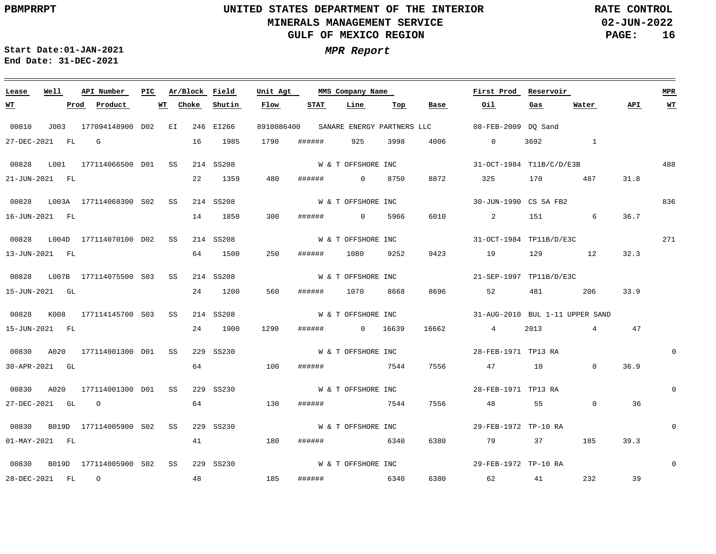**02-JUN-2022 PAGE: 16 RATE CONTROL**

**Start Date:01-JAN-2021 MPR Report End Date: 31-DEC-2021**

<u> 1989 - Johann Stein, markin sanadi masjid ayyik sanadi asl asl asl asl asl ang mga mga mga mga mga mga mga m</u>

### 00810 J003 177094148900 EI 246 EI266 D02 00828 L001 177114066500 D01 SS 214 SS208 00828 L003A 177114068300 S02 SS 214 SS208 00828 L004D 177114070100 D02 SS 214 SS208 00828 L007B 177114075500 S03 SS 00828 K008 177114145700 S03 SS 00830 A020 177114001300 D01 SS 00830 A020 177114001300 D01 SS 229 SS230 00830 B019D 177114005900 S02 SS 229 SS230 00830 B019D 177114005900 S02 SS 229 SS230 **Lease Well API Number Ar/Block Field PIC MMS Company Name** 214 SS208 214 SS208 229 SS230 8910086400 SANARE ENERGY PARTNERS LLC **Unit Agt**  08-FEB-2009 DQ Sand 31-OCT-1984 T11B/C/D/E3B 30-JUN-1990 CS 5A FB2 31-OCT-1984 TP11B/D/E3C 21-SEP-1997 TP11B/D/E3C 31-AUG-2010 BUL 1-11 UPPER SAND 28-FEB-1971 TP13 RA 28-FEB-1971 TP13 RA 29-FEB-1972 TP-10 RA 29-FEB-1972 TP-10 RA **First Prod Reservoir** 488 836 271  $\Omega$  $\Omega$  $\Omega$ 0 **MPR** 27-DEC-2021 FL G 21-JUN-2021 FL 16-JUN-2021 FL 13-JUN-2021 FL 15-JUN-2021 GL 15-JUN-2021 FL 30-APR-2021 GL 27-DEC-2021 GL O 01-MAY-2021 FL 28-DEC-2021 FL O **WT Prod Product WT** 16 22 14 1850 64 1500 24 24 64 64 41 48 **Choke** 1985 1359 1200 1900 **Shutin** 1790 480 300 ###### 0 5966 250 560 ###### 1070 8668 1290 100 ###### 7544 7556 47 10 0 130 180 ###### 6340 185 **Flow** ###### 925 3998 ###### 0 8750 ###### 1080 9252 ###### 0 16639 ###### 7544 ###### 6340 **STAT Line Top** 4006 8872 6010 2 151 6 36.7 9423 19 129 12 8696 52 16662 4 2013 4 47 7556 6380 6380 **Base** 0 3692 1 325 48 55 79 37 185 62 41 **Oil** 170 487 31.8 481 206 33.9 **Gas**  $\overline{0}$ 232 **Water** 32.3 36.9 36 39.3 39 **API WT** W & T OFFSHORE INC W & T OFFSHORE INC W & T OFFSHORE INC W & T OFFSHORE INC W & T OFFSHORE INC W & T OFFSHORE INC W & T OFFSHORE INC W & T OFFSHORE INC W & T OFFSHORE INC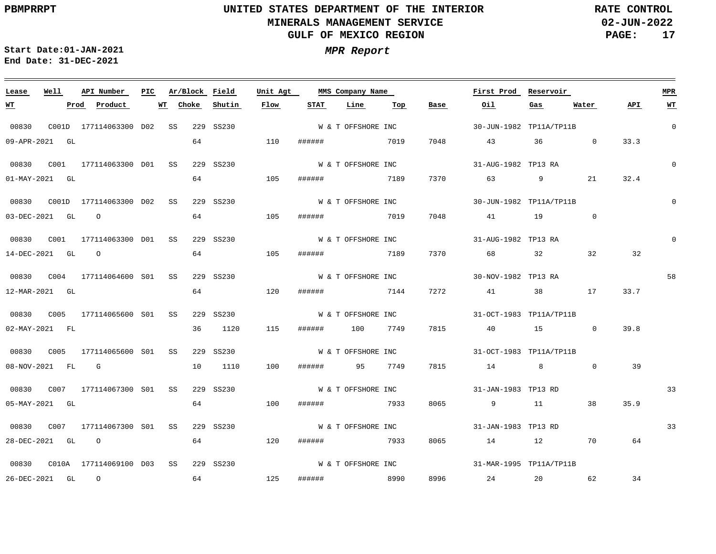**02-JUN-2022 PAGE: 17 RATE CONTROL**

**Start Date:01-JAN-2021 MPR Report End Date: 31-DEC-2021**

### **Lease Well API Number Ar/Block Field Unit Agt PIC MMS Company Name First Prod Reservoir MPR Choke Shutin Flow STAT Line Top Base Oil Water WT Prod Product WT Gas API WT** W & T OFFSHORE INC 0 00830 C001D 177114063300 SS 229 SS230 D02 30-JUN-1982 TP11A/TP11B 09-APR-2021 GL 64 110 ###### 7019 7048 43 36 0 33.3 W & T OFFSHORE INC  $\Omega$  00830 C001 177114063300 SS 229 SS230 D01 31-AUG-1982 TP13 RA 64 105 7370 32.4 01-MAY-2021 GL ###### 7189 63 9 21 W & T OFFSHORE INC 0 00830 C001D 177114063300 SS 229 SS230 D02 30-JUN-1982 TP11A/TP11B 64 105 ###### 7019 7048  $\overline{0}$ 03-DEC-2021 GL O 41 19 W & T OFFSHORE INC  $\Omega$  00830 C001 177114063300 SS 229 SS230 D01 31-AUG-1982 TP13 RA 64 105 14-DEC-2021 GL O ###### 7189 7370 68 32 32 32 W & T OFFSHORE INC 58 00830 C004 177114064600 SS 229 SS230 S01 30-NOV-1982 TP13 RA 64 33.7 12-MAR-2021 GL 120 ###### 7144 7272 41 38 17 00830 C005 177114065600 SS 229 SS230 S01 W & T OFFSHORE INC 31-OCT-1983 TP11A/TP11B 115 39.8 02-MAY-2021 FL 36 1120 ###### 100 7749 7815 40 15 0 00830 C005 177114065600 SS 229 SS230 S01 W & T OFFSHORE INC 31-OCT-1983 TP11A/TP11B 08-NOV-2021 FL G 10 1110 100 ###### 95 7749 7815 14 8 0 39 00830 C007 177114067300 SS S01 229 SS230 W & T OFFSHORE INC 31-JAN-1983 TP13 RD 33 8065 35.9 05-MAY-2021 GL 64 100 ###### 7933 9 11 38 W & T OFFSHORE INC 33 00830 C007 177114067300 SS 229 SS230 S01 31-JAN-1983 TP13 RD 28-DEC-2021 GL O 64 120 ###### 7933 8065 14 12 70 64 W & T OFFSHORE INC 00830 C010A 177114069100 SS 229 SS230 D0331-MAR-1995 TP11A/TP11B 64 125 ###### and a series of 8990 8996 34 26-DEC-2021 GL O 24 20 62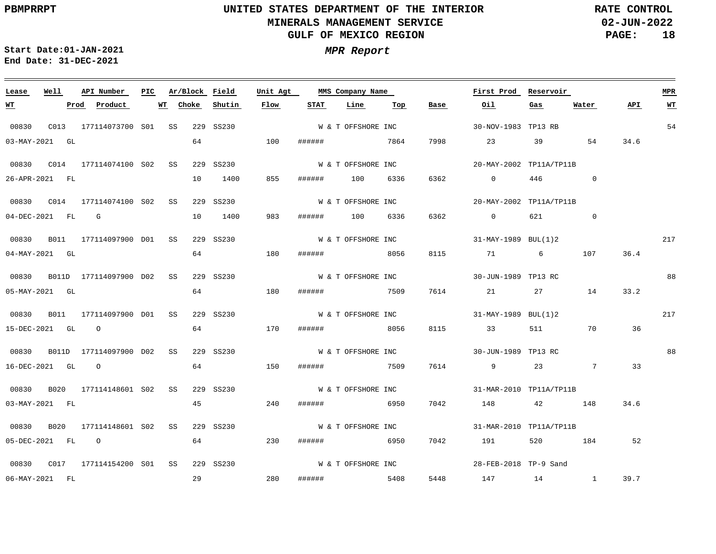**02-JUN-2022 PAGE: 18 RATE CONTROL**

**Start Date:01-JAN-2021 MPR Report End Date: 31-DEC-2021**

<u> 1989 - Johann Stein, marwolaethau a bhann an t-Amhair an t-Amhair an t-Amhair an t-Amhair an t-Amhair an t-A</u>

| Lease            | Well | API Number                      | PIC |          |    | Ar/Block Field | Unit Agt |                 | MMS Company Name   |      |      | First Prod              | Reservoir           |                 |      | <b>MPR</b>     |
|------------------|------|---------------------------------|-----|----------|----|----------------|----------|-----------------|--------------------|------|------|-------------------------|---------------------|-----------------|------|----------------|
| <u>WT</u>        |      | Product<br>Prod                 |     | WT Choke |    | Shutin         | Flow     | <b>STAT</b>     | Line               | Тор  | Base | Oil                     | Gas                 | Water           | API  | W <sub>T</sub> |
| 00830            |      | C013 177114073700 S01 SS        |     |          |    | 229 SS230      |          |                 | W & T OFFSHORE INC |      |      | 30-NOV-1983 TP13 RB     |                     |                 |      | 54             |
| 03-MAY-2021 GL   |      |                                 |     |          | 64 |                | 100      | ####### 7864    |                    |      | 7998 | 23 23                   | 39                  | 54              | 34.6 |                |
|                  |      |                                 |     |          |    | 229 SS230      |          |                 | W & T OFFSHORE INC |      |      | 20-MAY-2002 TP11A/TP11B |                     |                 |      |                |
| 26-APR-2021 FL   |      |                                 |     |          | 10 | 1400           | 855      | ######          | 100                | 6336 | 6362 | $\sim$ 0                | 446                 | $\Omega$        |      |                |
|                  |      |                                 |     |          |    | 229 SS230      |          |                 | W & T OFFSHORE INC |      |      | 20-MAY-2002 TP11A/TP11B |                     |                 |      |                |
| 04-DEC-2021 FL G |      |                                 |     |          | 10 | 1400           | 983      | ###### 100 6336 |                    |      | 6362 | $\overline{0}$          | 621 7               | $\Omega$        |      |                |
| 00830            |      | B011 177114097900 D01 SS        |     |          |    | 229 SS230      |          |                 | W & T OFFSHORE INC |      |      | 31-MAY-1989 BUL(1)2     |                     |                 |      | 217            |
| 04-MAY-2021 GL   |      |                                 |     |          | 64 |                | 180      | ######          | 8056               |      | 8115 | 71                      | $6 \quad \text{or}$ | 107             | 36.4 |                |
|                  |      | 00830 B011D 177114097900 D02 SS |     |          |    | 229 SS230      |          |                 | W & T OFFSHORE INC |      |      | 30-JUN-1989 TP13 RC     |                     |                 |      | 88             |
| 05-MAY-2021 GL   |      |                                 |     |          | 64 |                | 180      | ######          | 7509               |      |      | 7614 21                 | 27 — 27             | 14              | 33.2 |                |
| 00830            |      | B011 177114097900 D01 SS        |     |          |    | 229 SS230      |          |                 | W & T OFFSHORE INC |      |      | 31-MAY-1989 BUL(1)2     |                     |                 |      | 217            |
| 15-DEC-2021 GL 0 |      |                                 |     |          | 64 |                | 170      | ######          | 8056               |      | 8115 | 33                      | 511 72              | 70              | 36   |                |
| 00830            |      | B011D 177114097900 D02 SS       |     |          |    | 229 SS230      |          |                 | W & T OFFSHORE INC |      |      | 30-JUN-1989 TP13 RC     |                     |                 |      | 88             |
| 16-DEC-2021 GL 0 |      |                                 |     |          | 64 |                | 150      | ######          | 7509               |      |      | 7614 9                  | 23                  | $7\overline{ }$ | 33   |                |
| 00830            |      | B020 177114148601 S02 SS        |     |          |    | 229 SS230      |          |                 | W & T OFFSHORE INC |      |      | 31-MAR-2010 TP11A/TP11B |                     |                 |      |                |
| 03-MAY-2021 FL   |      |                                 |     |          | 45 |                | 240      | ######          | 6950               |      | 7042 | 148                     |                     | 42 148          | 34.6 |                |
| 00830            |      | B020 177114148601 S02 SS        |     |          |    | 229 SS230      |          |                 | W & T OFFSHORE INC |      |      | 31-MAR-2010 TP11A/TP11B |                     |                 |      |                |
| 05-DEC-2021 FL 0 |      |                                 |     |          | 64 |                | 230      | ######          | 6950               |      | 7042 | 191                     |                     | 520 184         | 52   |                |
|                  |      |                                 |     |          |    | 229 SS230      |          |                 | W & T OFFSHORE INC |      |      | 28-FEB-2018 TP-9 Sand   |                     |                 |      |                |
| 06-MAY-2021 FL   |      |                                 |     |          | 29 | 280            |          | ######          | 5408               |      |      | 5448 147 14 1           |                     |                 | 39.7 |                |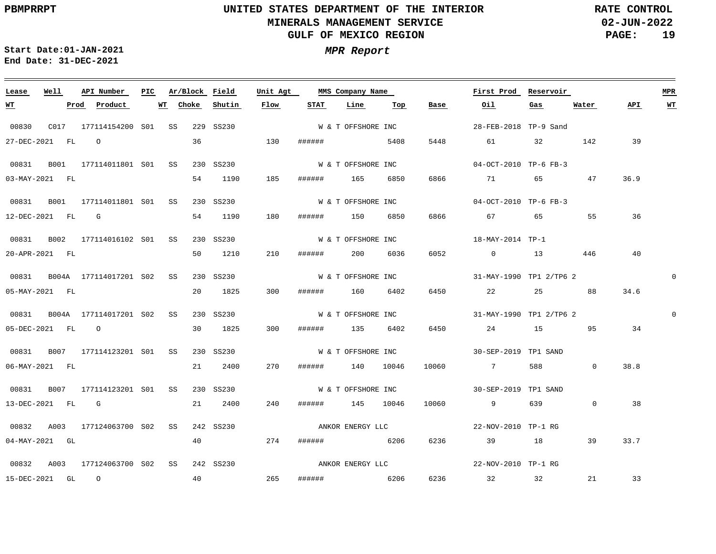**02-JUN-2022 PAGE: 19 RATE CONTROL**

**Start Date:01-JAN-2021 MPR Report End Date: 31-DEC-2021**

### <u> 1989 - Johann Stoff, deutscher Stoff, der Stoff, der Stoff, der Stoff, der Stoff, der Stoff, der Stoff, der S</u> **Lease Well API Number Ar/Block Field Unit Agt PIC MMS Company Name First Prod Reservoir MPR Choke Shutin Flow STAT Line Top Base Oil Water API WT WT Prod Product WT Gas** W & T OFFSHORE INC 00830 C017 177114154200 SS 229 SS230 S01 28-FEB-2018 TP-9 Sand 27-DEC-2021 FL O 36 130 ###### 5408 5448 61 32 142 39 W & T OFFSHORE INC 00831 B001 177114011801 S01 SS 230 SS230 04-OCT-2010 TP-6 FB-3 185 6866 36.9 03-MAY-2021 FL 54 1190 ###### 165 6850 71 65 47 W & T OFFSHORE INC 00831 B001 177114011801 S01 SS 230 SS230 04-OCT-2010 TP-6 FB-3 12-DEC-2021 FL G 54 1190 180 ###### 150 6850 6866 67 65 55 36 W & T OFFSHORE INC 00831 B002 177114016102 S01 SS 230 SS230 18-MAY-2014 TP-1 50 1210 210 40 20-APR-2021 FL ###### 200 6036 6052 0 13 446 W & T OFFSHORE INC 0 00831 B004A 177114017201 S02 SS 230 SS230 31-MAY-1990 TP1 2/TP6 2 20 1825 34.6 05-MAY-2021 FL 300 ###### 160 6402 6450 22 25 88 00831 B004A 177114017201 S02 SS 230 SS230 W & T OFFSHORE INC 31-MAY-1990 TP1 2/TP6 2  $\Omega$ 30 1825 300 34 05-DEC-2021 FL O ###### 135 6402 6450 24 15 95 00831 B007 177114123201 S01 SS 230 SS230 W & T OFFSHORE INC 30-SEP-2019 TP1 SAND 06-MAY-2021 FL 21 2400 270 ###### 140 10046 10060 7 588 0 38.8 00831 B007 177114123201 S01 SS 230 SS230 W & T OFFSHORE INC 30-SEP-2019 TP1 SAND 13-DEC-2021 FL G 21 2400 240 ###### 145 10046 10060 9 639  $\overline{0}$ 38 ANKOR ENERGY LLC 00832 A003 177124063700 S02 SS 242 SS230 22-NOV-2010 TP-1 RG 04-MAY-2021 GL 40 274 ###### 6206 6236 39 18 39 33.7 ANKOR ENERGY LLC 00832 A003 177124063700 S02 SS 242 SS230 22-NOV-2010 TP-1 RG 40 265 6236 21 33 15-DEC-2021 GL O ###### 6206 32 32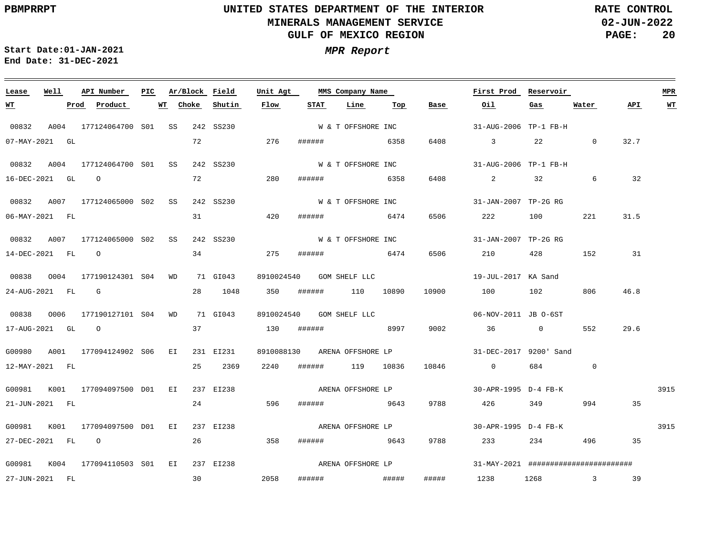**02-JUN-2022 PAGE: 20 RATE CONTROL**

 $\equiv$ 

<u> 1989 - Andrea Andrew Maria (h. 1989).</u>

**Start Date:01-JAN-2021 MPR Report End Date: 31-DEC-2021**

<u> 2002 - Jan Samuel Barbara, margaret e a seu a construir a construir a construir a construir a construir a con</u>

| Lease            | Well | API Number                         | PIC |       |    | Ar/Block Field | Unit Agt   |        | MMS Company Name             |      |       | First Prod                                    | Reservoir |                |      | <b>MPR</b> |
|------------------|------|------------------------------------|-----|-------|----|----------------|------------|--------|------------------------------|------|-------|-----------------------------------------------|-----------|----------------|------|------------|
| <u>WТ</u>        |      | Product<br>Prod                    | WТ  | Choke |    | Shutin         | Flow       | STAT   | Line                         | Тор  | Base  | Oil                                           | Gas       | Water          | API  | <u>WT</u>  |
| 00832            |      | A004 177124064700 S01 SS           |     |       |    | 242 SS230      |            |        | W & T OFFSHORE INC           |      |       | 31-AUG-2006 TP-1 FB-H                         |           |                |      |            |
| 07-MAY-2021 GL   |      |                                    |     |       | 72 |                | 276        |        | ####### 6358                 |      | 6408  | $\sim$ 3                                      | 22        | $\Omega$       | 32.7 |            |
|                  |      | 00832 A004 177124064700 S01 SS     |     |       |    | 242 SS230      |            |        | W & T OFFSHORE INC           |      |       | 31-AUG-2006 TP-1 FB-H                         |           |                |      |            |
| 16-DEC-2021 GL 0 |      |                                    |     |       | 72 |                | 280        | ###### |                              | 6358 | 6408  | $\overline{2}$                                | 32        | 6              | 32   |            |
|                  |      | 00832 A007 177124065000 S02 SS     |     |       |    | 242 SS230      |            |        | W & T OFFSHORE INC           |      |       | 31-JAN-2007 TP-2G RG                          |           |                |      |            |
| 06-MAY-2021 FL   |      |                                    |     |       |    | 31             | 420        |        | ####### 6474                 |      | 6506  | 222                                           | 100 - 100 | 221            | 31.5 |            |
|                  |      | 00832 A007 177124065000 S02 SS     |     |       |    | 242 SS230      |            |        | W & T OFFSHORE INC           |      |       | 31-JAN-2007 TP-2G RG                          |           |                |      |            |
| 14-DEC-2021 FL 0 |      |                                    |     |       |    | 34             | 275        | ###### | 6474                         |      |       | 6506 210                                      | 428       | 152            | 31   |            |
|                  |      | 00838  0004  177190124301  S04  WD |     |       |    | 71 GI043       |            |        | 8910024540 GOM SHELF LLC     |      |       | 19-JUL-2017 KA Sand                           |           |                |      |            |
|                  |      | $24 - \text{AUG} - 2021$ FL G      |     |       |    | 28 1048        |            |        | 350 ###### 110 10890         |      | 10900 | 100                                           | 102 2     | 806            | 46.8 |            |
|                  |      | 00838 0006 177190127101 S04 WD     |     |       |    | 71 GI043       |            |        | 8910024540 GOM SHELF LLC     |      |       | 06-NOV-2011 JB 0-6ST                          |           |                |      |            |
|                  |      | 17-AUG-2021 GL 0                   |     |       |    | 37             | 130 ###### |        | 8997                         |      | 9002  | $36$ 0                                        |           | 552            | 29.6 |            |
|                  |      | G00980 A001 177094124902 S06 EI    |     |       |    | 231 EI231      |            |        | 8910088130 ARENA OFFSHORE LP |      |       | 31-DEC-2017 9200' Sand                        |           |                |      |            |
| 12-MAY-2021 FL   |      |                                    |     |       |    | 25 2369        | 2240       |        | ###### 119 10836             |      | 10846 | $\overline{0}$                                | 684 689   | $\overline{0}$ |      |            |
|                  |      | G00981 K001 177094097500 D01 EI    |     |       |    | 237 EI238      |            |        | ARENA OFFSHORE LP            |      |       | 30-APR-1995 D-4 FB-K                          |           |                |      | 3915       |
| 21-JUN-2021 FL   |      |                                    |     |       |    | 24             | 596        |        | ###### 9643                  |      |       | 9788 426                                      | 349       | 994 7          | 35   |            |
|                  |      | G00981 K001 177094097500 D01 EI    |     |       |    | 237 EI238      |            |        |                              |      |       | ARENA OFFSHORE LP 30-APR-1995 D-4 FB-K        |           |                |      | 3915       |
| 27-DEC-2021 FL 0 |      |                                    |     |       |    | 26 358         |            |        | ###### 9643                  |      | 9788  | 233                                           | 234       | 496            | 35   |            |
|                  |      |                                    |     |       |    |                |            |        |                              |      |       |                                               |           |                |      |            |
| 27-JUN-2021 FL   |      | G00981 K004 177094110503 S01 EI    |     |       | 30 | 237 EI238      | 2058       |        | ARENA OFFSHORE LP            |      | ##### | 31-MAY-2021 #########################<br>1238 | $1268$ 3  |                | 39   |            |
|                  |      |                                    |     |       |    |                |            |        |                              |      |       |                                               |           |                |      |            |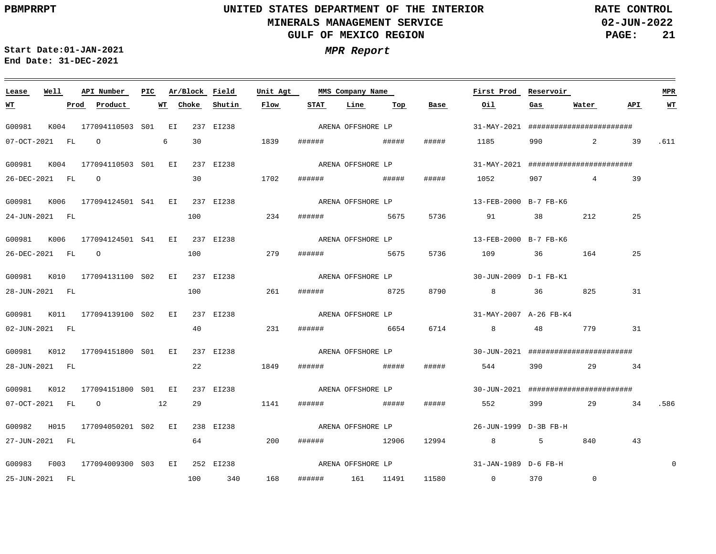**02-JUN-2022 PAGE: 21 RATE CONTROL**

 $\equiv$ 

<u> 1989 - Johann Barbara, martxa alemaniar argamento este alemaniar alemaniar alemaniar alemaniar alemaniar al</u>

**Start Date:01-JAN-2021 MPR Report End Date: 31-DEC-2021**

| Lease            | Well |      | API Number                                             |  | PIC Ar/Block Field |           | Unit Agt |                   | MMS Company Name  |     |       | First Prod Reservoir                  |           |                                               |       | <b>MPR</b>  |
|------------------|------|------|--------------------------------------------------------|--|--------------------|-----------|----------|-------------------|-------------------|-----|-------|---------------------------------------|-----------|-----------------------------------------------|-------|-------------|
| WT               |      | Prod | Product                                                |  | <b>WT</b> Choke    | Shutin    | Flow     | <b>STAT</b>       | Line              | Тор | Base  | Oil                                   | Gas       | Water                                         | API   | WT          |
| G00981           | K004 |      | 177094110503 SO1 EI                                    |  |                    | 237 EI238 |          | ARENA OFFSHORE LP |                   |     |       |                                       |           | 31-MAY-2021 #########################         |       |             |
| 07-OCT-2021 FL   |      |      | $\begin{array}{ccc} \circ & \circ & \circ \end{array}$ |  | 30 ·               | 1839      |          |                   |                   |     | ##### |                                       |           | 1185 990 2 39                                 |       | .611        |
| G00981           |      |      | K004 177094110503 S01 EI                               |  |                    | 237 EI238 |          |                   | ARENA OFFSHORE LP |     |       |                                       |           | 31-MAY-2021 #########################         |       |             |
| 26-DEC-2021 FL   |      |      | $\overline{O}$                                         |  | 30                 |           | 1702     |                   |                   |     | ##### |                                       |           | 1052 907 4 39                                 |       |             |
|                  |      |      | G00981 K006 177094124501 S41 EI 237 EI238              |  |                    |           |          |                   |                   |     |       |                                       |           |                                               |       |             |
| 24-JUN-2021 FL   |      |      |                                                        |  | 100                |           | 234      | ####### 5675      |                   |     | 5736  | 91 38                                 |           | 212                                           | 25    |             |
| G00981           |      |      | K006 177094124501 S41 EI 237 EI238                     |  |                    |           |          |                   | ARENA OFFSHORE LP |     |       | 13-FEB-2000 B-7 FB-K6                 |           |                                               |       |             |
| 26-DEC-2021 FL 0 |      |      |                                                        |  | 100                | 279       |          | ####### 5675      |                   |     | 5736  | 109 36 164                            |           |                                               | 25    |             |
|                  |      |      | G00981 K010 177094131100 S02 EI 237 EI238              |  |                    |           |          |                   | ARENA OFFSHORE LP |     |       | 30-JUN-2009 D-1 FB-K1                 |           |                                               |       |             |
| 28-JUN-2021 FL   |      |      |                                                        |  | 100                |           | 261      | ####### 8725      |                   |     | 8790  | $8 - 8$                               | 36        | 825                                           | 31    |             |
|                  |      |      | G00981 K011 177094139100 S02 EI                        |  |                    | 237 EI238 |          |                   | ARENA OFFSHORE LP |     |       | 31-MAY-2007 A-26 FB-K4                |           |                                               |       |             |
| 02-JUN-2021 FL   |      |      |                                                        |  | 40                 |           | 231      | ######            | 6654              |     | 6714  |                                       |           | 48 779                                        | 31    |             |
|                  |      |      | G00981 K012 177094151800 S01 EI                        |  |                    | 237 EI238 |          | ARENA OFFSHORE LP |                   |     |       |                                       |           | 30-JUN-2021 #########################         |       |             |
| 28-JUN-2021 FL   |      |      |                                                        |  | 22                 |           | 1849     |                   |                   |     | ##### | 544                                   |           | 390 29 34                                     |       |             |
|                  |      |      | G00981 K012 177094151800 S01 EI                        |  |                    | 237 EI238 |          |                   | ARENA OFFSHORE LP |     |       |                                       |           | $30 - JUN - 2021$ ########################### |       |             |
| 07-OCT-2021 FL   |      |      | $\circ$ 12                                             |  | 29                 |           | 1141     | ######            | <b>#####</b>      |     | ##### | 552                                   | 399 — 100 |                                               | 29 34 | .586        |
|                  |      |      | G00982 H015 177094050201 S02 EI                        |  |                    | 238 EI238 |          | ARENA OFFSHORE LP |                   |     |       | 26-JUN-1999 D-3B FB-H                 |           |                                               |       |             |
| 27-JUN-2021 FL   |      |      |                                                        |  | 64                 |           | 200      | ###### 12906      |                   |     | 12994 | 8 5 5                                 |           | 840                                           | 43    |             |
|                  |      |      | G00983 F003 177094009300 S03 EI                        |  |                    | 252 EI238 |          |                   | ARENA OFFSHORE LP |     |       | 31-JAN-1989 D-6 FB-H                  |           |                                               |       | $\mathbf 0$ |
| 25-JUN-2021 FL   |      |      |                                                        |  |                    | 100 340   | 168      | ###### 161 11491  |                   |     | 11580 | $0 \qquad \qquad 370 \qquad \qquad 0$ |           |                                               |       |             |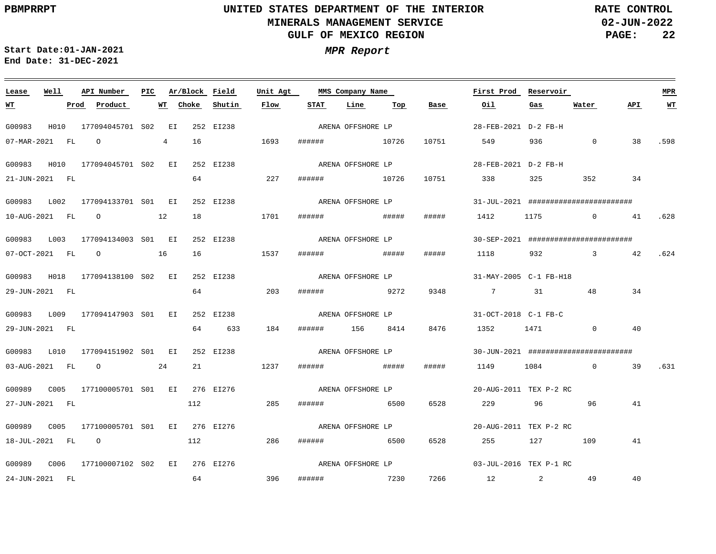**02-JUN-2022 PAGE: 22 RATE CONTROL**

 $\equiv$ 

**Start Date:01-JAN-2021 MPR Report End Date: 31-DEC-2021**

| Lease            | Well | API Number                                                                                                                                                                                                                                                                                                                         | PIC. |    | Ar/Block Field  |           | Unit Agt |                   | MMS Company Name  |       |       | First Prod Reservoir   |     |                                               |     | <b>MPR</b> |
|------------------|------|------------------------------------------------------------------------------------------------------------------------------------------------------------------------------------------------------------------------------------------------------------------------------------------------------------------------------------|------|----|-----------------|-----------|----------|-------------------|-------------------|-------|-------|------------------------|-----|-----------------------------------------------|-----|------------|
| <u>WT</u>        |      | Product<br>Prod                                                                                                                                                                                                                                                                                                                    |      |    | <b>WT</b> Choke | Shutin    | Flow     | STAT              | Line              | Тор   | Base  | Oil                    | Gas | Water                                         | API | $WT$       |
| G00983           | H010 | 177094045701 S02 EI                                                                                                                                                                                                                                                                                                                |      |    |                 | 252 EI238 |          |                   | ARENA OFFSHORE LP |       |       | 28-FEB-2021 D-2 FB-H   |     |                                               |     |            |
| 07-MAR-2021 FL   |      | $\overline{O}$ and $\overline{O}$ and $\overline{O}$ and $\overline{O}$ and $\overline{O}$ and $\overline{O}$ and $\overline{O}$ and $\overline{O}$ and $\overline{O}$ and $\overline{O}$ and $\overline{O}$ and $\overline{O}$ and $\overline{O}$ and $\overline{O}$ and $\overline{O}$ and $\overline{O}$ and $\overline{O}$ and |      | 4  | 16              |           | 1693     | ###### 10726      |                   |       | 10751 | 549                    |     | 936 0                                         | 38  | .598       |
| G00983           |      | H010  177094045701  S02  EI                                                                                                                                                                                                                                                                                                        |      |    |                 | 252 EI238 |          |                   | ARENA OFFSHORE LP |       |       | 28-FEB-2021 D-2 FB-H   |     |                                               |     |            |
| 21-JUN-2021 FL   |      |                                                                                                                                                                                                                                                                                                                                    |      |    | 64              |           | 227      | ######            | 10726             |       | 10751 | 338 325                |     | 352                                           | 34  |            |
| G00983           | L002 | 177094133701 S01 EI                                                                                                                                                                                                                                                                                                                |      |    |                 | 252 EI238 |          |                   | ARENA OFFSHORE LP |       |       |                        |     | $31 - JUL - 2021$ ##########################  |     |            |
|                  |      | 10-AUG-2021 FL 0 12                                                                                                                                                                                                                                                                                                                |      |    | 18              |           | 1701     |                   |                   |       | ##### |                        |     | 1412 1175 0 41                                |     | .628       |
| G00983           | L003 | 177094134003 S01 EI                                                                                                                                                                                                                                                                                                                |      |    |                 | 252 EI238 |          |                   | ARENA OFFSHORE LP |       |       |                        |     | $30 - SEP - 2021$ ########################### |     |            |
| 07-OCT-2021 FL   |      | $\overline{O}$<br>16                                                                                                                                                                                                                                                                                                               |      |    | 16              |           | 1537     | ######            |                   | ##### | ##### | 1118 932               |     | 3 42                                          |     | .624       |
| G00983           |      | H018 177094138100 S02 EI                                                                                                                                                                                                                                                                                                           |      |    |                 | 252 EI238 |          |                   | ARENA OFFSHORE LP |       |       | 31-MAY-2005 C-1 FB-H18 |     |                                               |     |            |
| 29-JUN-2021 FL   |      |                                                                                                                                                                                                                                                                                                                                    |      |    | 64              |           | 203      | ###### 9272       |                   |       | 9348  | 7 31 48                |     |                                               | 34  |            |
| G00983           | L009 | 177094147903 SO1 EI                                                                                                                                                                                                                                                                                                                |      |    |                 | 252 EI238 |          |                   | ARENA OFFSHORE LP |       |       | 31-OCT-2018 C-1 FB-C   |     |                                               |     |            |
| 29-JUN-2021 FL   |      |                                                                                                                                                                                                                                                                                                                                    |      |    | 64              | 633       | 184      | ###### 156 8414   |                   |       | 8476  | 1352 1471              |     | $\sim$ 0                                      | 40  |            |
|                  |      | G00983 L010 177094151902 S01 EI                                                                                                                                                                                                                                                                                                    |      |    |                 | 252 EI238 |          |                   | ARENA OFFSHORE LP |       |       |                        |     | $30 - JUN - 2021$ ########################### |     |            |
|                  |      | 03-AUG-2021 FL 0                                                                                                                                                                                                                                                                                                                   |      | 24 | 21              |           | 1237     |                   |                   |       | ##### |                        |     | 1149 1084 0                                   | 39  | .631       |
| G00989           | C005 | 177100005701 S01 EI 276 EI276                                                                                                                                                                                                                                                                                                      |      |    |                 |           |          |                   | ARENA OFFSHORE LP |       |       | 20-AUG-2011 TEX P-2 RC |     |                                               |     |            |
| 27-JUN-2021 FL   |      |                                                                                                                                                                                                                                                                                                                                    |      |    | 112             |           | 285      | ######            | 6500              |       | 6528  | 229 96 96              |     |                                               | 41  |            |
| G00989 C005      |      | 177100005701 S01 EI 276 EI276                                                                                                                                                                                                                                                                                                      |      |    |                 |           |          | ARENA OFFSHORE LP |                   |       |       | 20-AUG-2011 TEX P-2 RC |     |                                               |     |            |
| 18-JUL-2021 FL 0 |      |                                                                                                                                                                                                                                                                                                                                    |      |    | 112             |           | 286      | ####### 6500      |                   |       | 6528  | 255                    | 127 | 109                                           | 41  |            |
| G00989 C006      |      | 177100007102 S02 EI 276 EI276                                                                                                                                                                                                                                                                                                      |      |    |                 |           |          |                   | ARENA OFFSHORE LP |       |       | 03-JUL-2016 TEX P-1 RC |     |                                               |     |            |
| 24-JUN-2021 FL   |      |                                                                                                                                                                                                                                                                                                                                    |      |    | 64              | 396       |          | ###### 7230       |                   |       |       | 7266 12 2 49           |     |                                               | 40  |            |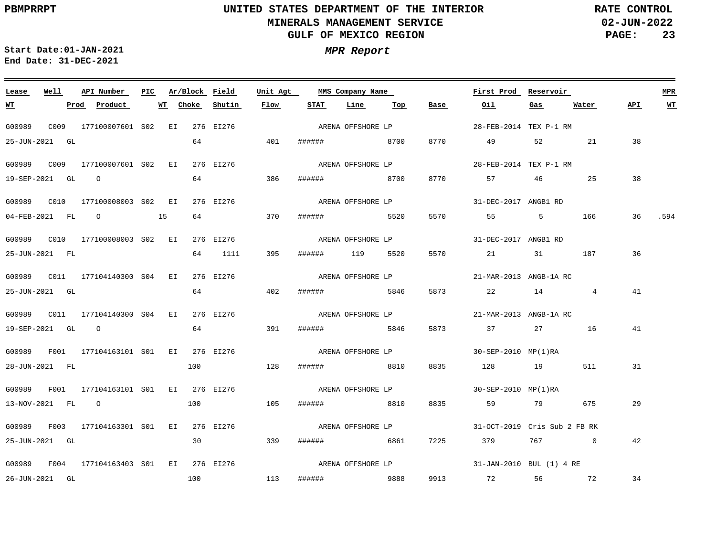**02-JUN-2022 PAGE: 23 RATE CONTROL**

 $\equiv$ 

**Start Date:01-JAN-2021 MPR Report End Date: 31-DEC-2021**

<u> 1989 - Johann Stein, marwolaethau a bhann an t-Amhair an t-Amhair an t-Amhair an t-Amhair an t-Amhair an t-A</u>

| Lease            | Well | API Number                                | PIC | Ar/Block Field |           | Unit Agt |        | MMS Company Name  |      |      | First Prod                   | Reservoir |          |     | <b>MPR</b> |
|------------------|------|-------------------------------------------|-----|----------------|-----------|----------|--------|-------------------|------|------|------------------------------|-----------|----------|-----|------------|
| <u>WT</u>        |      | <u>Prod</u> Product                       |     | WT Choke       | Shutin    | Flow     | STAT   | Line              | Тор  | Base | Oil                          | Gas       | Water    | API | <b>WT</b>  |
| G00989           |      | C009 177100007601 S02 EI                  |     |                | 276 EI276 |          |        | ARENA OFFSHORE LP |      |      | 28-FEB-2014 TEX P-1 RM       |           |          |     |            |
| 25-JUN-2021 GL   |      |                                           |     | 64             |           | 401      | ###### | 8700              |      | 8770 | 49                           | 52        | 21       | 38  |            |
|                  |      |                                           |     |                | 276 EI276 |          |        | ARENA OFFSHORE LP |      |      | 28-FEB-2014 TEX P-1 RM       |           |          |     |            |
| 19-SEP-2021 GL   |      | $\overline{O}$                            |     | 64             |           | 386      | ###### |                   | 8700 | 8770 | 57                           | 46        | 25       | 38  |            |
|                  |      |                                           |     |                | 276 EI276 |          |        | ARENA OFFSHORE LP |      |      | 31-DEC-2017 ANGB1 RD         |           |          |     |            |
|                  |      | $04$ -FEB-2021 FL $0$                     | 15  | 64             |           | 370      |        | ####### 5520      |      | 5570 |                              | 5         | 166      | 36  | .594       |
|                  |      |                                           |     |                | 276 EI276 |          |        | ARENA OFFSHORE LP |      |      | 31-DEC-2017 ANGB1 RD         |           |          |     |            |
| 25-JUN-2021 FL   |      |                                           |     | 64             | 1111      | 395      |        | ###### 119 5520   |      | 5570 | 21                           |           | 31 187   | 36  |            |
|                  |      |                                           |     |                | 276 EI276 |          |        | ARENA OFFSHORE LP |      |      | 21-MAR-2013 ANGB-1A RC       |           |          |     |            |
| 25-JUN-2021 GL   |      |                                           |     | 64             |           | 402      |        | ####### 5846      |      | 5873 | 22 14                        |           | 4        | 41  |            |
| G00989           |      | C011 177104140300 S04 EI                  |     |                | 276 EI276 |          |        | ARENA OFFSHORE LP |      |      | 21-MAR-2013 ANGB-1A RC       |           |          |     |            |
| 19-SEP-2021 GL 0 |      |                                           |     | 64             |           | 391      | ###### |                   | 5846 | 5873 | 37 27 16                     |           |          | 41  |            |
|                  |      | G00989 F001 177104163101 S01 EI 276 EI276 |     |                |           |          |        | ARENA OFFSHORE LP |      |      | 30-SEP-2010 MP(1)RA          |           |          |     |            |
| 28-JUN-2021 FL   |      |                                           |     | 100            |           | 128      |        | ####### 8810      |      | 8835 | 128 19                       |           | 511      | 31  |            |
|                  |      | G00989 F001 177104163101 S01 EI 276 EI276 |     |                |           |          |        | ARENA OFFSHORE LP |      |      | 30-SEP-2010 MP(1)RA          |           |          |     |            |
| 13-NOV-2021 FL 0 |      |                                           |     | 100            |           | 105      | ###### | 8810              |      | 8835 | 59                           |           | 79 675   | 29  |            |
|                  |      | G00989 F003 177104163301 S01 EI 276 EI276 |     |                |           |          |        | ARENA OFFSHORE LP |      |      | 31-OCT-2019 Cris Sub 2 FB RK |           |          |     |            |
| 25-JUN-2021 GL   |      |                                           |     | 30             |           | 339      |        | ####### 6861      |      | 7225 | 379                          | 767       | $\sim$ 0 | 42  |            |
|                  |      | G00989 F004 177104163403 S01 EI 276 EI276 |     |                |           |          |        | ARENA OFFSHORE LP |      |      | 31-JAN-2010 BUL (1) 4 RE     |           |          |     |            |
| 26-JUN-2021 GL   |      |                                           |     | 100            | 113       |          |        | ###### 9888       |      |      | 9913 72 56 72                |           |          | 34  |            |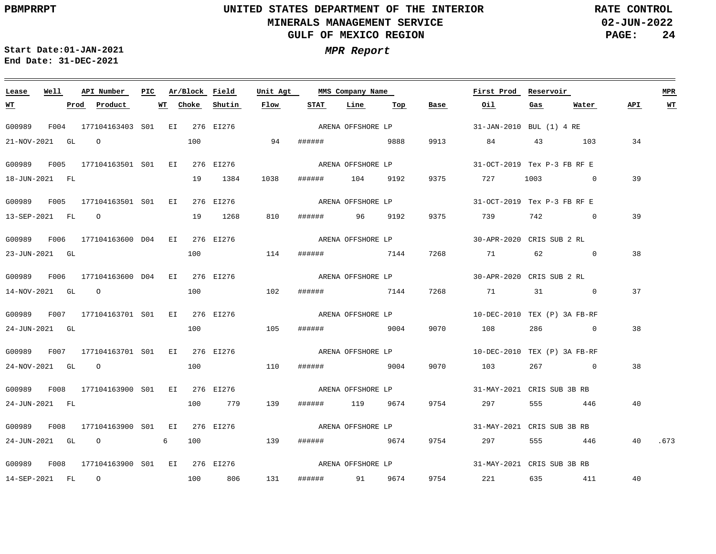**02-JUN-2022 PAGE: 24 RATE CONTROL**

**Start Date:01-JAN-2021 MPR Report End Date: 31-DEC-2021**

### **Lease Well API Number Ar/Block Field Unit Agt PIC MMS Company Name First Prod Reservoir MPR STAT Line Top API WT Prod Product WT Choke Shutin Flow Base Oil Gas Water WT** ARENA OFFSHORE LP G00989 F004 177104163403 S01 EI 276 EI276 31-JAN-2010 BUL (1) 4 RE 100 21-NOV-2021 GL O 94 ###### 9888 9913 84 43 103 34 ARENA OFFSHORE LP G00989 F005 177104163501 S01 EI 276 EI276 31-OCT-2019 Tex P-3 FB RF E 39 18-JUN-2021 FL 19 1384 1038 ###### 104 9192 9375 727 1003 0 ARENA OFFSHORE LP G00989 F005 177104163501 S01 EI 276 EI276 31-OCT-2019 Tex P-3 FB RF E 39 13-SEP-2021 FL O 19 1268 810 ###### 96 9192 9375 739 742 0 G00989 F006 177104163600 D04 EI 276 EI276 30-APR-2020 CRIS SUB 2 RL ARENA OFFSHORE LP 38 23-JUN-2021 GL 100 114 ###### 7144 7268 71 62 0 ARENA OFFSHORE LP G00989 F006 177104163600 D04 EI 276 EI276 30-APR-2020 CRIS SUB 2 RL 100 37 14-NOV-2021 GL O 102 ###### 7144 7268 71 31 0 G00989 F007 177104163701 S01 EI 276 EI276 10-DEC-2010 TEX (P) 3A FB-RF ARENA OFFSHORE LP 38 24-JUN-2021 GL 100 105 ###### 9004 9070 108 286 0 G00989 F007 177104163701 S01 EI 276 EI276 10-DEC-2010 TEX (P) 3A FB-RF ARENA OFFSHORE LP 24-NOV-2021 GL O 100 110 ###### 9004 9070 103 267 0 38 ARENA OFFSHORE LP G00989 F008 177104163900 S01 EI 276 EI276 31-MAY-2021 CRIS SUB 3B RB 24-JUN-2021 FL 100 779 139 ###### 119 9674 9754 297 555 446 40 ARENA OFFSHORE LP G00989 F008 177104163900 S01 EI 276 EI276 31-MAY-2021 CRIS SUB 3B RB 24-JUN-2021 GL O 6 100 139 ###### 9674 9754 297 555 446 40 .673 ARENA OFFSHORE LP G00989 F008 177104163900 S01 EI 276 EI276 31-MAY-2021 CRIS SUB 3B RB 131 40 14-SEP-2021 FL O 100 806 ###### 91 9674 9754 221 635 411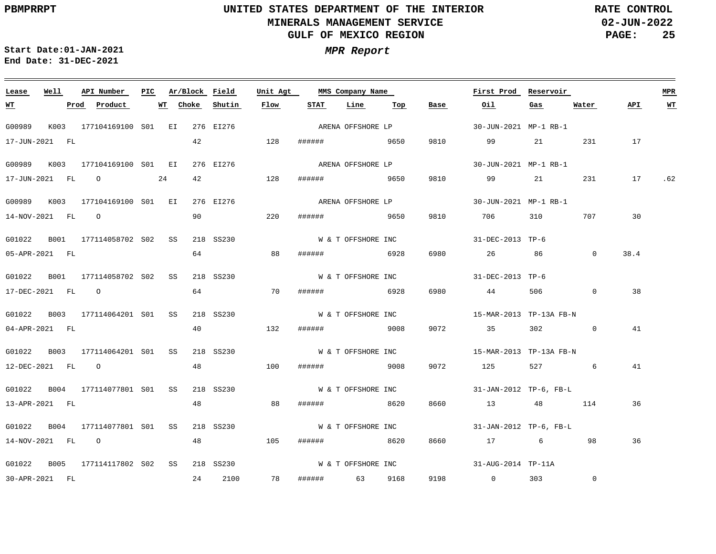**02-JUN-2022 PAGE: 25 RATE CONTROL**

 $\equiv$ 

**Start Date:01-JAN-2021 MPR Report End Date: 31-DEC-2021**

| MPR | <i><b>Repor</b></i> |  |
|-----|---------------------|--|
|-----|---------------------|--|

<u> 1989 - Andrea Andrew Maria (h. 1989).</u>

| Lease            | Well | API Number                         | PIC. |             |    | Ar/Block Field | Unit Agt |        | MMS Company Name   |     |      | First Prod              | Reservoir      |                |      | <b>MPR</b> |
|------------------|------|------------------------------------|------|-------------|----|----------------|----------|--------|--------------------|-----|------|-------------------------|----------------|----------------|------|------------|
| <u>WT</u>        |      | Product<br>Prod                    |      | Choke<br>WT |    | Shutin         | Flow     | STAT   | Line               | Тор | Base | Oil                     | Gas            | Water          | API  | <b>WT</b>  |
| G00989           |      | K003 177104169100 S01 EI 276 EI276 |      |             |    |                |          |        | ARENA OFFSHORE LP  |     |      | 30-JUN-2021 MP-1 RB-1   |                |                |      |            |
| 17-JUN-2021 FL   |      |                                    |      |             | 42 |                | 128      |        | ###### 9650        |     | 9810 | 99                      |                | 231            | 17   |            |
| G00989 K003      |      | 177104169100 S01 EI                |      |             |    | 276 EI276      |          |        | ARENA OFFSHORE LP  |     |      | 30-JUN-2021 MP-1 RB-1   |                |                |      |            |
| 17-JUN-2021 FL 0 |      | $\sim 24$                          |      |             | 42 |                | 128      | ###### | 9650               |     | 9810 | 99                      |                | 231            | 17   | .62        |
|                  |      | G00989 K003 177104169100 S01 EI    |      |             |    | 276 EI276      |          |        | ARENA OFFSHORE LP  |     |      | 30-JUN-2021 MP-1 RB-1   |                |                |      |            |
| 14-NOV-2021 FL 0 |      |                                    |      |             |    | 90             | 220      |        | ####### 9650       |     | 9810 | 706 700                 | 310            | 707            | 30   |            |
| G01022           | B001 | 177114058702 S02 SS                |      |             |    | 218 SS230      |          |        | W & T OFFSHORE INC |     |      | 31-DEC-2013 TP-6        |                |                |      |            |
| 05-APR-2021 FL   |      |                                    |      |             | 64 |                | 88       | ###### | 6928               |     | 6980 | 26                      | 86             | $\mathbf{0}$   | 38.4 |            |
| G01022           |      | B001 177114058702 S02 SS           |      |             |    | 218 SS230      |          |        | W & T OFFSHORE INC |     |      | 31-DEC-2013 TP-6        |                |                |      |            |
| 17-DEC-2021 FL 0 |      |                                    |      |             | 64 |                | 70       |        | ###### 6928        |     | 6980 | 44                      | 506            | $\overline{0}$ | 38   |            |
|                  |      | G01022 B003 177114064201 S01 SS    |      |             |    | 218 SS230      |          |        | W & T OFFSHORE INC |     |      | 15-MAR-2013 TP-13A FB-N |                |                |      |            |
| 04-APR-2021 FL   |      |                                    |      |             | 40 |                | 132      |        | ####### 9008       |     | 9072 | 35                      | 302            | $\overline{0}$ | 41   |            |
|                  |      | G01022 B003 177114064201 S01 SS    |      |             |    | 218 SS230      |          |        | W & T OFFSHORE INC |     |      | 15-MAR-2013 TP-13A FB-N |                |                |      |            |
| 12-DEC-2021 FL 0 |      |                                    |      |             | 48 |                | 100      |        | ####### 9008       |     | 9072 | 125                     | 527 and $\sim$ | 6              | 41   |            |
|                  |      | G01022 B004 177114077801 S01 SS    |      |             |    | 218 SS230      |          |        | W & T OFFSHORE INC |     |      | 31-JAN-2012 TP-6, FB-L  |                |                |      |            |
| 13-APR-2021 FL   |      |                                    |      |             | 48 |                | 88       | ###### | 8620               |     | 8660 | 13 48                   |                | 114            | 36   |            |
|                  |      | G01022 B004 177114077801 S01 SS    |      |             |    | 218 SS230      |          |        | W & T OFFSHORE INC |     |      | 31-JAN-2012 TP-6, FB-L  |                |                |      |            |
| 14-NOV-2021 FL 0 |      |                                    |      |             | 48 |                | 105      |        | ####### 8620       |     | 8660 | 17 6                    |                | 98             | 36   |            |
|                  |      | G01022 B005 177114117802 S02 SS    |      |             |    | 218 SS230      |          |        | W & T OFFSHORE INC |     |      | 31-AUG-2014 TP-11A      |                |                |      |            |
| 30-APR-2021 FL   |      |                                    |      |             |    | 24 2100        | 78       |        | ###### 63 9168     |     |      | 9198 0 303              |                | $\mathbb O$    |      |            |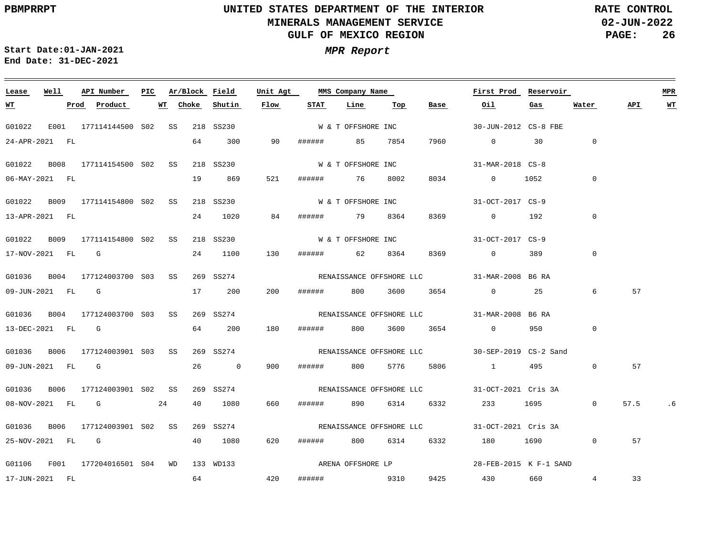**02-JUN-2022 PAGE: 26 RATE CONTROL**

**Start Date:01-JAN-2021 MPR Report End Date: 31-DEC-2021**

### <u> 1989 - Johann Stoff, deutscher Stoff, der Stoff, der Stoff, der Stoff, der Stoff, der Stoff, der Stoff, der S</u> **Lease Well API Number Ar/Block Field Unit Agt PIC MMS Company Name First Prod Reservoir MPR Shutin Flow STAT Line Base Oil Water API WT Prod Product WT Choke Top Gas WT** W & T OFFSHORE INC G01022 E001 177114144500 S02 SS 218 SS230 30-JUN-2012 CS-8 FBE 24-APR-2021 FL 64 300 90 ###### 85 7854 7960 0 30 0 W & T OFFSHORE INC G01022 B008 177114154500 S02 SS 218 SS230 31-MAR-2018 CS-8 19 869 521  $\Omega$ 06-MAY-2021 FL ###### 76 8002 8034 0 1052 W & T OFFSHORE INC G01022 B009 177114154800 S02 SS 218 SS230 31-OCT-2017 CS-9 0 13-APR-2021 FL 24 1020 84 ###### 79 8364 8369 0 192 G01022 B009 177114154800 S02 SS 218 SS230 31-OCT-2017 CS-9 W & T OFFSHORE INC 130 0 17-NOV-2021 FL G 24 1100 ###### 62 8364 8369 0 389 G01036 B004 177124003700 S03 SS 269 SS274 31-MAR-2008 B6 RA RENAISSANCE OFFSHORE LLC 6 57 09-JUN-2021 FL G 17 200 200 ###### 800 3600 3654 0 25 G01036 B004 177124003700 S03 SS 269 SS274 31-MAR-2008 B6 RA RENAISSANCE OFFSHORE LLC 64 200 180  $\cap$ 13-DEC-2021 FL G ###### 800 3600 3654 0 950 G01036 B006 177124003901 S03 SS 269 SS274 30-SEP-2019 CS-2 Sand RENAISSANCE OFFSHORE LLC 0 57 09-JUN-2021 FL G 26 0 900 ###### 800 5776 5806 1 495 G01036 B006 177124003901 S02 SS 269 SS274 31-OCT-2021 Cris 3A RENAISSANCE OFFSHORE LLC 08-NOV-2021 FL G 24 40 1080 660 ###### 890 6314 6332 233 1695  $\overline{0}$ 57.5 .6 G01036 B006 177124003901 S02 SS 269 SS274 31-OCT-2021 Cris 3A RENAISSANCE OFFSHORE LLC 25-NOV-2021 FL G 40 1080 620 ###### 800 6314 6332 180 1690 0 57 ARENA OFFSHORE LP G01106 F001 177204016501 S04 WD 133 WD133 28-FEB-2015 K F-1 SAND 64 420 4 33 17-JUN-2021 FL ###### 9310 9425 430 660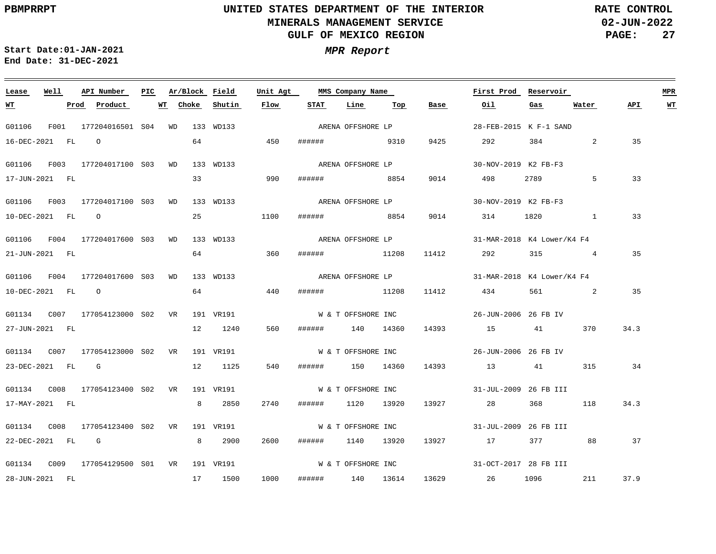**02-JUN-2022 PAGE: 27 RATE CONTROL**

**Start Date:01-JAN-2021 MPR Report End Date: 31-DEC-2021**

### **Lease Well API Number Ar/Block Field Unit Agt PIC MMS Company Name First Prod Reservoir MPR Choke STAT Line Top API WT WT Prod Product WT Shutin Flow Base Oil Gas Water** ARENA OFFSHORE LP G01106 F001 177204016501 S04 WD 133 WD133 28-FEB-2015 K F-1 SAND 16-DEC-2021 FL O 64 450 ###### 9310 9425 292 384 2 35 ARENA OFFSHORE LP G01106 F003 177204017100 S03 WD 133 WD133 30-NOV-2019 K2 FB-F3 33 990 33 17-JUN-2021 FL ###### 8854 9014 498 2789 5 ARENA OFFSHORE LP G01106 F003 177204017100 S03 WD 133 WD133 30-NOV-2019 K2 FB-F3 25 10-DEC-2021 FL O 1100 ###### 8854 9014 314 1820 1 33 ARENA OFFSHORE LP G01106 F004 177204017600 S03 WD 133 WD133 31-MAR-2018 K4 Lower/K4 F4 64 360 35 21-JUN-2021 FL ###### 11208 11412 292 315 4 ARENA OFFSHORE LP G01106 F004 177204017600 S03 WD 133 WD133 31-MAR-2018 K4 Lower/K4 F4 64 10-DEC-2021 FL O 440 ###### 11208 11412 434 561 2 35 G01134 C007 177054123000 VR 191 VR191 S02 W & T OFFSHORE INC 26-JUN-2006 26 FB IV 560 34.3 27-JUN-2021 FL 12 1240 ###### 140 14360 14393 15 41 370 G01134 C007 177054123000 VR 191 VR191 S02 W & T OFFSHORE INC 26-JUN-2006 26 FB IV 23-DEC-2021 FL G 12 1125 540 ###### 150 14360 14393 13 41 315 34 G01134 C008 177054123400 VR 191 VR191 S02 W & T OFFSHORE INC 31-JUL-2009 26 FB III 17-MAY-2021 FL 8 2850 2740 ###### 1120 13920 13927 28 368 118 34.3 W & T OFFSHORE INC G01134 C008 177054123400 VR 191 VR191 S02 31-JUL-2009 26 FB III 22-DEC-2021 FL G 8 2900 2600 ###### 1140 13920 13927 17 377 88 37 W & T OFFSHORE INC G01134 C009 177054129500 VR 191 VR191 S0131-OCT-2017 28 FB III 1000 37.9 28-JUN-2021 FL 17 1500 ###### 140 13614 13629 26 1096 211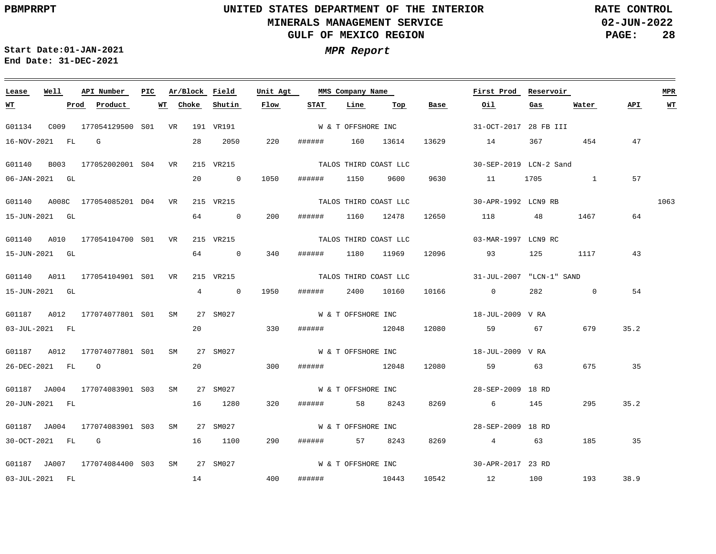**02-JUN-2022 PAGE: 28 RATE CONTROL**

**Start Date:01-JAN-2021 MPR Report End Date: 31-DEC-2021**

### G01134 C009 177054129500 VR 191 VR191 S01 G01140 B003 177052002001 S04 VR 215 VR215 G01140 A008C 177054085201 VR 215 VR215 D04 G01140 A010 177054104700 S01 VR 215 VR215 G01140 A011 177054104901 S01 VR 215 VR215 G01187 A012 177074077801 S01 SM G01187 A012 177074077801 S01 SM 27 SM027 G01187 JA004 177074083901 S03 SM 27 SM027 G01187 JA004 177074083901 S03 SM 27 SM027 G01187 JA007 177074084400 S03 SM 27 SM027 **Lease Well API Number Ar/Block** 27 SM027 **Field Unit Agt PIC MMS Company Name** 31-OCT-2017 28 FB III 30-SEP-2019 LCN-2 Sand 30-APR-1992 LCN9 RB TALOS THIRD COAST LLC 03-MAR-1997 LCN9 RC 31-JUL-2007 "LCN-1" SAND 18-JUL-2009 V RA 18-JUL-2009 V RA 28-SEP-2009 18 RD 28-SEP-2009 18 RD 30-APR-2017 23 RD **First Prod Reservoir** 1063 **MPR** 16-NOV-2021 FL G 06-JAN-2021 GL 15-JUN-2021 GL 15-JUN-2021 GL 15-JUN-2021 GL 03-JUL-2021 FL 26-DEC-2021 FL O 20-JUN-2021 FL 30-OCT-2021 FL G 03-JUL-2021 FL **WT Prod Product WT** 28 2050 20 0 1050 64 0 64 0 340 4 0 1950 ###### 2400 10160 20 20 16 1280 16 1100 14 **Choke Shutin Flow** 220 ###### 160 13614 13629 200 330 300 ###### 12048 12080 59 63 675 35 320 290 ###### 57 8243 8269 4 63 400 ###### 1150 9600 ###### 1160 12478 ###### 1180 11969 ###### 12048 ###### 58 8243 ###### 10443 10542 12 100 193 **STAT Line Top Base** 9630 12650 118 48 12096 93 125 1117 10166 0 282 12080 59 67 679 8269 6 145 14 367 454 11 1705 1 **Oil Gas** 1467 64 0 295 185 35 **Water** 47 57 43 54 35.2 35.2 38.9 **API WT** W & T OFFSHORE INC TALOS THIRD COAST LLC TALOS THIRD COAST LLC TALOS THIRD COAST LLC W & T OFFSHORE INC W & T OFFSHORE INC W & T OFFSHORE INC W & T OFFSHORE INC W & T OFFSHORE INC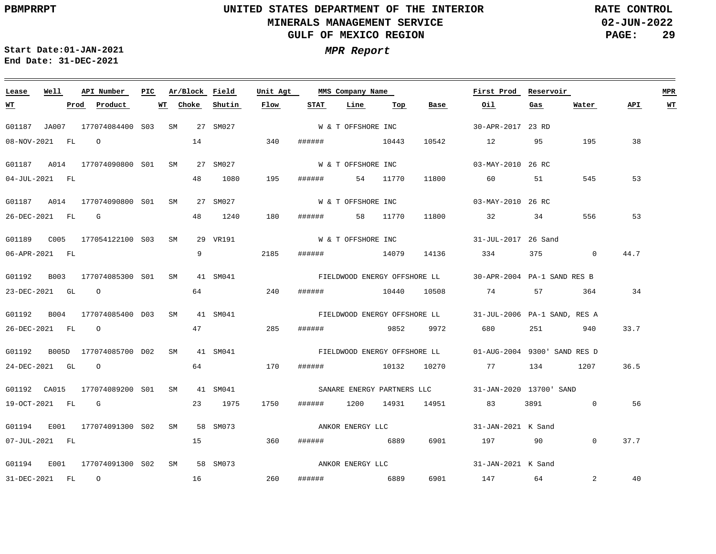**02-JUN-2022 PAGE: 29 RATE CONTROL**

 $\equiv$ 

**Start Date:01-JAN-2021 MPR Report End Date: 31-DEC-2021**

<u> 1989 - Johann Stein, marwolaethau a bhann an t-Amhair an t-Amhair an t-Amhair an t-Amhair an t-Amhair an t-A</u>

| Lease     | Well             | API Number                                                        | PIC | Ar/Block Field  |          | Unit Agt |                                            | MMS Company Name   |          |                            | First Prod Reservoir                                      |      |                |      | <b>MPR</b> |
|-----------|------------------|-------------------------------------------------------------------|-----|-----------------|----------|----------|--------------------------------------------|--------------------|----------|----------------------------|-----------------------------------------------------------|------|----------------|------|------------|
| <u>WT</u> |                  | Prod Product                                                      |     | <u>WT Choke</u> | Shutin   | Flow     | <b>STAT</b>                                | Line               | Тор      | Base                       | Oil                                                       | Gas  | Water          | API  | <u>WT</u>  |
|           |                  | G01187 JA007 177074084400 S03 SM 27 SM027                         |     |                 |          |          |                                            | W & T OFFSHORE INC |          |                            | 30-APR-2017 23 RD                                         |      |                |      |            |
|           | 08-NOV-2021 FL O |                                                                   |     | 14              |          | 340      | $\text{+}\text{+}\text{+}\text{+}\text{+}$ |                    |          | 10542                      | 12                                                        | 95   | 195            | 38   |            |
|           |                  | G01187 A014 177074090800 S01 SM                                   |     |                 | 27 SM027 |          |                                            | W & T OFFSHORE INC |          |                            | 03-MAY-2010 26 RC                                         |      |                |      |            |
|           | 04-JUL-2021 FL   |                                                                   |     | 48              | 1080     | 195      | ######                                     |                    | 54 11770 | 11800                      |                                                           | 51   | 545            | 53   |            |
|           |                  | G01187 A014 177074090800 S01 SM 27 SM027                          |     |                 |          |          |                                            | W & T OFFSHORE INC |          |                            | 03-MAY-2010 26 RC                                         |      |                |      |            |
|           | 26-DEC-2021 FL G |                                                                   |     | 48              | 1240     | 180      | ####### 58 11770                           |                    |          | 11800                      | 32 32                                                     | 34   | 556            | 53   |            |
|           |                  |                                                                   |     |                 |          |          |                                            |                    |          |                            |                                                           |      |                |      |            |
|           |                  |                                                                   |     | 9               | 29 VR191 | 2185     |                                            | W & T OFFSHORE INC |          | 14136                      | 31-JUL-2017 26 Sand<br>334 375 0                          |      |                | 44.7 |            |
|           | 06-APR-2021 FL   |                                                                   |     |                 |          |          | ######                                     | 14079              |          |                            |                                                           |      |                |      |            |
|           |                  | G01192 B003 177074085300 S01 SM 41 SM041                          |     |                 |          |          |                                            |                    |          |                            | FIELDWOOD ENERGY OFFSHORE LL 30-APR-2004 PA-1 SAND RES B  |      |                |      |            |
|           |                  | 23-DEC-2021 GL 0                                                  |     | 64              |          | 240      |                                            |                    |          |                            | ####### 10440 10508 74 57 364                             |      |                | 34   |            |
|           |                  | G01192 B004 177074085400 D03 SM 41 SM041                          |     |                 |          |          |                                            |                    |          |                            | FIELDWOOD ENERGY OFFSHORE LL 31-JUL-2006 PA-1 SAND, RES A |      |                |      |            |
|           | 26-DEC-2021 FL 0 |                                                                   |     | 47              |          | 285      | ######                                     |                    | 9852     | 9972                       | 680 251 940                                               |      |                | 33.7 |            |
|           |                  |                                                                   |     |                 |          |          |                                            |                    |          |                            |                                                           |      |                |      |            |
|           |                  | G01192     B005D   177074085700  D02    SM      41  SM041         |     |                 |          |          |                                            |                    |          |                            | FIELDWOOD ENERGY OFFSHORE LL 01-AUG-2004 9300' SAND RES D |      |                |      |            |
|           | 24-DEC-2021 GL 0 |                                                                   |     | 64              |          | 170      |                                            |                    |          |                            | ####### 10132 10270 77                                    | 134  | 1207           | 36.5 |            |
|           |                  |                                                                   |     |                 |          |          |                                            |                    |          |                            | SANARE ENERGY PARTNERS LLC 31-JAN-2020 13700' SAND        |      |                |      |            |
|           | 19-OCT-2021 FL G |                                                                   |     |                 | 23 1975  | 1750     |                                            |                    |          | ###### 1200 14931 14951 83 |                                                           | 3891 | $\overline{0}$ | 56   |            |
|           |                  | G01194      E001      177074091300   S02     SM        58   SM073 |     |                 |          |          |                                            |                    |          | ANKOR ENERGY LLC           | 31-JAN-2021 K Sand                                        |      |                |      |            |
|           | 07-JUL-2021 FL   |                                                                   |     | 15              |          | 360      | ####### 6889                               |                    |          | 6901                       | 197 90                                                    |      | $\Omega$       | 37.7 |            |
|           |                  |                                                                   |     |                 |          |          |                                            |                    |          |                            |                                                           |      |                |      |            |
|           |                  | G01194 E001 177074091300 S02 SM 58 SM073                          |     |                 |          |          |                                            | ANKOR ENERGY LLC   |          |                            | 31-JAN-2021 K Sand                                        |      |                |      |            |
|           | 31-DEC-2021 FL 0 |                                                                   |     | 16              |          | 260      | ###### 6889                                |                    |          |                            | 6901 147 64                                               |      | $2^{\circ}$    | 40   |            |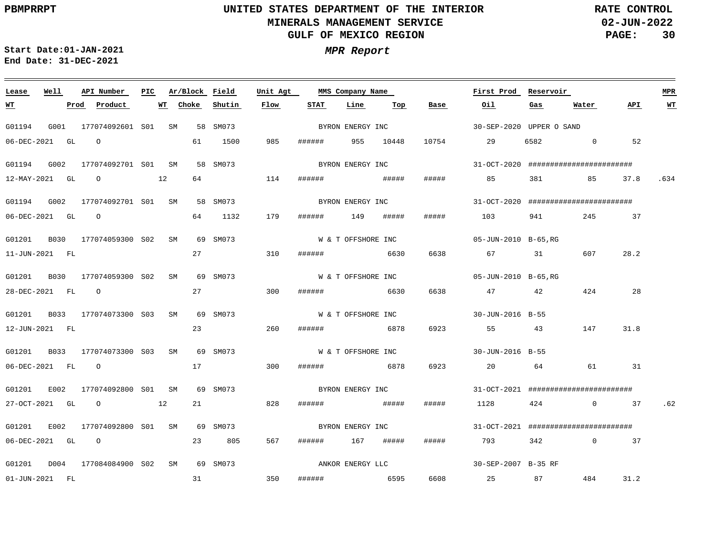**02-JUN-2022 PAGE: 30 RATE CONTROL**

 $\equiv$ 

**Start Date:01-JAN-2021 MPR Report End Date: 31-DEC-2021**

| Lease            | Well |      | API Number                               | PIC |    | Ar/Block Field |          | Unit Agt |        | MMS Company Name   |     |                  | First Prod Reservoir     |           |                                       |                      | <b>MPR</b> |
|------------------|------|------|------------------------------------------|-----|----|----------------|----------|----------|--------|--------------------|-----|------------------|--------------------------|-----------|---------------------------------------|----------------------|------------|
| <b>WT</b>        |      | Prod | Product                                  |     | WT | Choke          | Shutin   | Flow     | STAT   | Line               | Top | Base             | Oil                      | Gas       | Water                                 | API                  | WT         |
| G01194           |      |      | G001 177074092601 S01 SM                 |     |    |                | 58 SM073 |          |        | BYRON ENERGY INC   |     |                  | 30-SEP-2020 UPPER O SAND |           |                                       |                      |            |
| 06-DEC-2021 GL   |      |      | $\Omega$                                 |     |    |                | 61 1500  | 985      |        | ####### 955 10448  |     |                  | 10754 29                 |           | 6582 0                                | 52                   |            |
| G01194           | G002 |      | 177074092701 S01 SM                      |     |    |                | 58 SM073 |          |        |                    |     | BYRON ENERGY INC |                          |           | 31-0CT-2020 ######################### |                      |            |
|                  |      |      | 12-MAY-2021 GL 0 12                      |     |    | 64             |          | 114      | ###### |                    |     | #####            | 85 85                    |           | 381 85 37.8 .634                      |                      |            |
| G01194           |      |      | G002 177074092701 S01 SM                 |     |    |                | 58 SM073 |          |        |                    |     |                  |                          |           |                                       |                      |            |
| 06-DEC-2021 GL 0 |      |      |                                          |     |    |                | 64 1132  | 179      |        | ####### 149 #####  |     | #####            | 103                      | 941 — 100 | 245 37                                |                      |            |
|                  |      |      | G01201 B030 177074059300 S02 SM          |     |    |                | 69 SM073 |          |        | W & T OFFSHORE INC |     |                  | 05-JUN-2010 B-65,RG      |           |                                       |                      |            |
| 11-JUN-2021 FL   |      |      |                                          |     |    | 27             |          | 310      | ###### | 6630               |     | 6638             | 67 31                    |           | 607                                   | 28.2                 |            |
| G01201           |      |      | B030 177074059300 S02 SM                 |     |    |                | 69 SM073 |          |        | W & T OFFSHORE INC |     |                  | 05-JUN-2010 B-65,RG      |           |                                       |                      |            |
| 28-DEC-2021 FL 0 |      |      |                                          |     |    | 27             |          | 300      |        | ####### 6630       |     | 6638             | 47                       | 42        | 424                                   | 28                   |            |
| G01201           |      |      | B033 177074073300 S03 SM                 |     |    |                | 69 SM073 |          |        | W & T OFFSHORE INC |     |                  | $30 - J$ UN $-2016$ B-55 |           |                                       |                      |            |
| 12-JUN-2021 FL   |      |      |                                          |     |    | 23             |          | 260      | ###### | 6878               |     | 6923             | 55                       | 43        | 147                                   | 31.8                 |            |
|                  |      |      | G01201 B033 177074073300 S03 SM 69 SM073 |     |    |                |          |          |        | W & T OFFSHORE INC |     |                  | 30-JUN-2016 B-55         |           |                                       |                      |            |
| 06-DEC-2021 FL 0 |      |      |                                          |     |    | 17             |          | 300      |        | ####### 6878       |     | 6923             | 20                       | 64        | 61 — 10                               | 31                   |            |
| G01201           | E002 |      | 177074092800 S01 SM                      |     |    |                | 69 SM073 |          |        | BYRON ENERGY INC   |     |                  |                          |           | 31-0CT-2021 ######################### |                      |            |
| 27-OCT-2021 GL   |      |      | $\circ$ 12                               |     |    | 21             |          | 828      | ###### | <b>#####</b>       |     | #####            | 1128                     | 424       |                                       | $0 \t 37 \t .62$     |            |
| G01201           |      |      | E002 177074092800 S01 SM                 |     |    |                | 69 SM073 |          |        | BYRON ENERGY INC   |     |                  |                          |           | 31-0CT-2021 ######################### |                      |            |
| 06-DEC-2021 GL 0 |      |      |                                          |     |    | 23             | 805      | 567      |        | ####### 167 #####  |     | #####            | 793                      |           | 342                                   | $0 \qquad \qquad 37$ |            |
|                  |      |      | G01201 D004 177084084900 S02 SM          |     |    |                | 69 SM073 |          |        | ANKOR ENERGY LLC   |     |                  | 30-SEP-2007 B-35 RF      |           |                                       |                      |            |
| 01-JUN-2021 FL   |      |      |                                          |     |    | 31             |          | 350      |        | ###### 6595        |     |                  |                          |           | 6608 25 87 484                        | 31.2                 |            |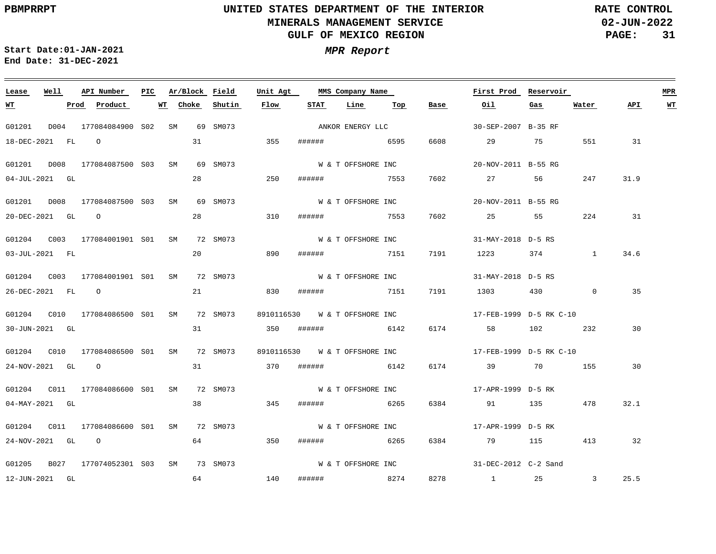**02-JUN-2022 PAGE: 31 RATE CONTROL**

**Start Date:01-JAN-2021 MPR Report End Date: 31-DEC-2021**

### **Lease Well API Number Ar/Block Field Unit Agt PIC MMS Company Name First Prod Reservoir MPR STAT Line Top API WT WT Prod Product WT Choke Shutin Flow Base Oil Gas Water** ANKOR ENERGY LLC G01201 D004 177084084900 S02 SM 69 SM073 30-SEP-2007 B-35 RF 18-DEC-2021 FL O 31 355 ###### 6595 6608 29 75 551 31 W & T OFFSHORE INC G01201 D008 177084087500 S03 SM 69 SM073 20-NOV-2011 B-55 RG 28 250 7602 04-JUL-2021 GL ###### 7553 27 56 247 31.9 W & T OFFSHORE INC G01201 D008 177084087500 S03 SM 69 SM073 20-NOV-2011 B-55 RG 28 20-DEC-2021 GL O 310 ###### 7553 7602 25 55 224 31 G01204 C003 177084001901 SM 72 SM073 S01 31-MAY-2018 D-5 RS W & T OFFSHORE INC 20 890 34.6 03-JUL-2021 FL ###### 7151 7191 1223 374 1 W & T OFFSHORE INC G01204 C003 177084001901 SM 72 SM073 S01 31-MAY-2018 D-5 RS 21 26-DEC-2021 FL O 830 ###### 7151 7191 1303 430 0 35 G01204 C010 177084086500 SM 72 SM073 S01 8910116530 17-FEB-1999 D-5 RK C-10 W & T OFFSHORE INC 31 30 30-JUN-2021 GL 350 ###### 6142 6174 58 102 232 G01204 C010 177084086500 SM 72 SM073 S01 8910116530 W & T OFFSHORE INC 17-FEB-1999 D-5 RK C-10 31 24-NOV-2021 GL O 370 ###### 6142 6174 39 70 155 30 W & T OFFSHORE INC G01204 C011 177084086600 SM 72 SM073 S01 17-APR-1999 D-5 RK 38 04-MAY-2021 GL 345 ###### 6265 6384 91 135 478 32.1 W & T OFFSHORE INC G01204 C011 177084086600 SM 72 SM073 S01 17-APR-1999 D-5 RK 64 24-NOV-2021 GL O 350 ###### 6265 6384 79 115 413 32 W & T OFFSHORE INC G01205 B027 177074052301 S03 SM 73 SM073 31-DEC-2012 C-2 Sand 25.5 12-JUN-2021 GL 64 140 ###### 8274 8278 1 25 3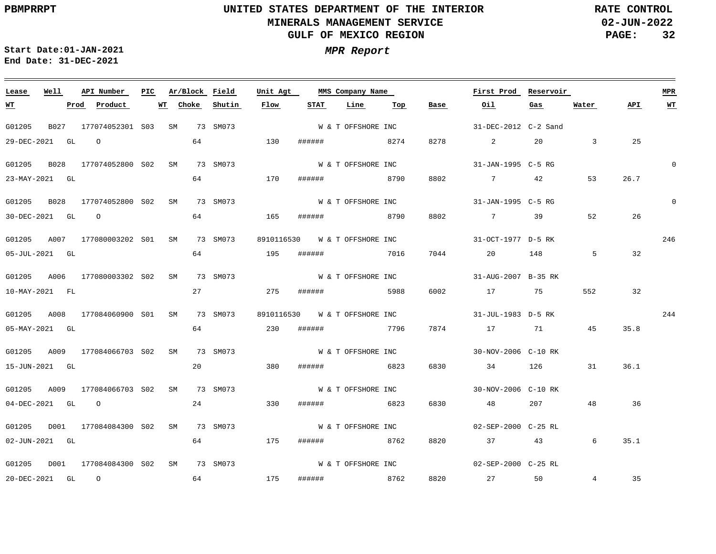**02-JUN-2022 PAGE: 32 RATE CONTROL**

**Start Date:01-JAN-2021 MPR Report End Date: 31-DEC-2021**

| Lease            | Well | API Number                   | PIC |    | Ar/Block Field |             | Unit Agt |                               | MMS Company Name   |      |      | First Prod Reservoir |               |                   |      | <b>MPR</b> |
|------------------|------|------------------------------|-----|----|----------------|-------------|----------|-------------------------------|--------------------|------|------|----------------------|---------------|-------------------|------|------------|
| WT               |      | Prod<br>Product              |     | WT | Choke          | Shutin      | Flow     | <b>STAT</b>                   | Line               | Top  | Base | Oil                  | Gas           | Water             | API  | WT         |
| G01205           | B027 | 177074052301 S03 SM          |     |    |                | 73 SM073    |          |                               | W & T OFFSHORE INC |      |      | 31-DEC-2012 C-2 Sand |               |                   |      |            |
| 29-DEC-2021 GL   |      | $\Omega$                     |     |    | 64             |             | 130      | ######                        |                    | 8274 | 8278 | $\sim$ 2             | 20            | $\overline{3}$    | 25   |            |
| G01205           | B028 | 177074052800 S02 SM          |     |    |                | 73 SM073    |          |                               | W & T OFFSHORE INC |      |      | 31-JAN-1995 C-5 RG   |               |                   |      |            |
| 23-MAY-2021 GL   |      |                              |     |    |                | 64 64 64 65 | 170      |                               | ####### 8790       |      | 8802 | $7\overline{ }$      | 42            | 53                | 26.7 |            |
| G01205           | B028 | 177074052800 S02 SM          |     |    |                | 73 SM073    |          |                               | W & T OFFSHORE INC |      |      | 31-JAN-1995 C-5 RG   |               |                   |      | $\Omega$   |
| 30-DEC-2021 GL   |      | $\circ$                      |     |    | 64             |             | 165      | ######                        |                    | 8790 | 8802 | $\overline{7}$       | 39            | 52                | 26   |            |
| G01205           |      | A007 177080003202 S01        |     | SM |                | 73 SM073    |          | 8910116530 W & T OFFSHORE INC |                    |      |      | 31-OCT-1977 D-5 RK   |               |                   |      | 246        |
| 05-JUL-2021 GL   |      |                              |     |    | 64             |             | 195      | ######                        | 7016               |      | 7044 | 20                   | 148           | 5                 | 32   |            |
|                  |      | G01205 A006 177080003302 S02 |     | SM |                | 73 SM073    |          |                               | W & T OFFSHORE INC |      |      | 31-AUG-2007 B-35 RK  |               |                   |      |            |
| 10-MAY-2021 FL   |      |                              |     |    | 27             |             | 275      | ######                        |                    | 5988 | 6002 | 17                   | 75 —          | 552               | 32   |            |
|                  |      | G01205 A008 177084060900 S01 |     | SM |                | 73 SM073    |          | 8910116530 W & T OFFSHORE INC |                    |      |      | 31-JUL-1983 D-5 RK   |               |                   |      | 244        |
| 05-MAY-2021 GL   |      |                              |     |    |                | 64 230      |          | ######                        | 7796               |      | 7874 | 17 71                |               | 45                | 35.8 |            |
|                  |      | G01205 A009 177084066703 S02 |     | SM |                | 73 SM073    |          | W & T OFFSHORE INC            |                    |      |      | 30-NOV-2006 C-10 RK  |               |                   |      |            |
| 15-JUN-2021 GL   |      |                              |     |    | 20             |             | 380      | ######                        | 6823               |      | 6830 | 34                   | 126 — 126     | 31                | 36.1 |            |
| G01205           |      | A009 177084066703 S02        |     | SM |                | 73 SM073    |          |                               | W & T OFFSHORE INC |      |      | 30-NOV-2006 C-10 RK  |               |                   |      |            |
| 04-DEC-2021 GL 0 |      |                              |     |    |                | 24          | 330      | ######                        | 6823               |      | 6830 | 48                   | 207 — 207     | 48                | 36   |            |
| G01205           |      | D001 177084084300 S02 SM     |     |    |                | 73 SM073    |          | W & T OFFSHORE INC            |                    |      |      | 02-SEP-2000 C-25 RL  |               |                   |      |            |
| 02-JUN-2021 GL   |      |                              |     |    | 64             |             | 175      | ######                        | 8762               |      | 8820 | 37 — 2014            | 43 and $\sim$ | 6                 | 35.1 |            |
| G01205           | D001 | 177084084300 S02 SM          |     |    |                | 73 SM073    |          |                               | W & T OFFSHORE INC |      |      | 02-SEP-2000 C-25 RL  |               |                   |      |            |
| 20-DEC-2021 GL 0 |      |                              |     |    | 64             |             | 175      |                               | ###### 8762        |      |      | 8820 27              | 50            | $4\phantom{0000}$ | 35   |            |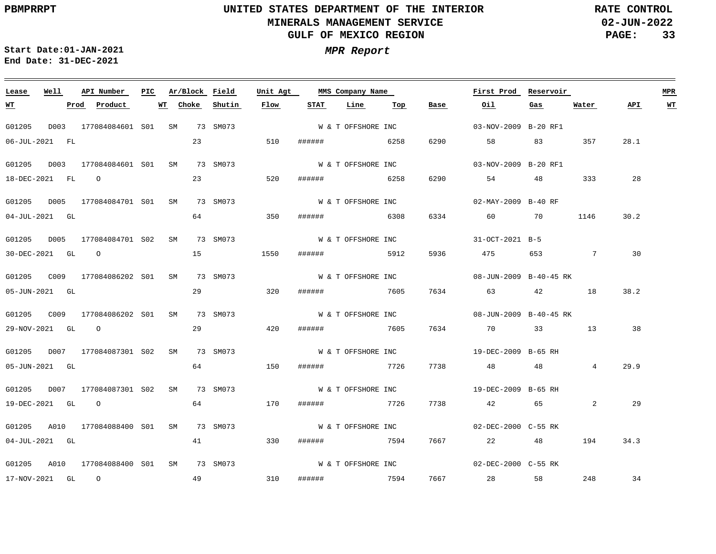**02-JUN-2022 PAGE: 33 RATE CONTROL**

**Start Date:01-JAN-2021 MPR Report End Date: 31-DEC-2021**

17-NOV-2021 GL O

### G01205 D003 177084084601 S01 SM 73 SM073 G01205 D003 177084084601 S01 SM 73 SM073 G01205 D005 177084084701 SM 73 SM073 S01 G01205 D005 177084084701 S02 SM 73 SM073 G01205 C009 177084086202 SM 73 SM073 S01 G01205 C009 177084086202 SM 73 SM073 S01 G01205 D007 177084087301 S02 SM 73 SM073 G01205 D007 177084087301 S02 SM 73 SM073 G01205 A010 177084088400 S01 SM 73 SM073 G01205 A010 177084088400 S01 SM 73 SM073 **Lease Well API Number Ar/Block Field Unit Agt PIC MMS Company Name** 03-NOV-2009 B-20 RF1 03-NOV-2009 B-20 RF1 02-MAY-2009 B-40 RF 31-OCT-2021 B-5 08-JUN-2009 B-40-45 RK 08-JUN-2009 B-40-45 RK 19-DEC-2009 B-65 RH 19-DEC-2009 B-65 RH 02-DEC-2000 C-55 RK 02-DEC-2000 C-55 RK **First Prod Reservoir MPR** 06-JUL-2021 FL 18-DEC-2021 FL O 04-JUL-2021 GL 30-DEC-2021 GL O 05-JUN-2021 GL 29-NOV-2021 GL O 05-JUN-2021 GL 19-DEC-2021 GL O 04-JUL-2021 GL **WT Prod Product WT** 23 23 64 15 29 29 64 64 41 **Choke Shutin** 510 ###### 6258 520 350 ###### 6308 1550 320 ###### 7605 420 150 ###### 7726 7738 48 48 4 170 330 ###### 7594 7667 **Flow** ###### 6258 ###### 5912 ###### 7605 ###### 7726 **STAT Line Top** 6290 6290 6334 60 70 1146 5936 475 653 7 30 7634 63 42 18 7634 70 33 13 7738 **Base** 58 83 357 28.1 54 48 333 42 65 22 48 194 34.3 **Oil Gas** 2 **Water** 28 30.2 38.2 38 29.9 29 **API WT** W & T OFFSHORE INC W & T OFFSHORE INC W & T OFFSHORE INC W & T OFFSHORE INC W & T OFFSHORE INC W & T OFFSHORE INC W & T OFFSHORE INC W & T OFFSHORE INC W & T OFFSHORE INC W & T OFFSHORE INC

###### 7594 7667

28 58

248

34

49

310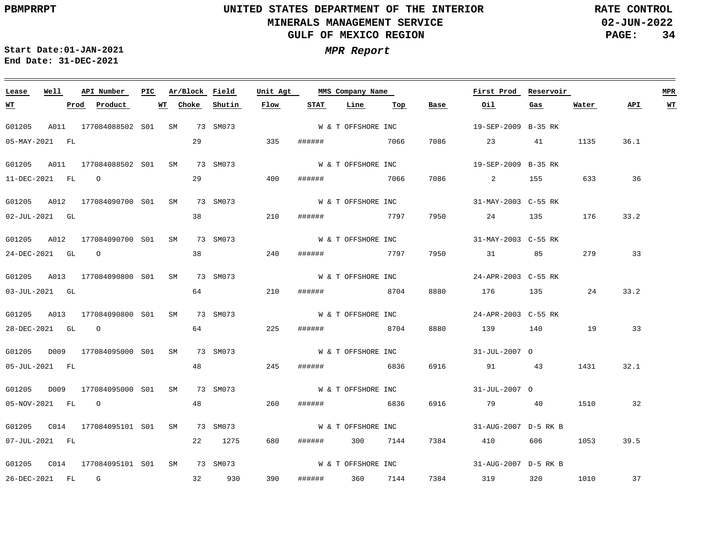**02-JUN-2022 PAGE: 34 RATE CONTROL**

 $\equiv$ 

**Start Date:01-JAN-2021 MPR Report End Date: 31-DEC-2021**

<u> 1989 - Johann Stein, marwolaethau a bhann an t-Amhair an t-Amhair an t-Amhair an t-Amhair an t-Amhair an t-A</u>

| Lease                | Well | API Number                      | PIC. |    | Ar/Block Field |             | Unit Agt |                  | MMS Company Name   |     |      | First Prod           | Reservoir |       |      | MPR       |
|----------------------|------|---------------------------------|------|----|----------------|-------------|----------|------------------|--------------------|-----|------|----------------------|-----------|-------|------|-----------|
| <u> WТ</u>           |      | Prod Product                    |      | WT | Choke          | Shutin      | Flow     | STAT             | Line               | Тор | Base | Oil                  | Gas       | Water | API  | <b>WT</b> |
| G01205               |      | A011 177084088502 S01 SM        |      |    |                | 73 SM073    |          |                  | W & T OFFSHORE INC |     |      | 19-SEP-2009 B-35 RK  |           |       |      |           |
| 05-MAY-2021 FL       |      |                                 |      |    | 29             |             | 335      | ######           | 7066               |     | 7086 | 23                   | 41        | 1135  | 36.1 |           |
|                      |      | G01205 A011 177084088502 S01 SM |      |    |                | 73 SM073    |          |                  | W & T OFFSHORE INC |     |      | 19-SEP-2009 B-35 RK  |           |       |      |           |
| 11-DEC-2021 FL       |      | $\overline{O}$                  |      |    | 29             |             | 400      | ######           | 7066               |     | 7086 | $\mathbf{2}$         | 155       | 633   | 36   |           |
|                      |      | G01205 A012 177084090700 S01 SM |      |    |                | 73 SM073    |          |                  | W & T OFFSHORE INC |     |      | 31-MAY-2003 C-55 RK  |           |       |      |           |
| $02 - JUL - 2021$ GL |      |                                 |      |    | 38             |             | 210      | ###### 7797      |                    |     | 7950 | 24 135               |           | 176   | 33.2 |           |
|                      |      | G01205 A012 177084090700 S01 SM |      |    |                | 73 SM073    |          |                  | W & T OFFSHORE INC |     |      | 31-MAY-2003 C-55 RK  |           |       |      |           |
| 24-DEC-2021 GL 0     |      |                                 |      |    |                | 38          | 240      | ######           | 7797               |     | 7950 | 31 31                | 85 - 10   | 279   | 33   |           |
|                      |      | G01205 A013 177084090800 S01 SM |      |    |                | 73 SM073    |          |                  | W & T OFFSHORE INC |     |      | 24-APR-2003 C-55 RK  |           |       |      |           |
| 03-JUL-2021 GL       |      |                                 |      |    | 64             |             | 210      | ####### 8704     |                    |     | 8880 | 176 135              |           | 24    | 33.2 |           |
|                      |      | G01205 A013 177084090800 S01 SM |      |    |                | 73 SM073    |          |                  | W & T OFFSHORE INC |     |      | 24-APR-2003 C-55 RK  |           |       |      |           |
| 28-DEC-2021 GL 0     |      |                                 |      |    |                | 64 64 64 65 | 225      | ######           | 8704               |     | 8880 | 139 140              |           | 19    | 33   |           |
|                      |      | G01205 D009 177084095000 S01 SM |      |    |                | 73 SM073    |          |                  | W & T OFFSHORE INC |     |      | 31-JUL-2007 O        |           |       |      |           |
| 05-JUL-2021 FL       |      |                                 |      |    | 48             |             | 245      | ####### 6836     |                    |     | 6916 | 91 43                |           | 1431  | 32.1 |           |
|                      |      | G01205 D009 177084095000 S01 SM |      |    |                | 73 SM073    |          |                  | W & T OFFSHORE INC |     |      | 31-JUL-2007 O        |           |       |      |           |
| 05-NOV-2021 FL 0     |      |                                 |      |    | 48             |             | 260      | ######           | 6836               |     | 6916 | 79 40                |           | 1510  | 32   |           |
|                      |      |                                 |      |    |                | 73 SM073    |          |                  | W & T OFFSHORE INC |     |      | 31-AUG-2007 D-5 RK B |           |       |      |           |
| 07-JUL-2021 FL       |      |                                 |      |    |                | 22 1275     | 680      | ####### 300 7144 |                    |     | 7384 | 410                  | 606 — 10  | 1053  | 39.5 |           |
|                      |      | G01205 C014 177084095101 S01 SM |      |    |                | 73 SM073    |          |                  | W & T OFFSHORE INC |     |      | 31-AUG-2007 D-5 RK B |           |       |      |           |
| 26-DEC-2021 FL G     |      |                                 |      |    |                | 32 930      | 390      | ####### 360 7144 |                    |     |      | 7384 319 320         |           | 1010  | 37   |           |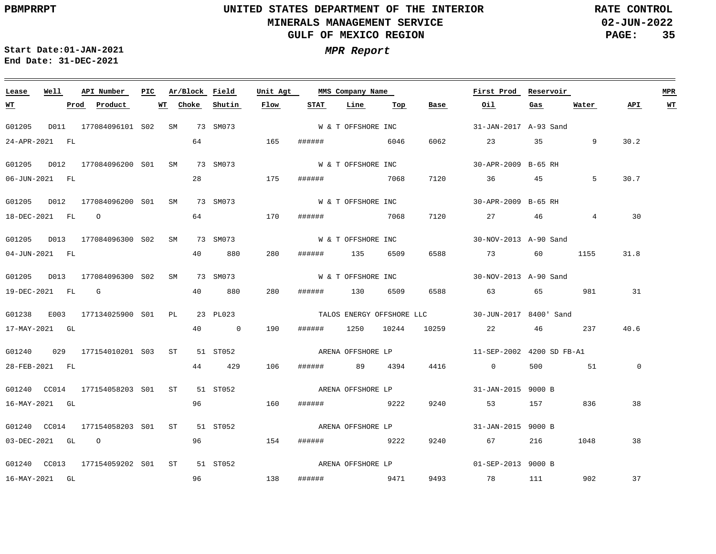**02-JUN-2022 PAGE: 35 RATE CONTROL**

 $\equiv$ 

**Start Date:01-JAN-2021 MPR Report End Date: 31-DEC-2021**

<u> 1989 - Johann Stein, marwolaethau a bhann an t-Amhair an t-Amhair an t-Amhair an t-Amhair an t-Amhair an t-A</u>

| Lease            | Well | API Number                                | PIC Ar/Block Field |          | Unit Agt |                    | MMS Company Name   |      |                         | First Prod Reservoir                             |     |             |                | <b>MPR</b> |
|------------------|------|-------------------------------------------|--------------------|----------|----------|--------------------|--------------------|------|-------------------------|--------------------------------------------------|-----|-------------|----------------|------------|
| <u>WT</u>        |      | Prod Product                              | WT Choke           | Shutin   | Flow     | <b>STAT</b>        | Line               | Тор  | Base                    | Oil                                              | Gas | Water       | API            | <b>WT</b>  |
| G01205           |      | D011  177084096101  S02  SM  73  SM073    |                    |          |          | W & T OFFSHORE INC |                    |      |                         | 31-JAN-2017 A-93 Sand                            |     |             |                |            |
| 24-APR-2021 FL   |      |                                           | 64                 |          | 165      | ###### 6046        |                    |      | 6062                    | 23 35 9                                          |     |             | 30.2           |            |
|                  |      | G01205 D012 177084096200 S01 SM 73 SM073  |                    |          |          |                    | W & T OFFSHORE INC |      |                         | 30-APR-2009 B-65 RH                              |     |             |                |            |
| 06-JUN-2021 FL   |      |                                           | 28                 |          | 175      | ######             |                    | 7068 | 7120                    | 36 45                                            |     | .5          | 30.7           |            |
|                  |      | G01205 D012 177084096200 S01 SM 73 SM073  |                    |          |          | W & T OFFSHORE INC |                    |      |                         | 30-APR-2009 B-65 RH                              |     |             |                |            |
|                  |      | 18-DEC-2021 FL 0                          | 64                 |          | 170      | ####### 7068       |                    |      | 7120                    | 27 46                                            |     | $4^{\circ}$ | 30             |            |
|                  |      | G01205 D013 177084096300 S02 SM 73 SM073  |                    |          |          |                    | W & T OFFSHORE INC |      |                         | 30-NOV-2013 A-90 Sand                            |     |             |                |            |
| 04-JUN-2021 FL   |      |                                           | 40                 | 880      | 280      | ###### 135 6509    |                    |      | 6588                    | 73 60 1155                                       |     |             | 31.8           |            |
|                  |      | G01205 D013 177084096300 S02 SM 73 SM073  |                    |          |          |                    |                    |      | W & T OFFSHORE INC      | 30-NOV-2013 A-90 Sand                            |     |             |                |            |
|                  |      | 19-DEC-2021 FL G                          |                    | 40 880   | 280      | ###### 130 6509    |                    |      | 6588                    | 63 65 981                                        |     |             | 31             |            |
|                  |      | G01238 E003 177134025900 S01 PL           |                    | 23 PL023 |          |                    |                    |      |                         | TALOS ENERGY OFFSHORE LLC 30-JUN-2017 8400' Sand |     |             |                |            |
| 17-MAY-2021 GL   |      |                                           |                    | 40 0     | 190      |                    |                    |      | ###### 1250 10244 10259 | 22 46 237                                        |     |             | 40.6           |            |
|                  |      | G01240 029 177154010201 S03 ST 51 ST052   |                    |          |          | ARENA OFFSHORE LP  |                    |      |                         | 11-SEP-2002 4200 SD FB-A1                        |     |             |                |            |
| 28-FEB-2021 FL   |      |                                           |                    | 44 429   | 106      | ###### 89 4394     |                    |      | 4416                    | $\overline{0}$                                   | 500 | 51          | $\overline{0}$ |            |
|                  |      | G01240 CC014 177154058203 S01 ST 51 ST052 |                    |          |          |                    | ARENA OFFSHORE LP  |      |                         | 31-JAN-2015 9000 B                               |     |             |                |            |
| 16-MAY-2021 GL   |      |                                           | 96                 | 160      |          | ###### 9222        |                    |      | 9240                    | 53 157 836                                       |     |             | 38             |            |
|                  |      | G01240 CC014 177154058203 S01 ST 51 ST052 |                    |          |          | ARENA OFFSHORE LP  |                    |      |                         | 31-JAN-2015 9000 B                               |     |             |                |            |
| 03-DEC-2021 GL 0 |      |                                           | 96                 | 154      |          | ####### 9222       |                    |      | 9240                    | 67 — 10                                          | 216 | 1048        | 38             |            |
|                  |      | G01240 CC013 177154059202 S01 ST 51 ST052 |                    |          |          | ARENA OFFSHORE LP  |                    |      |                         | 01-SEP-2013 9000 B                               |     |             |                |            |
| 16-MAY-2021 GL   |      |                                           | 96                 | 138      |          | ####### 9471       |                    |      |                         | 9493 78 111 902                                  |     |             | 37             |            |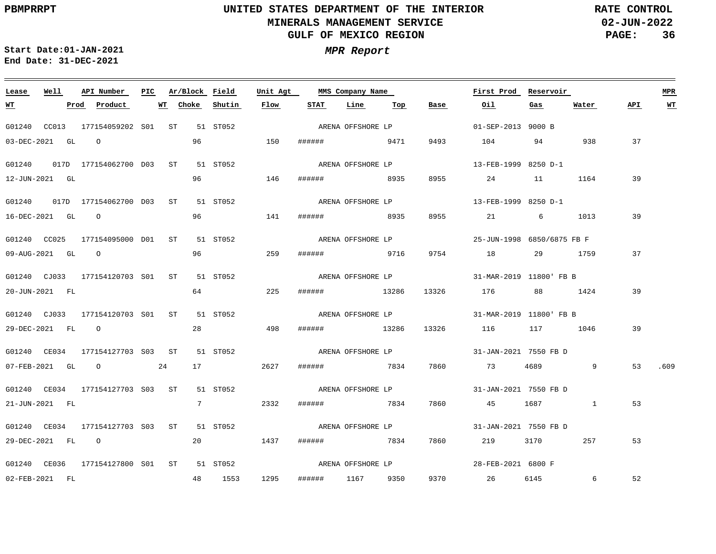**02-JUN-2022 PAGE: 36 RATE CONTROL**

 $\equiv$ 

**Start Date:01-JAN-2021 MPR Report End Date: 31-DEC-2021**

<u> 1989 - Johann Stoff, amerikansk politiker (d. 1989)</u>

| Lease        | Well             | API Number                                     | PIC. |             |    | Ar/Block Field | Unit Agt |                   | MMS Company Name  |     |       | First Prod                 | Reservoir                                                                                                           |                 |     | <b>MPR</b> |
|--------------|------------------|------------------------------------------------|------|-------------|----|----------------|----------|-------------------|-------------------|-----|-------|----------------------------|---------------------------------------------------------------------------------------------------------------------|-----------------|-----|------------|
| <u>WT</u>    |                  | Prod<br>Product                                |      | Choke<br>WT |    | Shutin         | Flow     | STAT              | Line              | Top | Base  | Oil                        | Gas                                                                                                                 | Water           | API | <u>WT</u>  |
|              |                  | G01240 CC013 177154059202 S01 ST               |      |             |    | 51 ST052       |          |                   | ARENA OFFSHORE LP |     |       | 01-SEP-2013 9000 B         |                                                                                                                     |                 |     |            |
|              | 03-DEC-2021 GL 0 |                                                |      |             | 96 |                | 150      | ###### 9471       |                   |     | 9493  | 104                        | 94                                                                                                                  | 938             | 37  |            |
|              |                  | G01240 017D 177154062700 D03 ST                |      |             |    | 51 ST052       |          |                   | ARENA OFFSHORE LP |     |       | 13-FEB-1999 8250 D-1       |                                                                                                                     |                 |     |            |
|              | 12-JUN-2021 GL   |                                                |      |             | 96 | 146            |          | ######            | 8935              |     | 8955  |                            | 24 11                                                                                                               | 1164            | 39  |            |
|              |                  | G01240  017D  177154062700  D03  ST  51  ST052 |      |             |    |                |          |                   | ARENA OFFSHORE LP |     |       | 13-FEB-1999 8250 D-1       |                                                                                                                     |                 |     |            |
|              | 16-DEC-2021 GL 0 |                                                |      |             | 96 |                | 141      | ####### 8935      |                   |     | 8955  | 21 21                      | 6 - 10                                                                                                              | 1013            | 39  |            |
| G01240 CC025 |                  | 177154095000 D01 ST                            |      |             |    | 51 ST052       |          |                   | ARENA OFFSHORE LP |     |       | 25-JUN-1998 6850/6875 FB F |                                                                                                                     |                 |     |            |
|              | 09-AUG-2021 GL 0 |                                                |      |             | 96 |                | 259      | ######            | 9716              |     | 9754  | 18                         | 29 1759                                                                                                             |                 | 37  |            |
|              |                  | G01240 CJ033 177154120703 S01 ST 51 ST052      |      |             |    |                |          |                   | ARENA OFFSHORE LP |     |       | 31-MAR-2019 11800' FB B    |                                                                                                                     |                 |     |            |
|              | 20-JUN-2021 FL   |                                                |      |             | 64 |                | 225      | ####### 13286     |                   |     | 13326 | 176                        | 88 1424                                                                                                             |                 | 39  |            |
|              |                  | G01240 CJ033 177154120703 S01 ST               |      |             |    | 51 ST052       |          |                   | ARENA OFFSHORE LP |     |       | 31-MAR-2019 11800' FB B    |                                                                                                                     |                 |     |            |
|              | 29-DEC-2021 FL 0 |                                                |      |             |    | 28             | 498      | ####### 13286     |                   |     | 13326 | 116                        | 117 1046                                                                                                            |                 | 39  |            |
|              |                  | G01240 CE034 177154127703 S03 ST               |      |             |    | 51 ST052       |          |                   | ARENA OFFSHORE LP |     |       | 31-JAN-2021 7550 FB D      |                                                                                                                     |                 |     |            |
|              |                  | $07 - FEB - 2021$ GL $O$                       |      | 24          |    | 17             | 2627     | ####### 7834      |                   |     | 7860  | 73                         | 4689 and 1689                                                                                                       | 9               | 53  | .609       |
|              |                  | G01240 CE034 177154127703 S03 ST               |      |             |    | 51 ST052       |          |                   | ARENA OFFSHORE LP |     |       | 31-JAN-2021 7550 FB D      |                                                                                                                     |                 |     |            |
|              | 21-JUN-2021 FL   |                                                |      |             |    | 7              | 2332     | ######            | 7834              |     | 7860  | 45                         | 1687 — 1687 — 1687 — 1688 — 1688 — 1688 — 1688 — 1688 — 1688 — 1688 — 1688 — 1688 — 1688 — 1688 — 1688 — 1688 — 168 | <sup>1</sup>    | 53  |            |
|              |                  | G01240 CE034 177154127703 S03 ST               |      |             |    | 51 ST052       |          | ARENA OFFSHORE LP |                   |     |       | 31-JAN-2021 7550 FB D      |                                                                                                                     |                 |     |            |
|              | 29-DEC-2021 FL 0 |                                                |      |             | 20 |                | 1437     | ###### 7834       |                   |     | 7860  | 219                        | 3170                                                                                                                | 257             | 53  |            |
|              |                  | G01240 CE036 177154127800 S01 ST               |      |             |    | 51 ST052       |          |                   | ARENA OFFSHORE LP |     |       | 28-FEB-2021 6800 F         |                                                                                                                     |                 |     |            |
|              | 02-FEB-2021 FL   |                                                |      |             |    | 48 1553        | 1295     | ######            | 1167 9350         |     |       | 9370 26                    | 6145                                                                                                                | $6\overline{6}$ | 52  |            |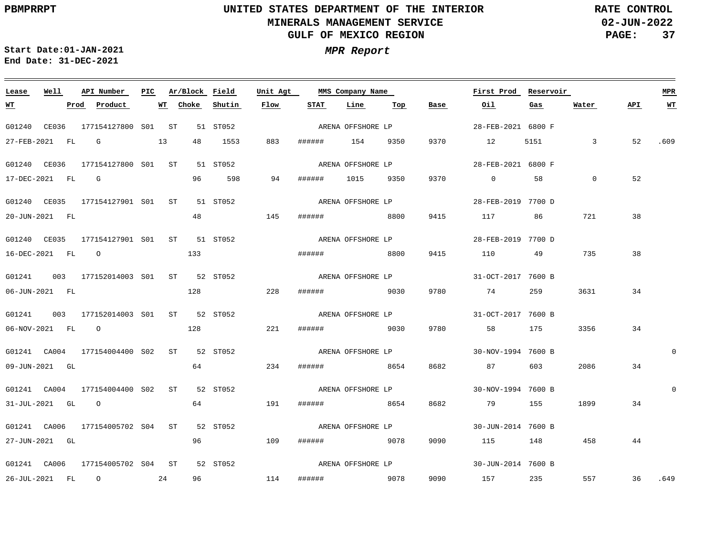**02-JUN-2022 PAGE: 37 RATE CONTROL**

**Start Date:01-JAN-2021 MPR Report End Date: 31-DEC-2021**

### **Lease Well API Number Ar/Block Field Unit Agt PIC MMS Company Name First Prod Reservoir MPR Shutin Flow STAT Line Top API WT Prod Product WT Choke Base Oil Gas Water WT** ARENA OFFSHORE LP G01240 CE036 177154127800 S01 ST 51 ST052 28-FEB-2021 6800 F 27-FEB-2021 FL G 13 48 1553 883 ###### 154 9350 9370 12 5151 3 52 .609 ARENA OFFSHORE LP G01240 CE036 177154127800 ST 51 ST052 S01 28-FEB-2021 6800 F  $\overline{0}$ 52 17-DEC-2021 FL G 96 598 94 ###### 1015 9350 9370 0 58 ARENA OFFSHORE LP G01240 CE035 177154127901 S01 ST 51 ST052 28-FEB-2019 7700 D 48 20-JUN-2021 FL 145 ###### 8800 9415 117 86 721 38 G01240 CE035 177154127901 ST 51 ST052 S01 28-FEB-2019 7700 D ARENA OFFSHORE LP 38 16-DEC-2021 FL O 133 ###### 8800 9415 110 49 735 G01241 003 177152014003 S01 ST 52 ST052 31-OCT-2017 7600 B ARENA OFFSHORE LP 128 3631 34 06-JUN-2021 FL 228 ###### 9030 9780 74 259 G01241 003 177152014003 S01 ST 52 ST052 31-OCT-2017 7600 B ARENA OFFSHORE LP 221 3356 34 06-NOV-2021 FL O 128 ###### 9030 9780 58 175  $\Omega$ G01241 CA004 177154004400 S02 ST 52 ST052 30-NOV-1994 7600 B ARENA OFFSHORE LP 64 09-JUN-2021 GL 234 ###### 8654 8682 87 603 2086 34 ARENA OFFSHORE LP  $\Omega$ G01241 CA004 177154004400 S02 ST 52 ST052 30-NOV-1994 7600 B 64 31-JUL-2021 GL O 191 ###### 8654 8682 79 155 1899 34 ARENA OFFSHORE LP G01241 CA006 177154005702 S04 ST 52 ST052 30-JUN-2014 7600 B 27-JUN-2021 GL 96 109 ###### 9078 9090 115 148 458 44 ARENA OFFSHORE LP G01241 CA006 177154005702 S04 ST 52 ST052 30-JUN-2014 7600 B 26-JUL-2021 FL O 24 96 114 ###### 9078 9090 157 235 557 36 .649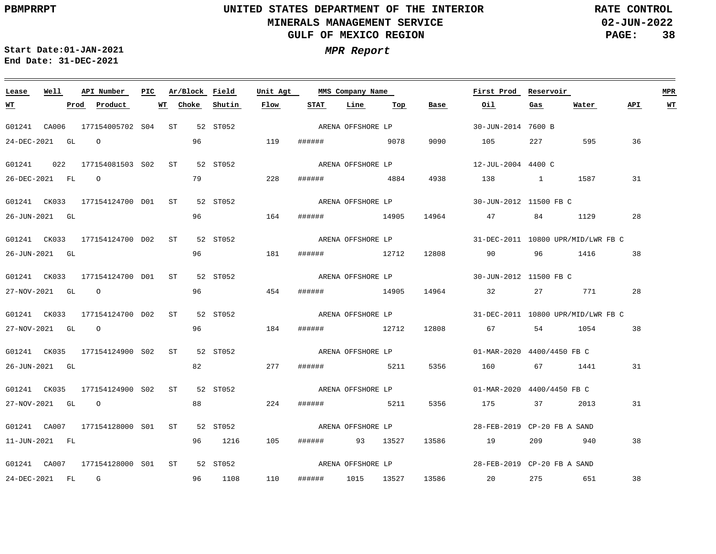**02-JUN-2022 PAGE: 38 RATE CONTROL**

 $\overline{\phantom{a}}$ 

**Start Date:01-JAN-2021 MPR Report End Date: 31-DEC-2021**

<u> 1989 - Johann Stein, marwolaethau a bhann an t-Amhair an t-Amhair an t-Amhair an t-Amhair an t-Amhair an t-A</u>

| Lease      | Well             | API Number                                | PIC. | Ar/Block Field |          | Unit Agt |        | MMS Company Name  |     |       | First Prod                         | Reservoir |         |     | MPR       |
|------------|------------------|-------------------------------------------|------|----------------|----------|----------|--------|-------------------|-----|-------|------------------------------------|-----------|---------|-----|-----------|
| <u> WT</u> |                  | <u>Prod</u> Product                       |      | WT Choke       | Shutin   | Flow     | STAT   | Line              | Тор | Base  | Oil                                | Gas       | Water   | API | <u>WТ</u> |
|            |                  | G01241 CA006 177154005702 S04 ST 52 ST052 |      |                |          |          |        | ARENA OFFSHORE LP |     |       | 30-JUN-2014 7600 B                 |           |         |     |           |
|            | 24-DEC-2021 GL   | $\circ$ 0                                 |      | 96             |          | 119      |        | ####### 9078      |     | 9090  | 105                                | 227       | 595     | 36  |           |
|            |                  | G01241  022  177154081503  S02  ST        |      |                | 52 ST052 |          |        | ARENA OFFSHORE LP |     |       | 12-JUL-2004 4400 C                 |           |         |     |           |
|            | 26-DEC-2021 FL 0 |                                           |      | 79             |          | 228      | ###### | 4884              |     | 4938  | 138                                | 1 1587    |         | 31  |           |
|            |                  | G01241 CK033 177154124700 D01 ST 52 ST052 |      |                |          |          |        | ARENA OFFSHORE LP |     |       | 30-JUN-2012 11500 FB C             |           |         |     |           |
|            | 26-JUN-2021 GL   |                                           |      | 96             |          | 164      |        | ###### 14905      |     | 14964 | 47                                 | 84 — 10   | 1129    | 28  |           |
|            |                  | G01241 CK033 177154124700 D02 ST 52 ST052 |      |                |          |          |        | ARENA OFFSHORE LP |     |       | 31-DEC-2011 10800 UPR/MID/LWR FB C |           |         |     |           |
|            | 26-JUN-2021 GL   |                                           |      | 96             |          | 181      | ###### | 12712             |     | 12808 | 90                                 | 96        | 1416    | 38  |           |
|            |                  | G01241 CK033 177154124700 D01 ST 52 ST052 |      |                |          |          |        | ARENA OFFSHORE LP |     |       | 30-JUN-2012 11500 FB C             |           |         |     |           |
|            | 27-NOV-2021 GL 0 |                                           |      | 96             |          | 454      |        | ###### 14905      |     | 14964 | 32                                 | 27 — 27   | 771     | 28  |           |
|            |                  | G01241 CK033 177154124700 D02 ST 52 ST052 |      |                |          |          |        | ARENA OFFSHORE LP |     |       | 31-DEC-2011 10800 UPR/MID/LWR FB C |           |         |     |           |
|            | 27-NOV-2021 GL 0 |                                           |      | 96             |          | 184      | ###### | 12712             |     | 12808 | 67 — 10                            |           | 54 1054 | 38  |           |
|            |                  | G01241 CK035 177154124900 S02 ST 52 ST052 |      |                |          |          |        | ARENA OFFSHORE LP |     |       | 01-MAR-2020 4400/4450 FB C         |           |         |     |           |
|            | 26-JUN-2021 GL   |                                           |      | 82             |          | 277      |        | ###### 5211       |     | 5356  | 160                                |           | 67 1441 | 31  |           |
|            |                  | G01241 CK035 177154124900 S02 ST          |      |                | 52 ST052 |          |        | ARENA OFFSHORE LP |     |       | 01-MAR-2020 4400/4450 FB C         |           |         |     |           |
|            | 27-NOV-2021 GL 0 |                                           |      | 88             |          | 224      | ###### | 5211              |     | 5356  | 175                                | 37        | 2013    | 31  |           |
|            |                  | G01241 CA007 177154128000 S01 ST 52 ST052 |      |                |          |          |        | ARENA OFFSHORE LP |     |       | 28-FEB-2019 CP-20 FB A SAND        |           |         |     |           |
|            | 11-JUN-2021 FL   |                                           |      | 96             | 1216     | 105      |        | ###### 93 13527   |     | 13586 | 19                                 | 209 940   |         | 38  |           |
|            |                  |                                           |      |                |          |          |        |                   |     |       |                                    |           |         |     |           |
|            |                  | G01241 CA007 177154128000 S01 ST 52 ST052 |      |                |          |          |        | ARENA OFFSHORE LP |     |       | 28-FEB-2019 CP-20 FB A SAND        |           |         |     |           |
|            | 24-DEC-2021 FL G |                                           |      | 96             | 1108     | 110      | ###### | 1015 13527        |     |       | 13586 20 275 651                   |           |         | 38  |           |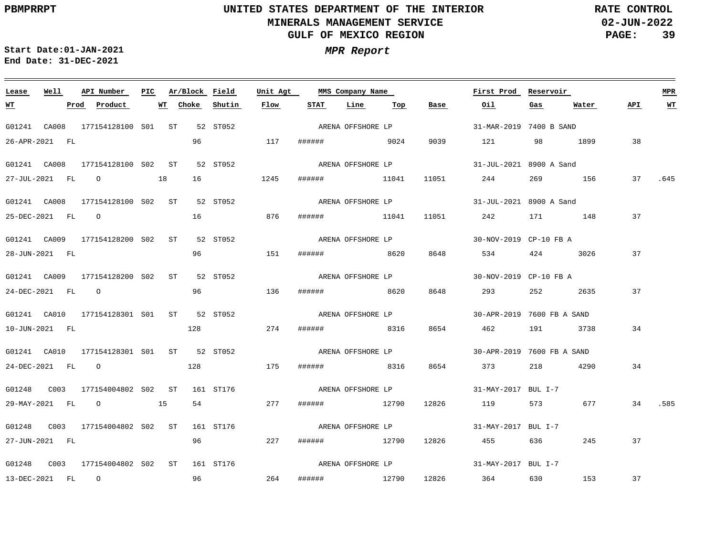**02-JUN-2022 PAGE: 39 RATE CONTROL**

**Start Date:01-JAN-2021 MPR Report End Date: 31-DEC-2021**

### **Lease Well API Number Ar/Block Field Unit Agt PIC MMS Company Name First Prod Reservoir MPR STAT Line WT Prod Product WT Choke Shutin Flow Top Base Oil Gas Water API WT** ARENA OFFSHORE LP G01241 CA008 177154128100 S01 ST 52 ST052 31-MAR-2019 7400 B SAND 26-APR-2021 FL 96 117 ###### 9024 9039 121 98 1899 38 ARENA OFFSHORE LP G01241 CA008 177154128100 S02 ST 52 ST052 31-JUL-2021 8900 A Sand 27-JUL-2021 FL O 18 16 1245 ###### 11041 11051 244 269 156 37 .645 ARENA OFFSHORE LP G01241 CA008 177154128100 S02 ST 52 ST052 31-JUL-2021 8900 A Sand 16 25-DEC-2021 FL O 876 ###### 11041 11051 242 171 148 37 G01241 CA009 177154128200 S02 ST 52 ST052 30-NOV-2019 CP-10 FB A ARENA OFFSHORE LP 28-JUN-2021 FL 96 151 ###### 8620 8648 534 424 3026 37 G01241 CA009 177154128200 S02 ST 52 ST052 30-NOV-2019 CP-10 FB A ARENA OFFSHORE LP extended to 1960 and 1960 and 1970 and 1970 and 1970 and 1970 and 1970 and 1970 and 1970 and 1970 and 1970 and 37 24-DEC-2021 FL O 136 ###### 8620 8648 293 252 2635 G01241 CA010 177154128301 S01 ST 52 ST052 30-APR-2019 7600 FB A SAND ARENA OFFSHORE LP 128 274 34 10-JUN-2021 FL ###### 8316 8654 462 191 3738 G01241 CA010 177154128301 S01 ST 52 ST052 30-APR-2019 7600 FB A SAND ARENA OFFSHORE LP 24-DEC-2021 FL O 128 175 ###### 8316 8654 373 218 4290 34 G01248 C003 177154004802 ST 161 ST176 S02 ARENA OFFSHORE LP 31-MAY-2017 BUL I-7 54 29-MAY-2021 FL O 15 277 ###### 12790 12826 119 573 677 34 .585 ARENA OFFSHORE LP G01248 C003 177154004802 ST 161 ST176 S02 31-MAY-2017 BUL I-7 27-JUN-2021 FL 96 227 ###### 12790 12826 455 636 245 37 ARENA OFFSHORE LP G01248 C003 177154004802 ST 161 ST176 S0231-MAY-2017 BUL I-7 96 264 37 13-DEC-2021 FL O ###### 12790 12826 364 630 153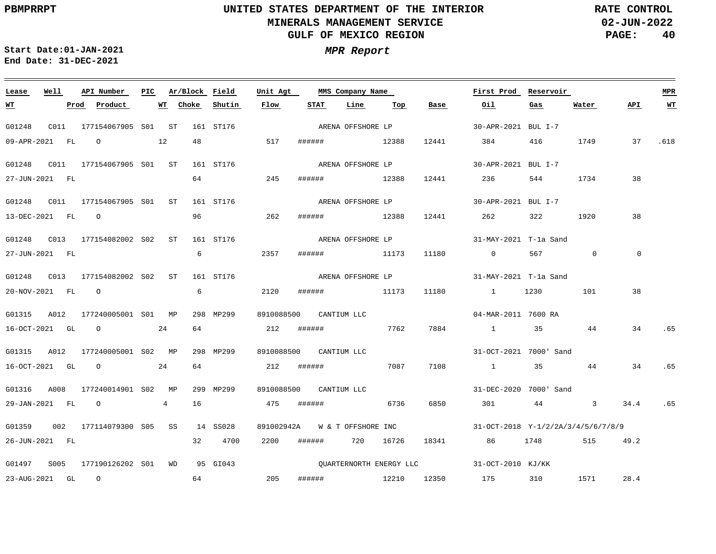**WT**

## **UNITED STATES DEPARTMENT OF THE INTERIOR MINERALS MANAGEMENT SERVICE GULF OF MEXICO REGION**

**02-JUN-2022 PAGE: 40 RATE CONTROL**

**API WT**

38

 $\overline{0}$ 

38

34

.65

.65

**First Prod Reservoir MPR**

**Start Date:01-JAN-2021 MPR Report End Date: 31-DEC-2021**

**Lease Well API Number Ar/Block Field**

### G01248 C011 177154067905 ST 161 ST176 S01 G01248 C011 177154067905 ST 161 ST176 S01 G01248 C011 177154067905 ST 161 ST176 S01 G01248 C013 177154082002 ST 161 ST176 S02 G01248 C013 177154082002 ST 161 ST176 S02 G01315 A012 177240005001 S01 MP 298 MP299 G01315 A012 177240005001 S02 MP 298 MP299 G01316 A008 177240014901 S02 MP 299 MP299 8910088500 CANTIUM LLC 8910088500 CANTIUM LLC 8910088500 CANTIUM LLC 30-APR-2021 BUL I-7 30-APR-2021 BUL I-7 30-APR-2021 BUL I-7 31-MAY-2021 T-1a Sand 31-MAY-2021 T-1a Sand 04-MAR-2011 7600 RA 31-OCT-2021 7000' Sand 31-DEC-2020 7000' Sand 09-APR-2021 FL O 12 27-JUN-2021 FL 13-DEC-2021 FL O 27-JUN-2021 FL 20-NOV-2021 FL O 16-OCT-2021 GL O 24 16-OCT-2021 GL O 24 29-JAN-2021 FL O 4 **Prod Product WT Choke** 48 64 96 6 2357 6 64 64 16 **Shutin** 517 ###### 12388 12441 245 262 ###### 12388 12441 262 322 2120 ###### 11173 11180 1 1230 101 212 ###### 7762 212 ###### 7087 7108 1 35 44 34 475 ###### 6736 6850 301 44 3 34.4 .65 **Flow** ###### 12388 12441 ###### 11173 11180 0 567 0 **STAT Line Top Base** 7884 1 35 44 384 416 1749 37 .618 236 **Oil** 544 1734 38 **Gas** 1920 **Water** ARENA OFFSHORE LP ARENA OFFSHORE LP ARENA OFFSHORE LP ARENA OFFSHORE LP ARENA OFFSHORE LP

**Unit Agt PIC MMS Company Name**

G01359 002 177114079300 S05 SS 14 SS028 G01497 S005 177190126202 S01 WD 95 GI043 891002942A W & T OFFSHORE INC 31-OCT-2018 Y-1/2/2A/3/4/5/6/7/8/9 31-OCT-2010 KJ/KK 26-JUN-2021 FL 23-AUG-2021 GL O 32 4700 64 205 ###### 12210 12350 2200 ###### 720 16726 18341 86 1748 515 49.2 175 310 1571 28.4 QUARTERNORTH ENERGY LLC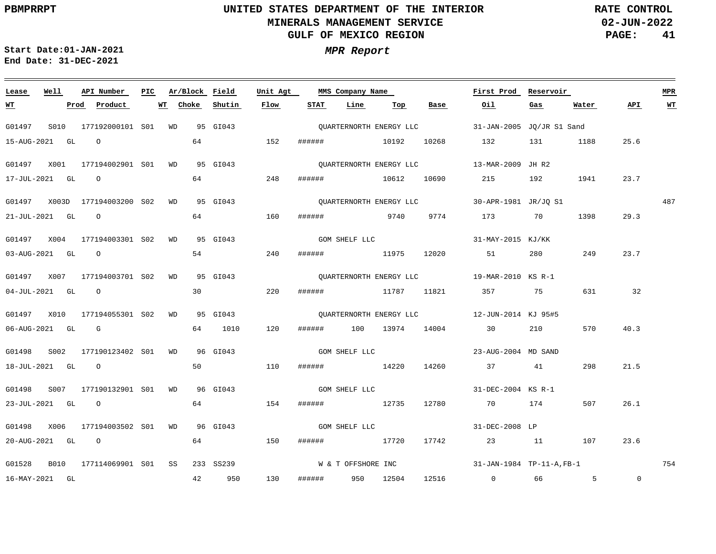**02-JUN-2022 PAGE: 41 RATE CONTROL**

**Start Date:01-JAN-2021 MPR Report End Date: 31-DEC-2021**

<u> 1989 - Johann Stein, markin sanadi masjid ayyik sanadi asl asl asl asl asl ang mga mga mga mga mga mga mga m</u>

### G01497 S010 177192000101 S01 WD 95 GI043 G01497 X001 177194002901 S01 WD 95 GI043 G01497 X003D 177194003200 WD 95 GI043 S02 G01497 X004 177194003301 S02 WD 95 GI043 G01497 X007 177194003701 S02 WD 95 GI043 G01497 X010 177194055301 S02 WD 95 GI043 G01498 S002 177190123402 S01 WD G01498 S007 177190132901 S01 WD 96 GI043 G01498 X006 177194003502 S01 WD 96 GI043 G01528 B010 177114069901 S01 SS 233 SS239 **Lease Well API Number Ar/Block** 96 GI043 **Field Unit Agt First Prod Reservoir PIC MMS Company Name** 31-JAN-2005 JQ/JR S1 Sand QUARTERNORTH ENERGY LLC 13-MAR-2009 JH R2 QUARTERNORTH ENERGY LLC 30-APR-1981 JR/JQ S1 QUARTERNORTH ENERGY LLC 31-MAY-2015 KJ/KK GOM SHELF LLC 19-MAR-2010 KS R-1 QUARTERNORTH ENERGY LLC 12-JUN-2014 KJ 95#5 QUARTERNORTH ENERGY LLC 23-AUG-2004 MD SAND 31-DEC-2004 KS R-1 31-DEC-2008 LP 31-JAN-1984 TP-11-A,FB-1 487 754 **MPR** 15-AUG-2021 GL O 17-JUL-2021 GL O 21-JUL-2021 GL O 03-AUG-2021 GL O 04-JUL-2021 GL O 06-AUG-2021 GL G 18-JUL-2021 GL O 23-JUL-2021 GL O 20-AUG-2021 GL O 16-MAY-2021 GL **WT Prod Product WT** 64 64 64 54 30 64 1010 50 64 64 42 950 **Choke Shutin Flow** 152 ###### 10192 10268 248 160 ###### 9740 9774 173 70 240 220 ###### 11787 11821 357 75 631 32 120 110 ###### 14220 14260 37 41 298 154 150 ###### 17720 17742 23 11 107 23.6 130 ###### 10612 10690 ###### 11975 12020 51 280 ###### 100 13974 14004 30 210 570 ###### 12735 12780 70 174 507 ###### 950 12504 12516 0 66 5 **STAT Line Top Base Oil** 132 131 1188 25.6 215 192 1941 **Gas** 1398 249 **Water** 23.7 29.3 23.7 40.3 21.5 26.1  $\overline{0}$ **API WT** GOM SHELF LLC GOM SHELF LLC GOM SHELF LLC W & T OFFSHORE INC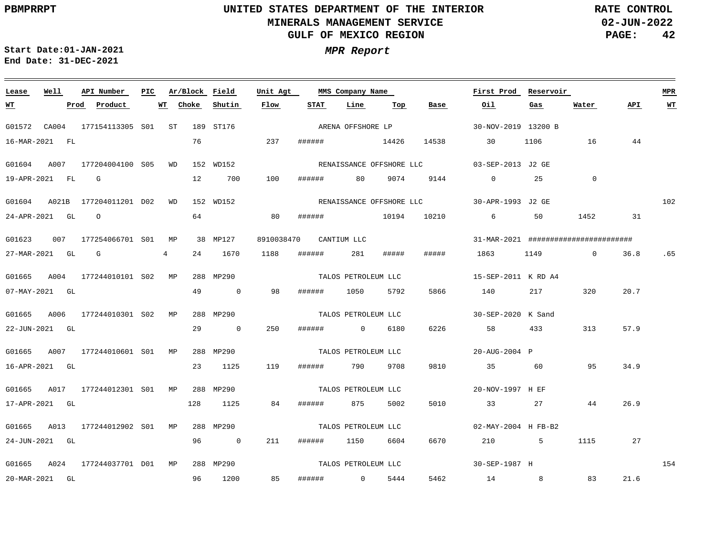**02-JUN-2022 PAGE: 42 RATE CONTROL**

**Start Date:01-JAN-2021 MPR Report End Date: 31-DEC-2021**

### <u> 1989 - Johann Barn, mars ann an t-Amhain Aonaichte ann an t-Aonaichte ann an t-Aonaichte ann an t-Aonaichte a</u> **Lease Well API Number Ar/Block Field PIC MMS Company Name Unit Agt First Prod Reservoir MPR Shutin Flow STAT Line Top Base Oil Water API WT Prod Product WT Choke Gas WT** ARENA OFFSHORE LP G01572 CA004 177154113305 S01 ST 189 ST176 30-NOV-2019 13200 B 16-MAR-2021 FL 76 237 ###### 14426 14538 30 1106 16 44 G01604 A007 177204004100 S05 WD 152 WD152 03-SEP-2013 J2 GE RENAISSANCE OFFSHORE LLC 100  $\Omega$ 19-APR-2021 FL G 12 700 ###### 80 9074 9144 0 25 102 G01604 A021B 177204011201 D02 WD 152 WD152 30-APR-1993 J2 GE RENAISSANCE OFFSHORE LLC 64 24-APR-2021 GL O 80 ###### 10194 10210 6 50 1452 31 G01623 007 177254066701 S01 MP 38 MP127 8910038470 CANTIUM LLC 31-MAR-2021 ######################## 1188 ##### 27-MAR-2021 GL G 4 24 1670 ###### 281 ##### 1863 1149 0 36.8 .65 TALOS PETROLEUM LLC G01665 A004 177244010101 S02 MP 288 MP290 15-SEP-2011 K RD A4 49 5792 20.7 07-MAY-2021 GL 0 98 ###### 1050 5866 140 217 320 G01665 A006 177244010301 S02 MP 288 MP290 TALOS PETROLEUM LLC 30-SEP-2020 K Sand 29  $\overline{0}$ 250 6226 57.9 22-JUN-2021 GL ###### 0 6180 58 433 313 G01665 A007 177244010601 S01 MP 288 MP290 TALOS PETROLEUM LLC 20-AUG-2004 P 16-APR-2021 GL 23 1125 119 ###### 790 9708 9810 35 60 95 34.9 G01665 A017 177244012301 S01 MP 288 MP290 TALOS PETROLEUM LLC 20-NOV-1997 H EF 5010 26.9 17-APR-2021 GL 128 1125 84 ###### 875 5002 33 27 44 TALOS PETROLEUM LLC G01665 A013 177244012902 S01 MP 288 MP290 02-MAY-2004 H FB-B2 24-JUN-2021 GL 96 0 211 ###### 1150 6604 6670 210 5 1115 27 TALOS PETROLEUM LLC 154 G01665 A024 177244037701 D01 MP 288 MP290 30-SEP-1987 H 85 83 21.6 20-MAR-2021 GL 96 1200 ###### 0 5444 5462 14 8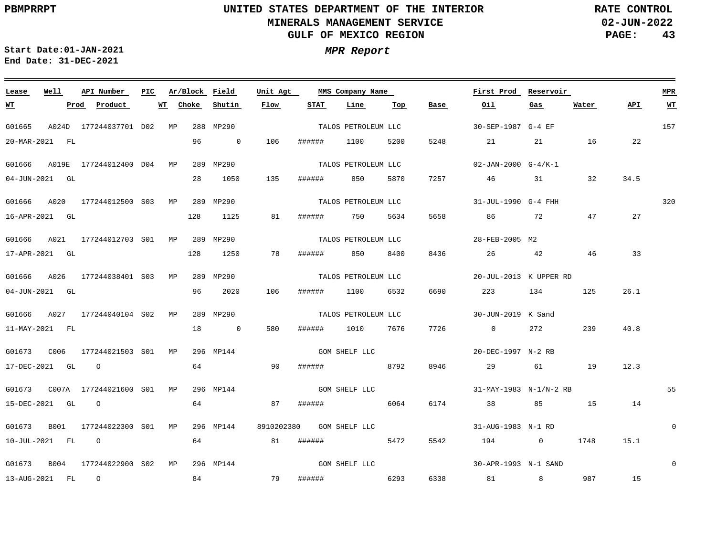**02-JUN-2022 PAGE: 43 RATE CONTROL**

**Start Date:01-JAN-2021 MPR Report End Date: 31-DEC-2021**

### <u> 1989 - Johann Stoff, deutscher Stoffen und der Stoffen und der Stoffen und der Stoffen und der Stoffen und der</u> **Lease Well API Number Ar/Block Field PIC MMS Company Name Unit Agt First Prod Reservoir MPR Choke Shutin Flow STAT Line Water API WT WT Prod Product WT Top Base Oil Gas** TALOS PETROLEUM LLC 157 G01665 A024D 177244037701 D02 MP 288 MP290 30-SEP-1987 G-4 EF 20-MAR-2021 FL 96 0 106 ###### 1100 5200 5248 21 21 16 22 TALOS PETROLEUM LLC G01666 A019E 177244012400 D04 MP 289 MP290 02-JAN-2000 G-4/K-1 28 1050 135 ###### 7257 04-JUN-2021 GL 850 5870 46 31 32 34.5 TALOS PETROLEUM LLC 320 G01666 A020 177244012500 S03 MP 289 MP290 31-JUL-1990 G-4 FHH 128 1125 16-APR-2021 GL 81 ###### 750 5634 5658 86 72 47 27 TALOS PETROLEUM LLC G01666 A021 177244012703 S01 MP 289 MP290 28-FEB-2005 M2 128 33 17-APR-2021 GL 1250 78 ###### 850 8400 8436 26 42 46 TALOS PETROLEUM LLC G01666 A026 177244038401 S03 MP 289 MP290 20-JUL-2013 K UPPER RD 96 2020 6532 26.1 04-JUN-2021 GL 106 ###### 1100 6690 223 134 125 TALOS PETROLEUM LLC G01666 A027 177244040104 S02 MP 289 MP290 30-JUN-2019 K Sand 18  $\overline{0}$ 580 7726 239 40.8 11-MAY-2021 FL ###### 1010 7676 0 272 G01673 C006 177244021503 MP S01 296 MP144 GOM SHELF LLC 20-DEC-1997 N-2 RB 64 17-DEC-2021 GL O 90 ###### 8792 8946 29 61 19 12.3 GOM SHELF LLC G01673 C007A 177244021600 MP 296 MP144 S01 31-MAY-1983 N-1/N-2 RB 55 64 15-DEC-2021 GL O 87 ###### 6064 6174 38 85 15 14  $\Omega$ G01673 B001 177244022300 S01 MP 296 MP144 8910202380 GOM SHELF LLC 31-AUG-1983 N-1 RD 10-JUL-2021 FL O 64 81 ###### 5472 5542 194 0 1748 15.1 GOM SHELF LLC 0 G01673 B004 177244022900 S02 MP 296 MP144 30-APR-1993 N-1 SAND 84 6338 15 13-AUG-2021 FL O 79 ###### 6293 81 8 987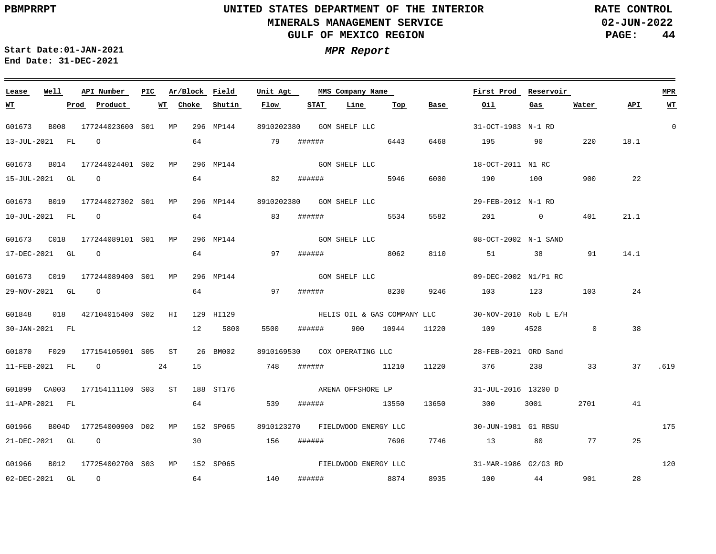**02-JUN-2022 PAGE: 44 RATE CONTROL**

**Start Date:01-JAN-2021 MPR Report End Date: 31-DEC-2021**

### **Lease Well API Number Ar/Block Field PIC MMS Company Name Unit Agt First Prod Reservoir MPR STAT Line Top Water API WT Prod Product WT Choke Shutin Flow Base Oil Gas WT** 0 G01673 B008 177244023600 S01 MP 296 MP144 8910202380 GOM SHELF LLC 31-OCT-1983 N-1 RD 13-JUL-2021 FL O 64 79 ###### 6443 6468 195 90 220 18.1 GOM SHELF LLC G01673 B014 177244024401 S02 MP 296 MP144 18-OCT-2011 N1 RC 190 64 6000 100 900  $22$ 15-JUL-2021 GL O 82 ###### 5946 G01673 B019 177244027302 S01 MP 296 MP144 8910202380 GOM SHELF LLC 29-FEB-2012 N-1 RD 64 5534 21.1 10-JUL-2021 FL O 83 ###### 5582 201 0 401 GOM SHELF LLC G01673 C018 177244089101 MP 296 MP144 S01 08-OCT-2002 N-1 SAND 14.1 17-DEC-2021 GL O 64 97 ###### 8062 8110 51 38 91 GOM SHELF LLC G01673 C019 177244089400 MP 296 MP144 S01 09-DEC-2002 N1/P1 RC 64 29-NOV-2021 GL O 97 ###### 8230 9246 103 123 103 24 G01848 018 427104015400 S02 HI 129 HI129 30-NOV-2010 Rob L E/H HELIS OIL & GAS COMPANY LLC 5500 38 30-JAN-2021 FL 12 5800 ###### 900 10944 11220 109 4528 0 G01870 F029 177154105901 S05 ST 26 BM002 8910169530 COX OPERATING LLC 28-FEB-2021 ORD Sand 15 11-FEB-2021 FL O 24 748 ###### 11210 11220 376 238 33 37 .619 ARENA OFFSHORE LP G01899 CA003 177154111100 S03 ST 188 ST176 31-JUL-2016 13200 D 64 11-APR-2021 FL 539 ###### 13550 13650 300 3001 2701 41 175 G01966 B004D 177254000900 D02 MP 152 SP065 8910123270 FIELDWOOD ENERGY LLC 30-JUN-1981 G1 RBSU 21-DEC-2021 GL O 30 156 ###### 7696 7746 13 80 77 25 FIELDWOOD ENERGY LLC 120 G01966 B012 177254002700 S03 MP 152 SP065 31-MAR-1986 G2/G3 RD ###### 8874 8935 901 28 02-DEC-2021 GL O 64 140 100 44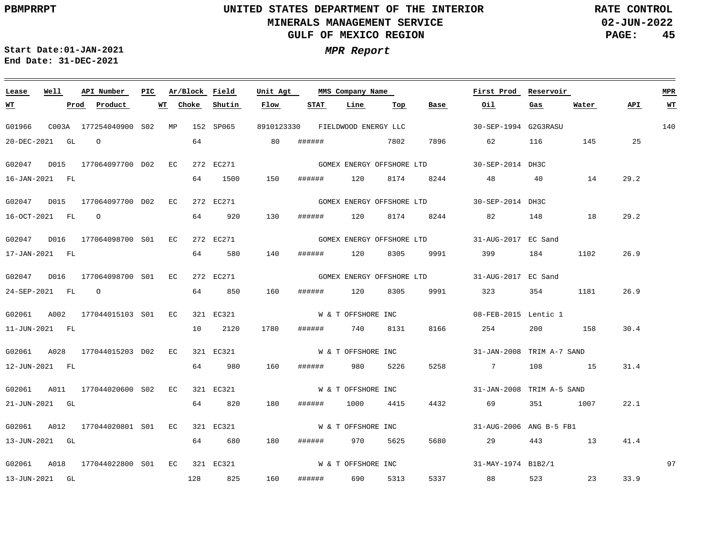**02-JUN-2022 PAGE: 45 RATE CONTROL**

 $\equiv$ 

**Start Date:01-JAN-2021 MPR Report End Date: 31-DEC-2021**

<u> 1989 - Johann Stein, marwolaethau a bhannaich an t-Albann an t-Albann an t-Albann an t-Albann an t-Albann an</u>

| Lease          | Well | API Number                      | PIC |       | Ar/Block Field | Unit Agt   |        | MMS Company Name          |      |                           | First Prod                | Reservoir |       |      | <b>MPR</b>              |
|----------------|------|---------------------------------|-----|-------|----------------|------------|--------|---------------------------|------|---------------------------|---------------------------|-----------|-------|------|-------------------------|
| <u>WТ</u>      | Prod | Product                         | WТ  | Choke | Shutin         | Flow       | STAT   | Line                      | Тор  | Base                      | Oil                       | Gas       | Water | API. | $\underline{\text{WT}}$ |
| G01966         |      | C003A 177254040900 S02 MP       |     |       | 152 SP065      | 8910123330 |        | FIELDWOOD ENERGY LLC      |      |                           | 30-SEP-1994 G2G3RASU      |           |       |      | 140                     |
| 20-DEC-2021 GL |      | $\overline{O}$                  |     | 64    |                | 80         | ###### |                           | 7802 | 7896                      | 62                        | 116       | 145   | 25   |                         |
| G02047         |      | D015 177064097700 D02 EC        |     |       | 272 EC271      |            |        |                           |      | GOMEX ENERGY OFFSHORE LTD | 30-SEP-2014 DH3C          |           |       |      |                         |
| 16-JAN-2021 FL |      |                                 |     | 64    | 1500           | 150        | ###### | 120                       | 8174 | 8244                      | 48                        | 40        | 14    | 29.2 |                         |
|                |      | G02047 D015 177064097700 D02 EC |     |       | 272 EC271      |            |        | GOMEX ENERGY OFFSHORE LTD |      |                           | 30-SEP-2014 DH3C          |           |       |      |                         |
| 16-OCT-2021 FL |      | $\overline{O}$                  |     | 64    | 920            | 130        | ###### | 120                       | 8174 | 8244                      | 82                        | 148       | 18    | 29.2 |                         |
| G02047         |      | D016 177064098700 S01 EC        |     |       | 272 EC271      |            |        |                           |      | GOMEX ENERGY OFFSHORE LTD | 31-AUG-2017 EC Sand       |           |       |      |                         |
| 17-JAN-2021 FL |      |                                 |     | 64    | 580            | 140        | ###### | 120                       | 8305 | 9991                      | 399 — 1                   | 184       | 1102  | 26.9 |                         |
|                |      | G02047 D016 177064098700 S01 EC |     |       | 272 EC271      |            |        |                           |      | GOMEX ENERGY OFFSHORE LTD | 31-AUG-2017 EC Sand       |           |       |      |                         |
| 24-SEP-2021 FL |      | $\overline{O}$                  |     | 64    | 850            | 160        | ###### | 120                       | 8305 | 9991                      | 323                       | 354       | 1181  | 26.9 |                         |
| G02061         |      | A002 177044015103 S01 EC        |     |       | 321 EC321      |            |        | W & T OFFSHORE INC        |      |                           | 08-FEB-2015 Lentic 1      |           |       |      |                         |
| 11-JUN-2021 FL |      |                                 |     | 10    | 2120           | 1780       | ###### | 740                       | 8131 | 8166                      | 254                       | 200       | 158   | 30.4 |                         |
|                |      | G02061 A028 177044015203 D02 EC |     |       | 321 EC321      |            |        | W & T OFFSHORE INC        |      |                           | 31-JAN-2008 TRIM A-7 SAND |           |       |      |                         |
| 12-JUN-2021 FL |      |                                 |     | 64    | 980            | 160        | ###### | 980                       | 5226 | 5258                      | $7\overline{ }$           | 108       | 15    | 31.4 |                         |
| G02061         |      | A011 177044020600 S02 EC        |     |       | 321 EC321      |            |        | W & T OFFSHORE INC        |      |                           | 31-JAN-2008 TRIM A-5 SAND |           |       |      |                         |
| 21-JUN-2021 GL |      |                                 |     | 64    | 820            | 180        | ###### | 1000                      | 4415 | 4432                      | 69                        | 351       | 1007  | 22.1 |                         |
|                |      | G02061 A012 177044020801 S01 EC |     |       | 321 EC321      |            |        | W & T OFFSHORE INC        |      |                           | 31-AUG-2006 ANG B-5 FB1   |           |       |      |                         |
| 13-JUN-2021 GL |      |                                 |     | 64    | 680            | 180        | ###### | 970                       | 5625 | 5680                      | 29                        | 443       | 13    | 41.4 |                         |
|                |      | G02061 A018 177044022800 S01 EC |     |       | 321 EC321      |            |        | W & T OFFSHORE INC        |      |                           | 31-MAY-1974 B1B2/1        |           |       |      | 97                      |
| 13-JUN-2021 GL |      |                                 |     | 128   | 825            | 160        | ###### | 690                       | 5313 | 5337                      | 88 38                     | 523       | 23    | 33.9 |                         |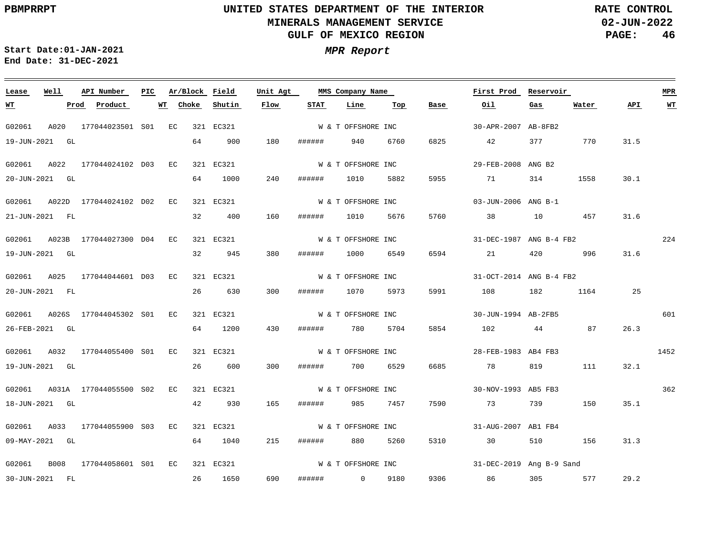**02-JUN-2022 PAGE: 46 RATE CONTROL**

 $\equiv$ 

**Start Date:01-JAN-2021 MPR Report End Date: 31-DEC-2021**

<u> 1989 - Johann Barn, amerikan bernama di sebagai pengaran bagi pengaran pengaran pengaran pengaran pengaran b</u>

| Lease          | Well | API Number                       | PIC | Ar/Block Field |           | Unit Agt |        | MMS Company Name   |      |      | First Prod               | Reservoir |       |      | <b>MPR</b> |
|----------------|------|----------------------------------|-----|----------------|-----------|----------|--------|--------------------|------|------|--------------------------|-----------|-------|------|------------|
| <u>WT</u>      |      | Prod<br>Product                  |     | Choke<br>WT    | Shutin    | Flow     | STAT   | Line               | Тор  | Base | Oil                      | Gas       | Water | API  | <u>WT</u>  |
| G02061         |      | A020 177044023501 S01 EC         |     |                | 321 EC321 |          |        | W & T OFFSHORE INC |      |      | 30-APR-2007 AB-8FB2      |           |       |      |            |
| 19-JUN-2021 GL |      |                                  |     | 64             | 900       | 180      | ###### | 940                | 6760 | 6825 | 42                       | 377       | 770   | 31.5 |            |
|                |      | G02061 A022 177044024102 D03 EC  |     |                | 321 EC321 |          |        | W & T OFFSHORE INC |      |      | 29-FEB-2008 ANG B2       |           |       |      |            |
| 20-JUN-2021 GL |      |                                  |     | 64             | 1000      | 240      | ###### | 1010               | 5882 | 5955 | 71                       | 314       | 1558  | 30.1 |            |
|                |      | G02061 A022D 177044024102 D02 EC |     |                | 321 EC321 |          |        | W & T OFFSHORE INC |      |      | 03-JUN-2006 ANG B-1      |           |       |      |            |
| 21-JUN-2021 FL |      |                                  |     | 32             | 400       | 160      | ###### | 1010               | 5676 | 5760 | 38                       | 10        | 457   | 31.6 |            |
|                |      | G02061 A023B 177044027300 D04 EC |     |                | 321 EC321 |          |        | W & T OFFSHORE INC |      |      | 31-DEC-1987 ANG B-4 FB2  |           |       |      | 224        |
| 19-JUN-2021 GL |      |                                  |     | 32             | 945       | 380      | ###### | 1000               | 6549 | 6594 | 21                       | 420       | 996   | 31.6 |            |
|                |      | G02061 A025 177044044601 D03 EC  |     |                | 321 EC321 |          |        | W & T OFFSHORE INC |      |      | 31-OCT-2014 ANG B-4 FB2  |           |       |      |            |
| 20-JUN-2021 FL |      |                                  |     | 26             | 630       | 300      | ###### | 1070               | 5973 | 5991 | 108                      | 182       | 1164  | 25   |            |
|                |      | G02061 A026S 177044045302 S01 EC |     |                | 321 EC321 |          |        | W & T OFFSHORE INC |      |      | 30-JUN-1994 AB-2FB5      |           |       |      | 601        |
| 26-FEB-2021 GL |      |                                  |     | 64             | 1200      | 430      | ###### | 780                | 5704 | 5854 | 102                      |           | 87    | 26.3 |            |
|                |      | G02061 A032 177044055400 S01 EC  |     |                | 321 EC321 |          |        | W & T OFFSHORE INC |      |      | 28-FEB-1983 AB4 FB3      |           |       |      | 1452       |
| 19-JUN-2021 GL |      |                                  |     | 26             | 600       | 300      | ###### | 700                | 6529 | 6685 | 78                       | 819       | 111   | 32.1 |            |
|                |      | G02061 A031A 177044055500 S02 EC |     |                | 321 EC321 |          |        | W & T OFFSHORE INC |      |      | 30-NOV-1993 AB5 FB3      |           |       |      | 362        |
| 18-JUN-2021 GL |      |                                  |     | 42             | 930       | 165      | ###### | 985                | 7457 | 7590 | 73                       | 739 — 139 | 150   | 35.1 |            |
|                |      | G02061 A033 177044055900 S03 EC  |     |                | 321 EC321 |          |        | W & T OFFSHORE INC |      |      | 31-AUG-2007 AB1 FB4      |           |       |      |            |
| 09-MAY-2021 GL |      |                                  |     | 64             | 1040      | 215      | ###### | 880                | 5260 | 5310 | 30                       | 510       | 156   | 31.3 |            |
|                |      | G02061 B008 177044058601 S01 EC  |     |                | 321 EC321 |          |        | W & T OFFSHORE INC |      |      | 31-DEC-2019 Ang B-9 Sand |           |       |      |            |
| 30-JUN-2021 FL |      |                                  |     | 26             | 1650      | 690      | ###### | $0$ 9180           |      |      | 9306 86                  | 305       | 577   | 29.2 |            |
|                |      |                                  |     |                |           |          |        |                    |      |      |                          |           |       |      |            |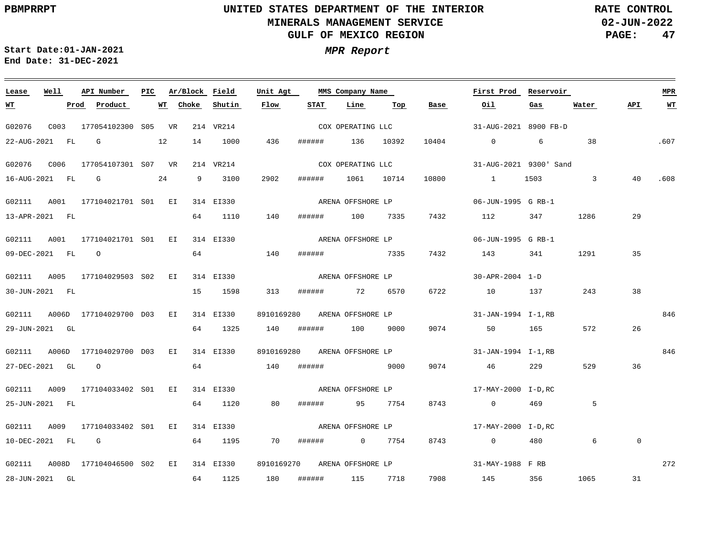**02-JUN-2022 PAGE: 47 RATE CONTROL**

 $\equiv$ 

**Start Date:01-JAN-2021 MPR Report End Date: 31-DEC-2021**

| Lease            | Well | API Number                                                                      | PIC | Ar/Block Field |           | Unit Agt |        | MMS Company Name             |      |      | First Prod Reservoir                             |      |                |                | <b>MPR</b> |
|------------------|------|---------------------------------------------------------------------------------|-----|----------------|-----------|----------|--------|------------------------------|------|------|--------------------------------------------------|------|----------------|----------------|------------|
| <u>WT</u>        |      | Prod Product                                                                    |     | WT Choke       | Shutin    | Flow     | STAT   | Line                         | Тор  | Base | Oil                                              | Gas  | <u>Water</u>   | API            | <b>WT</b>  |
| G02076           |      | C003 177054102300 S05 VR 214 VR214                                              |     |                |           |          |        | COX OPERATING LLC            |      |      | 31-AUG-2021 8900 FB-D                            |      |                |                |            |
|                  |      | 22-AUG-2021 FL G 12                                                             |     |                | 14 1000   | 436      |        | ###### 136 10392             |      |      | $10404$ 0 6                                      |      | 38             |                | .607       |
| G02076 C006      |      | 177054107301 S07 VR                                                             |     |                | 214 VR214 |          |        | COX OPERATING LLC            |      |      | 31-AUG-2021 9300' Sand                           |      |                |                |            |
| 16-AUG-2021 FL G |      | $\sim$ 24                                                                       |     |                | 9 3100    | 2902     | ###### |                              |      |      | 1061 10714 10800 1                               | 1503 | $\overline{3}$ | 40             | .608       |
|                  |      | G02111 A001 177104021701 S01 EI 314 EI330                                       |     |                |           |          |        |                              |      |      |                                                  |      |                |                |            |
| 13-APR-2021 FL   |      |                                                                                 |     |                | 64 1110   | 140      |        |                              |      |      | ###### 100 7335 7432 112                         | 347  | 1286           | 29             |            |
|                  |      | G02111 A001 177104021701 S01 EI 314 EI330                                       |     |                |           |          |        | ARENA OFFSHORE LP            |      |      | 06-JUN-1995 G RB-1                               |      |                |                |            |
| 09-DEC-2021 FL 0 |      |                                                                                 |     |                | 64 140    |          | ###### | 7335                         |      |      | 7432 143                                         | 341  | 1291           | 35             |            |
|                  |      | G02111 A005 177104029503 S02 EI 314 EI330                                       |     |                |           |          |        |                              |      |      | ARENA OFFSHORE LP $30 - APR - 2004$ 1-D          |      |                |                |            |
| 30-JUN-2021 FL   |      |                                                                                 |     |                | 15 1598   | 313      |        | ####### 72 6570              |      |      | 6722 10 137                                      |      | 243            | 38             |            |
|                  |      | G02111 A006D 177104029700 D03 EI 314 EI330                                      |     |                |           |          |        |                              |      |      | 8910169280 ARENA OFFSHORE LP 31-JAN-1994 I-1, RB |      |                |                | 846        |
| 29-JUN-2021 GL   |      |                                                                                 |     |                | 64 1325   |          |        | 140 ###### 100               | 9000 |      | 9074 50 165                                      |      | 572            | 26             |            |
|                  |      | G02111 A006D 177104029700 D03 EI 314 EI330                                      |     |                |           |          |        |                              |      |      | 8910169280 ARENA OFFSHORE LP 31-JAN-1994 I-1, RB |      |                |                | 846        |
| 27-DEC-2021 GL 0 |      |                                                                                 |     | 64             | 140       |          | ###### | 9000                         |      | 9074 | 46                                               | 229  | 529            | 36             |            |
|                  |      | G02111 A009 177104033402 S01 EI 314 EI330                                       |     |                |           |          |        | ARENA OFFSHORE LP            |      |      | 17-MAY-2000 I-D.RC                               |      |                |                |            |
| 25-JUN-2021 FL   |      |                                                                                 |     |                | 64 1120   | 80       |        | ###### 95 7754               |      |      | 8743 0                                           | 469  | -5             |                |            |
|                  |      | G02111 A009 177104033402 S01 EI 314 EI330 ARENA OFFSHORE LP 17-MAY-2000 I-D, RC |     |                |           |          |        |                              |      |      |                                                  |      |                |                |            |
| 10-DEC-2021 FL G |      |                                                                                 |     |                | 64 1195   | 70       |        | ####### 0 7754               |      | 8743 | $\overline{0}$                                   | 480  | 6              | $\overline{0}$ |            |
|                  |      | G02111 A008D 177104046500 S02 EI 314 EI330                                      |     |                |           |          |        | 8910169270 ARENA OFFSHORE LP |      |      | 31-MAY-1988 F RB                                 |      |                |                | 272        |
| 28-JUN-2021 GL   |      |                                                                                 |     |                | 64 1125   |          |        | 180 ###### 115 7718          |      |      | 7908 145 356                                     |      | 1065           | 31             |            |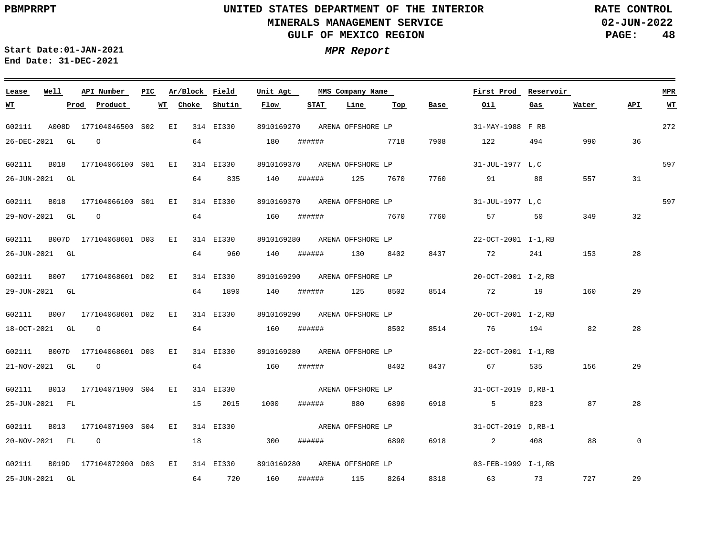**02-JUN-2022 PAGE: 48 RATE CONTROL**

 $\equiv$ 

**Start Date:01-JAN-2021 MPR Report End Date: 31-DEC-2021**

| Lease     | Well             | API Number                                | PIC. | Ar/Block Field |             | Unit Agt   |      | MMS Company Name             |     |             | First Prod                                                               | Reservoir |       |             | <b>MPR</b> |
|-----------|------------------|-------------------------------------------|------|----------------|-------------|------------|------|------------------------------|-----|-------------|--------------------------------------------------------------------------|-----------|-------|-------------|------------|
| <u>WT</u> |                  | Product<br>Prod                           | WT   | Choke          | Shutin      | Flow       | STAT | Line                         | Тор | <b>Base</b> | Oil                                                                      | Gas       | Water | API         | <u>WT</u>  |
| G02111    |                  | A008D 177104046500 S02 EI 314 EI330       |      |                |             |            |      | 8910169270 ARENA OFFSHORE LP |     |             | 31-MAY-1988 F RB                                                         |           |       |             | 272        |
|           | 26-DEC-2021 GL   | $\overline{O}$                            |      | 64             |             | 180        |      | ###### 7718                  |     | 7908        | 122                                                                      | 494       | 990   | 36          |            |
| G02111    | B018             | 177104066100 S01 EI 314 EI330             |      |                |             |            |      | 8910169370 ARENA OFFSHORE LP |     |             | 31-JUL-1977 L.C                                                          |           |       |             | 597        |
|           | 26-JUN-2021 GL   |                                           |      | 64             | 835         | 140        |      | ###### 125 7670              |     | 7760        | 91                                                                       | 88        | 557   | 31          |            |
|           |                  | G02111 B018 177104066100 S01 EI 314 EI330 |      |                |             |            |      | 8910169370 ARENA OFFSHORE LP |     |             | 31-JUL-1977 L.C                                                          |           |       |             | 597        |
|           | 29-NOV-2021 GL   | $\overline{O}$                            |      | 64             | 160         |            |      | ###### 7670                  |     | 7760        | 57 57                                                                    | 50        | 349   | 32          |            |
| G02111    |                  | B007D 177104068601 D03 EI 314 EI330       |      |                |             |            |      |                              |     |             | 8910169280 ARENA OFFSHORE LP 22-OCT-2001 I-1, RB                         |           |       |             |            |
|           | 26-JUN-2021 GL   |                                           |      | 64             | 960         | 140        |      | ####### 130 8402             |     | 8437        | 72 241                                                                   |           | 153   | 28          |            |
|           |                  | G02111 B007 177104068601 D02 EI 314 EI330 |      |                |             |            |      |                              |     |             | 8910169290 ARENA OFFSHORE LP 20-OCT-2001 I-2, RB                         |           |       |             |            |
|           | 29-JUN-2021 GL   |                                           |      |                | 64 1890     | 140        |      | ###### 125 8502              |     | 8514        | 72 19                                                                    |           | 160   | 29          |            |
| G02111    |                  | B007 177104068601 D02 EI 314 EI330        |      |                |             | 8910169290 |      |                              |     |             | ARENA OFFSHORE LP $20-9CT-2001$ I-2, RB                                  |           |       |             |            |
|           | 18-OCT-2021 GL 0 |                                           |      |                | 64 64 64 65 | 160        |      | ####### 8502                 |     | 8514        | 76 194                                                                   |           | 82    | 28          |            |
| G02111    |                  | B007D 177104068601 D03 EI 314 EI330       |      |                |             |            |      |                              |     |             | 8910169280 ARENA OFFSHORE LP 22-OCT-2001 I-1, RB                         |           |       |             |            |
|           | 21-NOV-2021 GL 0 |                                           |      | 64             | 160         |            |      | ####### 8402                 |     | 8437        | 67 67                                                                    | 535       | 156   | 29          |            |
| G02111    |                  | B013 177104071900 S04 EI 314 EI330        |      |                |             |            |      | ARENA OFFSHORE LP            |     |             | 31-OCT-2019 D.RB-1                                                       |           |       |             |            |
|           | 25-JUN-2021 FL   |                                           |      | 15             | 2015        | 1000       |      | ####### 880 6890             |     | 6918        | $5^{\circ}$                                                              | 823       | 87    | 28          |            |
| G02111    |                  |                                           |      |                |             |            |      |                              |     |             | B013 177104071900 S04 EI 314 EI330 ARENA OFFSHORE LP 31-OCT-2019 D, RB-1 |           |       |             |            |
|           | 20-NOV-2021 FL 0 |                                           |      | 18             | 300         |            |      | ###### 6890                  |     | 6918        | $\overline{2}$                                                           | 408       | 88    | $\mathbf 0$ |            |
| G02111    |                  | B019D 177104072900 D03 EI 314 EI330       |      |                |             | 8910169280 |      |                              |     |             |                                                                          |           |       |             |            |
|           | 25-JUN-2021 GL   |                                           |      |                | 64 720      | 160        |      | ####### 115 8264             |     |             | 8318 63 73                                                               |           | 727   | 29          |            |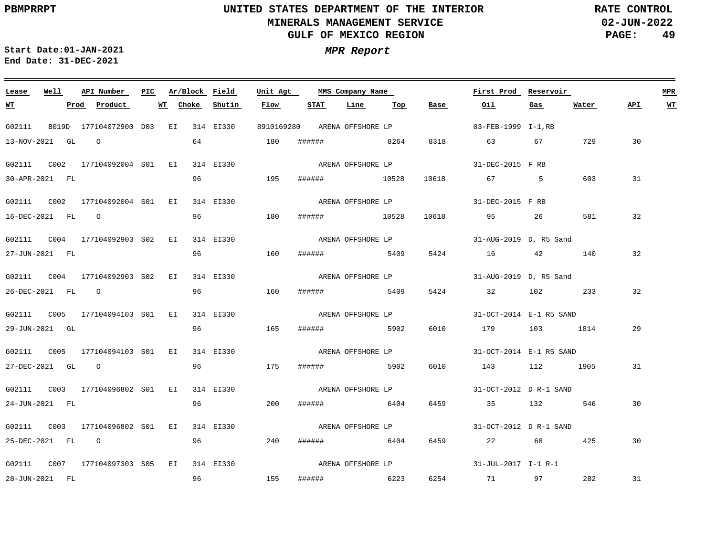**02-JUN-2022 PAGE: 49 RATE CONTROL**

**Start Date:01-JAN-2021 MPR Report End Date: 31-DEC-2021**

### **Lease Well API Number Ar/Block Field Unit Agt PIC MMS Company Name First Prod Reservoir MPR STAT Line API WT WT Prod Product WT Choke Shutin Flow Top Base Oil Gas Water** G02111 B019D 177104072900 D03 EI 314 EI330 8910169280 ARENA@FFSHORELP 03-FEB-1999 I-1, RB 13-NOV-2021 GL O 64 180 ###### 8264 8318 63 67 729 30 ARENA OFFSHORE LP G02111 C002 177104092004 EI 314 EI330 S01 31-DEC-2015 F RB 603 31 30-APR-2021 FL 96 195 ###### 10528 10618 67 5 ARENA OFFSHORE LP G02111 C002 177104092004 EI 314 EI330 S01 31-DEC-2015 F RB 96 32 16-DEC-2021 FL O 180 ###### 10528 10618 95 26 581 G02111 C004 177104092903 EI 314 EI330 S02 31-AUG-2019 D, R5 Sand ARENA OFFSHORE LP 32 27-JUN-2021 FL 96 160 ###### 5409 5424 16 42 140 G02111 C004 177104092903 EI 314 EI330 S02 31-AUG-2019 D, R5 Sand ARENA OFFSHORE LP 96 32 26-DEC-2021 FL O 160 ###### 5409 5424 32 102 233 G02111 C005 177104094103 EI 314 EI330 S01 31-OCT-2014 E-1 R5 SAND ARENA OFFSHORE LP 29 29-JUN-2021 GL 96 165 ###### 5902 6010 179 103 1814 G02111 C005 177104094103 EI 314 EI330 S01 31-OCT-2014 E-1 R5 SAND ARENA OFFSHORE LP 27-DEC-2021 GL O 96 175 ###### 5902 6010 143 112 1905 31 ARENA OFFSHORE LP G02111 C003 177104096802 EI 314 EI330 S01 31-OCT-2012 D R-1 SAND 96 24-JUN-2021 FL 200 ###### 6404 6459 35 132 546 30 ARENA OFFSHORE LP G02111 C003 177104096802 EI 314 EI330 S01 31-OCT-2012 D R-1 SAND 25-DEC-2021 FL O 96 240 ###### 6404 6459 22 68 425 30 ARENA OFFSHORE LP G02111 C007 177104097303 EI 314 EI330 S0531-JUL-2017 I-1 R-1 282 31 28-JUN-2021 FL 96 155 ###### 6223 6254 71 97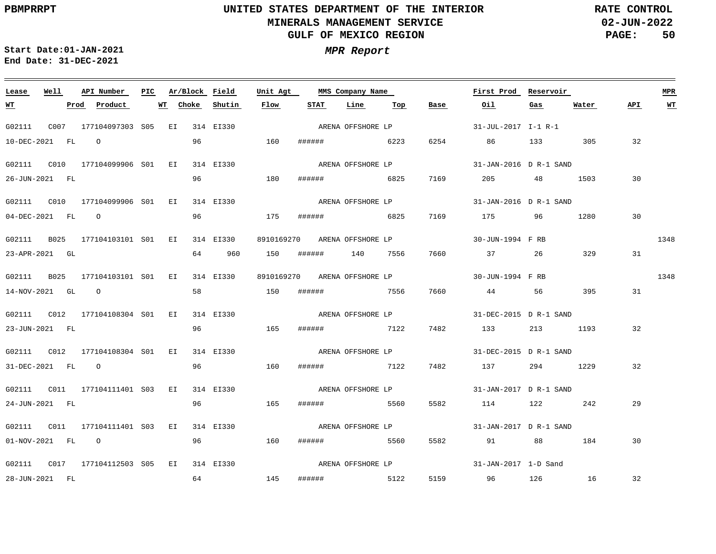**02-JUN-2022 PAGE: 50 RATE CONTROL**

 $\equiv$ 

**Start Date:01-JAN-2021 MPR Report End Date: 31-DEC-2021**

| Lease            | Well | API Number                         | PIC | Ar/Block Field  |           | Unit Agt |                              | MMS Company Name  |      |      | First Prod             | Reservoir |       |     | <b>MPR</b> |
|------------------|------|------------------------------------|-----|-----------------|-----------|----------|------------------------------|-------------------|------|------|------------------------|-----------|-------|-----|------------|
| <u>WТ</u>        |      | Prod Product                       |     | WT Choke Shutin |           | Flow     | STAT                         | Line              | Тор  | Base | Oil                    | Gas       | Water | API | WТ         |
| G02111           |      | C007 177104097303 S05 EI 314 EI330 |     |                 |           |          |                              | ARENA OFFSHORE LP |      |      | 31-JUL-2017 I-1 R-1    |           |       |     |            |
| 10-DEC-2021 FL 0 |      |                                    |     | 96              |           | 160      | ####### 6223                 |                   |      | 6254 | 86 133                 |           | 305   | 32  |            |
|                  |      |                                    |     |                 | 314 EI330 |          |                              | ARENA OFFSHORE LP |      |      | 31-JAN-2016 D R-1 SAND |           |       |     |            |
| 26-JUN-2021 FL   |      |                                    |     | 96              |           | 180      | ######                       |                   | 6825 | 7169 | 205                    | 48 1503   |       | 30  |            |
|                  |      |                                    |     |                 | 314 EI330 |          |                              | ARENA OFFSHORE LP |      |      | 31-JAN-2016 D R-1 SAND |           |       |     |            |
| 04-DEC-2021 FL 0 |      |                                    |     | 96              |           | 175      | ####### 6825                 |                   |      | 7169 | 175 96                 |           | 1280  | 30  |            |
|                  |      |                                    |     |                 |           |          |                              |                   |      |      | 30-JUN-1994 F RB       |           |       |     | 1348       |
|                  |      | G02111 B025 177104103101 S01 EI    |     |                 | 314 EI330 |          | 8910169270 ARENA OFFSHORE LP |                   |      |      |                        |           |       |     |            |
| 23-APR-2021 GL   |      |                                    |     | 64              | 960       | 150      | ######                       | 140 7556          |      | 7660 | 37 26                  |           | 329   | 31  |            |
|                  |      | G02111 B025 177104103101 S01 EI    |     |                 | 314 EI330 |          | 8910169270 ARENA OFFSHORE LP |                   |      |      | 30-JUN-1994 F RB       |           |       |     | 1348       |
| 14-NOV-2021 GL 0 |      |                                    |     | 58              |           | 150      | ###### 7556                  |                   |      | 7660 | 44                     | 56        | 395   | 31  |            |
|                  |      |                                    |     |                 | 314 EI330 |          |                              | ARENA OFFSHORE LP |      |      | 31-DEC-2015 D R-1 SAND |           |       |     |            |
| 23-JUN-2021 FL   |      |                                    |     | 96              |           | 165      | ######                       | 7122              |      | 7482 | 133 213 1193           |           |       | 32  |            |
|                  |      |                                    |     |                 |           |          |                              |                   |      |      |                        |           |       |     |            |
|                  |      |                                    |     |                 |           |          |                              | ARENA OFFSHORE LP |      |      | 31-DEC-2015 D R-1 SAND |           |       |     |            |
| 31-DEC-2021 FL 0 |      |                                    |     | 96              |           | 160      | ####### 7122                 |                   |      | 7482 | 137 294 1229           |           |       | 32  |            |
|                  |      |                                    |     |                 | 314 EI330 |          |                              | ARENA OFFSHORE LP |      |      | 31-JAN-2017 D R-1 SAND |           |       |     |            |
| 24-JUN-2021 FL   |      |                                    |     | 96              |           | 165      | ######                       | 5560              |      | 5582 | 114 122 242            |           |       | 29  |            |
|                  |      |                                    |     |                 |           |          |                              | ARENA OFFSHORE LP |      |      | 31-JAN-2017 D R-1 SAND |           |       |     |            |
|                  |      |                                    |     |                 |           |          |                              |                   |      |      |                        |           |       |     |            |
| 01-NOV-2021 FL 0 |      |                                    |     | 96              |           | 160      | ####### 5560                 |                   |      | 5582 | 91 88                  |           | 184   | 30  |            |
|                  |      |                                    |     |                 | 314 EI330 |          |                              | ARENA OFFSHORE LP |      |      | 31-JAN-2017 1-D Sand   |           |       |     |            |
| 28-JUN-2021 FL   |      |                                    |     | 64              |           | 145      | ###### 5122                  |                   |      |      | 5159 96 126 16         |           |       | 32  |            |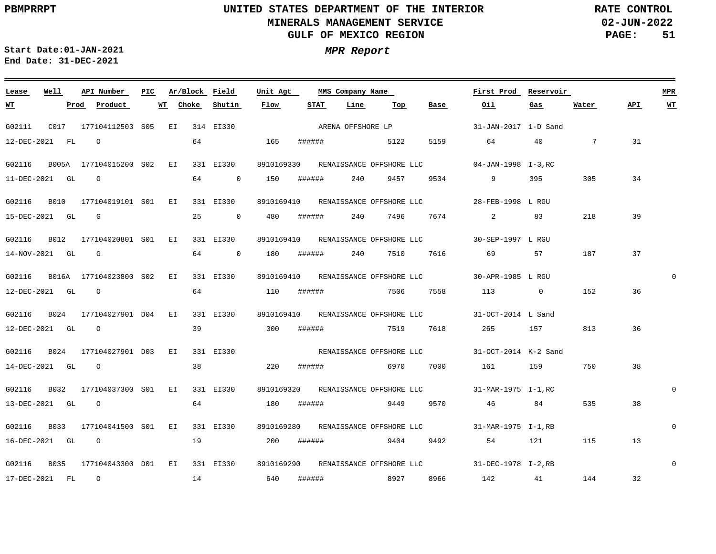**02-JUN-2022 PAGE: 51 RATE CONTROL**

**Start Date:01-JAN-2021 MPR Report End Date: 31-DEC-2021**

### G02111 C017 177104112503 EI 314 EI330 S05 G02116 B005A 177104015200 EI 331 EI330 S02 G02116 B010 177104019101 EI 331 EI330 8910169410 28-FEB-1998 L RGU RENAISSANCE OFFSHORE LLC S01 G02116 B012 177104020801 S01 EI 331 EI330 8910169410 RENAISSANCE\_OFFSHORE\_LLC 30-SEP-1997 L\_RGU G02116 B016A 177104023800 S02 EI 331 EI330 8910169410 RENAISSANCE@OFSHORE\_LLC 30-APR-1985 L\_RGU G02116 B024 177104027901 D04 EI 331 EI330 G02116 B024 177104027901 D03 EI 331 EI330 G02116 B032 177104037300 S01 EI 331 EI330 8910169320 RENAISSANCE\_OFFSHORE\_LLC 31-MAR-1975 I-1,RC G02116 B033 177104041500 S01 EI 331 EI330 8910169280 RENAISSANCE\_OFFSHORE\_LLC 31-MAR-1975 I-1,RB G02116 B035 177104043300 D01 EI 331 EI330 8910169290 RENAISSANCE-OFFSHORE-LLC 31-DEC-1978 I-2,RB **Lease Well API Number Ar/Block Field** 8910169330 RENAISSANCE OFFSHORE LLC 04-JAN-1998 I-3, RC 8910169410 31-OCT-2014 L Sand RENAISSANCE OFFSHORE LLC **Unit Agt First Prod Reservoir PIC MMS Company Name** 31-JAN-2017 1-D Sand 31-OCT-2014 K-2 Sand RENAISSANCE OFFSHORE LLC 0  $\Omega$  $\Omega$ 0 **MPR** 12-DEC-2021 FL 11-DEC-2021 GL G 15-DEC-2021 GL G 14-NOV-2021 GL G 12-DEC-2021 GL O 12-DEC-2021 GL O 14-DEC-2021 GL O 13-DEC-2021 GL O 16-DEC-2021 GL O 17-DEC-2021 FL O **WT Prod Product WT** O 64 165 ###### 5122 5159 64 0 150 ###### 240 9457 9534 9 395 25 0 480 ###### 240 7496 7674 2 83 64 0 180 ###### 240 7510 7616 69 57 64 110 ###### 39 300 ###### 7519 7618 265 157 813 38 220 ###### 6970 7000 161 159 750 64 180 ###### 9449 9570 19 200 ###### 9404 9492 14 **Choke Shutin Flow** 640 ###### **STAT Line** 7506 7558 113 0 152 8927 8966 **Top Base Oil** 64 40 7 31 46 84 54 121 115 142 41 144 **Gas** 305 218 187 535 **Water** 34 39 37 36 36 38 38 13 32 **API WT** ARENA OFFSHORE LP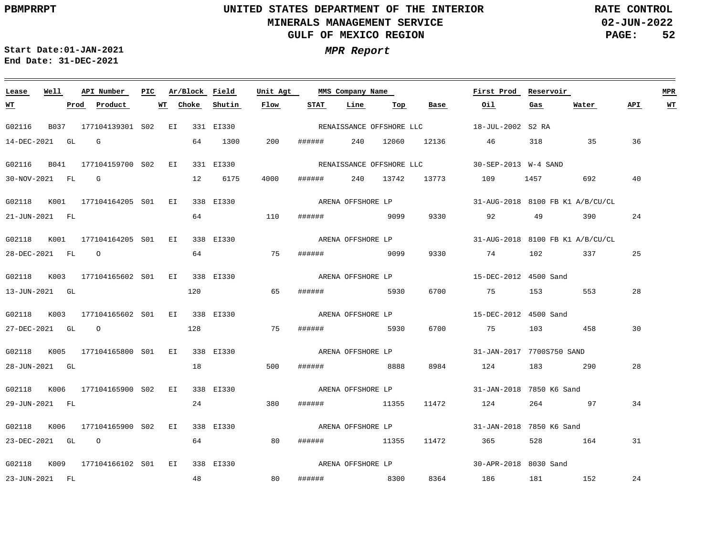**02-JUN-2022 PAGE: 52 RATE CONTROL**

**Start Date:01-JAN-2021 MPR Report End Date: 31-DEC-2021**

### **Lease Well API Number Ar/Block Field Unit Agt First Prod Reservoir MPR PIC MMS Company Name STAT Line API WT WT Prod Product WT Choke Shutin Flow Top Base Oil Gas Water** RENAISSANCE OFFSHORE LLC G02116 B037 177104139301 S02 EI 331 EI330 18-JUL-2002 S2 RA 14-DEC-2021 GL G 64 1300 200 ###### 240 12060 12136 46 318 35 36 G02116 B041 177104159700 S02 EI 331 EI330 30-SEP-2013 W-4 SAND RENAISSANCE OFFSHORE LLC 40 30-NOV-2021 FL G 12 6175 4000 ###### 240 13742 13773 109 1457 692 G02118 K001 177104164205 S01 EI 338 EI330 31-AUG-2018 8100 FB K1 A/B/CU/CL ARENA OFFSHORE LP 64 24 21-JUN-2021 FL 110 ###### 9099 9330 92 49 390 G02118 K001 177104164205 S01 EI 338 EI330 31-AUG-2018 8100 FB K1 A/B/CU/CL ARENA OFFSHORE LP 28-DEC-2021 FL O 64 75 ###### 9099 9330 74 102 337 25 G02118 K003 177104165602 S01 EI 338 EI330 15-DEC-2012 4500 Sand ARENA OFFSHORE LP 120 28 13-JUN-2021 GL 65 ###### 5930 6700 75 153 553 G02118 K003 177104165602 S01 EI 338 EI330 15-DEC-2012 4500 Sand ARENA OFFSHORE LP 75 30 27-DEC-2021 GL O 128 ###### 5930 6700 75 103 458 G02118 K005 177104165800 S01 EI 338 EI330 31-JAN-2017 7700S750 SAND ARENA OFFSHORE LP 18 28-JUN-2021 GL 500 ###### 8888 8984 124 183 290 28 G02118 K006 177104165900 S02 EI 338 EI330 ARENA OFFSHORE LP 31-JAN-2018 7850 K6 Sand 24 29-JUN-2021 FL 380 ###### 11355 11472 124 264 97 34 ARENA OFFSHORE LP G02118 K006 177104165900 S02 EI 338 EI330 31-JAN-2018 7850 K6 Sand 64 23-DEC-2021 GL O 80 ###### 11355 11472 365 528 164 31 ARENA OFFSHORE LP G02118 K009 177104166102 S01 EI 338 EI330 30-APR-2018 8030 Sand 48 80 24 23-JUN-2021 FL ###### 8300 8364 186 181 152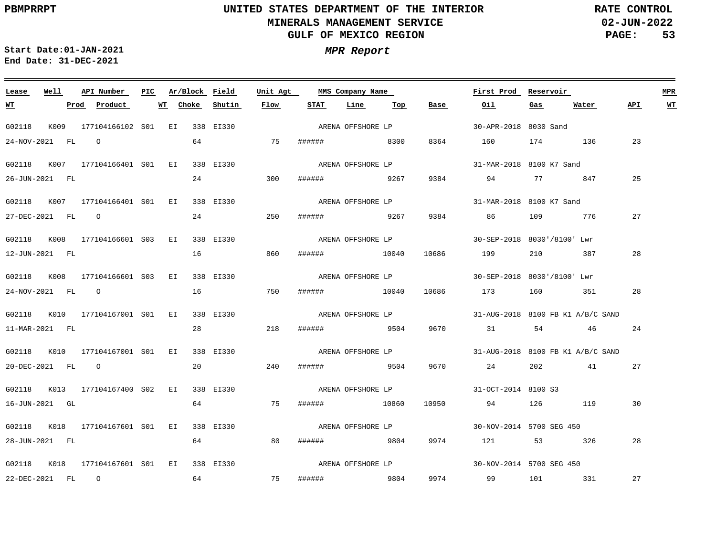**02-JUN-2022 PAGE: 53 RATE CONTROL**

 $\equiv$ 

**Start Date:01-JAN-2021 MPR Report End Date: 31-DEC-2021**

<u> 1989 - Johann Stein, marwolaethau a bhannaich an t-Albann an t-Albann an t-Albann an t-Albann an t-Albann an</u>

| Lease            | Well | API Number                      | PIC | Ar/Block | Field     | Unit Agt |        | MMS Company Name  |     |       | First Prod                        | Reservoir |       |     | <b>MPR</b> |
|------------------|------|---------------------------------|-----|----------|-----------|----------|--------|-------------------|-----|-------|-----------------------------------|-----------|-------|-----|------------|
| <u>WТ</u>        |      | Prod<br>Product                 | WT  | Choke    | Shutin    | Flow     | STAT   | Line              | Тор | Base  | Oil                               | Gas       | Water | API | <u>WT</u>  |
| G02118           |      | K009 177104166102 S01 EI        |     |          | 338 EI330 |          |        | ARENA OFFSHORE LP |     |       | 30-APR-2018 8030 Sand             |           |       |     |            |
| 24-NOV-2021 FL 0 |      |                                 |     | 64       |           | 75       |        | ####### 8300      |     | 8364  | 160                               | 174 136   |       | 23  |            |
|                  |      | G02118 K007 177104166401 S01 EI |     |          | 338 EI330 |          |        | ARENA OFFSHORE LP |     |       | 31-MAR-2018 8100 K7 Sand          |           |       |     |            |
| 26-JUN-2021 FL   |      |                                 |     | 24       |           | 300      | ###### | 9267              |     | 9384  | 94                                | 77 847    |       | 25  |            |
|                  |      | G02118 K007 177104166401 S01 EI |     |          | 338 EI330 |          |        | ARENA OFFSHORE LP |     |       | 31-MAR-2018 8100 K7 Sand          |           |       |     |            |
|                  |      | 27-DEC-2021 FL 0                |     | 24       |           | 250      |        | ###### 9267       |     | 9384  | 86 30                             | 109 776   |       | 27  |            |
|                  |      | G02118 K008 177104166601 S03 EI |     |          | 338 EI330 |          |        | ARENA OFFSHORE LP |     |       | 30-SEP-2018 8030'/8100' Lwr       |           |       |     |            |
| 12-JUN-2021 FL   |      |                                 |     | 16       |           | 860      | ###### | 10040             |     | 10686 | 199                               | 210       | 387   | 28  |            |
|                  |      | G02118 K008 177104166601 S03 EI |     |          | 338 EI330 |          |        | ARENA OFFSHORE LP |     |       | 30-SEP-2018 8030'/8100' Lwr       |           |       |     |            |
|                  |      | 24-NOV-2021 FL O                |     | 16       |           | 750      |        | ####### 10040     |     | 10686 | 173                               | 160 351   |       | 28  |            |
|                  |      | G02118 K010 177104167001 S01 EI |     |          | 338 EI330 |          |        | ARENA OFFSHORE LP |     |       | 31-AUG-2018 8100 FB K1 A/B/C SAND |           |       |     |            |
| 11-MAR-2021 FL   |      |                                 |     | 28       |           | 218      | ###### | 9504              |     | 9670  | 31                                | 54 46     |       | 24  |            |
|                  |      | G02118 K010 177104167001 S01 EI |     |          | 338 EI330 |          |        | ARENA OFFSHORE LP |     |       | 31-AUG-2018 8100 FB K1 A/B/C SAND |           |       |     |            |
|                  |      | 20-DEC-2021 FL 0                |     | 20       |           | 240      |        | ###### 9504       |     | 9670  | 24 24                             | 202 41    |       | 27  |            |
| G02118           |      | K013 177104167400 S02 EI        |     |          | 338 EI330 |          |        | ARENA OFFSHORE LP |     |       | 31-OCT-2014 8100 S3               |           |       |     |            |
| 16-JUN-2021 GL   |      |                                 |     | 64       |           | 75       | ###### | 10860             |     | 10950 | 94                                | 126 119   |       | 30  |            |
|                  |      | G02118 K018 177104167601 S01 EI |     |          | 338 EI330 |          |        | ARENA OFFSHORE LP |     |       | 30-NOV-2014 5700 SEG 450          |           |       |     |            |
| 28-JUN-2021 FL   |      |                                 |     | 64       |           | 80       |        | ####### 9804      |     | 9974  | 121                               | 53 326    |       | 28  |            |
|                  |      | G02118 K018 177104167601 S01 EI |     |          | 338 EI330 |          |        | ARENA OFFSHORE LP |     |       | 30-NOV-2014 5700 SEG 450          |           |       |     |            |
| 22-DEC-2021 FL 0 |      |                                 |     | 64       |           | 75       | ###### | 9804              |     | 9974  | 99                                | 101 331   |       | 27  |            |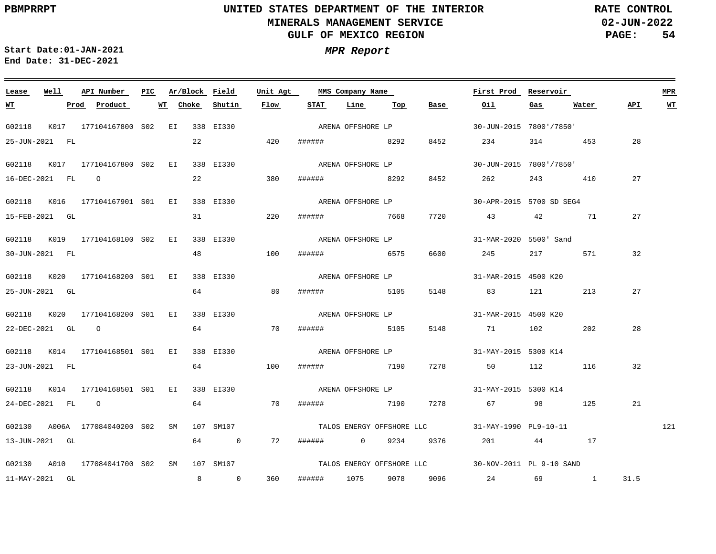**02-JUN-2022 PAGE: 54 RATE CONTROL**

 $\equiv$ 

<u> 1989 - Andrea Andrea Andrea Andrea Andrea Andrea Andrea Andrea Andrea Andrea Andrea Andrea Andrea Andrea And</u>

| Lease            | Well | API Number                       | PIC | Ar/Block Field |                            | Unit Agt |                     | MMS Company Name          |     |      | First Prod                                         | Reservoir |         |      | <b>MPR</b> |
|------------------|------|----------------------------------|-----|----------------|----------------------------|----------|---------------------|---------------------------|-----|------|----------------------------------------------------|-----------|---------|------|------------|
| <u>WT</u>        |      | Product<br>Prod                  |     | WT Choke       | Shutin                     | Flow     | STAT                | Line                      | Тор | Base | Oil                                                | $gas$     | Water   | API. | <u>WТ</u>  |
| G02118           |      | K017 177104167800 S02 EI         |     |                | 338 EI330                  |          |                     | ARENA OFFSHORE LP         |     |      | 30-JUN-2015 7800'/7850'                            |           |         |      |            |
| 25-JUN-2021 FL   |      |                                  |     | 22             |                            | 420      | ####### 8292        |                           |     | 8452 | 234                                                |           | 314 453 | 28   |            |
|                  |      | G02118 K017 177104167800 S02 EI  |     |                | 338 EI330                  |          |                     | ARENA OFFSHORE LP         |     |      | 30-JUN-2015 7800'/7850'                            |           |         |      |            |
| 16-DEC-2021 FL 0 |      |                                  |     | 22             |                            | 380      | ######              | 8292                      |     | 8452 | 262                                                |           | 243 410 | 27   |            |
|                  |      | G02118 K016 177104167901 S01 EI  |     |                | 338 EI330                  |          |                     | ARENA OFFSHORE LP         |     |      | 30-APR-2015 5700 SD SEG4                           |           |         |      |            |
| 15-FEB-2021 GL   |      |                                  |     | 31             |                            | 220      | ####### 7668        |                           |     | 7720 | 43                                                 | 42        | 71      | 27   |            |
|                  |      | G02118 K019 177104168100 S02 EI  |     |                | 338 EI330                  |          |                     | ARENA OFFSHORE LP         |     |      | 31-MAR-2020 5500' Sand                             |           |         |      |            |
| 30-JUN-2021 FL   |      |                                  |     | 48             |                            | 100      | ######              | 6575                      |     | 6600 | 245                                                | 217       | 571     | 32   |            |
|                  |      | G02118 K020 177104168200 S01 EI  |     |                | 338 EI330                  |          |                     | ARENA OFFSHORE LP         |     |      | 31-MAR-2015 4500 K20                               |           |         |      |            |
| 25-JUN-2021 GL   |      |                                  |     | 64             |                            | 80       | ###### 5105         |                           |     | 5148 | 83 121                                             |           | 213     | 27   |            |
|                  |      |                                  |     |                |                            |          |                     |                           |     |      |                                                    |           |         |      |            |
| 22-DEC-2021 GL 0 |      | G02118 K020 177104168200 S01 EI  |     | 64             | 338 EI330                  | 70       | ######              | ARENA OFFSHORE LP<br>5105 |     | 5148 | 31-MAR-2015 4500 K20<br>71 102                     |           | 202     | 28   |            |
|                  |      |                                  |     |                |                            |          |                     |                           |     |      |                                                    |           |         |      |            |
|                  |      | G02118 K014 177104168501 S01 EI  |     |                | 338 EI330                  |          |                     | ARENA OFFSHORE LP         |     |      | 31-MAY-2015 5300 K14                               |           |         |      |            |
| 23-JUN-2021 FL   |      |                                  |     | 64             |                            | 100      | ###### 7190         |                           |     | 7278 | 50                                                 | 112       | 116     | 32   |            |
|                  |      | G02118 K014 177104168501 S01 EI  |     |                | 338 EI330                  |          |                     | ARENA OFFSHORE LP         |     |      | 31-MAY-2015 5300 K14                               |           |         |      |            |
| 24-DEC-2021 FL 0 |      |                                  |     | 64             |                            | 70       | ######              | 7190                      |     | 7278 | 67 — 100                                           | 98        | 125     | 21   |            |
|                  |      | G02130 A006A 177084040200 S02 SM |     |                | 107 SM107                  |          |                     |                           |     |      | TALOS ENERGY OFFSHORE LLC 31-MAY-1990 PL9-10-11    |           |         |      | 121        |
| 13-JUN-2021 GL   |      |                                  |     | 64             | $\overline{\phantom{0}}$ 0 | 72       | ####### 0 9234 9376 |                           |     |      | 201                                                |           | 44 17   |      |            |
|                  |      | G02130 A010 177084041700 S02 SM  |     |                | 107 SM107                  |          |                     |                           |     |      | TALOS ENERGY OFFSHORE LLC 30-NOV-2011 PL 9-10 SAND |           |         |      |            |
| 11-MAY-2021 GL   |      |                                  |     | 8              | $\overline{0}$             | 360      | ######              | 1075 9078                 |     |      | 9096 24 69 1                                       |           |         | 31.5 |            |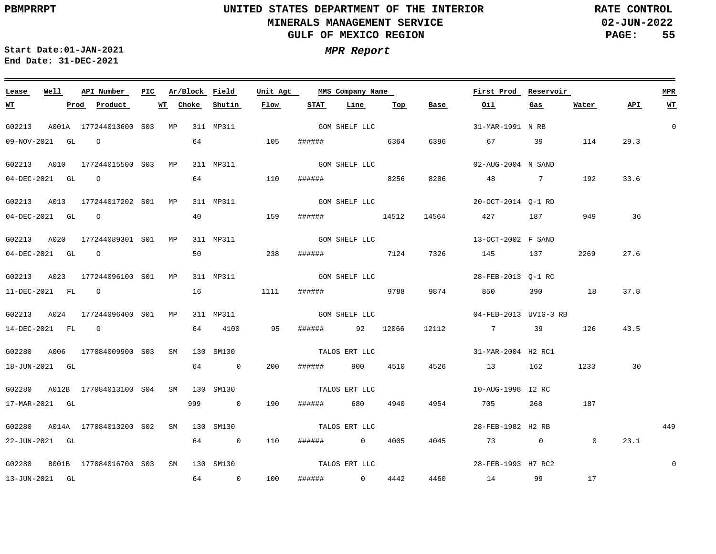**02-JUN-2022 PAGE: 55 RATE CONTROL**

**Start Date:01-JAN-2021 MPR Report End Date: 31-DEC-2021**

| Lease               | Well | API Number                                 | PIC. |    |       | Ar/Block Field | Unit Agt |               | MMS Company Name |      |       | First Prod            | Reservoir |                |      | <b>MPR</b>  |
|---------------------|------|--------------------------------------------|------|----|-------|----------------|----------|---------------|------------------|------|-------|-----------------------|-----------|----------------|------|-------------|
| <u>WT</u>           |      | Product<br>Prod                            |      | WT | Choke | Shutin         | Flow     | STAT          | Line             | Тор  | Base  | Oil                   | Gas       | Water          | API  | <b>WT</b>   |
| G02213              |      | A001A 177244013600 S03 MP 311 MP311        |      |    |       |                |          |               | GOM SHELF LLC    |      |       | 31-MAR-1991 N RB      |           |                |      | $\mathbf 0$ |
|                     |      | 09-NOV-2021 GL O                           |      |    |       | 64 64 64 65    | 105      |               | ###### 6364      |      | 6396  | 67 8                  | 39        | 114            | 29.3 |             |
| G02213              | A010 | 177244015500 S03 MP                        |      |    |       | 311 MP311      |          |               | GOM SHELF LLC    |      |       | 02-AUG-2004 N SAND    |           |                |      |             |
| 04-DEC-2021 GL 0    |      |                                            |      |    |       | 64 64 64 65    | 110      |               | ###### 8256      |      | 8286  | 48 7                  |           | 192            | 33.6 |             |
|                     |      | G02213 A013 177244017202 S01 MP            |      |    |       | 311 MP311      |          |               | GOM SHELF LLC    |      |       | 20-OCT-2014 O-1 RD    |           |                |      |             |
| $04$ -DEC-2021 GL O |      |                                            |      |    | 40    |                | 159      |               | ###### 14512     |      | 14564 | 427 187               |           | 949            | 36   |             |
| G02213 A020         |      | 177244089301 SO1 MP                        |      |    |       | 311 MP311      |          |               | GOM SHELF LLC    |      |       | 13-OCT-2002 F SAND    |           |                |      |             |
| $04$ -DEC-2021 GL O |      |                                            |      |    | 50    | 238            |          |               | ####### 7124     |      | 7326  | 145 137               |           | 2269           | 27.6 |             |
|                     |      | G02213 A023 177244096100 S01 MP            |      |    |       | 311 MP311      |          | GOM SHELF LLC |                  |      |       | 28-FEB-2013 Q-1 RC    |           |                |      |             |
| 11-DEC-2021 FL 0    |      |                                            |      |    | 16    |                | 1111     |               | ###### 9788      |      |       | 9874 850              |           | 390 18         | 37.8 |             |
| G02213              | A024 | 177244096400 SO1 MP                        |      |    |       | 311 MP311      |          |               | GOM SHELF LLC    |      |       | 04-FEB-2013 UVIG-3 RB |           |                |      |             |
| 14-DEC-2021 FL G    |      |                                            |      |    |       | 64 4100        | 95       |               | ###### 92 12066  |      | 12112 | 7 39                  |           | 126            | 43.5 |             |
|                     |      | G02280 A006 177084009900 S03 SM 130 SM130  |      |    |       |                |          |               | TALOS ERT LLC    |      |       | 31-MAR-2004 H2 RC1    |           |                |      |             |
| 18-JUN-2021 GL      |      |                                            |      |    |       | 64 0           | 200      |               | ###### 900       | 4510 | 4526  | 13 162                |           | 1233           | 30   |             |
|                     |      | G02280 A012B 177084013100 S04 SM 130 SM130 |      |    |       |                |          |               | TALOS ERT LLC    |      |       | 10-AUG-1998 I2 RC     |           |                |      |             |
| 17-MAR-2021 GL      |      |                                            |      |    |       | 999 0          | 190      |               | ###### 680       | 4940 | 4954  | 705                   |           | 268 187        |      |             |
|                     |      | G02280 A014A 177084013200 S02 SM 130 SM130 |      |    |       |                |          | TALOS ERT LLC |                  |      |       | 28-FEB-1982 H2 RB     |           |                |      | 449         |
| 22-JUN-2021 GL      |      |                                            |      |    |       | 64 0           | 110      |               | ###### 0         | 4005 | 4045  | 73 0                  |           | $\overline{0}$ | 23.1 |             |
|                     |      | G02280 B001B 177084016700 S03 SM 130 SM130 |      |    |       |                |          |               | TALOS ERT LLC    |      |       | 28-FEB-1993 H7 RC2    |           |                |      | $\mathbf 0$ |
| 13-JUN-2021 GL      |      |                                            |      |    |       | 64 0           | 100      |               | ###### 0         | 4442 |       | 4460 14 99 17         |           |                |      |             |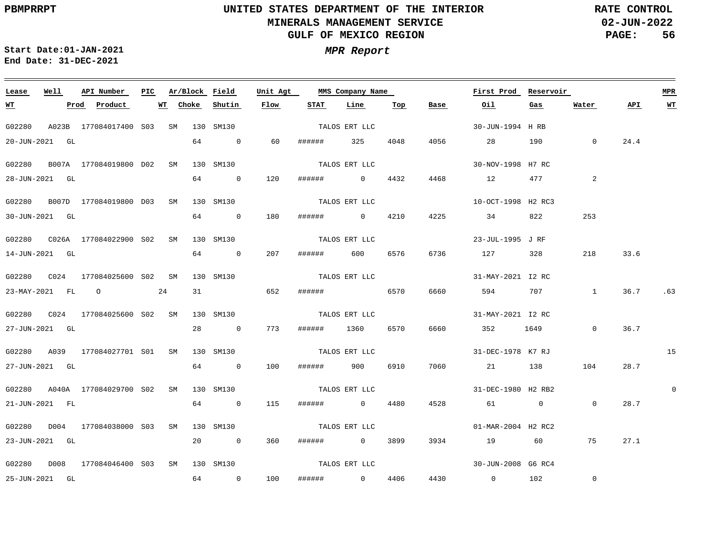**02-JUN-2022 PAGE: 56 RATE CONTROL**

**Start Date:01-JAN-2021 MPR Report End Date: 31-DEC-2021**

### <u> 1989 - Johann Barn, mars ann an t-Amhain Aonaich an t-Aonaich an t-Aonaich ann an t-Aonaich ann an t-Aonaich</u> **Lease Well API Number Ar/Block PIC MMS Company Name Field Unit Agt First Prod Reservoir MPR STAT Line Top Water WT Prod Product WT Choke Shutin Flow Base Oil Gas API WT** TALOS ERT LLC G02280 A023B 177084017400 S03 SM 130 SM130 30-JUN-1994 H RB 20-JUN-2021 GL 64 0 60 ###### 325 4048 4056 28 190 0 24.4 TALOS ERT LLC G02280 B007A 177084019800 D02 SM 130 SM130 30-NOV-1998 H7 RC 4468 28-JUN-2021 GL 64 0 120 ###### 0 4432 12 477 2 TALOS ERT LLC G02280 B007D 177084019800 D03 SM 130 SM130 10-OCT-1998 H2 RC3 64 253 30-JUN-2021 GL 0 180 ###### 0 4210 4225 34 822 TALOS ERT LLC G02280 C026A 177084022900 SM 130 SM130 S02 23-JUL-1995 J RF 207 14-JUN-2021 GL 64 0 ###### 600 6576 6736 127 328 218 33.6 TALOS ERT LLC G02280 C024 177084025600 SM S02 130 SM130 31-MAY-2021 I2 RC 24 31 36.7 .63 23-MAY-2021 FL O 652 ###### 6570 6660 594 707 1 G02280 C024 177084025600 SM S02 130 SM130 TALOS ERT LLC 31-MAY-2021 I2 RC 773  $\overline{0}$ 36.7 27-JUN-2021 GL 28 0 ###### 1360 6570 6660 352 1649 G02280 A039 177084027701 S01 SM 130 SM130 TALOS ERT LLC 31-DEC-1978 K7 RJ 15 27-JUN-2021 GL 64 0 100 ###### 900 6910 7060 21 138 104 28.7 TALOS ERT LLC G02280 A040A 177084029700 S02 SM 130 SM130 31-DEC-1980 H2 RB2  $\Omega$ 21-JUN-2021 FL 64 0 115 ###### 0 4480 4528 61 0  $\overline{0}$ 28.7 TALOS ERT LLC G02280 D004 177084038000 S03 SM 130 SM130 01-MAR-2004 H2 RC2 23-JUN-2021 GL 20 0 360 ###### 0 3899 3934 19 60 75 27.1 TALOS ERT LLC G02280 D008 177084046400 S03 SM 130 SM130 30-JUN-2008 G6 RC4  $\Omega$ 25-JUN-2021 GL 64 0 100 ###### 0 4406 4430 0 102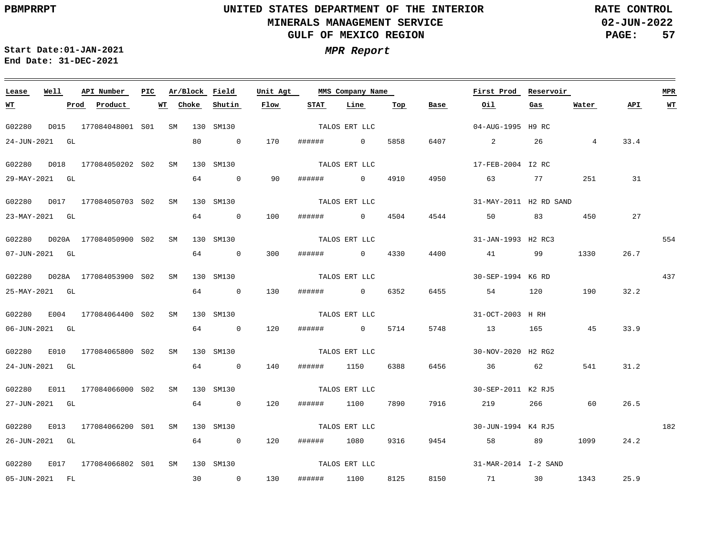**02-JUN-2022 PAGE: 57 RATE CONTROL**

 $\equiv$ 

| Lease      | Well           | API Number                      | PIC |    | Ar/Block Field |                | Unit Agt |             | MMS Company Name |      |      | First Prod              | Reservoir |                |      | <b>MPR</b> |
|------------|----------------|---------------------------------|-----|----|----------------|----------------|----------|-------------|------------------|------|------|-------------------------|-----------|----------------|------|------------|
| <u> WТ</u> |                | Product<br>Prod                 |     | WТ | Choke          | Shutin         | Flow     | <b>STAT</b> | Line             | Top  | Base | Oil                     | Gas       | Water          | API. | <b>WT</b>  |
| G02280     | D015           | 177084048001 S01                |     | SM |                | 130 SM130      |          |             | TALOS ERT LLC    |      |      | 04-AUG-1995 H9 RC       |           |                |      |            |
|            | 24-JUN-2021 GL |                                 |     |    | 80             | $\overline{0}$ | 170      | ######      | $\overline{0}$   | 5858 | 6407 | $\overline{\mathbf{a}}$ | 26        | $\overline{4}$ | 33.4 |            |
| G02280     | D018           | 177084050202 S02                |     | SM |                | 130 SM130      |          |             | TALOS ERT LLC    |      |      | 17-FEB-2004 I2 RC       |           |                |      |            |
|            | 29-MAY-2021 GL |                                 |     |    | 64             | $\overline{0}$ | 90       | ######      | $\overline{0}$   | 4910 | 4950 | 63                      | 77 — 20   | 251            | 31   |            |
| G02280     |                | D017 177084050703 S02           |     | SM |                | 130 SM130      |          |             | TALOS ERT LLC    |      |      | 31-MAY-2011 H2 RD SAND  |           |                |      |            |
|            | 23-MAY-2021 GL |                                 |     |    | 64             | $\sim$ 0       | 100      | ######      | $\overline{0}$   | 4504 | 4544 | 50                      | 83        | 450            | 27   |            |
| G02280     |                | D020A 177084050900 S02          |     | SM |                | 130 SM130      |          |             | TALOS ERT LLC    |      |      | 31-JAN-1993 H2 RC3      |           |                |      | 554        |
|            | 07-JUN-2021 GL |                                 |     |    | 64             | $\overline{0}$ | 300      | ######      | $\overline{0}$   | 4330 | 4400 | 41                      | 99        | 1330           | 26.7 |            |
|            |                | G02280 D028A 177084053900 S02   |     | SM |                | 130 SM130      |          |             | TALOS ERT LLC    |      |      | 30-SEP-1994 K6 RD       |           |                |      | 437        |
|            | 25-MAY-2021 GL |                                 |     |    | 64             | $\overline{0}$ | 130      | ######      | $\overline{0}$   | 6352 | 6455 | 54                      | 120       | 190            | 32.2 |            |
|            |                | G02280 E004 177084064400 S02    |     | SM |                | 130 SM130      |          |             | TALOS ERT LLC    |      |      | 31-OCT-2003 H RH        |           |                |      |            |
|            | 06-JUN-2021 GL |                                 |     |    | 64             | $\overline{0}$ | 120      | ######      | $\sim$ 0         | 5714 | 5748 | 13                      | 165       | 45             | 33.9 |            |
| G02280     |                | E010 177084065800 S02           |     | SM |                | 130 SM130      |          |             | TALOS ERT LLC    |      |      | 30-NOV-2020 H2 RG2      |           |                |      |            |
|            | 24-JUN-2021 GL |                                 |     |    | 64             | $\overline{0}$ | 140      | ######      | 1150             | 6388 | 6456 | 36 36                   | 62        | 541            | 31.2 |            |
| G02280     |                | E011 177084066000 S02           |     | SM |                | 130 SM130      |          |             | TALOS ERT LLC    |      |      | 30-SEP-2011 K2 RJ5      |           |                |      |            |
|            | 27-JUN-2021 GL |                                 |     |    | 64             | $\overline{0}$ | 120      | ######      | 1100             | 7890 | 7916 | 219                     | 266       | 60             | 26.5 |            |
| G02280     |                | E013 177084066200 S01           |     | SM |                | 130 SM130      |          |             | TALOS ERT LLC    |      |      | 30-JUN-1994 K4 RJ5      |           |                |      | 182        |
|            | 26-JUN-2021 GL |                                 |     |    | 64             | $\overline{0}$ | 120      | ######      | 1080             | 9316 | 9454 | 58 3                    | 89        | 1099           | 24.2 |            |
|            |                |                                 |     |    |                |                |          |             |                  |      |      |                         |           |                |      |            |
|            |                | G02280 E017 177084066802 S01 SM |     |    |                | 130 SM130      |          |             | TALOS ERT LLC    |      |      | 31-MAR-2014 I-2 SAND    |           |                |      |            |
|            | 05-JUN-2021 FL |                                 |     |    | 30             | $\overline{0}$ | 130      | ######      | 1100             | 8125 | 8150 | 71                      | 30        | 1343           | 25.9 |            |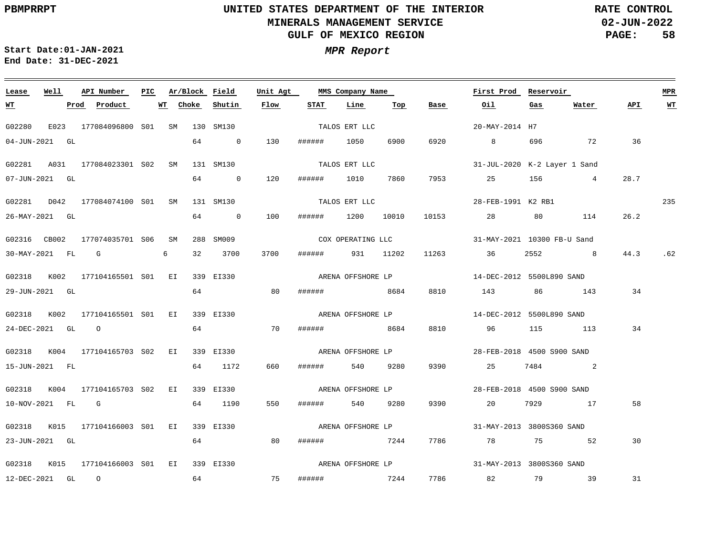**02-JUN-2022 PAGE: 58 RATE CONTROL**

 $\overline{\phantom{a}}$ 

| Lease            | Well | API Number                                | <b>PIC</b> |    | Ar/Block Field |                | Unit Agt |              | MMS Company Name  |      |                   | First Prod                   | Reservoir |                |      | <b>MPR</b> |
|------------------|------|-------------------------------------------|------------|----|----------------|----------------|----------|--------------|-------------------|------|-------------------|------------------------------|-----------|----------------|------|------------|
| <u>WТ</u>        |      | Prod Product                              |            | WТ | Choke          | Shutin         | Flow     | STAT         | Line              | Top  | Base              | Oil                          | Gas       | Water          | API. | <b>WT</b>  |
| G02280           |      | E023 177084096800 S01 SM 130 SM130        |            |    |                |                |          |              | TALOS ERT LLC     |      |                   | 20-MAY-2014 H7               |           |                |      |            |
| 04-JUN-2021 GL   |      |                                           |            |    | 64             | $\overline{0}$ | 130      | ######       | 1050              | 6900 | 6920              | $8\overline{)}$              | 696       | 72             | 36   |            |
| G02281           |      | A031 177084023301 S02 SM                  |            |    |                | 131 SM130      |          |              | TALOS ERT LLC     |      |                   | 31-JUL-2020 K-2 Layer 1 Sand |           |                |      |            |
| 07-JUN-2021 GL   |      |                                           |            |    | 64             | $\sim$ 0       | 120      | ######       | 1010              | 7860 | 7953              | 25 156 4                     |           |                | 28.7 |            |
|                  |      | G02281 D042 177084074100 S01 SM           |            |    |                | 131 SM130      |          |              | TALOS ERT LLC     |      |                   | 28-FEB-1991 K2 RB1           |           |                |      | 235        |
| 26-MAY-2021 GL   |      |                                           |            |    |                | 64 0           | 100      | ######       | 1200 10010        |      |                   | 10153 28                     |           | 80 114         | 26.2 |            |
| G02316 CB002     |      | 177074035701 S06 SM                       |            |    |                | 288 SM009      |          |              | COX OPERATING LLC |      |                   | 31-MAY-2021 10300 FB-U Sand  |           |                |      |            |
| 30-MAY-2021 FL G |      |                                           |            | 6  | 32             | 3700           | 3700     | ######       | 931 11202         |      |                   | 11263 36                     | 2552      | 8 <sup>1</sup> | 44.3 | .62        |
|                  |      | G02318 K002 177104165501 S01 EI           |            |    |                | 339 EI330      |          |              | ARENA OFFSHORE LP |      |                   | 14-DEC-2012 5500L890 SAND    |           |                |      |            |
| 29-JUN-2021 GL   |      |                                           |            |    | 64             |                | 80       | ######       | 8684              |      | 8810              | 143                          |           | 86 143         | 34   |            |
|                  |      | G02318 K002 177104165501 S01 EI           |            |    |                | 339 EI330      |          |              | ARENA OFFSHORE LP |      |                   | 14-DEC-2012 5500L890 SAND    |           |                |      |            |
| 24-DEC-2021 GL 0 |      |                                           |            |    | 64             |                | 70       | ######       | 8684              |      | 8810              | 96                           |           | 115 113        | 34   |            |
|                  |      | G02318 K004 177104165703 S02 EI           |            |    |                | 339 EI330      |          |              | ARENA OFFSHORE LP |      |                   | 28-FEB-2018 4500 S900 SAND   |           |                |      |            |
| 15-JUN-2021 FL   |      |                                           |            |    |                | 64 1172        | 660      | ######       | 540               | 9280 | 9390              | 25                           |           | 7484 2         |      |            |
|                  |      | G02318 K004 177104165703 S02 EI           |            |    |                | 339 EI330      |          |              | ARENA OFFSHORE LP |      |                   | 28-FEB-2018 4500 S900 SAND   |           |                |      |            |
| 10-NOV-2021 FL G |      |                                           |            |    |                | 64 1190        | 550      | ######       | 540               | 9280 | 9390              | 20                           | 7929      | 17             | 58   |            |
|                  |      | G02318 K015 177104166003 S01 EI           |            |    |                | 339 EI330      |          |              |                   |      | ARENA OFFSHORE LP | 31-MAY-2013 3800S360 SAND    |           |                |      |            |
| 23-JUN-2021 GL   |      |                                           |            |    | 64             |                | 80       | ######       | 7244              |      | 7786              | 78 78                        |           | 75 — 175<br>52 | 30   |            |
|                  |      | G02318 K015 177104166003 S01 EI 339 EI330 |            |    |                |                |          |              |                   |      |                   |                              |           |                |      |            |
| 12-DEC-2021 GL 0 |      |                                           |            |    | 64             |                | 75       | ####### 7244 |                   |      |                   | 7786 82                      |           | 79 39          | 31   |            |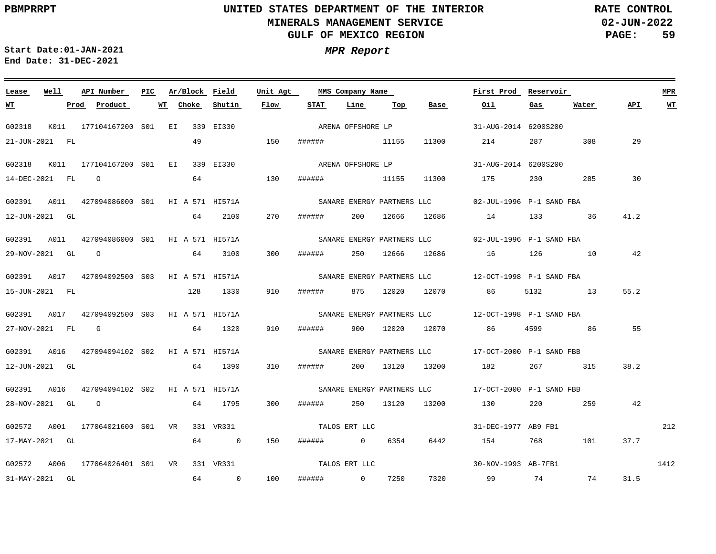$\equiv$ 

# **UNITED STATES DEPARTMENT OF THE INTERIOR MINERALS MANAGEMENT SERVICE GULF OF MEXICO REGION**

**02-JUN-2022 PAGE: 59 RATE CONTROL**

| Lease            | Well |      | API Number                                   | PIC |    | Ar/Block Field |         | Unit Agt |                | MMS Company Name  |                 |                   | First Prod                                           | Reservoir |         |      | <b>MPR</b> |
|------------------|------|------|----------------------------------------------|-----|----|----------------|---------|----------|----------------|-------------------|-----------------|-------------------|------------------------------------------------------|-----------|---------|------|------------|
| <u>WT</u>        |      | Prod | Product                                      |     | WT | Choke          | Shutin  | Flow     | <b>STAT</b>    | Line              | Тор             | Base              | Oil                                                  | Gas       | Water   | API. | WT         |
| G02318           |      |      | K011 177104167200 S01 EI 339 EI330           |     |    |                |         |          |                | ARENA OFFSHORE LP |                 |                   | 31-AUG-2014 6200S200                                 |           |         |      |            |
| 21-JUN-2021 FL   |      |      |                                              |     |    | 49             |         | 150      | ###### 11155   |                   |                 | 11300             | 214                                                  | 287       | 308     | 29   |            |
| G02318           |      |      | K011 177104167200 S01 EI 339 EI330           |     |    |                |         |          |                |                   |                 | ARENA OFFSHORE LP | 31-AUG-2014 6200S200                                 |           |         |      |            |
| 14-DEC-2021 FL 0 |      |      |                                              |     |    | 64             |         | 130      | ######         |                   | 11155           | 11300             | 175                                                  |           | 230 285 | 30   |            |
|                  |      |      | G02391 A011 427094086000 S01 HI A 571 HI571A |     |    |                |         |          |                |                   |                 |                   | SANARE ENERGY PARTNERS LLC 02-JUL-1996 P-1 SAND FBA  |           |         |      |            |
| 12-JUN-2021 GL   |      |      |                                              |     |    | 64             | 2100    | 270      | ######         |                   |                 |                   | 200 12666 12686 14 133                               |           | 36      | 41.2 |            |
|                  |      |      | G02391 A011 427094086000 S01 HI A 571 HI571A |     |    |                |         |          |                |                   |                 |                   | SANARE ENERGY PARTNERS LLC 602-JUL-1996 P-1 SAND FBA |           |         |      |            |
| 29-NOV-2021 GL 0 |      |      |                                              |     |    | 64             | 3100    | 300      | ######         |                   | 250 12666 12686 |                   | 16 126 10                                            |           |         | 42   |            |
|                  |      |      | G02391 A017 427094092500 S03 HI A 571 HI571A |     |    |                |         |          |                |                   |                 |                   |                                                      |           |         |      |            |
| 15-JUN-2021 FL   |      |      |                                              |     |    | 128            | 1330    | 910      | ######         |                   |                 |                   | 875 12020 12070 86                                   | 5132 13   |         | 55.2 |            |
|                  |      |      | G02391 A017 427094092500 S03 HI A 571 HI571A |     |    |                |         |          |                |                   |                 |                   |                                                      |           |         |      |            |
| 27-NOV-2021 FL G |      |      |                                              |     |    |                | 64 1320 | 910      | ######         |                   | 900 12020 12070 |                   | 86                                                   | 4599      | 86      | 55   |            |
|                  |      |      | G02391 A016 427094094102 S02 HI A 571 HI571A |     |    |                |         |          |                |                   |                 |                   | SANARE ENERGY PARTNERS LLC 17-OCT-2000 P-1 SAND FBB  |           |         |      |            |
| 12-JUN-2021 GL   |      |      |                                              |     |    |                | 64 1390 | 310      | ######         |                   | 200 13120 13200 |                   | 182                                                  | 267 315   |         | 38.2 |            |
|                  |      |      | G02391 A016 427094094102 S02 HI A 571 HI571A |     |    |                |         |          |                |                   |                 |                   |                                                      |           |         |      |            |
|                  |      |      | 28-NOV-2021 GL O                             |     |    |                | 64 1795 | 300      | # # # # # #    |                   | 250 13120       | 13200             | 130                                                  |           | 220 259 | 42   |            |
|                  |      |      | G02572 A001 177064021600 S01 VR 331 VR331    |     |    |                |         |          | TALOS ERT LLC  |                   |                 |                   | 31-DEC-1977 AB9 FB1                                  |           |         |      | 212        |
| 17-MAY-2021 GL   |      |      |                                              |     |    |                | 64 0    | 150      | ####### 0 6354 |                   |                 | 6442              | 154                                                  | 768 — 17  | 101     | 37.7 |            |
|                  |      |      | G02572 A006 177064026401 S01 VR 331 VR331    |     |    |                |         |          | TALOS ERT LLC  |                   |                 |                   | 30-NOV-1993 AB-7FB1                                  |           |         | 1412 |            |
| 31-MAY-2021 GL   |      |      |                                              |     |    |                | 64 0    | 100      | ###### 0 7250  |                   |                 | 7320              | 99 74 74 31.5                                        |           |         |      |            |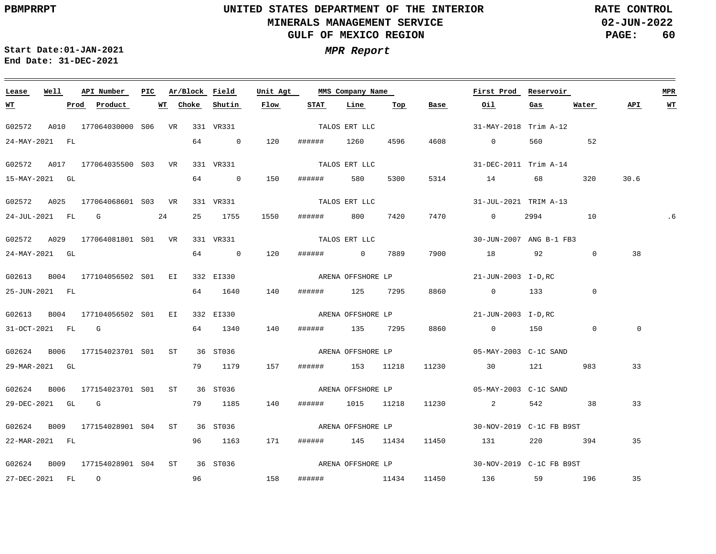**02-JUN-2022 PAGE: 60 RATE CONTROL**

**Start Date:01-JAN-2021 MPR Report End Date: 31-DEC-2021**

<u> Andreas Andreas Andreas Andreas Andreas Andreas Andreas Andreas Andreas Andreas Andreas Andreas Andreas Andr</u>

| Well<br>API Number<br>Lease |      |  | PIC                                       | Ar/Block Field |          | Unit Agt  |                   | MMS Company Name  |                   |      | First Prod | Reservoir                                                                                                                                                                                                                                                                                                                                                                                             |             |                | <b>MPR</b>  |           |  |
|-----------------------------|------|--|-------------------------------------------|----------------|----------|-----------|-------------------|-------------------|-------------------|------|------------|-------------------------------------------------------------------------------------------------------------------------------------------------------------------------------------------------------------------------------------------------------------------------------------------------------------------------------------------------------------------------------------------------------|-------------|----------------|-------------|-----------|--|
| <u>WT</u>                   |      |  | <u>Prod</u> Product                       |                | WT Choke | Shutin    | Flow              | STAT              | Line              | Top  | Base       | <u>0il</u>                                                                                                                                                                                                                                                                                                                                                                                            | Gas         | Water          | API         | <u>WT</u> |  |
| G02572                      |      |  | A010 177064030000 S06 VR 331 VR331        |                |          |           |                   |                   | TALOS ERT LLC     |      |            | 31-MAY-2018 Trim A-12                                                                                                                                                                                                                                                                                                                                                                                 |             |                |             |           |  |
| 24-MAY-2021 FL              |      |  |                                           |                |          | 64 0      | 120               | ######            | 1260              | 4596 | 4608       | $\overline{0}$                                                                                                                                                                                                                                                                                                                                                                                        | 560 700     | 52             |             |           |  |
| G02572                      |      |  | A017 177064035500 S03 VR                  |                |          | 331 VR331 |                   |                   | TALOS ERT LLC     |      |            | 31-DEC-2011 Trim A-14                                                                                                                                                                                                                                                                                                                                                                                 |             |                |             |           |  |
| 15-MAY-2021 GL              |      |  |                                           |                |          | 64 0      | 150               | ###### 580        |                   | 5300 | 5314       | 14 68                                                                                                                                                                                                                                                                                                                                                                                                 |             | 320            | 30.6        |           |  |
|                             |      |  | G02572 A025 177064068601 S03 VR           |                |          |           | 331 VR331         | TALOS ERT LLC     |                   |      |            | 31-JUL-2021 TRIM A-13                                                                                                                                                                                                                                                                                                                                                                                 |             |                |             |           |  |
|                             |      |  | 24-JUL-2021 FL G 24                       |                |          | 25 1755   | 1550              | ###### 800 7420   |                   |      | 7470       | $\overline{0}$                                                                                                                                                                                                                                                                                                                                                                                        | 2994 — 2005 | 10             |             | .6        |  |
| G02572 A029                 |      |  | 177064081801 S01 VR                       |                |          | 331 VR331 |                   |                   | TALOS ERT LLC     |      |            | 30-JUN-2007 ANG B-1 FB3                                                                                                                                                                                                                                                                                                                                                                               |             |                |             |           |  |
| 24-MAY-2021 GL              |      |  |                                           |                |          | 64 0      | 120               | ####### 0 7889    |                   |      | 7900       | 18 92                                                                                                                                                                                                                                                                                                                                                                                                 |             | $\mathbf 0$    | 38          |           |  |
|                             |      |  | G02613 B004 177104056502 S01 EI 332 EI330 |                |          |           | ARENA OFFSHORE LP |                   |                   |      |            | 21-JUN-2003 I-D, RC                                                                                                                                                                                                                                                                                                                                                                                   |             |                |             |           |  |
| 25-JUN-2021 FL              |      |  |                                           |                |          | 64 1640   | 140               | ###### 125 7295   |                   |      | 8860       | $0$ 133                                                                                                                                                                                                                                                                                                                                                                                               |             | $\overline{0}$ |             |           |  |
| G02613                      | B004 |  | 177104056502 SO1 EI 332 EI330             |                |          |           | ARENA OFFSHORE LP |                   |                   |      |            | 21-JUN-2003 I-D, RC                                                                                                                                                                                                                                                                                                                                                                                   |             |                |             |           |  |
| 31-OCT-2021 FL G            |      |  |                                           |                |          | 64 1340   | 140               | ###### 135 7295   |                   |      | 8860       | $0$ 150                                                                                                                                                                                                                                                                                                                                                                                               |             | $\overline{0}$ | $\mathbf 0$ |           |  |
| G02624                      |      |  | B006 177154023701 S01 ST 36 ST036         |                |          |           |                   |                   |                   |      |            |                                                                                                                                                                                                                                                                                                                                                                                                       |             |                |             |           |  |
| 29-MAR-2021 GL              |      |  |                                           |                |          | 79 1179   | 157               | ###### 153 11218  |                   |      |            | 11230 30 121                                                                                                                                                                                                                                                                                                                                                                                          |             | 983            | 33          |           |  |
| G02624                      | B006 |  | 177154023701 S01 ST                       |                |          | 36 ST036  |                   |                   | ARENA OFFSHORE LP |      |            | 05-MAY-2003 C-1C SAND                                                                                                                                                                                                                                                                                                                                                                                 |             |                |             |           |  |
| 29-DEC-2021 GL G            |      |  |                                           |                |          | 79 1185   | 140               | ###### 1015 11218 |                   |      | 11230      | $\overline{\mathbf{a}}$ and $\overline{\mathbf{a}}$ and $\overline{\mathbf{a}}$ and $\overline{\mathbf{a}}$ and $\overline{\mathbf{a}}$ and $\overline{\mathbf{a}}$ and $\overline{\mathbf{a}}$ and $\overline{\mathbf{a}}$ and $\overline{\mathbf{a}}$ and $\overline{\mathbf{a}}$ and $\overline{\mathbf{a}}$ and $\overline{\mathbf{a}}$ and $\overline{\mathbf{a}}$ and $\overline{\mathbf{a}}$ a |             | 542 38         | 33          |           |  |
| G02624                      |      |  | B009 177154028901 S04 ST 36 ST036         |                |          |           |                   |                   |                   |      |            |                                                                                                                                                                                                                                                                                                                                                                                                       |             |                |             |           |  |
| 22-MAR-2021 FL              |      |  |                                           |                |          | 96 1163   | 171               | ###### 145 11434  |                   |      | 11450      | 131                                                                                                                                                                                                                                                                                                                                                                                                   | 220         | 394            | 35          |           |  |
| G02624                      | B009 |  | 177154028901 S04 ST 36 ST036              |                |          |           |                   |                   |                   |      |            |                                                                                                                                                                                                                                                                                                                                                                                                       |             |                |             |           |  |
| 27-DEC-2021 FL 0            |      |  |                                           |                | 96       | 158       |                   | ####### 11434     |                   |      |            | 11450 136 59 196                                                                                                                                                                                                                                                                                                                                                                                      |             |                | 35          |           |  |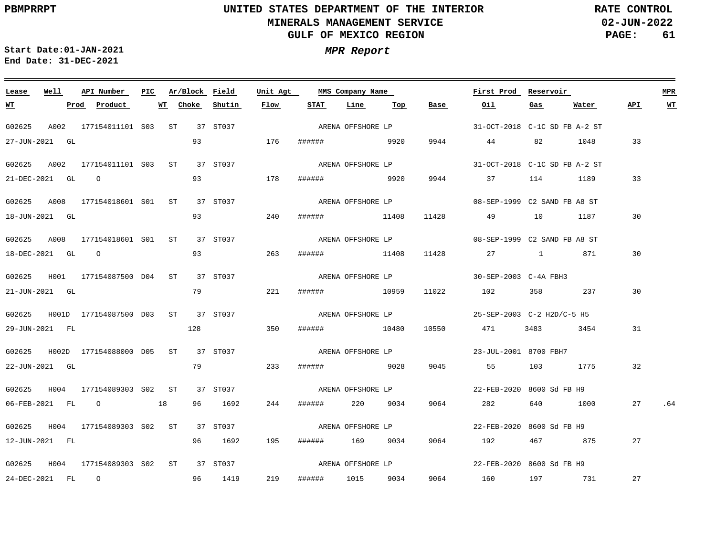**02-JUN-2022 PAGE: 61 RATE CONTROL**

**Start Date:01-JAN-2021 MPR Report End Date: 31-DEC-2021**

### G02625 A002 177154011101 S03 ST 37 ST037 G02625 A002 177154011101 S03 ST 37 ST037 G02625 A008 177154018601 S01 ST 37 ST037 G02625 A008 177154018601 S01 ST 37 ST037 G02625 H001 177154087500 D04 ST 37 ST037 G02625 H001D 177154087500 D03 ST 37 ST037 G02625 H002D 177154088000 D05 ST 37 ST037 G02625 H004 177154089303 S02 ST 37 ST037 G02625 H004 177154089303 S02 ST 37 ST037 G02625 H004 177154089303 S02 ST 37 ST037 **Lease Well API Number Ar/Block Field Unit Agt PIC MMS Company Name** 31-OCT-2018 C-1C SD FB A-2 ST 31-OCT-2018 C-1C SD FB A-2 ST ARENA OFFSHORE LP 08-SEP-1999 C2 SAND FB A8 ST 08-SEP-1999 C2 SAND FB A8 ST 30-SEP-2003 C-4A FBH3 25-SEP-2003 C-2 H2D/C-5 H5 23-JUL-2001 8700 FBH7 ARENA OFFSHORE LP 22-FEB-2020 8600 Sd FB H9 22-FEB-2020 8600 Sd FB H9 22-FEB-2020 8600 Sd FB H9 **First Prod Reservoir MPR** 27-JUN-2021 GL 21-DEC-2021 GL O 18-JUN-2021 GL 18-DEC-2021 GL O 21-JUN-2021 GL 29-JUN-2021 FL 22-JUN-2021 GL 06-FEB-2021 FL O 18 12-JUN-2021 FL 24-DEC-2021 FL O **WT Prod Product WT Choke Shutin Flow** 93 93 93 93 79 128 79 96 1692 96 1692 96 1419 176 ###### 9920 9944 178 240 ###### 11408 11428 49 10 1187 30 263 221 ###### 10959 11022 102 358 237 350 233 ###### 9028 9045 55 103 1775 244 ###### 220 9034 195 ###### 169 9034 9064 192 467 875 219 ###### 9920 9944 37 114 1189 33 ###### 11408 ###### 10480 ###### 1015 9034 9064 **STAT Line Top** 11428 27 1 871 10550 471 3483 3454 9064 282 640 1000 **Base Oil** 44 82 1048 33 160 197 731 **Gas Water** 30 30 31 32 27 .64 27 27 **API WT** ARENA OFFSHORE LP ARENA OFFSHORE LP ARENA OFFSHORE LP ARENA OFFSHORE LP ARENA OFFSHORE LP ARENA OFFSHORE LP ARENA OFFSHORE LP ARENA OFFSHORE LP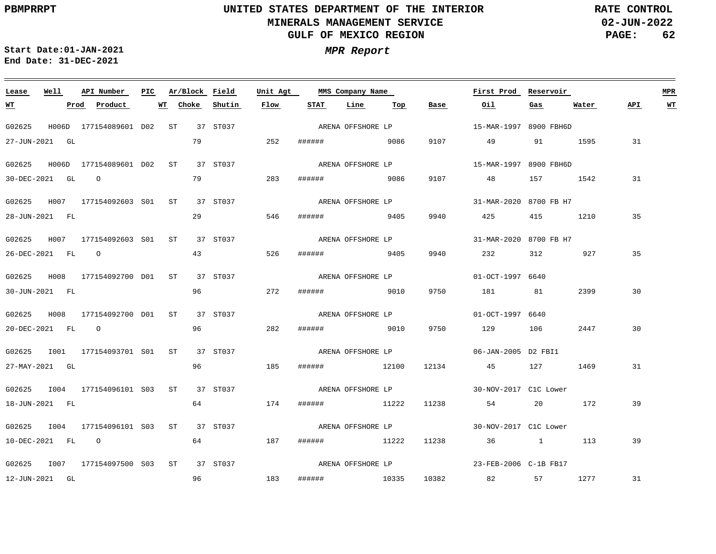**02-JUN-2022 PAGE: 62 RATE CONTROL**

**Start Date:01-JAN-2021 MPR Report End Date: 31-DEC-2021**

### **Lease Well API Number Ar/Block Field Unit Agt PIC MMS Company Name First Prod Reservoir MPR Choke Shutin Flow STAT Line Top API WT WT Prod Product WT Base Oil Gas Water** ARENA OFFSHORE LP G02625 H006D 177154089601 D02 ST 37 ST037 15-MAR-1997 8900 FBH6D 27-JUN-2021 GL 79 252 ###### 9086 9107 49 91 1595 31 ARENA OFFSHORE LP G02625 H006D 177154089601 D02 ST 37 ST037 15-MAR-1997 8900 FBH6D 79 283 9107 30-DEC-2021 GL O ###### 9086 48 157 1542 31 ARENA OFFSHORE LP G02625 H007 177154092603 S01 ST 37 ST037 31-MAR-2020 8700 FB H7 29 35 28-JUN-2021 FL 546 ###### 9405 9940 425 415 1210 G02625 H007 177154092603 S01 ST 37 ST037 31-MAR-2020 8700 FB H7 ARENA OFFSHORE LP 43 526 35 26-DEC-2021 FL O ###### 9405 9940 232 312 927 ARENA OFFSHORE LP G02625 H008 177154092700 D01 ST 37 ST037 01-OCT-1997 6640 96 2399 30 30-JUN-2021 FL 272 ###### 9010 9750 181 81 ARENA OFFSHORE LP G02625 H008 177154092700 D01 ST 37 ST037 01-OCT-1997 6640 96 282 2447 30 20-DEC-2021 FL O ###### 9010 9750 129 106 G02625 1001 177154093701 S01 ST 37 ST037 ARENA OFFSHORE LP 06-JAN-2005 D2 FBI1 96 27-MAY-2021 GL 185 ###### 12100 12134 45 127 1469 31 G02625 I004 177154096101 ST 37 ST037 S03 ARENA OFFSHORE LP 30-NOV-2017 C1C Lower 64 18-JUN-2021 FL 174 ###### 11222 11238 54 20 172 39 ARENA OFFSHORE LP G02625 I004 177154096101 ST 37 ST037 S03 30-NOV-2017 C1C Lower 64 10-DEC-2021 FL O 187 ###### 11222 11238 36 1 113 39 ARENA OFFSHORE LP G02625 I007 177154097500 ST 37 ST037 S0323-FEB-2006 C-1B FB17 31 12-JUN-2021 GL 96 183 ###### 10335 10382 82 57 1277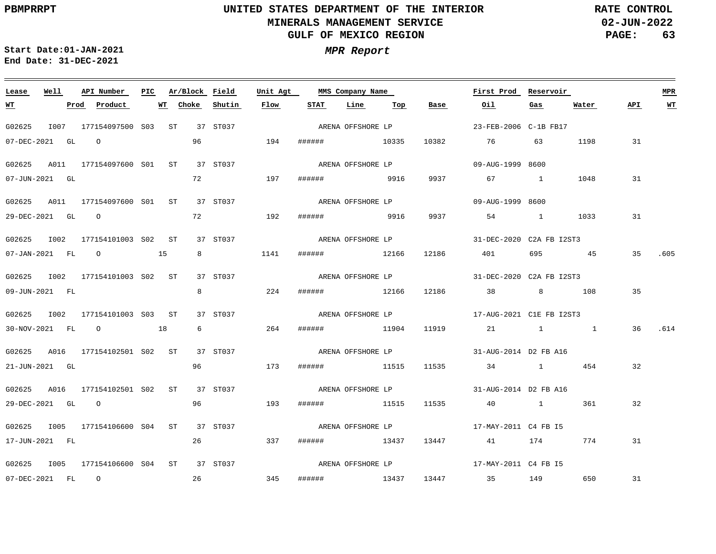$\equiv$ 

# **UNITED STATES DEPARTMENT OF THE INTERIOR MINERALS MANAGEMENT SERVICE GULF OF MEXICO REGION**

**02-JUN-2022 PAGE: 63 RATE CONTROL**

| Lease            | Well | API Number                               | PIC | Ar/Block Field |                        | Unit Agt |                   | MMS Company Name  |     |                       | First Prod                                                                      | Reservoir |       | <b>MPR</b> |         |
|------------------|------|------------------------------------------|-----|----------------|------------------------|----------|-------------------|-------------------|-----|-----------------------|---------------------------------------------------------------------------------|-----------|-------|------------|---------|
| <u>WT</u>        |      | Prod Product                             |     | WT Choke       | Shutin                 | Flow     | STAT              | Line              | Тор | Base                  | Oil                                                                             | Gas       | Water | API        | WT      |
| G02625           |      | I007 177154097500 S03 ST 37 ST037        |     |                |                        |          | ARENA OFFSHORE LP |                   |     | 23-FEB-2006 C-1B FB17 |                                                                                 |           |       |            |         |
|                  |      | 07-DEC-2021 GL 0                         |     | 96             | 194                    |          | ###### 10335      |                   |     | 10382                 | 76 76                                                                           | 63        | 1198  | 31         |         |
|                  |      | G02625 A011 177154097600 S01 ST 37 ST037 |     |                |                        |          | ARENA OFFSHORE LP |                   |     |                       | 09-AUG-1999 8600                                                                |           |       |            |         |
| 07-JUN-2021 GL   |      |                                          |     |                | 72 197                 |          | ###### 9916       |                   |     | 9937                  | 67 1 1048                                                                       |           |       | 31         |         |
|                  |      | G02625 A011 177154097600 S01 ST 37 ST037 |     |                |                        |          | ARENA OFFSHORE LP |                   |     |                       | 09-AUG-1999 8600                                                                |           |       |            |         |
|                  |      | 29-DEC-2021 GL O                         |     |                | 72 192                 |          | ####### 9916      |                   |     |                       | 9937 54 1                                                                       |           | 1033  | 31         |         |
| G02625 I002      |      | 177154101003 S02 ST                      |     |                | 37 ST037               |          |                   |                   |     | ARENA OFFSHORE LP     | 31-DEC-2020 C2A FB I2ST3                                                        |           |       |            |         |
|                  |      | 07-JAN-2021 FL 0 15                      |     |                | $8 \overline{)}$       | 1141     | ######            |                   |     |                       | 12166 12186 401 695 45                                                          |           |       |            | 35 .605 |
|                  |      | G02625 I002 177154101003 S02 ST          |     |                | 37 ST037               |          |                   |                   |     |                       |                                                                                 |           |       |            |         |
| 09-JUN-2021 FL   |      |                                          |     | 8              | 224                    |          |                   |                   |     |                       | ###### 12166 12186 38 8 108                                                     |           |       | 35         |         |
|                  |      | G02625 I002 177154101003 S03 ST          |     |                | 37 ST037               |          |                   |                   |     |                       |                                                                                 |           |       |            |         |
|                  |      | 30-NOV-2021 FL 0 18                      |     |                | $6 \hspace{1.5cm} 264$ |          | ######            |                   |     |                       | $11904$ $11919$ $21$ $1$ $1$                                                    |           |       |            | 36 .614 |
|                  |      | G02625 A016 177154102501 S02 ST          |     |                | 37 ST037               |          |                   |                   |     |                       |                                                                                 |           |       |            |         |
| 21-JUN-2021 GL   |      |                                          |     | 96             |                        | 173      |                   |                   |     |                       | ###### 11515 11535 34 1                                                         |           | 454   | 32         |         |
|                  |      | G02625 A016 177154102501 S02 ST 37 ST037 |     |                |                        |          |                   | ARENA OFFSHORE LP |     |                       | 31-AUG-2014 D2 FB A16                                                           |           |       |            |         |
| 29-DEC-2021 GL 0 |      |                                          |     |                | 96                     | 193      | ######            |                   |     |                       | 11515 11535 40 1                                                                |           | 361   | 32         |         |
|                  |      |                                          |     |                |                        |          |                   |                   |     |                       | G02625 1005 177154106600 S04 ST 37 ST037 ARENA OFFSHORE LP 17-MAY-2011 C4 FB 15 |           |       |            |         |
|                  |      |                                          |     |                |                        |          |                   |                   |     |                       |                                                                                 |           |       |            |         |
| 17-JUN-2021 FL   |      |                                          |     | 26             | 337                    |          |                   |                   |     |                       | ###### 13437 13447 41 174                                                       |           | 774   | 31         |         |
|                  |      | G02625 I005 177154106600 S04 ST 37 ST037 |     |                |                        |          |                   |                   |     |                       |                                                                                 |           |       |            |         |
|                  |      | 07-DEC-2021 FL 0                         |     |                |                        | 26 345   |                   |                   |     |                       | ####### 13437 13447 35 149 650                                                  |           |       | 31         |         |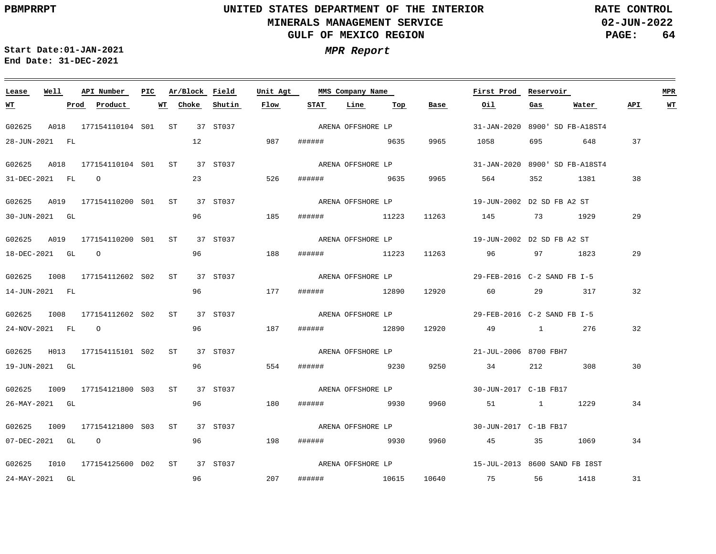**02-JUN-2022 PAGE: 64 RATE CONTROL**

**Start Date:01-JAN-2021 MPR Report End Date: 31-DEC-2021**

### **Lease Well API Number Ar/Block Field Unit Agt PIC MMS Company Name First Prod Reservoir MPR STAT Line Top API WT WT Prod Product WT Choke Shutin Flow Base Oil Gas Water** ARENA OFFSHORE LP G02625 A018 177154110104 S01 ST 37 ST037 31-JAN-2020 8900' SD FB-A18ST4 28-JUN-2021 FL 12 987 ###### 9635 9965 1058 695 648 37 ARENA OFFSHORE LP G02625 A018 177154110104 S01 ST 37 ST037 31-JAN-2020 8900' SD FB-A18ST4 23 526 31-DEC-2021 FL O ###### 9635 9965 564 352 1381 38 ARENA OFFSHORE LP G02625 A019 177154110200 S01 ST 37 ST037 19-JUN-2002 D2 SD FB A2 ST 96 29 30-JUN-2021 GL 185 ###### 11223 11263 145 73 1929 ARENA OFFSHORE LP G02625 A019 177154110200 S01 ST 37 ST037 19-JUN-2002 D2 SD FB A2 ST 96 188 29 18-DEC-2021 GL O ###### 11223 11263 96 97 1823 ARENA OFFSHORE LP G02625 1008 177154112602 S02 ST 37 ST037 29-FEB-2016 C-2 SAND FB I-5 96 32 14-JUN-2021 FL 177 ###### 12890 12920 60 29 317 G02625 I008 177154112602 ST 37 ST037 S02 ARENA OFFSHORE LP 29-FEB-2016 C-2 SAND FB I-5 96 187 32 24-NOV-2021 FL O ###### 12890 12920 49 1 276 ARENA OFFSHORE LP G02625 H013 177154115101 S02 ST 37 ST037 21-JUL-2006 8700 FBH7 96 19-JUN-2021 GL 554 ###### 9230 9250 34 212 308 30 ARENA OFFSHORE LP G02625 I009 177154121800 ST 37 ST037 S03 30-JUN-2017 C-1B FB17 96 26-MAY-2021 GL 180 ###### 9930 9960 51 1 1229 34 ARENA OFFSHORE LP G02625 I009 177154121800 ST 37 ST037 S03 30-JUN-2017 C-1B FB17 96 07-DEC-2021 GL O 198 ###### 9930 9960 45 35 1069 34 ARENA OFFSHORE LP G02625 I010 177154125600 ST 37 ST037 D0215-JUL-2013 8600 SAND FB I8ST 96 207 31 24-MAY-2021 GL ###### 10615 10640 75 56 1418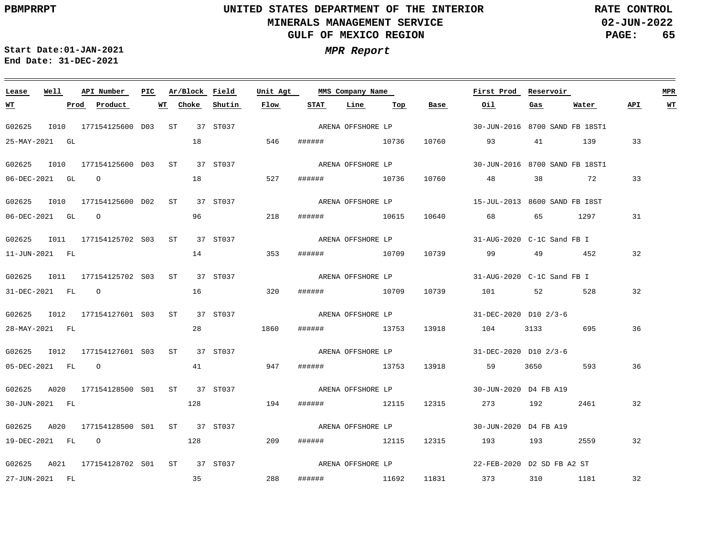**02-JUN-2022 PAGE: 65 RATE CONTROL**

**Start Date:01-JAN-2021 MPR Report End Date: 31-DEC-2021**

### G02625 I010 177154125600 ST 37 ST037 D03 G02625 I010 177154125600 ST 37 ST037 D03 G02625 I010 177154125600 ST 37 ST037 D02 G02625 I011 177154125702 ST 37 ST037 S03 G02625 1011 177154125702 S03 ST 37 ST037 G02625 I012 177154127601 ST 37 ST037 S03 G02625 1012 177154127601 S03 ST 37 ST037 G02625 A020 177154128500 S01 ST 37 ST037 G02625 A020 177154128500 S01 ST 37 ST037 G02625 A021 177154128702 S01 ST 37 ST037 **Lease Well API Number Ar/Block Field Unit Agt PIC MMS Company Name** 30-JUN-2016 8700 SAND FB 18ST1 30-JUN-2016 8700 SAND FB 18ST1 15-JUL-2013 8600 SAND FB I8ST 31-AUG-2020 C-1C Sand FB I 31-AUG-2020 C-1C Sand FB I 31-DEC-2020 D10 2/3-6 31-DEC-2020 D10 2/3-6 30-JUN-2020 D4 FB A19 30-JUN-2020 D4 FB A19 22-FEB-2020 D2 SD FB A2 ST **First Prod Reservoir MPR** 25-MAY-2021 GL 06-DEC-2021 GL O 06-DEC-2021 GL O 11-JUN-2021 FL 31-DEC-2021 FL O 28-MAY-2021 FL 05-DEC-2021 FL O 30-JUN-2021 FL 19-DEC-2021 FL O 27-JUN-2021 FL **WT Prod Product WT** 18 18 96 14 16 28 41 128 128 35 **Choke Shutin Flow** 546 ###### 10736 10760 527 218 ###### 10615 10640 68 65 1297 353 320 ###### 10709 10739 101 52 528 1860 947 ###### 13753 13918 59 3650 593 194 209 ###### 12115 12315 193 193 2559 288 ###### 10736 10760 48 38 72 33 ###### 10709 ###### 13753 13918 104 3133 695 ###### 12115 12315 273 192 2461 ###### 11692 11831 373 310 1181 **STAT Line Top Base Oil** 10739 99 49 452 93 41 139 33 **Gas Water** 31 32 32 36 36 32 32 32 **API WT** ARENA OFFSHORE LP ARENA OFFSHORE LP ARENA OFFSHORE LP ARENA OFFSHORE LP ARENA OFFSHORE LP ARENA OFFSHORE LP ARENA OFFSHORE LP ARENA OFFSHORE LP ARENA OFFSHORE LP ARENA OFFSHORE LP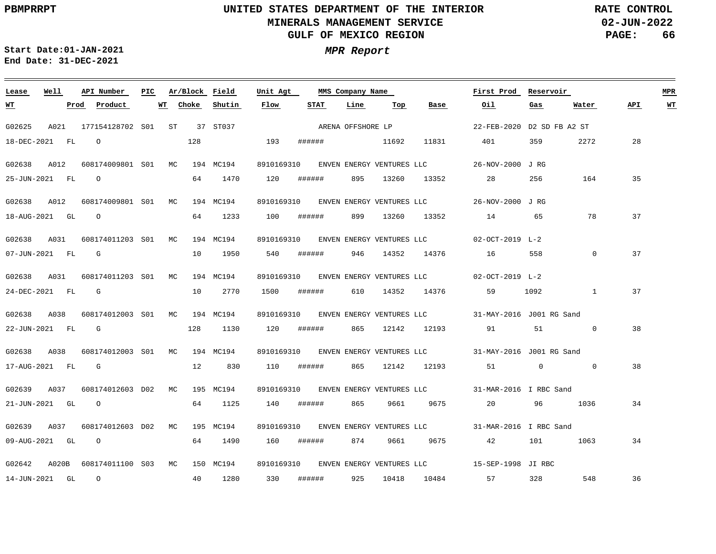**02-JUN-2022 PAGE: 66 RATE CONTROL**

**Start Date:01-JAN-2021 MPR Report End Date: 31-DEC-2021**

| Lease            | Well |      | API Number                       | PIC |    |       | Ar/Block Field | Unit Agt    |                   | MMS Company Name |                                  |                                      | First Prod                                                    | Reservoir                                                                                                                                                                                                                       |                                  |     | <b>MPR</b> |
|------------------|------|------|----------------------------------|-----|----|-------|----------------|-------------|-------------------|------------------|----------------------------------|--------------------------------------|---------------------------------------------------------------|---------------------------------------------------------------------------------------------------------------------------------------------------------------------------------------------------------------------------------|----------------------------------|-----|------------|
| <u> WТ</u>       |      | Prod | Product                          |     | WT | Choke | Shutin         | <b>Flow</b> | <b>STAT</b>       | Line             | $\underline{\operatorname{Top}}$ | <b>Base</b>                          | Oil                                                           | Gas                                                                                                                                                                                                                             | Water                            | API | WT         |
| G02625           |      |      | A021 177154128702 S01 ST         |     |    |       | 37 ST037       |             | ARENA OFFSHORE LP |                  |                                  |                                      | 22-FEB-2020 D2 SD FB A2 ST                                    |                                                                                                                                                                                                                                 |                                  |     |            |
| 18-DEC-2021 FL   |      |      | $\overline{O}$                   |     |    | 128   |                | 193         | ######            |                  | 11692                            | 11831                                | 401                                                           | 359                                                                                                                                                                                                                             | 2272                             | 28  |            |
| G02638           | A012 |      | 608174009801 S01 MC              |     |    |       | 194 MC194      |             |                   |                  |                                  | 8910169310 ENVEN ENERGY VENTURES LLC | 26-NOV-2000 JRG                                               |                                                                                                                                                                                                                                 |                                  |     |            |
| 25-JUN-2021 FL   |      |      | $\overline{O}$                   |     |    | 64    | 1470           | 120         | ######            | 895              | 13260                            |                                      | 13352 28                                                      | 256                                                                                                                                                                                                                             | 164                              | 35  |            |
|                  |      |      |                                  |     |    |       |                |             |                   |                  |                                  |                                      |                                                               |                                                                                                                                                                                                                                 |                                  |     |            |
| G02638 A012      |      |      | 608174009801 S01 MC              |     |    |       | 194 MC194      |             |                   |                  |                                  |                                      | 8910169310 ENVEN ENERGY VENTURES LLC 26-NOV-2000 JRG          |                                                                                                                                                                                                                                 |                                  |     |            |
| 18-AUG-2021 GL 0 |      |      |                                  |     |    | 64    | 1233           | 100         | ######            |                  | 899 13260                        |                                      | 13352 14                                                      | 65                                                                                                                                                                                                                              | 78                               | 37  |            |
| G02638           | A031 |      | 608174011203 S01 MC              |     |    |       | 194 MC194      |             |                   |                  |                                  |                                      | 8910169310 ENVEN ENERGY VENTURES LLC 02-OCT-2019 L-2          |                                                                                                                                                                                                                                 |                                  |     |            |
| 07-JUN-2021 FL   |      |      | $\mathbb{G}$                     |     |    | 10    | 1950           | 540         | ######            | 946              | 14352                            | 14376                                | 16                                                            | 558                                                                                                                                                                                                                             | $\overline{0}$                   | 37  |            |
|                  |      |      | G02638 A031 608174011203 S01 MC  |     |    |       | 194 MC194      |             |                   |                  |                                  |                                      | 8910169310 ENVEN ENERGY VENTURES LLC 02-OCT-2019 L-2          |                                                                                                                                                                                                                                 |                                  |     |            |
|                  |      |      |                                  |     |    |       |                |             |                   |                  |                                  |                                      |                                                               |                                                                                                                                                                                                                                 |                                  |     |            |
| 24-DEC-2021 FL   |      |      | $\mathbf{G}$                     |     |    | 10    | 2770           | 1500        | ######            |                  |                                  | 610 14352 14376                      | 59                                                            | 1092                                                                                                                                                                                                                            | <sup>1</sup>                     | 37  |            |
| G02638 A038      |      |      | 608174012003 S01 MC              |     |    |       | 194 MC194      |             |                   |                  |                                  |                                      | 8910169310 ENVEN ENERGY VENTURES LLC 31-MAY-2016 J001 RG Sand |                                                                                                                                                                                                                                 |                                  |     |            |
| 22-JUN-2021 FL   |      |      | G                                |     |    | 128   | 1130           | 120         | ######            |                  |                                  | 865 12142 12193                      | 91 — 200                                                      | 51                                                                                                                                                                                                                              | $\overline{0}$                   | 38  |            |
| G02638 A038      |      |      | 608174012003 S01 MC              |     |    |       | 194 MC194      |             |                   |                  |                                  |                                      | 8910169310 ENVEN ENERGY VENTURES LLC 31-MAY-2016 J001 RG Sand |                                                                                                                                                                                                                                 |                                  |     |            |
| 17-AUG-2021 FL   |      |      | $\mathbb{G}$                     |     |    | 12    | 830            | 110         | ######            |                  |                                  |                                      | 865 12142 12193 51                                            |                                                                                                                                                                                                                                 | $\overline{0}$<br>$\overline{0}$ | 38  |            |
|                  |      |      |                                  |     |    |       |                |             |                   |                  |                                  |                                      |                                                               |                                                                                                                                                                                                                                 |                                  |     |            |
| G02639           | A037 |      | 608174012603 D02 MC              |     |    |       | 195 MC194      | 8910169310  |                   |                  |                                  |                                      | ENVEN ENERGY VENTURES LLC 31-MAR-2016 I RBC Sand              |                                                                                                                                                                                                                                 |                                  |     |            |
| 21-JUN-2021 GL   |      |      | $\overline{O}$                   |     |    | 64    | 1125           | 140         | ######            | 865              | 9661                             | 9675                                 | 20                                                            | 96 — 10                                                                                                                                                                                                                         | 1036                             | 34  |            |
| G02639 A037      |      |      | 608174012603 D02 MC              |     |    |       | 195 MC194      |             |                   |                  |                                  |                                      | 8910169310 ENVEN ENERGY VENTURES LLC 31-MAR-2016 I RBC Sand   |                                                                                                                                                                                                                                 |                                  |     |            |
| 09-AUG-2021 GL   |      |      | $\overline{O}$                   |     |    | 64    | 1490           | 160         | ######            | 874              | 9661                             | 9675                                 | 42                                                            | 101 — 101 — 101 — 102 — 102 — 103 — 104 — 104 — 104 — 104 — 104 — 104 — 104 — 104 — 104 — 104 — 104 — 104 — 104 — 104 — 104 — 104 — 104 — 104 — 104 — 104 — 104 — 104 — 104 — 104 — 104 — 104 — 104 — 104 — 104 — 104 — 104 — 1 | 1063                             | 34  |            |
|                  |      |      | G02642 A020B 608174011100 S03 MC |     |    |       | 150 MC194      | 8910169310  |                   |                  |                                  |                                      | ENVEN ENERGY VENTURES LLC 15-SEP-1998 JI RBC                  |                                                                                                                                                                                                                                 |                                  |     |            |
| 14-JUN-2021 GL   |      |      | $\overline{O}$                   |     |    |       | 40 1280        | 330         | ######            | 925              | 10418                            | 10484                                | 57 — 1                                                        | 328                                                                                                                                                                                                                             | 548                              | 36  |            |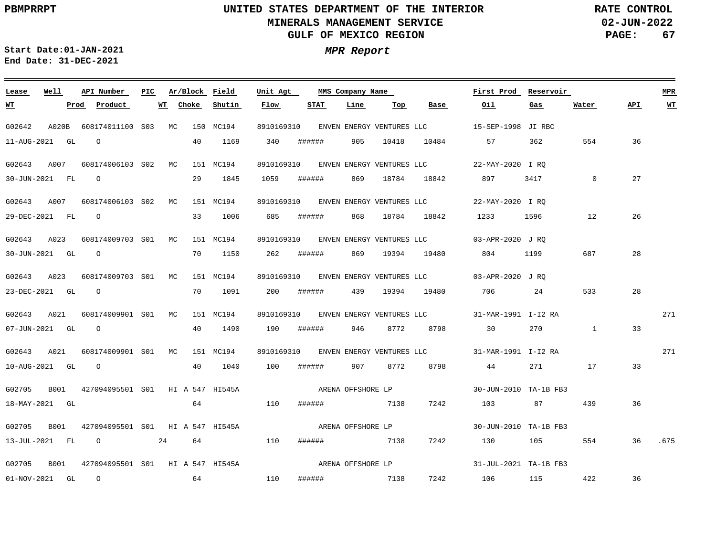<u> 1989 - Johann Stoff, deutscher Stoff, der Stoff, der Stoff, der Stoff, der Stoff, der Stoff, der Stoff, der S</u>

**02-JUN-2022 PAGE: 67 RATE CONTROL**

**Start Date:01-JAN-2021 MPR Report End Date: 31-DEC-2021**

### G02642 A020B 608174011100 S03 MC 150 MC194 G02643 A007 608174006103 S02 MC 151 MC194 G02643 A007 608174006103 MC 151 MC194 S02 G02643 A023 608174009703 S01 MC 151 MC194 G02643 A023 G02643 A021 608174009901 S01 MC 151 MC194 G02643 A021 608174009901 S01 MC 151 MC194 G02705 B001 427094095501 S01 HI A 547 HI545A G02705 B001 427094095501 S01 HI A 547 HI545A G02705 B001 427094095501 S01 HI A 547 HI545A **Lease Well** 608174009703 S01 MC 151 MC194 **API Number Ar/Block Field PIC MMS Company Name** 8910169310 ENVEN ENERGY VENTURES LLC 8910169310 22-MAY-2020 I RQ ENVEN ENERGY VENTURES LLC 8910169310 22-MAY-2020 I RQ ENVEN ENERGY VENTURES LLC 8910169310 03-APR-2020 J RQ ENVEN ENERGY VENTURES LLC 8910169310 03-APR-2020 J RQ ENVEN ENERGY VENTURES LLC 8910169310 31-MAR-1991 I-I2 RA ENVEN ENERGY VENTURES LLC 8910169310 31-MAR-1991 I-I2 RA ENVEN ENERGY VENTURES LLC **Unit Agt**  15-SEP-1998 JI RBC 30-JUN-2010 TA-1B FB3 30-JUN-2010 TA-1B FB3 31-JUL-2021 TA-1B FB3 **First Prod Reservoir** 271 271 **MPR** 11-AUG-2021 GL 30-JUN-2021 FL 29-DEC-2021 FL 30-JUN-2021 GL O 23-DEC-2021 GL 07-JUN-2021 GL 10-AUG-2021 GL O 18-MAY-2021 GL 13-JUL-2021 FL O 24 64 110 ###### 7138 7242 130 105 554 01-NOV-2021 GL O **WT Prod Product**  $\bigcap$ O O O O **WT Choke** 40 29 33 1006 70 1150 262 ###### 869 19394 19480 804 1199 687 70 1091 200 ###### 40 1490 40 1040 64 110 ###### 7138 7242 103 87 64 110 1169 1845 **Shutin** 340 1059 685 ###### 190 ###### 946 8772 8798 30 270 1 100 ###### 907 8772 8798 44 271 17 **Flow** ###### ###### 869 18784 18842 ###### 7138 7242 **STAT** 905 10418 868 18784 18842 1233 1596 12 439 19394 19480 706 24 533 **Line Top Base Oil** 10484 57 362 554 36 897 3417 106 115 422 **Gas**  $\Omega$ 439 **Water** 27 26 28 28 33 33 36 36 .675 36 **API WT** ARENA OFFSHORE LP ARENA OFFSHORE LP ARENA OFFSHORE LP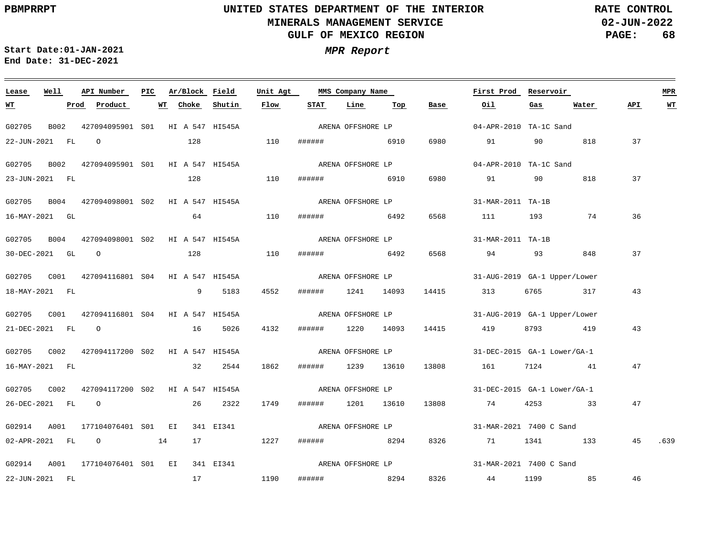**02-JUN-2022 PAGE: 68 RATE CONTROL**

**Start Date:01-JAN-2021 MPR Report End Date: 31-DEC-2021**

### **Lease Well API Number Ar/Block Field Unit Agt First Prod Reservoir MPR PIC MMS Company Name STAT Water WT Prod Product WT Choke Shutin Flow Line Top Base Oil Gas API WT** ARENA OFFSHORE LP G02705 B002 427094095901 S01 HI A 547 HI545A 04-APR-2010 TA-1C Sand 22-JUN-2021 FL O 128 110 ###### 6910 6980 91 90 818 37 G02705 B002 427094095901 S01 HI A 547 HI545A 04-APR-2010 TA-1C Sand ARENA OFFSHORE LP 37 23-JUN-2021 FL 128 110 ###### 6910 6980 91 90 818 G02705 B004 427094098001 S02 HI A 547 HI545A 31-MAR-2011 TA-1B ARENA OFFSHORE LP 64 36 16-MAY-2021 GL 110 ###### 6492 6568 111 193 74 G02705 B004 427094098001 HI A 547 HI545A 31-MAR-2011 TA-1B ARENA OFFSHORE LP S02 37 30-DEC-2021 GL O 128 110 ###### 6492 6568 94 93 848 G02705 C001 427094116801 HI A 547 HI545A S04 31-AUG-2019 GA-1 Upper/Lower ARENA OFFSHORE LP 43 18-MAY-2021 FL 9 5183 4552 ###### 1241 14093 14415 313 6765 317 G02705 C001 427094116801 HI A 547 HI545A S04 31-AUG-2019 GA-1 Upper/Lower ARENA OFFSHORE LP 4132 43 21-DEC-2021 FL O 16 5026 ###### 1220 14093 14415 419 8793 419 ARENA OFFSHORE LP G02705 C002 427094117200 HI A 547 HI545A S02 31-DEC-2015 GA-1 Lower/GA-1 16-MAY-2021 FL 32 2544 1862 ###### 1239 13610 13808 161 7124 41 47 G02705 C002 427094117200 S02 HI A 547 HI545A ARENA OFFSHORE LP 31-DEC-2015 GA-1 Lower/GA-1 26-DEC-2021 FL O 26 2322 1749 ###### 1201 13610 13808 74 4253 33 47 G02914 A001 177104076401 S01 EI 341 EI341 31-MAR-2021 7400 C Sand ARENA OFFSHORE LP 02-APR-2021 FL O 14 17 1227 ###### 8294 8326 71 1341 133 45 .639 ARENA OFFSHORE LP G02914 A001 177104076401 S01 EI 341 EI341 31-MAR-2021 7400 C Sand 46 22-JUN-2021 FL 17 1190 ###### 8294 8326 44 1199 85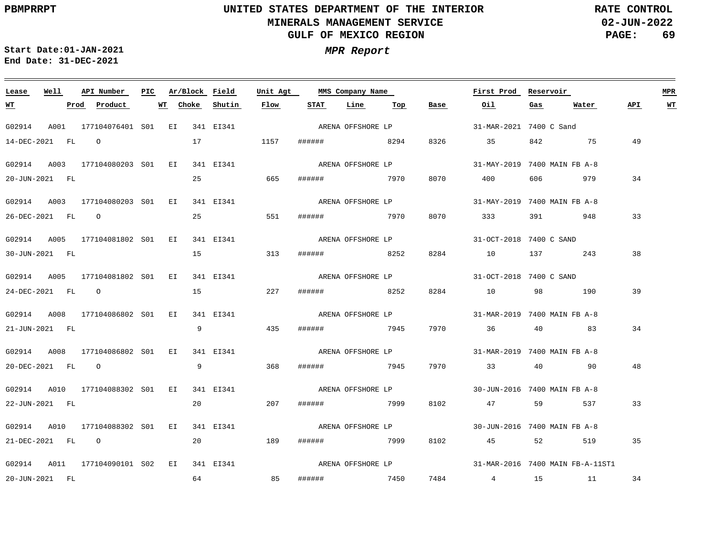**02-JUN-2022 PAGE: 69 RATE CONTROL**

**Start Date:01-JAN-2021 MPR Report End Date: 31-DEC-2021**

### **Lease Well API Number Ar/Block Field Unit Agt PIC MMS Company Name First Prod Reservoir MPR STAT Line Top WT Prod Product WT Choke Shutin Flow Base Oil Gas Water API WT** ARENA OFFSHORE LP G02914 A001 177104076401 S01 EI 341 EI341 31-MAR-2021 7400 C Sand 14-DEC-2021 FL O 17 1157 ###### 8294 8326 35 842 75 49 ARENA OFFSHORE LP G02914 A003 177104080203 S01 EI 341 EI341 31-MAY-2019 7400 MAIN FB A-8 20-JUN-2021 FL 25 665 ###### 7970 8070 400 606 979 34 ARENA OFFSHORE LP G02914 A003 177104080203 S01 EI 341 EI341 31-MAY-2019 7400 MAIN FB A-8 25 33 26-DEC-2021 FL O 551 ###### 7970 8070 333 391 948 G02914 A005 177104081802 S01 EI 341 EI341 31-OCT-2018 7400 C SAND ARENA OFFSHORE LP 38 30-JUN-2021 FL 15 313 ###### 8252 8284 10 137 243 G02914 A005 177104081802 S01 EI 341 EI341 31-OCT-2018 7400 C SAND ARENA OFFSHORE LP 15 39 24-DEC-2021 FL O 227 ###### 8252 8284 10 98 190 G02914 A008 177104086802 S01 EI 341 EI341 31-MAR-2019 7400 MAIN FB A-8 ARENA OFFSHORE LP 34 21-JUN-2021 FL 9 435 ###### 7945 7970 36 40 83 G02914 A008 177104086802 S01 EI 341 EI341 31-MAR-2019 7400 MAIN FB A-8 ARENA OFFSHORE LP 20-DEC-2021 FL O 9 368 ###### 7945 7970 33 40 90 48 ARENA OFFSHORE LP G02914 A010 177104088302 S01 EI 341 EI341 30-JUN-2016 7400 MAIN FB A-8 20 22-JUN-2021 FL 207 ###### 7999 8102 47 59 537 33 ARENA OFFSHORE LP G02914 A010 177104088302 S01 EI 341 EI341 30-JUN-2016 7400 MAIN FB A-8 21-DEC-2021 FL O 20 189 ###### 7999 8102 45 52 519 35 ARENA OFFSHORE LP G02914 A011 177104090101 S02 EI 341 EI341 31-MAR-2016 7400 MAIN FB-A-11ST1 64 85 20-JUN-2021 FL ###### 7450 7484 4 15 11 34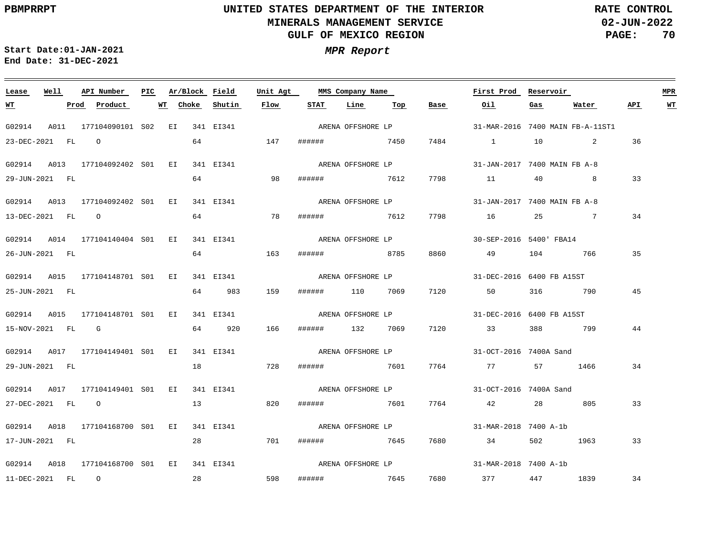# **UNITED STATES DEPARTMENT OF THE INTERIOR MINERALS MANAGEMENT SERVICE GULF OF MEXICO REGION**

**02-JUN-2022 PAGE: 70 RATE CONTROL**

| Lease            | Well |      | API Number                                | PIC |    | Ar/Block Field |           | Unit Agt          |      | MMS Company Name  |     |                   | First Prod Reservoir                                                               |     |                                  |     | MPR |
|------------------|------|------|-------------------------------------------|-----|----|----------------|-----------|-------------------|------|-------------------|-----|-------------------|------------------------------------------------------------------------------------|-----|----------------------------------|-----|-----|
| <u>WT</u>        |      | Prod | Product                                   |     | WT | Choke          | Shutin    | Flow              | STAT | Line              | Тор | Base              | Oil                                                                                | Gas | Water                            | API | WT  |
| G02914           |      |      | A011 177104090101 S02 EI 341 EI341        |     |    |                |           | ARENA OFFSHORE LP |      |                   |     |                   |                                                                                    |     | 31-MAR-2016 7400 MAIN FB-A-11ST1 |     |     |
| 23-DEC-2021 FL 0 |      |      |                                           |     |    |                | 64 147    |                   |      | ###### 7450       |     |                   | 7484 1 10                                                                          |     | 2                                | 36  |     |
|                  |      |      | G02914 A013 177104092402 S01 EI           |     |    |                | 341 EI341 | ARENA OFFSHORE LP |      |                   |     |                   | 31-JAN-2017 7400 MAIN FB A-8                                                       |     |                                  |     |     |
| 29-JUN-2021 FL   |      |      |                                           |     |    |                | 64 98     |                   |      | ###### 7612       |     |                   | 7798 11 40 8                                                                       |     |                                  | 33  |     |
|                  |      |      | G02914 A013 177104092402 S01 EI           |     |    |                | 341 EI341 |                   |      |                   |     |                   |                                                                                    |     |                                  |     |     |
| 13-DEC-2021 FL 0 |      |      |                                           |     |    |                | 64 78     |                   |      |                   |     |                   | ###### 7612 7798 16                                                                | 25  | $\sim$ 7                         | 34  |     |
|                  |      |      |                                           |     |    |                |           |                   |      |                   |     |                   | G02914 A014 177104140404 S01 EI 341 EI341 ARENA OFFSHORE LP 30-SEP-2016 5400'FBA14 |     |                                  |     |     |
| 26-JUN-2021 FL   |      |      |                                           |     |    |                | 64 163    |                   |      | ####### 8785      |     | 8860              | 49 104 766                                                                         |     |                                  | 35  |     |
|                  |      |      | G02914 A015 177104148701 S01 EI 341 EI341 |     |    |                |           |                   |      | ARENA OFFSHORE LP |     |                   | 31-DEC-2016 6400 FB A15ST                                                          |     |                                  |     |     |
| 25-JUN-2021 FL   |      |      |                                           |     |    |                | 64 983    | 159               |      | ###### 110 7069   |     | 7120              | 50                                                                                 |     | 316 790                          | 45  |     |
|                  |      |      | G02914 A015 177104148701 S01 EI 341 EI341 |     |    |                |           |                   |      |                   |     |                   |                                                                                    |     |                                  |     |     |
|                  |      |      | 15-NOV-2021 FL G                          |     |    |                | 64 920    | 166               |      | ###### 132 7069   |     |                   | 7120 33 388 799                                                                    |     |                                  | 44  |     |
|                  |      |      | G02914 A017 177104149401 S01 EI 341 EI341 |     |    |                |           |                   |      | ARENA OFFSHORE LP |     |                   | 31-OCT-2016 7400A Sand                                                             |     |                                  |     |     |
| 29-JUN-2021 FL   |      |      |                                           |     |    |                | 18 728    |                   |      | ####### 7601      |     |                   | 7764 77 57 1466                                                                    |     |                                  | 34  |     |
|                  |      |      | G02914 A017 177104149401 S01 EI 341 EI341 |     |    |                |           |                   |      |                   |     | ARENA OFFSHORE LP | 31-OCT-2016 7400A Sand                                                             |     |                                  |     |     |
|                  |      |      | 27-DEC-2021 FL O                          |     |    |                | 13 820    |                   |      | ###### 7601       |     |                   | 7764 42                                                                            |     | 28 805                           | 33  |     |
|                  |      |      | G02914 A018 177104168700 S01 EI           |     |    |                | 341 EI341 |                   |      |                   |     |                   |                                                                                    |     |                                  |     |     |
| 17-JUN-2021 FL   |      |      |                                           |     |    |                | 28 701    |                   |      | ###### 7645       |     |                   | 7680 34 502 1963                                                                   |     |                                  | 33  |     |
|                  |      |      |                                           |     |    |                |           |                   |      |                   |     |                   | G02914 A018 177104168700 S01 EI 341 EI341 ARENA OFFSHORE LP 31-MAR-2018 7400 A-1b  |     |                                  |     |     |
| 11-DEC-2021 FL 0 |      |      |                                           |     |    | 28             |           | 598               |      |                   |     |                   | ####### 7645 7680 377 447 1839                                                     |     |                                  | 34  |     |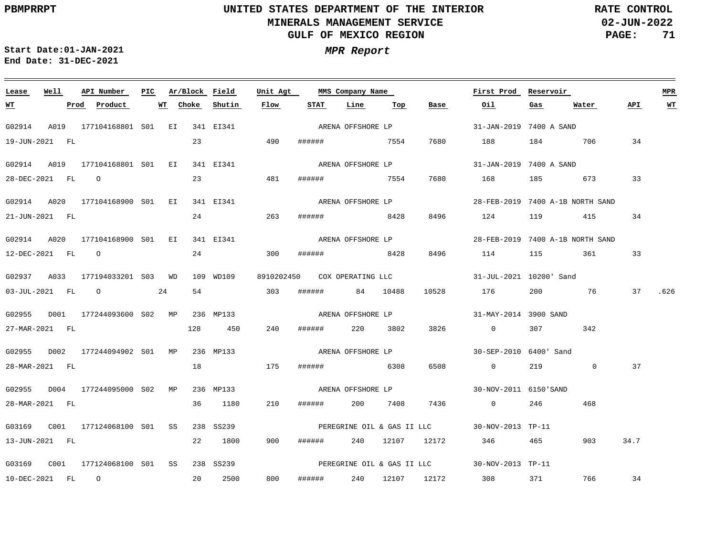**02-JUN-2022 PAGE: 71 RATE CONTROL**

<u> 1989 - Andrea Andrew Maria (h. 1989).</u>

**Start Date:01-JAN-2021 MPR Report End Date: 31-DEC-2021**

| Lease            | Well | API Number                                | PIC. |    | Ar/Block Field |                      | Unit Agt          |        | MMS Company Name             |          | First Prod | Reservoir                                    |         |                                  | <b>MPR</b> |           |
|------------------|------|-------------------------------------------|------|----|----------------|----------------------|-------------------|--------|------------------------------|----------|------------|----------------------------------------------|---------|----------------------------------|------------|-----------|
| <u> WТ</u>       |      | Prod Product                              |      | WT | Choke          | Shutin               | Flow              | STAT   | Line                         | Top      | Base       | Oil                                          | Gas     | Water                            | API.       | <b>WT</b> |
| G02914           |      | A019 177104168801 S01 EI 341 EI341        |      |    |                |                      |                   |        | ARENA OFFSHORE LP            |          |            | 31-JAN-2019 7400 A SAND                      |         |                                  |            |           |
| 19-JUN-2021 FL   |      |                                           |      |    | 23             |                      | 490               |        | ###### 7554                  |          | 7680       | 188                                          |         | 184 706                          | 34         |           |
|                  |      | G02914 A019 177104168801 S01 EI           |      |    |                | 341 EI341            |                   |        | ARENA OFFSHORE LP            |          |            | 31-JAN-2019 7400 A SAND                      |         |                                  |            |           |
| 28-DEC-2021 FL 0 |      |                                           |      |    | 23             |                      | 481               | ###### | 7554                         |          | 7680       | 168                                          |         | 185 673                          | 33         |           |
|                  |      | G02914 A020 177104168900 S01 EI           |      |    |                | 341 EI341            |                   |        | ARENA OFFSHORE LP            |          |            |                                              |         | 28-FEB-2019 7400 A-1B NORTH SAND |            |           |
| 21-JUN-2021 FL   |      |                                           |      |    |                | 24                   | 263               |        | ###### 8428                  |          | 8496       | 124                                          |         | 119 415                          | 34         |           |
|                  |      | G02914 A020 177104168900 S01 EI           |      |    |                | 341 EI341            |                   |        | ARENA OFFSHORE LP            |          |            |                                              |         | 28-FEB-2019 7400 A-1B NORTH SAND |            |           |
| 12-DEC-2021 FL 0 |      |                                           |      |    |                | 24 and $\sim$        | 300               | ###### | 8428                         |          | 8496       | 114                                          | 115     | 361 360                          | 33         |           |
|                  |      | G02937 A033 177194033201 S03 WD           |      |    |                | 109 WD109            |                   |        | 8910202450 COX OPERATING LLC |          |            | 31-JUL-2021 10200' Sand                      |         |                                  |            |           |
|                  |      | $03 - JUL - 2021$ FL $O$                  |      | 24 | 54             | 303                  |                   |        | ######                       | 84 10488 | 10528      | 176                                          | 200     | 76                               | 37         | .626      |
|                  |      | G02955 D001 177244093600 S02 MP 236 MP133 |      |    |                |                      | ARENA OFFSHORE LP |        |                              |          |            | 31-MAY-2014 3900 SAND                        |         |                                  |            |           |
| 27-MAR-2021 FL   |      |                                           |      |    |                | 128 450              | 240               | ###### | 220                          | 3802     | 3826       | $\overline{0}$                               | 307 307 | 342                              |            |           |
|                  |      | G02955 D002 177244094902 S01 MP           |      |    |                | 236 MP133            |                   |        | ARENA OFFSHORE LP            |          |            | 30-SEP-2010 6400' Sand                       |         |                                  |            |           |
| 28-MAR-2021 FL   |      |                                           |      |    | 18             |                      | 175               |        | ####### 6308                 |          | 6508       | $\overline{0}$                               | 219     | $\mathbf 0$                      | 37         |           |
|                  |      |                                           |      |    |                |                      |                   |        | ARENA OFFSHORE LP            |          |            |                                              |         |                                  |            |           |
| 28-MAR-2021 FL   |      | G02955 D004 177244095000 S02 MP           |      |    |                | 236 MP133<br>36 1180 | 210               | ###### |                              | 200 7408 | 7436       | 30-NOV-2011 6150'SAND<br>$\overline{0}$      | 246     | 468                              |            |           |
|                  |      |                                           |      |    |                |                      |                   |        |                              |          |            |                                              |         |                                  |            |           |
|                  |      |                                           |      | SS |                | 238 SS239            |                   |        |                              |          |            | PEREGRINE OIL & GAS II LLC 30-NOV-2013 TP-11 |         |                                  |            |           |
| 13-JUN-2021 FL   |      |                                           |      |    | 22             | 1800                 | 900               |        |                              |          |            | ###### 240 12107 12172 346                   | 465     | 903                              | 34.7       |           |
|                  |      |                                           |      |    |                | 238 SS239            |                   |        |                              |          |            | PEREGRINE OIL & GAS II LLC 30-NOV-2013 TP-11 |         |                                  |            |           |
| 10-DEC-2021 FL 0 |      |                                           |      |    |                | 20 2500              | 800               |        |                              |          |            | ###### 240 12107 12172 308 371               |         | 766 34                           |            |           |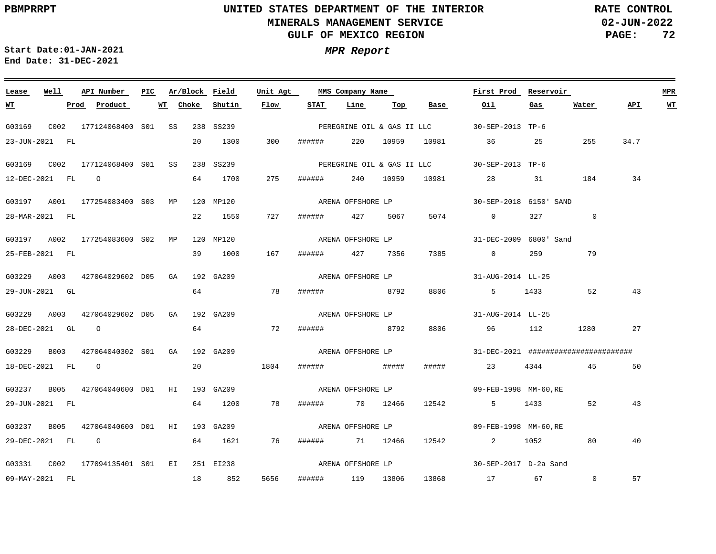**02-JUN-2022 PAGE: 72 RATE CONTROL**

**Start Date:01-JAN-2021 MPR Report End Date: 31-DEC-2021**

### **Lease Well API Number Ar/Block Field Unit Agt First Prod Reservoir MPR PIC MMS Company Name Choke Shutin Flow STAT Line API WT WT Prod Product WT Top Base Oil Gas Water** G03169 C002 177124068400 SS 238 SS239 S01 30-SEP-2013 TP-6 PEREGRINE OIL & GAS II LLC 23-JUN-2021 FL 20 1300 300 ###### 220 10959 10981 36 25 255 34.7 G03169 C002 177124068400 SS 238 SS239 S01 30-SEP-2013 TP-6 PEREGRINE OIL & GAS II LLC 275 34 12-DEC-2021 FL O 64 1700 ###### 240 10959 10981 28 31 184 ARENA OFFSHORE LP G03197 A001 177254083400 S03 MP 120 MP120 30-SEP-2018 6150' SAND 0 28-MAR-2021 FL 22 1550 727 ###### 427 5067 5074 0 327 G03197 A002 177254083600 S02 MP 120 MP120 31-DEC-2009 6800' Sand ARENA OFFSHORE LP 39 1000 167 25-FEB-2021 FL ###### 427 7356 7385 0 259 79 ARENA OFFSHORE LP G03229 A003 427064029602 D05 GA 192 GA209 31-AUG-2014 LL-25 64 29-JUN-2021 GL 78 ###### 8792 8806 5 1433 52 43 G03229 A003 427064029602 D05 GA 192 GA209 31-AUG-2014 LL-25 ARENA OFFSHORE LP 64 72 28-DEC-2021 GL O ###### 8792 8806 96 112 1280 27 G03229 B003 427064040302 S01 GA 192 GA209 ARENA OFFSHORE LP 31-DEC-2021 ######################## 18-DEC-2021 FL O 20 1804 ###### ##### ##### 23 4344 45 50 G03237 B005 427064040600 D01 HI 193 GA209 ARENA OFFSHORE LP 09-FEB-1998 MM-60,RE 29-JUN-2021 FL 64 1200 78 ###### 70 12466 12542 5 1433 52 43 ARENA OFFSHORE LP G03237 B005 427064040600 D01 HI 193 GA209 09-FEB-1998 MM-60,RE 29-DEC-2021 FL G 64 1621 76 ###### 71 12466 12542 2 1052 80 40 ARENA OFFSHORE LP G03331 C002 177094135401 EI 251 EI238 S0130-SEP-2017 D-2a Sand 5656  $\Omega$ 57 09-MAY-2021 FL 18 852 ###### 119 13806 13868 17 67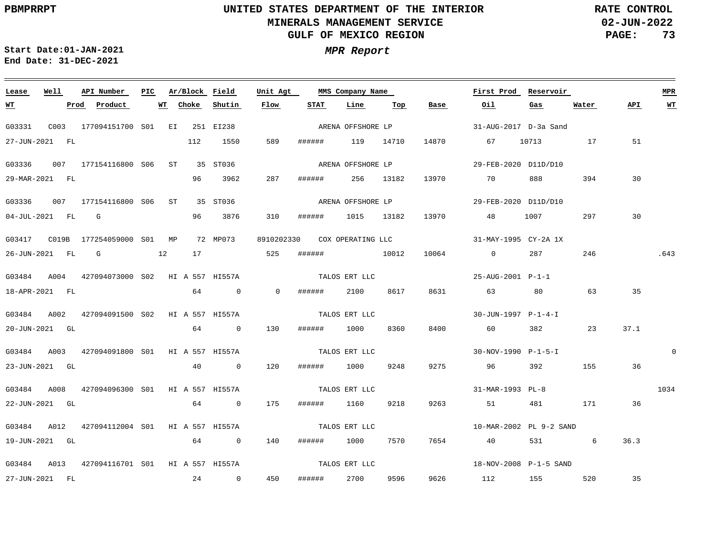$\equiv$ 

# **UNITED STATES DEPARTMENT OF THE INTERIOR MINERALS MANAGEMENT SERVICE GULF OF MEXICO REGION**

**02-JUN-2022 PAGE: 73 RATE CONTROL**

**Start Date:01-JAN-2021 MPR Report End Date: 31-DEC-2021**

| Lease          | Well             | API Number                                   | PIC |    |       | Ar/Block Field | Unit Agt       |        | MMS Company Name  |            |          | First Prod Reservoir    |         |            |      | <b>MPR</b> |
|----------------|------------------|----------------------------------------------|-----|----|-------|----------------|----------------|--------|-------------------|------------|----------|-------------------------|---------|------------|------|------------|
| <u>WT</u>      |                  | Product<br>Prod                              |     | WT | Choke | Shutin         | Flow           | STAT   | Line              | Тор        | Base     | Oil                     | Gas     | Water      | API  | WT         |
| G03331         |                  | C003 177094151700 S01 EI 251 EI238           |     |    |       |                |                |        | ARENA OFFSHORE LP |            |          | 31-AUG-2017 D-3a Sand   |         |            |      |            |
|                | 27-JUN-2021 FL   |                                              |     |    | 112   | 1550           | 589            | ###### | 119 14710         |            |          | 14870 67 10713          |         | 17         | 51   |            |
| G03336         |                  | 007 177154116800 S06 ST 35 ST036             |     |    |       |                |                |        | ARENA OFFSHORE LP |            |          | 29-FEB-2020 D11D/D10    |         |            |      |            |
|                | 29-MAR-2021 FL   |                                              |     |    | 96 —  | 3962           | 287            | ###### |                   | 256 13182  |          | 13970 70                | 888     | 394        | 30   |            |
| G03336         |                  | 007 177154116800 S06 ST 35 ST036             |     |    |       |                |                |        | ARENA OFFSHORE LP |            |          | 29-FEB-2020 D11D/D10    |         |            |      |            |
|                | 04-JUL-2021 FL G |                                              |     |    |       | 96 3876        | 310            | ###### |                   | 1015 13182 |          | 13970 48                | 1007    | 297        | 30   |            |
|                |                  |                                              |     |    |       |                | 8910202330     |        | COX OPERATING LLC |            |          | 31-MAY-1995 CY-2A 1X    |         |            |      |            |
|                | 26-JUN-2021 FL   | $\mathbf G$<br>$\sim$ 12                     |     |    | 17    | 525            |                | ###### | 10012             |            |          | 10064 0                 | 287     | 246        |      | .643       |
|                |                  | G03484 A004 427094073000 S02 HI A 557 HI557A |     |    |       |                |                |        | TALOS ERT LLC     |            |          | 25-AUG-2001 P-1-1       |         |            |      |            |
| 18-APR-2021 FL |                  |                                              |     |    |       | 64 0           | $\overline{0}$ | ###### | 2100              | 8617       | 8631     | 63 63                   | 80      | 63         | 35   |            |
|                |                  | G03484 A002 427094091500 S02 HI A 557 HI557A |     |    |       |                |                |        | TALOS ERT LLC     |            |          | 30-JUN-1997 P-1-4-I     |         |            |      |            |
|                | 20-JUN-2021 GL   |                                              |     |    |       | 64 0           | 130            | ###### | 1000              | 8360       | 8400     | 60 60 60                | 382 200 | 23         | 37.1 |            |
|                |                  | G03484 A003 427094091800 S01 HI A 557 HI557A |     |    |       |                |                |        | TALOS ERT LLC     |            |          | 30-NOV-1990 P-1-5-I     |         |            |      | $\Omega$   |
|                | 23-JUN-2021 GL   |                                              |     |    |       | 40 0           | 120            | ###### | 1000              | 9248       | 9275     | 96                      | 392     | 155        | 36   |            |
| G03484         | A008             | 427094096300 SO1 HI A 557 HI557A             |     |    |       |                |                |        | TALOS ERT LLC     |            |          | 31-MAR-1993 PL-8        |         |            |      | 1034       |
|                | 22-JUN-2021 GL   |                                              |     |    |       | 64 0           | 175            | ###### | 1160              | 9218       | 9263 200 | 51                      | 481     | 171        | 36   |            |
|                |                  | G03484 A012 427094112004 S01 HI A 557 HI557A |     |    |       |                |                |        | TALOS ERT LLC     |            |          | 10-MAR-2002 PL 9-2 SAND |         |            |      |            |
| 19-JUN-2021 GL |                  |                                              |     |    |       | 64 0           | 140            | ###### | 1000              | 7570       | 7654     | 40                      |         | 6<br>531 7 | 36.3 |            |
|                |                  | G03484 A013 427094116701 S01 HI A 557 HI557A |     |    |       |                |                |        | TALOS ERT LLC     |            |          | 18-NOV-2008 P-1-5 SAND  |         |            |      |            |
|                | 27-JUN-2021 FL   |                                              |     |    |       | $24$ 0         | 450            | ###### | 2700              | 9596       |          | 9626 112 155            |         | 520        | 35   |            |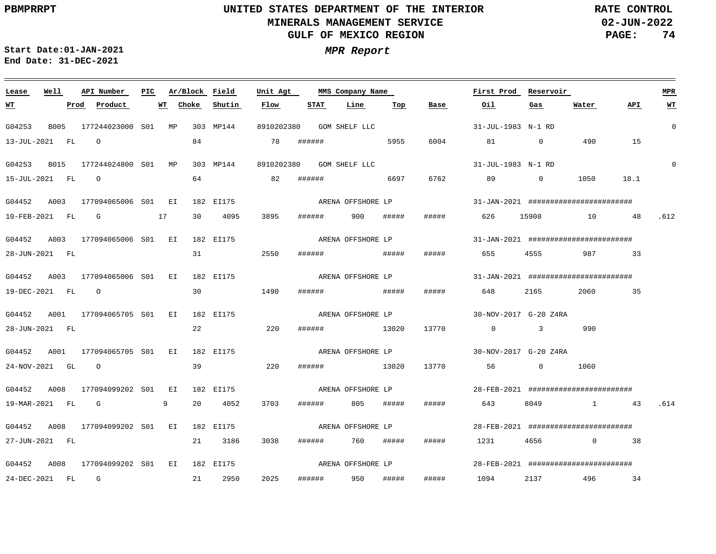**02-JUN-2022 PAGE: 74 RATE CONTROL**

 $\equiv$ 

**Start Date:01-JAN-2021 MPR Report End Date: 31-DEC-2021**

| Lease            | Well | API Number                                                          | PIC. | Ar/Block Field |    |           | Unit Agt |        | MMS Company Name         |       |                   | First Prod                                                     | Reservoir |                |      | <b>MPR</b>  |
|------------------|------|---------------------------------------------------------------------|------|----------------|----|-----------|----------|--------|--------------------------|-------|-------------------|----------------------------------------------------------------|-----------|----------------|------|-------------|
| <u>WT</u>        |      | Product<br>Prod                                                     |      | Choke<br>WT    |    | Shutin    | Flow     | STAT   | Line                     | Top   | Base              | Oil                                                            | Gas       | Water          | API  | $WT$        |
| G04253           |      | B005 177244023000 S01 MP                                            |      |                |    | 303 MP144 |          |        | 8910202380 GOM SHELF LLC |       |                   | 31-JUL-1983 N-1 RD                                             |           |                |      | $\mathbf 0$ |
|                  |      | 13-JUL-2021 FL 0                                                    |      |                | 84 |           | 78       | ###### | 5955                     |       | 6004              | 81 0                                                           |           | 490            | 15   |             |
| G04253 B015      |      | 177244024800 SO1 MP                                                 |      |                |    | 303 MP144 |          |        | 8910202380 GOM SHELF LLC |       |                   | 31-JUL-1983 N-1 RD                                             |           |                |      | $\mathbf 0$ |
| 15-JUL-2021 FL 0 |      |                                                                     |      |                |    | 64        | 82       | ###### | 6697                     |       | 6762              | $89$ 0                                                         |           | 1050           | 18.1 |             |
|                  |      | G04452 A003 177094065006 S01 EI                                     |      |                |    | 182 EI175 |          |        |                          |       |                   |                                                                |           |                |      |             |
|                  |      | 10-FEB-2021 FL G 17                                                 |      |                |    | 30 4095   | 3895     |        | ####### 900 #####        |       |                   | ##### 626 15908 10 48                                          |           |                |      | .612        |
|                  |      | G04452 A003 177094065006 S01 EI                                     |      |                |    | 182 EI175 |          |        |                          |       | ARENA OFFSHORE LP | 31-JAN-2021 #########################                          |           |                |      |             |
| 28-JUN-2021 FL   |      |                                                                     |      |                |    | 31 2550   |          |        | # # # # # #              | ##### | #####             | 655                                                            |           | 4555 987 33    |      |             |
|                  |      | G04452 A003 177094065006 S01 EI 182 EI175                           |      |                |    |           |          |        |                          |       |                   | $ARENA$ OFFSHORE LP $31-JAN-2021$ ############################ |           |                |      |             |
|                  |      | 19-DEC-2021 FL 0                                                    |      |                |    | 30        | 1490     |        |                          |       | #####             | 648                                                            | 2165      | 2060 10        | 35   |             |
|                  |      | G04452 A001 177094065705 S01 EI 182 EI175 Network ARENA OFFSHORE LP |      |                |    |           |          |        |                          |       |                   | 30-NOV-2017 G-20 Z4RA                                          |           |                |      |             |
| 28-JUN-2021 FL   |      |                                                                     |      |                |    | 22        | 220      |        | ###### 13020             |       |                   | 13770 0 3 990                                                  |           |                |      |             |
|                  |      | G04452 A001 177094065705 S01 EI                                     |      |                |    | 182 EI175 |          |        |                          |       | ARENA OFFSHORE LP | 30-NOV-2017 G-20 Z4RA                                          |           |                |      |             |
| 24-NOV-2021 GL 0 |      |                                                                     |      |                |    | 39        | 220      |        | ###### 13020             |       | 13770             | 56 0                                                           |           | 1060           |      |             |
| G04452 A008      |      | 177094099202 S01 EI                                                 |      |                |    | 182 EI175 |          |        |                          |       |                   |                                                                |           |                |      |             |
|                  |      | 19-MAR-2021 FL G                                                    |      | 9              |    | 20 4052   | 3703     |        | ####### 805 #####        |       | #####             | 643                                                            |           | 8049 1 43 .614 |      |             |
|                  |      | G04452 A008 177094099202 S01 EI                                     |      |                |    | 182 EI175 |          |        | ARENA OFFSHORE LP        |       |                   | $28 - FEB - 2021$ ##########################                   |           |                |      |             |
| 27-JUN-2021 FL   |      |                                                                     |      |                |    | 21 3186   | 3038     |        | ###### 760 #####         |       | #####             | 1231 4656 0 38                                                 |           |                |      |             |
|                  |      | G04452 A008 177094099202 S01 EI 182 EI175                           |      |                |    |           |          |        |                          |       | ARENA OFFSHORE LP | 28-FEB-2021 #########################                          |           |                |      |             |
| 24-DEC-2021 FL G |      |                                                                     |      |                |    | 21 2950   | 2025     |        | ###### 950               | ##### | #####             | 1094                                                           |           | 2137 496 34    |      |             |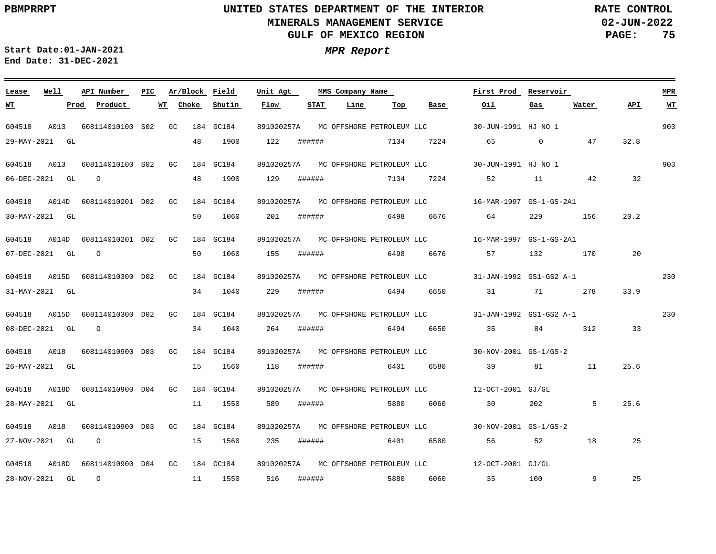**02-JUN-2022 PAGE: 75 RATE CONTROL**

 $\equiv$ 

**Start Date:01-JAN-2021 MPR Report End Date: 31-DEC-2021**

| Lease     | Well           | API Number                    | PIC. | Ar/Block Field |    |           | Unit Agt   |        | MMS Company Name |           |              | First Prod                                                   | Reservoir      |             |      | <b>MPR</b> |
|-----------|----------------|-------------------------------|------|----------------|----|-----------|------------|--------|------------------|-----------|--------------|--------------------------------------------------------------|----------------|-------------|------|------------|
| <u>WT</u> |                | Prod<br>Product               | WT   | Choke          |    | Shutin    | Flow       | STAT   | Line             | Тор       | Base         | Oil                                                          | Gas            | Water       | API  | <b>WT</b>  |
| G04518    | A013           | 608114010100 S02 GC           |      |                |    | 184 GC184 |            |        |                  |           |              | 891020257A MC OFFSHORE PETROLEUM LLC 30-JUN-1991 HJ NO 1     |                |             |      | 903        |
|           | 29-MAY-2021 GL |                               |      |                | 48 | 1900      | 122        | ###### |                  | 7134      |              | 7224 65                                                      | $\overline{0}$ | 47          | 32.8 |            |
| G04518    | A013           | 608114010100 S02 GC           |      |                |    | 184 GC184 | 891020257A |        |                  |           |              | MC OFFSHORE PETROLEUM LLC 30-JUN-1991 HJ NO 1                |                |             |      | 903        |
|           | 06-DEC-2021 GL | $\overline{O}$                |      |                | 48 | 1900      | 129        | ###### |                  |           | 7134 7224 52 |                                                              | 11 42          |             | 32   |            |
| G04518    |                | A014D 608114010201 D02 GC     |      |                |    | 184 GC184 |            |        |                  |           |              | 891020257A MC OFFSHORE PETROLEUM LLC 16-MAR-1997 GS-1-GS-2A1 |                |             |      |            |
|           | 30-MAY-2021 GL |                               |      |                | 50 | 1060      | 201        | ###### |                  |           |              | 6498 6676 64                                                 | 229 — 201      | 156         | 20.2 |            |
| G04518    | A014D          | 608114010201 D02 GC           |      |                |    | 184 GC184 | 891020257A |        |                  |           |              |                                                              |                |             |      |            |
|           | 07-DEC-2021 GL | $\overline{O}$                |      |                | 50 | 1060      | 155        | ###### |                  |           |              | 6498 6676 57 132                                             |                | 170         | 20   |            |
| G04518    |                | A015D 608114010300 D02 GC     |      |                |    | 184 GC184 |            |        |                  |           |              | 891020257A MC OFFSHORE PETROLEUM LLC 31-JAN-1992 GS1-GS2 A-1 |                |             |      | 230        |
|           | 31-MAY-2021 GL |                               |      |                |    | 34 1040   | 229        | ###### |                  |           |              | 6494 6650 31 71                                              |                | 278         | 33.9 |            |
| G04518    | A015D          | 608114010300 D02 GC           |      |                |    | 184 GC184 | 891020257A |        |                  |           |              | MC OFFSHORE PETROLEUM LLC 31-JAN-1992 GS1-GS2 A-1            |                |             |      | 230        |
|           | 08-DEC-2021 GL | $\overline{O}$                |      |                | 34 | 1040      | 264        | ###### |                  | 6494 6650 |              | 35                                                           | 84 312         |             | 33   |            |
| G04518    | A018           | 608114010900 D03 GC           |      |                |    | 184 GC184 |            |        |                  |           |              | 891020257A MC OFFSHORE PETROLEUM LLC 30-NOV-2001 GS-1/GS-2   |                |             |      |            |
|           | 26-MAY-2021 GL |                               |      |                | 15 | 1560      | 118        | ###### |                  |           | 6401 6580    | 39                                                           | 81 — 100       | 11          | 25.6 |            |
| G04518    |                | A018D 608114010900 D04 GC     |      |                |    | 184 GC184 | 891020257A |        |                  |           |              | MC OFFSHORE PETROLEUM LLC 12-OCT-2001 GJ/GL                  |                |             |      |            |
|           | 28-MAY-2021 GL |                               |      |                | 11 | 1550      | 589        | ###### |                  | 5880      | 6060         | 30                                                           | 202            | $5^{\circ}$ | 25.6 |            |
| G04518    | A018           | 608114010900 D03 GC           |      |                |    | 184 GC184 |            |        |                  |           |              | 891020257A MC OFFSHORE PETROLEUM LLC 30-NOV-2001 GS-1/GS-2   |                |             |      |            |
|           | 27-NOV-2021 GL | $\overline{O}$                |      |                | 15 | 1560      | 235        | ###### |                  |           | 6401 6580    | 56 30                                                        | 52             | 18          | 25   |            |
| G04518    | A018D          | 608114010900 D04 GC 184 GC184 |      |                |    |           | 891020257A |        |                  |           |              |                                                              |                |             |      |            |
|           | 28-NOV-2021 GL | $\overline{O}$                |      |                | 11 | 1550      | 516        | ###### |                  | 5880      |              | 6060 35 100                                                  |                | 9           | 25   |            |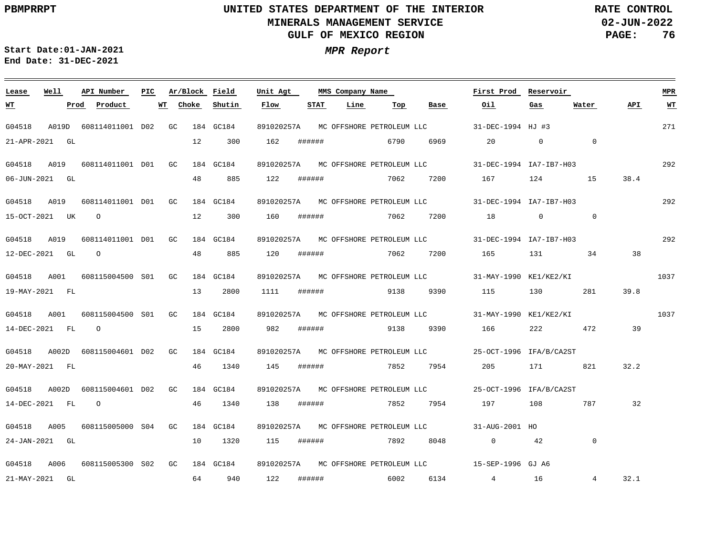G04518 A001

21-APR-2021 GL

**WT**

06-JUN-2021 GL

15-OCT-2021 UK

12-DEC-2021 GL O

O

## **UNITED STATES DEPARTMENT OF THE INTERIOR MINERALS MANAGEMENT SERVICE GULF OF MEXICO REGION**

**02-JUN-2022 PAGE: 76 RATE CONTROL**

271

**MPR**

**API WT**

292

292

 $\overline{0}$ 

**Water**

292

1037

**Start Date:01-JAN-2021 MPR Report End Date: 31-DEC-2021**

### <u> Andreas Andreas Andreas Andreas Andreas Andreas Andreas Andreas Andreas Andreas Andreas Andreas Andreas Andr</u> **Lease Well API Number Ar/Block Field PIC MMS Company Name Unit Agt First Prod Reservoir Choke Shutin Flow STAT Line Top Prod Product WT Base Oil Gas** G04518 A019D 608114011001 D02 GC 184 GC184 891020257A MCOFFSHOREPETROLEUMLLC 31-DEC-1994 HJ #3 12 300 162 ###### 6790 6969 20 0 0 G04518 A019 608114011001 D01 GC 184 GC184 891020257A 31-DEC-1994 IA7-IB7-H03 MC OFFSHORE PETROLEUM LLC 48 885 122 ###### 7062 7200 167 124 15 38.4 G04518 A019 608114011001 D01 GC 184 GC184 891020257A 31-DEC-1994 IA7-IB7-H03 MC OFFSHORE PETROLEUM LLC 12 300 160 ###### 7062 7200 18 0 G04518 A019 608114011001 D01 GC 184 GC184 891020257A 31-DEC-1994 IA7-IB7-H03 MC OFFSHORE PETROLEUM LLC 48 885 120 ###### 7062 7200 165 131 34 38 608115004500 GC S01 184 GC184 891020257A 31-MAY-1990 KE1/KE2/KI MC OFFSHORE PETROLEUM LLC

G04518 A001 608115004500 S01 GC G04518 A002D 608115004601 D02 GC G04518 A002D 608115004601 D02 GC 184 GC184 184 GC184 184 GC184 891020257A 31-MAY-1990 KE1/KE2/KI MC OFFSHORE PETROLEUM LLC 891020257A 25-OCT-1996 IFA/B/CA2ST MC OFFSHORE PETROLEUM LLC 891020257A 25-OCT-1996 IFA/B/CA2ST MC OFFSHORE PETROLEUM LLC 1037 19-MAY-2021 FL 14-DEC-2021 FL 20-MAY-2021 FL 14-DEC-2021 FL O O 13 15 46 46 2800 2800 1340 1340 1111 ###### 982 ###### 9138 9390 166 222 472 145 ###### 138 ###### 9138 9390 115 130 281 39.8 7852 7954 205 171 821 32.2 7852 7954 197 108 787 39 32

G04518 A005 608115005000 S04 GC 184 GC184 G04518 A006 608115005300 GC 184 GC184 891020257A 15-SEP-1996 GJ A6 MC OFFSHORE PETROLEUM LLC S02891020257A 31-AUG-2001 HO MC OFFSHORE PETROLEUM LLC 24-JAN-2021 GL 21-MAY-2021 GL 10 64 940 122 1320 115 ###### 7892 8048 0 42 ###### 6002 6134 4 16 0 4 32.1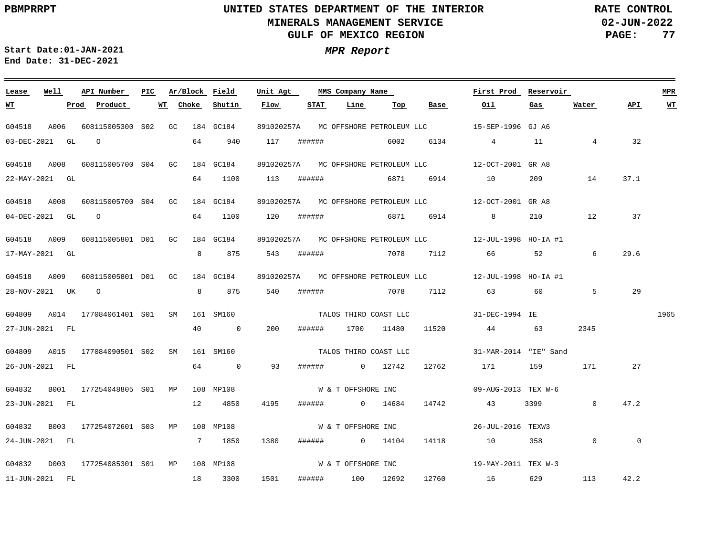$\equiv$ 

# **UNITED STATES DEPARTMENT OF THE INTERIOR MINERALS MANAGEMENT SERVICE GULF OF MEXICO REGION**

**02-JUN-2022 PAGE: 77 RATE CONTROL**

 $\equiv$ 

**Start Date:01-JAN-2021 MPR Report End Date: 31-DEC-2021**

| Lease                | Well | API Number               | PIC |    | Ar/Block Field |                                       | Unit Agt   |        | MMS Company Name   |                       |             | First Prod                                                | Reservoir |                |         | ${\tt MPR}$ |
|----------------------|------|--------------------------|-----|----|----------------|---------------------------------------|------------|--------|--------------------|-----------------------|-------------|-----------------------------------------------------------|-----------|----------------|---------|-------------|
| <u>WT</u>            |      | Prod Product             |     | WT | Choke          | Shutin                                | Flow       | STAT   | Line               | Top                   | <b>Base</b> | Oil.                                                      | Gas       | Water          | API     | <b>WT</b>   |
| G04518               | A006 | 608115005300 S02 GC      |     |    |                | 184 GC184                             | 891020257A |        |                    |                       |             |                                                           |           |                |         |             |
| 03-DEC-2021 GL       |      | $\Omega$                 |     |    | 64             | 940                                   | 117        | ###### |                    | 6002                  |             | 6134 4                                                    | 11        | $\overline{4}$ | 32      |             |
| G04518               | A008 | 608115005700 S04 GC      |     |    |                | 184 GC184                             | 891020257A |        |                    |                       |             |                                                           |           |                |         |             |
| 22-MAY-2021 GL       |      |                          |     |    | 64             | 1100                                  | 113        | ###### |                    | 6871                  | 6914        | 10                                                        | 209       | 14             | 37.1    |             |
| G04518               | A008 | 608115005700 S04 GC      |     |    |                | 184 GC184                             |            |        |                    |                       |             | 891020257A MC OFFSHORE PETROLEUM LLC 12-OCT-2001 GR A8    |           |                |         |             |
| $04 - DEC - 2021$ GL |      | $\circ$                  |     |    |                | 64 1100                               | 120        | ###### |                    | 6871                  | 6914        | $8 - 8$                                                   | 210       | 12             | 37      |             |
| G04518               | A009 | 608115005801 D01 GC      |     |    |                | 184 GC184                             | 891020257A |        |                    |                       |             | MC OFFSHORE PETROLEUM LLC 12-JUL-1998 HO-IA #1            |           |                |         |             |
| 17-MAY-2021 GL       |      |                          |     |    | 8              | 875                                   | 543        | ###### |                    | 7078                  | 7112        |                                                           | 52        | 6              | 29.6    |             |
| G04518               | A009 | 608115005801 D01 GC      |     |    |                | 184 GC184                             |            |        |                    |                       |             | 891020257A MC OFFSHORE PETROLEUM LLC 12-JUL-1998 HO-IA #1 |           |                |         |             |
| 28-NOV-2021 UK O     |      |                          |     |    |                | 875<br>$8 \left( \frac{1}{2} \right)$ | 540        | ###### |                    |                       | 7078 7112   | 63 63                                                     | 60        | 5              | 29      |             |
| G04809               | A014 | 177084061401 S01         |     | SM |                | 161 SM160                             |            |        |                    | TALOS THIRD COAST LLC |             | 31-DEC-1994 IE                                            |           |                |         | 1965        |
| 27-JUN-2021 FL       |      |                          |     |    | 40             | $\overline{0}$                        | 200        | ###### | 1700               | 11480                 | 11520       | 44 63                                                     |           | 2345           |         |             |
| G04809               |      | A015 177084090501 S02 SM |     |    |                | 161 SM160                             |            |        |                    | TALOS THIRD COAST LLC |             | 31-MAR-2014 "IE" Sand                                     |           |                |         |             |
| 26-JUN-2021 FL       |      |                          |     |    |                | 64 0                                  | 93         |        | ####### 0 12742    |                       | 12762       | 171                                                       | 159       | 171            | 27      |             |
| G04832               | B001 | 177254048805 SO1 MP      |     |    |                | 108 MP108                             |            |        | W & T OFFSHORE INC |                       |             | 09-AUG-2013 TEX W-6                                       |           |                |         |             |
| 23-JUN-2021 FL       |      |                          |     |    | 12             | 4850                                  | 4195       |        | ###### 0 14684     |                       | 14742       | 43                                                        | 3399      | $\overline{0}$ | 47.2    |             |
| G04832               |      | B003 177254072601 S03 MP |     |    |                | 108 MP108                             |            |        |                    |                       |             | $W & T$ OFFSHORE INC $26-JUL-2016$ TEXW3                  |           |                |         |             |
| 24-JUN-2021 FL       |      |                          |     |    |                | 7 1850                                | 1380       |        | ####### 0 14104    |                       | 14118       | 10                                                        | 358       | $\overline{0}$ | $\circ$ |             |
| G04832               |      | D003 177254085301 S01 MP |     |    |                | 108 MP108                             |            |        | W & T OFFSHORE INC |                       |             | 19-MAY-2011 TEX W-3                                       |           |                |         |             |
| 11-JUN-2021 FL       |      |                          |     |    | 18             | 3300                                  | 1501       |        | ###### 100         | 12692                 | 12760       | 16                                                        | 629       | 113            | 42.2    |             |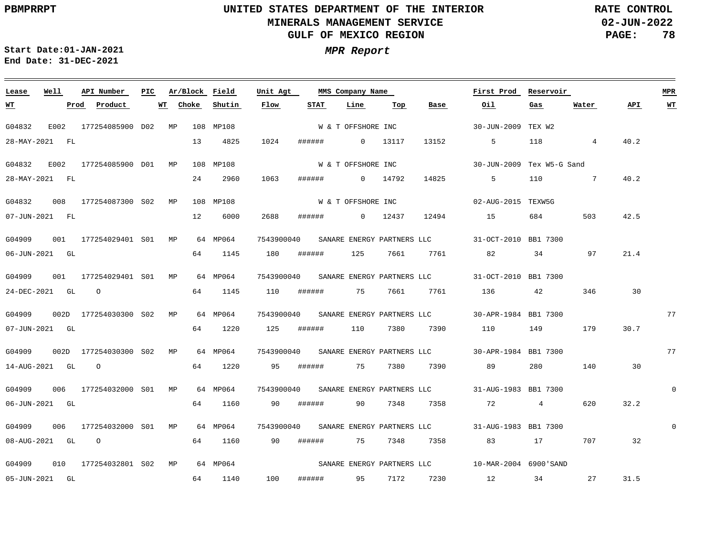**02-JUN-2022 PAGE: 78 RATE CONTROL**

 $\equiv$ 

**Start Date:01-JAN-2021 MPR Report End Date: 31-DEC-2021**

| Lease          | Well | API Number                       | PIC | Ar/Block Field  |           | Unit Agt   |             | MMS Company Name   |         |              | First Prod                                                 | Reservoir       |                                                                                                                |      | MPR      |
|----------------|------|----------------------------------|-----|-----------------|-----------|------------|-------------|--------------------|---------|--------------|------------------------------------------------------------|-----------------|----------------------------------------------------------------------------------------------------------------|------|----------|
| W'I'           |      | Prod Product                     |     | WT Choke Shutin |           | Flow       | <b>STAT</b> | Line               | Тор     | Base         | Oil                                                        | Gas             | Water                                                                                                          | API  | WT       |
| G04832         |      | E002 177254085900 D02 MP         |     |                 | 108 MP108 |            |             | W & T OFFSHORE INC |         |              | 30-JUN-2009 TEX W2                                         |                 |                                                                                                                |      |          |
| 28-MAY-2021 FL |      |                                  |     | 13              | 4825      | 1024       |             | ###### 0 13117     |         | 13152        | $5^{\circ}$                                                | 118             | $\overline{4}$                                                                                                 | 40.2 |          |
| G04832         |      | E002 177254085900 D01 MP         |     |                 | 108 MP108 |            |             | W & T OFFSHORE INC |         |              | 30-JUN-2009 Tex W5-G Sand                                  |                 |                                                                                                                |      |          |
| 28-MAY-2021 FL |      |                                  |     | 24              | 2960      | 1063       | ######      | $0 \t 14792$       |         | 14825        | 5                                                          | 110             | $7\phantom{0}$                                                                                                 | 40.2 |          |
| G04832         |      | 008 177254087300 S02 MP          |     |                 | 108 MP108 |            |             |                    |         |              | 02-AUG-2015 TEXW5G                                         |                 |                                                                                                                |      |          |
|                |      |                                  |     |                 |           |            |             | W & T OFFSHORE INC |         |              |                                                            |                 |                                                                                                                |      |          |
| 07-JUN-2021 FL |      |                                  |     | 12              | 6000      | 2688       |             | ###### 0 12437     |         | 12494        | 15                                                         | 684             | 503                                                                                                            | 42.5 |          |
| G04909         |      | 001 177254029401 S01 MP          |     |                 | 64 MP064  | 7543900040 |             |                    |         |              | SANARE ENERGY PARTNERS LLC 31-OCT-2010 BB1 7300            |                 |                                                                                                                |      |          |
| 06-JUN-2021 GL |      |                                  |     | 64              | 1145      | 180        | ######      | 125                | 7661    | 7761         | 82                                                         | 34              | 57.5 and 57.5 and 57.5 and 57.5 and 57.5 and 57.5 and 57.5 and 57.5 and 57.5 and 57.5 and 57.5 and 57.5 and 57 | 21.4 |          |
| G04909         |      | 001 177254029401 S01 MP 64 MP064 |     |                 |           |            |             |                    |         |              | 7543900040 SANARE ENERGY PARTNERS LLC 31-OCT-2010 BB1 7300 |                 |                                                                                                                |      |          |
|                |      |                                  |     |                 |           |            |             |                    |         |              |                                                            |                 |                                                                                                                |      |          |
| 24-DEC-2021 GL |      | $\overline{O}$                   |     |                 | 64 1145   | 110        |             | ###### 75 7661     |         | 7761         | 136                                                        | 42              | 346                                                                                                            | 30   |          |
| G04909         |      | 002D 177254030300 S02 MP         |     |                 | 64 MP064  | 7543900040 |             |                    |         |              | SANARE ENERGY PARTNERS LLC 30-APR-1984 BB1 7300            |                 |                                                                                                                |      | 77       |
| 07-JUN-2021 GL |      |                                  |     | 64              | 1220      | 125        | ######      | 110                | 7380    | 7390         | 110                                                        | 149             | 179                                                                                                            | 30.7 |          |
| G04909         |      | 002D 177254030300 S02 MP         |     |                 | 64 MP064  |            |             |                    |         |              | 7543900040 SANARE ENERGY PARTNERS LLC 30-APR-1984 BB1 7300 |                 |                                                                                                                |      | 77       |
|                |      |                                  |     |                 |           |            |             |                    |         |              |                                                            |                 |                                                                                                                |      |          |
| 14-AUG-2021 GL |      | $\overline{O}$                   |     | 64              | 1220      | 95         | # # # # # # |                    |         | 75 7380 7390 | 89                                                         | 280             | 140                                                                                                            | 30   |          |
| G04909         |      | 006 177254032000 S01 MP          |     |                 | 64 MP064  | 7543900040 |             |                    |         |              | SANARE ENERGY PARTNERS LLC 31-AUG-1983 BB1 7300            |                 |                                                                                                                |      | $\Omega$ |
| 06-JUN-2021 GL |      |                                  |     | 64              | 1160      | 90         | ######      |                    | 90 7348 | 7358         | 72                                                         | $4\overline{ }$ | 620                                                                                                            | 32.2 |          |
| G04909         |      | 006 177254032000 S01 MP          |     |                 | 64 MP064  |            |             |                    |         |              | 7543900040 SANARE ENERGY PARTNERS LLC 31-AUG-1983 BB1 7300 |                 |                                                                                                                |      | $\Omega$ |
|                |      |                                  |     |                 |           |            |             |                    |         |              |                                                            |                 |                                                                                                                |      |          |
| 08-AUG-2021 GL |      | $\circ$                          |     | 64              | 1160      | 90         | ######      |                    |         | 75 7348 7358 | 83 17                                                      |                 | 707                                                                                                            | 32   |          |
| G04909         |      | 010 177254032801 S02 MP          |     |                 | 64 MP064  |            |             |                    |         |              | SANARE ENERGY PARTNERS LLC 10-MAR-2004 6900'SAND           |                 |                                                                                                                |      |          |
| 05-JUN-2021 GL |      |                                  |     | 64              | 1140      | 100        |             | ####### 95 7172    |         |              | 7230 12 34 27                                              |                 |                                                                                                                | 31.5 |          |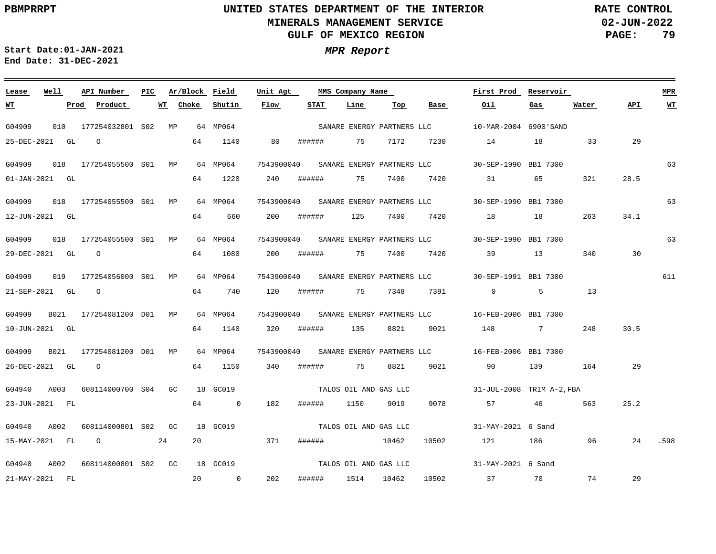<u> 1989 - Johann Stoff, deutscher Stoff, der Stoff, der Stoff, der Stoff, der Stoff, der Stoff, der Stoff, der S</u>

**02-JUN-2022 PAGE: 79 RATE CONTROL**

**Start Date:01-JAN-2021 MPR Report End Date: 31-DEC-2021**

### G04909 010 177254032801 MP 64 MP064 S02 G04909 018 177254055500 S01 MP 64 MP064 G04909 018 177254055500 MP 64 MP064 S01 G04909 018 177254055500 S01 MP 64 MP064 G04909 019 177254056000 MP S01 G04909 B021 177254081200 MP D01 G04909 B021 177254081200 MP D01 G04940 A003 608114000700 S04 GC G04940 A002 608114000801 S02 GC G04940 A002 608114000801 S02 GC 18 GC019 **Lease Well API Number Ar/Block Field PIC MMS Company Name** 64 MP064 64 MP064 64 MP064 18 GC019 18 GC019 7543900040 30-SEP-1990 BB1 7300 SANARE ENERGY PARTNERS LLC 7543900040 30-SEP-1990 BB1 7300 SANARE ENERGY PARTNERS LLC 7543900040 30-SEP-1990 BB1 7300 SANARE ENERGY PARTNERS LLC 7543900040 30-SEP-1991 BB1 7300 SANARE ENERGY PARTNERS LLC 7543900040 16-FEB-2006 BB1 7300 SANARE ENERGY PARTNERS LLC 7543900040 16-FEB-2006 BB1 7300 SANARE ENERGY PARTNERS LLC **Unit Agt**  10-MAR-2004 6900'SAND 31-JUL-2008 TRIM A-2,FBA TALOS OIL AND GAS LLC 31-MAY-2021 6 Sand 31-MAY-2021 6 Sand **First Prod Reservoir** 63 63 63 611 **MPR** 25-DEC-2021 GL O 01-JAN-2021 GL 12-JUN-2021 GL 29-DEC-2021 GL O 21-SEP-2021 GL O 10-JUN-2021 GL 26-DEC-2021 GL O 23-JUN-2021 FL 15-MAY-2021 FL O 24 21-MAY-2021 FL **WT Prod Product WT Choke** 64 1140 64 1220 64 660 64 1080 64 740 64 1140 64 1150 64 0 182 ###### 1150 9019 20 371 ###### 10462 10502 20 0 **Shutin** 80 ###### 240 200 200 ###### 75 7400 7420 39 13 120 ###### 320 ###### 135 8821 340 ###### 75 8821 9021 90 139 164 29 202 **Flow** ###### ###### ###### 1514 10462 **STAT** 75 7172 75 7400 7420 125 75 7348 **Line** 7400 **Top** 7230 7420 18 7391 0 5 13 9021 148 7 248 9078 10502 **Base** 14 18 33 31 65 321 57 46 563 121 186 96 37 70 74 **Oil** 18 **Gas** 263 34.1 340 30 **Water** 29 28.5 30.5 25.2 24 .598 29 **API WT** SANARE ENERGY PARTNERS LLC TALOS OIL AND GAS LLC TALOS OIL AND GAS LLC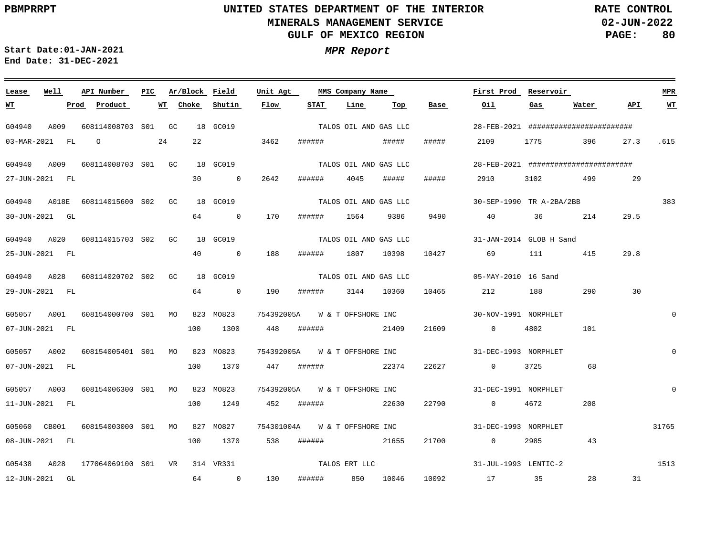**02-JUN-2022 PAGE: 80 RATE CONTROL**

**Start Date:01-JAN-2021 MPR Report End Date: 31-DEC-2021**

### **Lease Well API Number Ar/Block Field PIC MMS Company Name Unit Agt First Prod Reservoir MPR STAT Line Top Base Oil API WT Prod Product WT Choke Shutin Flow Gas Water WT** TALOS OIL AND GAS LLC G04940 A009 608114008703 S01 GC 18 GC019 28-FEB-2021 ####################### 03-MAR-2021 FL O 24 22 3462 ###### ##### ##### 2109 1775 396 27.3 .615 TALOS OIL AND GAS LLC G04940 A009 608114008703 S01 GC 18 GC019 28-FEB-2021 ######################## ###### 4045 ##### ##### 29 27-JUN-2021 FL 30 0 2642 2910 3102 499 383 G04940 A018E 608114015600 S02 GC 18 GC019 30-SEP-1990 TR A-2BA/2BB TALOS OIL AND GAS LLC 64 30-JUN-2021 GL 0 170 ###### 1564 9386 9490 40 36 214 29.5 TALOS OIL AND GAS LLC G04940 A020 608114015703 S02 GC 18 GC019 31-JAN-2014 GLOB H Sand 29.8 25-JUN-2021 FL 40 0 188 ###### 1807 10398 10427 69 111 415 TALOS OIL AND GAS LLC G04940 A028 608114020702 S02 GC 18 GC019 05-MAY-2010 16 Sand 29-JUN-2021 FL 64 0 190 ###### 3144 10360 10465 212 188 290 30 G05057 A001 608154000700 S01 MO 823 MO823 754392005A W & T OFFSHORE INC 30-NOV-1991 NORPHLET  $\Omega$ 100 1300 07-JUN-2021 FL 448 ###### 21409 21609 0 4802 101 G05057 A002 608154005401 S01 MO 823 MO823 754392005A W & T OFFSHORE INC 31-DEC-1993 NORPHLET  $\Omega$ 07-JUN-2021 FL 100 1370 447 ###### 22374 22627 0 3725 68 G05057 A003 608154006300 S01 MO 823 MO823 754392005A W & T OFFSHORE INC 31-DEC-1991 NORPHLET  $\Omega$ 11-JUN-2021 FL 100 1249 452 ###### 22630 22790 0 4672 208 31765 G05060 CB001 608154003000 S01 MO 827 MO827 754301004A W & T OFFSHORE INC 31-DEC-1993 NORPHLET 08-JUN-2021 FL 100 1370 538 ###### 21655 21700 0 2985 43 TALOS ERT LLC 1513 G05438 A028 177064069100 VR 314 VR331 S0131-JUL-1993 LENTIC-2 28 31 12-JUN-2021 GL 64 0 130 ###### 850 10046 10092 17 35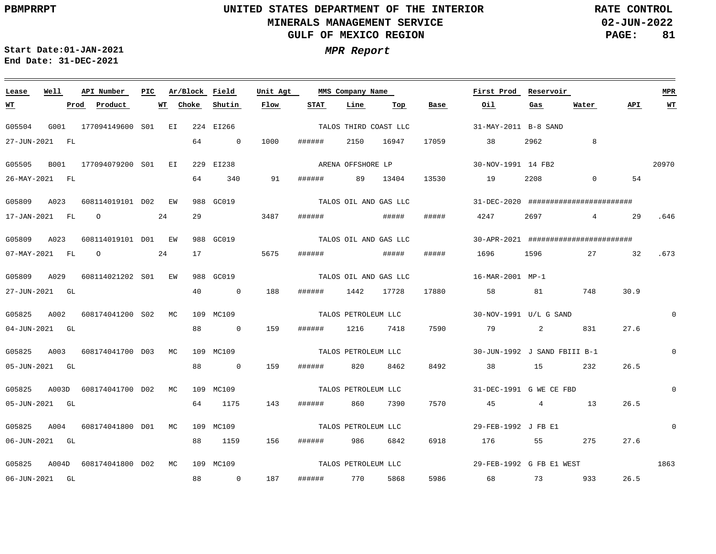**02-JUN-2022 PAGE: 81 RATE CONTROL**

**Start Date:01-JAN-2021 MPR Report End Date: 31-DEC-2021**

### **Lease Well API Number Ar/Block PIC MMS Company Name Field Unit Agt First Prod Reservoir MPR STAT Line Top Base Oil Water API WT Prod Product WT Choke Shutin Flow Gas WT** TALOS THIRD COAST LLC G05504 G001 177094149600 EI 224 EI266 S01 31-MAY-2011 B-8 SAND 27-JUN-2021 FL 64 0 1000 ###### 2150 16947 17059 38 2962 8 ARENA OFFSHORE LP 20970 G05505 B001 177094079200 S01 EI 229 EI238 30-NOV-1991 14 FB2 19 13530 54 26-MAY-2021 FL 64 340 91 ###### 89 13404 2208 0 TALOS OIL AND GAS LLC G05809 A023 608114019101 D02 EW 988 GC019 31-DEC-2020 ######################## 29 ##### 17-JAN-2021 FL O 24 3487 ###### ##### 4247 2697 4 29 .646 TALOS OIL AND GAS LLC G05809 A023 608114019101 EW 988 GC019 D01 30-APR-2021 ######################## 07-MAY-2021 FL O 24 17 5675 ###### ##### ##### 1696 1596 27 32 .673 TALOS OIL AND GAS LLC G05809 A029 608114021202 S01 EW 988 GC019 16-MAR-2001 MP-1 27-JUN-2021 GL 40 0 188 ###### 1442 17728 17880 58 81 748 30.9 G05825 A002 608174041200 S02 MC 109 MC109 TALOS PETROLEUM LLC 30-NOV-1991 U/L G SAND  $\Omega$ 831 27.6 04-JUN-2021 GL 88 0 159 ###### 1216 7418 7590 79 2  $\Omega$ G05825 A003 608174041700 D03 MC 109 MC109 TALOS PETROLEUM LLC 30-JUN-1992 J SAND FBIII B-1 8492 05-JUN-2021 GL 88 0 159 ###### 820 8462 38 15 232 26.5 G05825 A003D 608174041700 D02 MC 109 MC109 TALOS PETROLEUM LLC 31-DEC-1991 G WE CE FBD  $\Omega$ 7570 05-JUN-2021 GL 64 1175 143 ###### 860 7390 45 4 13 26.5 TALOS PETROLEUM LLC  $\Omega$ G05825 A004 608174041800 D01 MC 109 MC109 29-FEB-1992 J FB E1 06-JUN-2021 GL 88 1159 156 ###### 986 6842 6918 176 55 275 27.6 TALOS PETROLEUM LLC 1863 G05825 A004D 608174041800 D02 MC 109 MC109 29-FEB-1992 G FB E1 WEST 187 5986 26.5 06-JUN-2021 GL 88 0 ###### 770 5868 68 73 933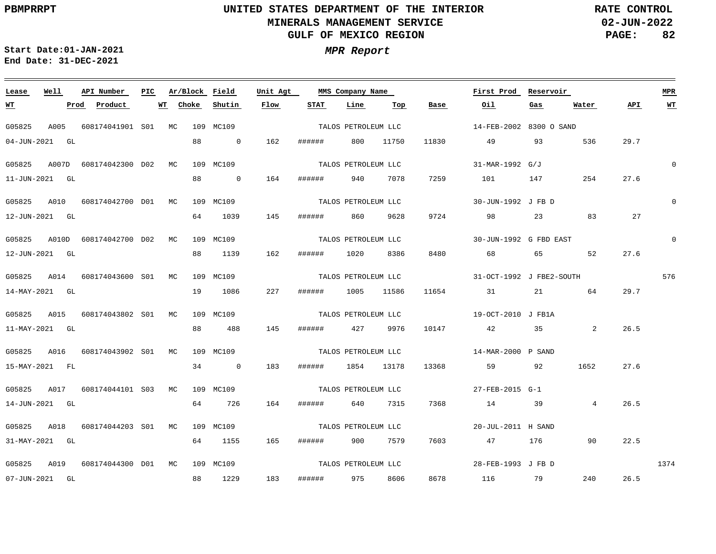<u> 1989 - Johann Barn, mars ann an t-Amhain Aonaichte ann an t-Aonaichte ann an t-Aonaichte ann an t-Aonaichte a</u>

**02-JUN-2022 PAGE: 82 RATE CONTROL**

**Start Date:01-JAN-2021 MPR Report End Date: 31-DEC-2021**

### G05825 A005 608174041901 S01 MC 109 MC109 G05825 A007D 608174042300 D02 MC 109 MC109 G05825 A010 608174042700 D01 MC 109 MC109 G05825 A010D 608174042700 D02 MC 109 MC109 G05825 A014 608174043600 S01 MC G05825 A015 608174043802 S01 MC G05825 A016 608174043902 S01 MC G05825 A017 608174044101 S03 MC G05825 A018 608174044203 S01 MC 109 MC109 G05825 A019 608174044300 D01 MC 109 MC109 **Lease Well API Number Ar/Block PIC MMS Company Name** 109 MC109 109 MC109 109 MC109 109 MC109 **Field Unit Agt**  14-FEB-2002 8300 O SAND 31-MAR-1992 G/J 30-JUN-1992 J FB D 30-JUN-1992 G FBD EAST 31-OCT-1992 J FBE2-SOUTH 19-OCT-2010 J FB1A 14-MAR-2000 P SAND 27-FEB-2015 G-1 20-JUL-2011 H SAND 28-FEB-1993 J FB D **First Prod Reservoir** 0 0  $\Omega$ 576 1374 **MPR** 04-JUN-2021 GL 11-JUN-2021 GL 12-JUN-2021 GL 12-JUN-2021 GL 14-MAY-2021 GL 11-MAY-2021 GL 15-MAY-2021 FL 14-JUN-2021 GL 31-MAY-2021 GL 07-JUN-2021 GL **WT**  $Proof$  **Product** 88 88 64 88 19 88 34 0 183 ###### 1854 13178 64 64 1155 88 1229 **Choke** 0 162 ###### 800 11750 0 164 1039 1139 1086 488 726 **Shutin** 145 ###### 860 162 227 ###### 1005 145 164 165 ###### 900 7579 183 **Flow** ###### ###### 1020 8386 ###### 427 9976 ###### 640 7315 ###### 975 8606 **STAT** 940 7078 **Line** 9628 11586 **Top** 11830 7259 9724 98 23 83 8480 68 65 52 11654 31 21 64 10147 42 35 2 13368 59 92 1652 7368 14 39 7603 8678 **Base** 49 93 536 101 147 254 47 176 90 116 79 **Oil Gas** 4  $240$ **Water** 29.7 27.6 27 27.6 29.7 26.5 27.6 26.5 22.5 26.5 **API WT** TALOS PETROLEUM LLC TALOS PETROLEUM LLC TALOS PETROLEUM LLC TALOS PETROLEUM LLC TALOS PETROLEUM LLC TALOS PETROLEUM LLC TALOS PETROLEUM LLC TALOS PETROLEUM LLC TALOS PETROLEUM LLC TALOS PETROLEUM LLC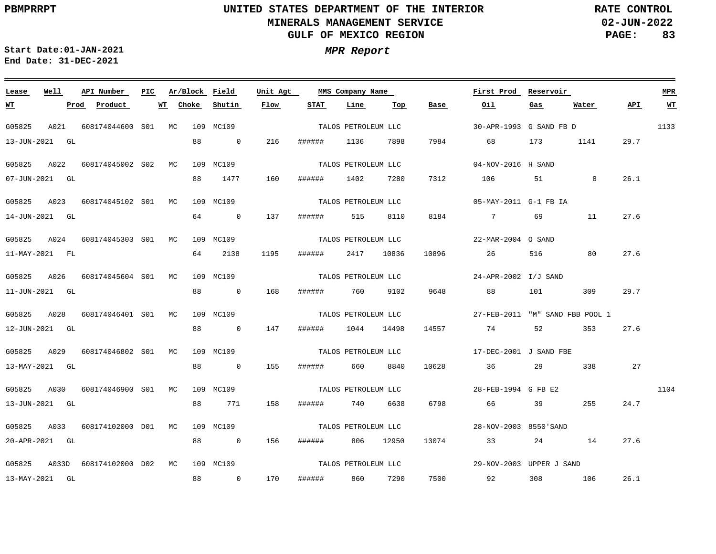**02-JUN-2022 PAGE: 83 RATE CONTROL**

**Start Date:01-JAN-2021 MPR Report End Date: 31-DEC-2021**

### <u> 1989 - Johann Stoff, deutscher Stoff, der Stoff, der Stoff, der Stoff, der Stoff, der Stoff, der Stoff, der S</u> **Lease Well API Number Ar/Block PIC MMS Company Name Field Unit Agt First Prod Reservoir MPR**  $\text{Product}$ **Choke Shutin Flow STAT Line Base Oil Water API WT WT Top Gas** TALOS PETROLEUM LLC 1133 G05825 A021 608174044600 S01 MC 109 MC109 30-APR-1993 G SAND FB D 13-JUN-2021 GL 88  $\overline{0}$ 216 ###### 1136 7898 7984 68 173 1141 29.7 TALOS PETROLEUM LLC G05825 A022 608174045002 S02 MC 109 MC109 04-NOV-2016 H SAND 88 1477 160 ###### 7312 26.1 07-JUN-2021 GL 1402 7280 106 51 8 TALOS PETROLEUM LLC G05825 A023 608174045102 S01 MC 109 MC109 05-MAY-2011 G-1 FB IA 64 27.6 14-JUN-2021 GL 0 137 ###### 515 8110 8184 7 69 11 TALOS PETROLEUM LLC G05825 A024 608174045303 S01 MC 109 MC109 22-MAR-2004 O SAND 1195 27.6 11-MAY-2021 FL 64 2138 ###### 2417 10836 10896 26 516 80 TALOS PETROLEUM LLC G05825 A026 608174045604 S01 MC 109 MC109 24-APR-2002 I/J SAND 88 29.7 11-JUN-2021 GL 0 168 ###### 760 9102 9648 88 101 309 G05825 A028 608174046401 S01 MC 109 MC109 TALOS PETROLEUM LLC 27-FEB-2011 "M" SAND FBB POOL 1 27.6 12-JUN-2021 GL 88 0 147 ###### 1044 14498 14557 74 52 353 G05825 A029 608174046802 S01 MC 109 MC109 TALOS PETROLEUM LLC 17-DEC-2001 J SAND FBE 13-MAY-2021 GL 88 0 155 ###### 660 8840 10628 36 29 338 27 TALOS PETROLEUM LLC G05825 A030 608174046900 S01 MC 109 MC109 28-FEB-1994 G FB E2 1104 6798 24.7 13-JUN-2021 GL 88 771 158 ###### 740 6638 66 39 255 TALOS PETROLEUM LLC G05825 A033 608174102000 D01 MC 109 MC109 28-NOV-2003 8550'SAND 20-APR-2021 GL 88 0 156 ###### 806 12950 13074 33 24 14 27.6 TALOS PETROLEUM LLC G05825 A033D 608174102000 D02 MC 109 MC109 29-NOV-2003 UPPER J SAND 7500 26.1 13-MAY-2021 GL 88 0 170 ###### 860 7290 92 308 106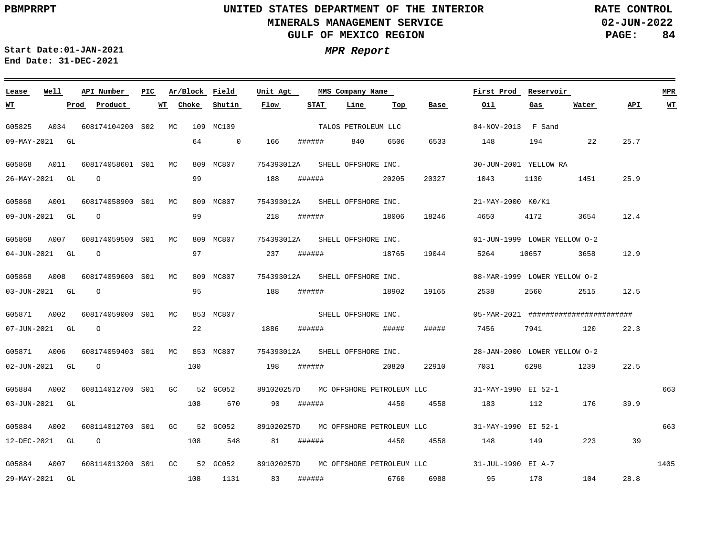$\qquad \qquad =$ 

# **UNITED STATES DEPARTMENT OF THE INTERIOR MINERALS MANAGEMENT SERVICE GULF OF MEXICO REGION**

**02-JUN-2022 PAGE: 84 RATE CONTROL**

 $\equiv$ 

**Start Date:01-JAN-2021 MPR Report End Date: 31-DEC-2021**

| Lease          | Well |      | API Number                   | PIC |       | Ar/Block Field |                | Unit Agt                       |           | MMS Company Name    |       |                                                         | First Prod                   | Reservoir |                                       |      | <b>MPR</b> |
|----------------|------|------|------------------------------|-----|-------|----------------|----------------|--------------------------------|-----------|---------------------|-------|---------------------------------------------------------|------------------------------|-----------|---------------------------------------|------|------------|
| <u>WТ</u>      |      | Prod | Product                      |     | WT    | Choke          | Shutin         | Flow                           | STAT      | Line                | Тор   | Base                                                    | Oil                          | Gas       | Water                                 | API. | WT         |
| G05825         | A034 |      | 608174104200 S02             |     | MC.   |                | 109 MC109      |                                |           | TALOS PETROLEUM LLC |       |                                                         | $04-NOV-2013$ F Sand         |           |                                       |      |            |
| 09-MAY-2021 GL |      |      |                              |     |       | 64             | $\overline{0}$ | 166                            | ######    | 840                 | 6506  | 6533                                                    | 148                          | 194       | 22                                    | 25.7 |            |
| G05868         | A011 |      | 608174058601 S01 MC          |     |       |                | 809 MC807      | 754393012A                     |           | SHELL OFFSHORE INC. |       |                                                         | 30-JUN-2001 YELLOW RA        |           |                                       |      |            |
| 26-MAY-2021 GL |      |      | $\Omega$                     |     |       | 99             |                | 188                            | ######    |                     | 20205 | 20327                                                   | 1043                         | 1130      | 1451                                  | 25.9 |            |
| G05868 A001    |      |      | 608174058900 S01 MC          |     |       |                | 809 MC807      | 754393012A SHELL OFFSHORE INC. |           |                     |       |                                                         | 21-MAY-2000 K0/K1            |           |                                       |      |            |
| 09-JUN-2021 GL |      |      | $\Omega$                     |     |       | 99             |                | 218                            | ######    |                     | 18006 | 18246                                                   | 4650                         | 4172      | 3654                                  | 12.4 |            |
| G05868 A007    |      |      | 608174059500 S01 MC          |     |       |                | 809 MC807      | 754393012A SHELL OFFSHORE INC. |           |                     |       |                                                         | 01-JUN-1999 LOWER YELLOW 0-2 |           |                                       |      |            |
| 04-JUN-2021 GL |      |      | $\circ$                      |     |       | 97             |                | 237                            | ######    |                     | 18765 | 19044                                                   | 5264                         | 10657     | 3658                                  | 12.9 |            |
| G05868         | A008 |      | 608174059600 S01 MC          |     |       |                | 809 MC807      | 754393012A SHELL OFFSHORE INC. |           |                     |       |                                                         | 08-MAR-1999 LOWER YELLOW 0-2 |           |                                       |      |            |
| 03-JUN-2021 GL |      |      | $\overline{O}$               |     |       | 95             |                | 188                            | ######    | 18902               |       | 19165                                                   | 2538                         | 2560 700  | 2515                                  | 12.5 |            |
| G05871         | A002 |      | 608174059000 S01 MC          |     |       |                | 853 MC807      |                                |           | SHELL OFFSHORE INC. |       |                                                         |                              |           | 05-MAR-2021 ######################### |      |            |
| 07-JUN-2021 GL |      |      | $\Omega$                     |     |       | 22             |                | 1886                           | ######    |                     | ##### | #####                                                   | 7456                         | 7941      | 120                                   | 22.3 |            |
| G05871 A006    |      |      | 608174059403 S01 MC          |     |       |                | 853 MC807      | 754393012A SHELL OFFSHORE INC. |           |                     |       |                                                         | 28-JAN-2000 LOWER YELLOW 0-2 |           |                                       |      |            |
| 02-JUN-2021 GL |      |      | $\overline{O}$               |     |       | 100            |                | 198                            | ######    |                     | 20820 | 22910                                                   | 7031                         | 6298      | 1239                                  | 22.5 |            |
| G05884 A002    |      |      | 608114012700 S01             |     | GC GO |                | 52 GC052       |                                |           |                     |       | 891020257D MC OFFSHORE PETROLEUM LLC                    | 31-MAY-1990 EI 52-1          |           |                                       |      | 663        |
| 03-JUN-2021 GL |      |      |                              |     |       | 108            | 670            | 90                             | ######    |                     | 4450  | 4558                                                    | 183                          |           | 112 176                               | 39.9 |            |
| G05884         | A002 |      | 608114012700 S01 GC          |     |       |                | 52 GC052       |                                |           |                     |       | 891020257D MC OFFSHORE PETROLEUM LLC                    | 31-MAY-1990 EI 52-1          |           |                                       |      | 663        |
| 12-DEC-2021 GL |      |      | $\overline{O}$               |     |       | 108            | 548            |                                | 81 ###### | 4450                |       | 4558                                                    | 148                          | 149       | 223                                   | 39   |            |
| G05884         | A007 |      | 608114013200 S01 GC 52 GC052 |     |       |                |                |                                |           |                     |       | 891020257D MC OFFSHORE PETROLEUM LLC 31-JUL-1990 EI A-7 |                              |           |                                       |      | 1405       |
| 29-MAY-2021 GL |      |      |                              |     |       | 108            | 1131           | 83                             | ######    | 6760                |       | 6988                                                    | 95                           | 178       | 104                                   | 28.8 |            |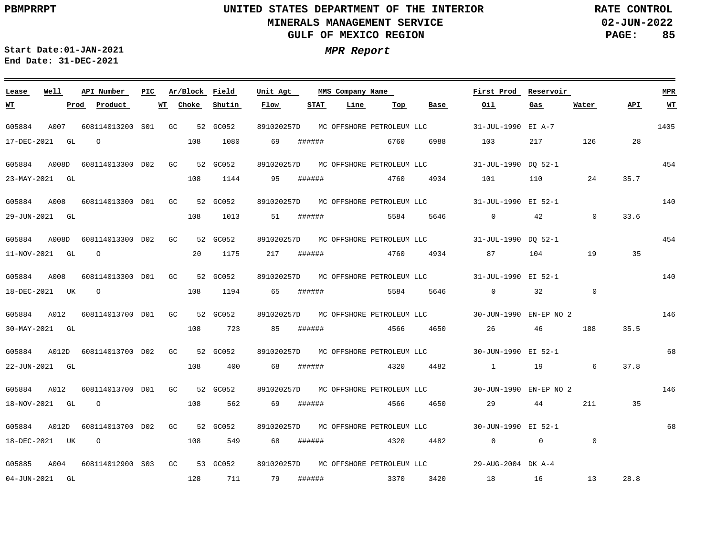**02-JUN-2022 PAGE: 85 RATE CONTROL**

**Start Date:01-JAN-2021 MPR Report End Date: 31-DEC-2021**

### **Lease Well API Number Ar/Block Field PIC MMS Company Name Unit Agt First Prod Reservoir MPR Choke Shutin Flow STAT Line Top Base Oil Water API WT WT Prod Product WT Gas** 891020257D MC OFFSHORE PETROLEUM LLC 1405 G05884 A007 608114013200 S01 GC 52 GC052 31-JUL-1990 EI A-7 17-DEC-2021 GL  $\bigcap$ 108 1080 69 ###### 6760 6988 103 217 126 28 454 G05884 A008D 608114013300 D02 GC 52 GC052 891020257D 31-JUL-1990 DQ 52-1 MC OFFSHORE PETROLEUM LLC 108 1144 95 ###### 101 35.7 23-MAY-2021 GL 4760 4934 110 24 140 G05884 A008 608114013300 D01 GC 52 GC052 891020257D 31-JUL-1990 EI 52-1 MC OFFSHORE PETROLEUM LLC 108 1013 5584 5646 0 42 0 33.6 29-JUN-2021 GL 51 ###### 454 G05884 A008D 608114013300 D02 GC 52 GC052 891020257D 31-JUL-1990 DQ 52-1 MC OFFSHORE PETROLEUM LLC 20 1175 11-NOV-2021 GL O 217 ###### 4760 4934 87 104 19 35 140 G05884 A008 608114013300 GC D01 52 GC052 891020257D 31-JUL-1990 EI 52-1 MC OFFSHORE PETROLEUM LLC O 108 1194 65 ###### 5584 32  $\overline{0}$ 18-DEC-2021 UK 5646 0 G05884 A012 608114013700 D01 GC 52 GC052 891020257D 30-JUN-1990 EN-EP NO 2 MC OFFSHORE PETROLEUM LLC 146 108 723 4566 4650 35.5 30-MAY-2021 GL 85 ###### 26 46 188 G05884 A012D 608114013700 D02 GC 52 GC052 891020257D 30-JUN-1990 EI 52-1 MC OFFSHORE PETROLEUM LLC 68 108 22-JUN-2021 GL 400 68 ###### 4320 4482 1 19 6 37.8 G05884 A012 608114013700 D01 GC 52 GC052 891020257D 30-JUN-1990 EN-EP NO 2 MC OFFSHORE PETROLEUM LLC 146 108 562 211 35 18-NOV-2021 GL O 69 ###### 4566 4650 29 44 68 G05884 A012D 608114013700 D02 GC 52 GC052 891020257D MC OFFSHORE PETROLEUM LLC 30-JUN-1990 EI 52-1 18-DEC-2021 UK O 108 549 68 ###### 4320 4482 0 0  $\Omega$ G05885 A004 608114012900 S03 GC 53 GC052 891020257D MC OFFSHORE PETROLEUM LLC 29-AUG-2004 DK A-4 3370 3420 28.8 04-JUN-2021 GL 128 711 79 ###### 18 16 13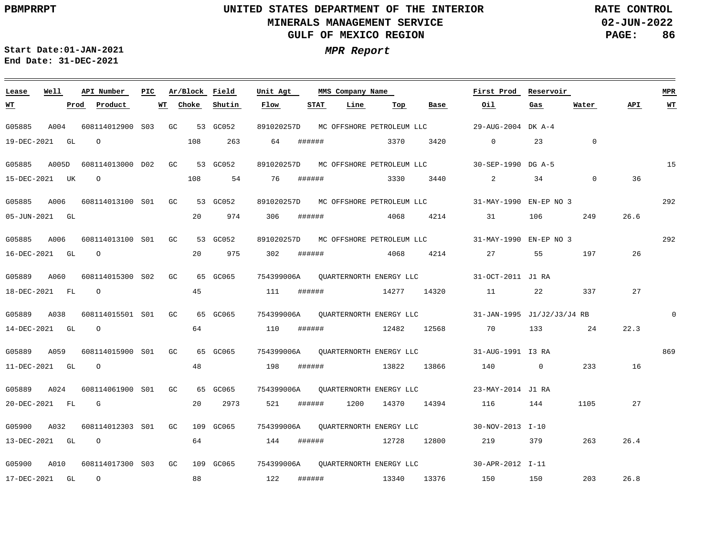<u> 1989 - Johann Stoff, deutscher Stoff, der Stoff, der Stoff, der Stoff, der Stoff, der Stoff, der Stoff, der S</u>

**02-JUN-2022 PAGE: 86 RATE CONTROL**

**Start Date:01-JAN-2021 MPR Report End Date: 31-DEC-2021**

### G05885 A004 608114012900 S03 GC 53 GC052 G05885 A005D 608114013000 D02 GC 53 GC052 G05885 A006 608114013100 S01 GC 53 GC052 G05885 A006 G05889 A060 G05889 A038 608114015501 S01 GC G05889 A059 G05889 A024 608114061900 S01 GC 65 GC065 G05900 A032 G05900 A010 608114017300 GC 109 GC065 754399006A 30-APR-2012 I-11 QUARTERNORTH ENERGY LLC S03**Lease Well** 608114013100 S01 GC 53 GC052 608114015300 GC S02 608114015900 GC S01 608114012303 S01 GC 109 GC065 **API Number Ar/Block Field PIC MMS Company Name** 65 GC065 65 GC065 65 GC065 891020257D MC OFFSHORE PETROLEUM LLC 891020257D 30-SEP-1990 DG A-5 MC OFFSHORE PETROLEUM LLC 891020257D 31-MAY-1990 EN-EP NO 3 MC OFFSHORE PETROLEUM LLC 891020257D 31-MAY-1990 EN-EP NO 3 MC OFFSHORE PETROLEUM LLC 754399006A 31-OCT-2011 J1 RA QUARTERNORTH ENERGY LLC 754399006A 31-JAN-1995 J1/J2/J3/J4 RB QUARTERNORTH ENERGY LLC 754399006A 31-AUG-1991 I3 RA QUARTERNORTH ENERGY LLC 754399006A 23-MAY-2014 J1 RA QUARTERNORTH ENERGY LLC 754399006A 30-NOV-2013 I-10 QUARTERNORTH ENERGY LLC **Unit Agt**  29-AUG-2004 DK A-4 **First Prod Reservoir** 15 292 292  $\Omega$ 869 **MPR** 19-DEC-2021 GL 15-DEC-2021 UK 05-JUN-2021 GL 16-DEC-2021 GL O 18-DEC-2021 FL 14-DEC-2021 GL 11-DEC-2021 GL O 20-DEC-2021 FL 13-DEC-2021 GL O 17-DEC-2021 GL **WT Prod Product WT** O O O O G O 108 108 54 20 20 975 302 ###### 4068 4214 27 55 45 64 48 20 2973 64 88 **Choke** 263 974 **Shutin** 64 76 ###### 306 111 ###### 110 ###### 12482 12568 70 133 24 198 ###### 13822 13866 140 0 233 16 521 ###### 1200 14370 14394 116 144 144 ###### 12728 12800 122 ###### **Flow** ###### ###### **STAT Line** 3370 3330 3440 4068 4214 31 106 14277 14320 11 13340 13376 **Top** 3420 **Base** 0 23 2 34 0 219 379 263 150 150 **Oil** 22 337 27 **Gas**  $\overline{a}$ 249 197 26 1105 27 203 **Water** 36 26.6 22.3 26.4 26.8 **API WT**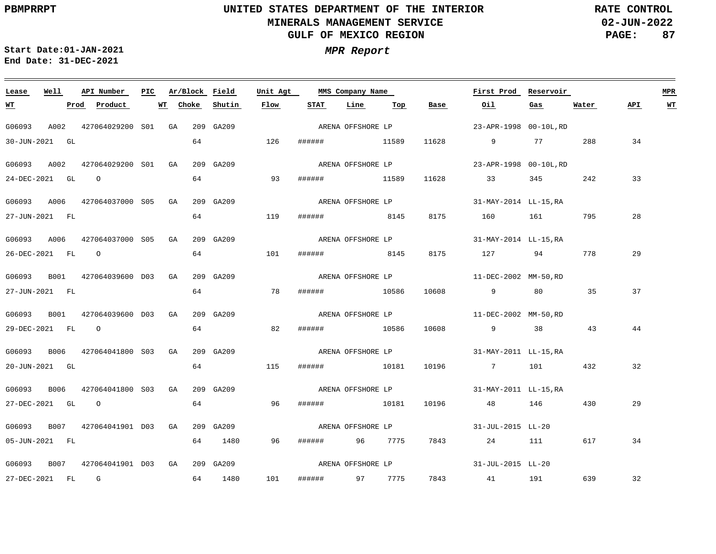**02-JUN-2022 PAGE: 87 RATE CONTROL**

**Start Date:01-JAN-2021 MPR Report End Date: 31-DEC-2021**

### **Lease Well API Number Ar/Block Field Unit Agt PIC MMS Company Name First Prod Reservoir MPR Choke STAT Line API WT WT Prod Product WT Shutin Flow Top Base Oil Gas Water** ARENA OFFSHORE LP G06093 A002 427064029200 S01 GA 209 GA209 23-APR-1998 00-10L,RD 30-JUN-2021 GL 64 126 ###### 11589 11628 9 77 288 34 ARENA OFFSHORE LP G06093 A002 427064029200 S01 GA 209 GA209 23-APR-1998 00-10L,RD 64 93 33 24-DEC-2021 GL O ###### 11589 11628 33 345 242 G06093 A006 427064037000 S05 GA 209 GA209 31-MAY-2014 LL-15,RA ARENA OFFSHORE LP 64 28 27-JUN-2021 FL 119 ###### 8145 8175 160 161 795 G06093 A006 427064037000 S05 GA 209 GA209 31-MAY-2014 LL-15,RA ARENA OFFSHORE LP 64 101 29 26-DEC-2021 FL O ###### 8145 8175 127 94 778 G06093 B001 427064039600 D03 GA 209 GA209 11-DEC-2002 MM-50,RD ARENA OFFSHORE LP 64 37 27-JUN-2021 FL 78 ###### 10586 10608 9 80 35 ARENA OFFSHORE LP G06093 B001 427064039600 D03 GA 209 GA209 11-DEC-2002 MM-50,RD 64 82 44 29-DEC-2021 FL O ###### 10586 10608 9 38 43 G06093 B006 427064041800 S03 GA 209 GA209 ARENA OFFSHORE LP 31-MAY-2011 LL-15,RA 20-JUN-2021 GL 64 115 ###### 10181 10196 7 101 432 32 ARENA OFFSHORE LP G06093 B006 427064041800 S03 GA 209 GA209 31-MAY-2011 LL-15,RA 64 27-DEC-2021 GL O 96 ###### 10181 10196 48 146 430 29 ARENA OFFSHORE LP G06093 B007 427064041901 D03 GA 209 GA209 31-JUL-2015 LL-20 05-JUN-2021 FL 64 1480 96 ###### 96 7775 7843 24 111 617 34 ARENA OFFSHORE LP G06093 B007 427064041901 D03 GA 209 GA209 31-JUL-2015 LL-20 101 32 27-DEC-2021 FL G 64 1480 ###### 97 7775 7843 41 191 639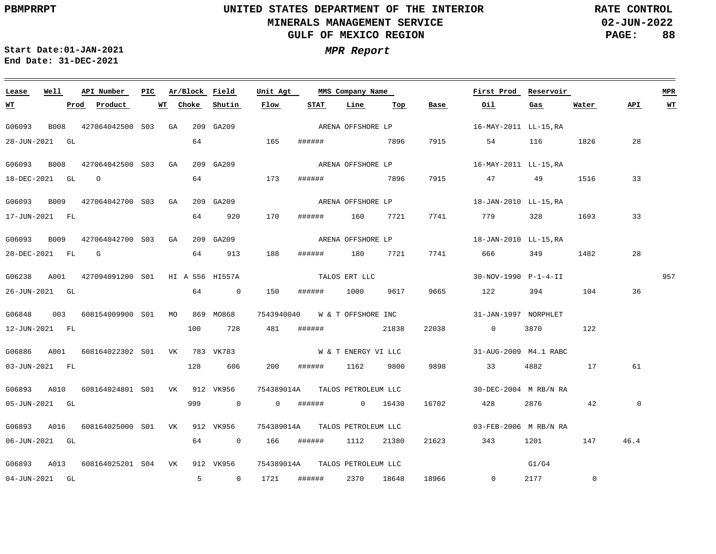**02-JUN-2022 PAGE: 88 RATE CONTROL**

 $\equiv$ 

**Start Date:01-JAN-2021 MPR Report End Date: 31-DEC-2021**

| Lease          | Well |      | API Number                                       | PIC |    | Ar/Block Field |                | Unit Agt                       |        | MMS Company Name    |                                  |       | First Prod            | Reservoir |                |                | <b>MPR</b> |
|----------------|------|------|--------------------------------------------------|-----|----|----------------|----------------|--------------------------------|--------|---------------------|----------------------------------|-------|-----------------------|-----------|----------------|----------------|------------|
| <u>WТ</u>      |      | Prod | Product                                          |     | WT | Choke          | Shutin         | Flow                           | STAT   | Line                | $\underline{\operatorname{Top}}$ | Base  | Oil                   | Gas       | Water          | API            | <u>WT</u>  |
| G06093         |      |      | B008 427064042500 S03 GA                         |     |    |                | 209 GA209      |                                |        | ARENA OFFSHORE LP   |                                  |       | 16-MAY-2011 LL-15,RA  |           |                |                |            |
| 28-JUN-2021 GL |      |      |                                                  |     |    | 64             |                | 165                            |        | ####### 7896        |                                  | 7915  | 54 116                |           | 1826           | 28             |            |
| G06093         | B008 |      | 427064042500 S03 GA                              |     |    |                | 209 GA209      |                                |        |                     | ARENA OFFSHORE LP                |       | 16-MAY-2011 LL-15,RA  |           |                |                |            |
| 18-DEC-2021 GL |      |      | $\overline{O}$                                   |     |    | 64             |                | 173                            | ###### | 7896                |                                  | 7915  | 47 49 1516            |           |                | 33             |            |
|                |      |      | G06093 B009 427064042700 S03 GA                  |     |    |                | 209 GA209      |                                |        | ARENA OFFSHORE LP   |                                  |       | 18-JAN-2010 LL-15,RA  |           |                |                |            |
| 17-JUN-2021 FL |      |      |                                                  |     |    | 64             | 920            | 170                            |        | ###### 160 7721     |                                  | 7741  | 779                   | 328       | 1693           | 33             |            |
| G06093         | B009 |      | 427064042700 S03 GA                              |     |    |                | 209 GA209      |                                |        |                     | ARENA OFFSHORE LP                |       | 18-JAN-2010 LL-15.RA  |           |                |                |            |
| 20-DEC-2021 FL |      |      | $\mathbb{G}$                                     |     |    | 64             | 913            | 188                            |        | ###### 180 7721     |                                  | 7741  | 666 — 100             | 349 1482  |                | 28             |            |
|                |      |      |                                                  |     |    |                |                |                                |        |                     |                                  |       |                       |           |                |                |            |
|                |      |      | G06238 A001 427094091200 S01 HI A 556 HI557A     |     |    |                |                |                                |        | TALOS ERT LLC       |                                  |       | 30-NOV-1990 P-1-4-II  |           |                |                | 957        |
| 26-JUN-2021 GL |      |      |                                                  |     |    | 64             | $\overline{0}$ | 150                            | ###### | 1000 9617           |                                  | 9665  | 122                   | 394       | 104            | 36             |            |
| G06848         |      |      | 003    608154009900    S01    MO    869    MO868 |     |    |                |                | 7543940040                     |        | W & T OFFSHORE INC  |                                  |       | 31-JAN-1997 NORPHLET  |           |                |                |            |
| 12-JUN-2021 FL |      |      |                                                  |     |    | 100            | 728            | 481                            | ###### |                     | 21838                            | 22038 | $\overline{0}$        | 3870      | 122            |                |            |
|                |      |      | G06886 A001 608164022302 S01 VK 783 VK783        |     |    |                |                |                                |        |                     | W & T ENERGY VI LLC              |       | 31-AUG-2009 M4.1 RABC |           |                |                |            |
| 03-JUN-2021 FL |      |      |                                                  |     |    | 128            | 606            | 200                            | ###### | 1162 9800           |                                  | 9898  | 33                    | 4882      | 17             | 61             |            |
| G06893         |      |      | A010  608164024801  S01  VK  912  VK956          |     |    |                |                | 754389014A                     |        | TALOS PETROLEUM LLC |                                  |       | 30-DEC-2004 M RB/N RA |           |                |                |            |
| 05-JUN-2021 GL |      |      |                                                  |     |    | 999            | $\sim$ 0       | $\overline{0}$                 | ###### | 0 16430             |                                  | 16702 | 428                   | 2876 700  | 42             | $\overline{0}$ |            |
|                |      |      |                                                  |     |    |                |                |                                |        |                     |                                  |       |                       |           |                |                |            |
|                |      |      | G06893 A016 608164025000 S01 VK 912 VK956        |     |    |                |                | 754389014A TALOS PETROLEUM LLC |        |                     |                                  |       | 03-FEB-2006 M RB/N RA |           |                |                |            |
| 06-JUN-2021 GL |      |      |                                                  |     |    | 64             | $\overline{0}$ | 166                            | ###### | 1112                | 21380                            | 21623 | 343                   | 1201      | 147            | 46.4           |            |
|                |      |      | G06893 A013 608164025201 S04 VK 912 VK956        |     |    |                |                | 754389014A TALOS PETROLEUM LLC |        |                     |                                  |       |                       | G1/G4     |                |                |            |
| 04-JUN-2021 GL |      |      |                                                  |     |    | 5 <sup>7</sup> | $\overline{0}$ | 1721                           | ###### | 2370                | 18648                            | 18966 | $\overline{0}$        | 2177      | $\overline{0}$ |                |            |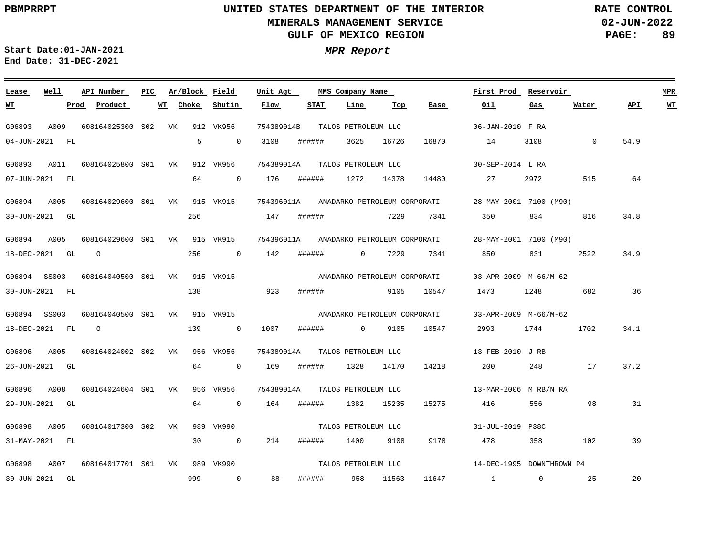**02-JUN-2022 PAGE: 89 RATE CONTROL**

 $\equiv$ 

**Start Date:01-JAN-2021 MPR Report End Date: 31-DEC-2021**

| Lease                    | Well           | API Number                                                 | PIC |       | Ar/Block Field        | Unit Agt          |        | MMS Company Name             |           |       | First Prod                                                     | Reservoir                    |             |      | <b>MPR</b> |
|--------------------------|----------------|------------------------------------------------------------|-----|-------|-----------------------|-------------------|--------|------------------------------|-----------|-------|----------------------------------------------------------------|------------------------------|-------------|------|------------|
| <u>WT</u>                | Prod           | Product                                                    | WT  | Choke | Shutin                | Flow              | STAT   | Line                         | Тор       | Base  | Oil.                                                           | Gas                          | Water       | API  | WT         |
| G06893                   | A009           | 608164025300 S02 VK                                        |     |       | 912 VK956             | 754389014B        |        | TALOS PETROLEUM LLC          |           |       | 06-JAN-2010 F RA                                               |                              |             |      |            |
| 04-JUN-2021 FL           |                |                                                            |     | 5     | $\sim$ 0              | 3108              | ###### | 3625                         | 16726     | 16870 | 14                                                             | 3108                         | $\mathbf 0$ | 54.9 |            |
| G06893                   | A011           | 608164025800 S01 VK                                        |     |       | 912 VK956             | 754389014A        |        | TALOS PETROLEUM LLC          |           |       | 30-SEP-2014 L RA                                               |                              |             |      |            |
|                          | 07-JUN-2021 FL |                                                            |     | 64    | $\overline{0}$        | 176               | ###### | 1272                         | 14378     | 14480 | 27                                                             | 2972                         | 515         | 64   |            |
| G06894                   | A005           | 608164029600 S01 VK 915 VK915                              |     |       |                       |                   |        |                              |           |       | 754396011A ANADARKO PETROLEUM CORPORATI 28-MAY-2001 7100 (M90) |                              |             |      |            |
| 30-JUN-2021 GL           |                |                                                            |     | 256   |                       | 147               |        | ####### 7229                 |           | 7341  | 350                                                            | 834                          | 816         | 34.8 |            |
| G06894                   | A005           | 608164029600 S01 VK 915 VK915                              |     |       |                       | 754396011A        |        | ANADARKO PETROLEUM CORPORATI |           |       |                                                                | 28-MAY-2001 7100 (M90)       |             |      |            |
| 18-DEC-2021 GL           |                | $\overline{O}$                                             |     | 256   | $\overline{0}$        | 142               | ###### | $\overline{0}$               | 7229      | 7341  | 850                                                            | 831                          | 2522        | 34.9 |            |
| G06894 SS003             |                | 608164040500 S01 VK 915 VK915 ANADARKO PETROLEUM CORPORATI |     |       |                       |                   |        |                              |           |       |                                                                | 03-APR-2009 M-66/M-62        |             |      |            |
| 30-JUN-2021 FL           |                |                                                            |     | 138   |                       | 923               | ###### | 9105                         |           | 10547 |                                                                | 1473 1248                    | 682         | 36   |            |
| G06894 SS003             |                | 608164040500 S01 VK 915 VK915                              |     |       |                       |                   |        | ANADARKO PETROLEUM CORPORATI |           |       |                                                                | 03-APR-2009 M-66/M-62        |             |      |            |
| 18-DEC-2021 FL           |                | $\circ$                                                    |     |       | 139 0                 | 1007              |        | ###### 0 9105                |           | 10547 | 2993                                                           | 1744                         | 1702        | 34.1 |            |
| G06896                   | A005           | 608164024002 S02 VK                                        |     |       | 956 VK956             | 754389014A        |        | TALOS PETROLEUM LLC          |           |       | 13-FEB-2010 J RB                                               |                              |             |      |            |
| 26-JUN-2021 GL           |                |                                                            |     | 64    | $\sim$ 0              | 169               | ###### | 1328                         | 14170     | 14218 | 200                                                            | 248                          | 17          | 37.2 |            |
|                          |                |                                                            |     |       |                       |                   |        |                              |           |       |                                                                |                              |             |      |            |
| G06896<br>29-JUN-2021 GL | A008           | 608164024604 S01 VK                                        |     | 64    | 956 VK956<br>$\sim$ 0 | 754389014A<br>164 | ###### | TALOS PETROLEUM LLC<br>1382  | 15235     | 15275 | 416                                                            | 13-MAR-2006 M RB/N RA<br>556 | 98          | 31   |            |
|                          |                |                                                            |     |       |                       |                   |        |                              |           |       |                                                                |                              |             |      |            |
| G06898                   | A005           | 608164017300 S02 VK                                        |     |       | 989 VK990             |                   |        | TALOS PETROLEUM LLC          |           |       | 31-JUL-2019 P38C                                               |                              |             |      |            |
| 31-MAY-2021 FL           |                |                                                            |     | 30    | $\sim$ 0              | 214               | ###### |                              | 1400 9108 | 9178  | 478 — 178                                                      | 358                          | 102         | 39   |            |
| G06898                   | A007           | 608164017701 S01 VK                                        |     |       | 989 VK990             |                   |        | TALOS PETROLEUM LLC          |           |       |                                                                | 14-DEC-1995 DOWNTHROWN P4    |             |      |            |
| 30-JUN-2021 GL           |                |                                                            |     | 999   | $\sim$ 0              | 88                | ###### | 958 11563                    |           | 11647 | $1 \qquad \qquad 0$                                            |                              | 25          | 20   |            |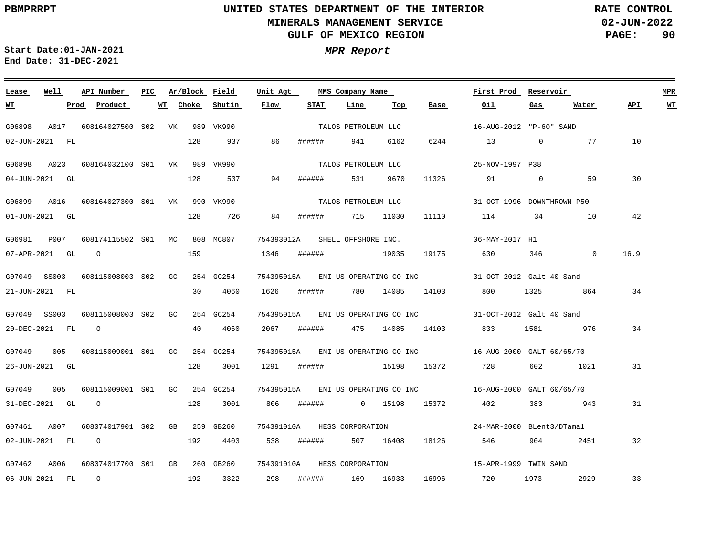**02-JUN-2022 PAGE: 90 RATE CONTROL**

 $\equiv$ 

**Start Date:01-JAN-2021 MPR Report End Date: 31-DEC-2021**

| Lease                | Well | API Number                                | PIC. |       | Ar/Block Field | Unit Agt                    | MMS Company Name<br>STAT<br>Line<br>Тор |                     |           |                     |                         | First Prod                                                   | Reservoir    |              |      | <b>MPR</b>              |
|----------------------|------|-------------------------------------------|------|-------|----------------|-----------------------------|-----------------------------------------|---------------------|-----------|---------------------|-------------------------|--------------------------------------------------------------|--------------|--------------|------|-------------------------|
| <u>WТ</u>            |      | Prod<br>Product                           | WT   | Choke | Shutin         | Flow                        |                                         |                     |           |                     | Base                    | Oil                                                          | Gas          | Water        | API  | $\underline{\text{WT}}$ |
| G06898               |      | A017 608164027500 S02 VK 989 VK990        |      |       |                |                             |                                         | TALOS PETROLEUM LLC |           |                     |                         | 16-AUG-2012 "P-60" SAND                                      |              |              |      |                         |
| 02-JUN-2021 FL       |      |                                           |      | 128   | 937            | 86                          | ######                                  |                     | 941       | 6162                | 6244                    | 13                                                           | $\mathbf 0$  | 77           | 10   |                         |
| G06898               | A023 | 608164032100 S01 VK 989 VK990             |      |       |                |                             |                                         | TALOS PETROLEUM LLC |           |                     |                         | 25-NOV-1997 P38                                              |              |              |      |                         |
| 04-JUN-2021 GL       |      |                                           |      | 128   | 537            | 94                          | ######                                  |                     | 531       | 9670                | 11326                   | 91                                                           | $\mathbf{0}$ | 59           | 30   |                         |
|                      |      | G06899 A016 608164027300 S01 VK 990 VK990 |      |       |                |                             |                                         | TALOS PETROLEUM LLC |           |                     |                         | 31-OCT-1996 DOWNTHROWN P50                                   |              |              |      |                         |
| $01 - JUN - 2021$ GL |      |                                           |      | 128   | 726            | 84                          | ######                                  | 715 11030           |           |                     | 11110                   | 114                                                          | 34           | 10           | 42   |                         |
| G06981               | P007 | 608174115502 S01 MC                       |      |       | 808 MC807      | 754393012A                  |                                         | SHELL OFFSHORE INC. |           |                     |                         | 06-MAY-2017 H1                                               |              |              |      |                         |
| 07-APR-2021 GL       |      | $\overline{O}$                            |      | 159   |                | 1346                        | ######                                  |                     |           | 19035               | 19175                   | 630                                                          | 346          | $\mathbf{0}$ | 16.9 |                         |
|                      |      | G07049 SS003 608115008003 S02 GC          |      |       | 254 GC254      |                             |                                         |                     |           |                     |                         | 754395015A ENI US OPERATING CO INC 31-OCT-2012 Galt 40 Sand  |              |              |      |                         |
| 21-JUN-2021 FL       |      |                                           |      | 30    | 4060           | 1626                        |                                         | ######              |           | 780 14085           | 14103                   | 800 — 100                                                    | 1325   1325  | 864          | 34   |                         |
| G07049 SS003         |      | 608115008003 S02 GC                       |      |       | 254 GC254      | 754395015A                  |                                         |                     |           |                     | ENI US OPERATING CO INC | 31-OCT-2012 Galt 40 Sand                                     |              |              |      |                         |
| 20-DEC-2021 FL       |      | $\overline{O}$                            |      | 40    | 4060           | 2067                        | ######                                  |                     |           | 475 14085           | 14103                   | 833                                                          | 1581         | 976          | 34   |                         |
| G07049               |      | 005 608115009001 S01 GC                   |      |       | 254 GC254      |                             |                                         |                     |           |                     |                         | 754395015A ENI US OPERATING CO INC 16-AUG-2000 GALT 60/65/70 |              |              |      |                         |
| 26-JUN-2021 GL       |      |                                           |      | 128   | 3001           | 1291                        |                                         |                     |           | ####### 15198 15372 |                         | 728                                                          | 602          | 1021         | 31   |                         |
| G07049               | 005  | 608115009001 S01 GC                       |      |       | 254 GC254      | 754395015A                  |                                         |                     |           |                     |                         | ENI US OPERATING CO INC 16-AUG-2000 GALT 60/65/70            |              |              |      |                         |
| 31-DEC-2021 GL       |      | $\overline{O}$                            |      | 128   | 3001           | 806                         | ######                                  | 0 15198             |           |                     | 15372                   | 402                                                          | 383          | 943          | 31   |                         |
| G07461               | A007 | 608074017901 S02 GB 259 GB260             |      |       |                | 754391010A HESS CORPORATION |                                         |                     |           |                     |                         | 24-MAR-2000 BLent3/DTamal                                    |              |              |      |                         |
| 02-JUN-2021 FL       |      | $\overline{O}$                            |      | 192   | 4403           | 538                         | ######                                  |                     | 507 16408 |                     | 18126                   | 546                                                          | 904 — 100    | 2451         | 32   |                         |
| G07462 A006          |      | 608074017700 S01 GB 260 GB260             |      |       |                | 754391010A                  |                                         | HESS CORPORATION    |           |                     |                         | 15-APR-1999 TWIN SAND                                        |              |              |      |                         |
| 06-JUN-2021 FL       |      | $\overline{O}$                            |      | 192   | 3322           | 298                         |                                         | ###### 169 16933    |           |                     | 16996                   | 720                                                          | 1973 — 1973  | 2929         | 33   |                         |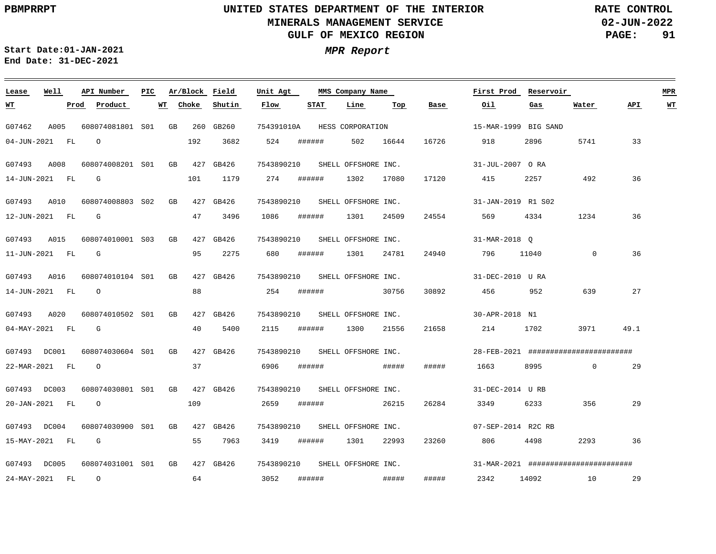**02-JUN-2022 PAGE: 91 RATE CONTROL**

 $\equiv$ 

**Start Date:01-JAN-2021 MPR Report End Date: 31-DEC-2021**

| Lease          | Well |      | API Number          | PIC. |    |       | Ar/Block Field | Unit Agt                       |             | MMS Company Name    |       |       | First Prod           | Reservoir |                                           |      | <b>MPR</b> |
|----------------|------|------|---------------------|------|----|-------|----------------|--------------------------------|-------------|---------------------|-------|-------|----------------------|-----------|-------------------------------------------|------|------------|
| <u>WТ</u>      |      | Prod | Product             | WT   |    | Choke | Shutin         | Flow                           | <b>STAT</b> | Line                | Top   | Base  | Oil                  | Gas       | Water                                     | API  | <u>WT</u>  |
| G07462         | A005 |      | 608074081801 S01 GB |      |    |       | 260 GB260      | 754391010A                     |             | HESS CORPORATION    |       |       | 15-MAR-1999 BIG SAND |           |                                           |      |            |
| 04-JUN-2021 FL |      |      | $\circ$             |      |    | 192   | 3682           | 524                            | ######      | 502 16644           |       | 16726 | 918                  | 2896      | 5741                                      | 33   |            |
| G07493 A008    |      |      | 608074008201 S01    |      | GB |       | 427 GB426      | 7543890210                     |             | SHELL OFFSHORE INC. |       |       | 31-JUL-2007 ORA      |           |                                           |      |            |
| 14-JUN-2021 FL |      |      | G                   |      |    | 101   | 1179           | 274                            | ######      | 1302                | 17080 | 17120 | 415                  | 2257      | 492                                       | 36   |            |
| G07493 A010    |      |      | 608074008803 S02    |      | GB |       | 427 GB426      | 7543890210 SHELL OFFSHORE INC. |             |                     |       |       | 31-JAN-2019 R1 S02   |           |                                           |      |            |
| 12-JUN-2021 FL |      |      | $\mathbb{G}$        |      |    | 47    | 3496           | 1086                           | ######      | 1301                | 24509 | 24554 | 569                  | 4334      | 1234                                      | 36   |            |
| G07493 A015    |      |      | 608074010001 S03    |      | GB |       | 427 GB426      | 7543890210                     |             | SHELL OFFSHORE INC. |       |       | 31-MAR-2018 O        |           |                                           |      |            |
| 11-JUN-2021 FL |      |      | <b>G</b>            |      |    | 95    | 2275           | 680                            | ######      | 1301                | 24781 | 24940 | 796                  | 11040     | $\mathbf 0$                               | 36   |            |
| G07493 A016    |      |      | 608074010104 S01 GB |      |    |       | 427 GB426      | 7543890210                     |             | SHELL OFFSHORE INC. |       |       | 31-DEC-2010 U RA     |           |                                           |      |            |
| 14-JUN-2021 FL |      |      | $\overline{O}$      |      |    | 88    |                | 254                            | ######      |                     | 30756 | 30892 | 456                  | 952       | 639                                       | 27   |            |
| G07493 A020    |      |      | 608074010502 S01 GB |      |    |       | 427 GB426      | 7543890210                     |             | SHELL OFFSHORE INC. |       |       | 30-APR-2018 N1       |           |                                           |      |            |
| 04-MAY-2021 FL |      |      | $\mathbb{G}$        |      |    | 40    | 5400           | 2115                           | ######      | 1300                | 21556 | 21658 | 214                  | 1702      | 3971                                      | 49.1 |            |
| G07493 DC001   |      |      | 608074030604 S01 GB |      |    |       | 427 GB426      | 7543890210 SHELL OFFSHORE INC. |             |                     |       |       |                      |           | 28-FEB-2021 #########################     |      |            |
| 22-MAR-2021 FL |      |      | $\Omega$            |      |    | 37    |                | 6906                           | ######      |                     | ##### | ##### | 1663                 | 8995      | $\Omega$                                  | 29   |            |
| G07493 DC003   |      |      | 608074030801 S01    |      | GB |       | 427 GB426      | 7543890210                     |             | SHELL OFFSHORE INC. |       |       | 31-DEC-2014 U RB     |           |                                           |      |            |
| 20-JAN-2021 FL |      |      | $\overline{O}$      |      |    | 109   |                | 2659                           | ######      |                     | 26215 | 26284 | 3349                 | 6233      | 356                                       | 29   |            |
| G07493 DC004   |      |      | 608074030900 S01 GB |      |    |       | 427 GB426      | 7543890210 SHELL OFFSHORE INC. |             |                     |       |       | 07-SEP-2014 R2C RB   |           |                                           |      |            |
| 15-MAY-2021 FL |      |      | $\mathbb{G}$        |      |    | 55    | 7963           | 3419                           | ######      | 1301                | 22993 | 23260 | 806                  | 4498      | 2293                                      | 36   |            |
| G07493 DC005   |      |      | 608074031001 S01 GB |      |    |       | 427 GB426      | 7543890210                     |             | SHELL OFFSHORE INC. |       |       |                      |           | $31-MAR-2021$ ########################### |      |            |
| 24-MAY-2021 FL |      |      | $\overline{O}$      |      |    | 64    |                | 3052                           |             |                     | ##### | ##### | 2342                 | 14092 10  |                                           | 29   |            |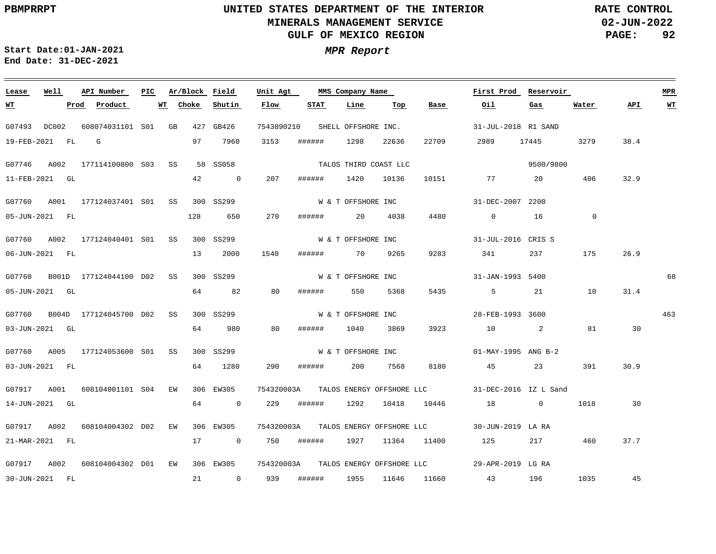**02-JUN-2022 PAGE: 92 RATE CONTROL**

**Start Date:01-JAN-2021 MPR Report End Date: 31-DEC-2021**

### <u> 1989 - Johann Stoff, deutscher Stoff, der Stoff, der Stoff, der Stoff, der Stoff, der Stoff, der Stoff, der S</u> **Lease Well API Number Ar/Block Field PIC MMS Company Name Unit Agt First Prod Reservoir MPR Choke Shutin Flow STAT Line Top Base Oil Water API WT WT Prod Product WT Gas** 7543890210 SHELL OFFSHORE INC. G07493 DC002 608074031101 S01 GB 427 GB426 31-JUL-2018 R1 SAND 19-FEB-2021 FL G 97 7960 3153 ###### 1298 22636 22709 2989 17445 3279 38.4 TALOS THIRD COAST LLC 9500/9800 G07746 A002 177114100800 S03 SS 58 SS058 42  $\overline{0}$ 207 ###### 1420 10136 32.9 11-FEB-2021 GL 10151 77 20 406 W & T OFFSHORE INC G07760 A001 177124037401 S01 SS 300 SS299 31-DEC-2007 2200 128 650 4480 0 05-JUN-2021 FL 270 ###### 20 4038 0 16 W & T OFFSHORE INC G07760 A002 177124040401 S01 SS 300 SS299 31-JUL-2016 CRIS S 13 2000 1540 26.9 06-JUN-2021 FL ###### 70 9265 9283 341 237 175 W & T OFFSHORE INC 68 G07760 B001D 177124044100 D02 SS 300 SS299 31-JAN-1993 5400 64 82 550 5368 21 10 31.4 05-JUN-2021 GL 80 ###### 5435 5 G07760 B004D 177124045700 D02 SS 300 SS299 W & T OFFSHORE INC 28-FEB-1993 3600 463 64 980 80 ###### 81 30 03-JUN-2021 GL 1040 3869 3923 10 2 G07760 A005 177124053600 S01 SS 300 SS299 W & T OFFSHORE INC 01-MAY-1995 ANG B-2 03-JUN-2021 FL 64 1280 290 ###### 200 7568 8180 45 23 391 30.9 G07917 A001 608104001101 S04 EW 306 EW305 754320003A 31-DEC-2016 IZ L Sand TALOS ENERGY OFFSHORE LLC 14-JUN-2021 GL 64 0 229 ###### 1292 10418 10446 18 0 1018 30 G07917 A002 608104004302 D02 EW 306 EW305 754320003A 30-JUN-2019 LA RA TALOS ENERGY OFFSHORE LLC 21-MAR-2021 FL 17 0 750 ###### 1927 11364 11400 125 217 460 37.7 G07917 A002 608104004302 D01 EW 306 EW305 754320003A TALOS ENERGY OFFSHORE LLC 29-APR-2019 LG RA 1035 45 30-JUN-2021 FL 21 0 939 ###### 1955 11646 11660 43 196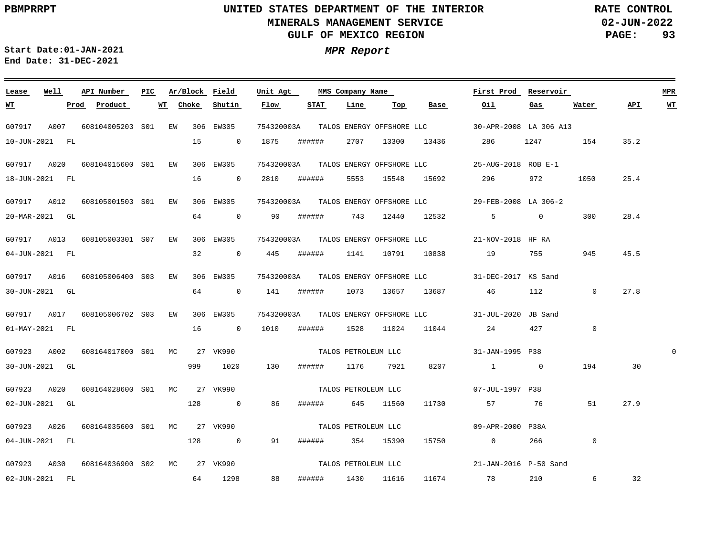<u> 1989 - Johann Stoff, deutscher Stoff, der Stoff, der Stoff, der Stoff, der Stoff, der Stoff, der Stoff, der S</u>

**02-JUN-2022 PAGE: 93 RATE CONTROL**

**Start Date:01-JAN-2021 MPR Report End Date: 31-DEC-2021**

### G07917 A007 608104005203 EW 306 EW305 S01 G07917 A020 608104015600 S01 EW 306 EW305 G07917 A012 608105001503 S01 EW 306 EW305 G07917 A013 608105003301 EW 306 EW305 S07 G07917 A016 608105006400 S03 EW G07917 A017 608105006702 S03 EW 306 EW305 G07923 A002 608164017000 MC 27 VK990 S01 G07923 A020 608164028600 MC 27 VK990 S01 G07923 A026 608164035600 MC 27 VK990 S01 G07923 A030 608164036900 MC 27 VK990 S02**Lease Well API Number Ar/Block Field PIC MMS Company Name** 306 EW305 754320003A TALOS ENERGY OFFSHORE LLC 754320003A 25-AUG-2018 ROB E-1 TALOS ENERGY OFFSHORE LLC 754320003A 29-FEB-2008 LA 306-2 TALOS ENERGY OFFSHORE LLC 754320003A 21-NOV-2018 HF RA TALOS ENERGY OFFSHORE LLC 754320003A 31-DEC-2017 KS Sand TALOS ENERGY OFFSHORE LLC 754320003A 31-JUL-2020 JB Sand TALOS ENERGY OFFSHORE LLC **Unit Agt**  30-APR-2008 LA 306 A13 31-JAN-1995 P38 07-JUL-1997 P38 09-APR-2000 P38A 21-JAN-2016 P-50 Sand **First Prod Reservoir** 0 **MPR** 10-JUN-2021 FL 18-JUN-2021 FL 20-MAR-2021 GL 04-JUN-2021 FL 30-JUN-2021 GL 01-MAY-2021 FL 30-JUN-2021 GL 02-JUN-2021 GL 04-JUN-2021 FL 02-JUN-2021 FL **WT**  $\bf{Product}$ 15 0 1875 16 0 2810 64 32 0 445 ###### 1141 10791 10838 19 755 945 64 0 141 ###### 16 0 1010 ###### 1528 11024 11044 24 427 999 1020 130 ###### 1176 7921 8207 1 0 194 30 128 0 86 ###### 645 11560 128 0 91 64 1298 **Choke** 0 90 ###### **Shutin** 88 ###### 1430 11616 **Flow** ###### ###### ###### 354 15390 **STAT** 2707 13300 5553 15548 15692 743 12440 12532 5 0 300 1073 **Line** 13657 13687 46 **Top** 13436 11730 15750 0 266 11674 **Base** 286 1247 154 35.2 296 57 76 78 **Oil** 972 1050 112 0 210 **Gas**  $\cap$ 51  $\overline{0}$ 6 **Water** 25.4 28.4 45.5 27.8 27.9 32 **API WT** TALOS PETROLEUM LLC TALOS PETROLEUM LLC TALOS PETROLEUM LLC TALOS PETROLEUM LLC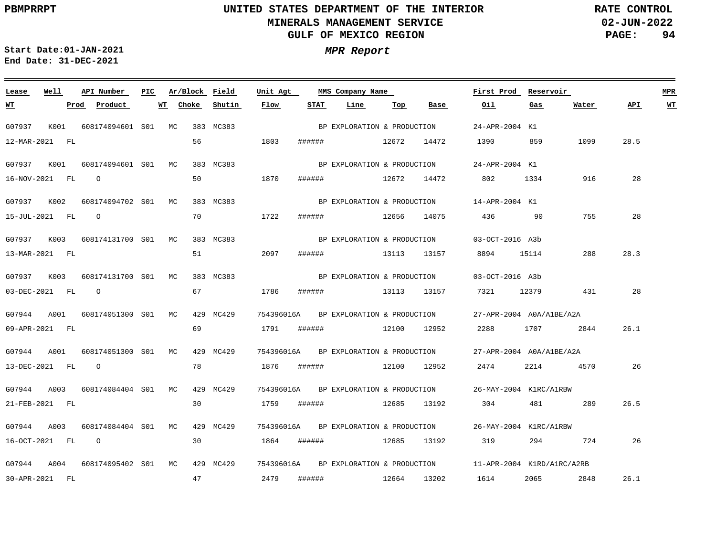**02-JUN-2022 PAGE: 94 RATE CONTROL**

**Start Date:01-JAN-2021 MPR Report End Date: 31-DEC-2021**

### **Lease Well API Number Ar/Block Field Unit Agt PIC MMS Company Name First Prod Reservoir MPR Choke Shutin Flow STAT Line Top Oil Water API WT WT Prod Product WT Base Gas** BP EXPLORATION & PRODUCTION G07937 K001 608174094601 S01 MC 383 MC383 24-APR-2004 K1 56 12-MAR-2021 FL 1803 ###### 12672 14472 1390 859 1099 28.5 G07937 K001 608174094601 S01 MC 383 MC383 24-APR-2004 K1 BP EXPLORATION & PRODUCTION 50 1870 28 16-NOV-2021 FL O ###### 12672 14472 802 1334 916 G07937 K002 608174094702 S01 MC 383 MC383 14-APR-2004 K1 BP EXPLORATION & PRODUCTION 70 15-JUL-2021 FL O 1722 ###### 12656 14075 436 90 755 28 G07937 K003 608174131700 S01 MC 383 MC383 03-OCT-2016 A3b BP EXPLORATION & PRODUCTION 28.3 13-MAR-2021 FL 51 2097 ###### 13113 13157 8894 15114 288 G07937 K003 608174131700 S01 MC 383 MC383 SPE EXPLORATION & PRODUCTION 03-OCT-2016 A3b 03-DEC-2021 FL O 67 1786 ###### 13113 13157 7321 12379 431 28 G07944 A001 608174051300 S01 MC 429 MC429 754396016A 27-APR-2004 A0A/A1BE/A2A BP EXPLORATION & PRODUCTION 69 26.1 09-APR-2021 FL 1791 ###### 12100 12952 2288 1707 2844 G07944 A001 608174051300 S01 MC 429 MC429 754396016A 27-APR-2004 A0A/A1BE/A2A BP EXPLORATION & PRODUCTION 78 13-DEC-2021 FL O 1876 ###### 12100 12952 2474 2214 4570 26 G07944 A003 608174084404 S01 MC 429 MC429 754396016A 26-MAY-2004 K1RC/A1RBW BP EXPLORATION & PRODUCTION 30 21-FEB-2021 FL 1759 ###### 12685 13192 304 481 289 26.5 G07944 A003 608174084404 S01 MC 429 MC429 754396016A 26-MAY-2004 K1RC/A1RBW BP EXPLORATION & PRODUCTION 16-OCT-2021 FL O 30 1864 ###### 12685 13192 319 294 724 26 G07944 A004 608174095402 S01 MC 429 MC429 754396016A BP EXPLORATION & PRODUCTION 11-APR-2004 K1RD/A1RC/A2RB 47 2848 26.1 30-APR-2021 FL 2479 ###### 12664 13202 1614 2065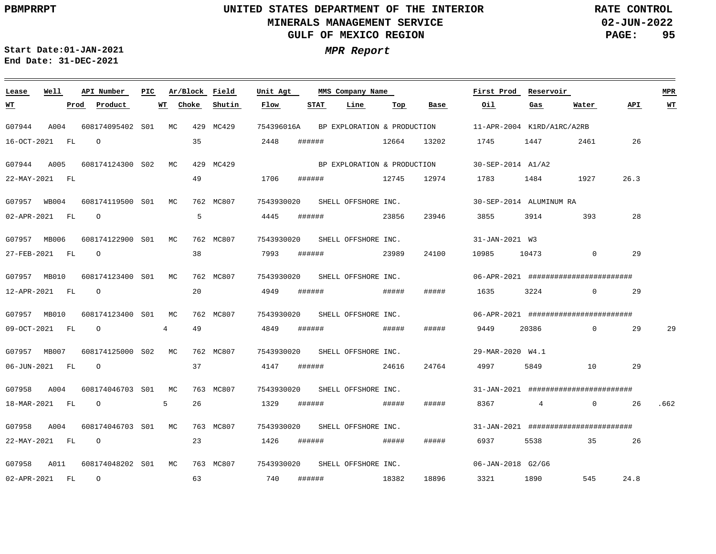**02-JUN-2022 PAGE: 95 RATE CONTROL**

**Start Date:01-JAN-2021 MPR Report End Date: 31-DEC-2021**

### G07944 A004 608174095402 S01 MC 429 MC429 G07944 A005 608174124300 S02 MC 429 MC429 G07957 WB004 608174119500 S01 MC 762 MC807 G07957 MB006 608174122900 S01 MC 762 MC807 G07957 MB010 G07957 MB010 608174123400 S01 MC G07957 MB007 G07958 A004 608174046703 S01 MC G07958 A004 G07958 A011 608174048202 S01 MC 763 MC807 **Lease Well** 608174123400 MC 762 MC807 S01 608174125000 MC S02 608174046703 MC 763 MC807 S01 **API Number Ar/Block Field PIC MMS Company Name** 762 MC807 762 MC807 763 MC807 754396016A 7543930020 SHELL OFFSHORE INC. 7543930020 SHELL OFFSHORE INC. 7543930020 SHELL OFFSHORE INC. 7543930020 SHELL OFFSHORE INC. 7543930020 SHELL OFFSHORE INC. 7543930020 SHELL OFFSHORE INC. 7543930020 7543930020 SHELL OFFSHORE INC. **Unit Agt**  11-APR-2004 K1RD/A1RC/A2RB 30-SEP-2014 A1/A2 30-SEP-2014 ALUMINUM RA 31-JAN-2021 W3 06-APR-2021 ######################## 06-APR-2021 ######################## 29-MAR-2020 W4.1 31-JAN-2021 ######################## 31-JAN-2021 ######################## 06-JAN-2018 G2/G6 **First Prod Reservoir MPR** 16-OCT-2021 FL 22-MAY-2021 FL 02-APR-2021 FL 27-FEB-2021 FL O 12-APR-2021 FL 09-OCT-2021 FL 06-JUN-2021 FL 18-MAR-2021 FL 22-MAY-2021 FL O 02-APR-2021 FL **WT Prod Product** O O O O 4 O O 5 O **WT Choke Shutin** 35 49 5 38 20 49 37 26 23 63 2448 1706 4445 7993 ###### 4949 4849 4147 ###### 1329 1426 ###### ##### 740 ###### **Flow** ###### ###### ###### ###### ###### ###### **STAT Line** 12664 12745 12974 1783 1484 1927 23856 23989 ##### ##### 24616 ##### 18382 **Top** 13202 23946 3855 24100 10985 10473 0 29 ##### 1635 ##### 24764 4997 5849 10 29 ##### ##### 18896 **Base** 1745 1447 9449 20386 0 29 8367 4 0 26 6937 5538 35 26 3321 1890 545 **Oil** 3914 393 28 3224 0 29 **Gas** 2461 26 **Water** 26.3 24.8 **API** 29 .662 **WT** BP EXPLORATION & PRODUCTION BP EXPLORATION & PRODUCTION SHELL OFFSHORE INC.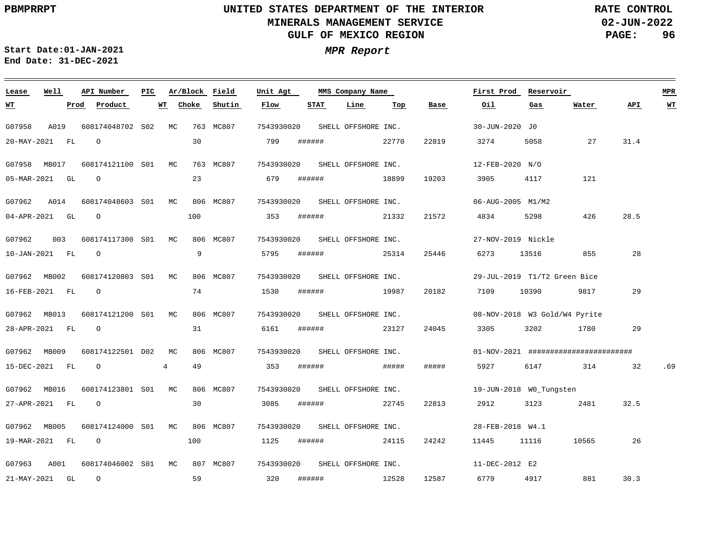**02-JUN-2022 PAGE: 96 RATE CONTROL**

**Start Date:01-JAN-2021 MPR Report End Date: 31-DEC-2021**

### **Lease Well API Number Ar/Block Field PIC MMS Company Name Unit Agt First Prod Reservoir MPR WT WT Choke Shutin Flow STAT Line Top Base Oil Gas Water API WT Prod Product** 7543930020 SHELL OFFSHORE INC. G07958 A019 608174048702 S02 MC 763 MC807 30-JUN-2020 J0 30 20-MAY-2021 FL O 799 ###### 22770 22819 3274 5058 27 31.4 7543930020 SHELL OFFSHORE INC. G07958 MB017 608174121100 MC 763 MC807 S01 12-FEB-2020 N/O 18899 O 23 05-MAR-2021 GL 679 ###### 19203 3905 4117 121 G07962 A014 608174048603 S01 MC 806 MC807 7543930020 SHELL OFFSHORE INC. 06-AUG-2005 M1/M2 O 100 21332 28.5 04-APR-2021 GL 353 ###### 21572 4834 5298 426 G07962 003 608174117300 MC 806 MC807 S01 7543930020 SHELL OFFSHORE INC. 27-NOV-2019 Nickle 9 28 10-JAN-2021 FL O 5795 ###### 25314 25446 6273 13516 855 7543930020 SHELL OFFSHORE INC. G07962 MB002 608174120803 MC S01 806 MC807 29-JUL-2019 T1/T2 Green Bice O 74 19987 29 16-FEB-2021 FL 1530 ###### 20182 7109 10390 9817 G07962 MB013 608174121200 S01 MC 806 MC807 7543930020 SHELL OFFSHORE INC. 08-NOV-2018 W3 Gold/W4 Pyrite O 31 23127 29 28-APR-2021 FL 6161 ###### 24045 3305 3202 1780 7543930020 G07962 MB009 608174122501 MC D02 806 MC807 SHELL OFFSHORE INC. 01-NOV-2021 ######################## 4 49 ##### 15-DEC-2021 FL O 353 ###### ##### 5927 6147 314 32 .69 G07962 MB016 608174123801 S01 MC 806 MC807 7543930020 SHELL OFFSHORE INC. 19-JUN-2018 W0\_Tungsten 30 3085 ###### 22745 27-APR-2021 FL O 22813 2912 3123 2481 32.5 7543930020 SHELL OFFSHORE INC. G07962 MB005 608174124000 MC 806 MC807 S01 28-FEB-2018 W4.1 19-MAR-2021 FL O 100 1125 ###### 24115 24242 11445 11116 10565 26 G07963 A001 608174046002 S01 MC 807 MC807 7543930020 SHELL OFFSHORE INC. 11-DEC-2012 E2 12587 O 59 30.3 21-MAY-2021 GL 320 ###### 12528 6779 4917 881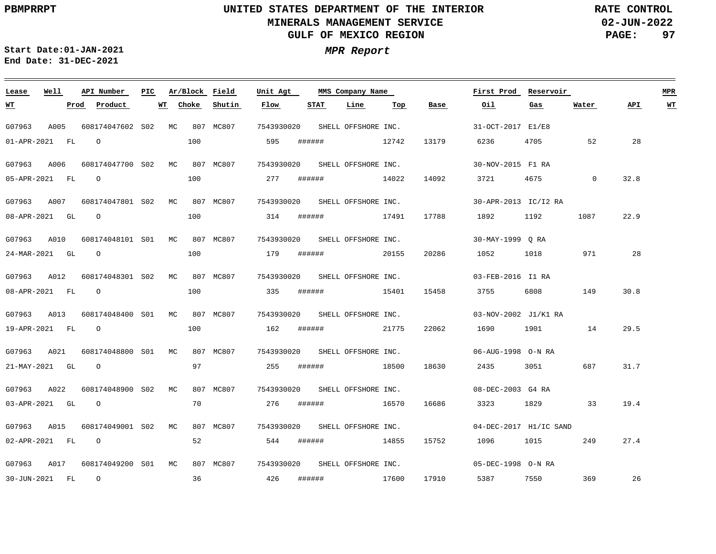**02-JUN-2022 PAGE: 97 RATE CONTROL**

**Start Date:01-JAN-2021 MPR Report End Date: 31-DEC-2021**

### **Lease Well API Number Ar/Block Field PIC MMS Company Name Unit Agt First Prod Reservoir MPR Choke Shutin Flow STAT Line Top Base Oil Water API WT WT Prod Product WT Gas** 7543930020 SHELL OFFSHORE INC. G07963 A005 608174047602 S02 MC 807 MC807 31-OCT-2017 E1/E8 01-APR-2021 FL O 100 595 ###### 12742 13179 6236 4705 52 28 G07963 A006 608174047700 MC 807 MC807 S02 7543930020 SHELL OFFSHORE INC. 30-NOV-2015 F1 RA O 100 14022 14092 32.8 05-APR-2021 FL 277 ###### 3721 4675 0 G07963 A007 608174047801 S02 MC 807 MC807 7543930020 SHELL OFFSHORE INC. 30-APR-2013 IC/I2 RA O 100 17491 1087 22.9 08-APR-2021 GL 314 ###### 17788 1892 1192 G07963 A010 608174048101 MC 807 MC807 S01 7543930020 SHELL OFFSHORE INC. 30-MAY-1999 Q RA 100 20155 28 24-MAR-2021 GL O 179 ###### 20286 1052 1018 971 G07963 A012 608174048301 MC 807 MC807 S02 7543930020 SHELL OFFSHORE INC. 03-FEB-2016 I1 RA 100 15401 30.8 08-APR-2021 FL O 335 ###### 15458 3755 6808 149 G07963 A013 608174048400 S01 MC 807 MC807 7543930020 SHELL OFFSHORE INC. 03-NOV-2002 J1/K1 RA  $\Omega$ 100 21775 29.5 19-APR-2021 FL 162 ###### 22062 1690 1901 14 G07963 A021 608174048800 S01 MC 807 MC807 7543930020 SHELL OFFSHORE INC. 06-AUG-1998 O-N RA 21-MAY-2021 GL O 97 255 ###### 18500 18630 2435 3051 687 31.7 G07963 A022 608174048900 S02 MC 807 MC807 7543930020 SHELL OFFSHORE INC. 08-DEC-2003 G4 RA 276 16570 16686 03-APR-2021 GL O 70 ###### 3323 1829 33 19.4 7543930020 SHELL OFFSHORE INC. G07963 A015 608174049001 S02 MC 807 MC807 04-DEC-2017 H1/IC SAND 02-APR-2021 FL O 52 544 ###### 14855 15752 1096 1015 249 27.4 G07963 A017 608174049200 S01 MC 807 MC807 7543930020 SHELL OFFSHORE INC. 05-DEC-1998 O-N RA 36 O 426 ###### 17600 17910 369 26 30-JUN-2021 FL 5387 7550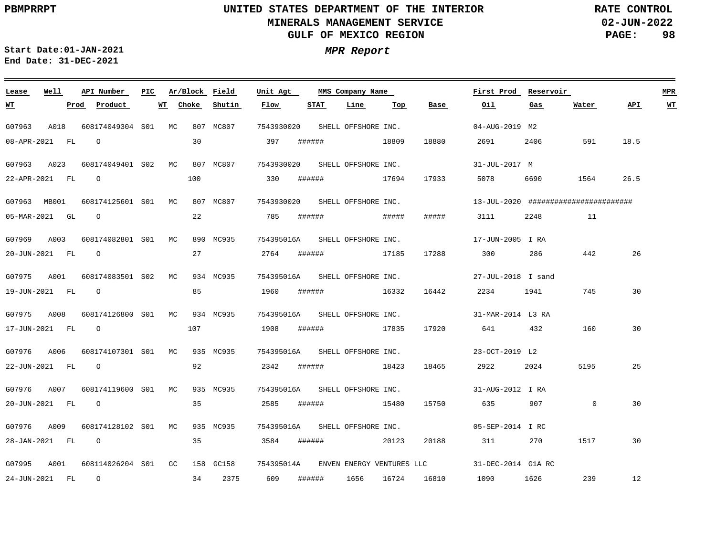**02-JUN-2022 PAGE: 98 RATE CONTROL**

 $\equiv$ 

**Start Date:01-JAN-2021 MPR Report End Date: 31-DEC-2021**

| Lease            | Well |      | API Number                      | PIC. |    |       | Ar/Block Field | Unit Agt                       |             |        | MMS Company Name    |       |                           | First Prod                                     | Reservoir |                                               |      | <b>MPR</b> |
|------------------|------|------|---------------------------------|------|----|-------|----------------|--------------------------------|-------------|--------|---------------------|-------|---------------------------|------------------------------------------------|-----------|-----------------------------------------------|------|------------|
| <u>WT</u>        |      | Prod | Product                         |      | WT | Choke | Shutin         | Flow                           | <b>STAT</b> |        | Line                | Top   | Base                      | Oil                                            | Gas       | Water                                         | API  | WT         |
| G07963           | A018 |      | 608174049304 S01 MC             |      |    |       | 807 MC807      | 7543930020                     |             |        | SHELL OFFSHORE INC. |       |                           | 04-AUG-2019 M2                                 |           |                                               |      |            |
| 08-APR-2021 FL   |      |      | $\circ$                         |      |    | 30    |                | 397                            |             |        | ####### 18809       |       | 18880                     | 2691 700                                       | 2406      | 591                                           | 18.5 |            |
| G07963 A023      |      |      | 608174049401 S02 MC             |      |    |       | 807 MC807      | 7543930020                     |             |        | SHELL OFFSHORE INC. |       |                           | 31-JUL-2017 M                                  |           |                                               |      |            |
| 22-APR-2021 FL 0 |      |      |                                 |      |    | 100   |                | 330                            | ######      |        | 17694               |       | 17933                     | 5078 — 100                                     | 6690      | 1564                                          | 26.5 |            |
| G07963 MB001     |      |      | 608174125601 S01 MC             |      |    |       | 807 MC807      | 7543930020 SHELL OFFSHORE INC. |             |        |                     |       |                           |                                                |           | $13 - JUL - 2020$ ########################### |      |            |
| 05-MAR-2021 GL   |      |      | $\overline{O}$                  |      |    | 22    |                | 785                            |             |        | # # # # # #         | ##### | #####                     | 3111                                           | 2248      | 11                                            |      |            |
| G07969 A003      |      |      | 608174082801 S01 MC             |      |    |       | 890 MC935      | 754395016A SHELL OFFSHORE INC. |             |        |                     |       |                           | 17-JUN-2005 I RA                               |           |                                               |      |            |
| 20-JUN-2021 FL 0 |      |      |                                 |      |    | 27    |                | 2764                           |             |        | ####### 17185       |       | 17288                     | 300 286                                        |           | 442                                           | 26   |            |
|                  |      |      | G07975 A001 608174083501 S02 MC |      |    |       | 934 MC935      | 754395016A SHELL OFFSHORE INC. |             |        |                     |       |                           | $27 - JUL - 2018$ I sand                       |           |                                               |      |            |
| 19-JUN-2021 FL 0 |      |      |                                 |      |    | 85    |                | 1960                           |             |        | ####### 16332       |       | 16442                     | 2234 1941                                      |           | 745                                           | 30   |            |
| G07975           | A008 |      | 608174126800 S01 MC             |      |    |       | 934 MC935      | 754395016A SHELL OFFSHORE INC. |             |        |                     |       |                           | 31-MAR-2014 L3 RA                              |           |                                               |      |            |
| 17-JUN-2021 FL   |      |      | $\overline{O}$                  |      |    |       | 107 10         | 1908                           |             |        | ####### 17835       |       | 17920                     | 641 432                                        |           | 160                                           | 30   |            |
| G07976 A006      |      |      | 608174107301 S01 MC 935 MC935   |      |    |       |                | 754395016A SHELL OFFSHORE INC. |             |        |                     |       |                           | 23-OCT-2019 L2                                 |           |                                               |      |            |
| 22-JUN-2021 FL   |      |      | $\overline{O}$                  |      |    | 92    |                | 2342                           |             |        | ###### 18423        |       | 18465                     | 2922 20                                        | 2024      | 5195                                          | 25   |            |
| G07976           | A007 |      | 608174119600 S01 MC             |      |    |       | 935 MC935      | 754395016A                     |             |        | SHELL OFFSHORE INC. |       |                           | 31-AUG-2012 I RA                               |           |                                               |      |            |
| 20-JUN-2021 FL   |      |      | $\overline{O}$                  |      |    | 35    |                | 2585                           |             |        | ####### 15480       |       | 15750                     | 635 — 100                                      | 907       | $\overline{0}$                                | 30   |            |
| G07976           | A009 |      | 608174128102 S01 MC             |      |    |       | 935 MC935      |                                |             |        |                     |       |                           | 754395016A SHELL OFFSHORE INC. 05-SEP-2014 IRC |           |                                               |      |            |
| 28-JAN-2021 FL   |      |      | $\overline{O}$                  |      |    | 35    |                | 3584                           |             |        | ####### 20123       |       | 20188                     | 311                                            | 270       | 1517                                          | 30   |            |
| G07995           | A001 |      | 608114026204 S01 GC             |      |    |       | 158 GC158      | 754395014A                     |             |        |                     |       | ENVEN ENERGY VENTURES LLC | 31-DEC-2014 G1A RC                             |           |                                               |      |            |
| 24-JUN-2021 FL 0 |      |      |                                 |      |    |       | 34 2375        | 609                            |             | ###### | 1656                |       | 16724 16810               | 1090 1626                                      |           | 239                                           | 12   |            |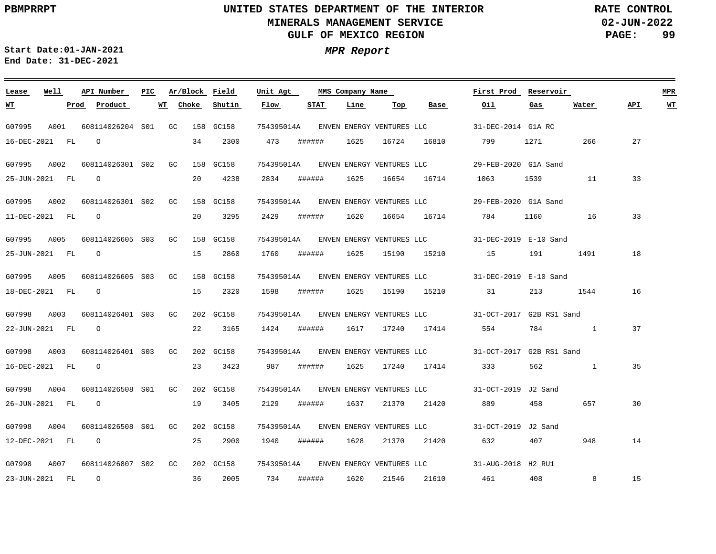**02-JUN-2022 PAGE: 99 RATE CONTROL**

 $\equiv$ 

**Start Date:01-JAN-2021 MPR Report End Date: 31-DEC-2021**

| Lease          | Well | API Number          | PIC | Ar/Block Field |           | Unit Agt   |        | MMS Company Name |       |                           | First Prod               | Reservoir |       |     | <b>MPR</b> |
|----------------|------|---------------------|-----|----------------|-----------|------------|--------|------------------|-------|---------------------------|--------------------------|-----------|-------|-----|------------|
| <u> WТ</u>     |      | Prod<br>Product     |     | WT<br>Choke    | Shutin    | Flow       | STAT   | Line             | Тор   | Base                      | Oil                      | Gas       | Water | API | <u>WT</u>  |
| G07995         | A001 | 608114026204 S01 GC |     |                | 158 GC158 | 754395014A |        |                  |       | ENVEN ENERGY VENTURES LLC | 31-DEC-2014 G1A RC       |           |       |     |            |
| 16-DEC-2021 FL |      | $\circ$             |     | 34             | 2300      | 473        | ###### | 1625             | 16724 | 16810                     | 799                      | 1271      | 266   | 27  |            |
| G07995         | A002 | 608114026301 S02 GC |     |                | 158 GC158 | 754395014A |        |                  |       | ENVEN ENERGY VENTURES LLC | 29-FEB-2020 G1A Sand     |           |       |     |            |
| 25-JUN-2021 FL |      | $\circ$             |     | 20             | 4238      | 2834       | ###### | 1625             | 16654 | 16714                     | 1063                     | 1539      | 11    | 33  |            |
| G07995         | A002 | 608114026301 S02 GC |     |                | 158 GC158 | 754395014A |        |                  |       | ENVEN ENERGY VENTURES LLC | 29-FEB-2020 G1A Sand     |           |       |     |            |
| 11-DEC-2021 FL |      | $\circ$             |     | 20             | 3295      | 2429       | ###### | 1620             | 16654 | 16714                     | 784                      | 1160      | 16    | 33  |            |
| G07995         | A005 | 608114026605 S03 GC |     |                | 158 GC158 | 754395014A |        |                  |       | ENVEN ENERGY VENTURES LLC | 31-DEC-2019 E-10 Sand    |           |       |     |            |
| 25-JUN-2021 FL |      | $\circ$             |     | 15             | 2860      | 1760       | ###### | 1625             | 15190 | 15210                     | 15                       | 191       | 1491  | 18  |            |
| G07995         | A005 | 608114026605 S03 GC |     |                | 158 GC158 | 754395014A |        |                  |       | ENVEN ENERGY VENTURES LLC | 31-DEC-2019 E-10 Sand    |           |       |     |            |
| 18-DEC-2021 FL |      | $\circ$             |     | 15             | 2320      | 1598       | ###### | 1625             | 15190 | 15210                     | 31                       | 213       | 1544  | 16  |            |
| G07998         | A003 | 608114026401 S03 GC |     |                | 202 GC158 | 754395014A |        |                  |       | ENVEN ENERGY VENTURES LLC | 31-OCT-2017 G2B RS1 Sand |           |       |     |            |
| 22-JUN-2021 FL |      | $\circ$             |     | 22             | 3165      | 1424       | ###### | 1617             | 17240 | 17414                     | 554                      | 784       |       | 37  |            |
| G07998         | A003 | 608114026401 S03 GC |     |                | 202 GC158 | 754395014A |        |                  |       | ENVEN ENERGY VENTURES LLC | 31-OCT-2017 G2B RS1 Sand |           |       |     |            |
| 16-DEC-2021 FL |      | $\circ$             |     | 23             | 3423      | 987        | ###### | 1625             | 17240 | 17414                     | 333                      | 562       | 1     | 35  |            |
| G07998         | A004 | 608114026508 S01 GC |     |                | 202 GC158 | 754395014A |        |                  |       | ENVEN ENERGY VENTURES LLC | 31-OCT-2019 J2 Sand      |           |       |     |            |
| 26-JUN-2021 FL |      | $\circ$             |     | 19             | 3405      | 2129       | ###### | 1637             | 21370 | 21420                     | 889                      | 458       | 657   | 30  |            |
| G07998         | A004 | 608114026508 S01 GC |     |                | 202 GC158 | 754395014A |        |                  |       | ENVEN ENERGY VENTURES LLC | 31-OCT-2019 J2 Sand      |           |       |     |            |
| 12-DEC-2021 FL |      | $\circ$             |     | 25             | 2900      | 1940       | ###### | 1628             | 21370 | 21420                     | 632                      | 407       | 948   | 14  |            |
| G07998         | A007 | 608114026807 S02 GC |     |                | 202 GC158 | 754395014A |        |                  |       |                           | 31-AUG-2018 H2 RU1       |           |       |     |            |
| 23-JUN-2021 FL |      | $\circ$             |     | 36             | 2005      | 734        | ###### | 1620             | 21546 | 21610                     | 461                      | 408       | 8     | 15  |            |
|                |      |                     |     |                |           |            |        |                  |       | ENVEN ENERGY VENTURES LLC |                          |           |       |     |            |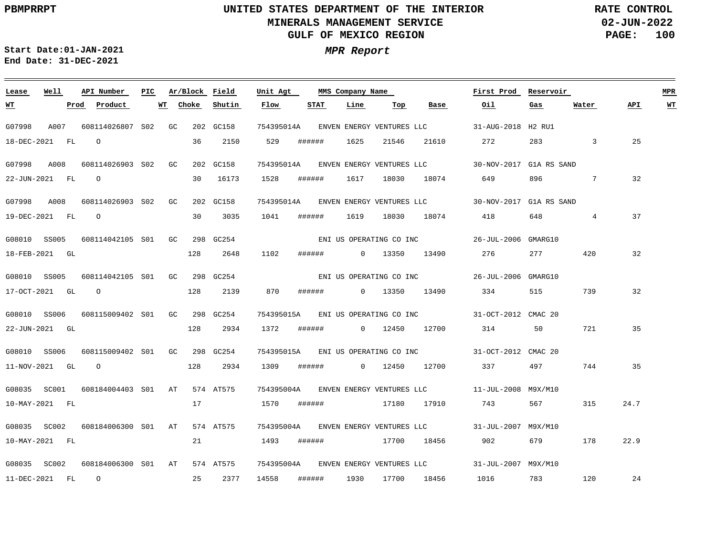**02-JUN-2022 PAGE: 100 RATE CONTROL**

<u> 1980 - Jan Barat, politik amerikan politik (</u>

**Start Date:01-JAN-2021 MPR Report End Date: 31-DEC-2021**

| Lease          | Well | API Number                                 | PIC | Ar/Block Field |           | Unit Agt   |                 | MMS Company Name |     |                                      | First Prod                                                   | Reservoir      |                 |      | MPR |
|----------------|------|--------------------------------------------|-----|----------------|-----------|------------|-----------------|------------------|-----|--------------------------------------|--------------------------------------------------------------|----------------|-----------------|------|-----|
| WT             |      | Prod Product                               |     | WT Choke       | Shutin    | Flow       | <b>STAT</b>     | Line             | Тор | Base                                 | Oil                                                          | Gas            | Water           | API  | WТ  |
| G07998         | A007 | 608114026807 S02 GC                        |     |                | 202 GC158 |            |                 |                  |     | 754395014A ENVEN ENERGY VENTURES LLC | 31-AUG-2018 H2 RU1                                           |                |                 |      |     |
| 18-DEC-2021 FL |      | $\circ$                                    |     | 36             | 2150      | 529        | ######          | 1625             |     | 21546 21610                          | 272                                                          | 283 and $\sim$ | $\overline{3}$  | 25   |     |
| G07998 A008    |      | 608114026903 S02 GC                        |     |                | 202 GC158 |            |                 |                  |     |                                      | 754395014A ENVEN ENERGY VENTURES LLC 30-NOV-2017 G1A RS SAND |                |                 |      |     |
| 22-JUN-2021 FL |      | $\overline{O}$                             |     |                | 30 16173  | 1528       | ######          | 1617             |     | 18030 18074                          | 649                                                          | 896            | $7\overline{ }$ | 32   |     |
|                |      |                                            |     |                |           |            |                 |                  |     |                                      |                                                              |                |                 |      |     |
| G07998 A008    |      | 608114026903 S02 GC                        |     |                | 202 GC158 |            |                 |                  |     |                                      | 754395014A ENVEN ENERGY VENTURES LLC 30-NOV-2017 G1A RS SAND |                |                 |      |     |
| 19-DEC-2021 FL |      | $\overline{O}$                             |     | 30             | 3035      | 1041       |                 |                  |     |                                      | ###### 1619 18030 18074 418                                  | 648            | $4\overline{ }$ | 37   |     |
| G08010 SS005   |      | 608114042105 S01 GC 298 GC254              |     |                |           |            |                 |                  |     |                                      |                                                              |                |                 |      |     |
| 18-FEB-2021 GL |      |                                            |     | 128            | 2648      | 1102       | ####### 0 13350 |                  |     | 13490                                | 276 277                                                      |                | 420             | 32   |     |
| G08010 SS005   |      | 608114042105 S01 GC 298 GC254              |     |                |           |            |                 |                  |     |                                      | ENI US OPERATING CO INC<br>26-JUL-2006 GMARG10               |                |                 |      |     |
|                |      |                                            |     |                |           |            |                 |                  |     |                                      |                                                              |                |                 |      |     |
| 17-OCT-2021 GL |      | $\circ$                                    |     | 128            | 2139      | 870        |                 |                  |     | ####### 0 13350 13490                | 334                                                          | 515            | 739             | 32   |     |
| G08010 SS006   |      | 608115009402 S01 GC 298 GC254              |     |                |           | 754395015A |                 |                  |     |                                      | ENI US OPERATING CO INC 31-OCT-2012 CMAC 20                  |                |                 |      |     |
| 22-JUN-2021 GL |      |                                            |     | 128            | 2934      | 1372       |                 |                  |     |                                      | 314 50                                                       |                | 721             | 35   |     |
| G08010 SS006   |      | 608115009402 S01 GC 298 GC254              |     |                |           |            |                 |                  |     |                                      | 754395015A ENI US OPERATING CO INC 31-OCT-2012 CMAC 20       |                |                 |      |     |
|                |      |                                            |     |                |           |            |                 |                  |     |                                      |                                                              |                |                 |      |     |
| 11-NOV-2021 GL |      | $\circ$                                    |     | 128            | 2934      | 1309       |                 |                  |     | ####### 0 12450 12700                | 337                                                          | 497            | 744             | 35   |     |
| G08035 SC001   |      | 608184004403 S01 AT 574 AT575              |     |                |           | 754395004A |                 |                  |     |                                      | ENVEN ENERGY VENTURES LLC 11-JUL-2008 M9X/M10                |                |                 |      |     |
| 10-MAY-2021 FL |      |                                            |     | 17             |           | 1570       | ######          |                  |     | 17180 17910                          | 743                                                          | 567 — 100      | 315             | 24.7 |     |
|                |      | G08035 SC002 608184006300 S01 AT 574 AT575 |     |                |           |            |                 |                  |     |                                      | 754395004A ENVEN ENERGY VENTURES LLC 31-JUL-2007 M9X/M10     |                |                 |      |     |
| 10-MAY-2021 FL |      |                                            |     | 21             |           | 1493       |                 |                  |     | ####### 17700 18456                  | 902 200                                                      | 679 — 10       | 178             | 22.9 |     |
|                |      |                                            |     |                |           |            |                 |                  |     |                                      |                                                              |                |                 |      |     |
| G08035 SC002   |      | 608184006300 S01 AT                        |     |                | 574 AT575 |            |                 |                  |     |                                      | 754395004A ENVEN ENERGY VENTURES LLC 31-JUL-2007 M9X/M10     |                |                 |      |     |
|                |      | 11-DEC-2021 FL 0                           |     | 25             | 2377      |            | 14558 ######    |                  |     | 1930 17700 18456                     | 1016 783                                                     |                | 120             | 24   |     |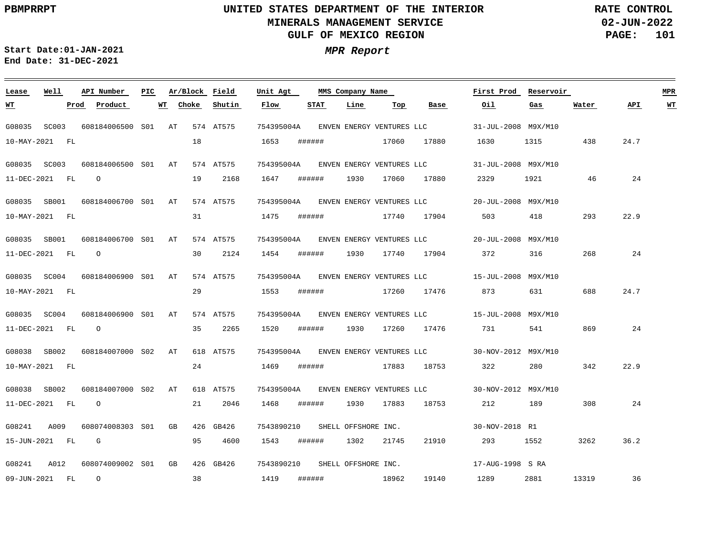**02-JUN-2022 PAGE: 101 RATE CONTROL**

 $\equiv$ 

**Start Date:01-JAN-2021 MPR Report End Date: 31-DEC-2021**

| Lease          | Well  |      | API Number               | PIC |       | Ar/Block Field | Unit Agt                       |             | MMS Company Name    |             |                                      | First Prod                                               | Reservoir |       |      |    |
|----------------|-------|------|--------------------------|-----|-------|----------------|--------------------------------|-------------|---------------------|-------------|--------------------------------------|----------------------------------------------------------|-----------|-------|------|----|
| <u> WТ</u>     |       | Prod | Product                  | WT  | Choke | Shutin         | Flow                           | <b>STAT</b> | Line                | Тор         | Base                                 | Oil                                                      | Gas       | Water | API  | WT |
| G08035         | SC003 |      | 608184006500 S01 AT      |     |       | 574 AT575      | 754395004A                     |             |                     |             | ENVEN ENERGY VENTURES LLC            | 31-JUL-2008 M9X/M10                                      |           |       |      |    |
| 10-MAY-2021 FL |       |      |                          |     | 18    |                | 1653                           | ######      |                     | 17060       | 17880                                | 1630                                                     | 1315      | 438   | 24.7 |    |
| G08035 SC003   |       |      | 608184006500 S01 AT      |     |       | 574 AT575      |                                |             |                     |             | 754395004A ENVEN ENERGY VENTURES LLC | 31-JUL-2008 M9X/M10                                      |           |       |      |    |
| 11-DEC-2021 FL |       |      | $\Omega$                 |     | 19    | 2168           | 1647                           | ######      | 1930                | 17060       | 17880                                | 2329                                                     | 1921      | 46    | 24   |    |
| G08035 SB001   |       |      | 608184006700 S01 AT      |     |       | 574 AT575      |                                |             |                     |             | 754395004A ENVEN ENERGY VENTURES LLC | 20-JUL-2008 M9X/M10                                      |           |       |      |    |
| 10-MAY-2021 FL |       |      |                          |     | 31    |                | 1475                           | ######      |                     | 17740 17904 |                                      | 503                                                      | 418       | 293   | 22.9 |    |
| G08035 SB001   |       |      | 608184006700 S01 AT      |     |       | 574 AT575      |                                |             |                     |             | 754395004A ENVEN ENERGY VENTURES LLC | 20-JUL-2008 M9X/M10                                      |           |       |      |    |
| 11-DEC-2021 FL |       |      | $\circ$                  |     | 30    | 2124           | 1454                           | ######      | 1930                | 17740       | 17904                                | 372                                                      | 316       | 268   | 24   |    |
| G08035 SC004   |       |      | 608184006900 S01 AT      |     |       | 574 AT575      |                                |             |                     |             |                                      | 754395004A ENVEN ENERGY VENTURES LLC 15-JUL-2008 M9X/M10 |           |       |      |    |
| 10-MAY-2021 FL |       |      |                          |     | 29    |                | 1553                           | ######      |                     | 17260 17476 |                                      | 873                                                      | 631       | 688   | 24.7 |    |
| G08035 SC004   |       |      | 608184006900 S01 AT      |     |       | 574 AT575      | 754395004A                     |             |                     |             |                                      | ENVEN ENERGY VENTURES LLC 15-JUL-2008 M9X/M10            |           |       |      |    |
| 11-DEC-2021 FL |       |      | $\overline{\phantom{0}}$ |     | 35    | 2265           | 1520                           | ######      | 1930                | 17260       | 17476                                | 731                                                      | 541       | 869   | 24   |    |
| G08038 SB002   |       |      | 608184007000 S02 AT      |     |       | 618 AT575      |                                |             |                     |             | 754395004A ENVEN ENERGY VENTURES LLC | 30-NOV-2012 M9X/M10                                      |           |       |      |    |
| 10-MAY-2021 FL |       |      |                          |     | 24    |                | 1469                           | ######      |                     | 17883       | 18753                                | 322                                                      | 280       | 342   | 22.9 |    |
| G08038         | SB002 |      | 608184007000 S02 AT      |     |       | 618 AT575      | 754395004A                     |             |                     |             | ENVEN ENERGY VENTURES LLC            | 30-NOV-2012 M9X/M10                                      |           |       |      |    |
| 11-DEC-2021 FL |       |      | $\overline{O}$           |     | 21    | 2046           | 1468                           | ######      | 1930                | 17883       | 18753                                | 212                                                      | 189       | 308   | 24   |    |
| G08241         | A009  |      | 608074008303 S01 GB      |     |       | 426 GB426      | 7543890210 SHELL OFFSHORE INC. |             |                     |             |                                      | 30-NOV-2018 R1                                           |           |       |      |    |
| 15-JUN-2021 FL |       |      | $\mathbf G$              |     | 95    | 4600           | 1543                           | ######      | 1302                | 21745       | 21910                                | 293                                                      | 1552      | 3262  | 36.2 |    |
| G08241         | A012  |      | 608074009002 S01 GB      |     |       | 426 GB426      | 7543890210                     |             | SHELL OFFSHORE INC. |             |                                      | 17-AUG-1998 S RA                                         |           |       |      |    |
| 09-JUN-2021 FL |       |      | $\overline{O}$           |     | 38    |                | 1419                           | ######      | 18962               |             | 19140                                | 1289                                                     | 2881      | 13319 | 36   |    |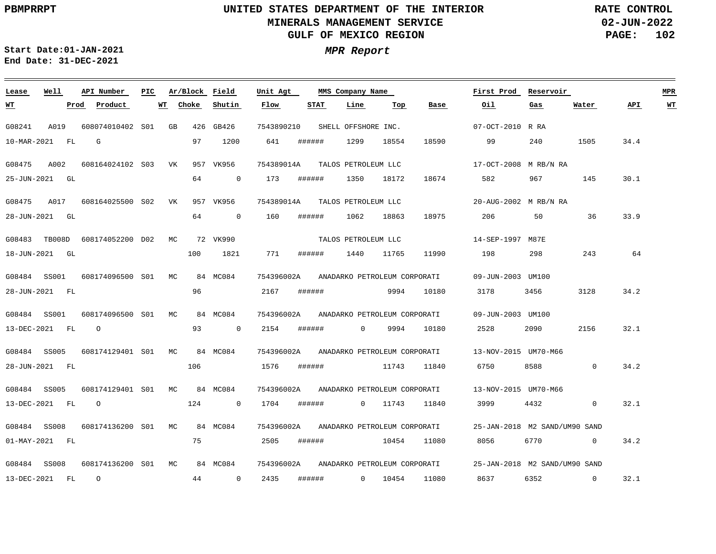**02-JUN-2022 PAGE: 102 RATE CONTROL**

 $\equiv$ 

**Start Date:01-JAN-2021 MPR Report End Date: 31-DEC-2021**

| Lease          | Well<br>API Number |                     | PIC | Ar/Block Field |                | MMS Company Name<br>Unit Agt |        |                              |       |       | First Prod                    | Reservoir |              |      | <b>MPR</b> |
|----------------|--------------------|---------------------|-----|----------------|----------------|------------------------------|--------|------------------------------|-------|-------|-------------------------------|-----------|--------------|------|------------|
| <u>WТ</u>      |                    | Product<br>Prod     | WT  | Choke          | Shutin         | Flow                         | STAT   | Line                         | Top   | Base  | Oil                           | Gas       | Water        | API  | WT         |
| G08241         | A019               | 608074010402 S01 GB |     |                | 426 GB426      | 7543890210                   |        | SHELL OFFSHORE INC.          |       |       | 07-OCT-2010 R RA              |           |              |      |            |
| 10-MAR-2021 FL |                    | G                   |     | 97             | 1200           | 641                          | ###### | 1299                         | 18554 | 18590 | 99                            | 240       | 1505         | 34.4 |            |
| G08475         | A002               | 608164024102 S03 VK |     |                | 957 VK956      | 754389014A                   |        | TALOS PETROLEUM LLC          |       |       | 17-OCT-2008 M RB/N RA         |           |              |      |            |
| 25-JUN-2021 GL |                    |                     |     | 64             | $\overline{0}$ | 173                          | ###### | 1350                         | 18172 | 18674 | 582                           | 967       | 145          | 30.1 |            |
| G08475         | A017               | 608164025500 S02    |     | VK             | 957 VK956      | 754389014A                   |        | TALOS PETROLEUM LLC          |       |       | 20-AUG-2002 M RB/N RA         |           |              |      |            |
| 28-JUN-2021 GL |                    |                     |     | 64             | $\mathbf 0$    | 160                          | ###### | 1062                         | 18863 | 18975 | 206                           | 50        | 36           | 33.9 |            |
| G08483         | TB008D             | 608174052200 D02    |     | MC             | 72 VK990       |                              |        | TALOS PETROLEUM LLC          |       |       | 14-SEP-1997 M87E              |           |              |      |            |
| 18-JUN-2021    | GL                 |                     |     | 100            | 1821           | 771                          | ###### | 1440                         | 11765 | 11990 | 198                           | 298       | 243          | 64   |            |
| G08484 SS001   |                    | 608174096500 S01 MC |     |                | 84 MC084       | 754396002A                   |        | ANADARKO PETROLEUM CORPORATI |       |       | 09-JUN-2003 UM100             |           |              |      |            |
| 28-JUN-2021 FL |                    |                     |     | 96             |                | 2167                         | ###### |                              | 9994  | 10180 | 3178                          | 3456      | 3128         | 34.2 |            |
| G08484         | SS001              | 608174096500 S01 MC |     |                | 84 MC084       | 754396002A                   |        | ANADARKO PETROLEUM CORPORATI |       |       | 09-JUN-2003 UM100             |           |              |      |            |
| 13-DEC-2021    | FL                 | $\circ$             |     | 93             | $\overline{0}$ | 2154                         | ###### | $\overline{0}$               | 9994  | 10180 | 2528                          | 2090      | 2156         | 32.1 |            |
| G08484 SS005   |                    | 608174129401 S01 MC |     |                | 84 MC084       | 754396002A                   |        | ANADARKO PETROLEUM CORPORATI |       |       | 13-NOV-2015 UM70-M66          |           |              |      |            |
| 28-JUN-2021 FL |                    |                     |     | 106            |                | 1576                         | ###### |                              | 11743 | 11840 | 6750                          | 8588      | $\Omega$     | 34.2 |            |
| G08484         | SS005              | 608174129401 S01 MC |     |                | 84 MC084       | 754396002A                   |        | ANADARKO PETROLEUM CORPORATI |       |       | 13-NOV-2015 UM70-M66          |           |              |      |            |
| 13-DEC-2021    | FL                 | $\circ$             |     | 124            | $\overline{0}$ | 1704                         | ###### | $\overline{0}$               | 11743 | 11840 | 3999                          | 4432      | $\mathbf{0}$ | 32.1 |            |
| G08484         | SS008              | 608174136200 S01 MC |     |                | 84 MC084       | 754396002A                   |        | ANADARKO PETROLEUM CORPORATI |       |       | 25-JAN-2018 M2 SAND/UM90 SAND |           |              |      |            |
| 01-MAY-2021 FL |                    |                     |     | 75             |                | 2505                         | ###### |                              | 10454 | 11080 | 8056                          | 6770      | $\Omega$     | 34.2 |            |
| G08484         | SS008              | 608174136200 S01 MC |     |                | 84 MC084       | 754396002A                   |        | ANADARKO PETROLEUM CORPORATI |       |       | 25-JAN-2018 M2 SAND/UM90 SAND |           |              |      |            |
| 13-DEC-2021    | FL                 | $\circ$             |     | 44             | $\mathbf 0$    | 2435                         | ###### | $\overline{0}$               | 10454 | 11080 | 8637                          | 6352      | $\mathbf 0$  | 32.1 |            |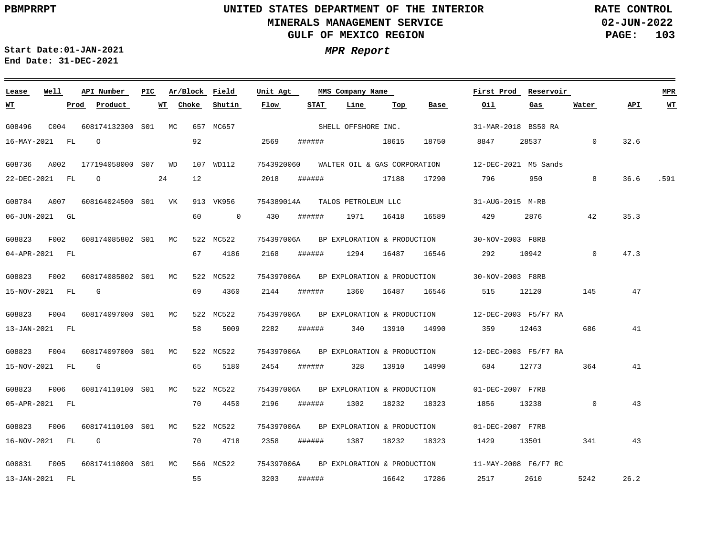$\frac{1}{\sqrt{2\pi}}\left( \frac{1}{\sqrt{2\pi}}\right) \left( \frac{1}{\sqrt{2\pi}}\right) \left( \frac{1}{\sqrt{2\pi}}\right) \left( \frac{1}{\sqrt{2\pi}}\right) \left( \frac{1}{\sqrt{2\pi}}\right) \left( \frac{1}{\sqrt{2\pi}}\right) \left( \frac{1}{\sqrt{2\pi}}\right) \left( \frac{1}{\sqrt{2\pi}}\right) \left( \frac{1}{\sqrt{2\pi}}\right) \left( \frac{1}{\sqrt{2\pi}}\right) \left( \frac{1}{\sqrt{2\pi}}\right) \left( \frac{1}{\sqrt$ 

# **UNITED STATES DEPARTMENT OF THE INTERIOR MINERALS MANAGEMENT SERVICE GULF OF MEXICO REGION**

**02-JUN-2022 PAGE: 103 RATE CONTROL**

 $\sim$ 

**Start Date:01-JAN-2021 MPR Report End Date: 31-DEC-2021**

| Lease          | Well             | API Number          | PIC |    |       | Ar/Block Field | Unit Agt   |        | MMS Company Name             |       |                             | First Prod | Reservoir                                        |                |      | <b>MPR</b>              |
|----------------|------------------|---------------------|-----|----|-------|----------------|------------|--------|------------------------------|-------|-----------------------------|------------|--------------------------------------------------|----------------|------|-------------------------|
| <u>WТ</u>      |                  | Product<br>Prod     |     | WT | Choke | Shutin         | Flow       | STAT   | Line                         | Top   | Base                        | Oil        | Gas                                              | Water          | API  | $\underline{\text{WT}}$ |
| G08496         | C <sub>004</sub> | 608174132300 S01    |     | МC |       | 657 MC657      |            |        | SHELL OFFSHORE INC.          |       |                             |            | 31-MAR-2018 BS50 RA                              |                |      |                         |
| 16-MAY-2021 FL |                  | $\Omega$            |     |    | 92    |                | 2569       | ###### |                              | 18615 | 18750                       | 8847       | 28537                                            | $\overline{0}$ | 32.6 |                         |
| G08736         | A002             | 177194058000 S07 WD |     |    |       | 107 WD112      | 7543920060 |        | WALTER OIL & GAS CORPORATION |       |                             |            | 12-DEC-2021 M5 Sands                             |                |      |                         |
| 22-DEC-2021 FL |                  | $\circ$             |     | 24 | 12    |                | 2018       | ###### |                              | 17188 | 17290                       | 796        | 950                                              | 8              | 36.6 | .591                    |
| G08784         | A007             | 608164024500 S01 VK |     |    |       | 913 VK956      | 754389014A |        | TALOS PETROLEUM LLC          |       |                             |            | 31-AUG-2015 M-RB                                 |                |      |                         |
| 06-JUN-2021 GL |                  |                     |     |    | 60    | $\mathbf 0$    | 430        | ###### | 1971                         | 16418 | 16589                       | 429        | 2876                                             | 42             | 35.3 |                         |
| G08823         | F002             | 608174085802 S01    |     | МC |       | 522 MC522      | 754397006A |        | BP EXPLORATION & PRODUCTION  |       |                             |            | 30-NOV-2003 F8RB                                 |                |      |                         |
| 04-APR-2021 FL |                  |                     |     |    | 67    | 4186           | 2168       | ###### | 1294                         | 16487 | 16546                       | 292        | 10942                                            | $\Omega$       | 47.3 |                         |
| G08823         | F002             | 608174085802 S01    |     | МC |       | 522 MC522      | 754397006A |        |                              |       | BP EXPLORATION & PRODUCTION |            | 30-NOV-2003 F8RB                                 |                |      |                         |
| 15-NOV-2021 FL |                  | G                   |     |    | 69    | 4360           | 2144       | ###### | 1360                         | 16487 | 16546                       | 515        | 12120                                            | 145            | 47   |                         |
| G08823         | F004             | 608174097000 S01    |     | MC |       | 522 MC522      | 754397006A |        | BP EXPLORATION & PRODUCTION  |       |                             |            | 12-DEC-2003 F5/F7 RA                             |                |      |                         |
| 13-JAN-2021 FL |                  |                     |     |    | 58    | 5009           | 2282       | ###### | 340                          | 13910 | 14990                       | 359        | 12463                                            | 686            | 41   |                         |
| G08823         | F004             | 608174097000 S01    |     | МC |       | 522 MC522      | 754397006A |        |                              |       |                             |            | BP EXPLORATION & PRODUCTION 12-DEC-2003 F5/F7 RA |                |      |                         |
| 15-NOV-2021 FL |                  | G                   |     |    | 65    | 5180           | 2454       | ###### | 328                          | 13910 | 14990                       | 684        | 12773                                            | 364            | 41   |                         |
| G08823         | F006             | 608174110100 S01    |     | МC |       | 522 MC522      | 754397006A |        | BP EXPLORATION & PRODUCTION  |       |                             |            | 01-DEC-2007 F7RB                                 |                |      |                         |
| 05-APR-2021 FL |                  |                     |     |    | 70    | 4450           | 2196       | ###### | 1302                         | 18232 | 18323                       | 1856       | 13238                                            | $\mathbf{0}$   | 43   |                         |
| G08823         | F006             | 608174110100 S01    |     | МC |       | 522 MC522      | 754397006A |        | BP EXPLORATION & PRODUCTION  |       |                             |            | 01-DEC-2007 F7RB                                 |                |      |                         |
| 16-NOV-2021 FL |                  | G                   |     |    | 70    | 4718           | 2358       | ###### | 1387                         | 18232 | 18323                       | 1429       | 13501                                            | 341            | 43   |                         |
| G08831         | F005             | 608174110000 S01    |     | MC |       | 566 MC522      | 754397006A |        |                              |       | BP EXPLORATION & PRODUCTION |            | 11-MAY-2008 F6/F7 RC                             |                |      |                         |
| 13-JAN-2021    | FL               |                     |     |    | 55    |                | 3203       | ###### |                              | 16642 | 17286                       | 2517       | 2610                                             | 5242           | 26.2 |                         |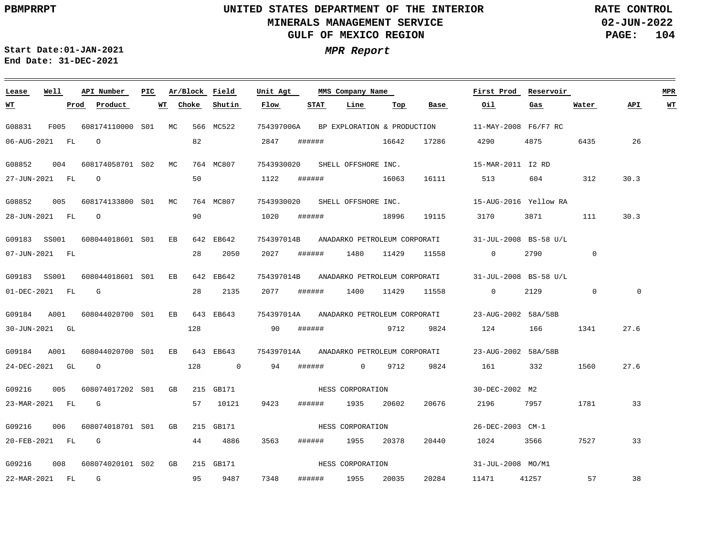**02-JUN-2022 PAGE: 104 RATE CONTROL**

**Start Date:01-JAN-2021 MPR Report End Date: 31-DEC-2021**

| Lease          | Well  |      | API Number          | PIC |    |       | Ar/Block Field | Unit Agt   |        | MMS Company Name |                     |                              | First Prod                              | Reservoir                                                     |       |              | <b>MPR</b>  |           |
|----------------|-------|------|---------------------|-----|----|-------|----------------|------------|--------|------------------|---------------------|------------------------------|-----------------------------------------|---------------------------------------------------------------|-------|--------------|-------------|-----------|
| <u>WT</u>      |       | Prod | Product             |     | WT | Choke | Shutin         | Flow       | STAT   |                  | Line                | Top                          | Base                                    | Oil.                                                          | Gas   | Water        | API         | <u>WT</u> |
| G08831         | F005  |      | 608174110000 S01 MC |     |    |       | 566 MC522      | 754397006A |        |                  |                     |                              | BP EXPLORATION & PRODUCTION             | 11-MAY-2008 F6/F7 RC                                          |       |              |             |           |
| 06-AUG-2021 FL |       |      | $\circ$             |     |    | 82    |                | 2847       | ###### |                  | 16642               |                              | 17286                                   | 4290                                                          | 4875  | 6435         | 26          |           |
| G08852         | 004   |      | 608174058701 S02 MC |     |    |       | 764 MC807      | 7543930020 |        |                  | SHELL OFFSHORE INC. |                              |                                         | 15-MAR-2011 I2 RD                                             |       |              |             |           |
| 27-JUN-2021 FL |       |      | $\circ$             |     |    | 50    |                | 1122       | ###### |                  |                     | 16063                        | 16111                                   | 513                                                           | 604   | 312          | 30.3        |           |
| G08852         | 005   |      | 608174133800 S01 MC |     |    |       | 764 MC807      | 7543930020 |        |                  | SHELL OFFSHORE INC. |                              |                                         | 15-AUG-2016 Yellow RA                                         |       |              |             |           |
| 28-JUN-2021 FL |       |      | $\circ$             |     |    | 90    |                | 1020       | ###### |                  |                     | 18996                        | 19115                                   | 3170                                                          | 3871  | 111          | 30.3        |           |
| G09183         | SS001 |      | 608044018601 S01    |     | ЕB |       | 642 EB642      | 754397014B |        |                  |                     | ANADARKO PETROLEUM CORPORATI |                                         | 31-JUL-2008 BS-58 U/L                                         |       |              |             |           |
| 07-JUN-2021 FL |       |      |                     |     |    | 28    | 2050           | 2027       | ###### |                  | 1480                | 11429                        | 11558                                   | $\overline{0}$                                                | 2790  | $\mathbf{0}$ |             |           |
| G09183         | SS001 |      | 608044018601 S01    |     | ЕB |       | 642 EB642      |            |        |                  |                     |                              |                                         | 754397014B ANADARKO PETROLEUM CORPORATI 31-JUL-2008 BS-58 U/L |       |              |             |           |
| 01-DEC-2021 FL |       |      | G                   |     |    | 28    | 2135           | 2077       | ###### |                  | 1400                | 11429                        | 11558                                   | $\overline{0}$                                                | 2129  | $\mathbf 0$  | $\mathbf 0$ |           |
| G09184         | A001  |      | 608044020700 S01    |     | ЕB |       | 643 EB643      | 754397014A |        |                  |                     | ANADARKO PETROLEUM CORPORATI |                                         | 23-AUG-2002 58A/58B                                           |       |              |             |           |
| 30-JUN-2021 GL |       |      |                     |     |    | 128   |                | 90         | ###### |                  |                     | 9712                         | 9824                                    | 124                                                           | 166   | 1341         | 27.6        |           |
| G09184         | A001  |      | 608044020700 S01    |     | ЕB |       | 643 EB643      |            |        |                  |                     |                              | 754397014A ANADARKO PETROLEUM CORPORATI | 23-AUG-2002 58A/58B                                           |       |              |             |           |
| 24-DEC-2021 GL |       |      | $\circ$             |     |    | 128   | $\overline{0}$ | 94         | ###### |                  | $0 \qquad \qquad$   | 9712                         | 9824                                    | 161                                                           | 332   | 1560         | 27.6        |           |
| G09216         | 005   |      | 608074017202 S01    |     | GB |       | 215 GB171      |            |        |                  | HESS CORPORATION    |                              |                                         | 30-DEC-2002 M2                                                |       |              |             |           |
| 23-MAR-2021 FL |       |      | $\mathbb{G}$        |     |    | 57    | 10121          | 9423       | ###### |                  | 1935                | 20602                        | 20676                                   | 2196                                                          | 7957  | 1781         | 33          |           |
| G09216         | 006   |      | 608074018701 S01    |     | GB |       | 215 GB171      |            |        |                  | HESS CORPORATION    |                              |                                         | 26-DEC-2003 CM-1                                              |       |              |             |           |
| 20-FEB-2021 FL |       |      | G                   |     |    | 44    | 4886           | 3563       | ###### |                  | 1955                | 20378                        | 20440                                   | 1024                                                          | 3566  | 7527         | 33          |           |
| G09216         | 008   |      | 608074020101 S02    |     | GB |       | 215 GB171      |            |        |                  | HESS CORPORATION    |                              |                                         | 31-JUL-2008 MO/M1                                             |       |              |             |           |
| 22-MAR-2021 FL |       |      | $\mathbb{G}$        |     |    | 95    | 9487           | 7348       | ###### |                  | 1955                | 20035                        | 20284                                   | 11471                                                         | 41257 | 57           | 38          |           |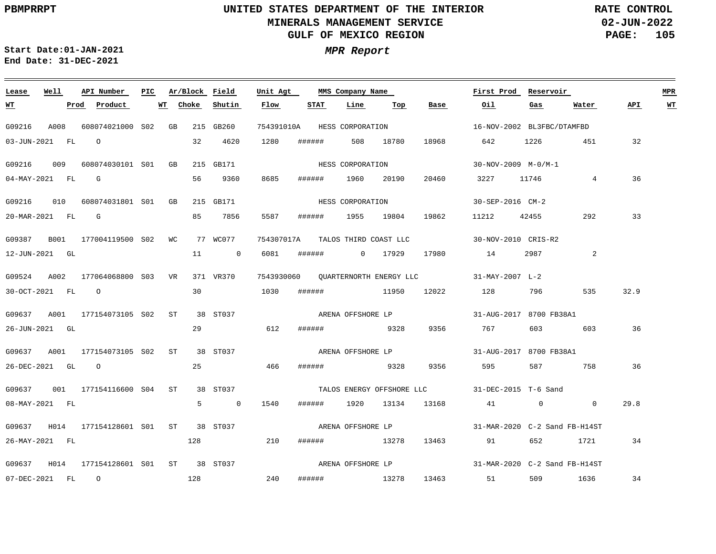**02-JUN-2022 PAGE: 105 RATE CONTROL**

**Start Date:01-JAN-2021 MPR Report End Date: 31-DEC-2021**

### **Lease Well API Number Ar/Block Field Unit Agt First Prod Reservoir MPR PIC MMS Company Name Choke STAT Line API WT WT Prod Product WT Shutin Flow Top Base Oil Gas Water** G09216 A008 608074021000 S02 GB 215 GB260 754391010A HESS CORPORATION 16-NOV-2002 BL3FBC/DTAMFBD 03-JUN-2021 FL O 32 4620 1280 ###### 508 18780 18968 642 1226 451 32 HESS CORPORATION G09216 009 608074030101 S01 GB 215 GB171 30-NOV-2009 M-0/M-1 36 04-MAY-2021 FL G 56 9360 8685 ###### 1960 20190 20460 3227 11746 4 HESS CORPORATION G09216 010 608074031801 S01 GB 215 GB171 30-SEP-2016 CM-2 20-MAR-2021 FL G 85 7856 5587 ###### 1955 19804 19862 11212 42455 292 33 G09387 B001 177004119500 S02 WC 77 WC077 754307017A TALOS THIRD COAST LLC 30-NOV-2010 CRIS-R2 12-JUN-2021 GL 11 0 6081 ###### 0 17929 17980 14 2987 2 G09524 A002 177064068800 VR 371 VR370 S03 7543930060 31-MAY-2007 L-2 QUARTERNORTH ENERGY LLC 30 30-OCT-2021 FL O 1030 ###### 11950 12022 128 796 535 32.9 G09637 A001 177154073105 S02 ST 38 ST037 31-AUG-2017 8700 FB38A1 ARENA OFFSHORE LP 36 26-JUN-2021 GL 29 612 ###### 9328 9356 767 603 603 G09637 A001 177154073105 S02 ST 38 ST037 31-AUG-2017 8700 FB38A1 ARENA OFFSHORE LP 26-DEC-2021 GL O 25 466 ###### 9328 9356 595 587 758 36 G09637 001 177154116600 ST 38 ST037 S04 31-DEC-2015 T-6 Sand TALOS ENERGY OFFSHORE LLC 08-MAY-2021 FL 5 0 1540 ###### 1920 13134 13168 41 0 0 29.8 ARENA OFFSHORE LP G09637 H014 177154128601 S01 ST 38 ST037 31-MAR-2020 C-2 Sand FB-H14ST 26-MAY-2021 FL 128 210 ###### 13278 13463 91 652 1721 34 ARENA OFFSHORE LP G09637 H014 177154128601 S01 ST 38 ST037 31-MAR-2020 C-2 Sand FB-H14ST 128 240 07-DEC-2021 FL O ###### 13278 13463 51 509 1636 34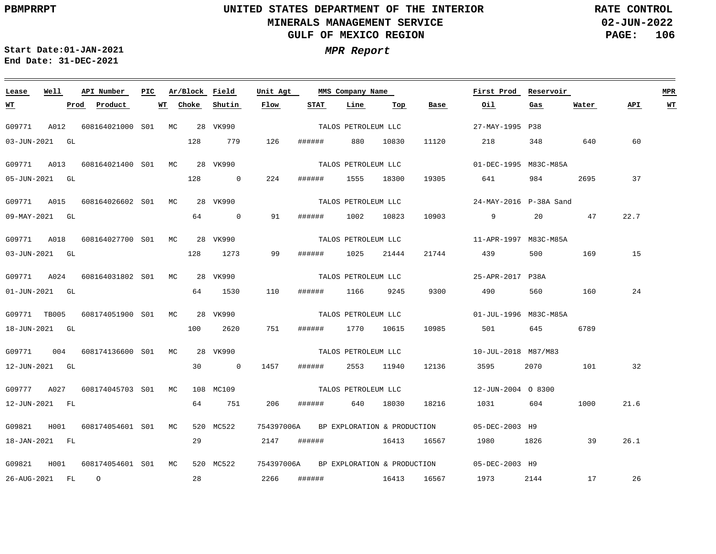**Lease**

 $\equiv$   $\equiv$   $\equiv$ 

**WT**

## **UNITED STATES DEPARTMENT OF THE INTERIOR MINERALS MANAGEMENT SERVICE GULF OF MEXICO REGION**

**Line**

**Top**

**Base**

**Oil**

**02-JUN-2022 PAGE: 106 RATE CONTROL**

60

**API WT**

37

22.7

15

24

32

21.6

**First Prod Reservoir MPR**

**Water**

**Gas**

**Start Date:01-JAN-2021 MPR Report End Date: 31-DEC-2021**

**API Number**

**Prod Product WT**

**Ar/Block Field**

**Shutin**

**Choke**

**Well**

| G09771       | A012           | 608164021000 S01 | MC. | 28  | VK990       |            |        | TALOS PETROLEUM LLC         |       |       | 27-MAY-1995 P38        |      |      |
|--------------|----------------|------------------|-----|-----|-------------|------------|--------|-----------------------------|-------|-------|------------------------|------|------|
| 03-JUN-2021  | GL.            |                  |     | 128 | 779         | 126        | ###### | 880                         | 10830 | 11120 | 218                    | 348  | 640  |
| G09771       | A013           | 608164021400 S01 | МC  |     | 28 VK990    |            |        | TALOS PETROLEUM LLC         |       |       | 01-DEC-1995 M83C-M85A  |      |      |
|              | 05-JUN-2021 GL |                  |     | 128 | $\Omega$    | 224        | ###### | 1555                        | 18300 | 19305 | 641                    | 984  | 2695 |
| G09771       | A015           | 608164026602 S01 | MC  |     | 28 VK990    |            |        | TALOS PETROLEUM LLC         |       |       | 24-MAY-2016 P-38A Sand |      |      |
|              | 09-MAY-2021 GL |                  |     | 64  | $\mathbf 0$ | 91         | ###### | 1002                        | 10823 | 10903 | 9                      | 20   | 47   |
| G09771       | A018           | 608164027700 S01 | MC. | 28  | VK990       |            |        | TALOS PETROLEUM LLC         |       |       | 11-APR-1997 M83C-M85A  |      |      |
|              | 03-JUN-2021 GL |                  |     | 128 | 1273        | 99         | ###### | 1025                        | 21444 | 21744 | 439                    | 500  | 169  |
|              |                |                  |     |     |             |            |        |                             |       |       |                        |      |      |
| G09771       | A024           | 608164031802 S01 | МC  |     | 28 VK990    |            |        | TALOS PETROLEUM LLC         |       |       | 25-APR-2017 P38A       |      |      |
|              | 01-JUN-2021 GL |                  |     | 64  | 1530        | 110        | ###### | 1166                        | 9245  | 9300  | 490                    | 560  | 160  |
| G09771 TB005 |                | 608174051900 S01 | MC. | 28  | VK990       |            |        | TALOS PETROLEUM LLC         |       |       | 01-JUL-1996 M83C-M85A  |      |      |
| 18-JUN-2021  | GL             |                  |     | 100 | 2620        | 751        | ###### | 1770                        | 10615 | 10985 | 501                    | 645  | 6789 |
| G09771       | 004            | 608174136600 S01 | МC  |     | 28 VK990    |            |        | TALOS PETROLEUM LLC         |       |       | 10-JUL-2018 M87/M83    |      |      |
|              | 12-JUN-2021 GL |                  |     | 30  | $\Omega$    | 1457       | ###### | 2553                        | 11940 | 12136 | 3595                   | 2070 | 101  |
|              |                |                  |     |     |             |            |        |                             |       |       |                        |      |      |
| G09777       | A027           | 608174045703 S01 | MC  | 108 | MC109       |            |        | TALOS PETROLEUM LLC         |       |       | 12-JUN-2004 0 8300     |      |      |
|              | 12-JUN-2021 FL |                  |     | 64  | 751         | 206        | ###### | 640                         | 18030 | 18216 | 1031                   | 604  | 1000 |
| G09821       | H001           | 608174054601 S01 | MC. |     | 520 MC522   | 754397006A |        | BP EXPLORATION & PRODUCTION |       |       | 05-DEC-2003 H9         |      |      |

**STAT**

**Unit Agt** 

**Flow**

PIC Ar/Block Field Unit Agt MMS Company Name

G09821 H001 608174054601 S01MC 520 MC522 754397006A 05-DEC-2003 H9 18-JAN-2021 26-AUG-2021 FL FL O 29 28 2147 2266 ###### ###### 16413 16413 16567 16567 1980 1973 1826 2144 39 17 26.1 26 BP EXPLORATION & PRODUCTION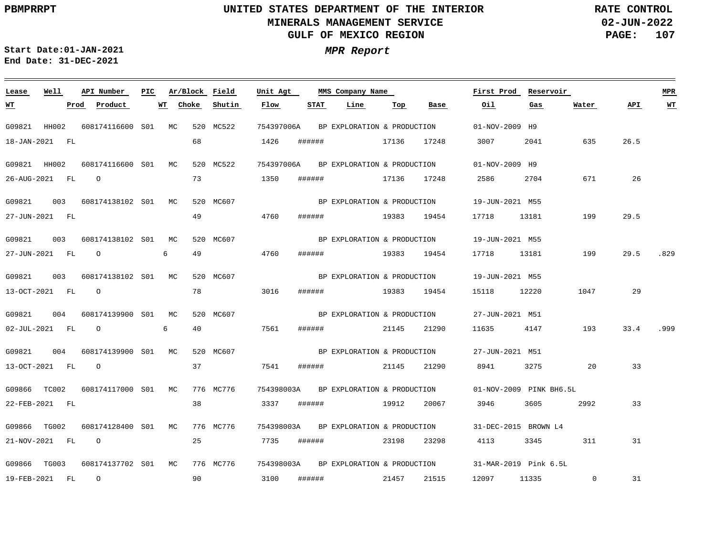**02-JUN-2022 PAGE: 107 RATE CONTROL**

**Start Date:01-JAN-2021 MPR Report End Date: 31-DEC-2021**

### **Lease Well API Number Ar/Block Field Unit Agt First Prod Reservoir MPR PIC MMS Company Name Flow STAT Line Top Oil Water WT Prod Product WT Choke Shutin Base Gas API WT** G09821 HH002 608174116600 S01 MC 520 MC522 754397006A BP EXPLORATION & PRODUCTION 01-NOV-2009 H9 18-JAN-2021 FL 68 1426 ###### 17136 17248 3007 2041 635 26.5 G09821 HH002 608174116600 S01 MC 520 MC522 754397006A 01-NOV-2009 H9 BP EXPLORATION & PRODUCTION 73 26 26-AUG-2021 FL O 1350 ###### 17136 17248 2586 2704 671 G09821 003 608174138102 MC 520 MC607 S01 19-JUN-2021 M55 BP EXPLORATION & PRODUCTION 49 29.5 27-JUN-2021 FL 4760 ###### 19383 19454 17718 13181 199 G09821 003 608174138102 S01 MC 520 MC607 BP EXPLORATION & PRODUCTION 19-JUN-2021 M55 49 4760 27-JUN-2021 FL O 6 ###### 19383 19454 17718 13181 199 29.5 .829 G09821 003 608174138102 MC 520 MC607 S01 19-JUN-2021 M55 BP EXPLORATION & PRODUCTION 78 13-OCT-2021 FL O 3016 ###### 19383 19454 15118 12220 1047 29 G09821 004 608174139900 MC S01 520 MC607 BP EXPLORATION & PRODUCTION 27-JUN-2021 M51 02-JUL-2021 FL O 6 40 7561 ###### 21145 21290 11635 4147 193 33.4 .999 G09821 004 608174139900 MC 520 MC607 S01 27-JUN-2021 M51 BP EXPLORATION & PRODUCTION 37 13-OCT-2021 FL O 7541 ###### 21145 21290 8941 3275 20 33 G09866 TC002 608174117000 S01 MC 776 MC776 754398003A 01-NOV-2009 PINK BH6.5L BP EXPLORATION & PRODUCTION 38 22-FEB-2021 FL 3337 ###### 19912 20067 3946 3605 2992 33 G09866 TG002 608174128400 S01 MC 776 MC776 754398003A 31-DEC-2015 BROWN L4 BP EXPLORATION & PRODUCTION 25 21-NOV-2021 FL O 7735 ###### 23198 23298 4113 3345 311 31 G09866 TG003 608174137702 S01 MC 776 MC776 754398003A BP EXPLORATION & PRODUCTION 31-MAR-2019 Pink 6.5L 90 O 3100 31 19-FEB-2021 FL ###### 21457 21515 12097 11335 0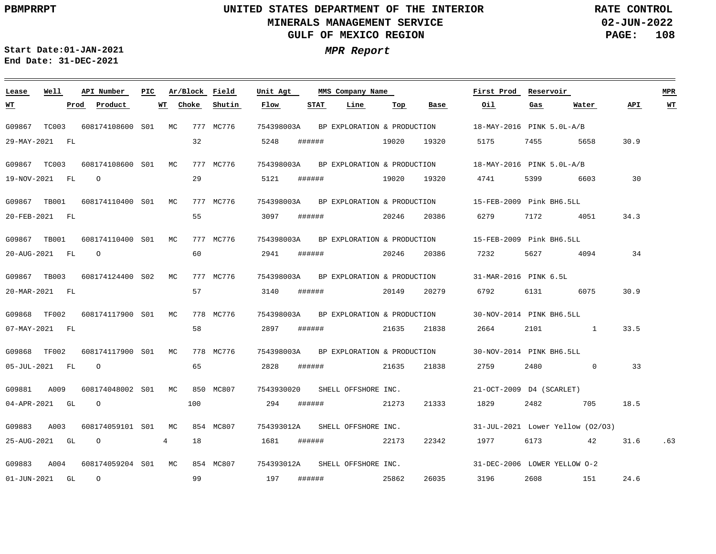**02-JUN-2022 PAGE: 108 RATE CONTROL**

**Start Date:01-JAN-2021 MPR Report End Date: 31-DEC-2021**

### G09867 TC003 608174108600 S01 MC 777 MC776 G09867 TC003 G09867 TB001 G09867 TB001 G09867 TB003 G09868 TF002 G09868 TF002 G09881 A009 G09883 A003 G09883 A004 **Lease Well** 608174108600 S01 MC 777 MC776 608174110400 MC S01 608174110400 S01 MC 777 MC776 608174124400 MC S02 608174117900 MC S01 608174117900 MC S01 608174048002 MC 850 MC807 S01 608174059101 MC 854 MC807 S01 608174059204 MC 854 MC807 S01**API Number Ar/Block Field PIC MMS Company Name** 777 MC776 777 MC776 778 MC776 778 MC776 754398003A 754398003A 18-MAY-2016 PINK 5.0L-A/B BP EXPLORATION & PRODUCTION 754398003A 15-FEB-2009 Pink BH6.5LL BP EXPLORATION & PRODUCTION 754398003A 15-FEB-2009 Pink BH6.5LL BP EXPLORATION & PRODUCTION 754398003A BP EXPLORATION & PRODUCTION 754398003A 30-NOV-2014 PINK BH6.5LL BP EXPLORATION & PRODUCTION 754398003A BP EXPLORATION & PRODUCTION 7543930020 754393012A 754393012A SHELL OFFSHORE INC. **Unit Agt**  18-MAY-2016 PINK 5.0L-A/B 31-MAR-2016 PINK 6.5L 30-NOV-2014 PINK BH6.5LL 21-OCT-2009 D4 (SCARLET) 31-JUL-2021 Lower Yellow (O2/O3) 31-DEC-2006 LOWER YELLOW O-2 **First Prod Reservoir MPR** 29-MAY-2021 FL 19-NOV-2021 FL 20-FEB-2021 FL 20-AUG-2021 FL O 20-MAR-2021 FL 07-MAY-2021 FL 05-JUL-2021 FL 04-APR-2021 GL 25-AUG-2021 GL 01-JUN-2021 GL **WT Prod Product** O O O O O 4 **WT** 32 29 55 60 57 58 65 100 18 99 **Choke Shutin** 5248 5121 3097 2941 3140 2897 2828 294 1681 ###### 197 **Flow** ###### ###### ###### ###### ###### ###### ###### ###### ###### **STAT Line** 19020 19020 19320 4741 20246 20246 20386 20149 21635 21838 2664 2101 1 21635 21838 2759 21273 22173 22342 25862 **Top** 19320 20386 6279 20279 6792 21333 1829 2482 705 18.5 26035 **Base** 5175 7232 5627 4094 1977 6173 42 31.6 .63 3196 **Oil** 7455 5399 7172 4051 34.3 6131 6075 2480 0 33 2608 151 **Gas** 5658 30.9 6603 **Water** 30 34 30.9 33.5 24.6 **API WT** BP EXPLORATION & PRODUCTION SHELL OFFSHORE INC. SHELL OFFSHORE INC.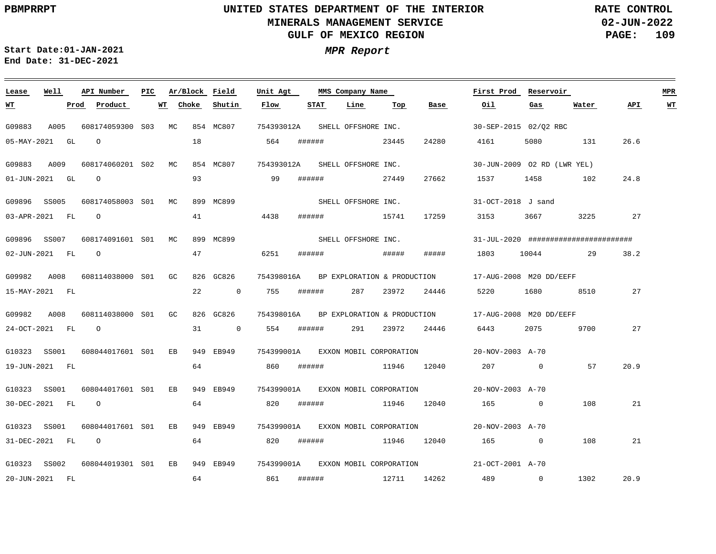**WT**

## **UNITED STATES DEPARTMENT OF THE INTERIOR MINERALS MANAGEMENT SERVICE GULF OF MEXICO REGION**

**02-JUN-2022 PAGE: 109 RATE CONTROL**

**API WT**

24.8

27

20.9

21

21

20.9

**First Prod Reservoir MPR**

165 0 108

1302

489 0

**Start Date:01-JAN-2021 MPR Report End Date: 31-DEC-2021**

**Lease Well API Number Ar/Block Field**

G10323 SS001 608044017601 S01 EB 949 EB949

31-DEC-2021 FL O

20-JUN-2021 FL

### G09883 A005 608174059300 S03 MC 854 MC807 G09883 A009 608174060201 S02 MC 854 MC807 G09896 SS005 608174058003 S01 MC 899 MC899 G09896 SS007 608174091601 S01 MC 899 MC899 G09982 A008 608114038000 S01 GC G09982 A008 608114038000 S01 GC 826 GC826 754398016A BP EXPLORATION & PRODUCTION 17-AUG-2008 M20 DD/EEFF G10323 SS001 608044017601 S01 EB 949 EB949 G10323 SS001 608044017601 S01 EB 949 EB949 826 GC826 754393012A SHELL OFFSHORE INC. 754393012A SHELL OFFSHORE INC. 754398016A 17-AUG-2008 M20 DD/EEFF BP EXPLORATION & PRODUCTION 754399001A 20-NOV-2003 A-70 EXXON MOBIL CORPORATION 754399001A 20-NOV-2003 A-70 EXXON MOBIL CORPORATION 30-SEP-2015 02/Q2 RBC 30-JUN-2009 O2 RD (LWR YEL) 31-OCT-2018 J sand 31-JUL-2020 ####################### 05-MAY-2021 GL 01-JUN-2021 GL O 03-APR-2021 FL O 02-JUN-2021 FL O 15-MAY-2021 FL 24-OCT-2021 FL O 19-JUN-2021 FL 30-DEC-2021 FL O **Prod Product WT** O 18 93 41 47 6251 ###### ##### ##### 1803 10044 29 38.2 22 0 755 ###### 31 0 554 ###### 291 23972 24446 6443 2075 9700 64 64 **Choke Shutin Flow** 564 99 ###### 4438 ###### 15741 17259 3153 3667 3225 27 860 ###### 11946 12040 207 0 57 820 ###### 11946 12040 ###### **STAT** 287 23972 24446 5220 1680 8510 27 **Line** 23445 24280 27449 **Top** 27662 1537 1458 102 **Base** 4161 5080 131 26.6 165 0 **Oil Gas** 108 **Water** SHELL OFFSHORE INC. SHELL OFFSHORE INC.

754399001A 20-NOV-2003 A-70 EXXON MOBIL CORPORATION

820 ###### 11946 12040

861 ###### 12711 14262

G10323 SS002 608044019301 S01 EB 949 EB949 754399001A EXXON\_MOBIL\_CORPORATION 21-OCT-2001 A-70

64

64

**Unit Agt PIC MMS Company Name**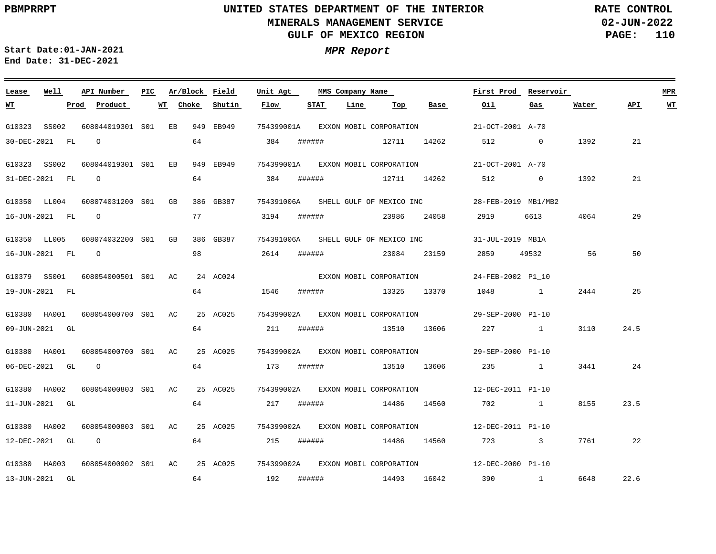**02-JUN-2022 PAGE: 110 RATE CONTROL**

 $\equiv$ 

**Start Date:01-JAN-2021 MPR Report End Date: 31-DEC-2021**

| Lease        | Well             | API Number                                | PIC | Ar/Block Field |           | Unit Agt   |        | MMS Company Name |                                     |       | First Prod Reservoir                                 |                |       |      | <b>MPR</b> |
|--------------|------------------|-------------------------------------------|-----|----------------|-----------|------------|--------|------------------|-------------------------------------|-------|------------------------------------------------------|----------------|-------|------|------------|
| <u>wт</u>    |                  | Prod Product                              |     | WT Choke       | Shutin    | Flow       | STAT   | Line             | Тор                                 | Base  | Oil                                                  | Gas            | Water | API  | <u>WT</u>  |
| G10323 SS002 |                  | 608044019301 S01 EB                       |     |                | 949 EB949 | 754399001A |        |                  | EXXON MOBIL CORPORATION             |       | 21-OCT-2001 A-70                                     |                |       |      |            |
|              | 30-DEC-2021 FL   | $\circ$                                   |     | 64             |           | 384        |        |                  | ####### 12711 14262                 |       | 512                                                  | $\overline{0}$ | 1392  | 21   |            |
|              | G10323 SS002     | 608044019301 S01 EB                       |     |                | 949 EB949 |            |        |                  | 754399001A EXXON MOBIL CORPORATION  |       | 21-OCT-2001 A-70                                     |                |       |      |            |
|              | 31-DEC-2021 FL 0 |                                           |     | 64             |           | 384        | ###### |                  | 12711 14262                         |       | 512                                                  | $\sim$ 0       | 1392  | 21   |            |
|              |                  | G10350 LL004 608074031200 S01 GB          |     |                | 386 GB387 |            |        |                  | 754391006A SHELL GULF OF MEXICO INC |       | 28-FEB-2019 MB1/MB2                                  |                |       |      |            |
|              |                  |                                           |     |                |           |            |        |                  |                                     |       |                                                      |                |       |      |            |
|              | 16-JUN-2021 FL 0 |                                           |     | 77             |           | 3194       |        |                  |                                     |       | 2919                                                 | 6613           | 4064  | 29   |            |
| G10350 LL005 |                  | 608074032200 S01 GB                       |     |                | 386 GB387 |            |        |                  | 754391006A SHELL GULF OF MEXICO INC |       | 31-JUL-2019 MB1A                                     |                |       |      |            |
|              | 16-JUN-2021 FL 0 |                                           |     | 98             |           | 2614       | ###### |                  | 23084                               | 23159 | 2859                                                 | 49532          | 56    | 50   |            |
|              |                  |                                           |     |                |           |            |        |                  |                                     |       |                                                      |                |       |      |            |
|              |                  | G10379 SS001 608054000501 S01 AC 24 AC024 |     |                |           |            |        |                  | EXXON MOBIL CORPORATION             |       | 24-FEB-2002 P1 10                                    |                |       |      |            |
|              | 19-JUN-2021 FL   |                                           |     | 64             |           | 1546       |        |                  | ####### 13325 13370                 |       | 1048 1                                               |                | 2444  | 25   |            |
|              |                  | G10380 HA001 608054000700 S01 AC          |     |                | 25 AC025  |            |        |                  | 754399002A EXXON MOBIL CORPORATION  |       | 29-SEP-2000 P1-10                                    |                |       |      |            |
|              | 09-JUN-2021 GL   |                                           |     | 64             |           | 211        | ###### |                  | 13510 13606                         |       | 227 1                                                |                | 3110  | 24.5 |            |
|              |                  |                                           |     |                |           |            |        |                  |                                     |       |                                                      |                |       |      |            |
|              |                  | G10380 HA001 608054000700 S01 AC 25 AC025 |     |                |           |            |        |                  |                                     |       | 754399002A EXXON MOBIL CORPORATION 29-SEP-2000 P1-10 |                |       |      |            |
|              | 06-DEC-2021 GL   | $\overline{O}$                            |     | 64             |           | 173        | ###### |                  | 13510 13606                         |       | 235 1                                                |                | 3441  | 24   |            |
|              |                  | G10380 HA002 608054000803 S01 AC          |     |                | 25 AC025  | 754399002A |        |                  | EXXON MOBIL CORPORATION             |       | 12-DEC-2011 P1-10                                    |                |       |      |            |
|              | 11-JUN-2021 GL   |                                           |     | 64             |           | 217        | ###### |                  | 14486                               | 14560 | 702 1                                                |                | 8155  | 23.5 |            |
|              |                  |                                           |     |                |           |            |        |                  |                                     |       |                                                      |                |       |      |            |
| G10380 HA002 |                  | 608054000803 S01 AC 25 AC025              |     |                |           |            |        |                  |                                     |       | 754399002A EXXON MOBIL CORPORATION 12-DEC-2011 P1-10 |                |       |      |            |
|              | 12-DEC-2021 GL   | $\overline{O}$                            |     | 64             |           | 215        | ###### |                  | 14486 14560                         |       | 723 3                                                |                | 7761  | 22   |            |
|              |                  | G10380 HA003 608054000902 S01 AC          |     |                | 25 AC025  |            |        |                  |                                     |       | 754399002A EXXON MOBIL CORPORATION 12-DEC-2000 P1-10 |                |       |      |            |
|              | 13-JUN-2021 GL   |                                           |     | 64             |           | 192        | ###### |                  |                                     |       | 14493 16042 390 1                                    |                | 6648  | 22.6 |            |
|              |                  |                                           |     |                |           |            |        |                  |                                     |       |                                                      |                |       |      |            |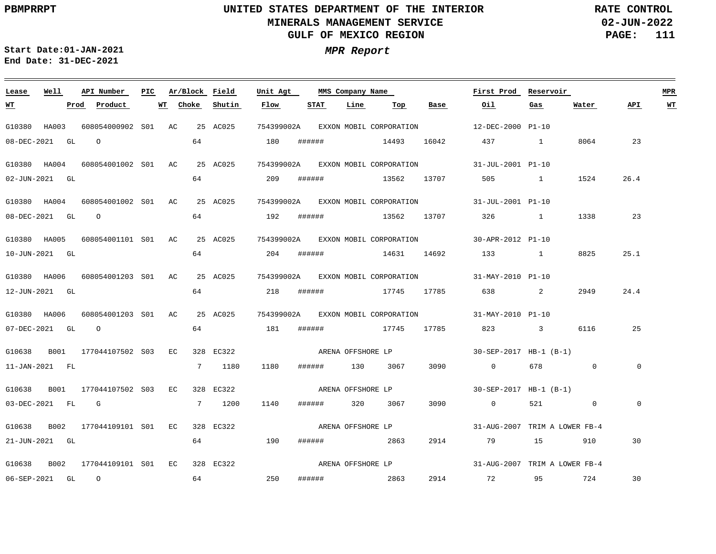**02-JUN-2022 PAGE: 111 RATE CONTROL**

**Start Date:01-JAN-2021 MPR Report End Date: 31-DEC-2021**

### <u> 1989 - Johann Stoff, deutscher Stoff, der Stoff, der Stoff, der Stoff, der Stoff, der Stoff, der Stoff, der S</u> **Lease Well API Number Ar/Block Field Unit Agt First Prod Reservoir MPR PIC MMS Company Name Choke STAT Line API WT WT Prod Product WT Shutin Flow Top Base Oil Gas Water** G10380 HA003 608054000902 AC 25 AC025 754399002A EXXON MOBIL CORPORATION S01 12-DEC-2000 P1-10 180 08-DEC-2021 GL O 64 ###### 14493 16042 437 1 8064 23 G10380 HA004 608054001002 S01 AC 25 AC025 754399002A 31-JUL-2001 P1-10 EXXON MOBIL CORPORATION 64 1524 26.4 02-JUN-2021 GL 209 ###### 13562 13707 505 1 G10380 HA004 608054001002 S01 AC 25 AC025 754399002A EXXON\_MOBIL\_CORPORATION 31-JUL-2001 P1-10 64 08-DEC-2021 GL O 192 ###### 13562 13707 326 1 1338 23 G10380 HA005 608054001101 S01 AC 25 AC025 754399002A EXXON MOBIL CORPORATION 30-APR-2012 P1-10 8825 25.1 10-JUN-2021 GL 64 204 ###### 14631 14692 133 1 G10380 HA006 608054001203 S01 AC 25 AC025 754399002A 31-MAY-2010 P1-10 EXXON MOBIL CORPORATION 64 2949 24.4 12-JUN-2021 GL 218 ###### 17745 17785 638 2 G10380 HA006 608054001203 S01 AC 25 AC025 754399002A 31-MAY-2010 P1-10 EXXON MOBIL CORPORATION 25 07-DEC-2021 GL O 64 181 ###### 17745 17785 823 3 6116 G10638 B001 177044107502 S03 EC 328 EC322 30-SEP-2017 HB-1 (B-1) ARENA OFFSHORE LP 11-JAN-2021 FL 7 1180 1180 ###### 130 3067 3090 0 678 0  $\overline{0}$ ARENA OFFSHORE LP G10638 B001 177044107502 S03 EC 328 EC322 30-SEP-2017 HB-1 (B-1) 03-DEC-2021 FL G 7 1200 1140 ###### 320 3067 3090 0 521  $0$  $\overline{0}$ ARENA OFFSHORE LP G10638 B002 177044109101 S01 EC 328 EC322 31-AUG-2007 TRIM A LOWER FB-4 21-JUN-2021 GL 64 190 ###### 2863 2914 79 15 910 30 ARENA OFFSHORE LP G10638 B002 177044109101 S01 EC 328 EC322 31-AUG-2007 TRIM A LOWER FB-4 64 250 30 06-SEP-2021 GL O ###### 2863 2914 72 95 724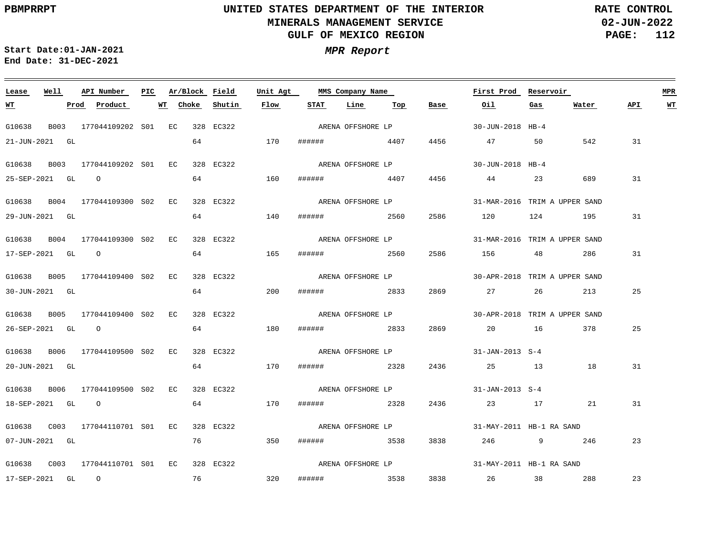**02-JUN-2022 PAGE: 112 RATE CONTROL**

**Start Date:01-JAN-2021 MPR Report End Date: 31-DEC-2021**

### **Lease Well API Number Ar/Block Field Unit Agt PIC MMS Company Name First Prod Reservoir MPR STAT Line Top API WT WT Prod Product WT Choke Shutin Flow Base Oil Gas Water** ARENA OFFSHORE LP G10638 B003 177044109202 S01 EC 328 EC322 30-JUN-2018 HB-4 21-JUN-2021 GL 64 170 ###### 4407 4456 47 50 542 31 ARENA OFFSHORE LP G10638 B003 177044109202 S01 EC 328 EC322 30-JUN-2018 HB-4 64 160 31 25-SEP-2021 GL O ###### 4407 4456 44 23 689 ARENA OFFSHORE LP G10638 B004 177044109300 S02 EC 328 EC322 31-MAR-2016 TRIM A UPPER SAND 64 31 29-JUN-2021 GL 140 ###### 2560 2586 120 124 195 G10638 B004 177044109300 S02 EC 328 EC322 31-MAR-2016 TRIM A UPPER SAND ARENA OFFSHORE LP 64 165 31 17-SEP-2021 GL O ###### 2560 2586 156 48 286 ARENA OFFSHORE LP G10638 B005 177044109400 S02 EC 328 EC322 30-APR-2018 TRIM A UPPER SAND 64 25 30-JUN-2021 GL 200 ###### 2833 2869 27 26 213 G10638 B005 177044109400 S02 EC 328 EC322 30-APR-2018 TRIM A UPPER SAND ARENA OFFSHORE LP 64 180 25 26-SEP-2021 GL O ###### 2833 2869 20 16 378 G10638 B006 177044109500 S02 EC 328 EC322 31-JAN-2013 S-4 ARENA OFFSHORE LP 64 20-JUN-2021 GL 170 ###### 2328 2436 25 13 18 31 ARENA OFFSHORE LP G10638 B006 177044109500 S02 EC 328 EC322 31-JAN-2013 S-4 64 18-SEP-2021 GL O 170 ###### 2328 2436 23 17 21 31 ARENA OFFSHORE LP G10638 C003 177044110701 EC 328 EC322 S01 31-MAY-2011 HB-1 RA SAND 07-JUN-2021 GL 76 350 ###### 3538 3838 246 9 246 23 ARENA OFFSHORE LP G10638 C003 177044110701 EC 328 EC322 S0131-MAY-2011 HB-1 RA SAND 23 17-SEP-2021 GL O 76 320 ###### 3538 3838 26 38 288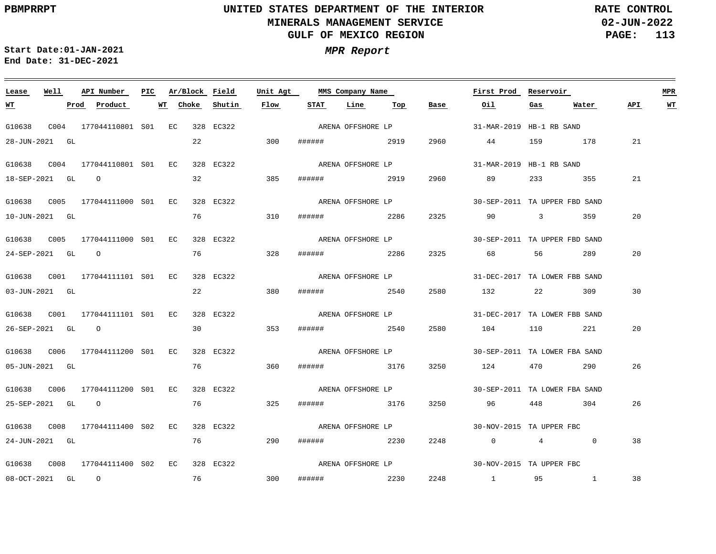**02-JUN-2022 PAGE: 113 RATE CONTROL**

**Start Date:01-JAN-2021 MPR Report End Date: 31-DEC-2021**

### **Lease Well API Number Ar/Block Field Unit Agt PIC MMS Company Name First Prod Reservoir MPR STAT Line Top WT Prod Product WT Choke Shutin Flow Base Oil Gas Water API WT** ARENA OFFSHORE LP G10638 C004 177044110801 EC 328 EC322 S01 31-MAR-2019 HB-1 RB SAND 28-JUN-2021 GL 22 300 ###### 2919 2960 44 159 178 21 ARENA OFFSHORE LP G10638 C004 177044110801 EC 328 EC322 S01 31-MAR-2019 HB-1 RB SAND 32 385 2960 21 18-SEP-2021 GL O ###### 2919 89 233 355 ARENA OFFSHORE LP G10638 C005 177044111000 EC 328 EC322 S01 30-SEP-2011 TA UPPER FBD SAND 76 20 10-JUN-2021 GL 310 ###### 2286 2325 90 3 359 G10638 C005 177044111000 EC 328 EC322 S01 30-SEP-2011 TA UPPER FBD SAND ARENA OFFSHORE LP 76 328 20 24-SEP-2021 GL O ###### 2286 2325 68 56 289 G10638 C001 177044111101 EC 328 EC322 S01 31-DEC-2017 TA LOWER FBB SAND ARENA OFFSHORE LP 22 30 03-JUN-2021 GL 380 ###### 2540 2580 132 22 309 G10638 C001 177044111101 EC 328 EC322 S01 31-DEC-2017 TA LOWER FBB SAND ARENA OFFSHORE LP 30 353 20 26-SEP-2021 GL O ###### 2540 2580 104 110 221 G10638 C006 177044111200 EC 328 EC322 S01 30-SEP-2011 TA LOWER FBA SAND ARENA OFFSHORE LP 05-JUN-2021 GL 76 360 ###### 3176 3250 124 470 290 26 ARENA OFFSHORE LP G10638 C006 177044111200 EC 328 EC322 S01 30-SEP-2011 TA LOWER FBA SAND 76 25-SEP-2021 GL O 325 ###### 3176 3250 96 448 304 26 ARENA OFFSHORE LP G10638 C008 177044111400 EC 328 EC322 S02 30-NOV-2015 TA UPPER FBC 24-JUN-2021 GL 76 290 ###### 2230 2248 0 4 0 38 ARENA OFFSHORE LP G10638 C008 177044111400 EC 328 EC322 S0230-NOV-2015 TA UPPER FBC 76 300 38 08-OCT-2021 GL O ###### 2230 2248 1 95 1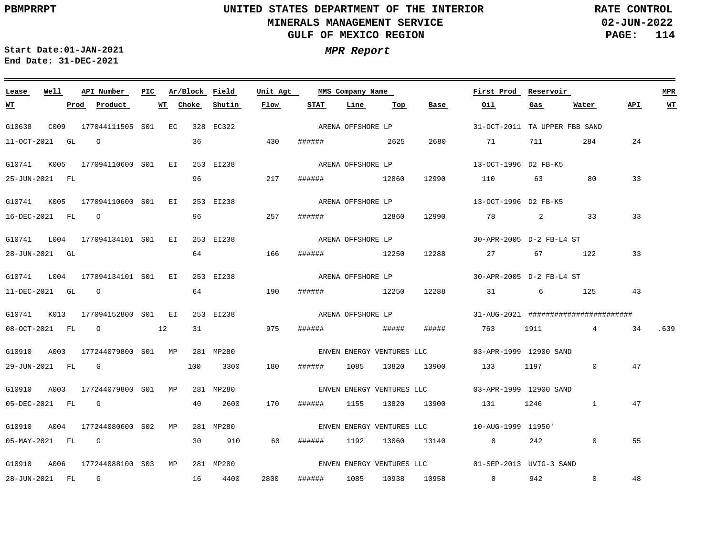**02-JUN-2022 PAGE: 114 RATE CONTROL**

 $\equiv$ 

<u> 1989 - Andrea Andrew Maria (h. 1989).</u>

**Start Date:01-JAN-2021 MPR Report End Date: 31-DEC-2021**

| Lease            | Well |      | API Number                      | PIC | Ar/Block Field |           | Unit Agt |               | MMS Company Name  |             |                           | First Prod Reservoir                              |      |                                       |     | <b>MPR</b> |
|------------------|------|------|---------------------------------|-----|----------------|-----------|----------|---------------|-------------------|-------------|---------------------------|---------------------------------------------------|------|---------------------------------------|-----|------------|
| <u>WT</u>        |      | Prod | Product                         |     | WT Choke       | Shutin    | Flow     | <b>STAT</b>   | Line              | Тор         | Base                      | Oil                                               | Gas  | Water                                 | API | WT         |
| G10638           | C009 |      | 177044111505 S01 EC             |     | 328 EC322      |           |          |               | ARENA OFFSHORE LP |             |                           | 31-OCT-2011 TA UPPER FBB SAND                     |      |                                       |     |            |
| 11-OCT-2021 GL   |      |      | $\overline{O}$                  |     | 36             |           | 430      | ###### 2625   |                   |             | 2680                      | 71 711 284                                        |      |                                       | 24  |            |
| G10741           |      |      | K005 177094110600 S01 EI        |     |                | 253 EI238 |          |               | ARENA OFFSHORE LP |             |                           | 13-OCT-1996 D2 FB-K5                              |      |                                       |     |            |
| 25-JUN-2021 FL   |      |      |                                 |     | 96             |           | 217      | ####### 12860 |                   |             | 12990                     | 110 63 80                                         |      |                                       | 33  |            |
|                  |      |      | G10741 K005 177094110600 S01 EI |     |                | 253 EI238 |          |               | ARENA OFFSHORE LP |             |                           | 13-OCT-1996 D2 FB-K5                              |      |                                       |     |            |
| 16-DEC-2021 FL 0 |      |      |                                 |     | 96             |           | 257      | ####### 12860 |                   |             | 12990                     | 78 2                                              |      | 33                                    | 33  |            |
|                  |      |      | G10741 L004 177094134101 S01 EI |     |                | 253 EI238 |          |               | ARENA OFFSHORE LP |             |                           | 30-APR-2005 D-2 FB-L4 ST                          |      |                                       |     |            |
| 28-JUN-2021 GL   |      |      |                                 |     | 64             |           | 166      | ###### 12250  |                   |             | 12288                     | 27 67 122                                         |      |                                       | 33  |            |
|                  |      |      | G10741 L004 177094134101 S01 EI |     |                | 253 EI238 |          |               | ARENA OFFSHORE LP |             |                           | 30-APR-2005 D-2 FB-L4 ST                          |      |                                       |     |            |
|                  |      |      | $11 - DEC - 2021$ GL $O$        |     | 64             |           | 190      | ####### 12250 |                   |             | 12288                     | 31 6 125                                          |      |                                       | 43  |            |
|                  |      |      | G10741 K013 177094152800 S01 EI |     |                | 253 EI238 |          |               | ARENA OFFSHORE LP |             |                           |                                                   |      | 31-AUG-2021 ######################### |     |            |
|                  |      |      | 08-OCT-2021 FL 0 12             |     | 31             | 275       |          | ######        | <b>#####</b>      |             | #####                     | 763 1911 4 34 .639                                |      |                                       |     |            |
|                  |      |      | G10910 A003 177244079800 S01 MP |     |                | 281 MP280 |          |               |                   |             |                           | ENVEN ENERGY VENTURES LLC 63-APR-1999 12900 SAND  |      |                                       |     |            |
|                  |      |      | 29-JUN-2021 FL G                |     | 100            | 3300      | 180      | ######        | 1085              |             |                           | 13820 13900 133 1197                              |      | $\circ$                               | 47  |            |
| G10910           |      |      | A003 177244079800 S01 MP        |     |                | 281 MP280 |          |               |                   |             | ENVEN ENERGY VENTURES LLC | 03-APR-1999 12900 SAND                            |      |                                       |     |            |
| 05-DEC-2021 FL G |      |      |                                 |     | 40             | 2600      | 170      | ######        | 1155              |             |                           | 13820 13900 131                                   | 1246 | $\mathbf{1}$                          | 47  |            |
|                  |      |      | G10910 A004 177244080600 S02 MP |     |                | 281 MP280 |          |               |                   |             |                           | ENVEN ENERGY VENTURES LLC 10-AUG-1999 11950'      |      |                                       |     |            |
|                  |      |      | 05-MAY-2021 FL G                |     | 30             | 910       | 60       | ######        | 1192              |             | 13060 13140               | $\overline{0}$                                    | 242  | $\circ$                               | 55  |            |
|                  |      |      | G10910 A006 177244088100 S03 MP |     |                | 281 MP280 |          |               |                   |             |                           | ENVEN ENERGY VENTURES LLC 01-SEP-2013 UVIG-3 SAND |      |                                       |     |            |
| 28-JUN-2021 FL G |      |      |                                 |     |                | 16 4400   | 2800     | ######        | 1085              | 10938 10958 |                           | $0$ 942                                           |      | $\mathbf 0$                           | 48  |            |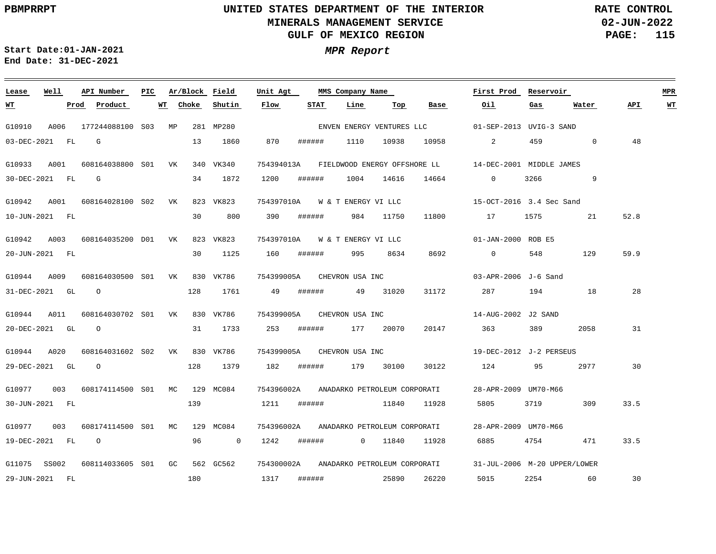# **UNITED STATES DEPARTMENT OF THE INTERIOR MINERALS MANAGEMENT SERVICE GULF OF MEXICO REGION**

**02-JUN-2022 PAGE: 115 RATE CONTROL**

**API WT**

 $\equiv$ 

**Start Date:01-JAN-2021 MPR Report End Date: 31-DEC-2021**

| Lease        | Well           | API Number          | PIC |    | Ar/Block | Field          | Unit Agt   |                                | MMS Company Name    |                              |                                         | First Prod                                            | Reservoir |              |      | <b>MPR</b> |
|--------------|----------------|---------------------|-----|----|----------|----------------|------------|--------------------------------|---------------------|------------------------------|-----------------------------------------|-------------------------------------------------------|-----------|--------------|------|------------|
| <u>WТ</u>    |                | Product<br>Prod     |     | WТ | Choke    | Shutin         | Flow       | STAT                           | Line                | Тор                          | Base                                    | Oil                                                   | Gas       | Water        | API. | W'I        |
| G10910       | A006           | 177244088100 S03    |     | МP |          | 281 MP280      |            |                                |                     |                              | ENVEN ENERGY VENTURES LLC               | 01-SEP-2013 UVIG-3 SAND                               |           |              |      |            |
|              | 03-DEC-2021 FL | G                   |     |    | 13       | 1860           | 870        | ######                         | 1110                | 10938                        | 10958                                   | 2                                                     | 459       | $\mathbf{0}$ | 48   |            |
| G10933       | A001           | 608164038800 S01    |     | VK |          | 340 VK340      | 754394013A |                                |                     |                              |                                         | FIELDWOOD ENERGY OFFSHORE LL 14-DEC-2001 MIDDLE JAMES |           |              |      |            |
|              | 30-DEC-2021 FL | G                   |     |    | 34       | 1872           | 1200       | ######                         | 1004                | 14616                        | 14664                                   | $\Omega$                                              | 3266      | 9            |      |            |
| G10942       | A001           | 608164028100 S02 VK |     |    |          | 823 VK823      |            | 754397010A W & T ENERGY VI LLC |                     |                              |                                         | 15-OCT-2016 3.4 Sec Sand                              |           |              |      |            |
|              | 10-JUN-2021 FL |                     |     |    | 30       | 800            | 390        | ######                         | 984                 | 11750                        | 11800                                   | 17                                                    | 1575      | 21           | 52.8 |            |
| G10942       | A003           | 608164035200 D01 VK |     |    |          | 823 VK823      | 754397010A |                                | W & T ENERGY VI LLC |                              |                                         | 01-JAN-2000 ROB E5                                    |           |              |      |            |
|              | 20-JUN-2021 FL |                     |     |    | 30       | 1125           | 160        | ######                         | 995                 | 8634                         | 8692                                    | $\overline{0}$                                        | 548       | 129          | 59.9 |            |
| G10944       | A009           | 608164030500 S01 VK |     |    |          | 830 VK786      |            | 754399005A CHEVRON USA INC     |                     |                              |                                         | 03-APR-2006 J-6 Sand                                  |           |              |      |            |
|              | 31-DEC-2021 GL | $\circ$             |     |    | 128      | 1761           | 49         | ######                         | 49                  | 31020                        | 31172                                   | 287 — 287                                             | 194       | 18           | 28   |            |
| G10944       | A011           | 608164030702 S01 VK |     |    |          | 830 VK786      | 754399005A |                                | CHEVRON USA INC     |                              |                                         | 14-AUG-2002 J2 SAND                                   |           |              |      |            |
|              | 20-DEC-2021 GL | $\overline{O}$      |     |    | 31       | 1733           | 253        | ######                         |                     | 177 20070                    | 20147                                   | 363                                                   | 389       | 2058         | 31   |            |
| G10944       | A020           | 608164031602 S02    |     | VK |          | 830 VK786      |            |                                |                     |                              | 754399005A CHEVRON USA INC              | 19-DEC-2012 J-2 PERSEUS                               |           |              |      |            |
|              | 29-DEC-2021 GL | $\Omega$            |     |    | 128      | 1379           | 182        | ######                         |                     | 179 30100                    | 30122                                   | 124                                                   | 95        | 2977         | 30   |            |
| G10977       | 003            | 608174114500 S01 MC |     |    |          | 129 MC084      | 754396002A |                                |                     | ANADARKO PETROLEUM CORPORATI |                                         | 28-APR-2009 UM70-M66                                  |           |              |      |            |
|              | 30-JUN-2021 FL |                     |     |    | 139      |                | 1211       | ######                         |                     | 11840                        | 11928                                   | 5805                                                  | 3719      | 309          | 33.5 |            |
| G10977       | 003            | 608174114500 S01 MC |     |    |          | 129 MC084      |            |                                |                     |                              | 754396002A ANADARKO PETROLEUM CORPORATI | 28-APR-2009 UM70-M66                                  |           |              |      |            |
|              | 19-DEC-2021 FL | $\overline{O}$      |     |    | 96       | $\overline{0}$ | 1242       | ######                         |                     | 0 11840                      | 11928                                   | 6885                                                  | 4754      | 471          | 33.5 |            |
| G11075 SS002 |                | 608114033605 S01 GC |     |    |          | 562 GC562      |            |                                |                     |                              | 754300002A ANADARKO PETROLEUM CORPORATI | 31-JUL-2006 M-20 UPPER/LOWER                          |           |              |      |            |
|              | 29-JUN-2021 FL |                     |     |    | 180      |                | 1317       | ######                         | 25890               |                              | 26220                                   | 5015                                                  | 2254      | 60           | 30   |            |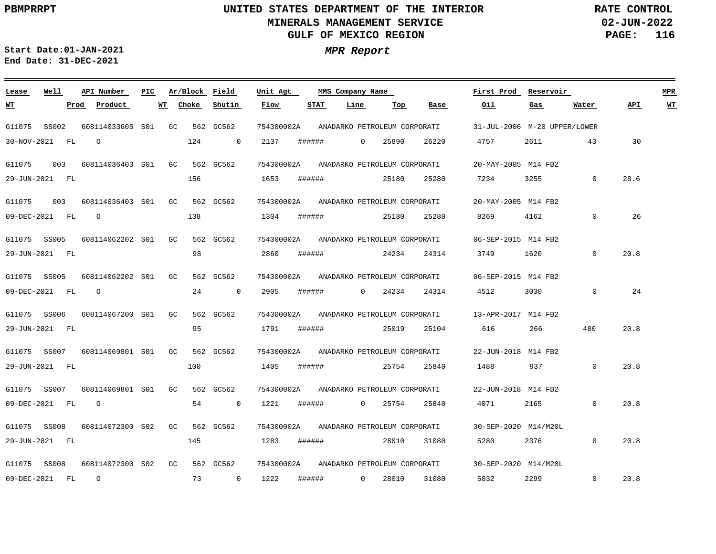**02-JUN-2022 PAGE: 116 RATE CONTROL**

**Start Date:01-JAN-2021 MPR Report End Date: 31-DEC-2021**

### G11075 SS002 G11075 G11075 G11075 SS005 G11075 SS005 G11075 SS006 G11075 SS007 G11075 SS007 G11075 SS008 G11075 SS008 **Lease** 003 003 **Well** 608114033605 S01 608114036403 S01 608114036403 S01 608114062202 S01 608114062202 S01 608114067200 S01 608114069801 S01 608114069801 S01 608114072300 S02 608114072300 S02**API Number Ar/Block Field PIC MMS Company Name** GC GC  $G<sub>G</sub>$  $G<sub>C</sub>$ GC GC GC GC GC GC 562 GC562 562 GC562 562 GC562 562 GC562 562 GC562 562 GC562 562 GC562 562 GC562 562 GC562 562 GC562 754300002A 754300002A 754300002A 754300002A 754300002A 754300002A 754300002A 754300002A 754300002A 754300002A **Unit Agt**  31-JUL-2006 M-20 UPPER/LOWER 20-MAY-2005 M14 FB2 20-MAY-2005 M14 FB2 06-SEP-2015 M14 FB2 06-SEP-2015 M14 FB2 13-APR-2017 M14 FB2 22-JUN-2018 M14 FB2 22-JUN-2018 M14 FB2 30-SEP-2020 M14/M20L 30-SEP-2020 M14/M20L **First Prod Reservoir MPR** 30-NOV-2021 FL 29-JUN-2021 FL 09-DEC-2021 FL 29-JUN-2021 FL 09-DEC-2021 FL 29-JUN-2021 FL 29-JUN-2021 FL 09-DEC-2021 FL 29-JUN-2021 FL 09-DEC-2021 FL **WT Prod Product WT**  $\Omega$  $\Omega$ O O  $\Omega$ 124 156 138 98 24 95 100 54 145 73 **Choke**  $\Omega$ 0 0  $\Omega$ **Shutin** 2137 1653 1304 2860 2905 1791 1405 1221 1283 1222 **Flow** ###### ###### ###### ###### ###### ###### ###### ###### ###### ###### **STAT**  $\Omega$ 0  $\overline{0}$  $\Omega$ **Line** 25890 25180 25180 24234 24234 25019 25754 25754 28010 28010 **Top** 26220 25280 25280 24314 24314 25104 25840 25840 31080 31080 **Base** 4757 7234 8269 3749 4512 616 1488 4071 5280 5032 **Oil** 2611 3255 4162 1620 3030 266 937 2165 2376 2299 **Gas** 43  $\Omega$ 0 0 0 480 0 0 0  $\Omega$ **Water** 30 28.6 26 20.8 24 20.8 20.8 20.8 20.8 20.8 **API WT** ANADARKO PETROLEUM CORPORATI ANADARKO PETROLEUM CORPORATI ANADARKO PETROLEUM CORPORATI ANADARKO PETROLEUM CORPORATI ANADARKO PETROLEUM CORPORATI ANADARKO PETROLEUM CORPORATI ANADARKO PETROLEUM CORPORATI ANADARKO PETROLEUM CORPORATI ANADARKO PETROLEUM CORPORATI ANADARKO PETROLEUM CORPORATI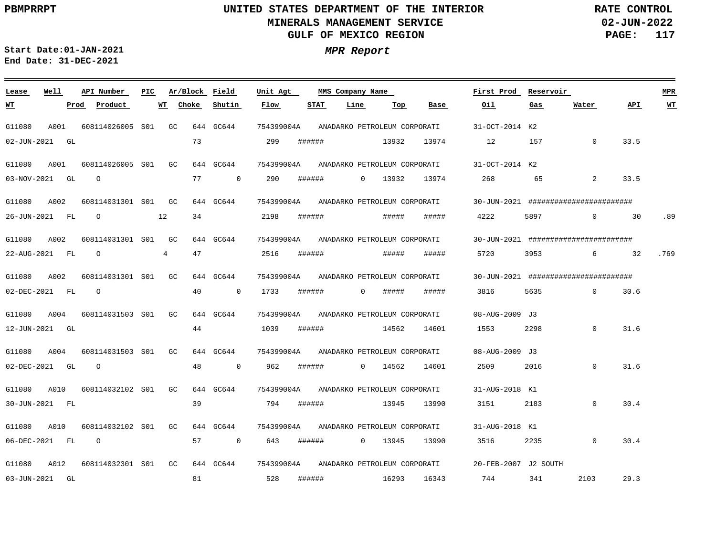**WT**

## **UNITED STATES DEPARTMENT OF THE INTERIOR MINERALS MANAGEMENT SERVICE GULF OF MEXICO REGION**

**02-JUN-2022 PAGE: 117 RATE CONTROL**

33.5

**API**

<u> 1989 - Johann Barnett, mars eta industrial eta industrial eta industrial eta industrial eta industrial eta i</u>

33.5

30

.89

**WT**

 $\sim$ 

.769

32

157

########################

**Reservoir MPR**

0

**Water**

2

0

6

0 30.6

########################

########################

**Start Date:01-JAN-2021 MPR Report End Date: 31-DEC-2021**

| Lease       | Well | API Number   | PIC             | Ar/Block  | Field       | Unit Agt   |             | MMS Company Name |                              |       | First Prod        | Rese |
|-------------|------|--------------|-----------------|-----------|-------------|------------|-------------|------------------|------------------------------|-------|-------------------|------|
| <u>WT</u>   | Prod | Product      | WТ              | Choke     | Shutin      | Flow       | <b>STAT</b> | Line             | Top                          | Base  | Oil               | Gas  |
| G11080      | A001 | 608114026005 | S <sub>01</sub> | GC<br>644 | GC644       | 754399004A |             |                  | ANADARKO PETROLEUM CORPORATI |       | 31-OCT-2014 K2    |      |
| 02-JUN-2021 | GL   |              |                 | 73        |             | 299        | ######      |                  | 13932                        | 13974 | 12                | 157  |
| G11080      | A001 | 608114026005 | S <sub>01</sub> | GC<br>644 | GC644       | 754399004A |             |                  | ANADARKO PETROLEUM CORPORATI |       | $31 - OCT - 2014$ | К2   |
| 03-NOV-2021 | GL   | $\circ$      |                 | 77        | $\mathbf 0$ | 290        | ######      | 0                | 13932                        | 13974 | 268               | 65   |
|             |      |              |                 |           |             |            |             |                  |                              |       |                   |      |
| G11080      | A002 | 608114031301 | S <sub>01</sub> | GC<br>644 | GC644       | 754399004A |             |                  | ANADARKO PETROLEUM CORPORATI |       | 30-JUN-2021 ####  |      |
| 26-JUN-2021 | FL   | $\circ$      | 12              | 34        |             | 2198       | ######      |                  | #####                        | ##### | 4222              | 5897 |
| G11080      | A002 | 608114031301 | S <sub>01</sub> | GC        | 644 GC644   | 754399004A |             |                  | ANADARKO PETROLEUM CORPORATI |       | 30-JUN-2021 ####  |      |
| 22-AUG-2021 | FL.  | $\Omega$     | 4               | 47        |             | 2516       | ######      |                  | #####                        | ##### | 5720              | 3953 |
| G11080      | A002 | 608114031301 | S <sub>01</sub> | GC.       | 644 GC644   | 754399004A |             |                  | ANADARKO PETROLEUM CORPORATI |       | 30-JUN-2021       | #### |
|             |      |              |                 |           |             |            |             |                  |                              |       |                   |      |
| 02-DEC-2021 | FL   | $\circ$      |                 | 40        | 0           | 1733       | ######      | 0                | #####                        | ##### | 3816              | 5635 |
|             |      |              |                 |           |             |            |             |                  |                              |       |                   |      |

| G11080      | A004 | 608114031503 | S <sub>01</sub> | GC | 644 | GC644       | 754399004A |        |          | ANADARKO PETROLEUM CORPORATI |       | 08-AUG-2009 | J 3      |             |      |
|-------------|------|--------------|-----------------|----|-----|-------------|------------|--------|----------|------------------------------|-------|-------------|----------|-------------|------|
| 12-JUN-2021 | GL   |              |                 |    | 44  |             | 1039       | ###### |          | 14562                        | 14601 | 1553        | 2298     | 0           | 31.6 |
| G11080      | A004 | 608114031503 | S <sub>01</sub> | GC | 644 | GC644       | 754399004A |        |          | ANADARKO PETROLEUM CORPORATI |       | 08-AUG-2009 | J 3      |             |      |
| 02-DEC-2021 | GL   | $\circ$      |                 |    | 48  | $\mathbf 0$ | 962        | ###### | $\Omega$ | 14562                        | 14601 | 2509        | 2016     | 0           | 31.6 |
| G11080      | A010 | 608114032102 | S <sub>01</sub> | GC | 644 | GC644       | 754399004A |        |          | ANADARKO PETROLEUM CORPORATI |       | 31-AUG-2018 | K1       |             |      |
| 30-JUN-2021 | FL.  |              |                 |    | 39  |             | 794        | ###### |          | 13945                        | 13990 | 3151        | 2183     | $\mathbf 0$ | 30.4 |
| G11080      | A010 | 608114032102 | S <sub>01</sub> | GC | 644 | GC644       | 754399004A |        |          | ANADARKO PETROLEUM CORPORATI |       | 31-AUG-2018 | K 1      |             |      |
| 06-DEC-2021 | FL   | $\circ$      |                 |    | 57  | $\mathbf 0$ | 643        | ###### | $\Omega$ | 13945                        | 13990 | 3516        | 2235     | $\mathbf 0$ | 30.4 |
| G11080      | A012 | 608114032301 | S <sub>01</sub> | GC | 644 | GC644       | 754399004A |        |          | ANADARKO PETROLEUM CORPORATI |       | 20-FEB-2007 | J2 SOUTH |             |      |
| 03-JUN-2021 | GL   |              |                 |    | 81  |             | 528        | ###### |          | 16293                        | 16343 | 744         | 341      | 2103        | 29.3 |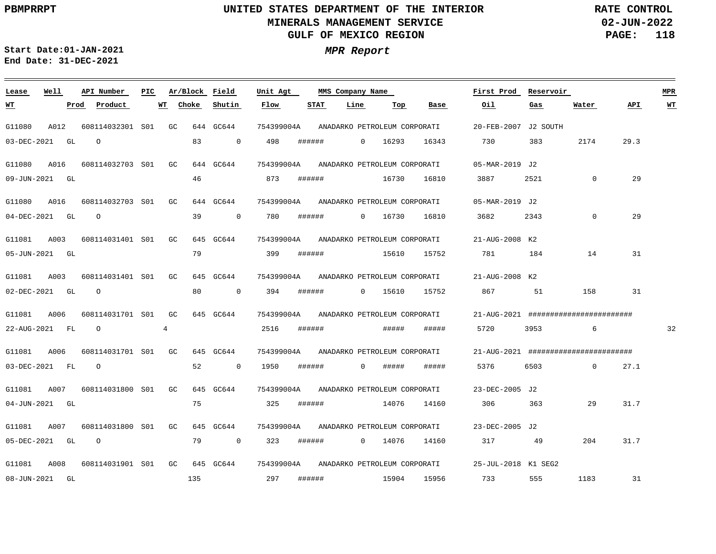**02-JUN-2022 PAGE: 118 RATE CONTROL**

 $\equiv$ 

**Start Date:01-JAN-2021 MPR Report End Date: 31-DEC-2021**

| Lease       | Well | API Number       | PIC | Ar/Block    |     | Field        | Unit Agt   |        | MMS Company Name |             |                              |       | First Prod          | Reservoir |                                              |      | <b>MPR</b> |
|-------------|------|------------------|-----|-------------|-----|--------------|------------|--------|------------------|-------------|------------------------------|-------|---------------------|-----------|----------------------------------------------|------|------------|
| <u> WТ</u>  |      | Product<br>Prod  |     | Choke<br>WT |     | Shutin       | Flow       | STAT   |                  | Line        | Top                          | Base  | Oil                 | Gas       | Water                                        | API  | $WT$       |
| G11080      | A012 | 608114032301 S01 |     | GC.         |     | 644 GC644    | 754399004A |        |                  |             | ANADARKO PETROLEUM CORPORATI |       | 20-FEB-2007         | J2 SOUTH  |                                              |      |            |
| 03-DEC-2021 | GL   | $\circ$          |     |             | 83  | $\mathbf{0}$ | 498        | ###### |                  | $\mathbf 0$ | 16293                        | 16343 | 730                 | 383       | 2174                                         | 29.3 |            |
| G11080      | A016 | 608114032703 S01 |     | GC          |     | 644 GC644    | 754399004A |        |                  |             | ANADARKO PETROLEUM CORPORATI |       | 05-MAR-2019 J2      |           |                                              |      |            |
| 09-JUN-2021 | GL   |                  |     |             | 46  |              | 873        | ###### |                  |             | 16730                        | 16810 | 3887                | 2521      | $\mathbf 0$                                  | 29   |            |
| G11080      | A016 | 608114032703 S01 |     | GC          |     | 644 GC644    | 754399004A |        |                  |             | ANADARKO PETROLEUM CORPORATI |       | 05-MAR-2019 J2      |           |                                              |      |            |
| 04-DEC-2021 | GL   | $\Omega$         |     |             | 39  | $\mathbf 0$  | 780        | ###### |                  | $\Omega$    | 16730                        | 16810 | 3682                | 2343      | $\mathbf 0$                                  | 29   |            |
| G11081      | A003 | 608114031401 S01 |     | GC          | 645 | GC644        | 754399004A |        |                  |             | ANADARKO PETROLEUM CORPORATI |       | 21-AUG-2008 K2      |           |                                              |      |            |
| 05-JUN-2021 | GL   |                  |     |             | 79  |              | 399        | ###### |                  |             | 15610                        | 15752 | 781                 | 184       | 14                                           | 31   |            |
| G11081      | A003 | 608114031401 S01 |     | GC          | 645 | GC644        | 754399004A |        |                  |             | ANADARKO PETROLEUM CORPORATI |       | 21-AUG-2008 K2      |           |                                              |      |            |
| 02-DEC-2021 | GL   | $\circ$          |     |             | 80  | $\mathbf 0$  | 394        | ###### |                  | $\mathbf 0$ | 15610                        | 15752 | 867                 | 51        | 158                                          | 31   |            |
| G11081      | A006 | 608114031701 S01 |     | GC          |     | 645 GC644    | 754399004A |        |                  |             | ANADARKO PETROLEUM CORPORATI |       |                     |           | 21-AUG-2021 #########################        |      |            |
| 22-AUG-2021 | FL   | $\circ$          |     | 4           |     |              | 2516       | ###### |                  |             | #####                        | ##### | 5720                | 3953      | 6                                            |      | 32         |
| G11081      | A006 | 608114031701 S01 |     | GC          |     | 645 GC644    | 754399004A |        |                  |             | ANADARKO PETROLEUM CORPORATI |       |                     |           | $21 - AUG - 2021$ ########################## |      |            |
| 03-DEC-2021 | FL   | $\Omega$         |     |             | 52  | $\mathbf{0}$ | 1950       | ###### |                  | $\mathbf 0$ | #####                        | ##### | 5376                | 6503      | $\Omega$                                     | 27.1 |            |
| G11081      | A007 | 608114031800 S01 |     | GC          |     | 645 GC644    | 754399004A |        |                  |             | ANADARKO PETROLEUM CORPORATI |       | 23-DEC-2005 J2      |           |                                              |      |            |
| 04-JUN-2021 | GL   |                  |     |             | 75  |              | 325        | ###### |                  |             | 14076                        | 14160 | 306                 | 363       | 29                                           | 31.7 |            |
| G11081      | A007 | 608114031800 S01 |     | GC          |     | 645 GC644    | 754399004A |        |                  |             | ANADARKO PETROLEUM CORPORATI |       | 23-DEC-2005 J2      |           |                                              |      |            |
| 05-DEC-2021 | GL   | $\Omega$         |     |             | 79  | $\mathbf{0}$ | 323        | ###### |                  | $\Omega$    | 14076                        | 14160 | 317                 | 49        | 204                                          | 31.7 |            |
| G11081      | A008 | 608114031901 S01 |     | GC.         |     | 645 GC644    | 754399004A |        |                  |             | ANADARKO PETROLEUM CORPORATI |       | 25-JUL-2018 K1 SEG2 |           |                                              |      |            |
| 08-JUN-2021 | GL   |                  |     |             | 135 |              | 297        | ###### |                  |             | 15904                        | 15956 | 733                 | 555       | 1183                                         | 31   |            |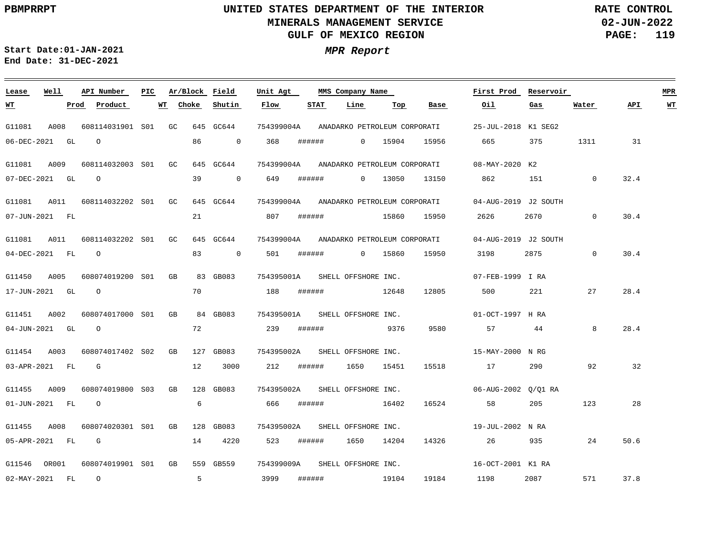**02-JUN-2022 PAGE: 119 RATE CONTROL**

**Start Date:01-JAN-2021 MPR Report End Date: 31-DEC-2021**

### G11081 A008 608114031901 S01 GC 645 GC644 G11081 A009 G11081 A011 608114032202 S01 GC 645 GC644 G11081 A011 608114032202 S01 GC 645 GC644 G11450 A005 G11451 A002 G11454 A003 G11455 A009 608074019800 S03 GB G11455 A008 G11546 OR001 608074019901 S01 GB 559 GB559 **Lease Well** 608114032003 S01 GC 645 GC644 608074019200 GB S01 608074017000 GB S01 608074017402 GB S02 608074020301 S01 GB 128 GB083 **API Number Ar/Block Field PIC MMS Company Name** 83 GB083 84 GB083 127 GB083 128 GB083 754399004A 754399004A ANADARKO PETROLEUM CORPORATI 754399004A ANADARKO PETROLEUM CORPORATI 754399004A 04-AUG-2019 J2 SOUTH ANADARKO PETROLEUM CORPORATI 754395001A 754395001A SHELL OFFSHORE INC. 754395002A SHELL OFFSHORE INC. 754395002A 754395002A 754399009A SHELL OFFSHORE INC. **Unit Agt**  25-JUL-2018 K1 SEG2 08-MAY-2020 K2 04-AUG-2019 J2 SOUTH 07-FEB-1999 I RA 01-OCT-1997 H RA 15-MAY-2000 N RG 06-AUG-2002 Q/Q1 RA 19-JUL-2002 N RA 16-OCT-2001 K1 RA **First Prod Reservoir MPR** 06-DEC-2021 GL 07-DEC-2021 GL 07-JUN-2021 FL 04-DEC-2021 FL O 17-JUN-2021 GL 04-JUN-2021 GL 03-APR-2021 FL 01-JUN-2021 FL 05-APR-2021 FL G 02-MAY-2021 FL **WT Prod Product WT** O O O O G O O 86 39 21 83 70 72 12 6 14 4220 5 **Choke** 0 368 0 649 0 501 ###### 3000 **Shutin** 807 188 239 ###### 9376 212 ###### 666 523 ###### 3999 **Flow** ###### ###### ###### ###### ###### ###### **STAT** 0 15904 0 13050 13150 862 151 0 0 15860 1650 15451 15518 17 290 92 1650 14204 14326 **Line** 15860 12648 16402 19104 19184 **Top** 15956 15950 2626 15950 3198 2875 12805 500 9580 16524 **Base** 665 375 1311 31 57 44 58 205 26 935 24 1198 2087 **Oil** 2670 0 221 **Gas** 0 27 8 123 571 **Water** 32.4 30.4 30.4 28.4 28.4 32 28 50.6 37.8 **API WT** ANADARKO PETROLEUM CORPORATI SHELL OFFSHORE INC. SHELL OFFSHORE INC. SHELL OFFSHORE INC.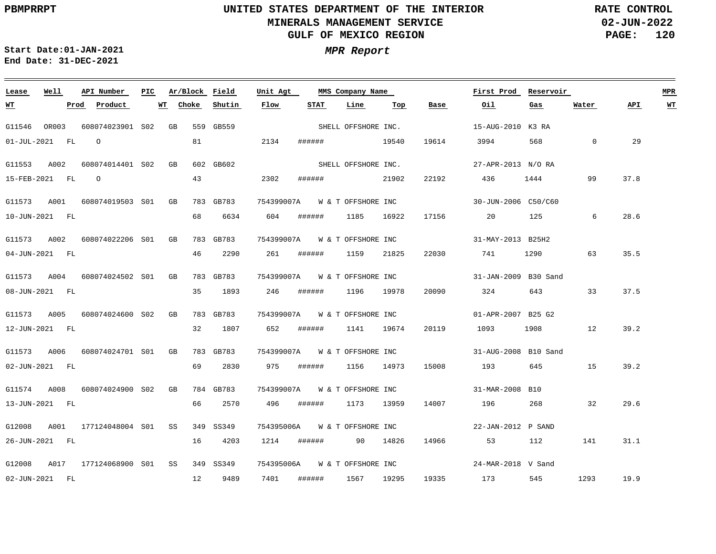**02-JUN-2022 PAGE: 120 RATE CONTROL**

 $\equiv$ 

**Start Date:01-JAN-2021 MPR Report End Date: 31-DEC-2021**

| Lease       | Well           | API Number                                | PIC. | Ar/Block Field |           | Unit Agt |                               | MMS Company Name    |       |       | First Prod           | Reservoir |          |      | <b>MPR</b> |
|-------------|----------------|-------------------------------------------|------|----------------|-----------|----------|-------------------------------|---------------------|-------|-------|----------------------|-----------|----------|------|------------|
| <u>WT</u>   |                | Prod Product                              |      | WT Choke       | Shutin    | Flow     | STAT                          | Line                | Тор   | Base  | Oil                  | Gas       | Water    | API  | <u>WT</u>  |
|             |                | G11546 OR003 608074023901 S02 GB          |      |                | 559 GB559 |          |                               | SHELL OFFSHORE INC. |       |       | 15-AUG-2010 K3 RA    |           |          |      |            |
|             | 01-JUL-2021 FL | $\overline{O}$                            |      | 81             |           | 2134     | ######                        | 19540               |       | 19614 | 3994                 | 568       | $\Omega$ | 29   |            |
| G11553 A002 |                | 608074014401 S02 GB                       |      |                | 602 GB602 |          |                               | SHELL OFFSHORE INC. |       |       | 27-APR-2013 N/O RA   |           |          |      |            |
|             | 15-FEB-2021 FL | $\overline{O}$                            |      | 43             |           | 2302     | ######                        |                     | 21902 | 22192 | 436                  | 1444      | 99       | 37.8 |            |
|             |                |                                           |      |                | 783 GB783 |          |                               |                     |       |       | 30-JUN-2006 C50/C60  |           |          |      |            |
|             |                | G11573 A001 608074019503 S01 GB           |      |                |           |          | 754399007A W & T OFFSHORE INC |                     |       |       |                      |           |          |      |            |
|             | 10-JUN-2021 FL |                                           |      | 68             | 6634      | 604      | ######                        | 1185 16922          |       | 17156 | 20                   | 125       | 6        | 28.6 |            |
|             |                | G11573 A002 608074022206 S01 GB           |      |                | 783 GB783 |          | 754399007A W & T OFFSHORE INC |                     |       |       | 31-MAY-2013 B25H2    |           |          |      |            |
|             | 04-JUN-2021 FL |                                           |      | 46             | 2290      | 261      | ######                        | 1159                | 21825 | 22030 | 741                  |           | 63       | 35.5 |            |
|             |                |                                           |      |                |           |          |                               |                     |       |       |                      |           |          |      |            |
|             |                | G11573 A004 608074024502 S01 GB           |      |                | 783 GB783 |          | 754399007A W & T OFFSHORE INC |                     |       |       | 31-JAN-2009 B30 Sand |           |          |      |            |
|             | 08-JUN-2021 FL |                                           |      | 35             | 1893      | 246      | ######                        | 1196 19978          |       | 20090 | 324                  | 643 — 100 | 33       | 37.5 |            |
|             |                | G11573 A005 608074024600 S02 GB           |      |                | 783 GB783 |          | 754399007A W & T OFFSHORE INC |                     |       |       | 01-APR-2007 B25 G2   |           |          |      |            |
|             | 12-JUN-2021 FL |                                           |      | 32             | 1807      | 652      | ######                        | 1141 19674          |       | 20119 | 1093                 | 1908 12   |          | 39.2 |            |
|             |                |                                           |      |                |           |          |                               |                     |       |       |                      |           |          |      |            |
|             |                | G11573 A006 608074024701 S01 GB           |      |                | 783 GB783 |          | 754399007A W & T OFFSHORE INC |                     |       |       | 31-AUG-2008 B10 Sand |           |          |      |            |
|             | 02-JUN-2021 FL |                                           |      | 69             | 2830      | 975      | ######                        | 1156 14973          |       | 15008 | 193                  | 645 — 100 | 15       | 39.2 |            |
|             |                | G11574 A008 608074024900 S02 GB           |      |                | 784 GB783 |          | 754399007A W & T OFFSHORE INC |                     |       |       | 31-MAR-2008 B10      |           |          |      |            |
|             | 13-JUN-2021 FL |                                           |      | 66             | 2570      | 496      | ######                        | 1173 13959          |       | 14007 | 196                  | 268       | 32       | 29.6 |            |
|             |                |                                           |      |                |           |          |                               |                     |       |       |                      |           |          |      |            |
|             |                | G12008 A001 177124048004 S01 SS           |      |                | 349 SS349 |          | 754395006A W & T OFFSHORE INC |                     |       |       | 22-JAN-2012 P SAND   |           |          |      |            |
|             | 26-JUN-2021 FL |                                           |      | 16             | 4203      |          | 1214 ###### 90 14826          |                     |       | 14966 | 53                   | 112       | 141      | 31.1 |            |
|             |                | G12008 A017 177124068900 S01 SS 349 SS349 |      |                |           |          | 754395006A W & T OFFSHORE INC |                     |       |       | 24-MAR-2018 V Sand   |           |          |      |            |
|             | 02-JUN-2021 FL |                                           |      | 12             | 9489      | 7401     | ######                        | 1567 19295          |       |       | 19335 173            | 545       | 1293     | 19.9 |            |
|             |                |                                           |      |                |           |          |                               |                     |       |       |                      |           |          |      |            |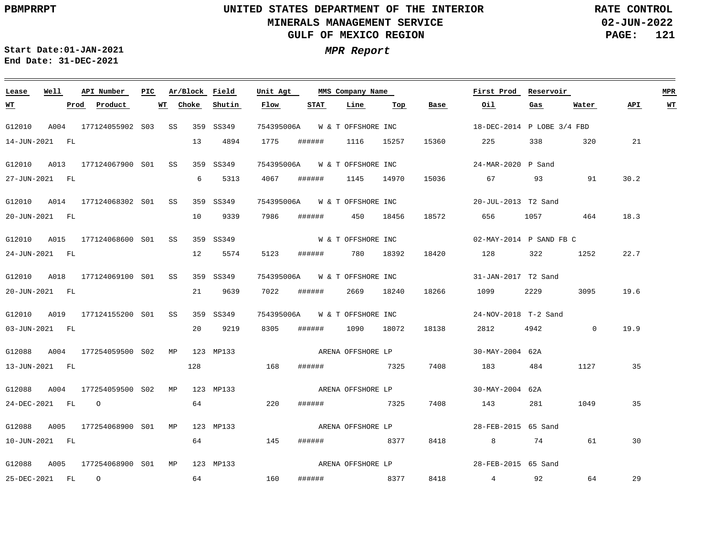**02-JUN-2022 PAGE: 121 RATE CONTROL**

 $\equiv$ 

<u> 1989 - Andrea Andrew Maria (h. 1989).</u>

**Start Date:01-JAN-2021 MPR Report End Date: 31-DEC-2021**

| Lease                      | Well | API Number                      | PIC | Ar/Block Field |                  | Unit Agt |                               | MMS Company Name   |     |       | First Prod                          | Reservoir |          |      | <b>MPR</b> |
|----------------------------|------|---------------------------------|-----|----------------|------------------|----------|-------------------------------|--------------------|-----|-------|-------------------------------------|-----------|----------|------|------------|
| <u>WT</u>                  |      | Prod Product                    | WT  | Choke          | Shutin           | Flow     | <b>STAT</b>                   | Line               | Тор | Base  | Oil                                 | Gas       | Water    | API  | WT         |
| G12010                     |      | A004 177124055902 S03 SS        |     |                | 359 SS349        |          | 754395006A W & T OFFSHORE INC |                    |     |       | 18-DEC-2014 P LOBE 3/4 FBD          |           |          |      |            |
| 14-JUN-2021 FL             |      |                                 |     | 13             | 4894             | 1775     | ######                        | 1116 15257         |     | 15360 | 225                                 | 338       | 320      | 21   |            |
| G12010                     |      | A013 177124067900 S01 SS        |     |                | 359 SS349        |          | 754395006A W & T OFFSHORE INC |                    |     |       | 24-MAR-2020 P Sand                  |           |          |      |            |
| 27-JUN-2021 FL             |      |                                 |     | 6              | 5313             | 4067     | ######                        | 1145 14970         |     | 15036 | 67 — 10                             | 93 91     |          | 30.2 |            |
|                            |      | G12010 A014 177124068302 S01 SS |     |                | 359 SS349        |          | 754395006A W & T OFFSHORE INC |                    |     |       | 20-JUL-2013 T2 Sand                 |           |          |      |            |
| 20-JUN-2021 FL             |      |                                 |     | 10             | 9339             | 7986     | ###### 450 18456              |                    |     | 18572 | 656 6                               | 1057 100  | 464      | 18.3 |            |
| G12010                     |      | A015 177124068600 S01 SS        |     |                | 359 SS349        |          |                               | W & T OFFSHORE INC |     |       | $02$ -MAY-2014 P SAND FB C          |           |          |      |            |
| 24-JUN-2021 FL             |      |                                 |     | 12             | 5574             | 5123     | ######                        | 780 18392          |     | 18420 | 128 322                             |           | 1252     | 22.7 |            |
|                            |      | G12010 A018 177124069100 S01 SS |     |                | 359 SS349        |          | 754395006A W & T OFFSHORE INC |                    |     |       | 31-JAN-2017 T2 Sand                 |           |          |      |            |
| 20-JUN-2021 FL             |      |                                 |     |                | 21 9639          | 7022     | ###### 2669 18240             |                    |     | 18266 | 1099                                | 2229      | 3095     | 19.6 |            |
|                            |      | G12010 A019 177124155200 S01 SS |     |                | 359 SS349        |          | 754395006A W & T OFFSHORE INC |                    |     |       | 24-NOV-2018 T-2 Sand                |           |          |      |            |
| 03-JUN-2021 FL             |      |                                 |     | 20             | 9219             | 8305     | ###### 1090 18072             |                    |     | 18138 | 2812                                | 4942      | $\sim$ 0 | 19.9 |            |
| G12088                     |      | A004 177254059500 S02 MP        |     |                | 123 MP133        |          | ARENA OFFSHORE LP             |                    |     |       | 30-MAY-2004 62A                     |           |          |      |            |
| 13-JUN-2021 FL             |      |                                 |     | 128            |                  | 168      | ###### 7325                   |                    |     | 7408  | 183                                 | 484       | 1127     | 35   |            |
| G12088                     |      | A004 177254059500 S02 MP        |     |                | 123 MP133        |          |                               | ARENA OFFSHORE LP  |     |       | 30-MAY-2004 62A                     |           |          |      |            |
| 24-DEC-2021 FL O           |      |                                 |     |                | 64 64 64 65      | 220      | <b>###### 7325</b>            |                    |     | 7408  | 143                                 | 281       | 1049     | 35   |            |
| G12088                     |      | A005 177254068900 S01 MP        |     |                | 123 MP133        |          | ARENA OFFSHORE LP             |                    |     |       | 28-FEB-2015 65 Sand                 |           |          |      |            |
| 10-JUN-2021 FL             |      |                                 |     | 64             | 145              |          | ###### 8377                   |                    |     | 8418  | $8\overline{)}$                     | 74        | 61       | 30   |            |
|                            |      |                                 |     |                |                  |          |                               |                    |     |       |                                     |           |          |      |            |
|                            |      |                                 |     |                |                  |          |                               |                    |     |       |                                     |           |          |      |            |
| G12088<br>25-DEC-2021 FL 0 | A005 | 177254068900 SO1 MP             |     | 64             | 123 MP133<br>160 |          | ###### 8377                   | ARENA OFFSHORE LP  |     |       | 28-FEB-2015 65 Sand<br>8418 4 92 64 |           |          | 29   |            |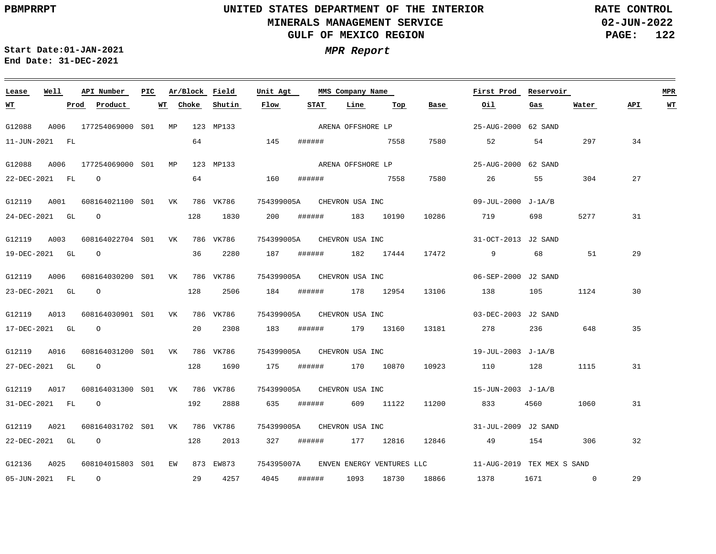**02-JUN-2022 PAGE: 122 RATE CONTROL**

 $\equiv$ 

**Start Date:01-JAN-2021 MPR Report End Date: 31-DEC-2021**

| Lease                         | Well | API Number                                      | PIC. |    | Ar/Block Field |           | MMS Company Name<br>Unit Agt      |        |  |                   | First Prod | Reservoir                  |                                                                 |          | <b>MPR</b> |      |           |
|-------------------------------|------|-------------------------------------------------|------|----|----------------|-----------|-----------------------------------|--------|--|-------------------|------------|----------------------------|-----------------------------------------------------------------|----------|------------|------|-----------|
| <u> WТ</u>                    |      | Prod Product                                    |      | WT | Choke          | Shutin    | Flow                              | STAT   |  | Line              | Top        | Base                       | Oil                                                             | Gas      | Water      | API. | <b>WT</b> |
| G12088                        |      | A006 177254069000 S01 MP                        |      |    |                | 123 MP133 |                                   |        |  | ARENA OFFSHORE LP |            |                            | 25-AUG-2000 62 SAND                                             |          |            |      |           |
| 11-JUN-2021 FL                |      |                                                 |      |    |                | 64 145    |                                   |        |  | ####### 7558      |            | 7580                       | 52                                                              | 54       | 297        | 34   |           |
| G12088                        | A006 | 177254069000 S01 MP                             |      |    |                | 123 MP133 |                                   |        |  | ARENA OFFSHORE LP |            |                            | 25-AUG-2000 62 SAND                                             |          |            |      |           |
| 22-DEC-2021 FL 0              |      |                                                 |      |    | 64             |           | 160                               | ###### |  | 7558              |            | 7580                       | 26                                                              | 55       | 304        | 27   |           |
|                               |      | G12119 A001 608164021100 S01 VK                 |      |    |                | 786 VK786 | 754399005A CHEVRON USA INC        |        |  |                   |            |                            | 09-JUL-2000 J-1A/B                                              |          |            |      |           |
|                               |      | $24 - DEC - 2021$ GL $O$                        |      |    |                | 128 1830  | 200                               |        |  | ####### 183 10190 |            | 10286                      | 719                                                             | 698 —    | 5277       | 31   |           |
| G12119 A003                   |      | 608164022704 S01 VK 786 VK786                   |      |    |                |           | 754399005A CHEVRON USA INC        |        |  |                   |            |                            | 31-OCT-2013 J2 SAND                                             |          |            |      |           |
| 19-DEC-2021 GL 0              |      |                                                 |      |    | 36             | 2280      | 187                               | ###### |  |                   |            | 182 17444 17472            | $\overline{9}$                                                  | 68 — 100 | 51         | 29   |           |
|                               |      | G12119 A006 608164030200 S01 VK                 |      |    |                | 786 VK786 | 754399005A CHEVRON USA INC        |        |  |                   |            |                            | 06-SEP-2000 J2 SAND                                             |          |            |      |           |
|                               |      | 23-DEC-2021 GL O                                |      |    | 128            | 2506      | 184                               |        |  | ###### 178 12954  |            | 13106                      | 138                                                             | 105      | 1124       | 30   |           |
| G12119 A013                   |      | 608164030901 S01 VK 786 VK786                   |      |    |                |           | 754399005A CHEVRON USA INC        |        |  |                   |            |                            | 03-DEC-2003 J2 SAND                                             |          |            |      |           |
| 17-DEC-2021 GL 0              |      |                                                 |      |    | 20             | 2308      | 183                               |        |  | ###### 179 13160  |            |                            | 13181 278                                                       | 236 648  |            | 35   |           |
|                               |      | G12119 A016 608164031200 S01 VK 786 VK786       |      |    |                |           |                                   |        |  |                   |            | 754399005A CHEVRON USA INC | 19-JUL-2003 J-1A/B                                              |          |            |      |           |
|                               |      | 27-DEC-2021 GL O                                |      |    | 128            | 1690      | 175                               |        |  | ###### 170 10870  |            | 10923                      | 110 128                                                         |          | 1115       | 31   |           |
|                               |      |                                                 |      |    |                |           |                                   |        |  |                   |            |                            |                                                                 |          |            |      |           |
| G12119 A017<br>31-DEC-2021 FL |      | 608164031300 S01 VK 786 VK786<br>$\overline{O}$ |      |    | 192            | 2888      | 754399005A CHEVRON USA INC<br>635 | ###### |  |                   | 609 11122  |                            | 15-JUN-2003 J-1A/B<br>11200 833                                 | 4560 300 | 1060       | 31   |           |
|                               |      |                                                 |      |    |                |           |                                   |        |  |                   |            |                            |                                                                 |          |            |      |           |
|                               |      | G12119 A021 608164031702 S01 VK 786 VK786       |      |    |                |           |                                   |        |  |                   |            | 754399005A CHEVRON USA INC | 31-JUL-2009 J2 SAND                                             |          |            |      |           |
| 22-DEC-2021 GL 0              |      |                                                 |      |    | 128            | 2013      | 327                               | ###### |  |                   | 177 12816  | 12846                      | 49                                                              | 154      | 306        | 32   |           |
|                               |      | G12136 A025 608104015803 S01 EW 873 EW873       |      |    |                |           |                                   |        |  |                   |            |                            | 754395007A ENVEN ENERGY VENTURES LLC 11-AUG-2019 TEX MEX S SAND |          |            |      |           |
| 05-JUN-2021 FL 0              |      |                                                 |      |    |                | 29 4257   | 4045                              | ###### |  | 1093              |            |                            | 18730 18866 1378                                                | 1671 0   |            | 29   |           |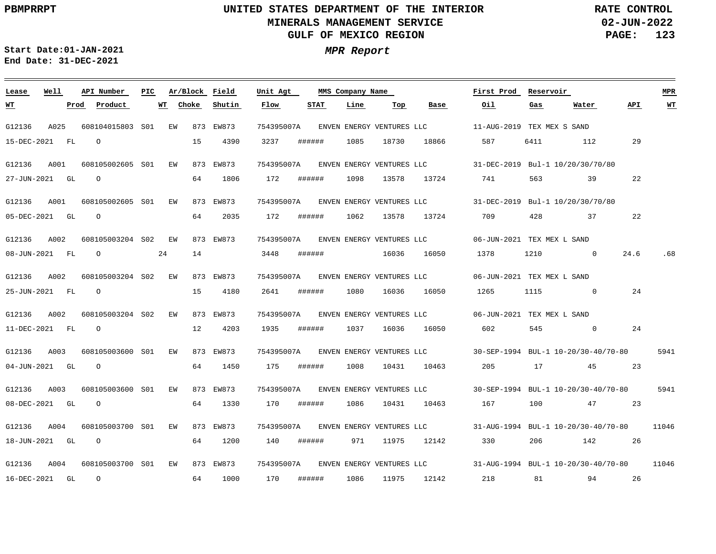<u> 2002 - Jan Barat, Amerikaansk politiker (\* 1852)</u>

**02-JUN-2022 PAGE: 123 RATE CONTROL**

**Start Date:01-JAN-2021 MPR Report End Date: 31-DEC-2021**

<u> Electronic al III de la contrada de la contrada de la contrada de la contrada de la contrada de la contrada de l</u>

| Lease          | Well | API Number       | PIC. |    |       | Ar/Block Field | Unit Agt   |        | MMS Company Name |                           |                                      | First Prod                                                                     | Reservoir |                                     |      | <b>MPR</b>     |
|----------------|------|------------------|------|----|-------|----------------|------------|--------|------------------|---------------------------|--------------------------------------|--------------------------------------------------------------------------------|-----------|-------------------------------------|------|----------------|
| <u>WТ</u>      |      | Product<br>Prod  | WТ   |    | Choke | Shutin         | Flow       | STAT   | Line             | Top                       | Base                                 | Oil                                                                            | Gas       | Water                               | API. | W <sub>T</sub> |
| G12136         | A025 | 608104015803 S01 |      | EW |       | 873 EW873      | 754395007A |        |                  |                           |                                      |                                                                                |           |                                     |      |                |
| 15-DEC-2021 FL |      | $\Omega$         |      |    | 15    | 4390           | 3237       | ###### | 1085             | 18730                     | 18866                                | 587 —                                                                          | 6411      | 112                                 | 29   |                |
| G12136         | A001 | 608105002605 S01 |      | EW |       | 873 EW873      | 754395007A |        |                  |                           | ENVEN ENERGY VENTURES LLC            |                                                                                |           | 31-DEC-2019 Bul-1 10/20/30/70/80    |      |                |
| 27-JUN-2021 GL |      | $\circ$          |      |    | 64    | 1806           | 172        | ###### | 1098             | 13578                     | 13724                                | 741                                                                            | 563       | 39                                  | 22   |                |
| G12136         | A001 | 608105002605 S01 |      | EW |       | 873 EW873      |            |        |                  |                           |                                      | 754395007A ENVEN ENERGY VENTURES LLC 31-DEC-2019 Bul-1 10/20/30/70/80          |           |                                     |      |                |
| 05-DEC-2021 GL |      | $\Omega$         |      |    | 64    | 2035           | 172        | ###### | 1062             | 13578                     | 13724                                | 709                                                                            | 428       | 37                                  | 22   |                |
| G12136         | A002 | 608105003204 S02 |      | EW |       | 873 EW873      | 754395007A |        |                  |                           | ENVEN ENERGY VENTURES LLC            | 06-JUN-2021 TEX MEX L SAND                                                     |           |                                     |      |                |
| 08-JUN-2021 FL |      | $\circ$          | 24   |    | 14    |                | 3448       | ###### |                  | 16036                     | 16050                                | 1378                                                                           | 1210      | $\sim$ 0                            | 24.6 | .68            |
| G12136         | A002 | 608105003204 S02 |      | EW |       | 873 EW873      |            |        |                  |                           | 754395007A ENVEN ENERGY VENTURES LLC | 06-JUN-2021 TEX MEX L SAND                                                     |           |                                     |      |                |
| 25-JUN-2021 FL |      | $\Omega$         |      |    | 15    | 4180           | 2641       | ###### | 1080             | 16036                     | 16050                                | 1265                                                                           | 1115      | $\overline{0}$                      | 24   |                |
| G12136         | A002 | 608105003204 S02 |      | EW |       | 873 EW873      | 754395007A |        |                  |                           | ENVEN ENERGY VENTURES LLC            | 06-JUN-2021 TEX MEX L SAND                                                     |           |                                     |      |                |
| 11-DEC-2021 FL |      | $\circ$          |      |    | 12    | 4203           | 1935       | ###### | 1037             | 16036                     | 16050                                | 602                                                                            | 545       | $\overline{0}$                      | 24   |                |
| G12136         | A003 | 608105003600 S01 |      | EW |       | 873 EW873      |            |        |                  |                           |                                      | 754395007A ENVEN ENERGY VENTURES LLC 30-SEP-1994 BUL-1 10-20/30-40/70-80       |           |                                     |      | 5941           |
| 04-JUN-2021 GL |      | $\Omega$         |      |    | 64    | 1450           | 175        | ###### | 1008             | 10431                     | 10463                                | 205                                                                            | 17        | 45                                  | 23   |                |
| G12136         | A003 | 608105003600 S01 |      | EW |       | 873 EW873      | 754395007A |        |                  | ENVEN ENERGY VENTURES LLC |                                      |                                                                                |           | 30-SEP-1994 BUL-1 10-20/30-40/70-80 |      | 5941           |
| 08-DEC-2021 GL |      | $\circ$          |      |    | 64    | 1330           | 170        | ###### | 1086             | 10431                     | 10463                                | 167                                                                            | 100       | 47                                  | 23   |                |
| G12136         | A004 | 608105003700 S01 |      | EW |       | 873 EW873      |            |        |                  |                           |                                      | 754395007A ENVEN ENERGY VENTURES LLC 31-AUG-1994 BUL-1 10-20/30-40/70-80 11046 |           |                                     |      |                |
| 18-JUN-2021 GL |      | $\Omega$         |      |    | 64    | 1200           | 140        | ###### | 971              | 11975                     | 12142                                | 330                                                                            | 206       | 142 26                              |      |                |
| G12136         | A004 | 608105003700 S01 |      | EW |       | 873 EW873      | 754395007A |        |                  | ENVEN ENERGY VENTURES LLC |                                      | $31 - \text{AUG} - 1994$ BUL-1 $10 - \frac{20}{30} - \frac{40}{70} - 80$ 11046 |           |                                     |      |                |
| 16-DEC-2021 GL |      | $\circ$          |      |    | 64    | 1000           | 170        | ###### | 1086             | 11975                     | 12142                                | 218                                                                            | 81        | 94                                  | 26   |                |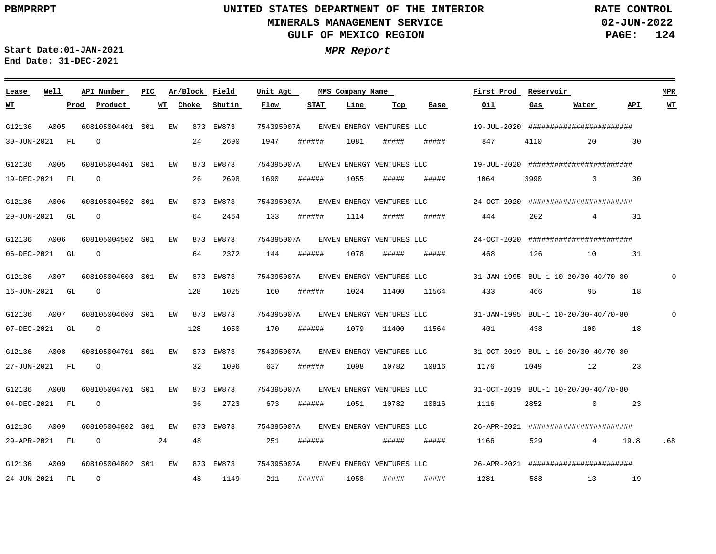<u> 1989 - Johann Stoff, deutscher Stoff, der Stoff, der Stoff, der Stoff, der Stoff, der Stoff, der Stoff, der S</u>

**02-JUN-2022 PAGE: 124 RATE CONTROL**

**Start Date:01-JAN-2021 MPR Report End Date: 31-DEC-2021**

### G12136 G12136 G12136 G12136 G12136 G12136 G12136 G12136 G12136 G12136 A009 **Lease Well** A005 A005 A006 A006 A007 A007 A008 A008 A009 608105004401 S01 608105004401 S01 608105004502 S01 608105004502 S01 608105004600 S01 608105004600 S01 608105004701 S01 608105004701 S01 608105004802 S01 608105004802 EW 873 EW873 S01**API Number Ar/Block Field PIC MMS Company Name** EW EW EW EW EW EW EW EW EW 873 EW873 873 EW873 873 EW873 873 EW873 873 EW873 873 EW873 873 EW873 873 EW873 873 EW873 754395007A 754395007A 754395007A 754395007A 754395007A 754395007A 754395007A 754395007A 754395007A 754395007A **Unit Agt**  19-JUL-2020 ####################### 19-JUL-2020 ####################### 24-OCT-2020 ####################### 24-OCT-2020 ######################## 31-JAN-1995 BUL-1 10-20/30-40/70-80 31-JAN-1995 BUL-1 10-20/30-40/70-80 31-OCT-2019 BUL-1 10-20/30-40/70-80 31-OCT-2019 BUL-1 10-20/30-40/70-80 26-APR-2021 ######################## 26-APR-2021 ####################### **First Prod Reservoir** 0  $\Omega$ **MPR** 30-JUN-2021 FL 19-DEC-2021 FL 29-JUN-2021 GL 06-DEC-2021 GL 16-JUN-2021 GL 07-DEC-2021 GL 27-JUN-2021 FL 04-DEC-2021 FL 29-APR-2021 FL 24-JUN-2021 FL **WT Prod Product**  $\Omega$  $\cap$  $\Omega$  $\cap$ O  $\Omega$ O O O  $\Omega$ 24 **WT** 24 26 64 64 128 128 32 36 48 48 **Choke** 2690 2698 2464 2372 1025 1050 1096 2723 1149 **Shutin** 1947 1690 133 144 160 170 637 673 251 211 **Flow** ###### ###### ###### ###### ###### ###### ###### ###### ###### ###### **STAT** 1081 1055 1114 1078 1024 1079 1098 1051 1058 **Line** ##### ##### ##### ##### 11400 11400 10782 10782 ##### ##### **Top** ##### ##### ##### ##### 11564 11564 10816 10816 ##### ##### **Base** 847 1064 444 468 433 401 1176 1116 1166 1281 **Oil** 4110 3990 202 126 466 438 1049 2852 529 588 **Gas** 20 3 30 4 10 95 100 12 23 0 23 4 19.8 .68 13 19 **Water** 30 31 31 18 18 **API WT** ENVEN ENERGY VENTURES LLC ENVEN ENERGY VENTURES LLC ENVEN ENERGY VENTURES LLC ENVEN ENERGY VENTURES LLC ENVEN ENERGY VENTURES LLC ENVEN ENERGY VENTURES LLC ENVEN ENERGY VENTURES LLC ENVEN ENERGY VENTURES LLC ENVEN ENERGY VENTURES LLC ENVEN ENERGY VENTURES LLC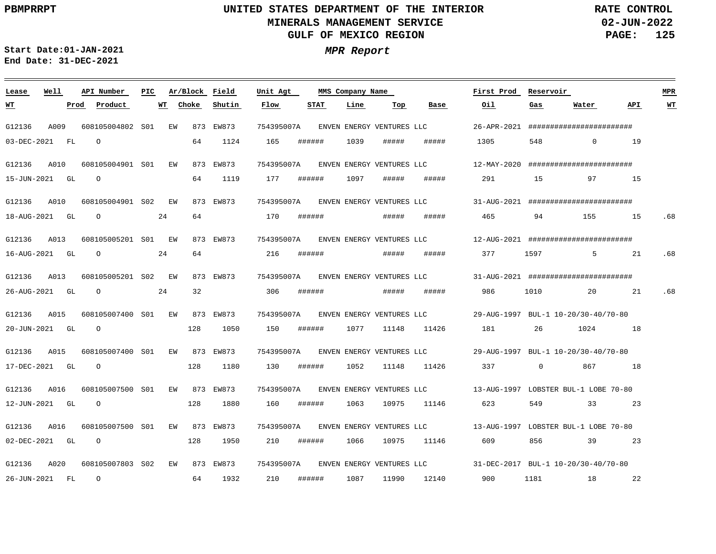G12136

**WT**

G12136

G12136

G12136

G12136

G12136

G12136

## **UNITED STATES DEPARTMENT OF THE INTERIOR MINERALS MANAGEMENT SERVICE GULF OF MEXICO REGION**

<u> 1989 - Johann Stoff, deutscher Stoff, der Stoff, der Stoff, der Stoff, der Stoff, der Stoff, der Stoff, der S</u>

**02-JUN-2022 PAGE: 125 RATE CONTROL**

**Start Date:01-JAN-2021 MPR Report End Date: 31-DEC-2021**

### G12136 A013 G12136 A016 G12136 A020 **Lease Well** A009 A010 A010 A013 A015 A015 A016 608105004802 EW S01 608105004901 EW S01 608105004901 EW S02 608105005201 EW S01 608105005201 EW S02 608105007400 EW S01 608105007400 EW S01 608105007500 EW 873 EW873 S01 608105007500 S01 608105007803 EW 873 EW873 S02**API Number Ar/Block Field PIC MMS Company Name** EW 873 EW873 873 EW873 873 EW873 873 EW873 873 EW873 873 EW873 873 EW873 873 EW873 754395007A 754395007A 754395007A 754395007A 754395007A 754395007A 754395007A 754395007A 754395007A 754395007A **Unit Agt**  26-APR-2021 ####################### 12-MAY-2020 ######################## 31-AUG-2021 ######################## 12-AUG-2021 ######################## ENVEN ENERGY VENTURES LLC 31-AUG-2021 ######################## 29-AUG-1997 BUL-1 10-20/30-40/70-80 29-AUG-1997 BUL-1 10-20/30-40/70-80 13-AUG-1997 LOBSTER BUL-1 LOBE 70-80 ENVEN ENERGY VENTURES LLC 13-AUG-1997 LOBSTER BUL-1 LOBE 70-80 31-DEC-2017 BUL-1 10-20/30-40/70-80 **First Prod Reservoir MPR** 03-DEC-2021 FL 15-JUN-2021 GL 18-AUG-2021 GL 16-AUG-2021 GL 26-AUG-2021 GL 20-JUN-2021 GL 17-DEC-2021 GL 12-JUN-2021 GL 02-DEC-2021 GL 26-JUN-2021 FL **Prod Product**  $\Omega$ O O O O O O O O  $\Omega$ 24 24 24 **WT Choke** 64 64 64 64 32 128 128 128 128 64 1124 1119 1050 1180 1880 1950 1932 **Shutin** 165 177 170 216 306 150 130 160 210 210 **Flow** ###### ###### ###### ###### ###### ###### ###### ###### ###### ###### **STAT** 1039 1097 1077 11148 1052 1063 1066 1087 **Line** ##### ##### ##### ##### ##### 11148 10975 10975 11146 11990 **Top** ##### ##### ##### ##### ##### 11426 11426 337 11146 12140 **Base** 1305 291 465 377 986 181 623 609 900 **Oil** 548 15 94 1597 1010 26 0 549 856 1181 **Gas** 0 19 97 15 155 15 5 21 20 1024 18 867 18 33 23 39 23 18 **Water** 21 22 **API** .68 .68 .68 **WT** ENVEN ENERGY VENTURES LLC ENVEN ENERGY VENTURES LLC ENVEN ENERGY VENTURES LLC ENVEN ENERGY VENTURES LLC ENVEN ENERGY VENTURES LLC ENVEN ENERGY VENTURES LLC ENVEN ENERGY VENTURES LLC ENVEN ENERGY VENTURES LLC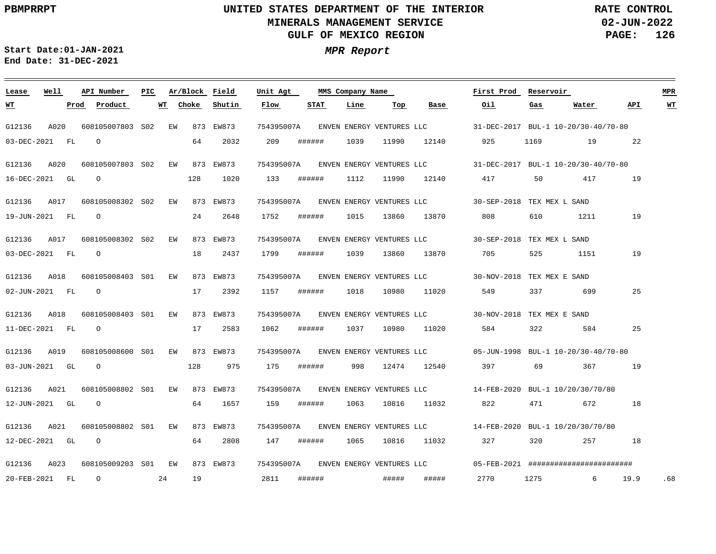**02-JUN-2022 PAGE: 126 RATE CONTROL**

**Start Date:01-JAN-2021 MPR Report End Date: 31-DEC-2021**

| Lease          | Well |           | API Number       | PIC |    | Ar/Block Field |           | Unit Agt   |        | MMS Company Name |       |                           | First Prod                 | Reservoir |                                              |      | <b>MPR</b> |
|----------------|------|-----------|------------------|-----|----|----------------|-----------|------------|--------|------------------|-------|---------------------------|----------------------------|-----------|----------------------------------------------|------|------------|
| <u>WТ</u>      |      | Prod      | Product          |     | WT | Choke          | Shutin    | Flow       | STAT   | Line             | Top   | Base                      | Oil.                       | Gas       | Water                                        | API  | <u>WТ</u>  |
| G12136         | A020 |           | 608105007803 S02 |     | EW |                | 873 EW873 | 754395007A |        |                  |       | ENVEN ENERGY VENTURES LLC |                            |           | 31-DEC-2017 BUL-1 10-20/30-40/70-80          |      |            |
| 03-DEC-2021 FL |      |           | $\circ$          |     |    | 64             | 2032      | 209        | ###### | 1039             | 11990 | 12140                     | 925                        | 1169      | 19                                           | 22   |            |
| G12136         | A020 |           | 608105007803 S02 |     | EW |                | 873 EW873 | 754395007A |        |                  |       | ENVEN ENERGY VENTURES LLC |                            |           | 31-DEC-2017 BUL-1 10-20/30-40/70-80          |      |            |
| 16-DEC-2021 GL |      |           | $\Omega$         |     |    | 128            | 1020      | 133        | ###### | 1112             | 11990 | 12140                     | 417                        | 50        | 417                                          | 19   |            |
| G12136         | A017 |           | 608105008302 S02 |     | EW |                | 873 EW873 | 754395007A |        |                  |       | ENVEN ENERGY VENTURES LLC | 30-SEP-2018 TEX MEX L SAND |           |                                              |      |            |
| 19-JUN-2021 FL |      |           | $\Omega$         |     |    | 24             | 2648      | 1752       | ###### | 1015             | 13860 | 13870                     | 808                        | 610       | 1211                                         | 19   |            |
| G12136         | A017 |           | 608105008302 S02 |     | EW |                | 873 EW873 | 754395007A |        |                  |       | ENVEN ENERGY VENTURES LLC | 30-SEP-2018 TEX MEX L SAND |           |                                              |      |            |
| 03-DEC-2021 FL |      |           | $\circ$          |     |    | 18             | 2437      | 1799       | ###### | 1039             | 13860 | 13870                     | 705                        | 525       | 1151                                         | 19   |            |
| G12136         | A018 |           | 608105008403 S01 |     | EW |                | 873 EW873 | 754395007A |        |                  |       | ENVEN ENERGY VENTURES LLC | 30-NOV-2018 TEX MEX E SAND |           |                                              |      |            |
| 02-JUN-2021 FL |      |           | $\Omega$         |     |    | 17             | 2392      | 1157       | ###### | 1018             | 10980 | 11020                     | 549                        | 337       | 699                                          | 25   |            |
| G12136         | A018 |           | 608105008403 S01 |     | ΕW |                | 873 EW873 | 754395007A |        |                  |       | ENVEN ENERGY VENTURES LLC | 30-NOV-2018 TEX MEX E SAND |           |                                              |      |            |
| 11-DEC-2021 FL |      |           | $\circ$          |     |    | 17             | 2583      | 1062       | ###### | 1037             | 10980 | 11020                     | 584                        | 322       | 584                                          | 25   |            |
| G12136         | A019 |           | 608105008600 S01 |     | EW |                | 873 EW873 | 754395007A |        |                  |       | ENVEN ENERGY VENTURES LLC |                            |           | 05-JUN-1998 BUL-1 10-20/30-40/70-80          |      |            |
| 03-JUN-2021 GL |      |           | $\Omega$         |     |    | 128            | 975       | 175        | ###### | 998              | 12474 | 12540                     | 397                        | 69        | 367                                          | 19   |            |
| G12136         | A021 |           | 608105008802 S01 |     | EW |                | 873 EW873 | 754395007A |        |                  |       | ENVEN ENERGY VENTURES LLC |                            |           | 14-FEB-2020 BUL-1 10/20/30/70/80             |      |            |
| 12-JUN-2021 GL |      |           | $\Omega$         |     |    | 64             | 1657      | 159        | ###### | 1063             | 10816 | 11032                     | 822                        | 471       | 672                                          | 18   |            |
| G12136         | A021 |           | 608105008802 S01 |     | EW |                | 873 EW873 | 754395007A |        |                  |       | ENVEN ENERGY VENTURES LLC |                            |           | 14-FEB-2020 BUL-1 10/20/30/70/80             |      |            |
| 12-DEC-2021 GL |      |           | $\Omega$         |     |    | 64             | 2808      | 147        | ###### | 1065             | 10816 | 11032                     | 327                        | 320       | 257                                          | 18   |            |
| G12136         | A023 |           | 608105009203 S01 |     | ΕW |                | 873 EW873 | 754395007A |        |                  |       | ENVEN ENERGY VENTURES LLC |                            |           | $05 - FEB - 2021$ ########################## |      |            |
| 20-FEB-2021    |      | <b>FL</b> | $\circ$          |     | 24 | 19             |           | 2811       | ###### |                  | ##### | #####                     | 2770                       | 1275      | 6                                            | 19.9 | .68        |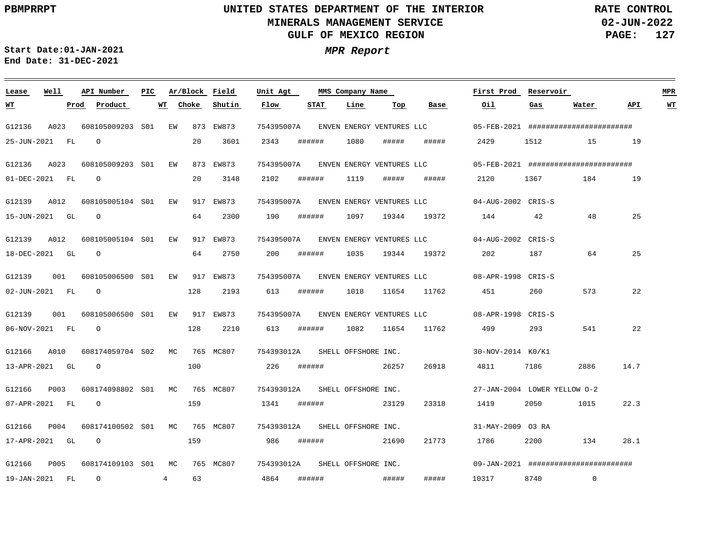**02-JUN-2022 PAGE: 127 RATE CONTROL**

 $\overline{\phantom{a}}$ 

**Start Date:01-JAN-2021 MPR Report End Date: 31-DEC-2021**

| Lease          | Well | API Number          | PIC. |                | Ar/Block Field |           | Unit Agt   | MMS Company Name               |      |            | First Prod                           | Reservoir                    |      |                                       | <b>MPR</b> |    |
|----------------|------|---------------------|------|----------------|----------------|-----------|------------|--------------------------------|------|------------|--------------------------------------|------------------------------|------|---------------------------------------|------------|----|
| <u>WТ</u>      |      | Product<br>Prod     |      | WT             | Choke          | Shutin    | Flow       | STAT                           | Line | Тор        | Base                                 | Oil.                         | Gas  | Water                                 | API        | WT |
| G12136         | A023 | 608105009203 S01    |      | EW             |                | 873 EW873 |            |                                |      |            | 754395007A ENVEN ENERGY VENTURES LLC |                              |      | 05-FEB-2021 ######################### |            |    |
| 25-JUN-2021 FL |      | $\Omega$            |      |                | 20             | 3601      | 2343       | ######                         | 1080 | #####      | #####                                | 2429                         | 1512 | 15                                    | 19         |    |
| G12136         | A023 | 608105009203 S01    |      | EW             |                | 873 EW873 |            |                                |      |            | 754395007A ENVEN ENERGY VENTURES LLC |                              |      | 05-FEB-2021 ######################### |            |    |
| 01-DEC-2021 FL |      | $\Omega$            |      |                | 20             | 3148      | 2102       | ######                         | 1119 | #####      | #####                                | 2120                         | 1367 | 184                                   | 19         |    |
| G12139         | A012 | 608105005104 S01    |      | EW             |                | 917 EW873 |            |                                |      |            | 754395007A ENVEN ENERGY VENTURES LLC | 04-AUG-2002 CRIS-S           |      |                                       |            |    |
| 15-JUN-2021 GL |      | $\overline{O}$      |      |                | 64             | 2300      | 190        | ######                         |      | 1097 19344 | 19372                                | 144                          | 42   | 48                                    | 25         |    |
| G12139         | A012 | 608105005104 S01    |      | EW             |                | 917 EW873 | 754395007A |                                |      |            | ENVEN ENERGY VENTURES LLC            | 04-AUG-2002 CRIS-S           |      |                                       |            |    |
| 18-DEC-2021 GL |      | $\circ$             |      |                | 64             | 2750      | 200        | ######                         | 1035 | 19344      | 19372                                | 202                          | 187  | 64                                    | 25         |    |
| G12139         | 001  | 608105006500 S01    |      | EW             |                | 917 EW873 |            |                                |      |            | 754395007A ENVEN ENERGY VENTURES LLC | 08-APR-1998 CRIS-S           |      |                                       |            |    |
| 02-JUN-2021 FL |      | $\overline{O}$      |      |                | 128            | 2193      | 613        | ######                         | 1018 |            | 11654 11762                          | 451                          | 260  | 573                                   | 22         |    |
| G12139         | 001  | 608105006500 S01    |      | EW             |                | 917 EW873 |            |                                |      |            | 754395007A ENVEN ENERGY VENTURES LLC | 08-APR-1998 CRIS-S           |      |                                       |            |    |
| 06-NOV-2021 FL |      | $\overline{O}$      |      |                | 128            | 2210      | 613        | ######                         | 1082 | 11654      | 11762                                | 499                          | 293  | 541                                   | 22         |    |
| G12166         | A010 | 608174059704 S02    |      | MC.            |                | 765 MC807 |            | 754393012A SHELL OFFSHORE INC. |      |            |                                      | 30-NOV-2014 K0/K1            |      |                                       |            |    |
| 13-APR-2021 GL |      | $\Omega$            |      |                | 100            |           | 226        | ######                         |      | 26257      | 26918                                | 4811                         | 7186 | 2886                                  | 14.7       |    |
| G12166         | P003 | 608174098802 S01    |      | MC             |                | 765 MC807 |            | 754393012A SHELL OFFSHORE INC. |      |            |                                      | 27-JAN-2004 LOWER YELLOW 0-2 |      |                                       |            |    |
| 07-APR-2021 FL |      | $\overline{O}$      |      |                | 159            |           | 1341       | ######                         |      | 23129      | 23318                                | 1419                         | 2050 | 1015                                  | 22.3       |    |
| G12166         | P004 | 608174100502 S01    |      | MC             |                | 765 MC807 |            | 754393012A SHELL OFFSHORE INC. |      |            |                                      | 31-MAY-2009 03 RA            |      |                                       |            |    |
| 17-APR-2021 GL |      | $\Omega$            |      |                | 159            |           | 986        | ######                         |      | 21690      | 21773                                | 1786                         | 2200 | 134                                   | 28.1       |    |
| G12166         | P005 | 608174109103 S01 MC |      |                |                | 765 MC807 |            | 754393012A SHELL OFFSHORE INC. |      |            |                                      |                              |      | 09-JAN-2021 ######################### |            |    |
| 19-JAN-2021 FL |      | $\circ$             |      | $\overline{4}$ | 63             |           | 4864       | ######                         |      | #####      | #####                                | 10317                        | 8740 | $\overline{0}$                        |            |    |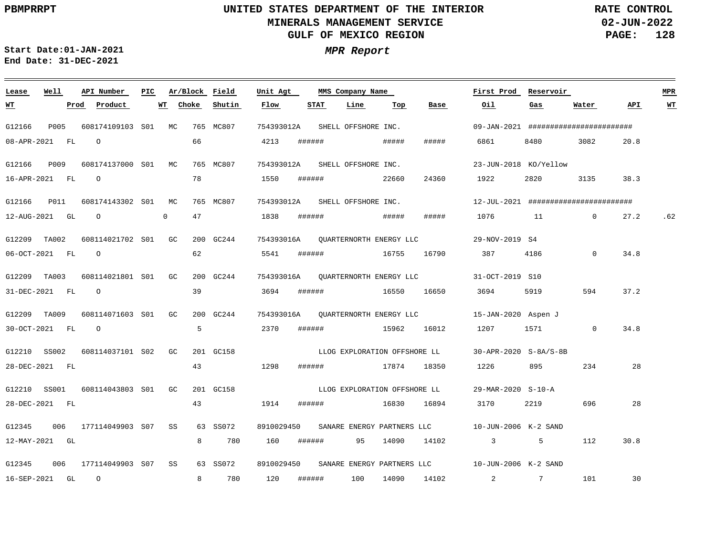**02-JUN-2022 PAGE: 128 RATE CONTROL**

**Start Date:01-JAN-2021 MPR Report End Date: 31-DEC-2021**

| Lease          | Well  |      | API Number          | PIC |              |       | Ar/Block Field | Unit Agt                           |        | MMS Company Name    |                              |                                    | First Prod                                                 | Reservoir       |                |      | <b>MPR</b> |
|----------------|-------|------|---------------------|-----|--------------|-------|----------------|------------------------------------|--------|---------------------|------------------------------|------------------------------------|------------------------------------------------------------|-----------------|----------------|------|------------|
| <u>WT</u>      |       | Prod | Product             |     | WТ           | Choke | Shutin         | Flow                               | STAT   | Line                | Top                          | Base                               | Oil                                                        | Gas             | Water          | API. | WT         |
| G12166         | P005  |      | 608174109103 S01 MC |     |              |       | 765 MC807      | 754393012A                         |        | SHELL OFFSHORE INC. |                              |                                    | 09-JAN-2021 #########################                      |                 |                |      |            |
| 08-APR-2021 FL |       |      | $\circ$             |     |              | 66    |                | 4213                               | ###### |                     | #####                        | #####                              | 6861                                                       | 8480            | 3082           | 20.8 |            |
| G12166         | P009  |      | 608174137000 S01 MC |     |              |       | 765 MC807      | 754393012A                         |        | SHELL OFFSHORE INC. |                              |                                    | 23-JUN-2018 KO/Yellow                                      |                 |                |      |            |
| 16-APR-2021 FL |       |      | $\Omega$            |     |              | 78    |                | 1550                               | ###### |                     | 22660                        | 24360                              | 1922                                                       | 2820            | 3135           | 38.3 |            |
| G12166         | P011  |      | 608174143302 S01 MC |     |              |       | 765 MC807      | 754393012A SHELL OFFSHORE INC.     |        |                     |                              |                                    | 12-JUL-2021 #########################                      |                 |                |      |            |
| 12-AUG-2021 GL |       |      | $\overline{O}$      |     | $\mathbf{0}$ | 47    |                | 1838                               | ###### |                     | #####                        | #####                              | 1076 11                                                    |                 | $\overline{0}$ | 27.2 | .62        |
| G12209         | TA002 |      | 608114021702 S01 GC |     |              |       | 200 GC244      | 754393016A OUARTERNORTH ENERGY LLC |        |                     |                              |                                    | 29-NOV-2019 S4                                             |                 |                |      |            |
| 06-OCT-2021 FL |       |      | $\Omega$            |     |              | 62    |                | 5541                               | ###### | 16755               |                              | 16790                              | 387                                                        | 4186            | $\Omega$       | 34.8 |            |
| G12209 TA003   |       |      | 608114021801 S01    |     | GC           |       | 200 GC244      |                                    |        |                     |                              | 754393016A QUARTERNORTH ENERGY LLC | 31-OCT-2019 S10                                            |                 |                |      |            |
| 31-DEC-2021 FL |       |      | $\circ$             |     |              | 39    |                | 3694                               |        | ###### 16550        |                              | 16650                              | 3694                                                       | 5919            | 594            | 37.2 |            |
| G12209         | TA009 |      | 608114071603 S01    |     | GC           |       | 200 GC244      | 754393016A QUARTERNORTH ENERGY LLC |        |                     |                              |                                    | 15-JAN-2020 Aspen J                                        |                 |                |      |            |
| 30-OCT-2021 FL |       |      | $\circ$             |     |              | 5     |                | 2370                               | ###### | 15962               |                              | 16012                              | 1207                                                       | 1571            | $\mathbf 0$    | 34.8 |            |
| G12210 SS002   |       |      | 608114037101 S02    |     | GC           |       | 201 GC158      |                                    |        |                     |                              | LLOG EXPLORATION OFFSHORE LL       | 30-APR-2020 S-8A/S-8B                                      |                 |                |      |            |
| 28-DEC-2021 FL |       |      |                     |     |              | 43    |                | 1298                               | ###### |                     | 17874 18350                  |                                    | 1226                                                       | 895             | 234            | 28   |            |
| G12210         | SS001 |      | 608114043803 S01    |     | GC.          |       | 201 GC158      |                                    |        |                     | LLOG EXPLORATION OFFSHORE LL |                                    | 29-MAR-2020 S-10-A                                         |                 |                |      |            |
| 28-DEC-2021 FL |       |      |                     |     |              | 43    |                | 1914                               | ###### |                     | 16830                        | 16894                              | 3170                                                       | 2219            | 696            | 28   |            |
| G12345         | 006   |      | 177114049903 S07    |     | SS           |       | 63 SS072       |                                    |        |                     |                              |                                    | 8910029450 SANARE ENERGY PARTNERS LLC 10-JUN-2006 K-2 SAND |                 |                |      |            |
| 12-MAY-2021 GL |       |      |                     |     |              | 8     | 780            | 160                                | ###### | 95                  | 14090                        | 14102                              | $\overline{\mathbf{3}}$                                    | 5               | 112            | 30.8 |            |
| G12345         | 006   |      | 177114049903 S07    |     | SS           |       | 63 SS072       | 8910029450                         |        |                     | SANARE ENERGY PARTNERS LLC   |                                    | 10-JUN-2006 K-2 SAND                                       |                 |                |      |            |
| 16-SEP-2021 GL |       |      | $\circ$             |     |              | 8     | 780            | 120                                | ###### | 100                 | 14090                        | 14102                              | $\overline{2}$                                             | $7\overline{ }$ | 101            | 30   |            |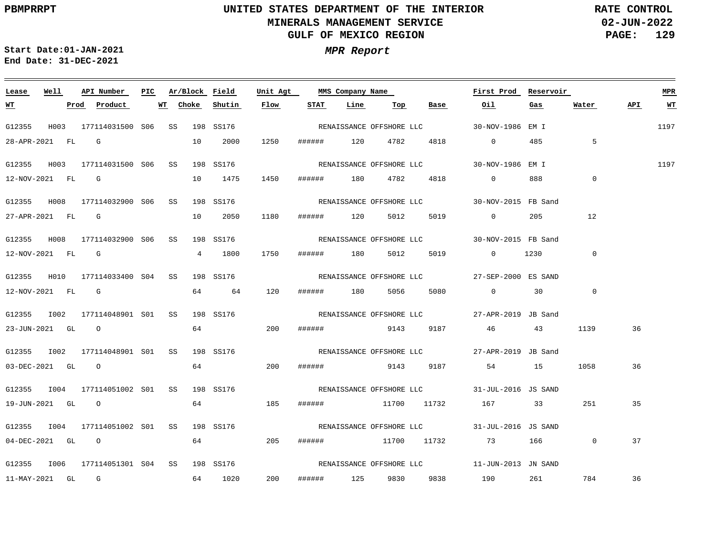**02-JUN-2022 PAGE: 129 RATE CONTROL**

**Start Date:01-JAN-2021 MPR Report End Date: 31-DEC-2021**

### **Lease Well API Number Ar/Block Field Unit Agt First Prod Reservoir PIC MMS Company Name MPR Choke Shutin Flow STAT API WT WT Prod Product WT Line Top Base Oil Gas Water** RENAISSANCE OFFSHORE LLC 1197 G12355 H003 177114031500 S06 SS 198 SS176 30-NOV-1986 EM I 28-APR-2021 FL G 10 2000 1250 ###### 120 4782 4818 0 485 5 1197 G12355 H003 177114031500 S06 SS 198 SS176 30-NOV-1986 EM I RENAISSANCE OFFSHORE LLC 1450 888  $\Omega$ 12-NOV-2021 FL G 10 1475 ###### 180 4782 4818 0 G12355 H008 177114032900 S06 SS 198 SS176 30-NOV-2015 FB Sand RENAISSANCE OFFSHORE LLC 10 2050 27-APR-2021 FL G 1180 ###### 120 5012 5019 0 205 12 G12355 H008 177114032900 S06 SS 198 SS176 30-NOV-2015 FB Sand RENAISSANCE OFFSHORE LLC 1750 0 12-NOV-2021 FL G 4 1800 ###### 180 5012 5019 0 1230 G12355 H010 177114033400 S04 SS 198 SS176 27-SEP-2000 ES SAND RENAISSANCE OFFSHORE LLC 12-NOV-2021 FL G 64 64 120 ###### 180 5056 5080 0 30 0 G12355 I002 177114048901 S01 SS 198 SS176 27-APR-2019 JB Sand RENAISSANCE OFFSHORE LLC 64 200 1139 36 23-JUN-2021 GL O ###### 9143 9187 46 43 G12355 I002 177114048901 S01 SS 198 SS176 27-APR-2019 JB Sand RENAISSANCE OFFSHORE LLC 03-DEC-2021 GL O 64 200 ###### 9143 9187 54 15 1058 36 G12355 I004 177114051002 S01 SS 198 SS176 31-JUL-2016 JS SAND RENAISSANCE OFFSHORE LLC 64 19-JUN-2021 GL O 185 ###### 11700 11732 167 33 251 35 G12355 I004 177114051002 S01 SS 198 SS176 31-JUL-2016 JS SAND RENAISSANCE OFFSHORE LLC 04-DEC-2021 GL O 64 205 ###### 11700 11732 73 166 0 37 G12355 I006 177114051301 S04 SS 198 SS176 11-JUN-2013 JN SAND RENAISSANCE OFFSHORE LLC 200 36 11-MAY-2021 GL G 64 1020 ###### 125 9830 9838 190 261 784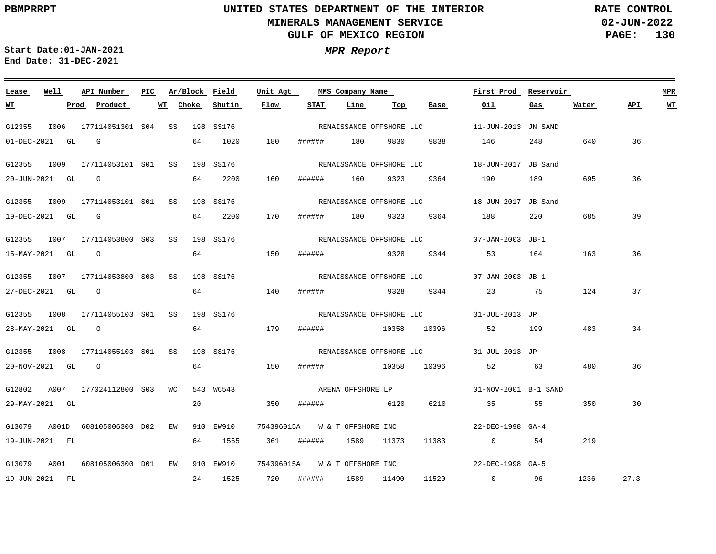**02-JUN-2022 PAGE: 130 RATE CONTROL**

**Start Date:01-JAN-2021 MPR Report End Date: 31-DEC-2021**

### **Lease Well API Number Ar/Block Field Unit Agt First Prod Reservoir MPR PIC MMS Company Name Choke Shutin Flow STAT Line API WT WT Prod Product WT Top Base Oil Gas Water** G12355 I006 177114051301 S04 SS 198 SS176 11-JUN-2013 JN SAND RENAISSANCE OFFSHORE LLC 01-DEC-2021 GL G 64 1020 180 ###### 180 9830 9838 146 248 640 36 G12355 I009 177114053101 S01 SS 198 SS176 18-JUN-2017 JB Sand RENAISSANCE OFFSHORE LLC 64 2200 160 36 20-JUN-2021 GL G ###### 160 9323 9364 190 189 695 G12355 I009 177114053101 S01 SS 198 SS176 18-JUN-2017 JB Sand RENAISSANCE OFFSHORE LLC 685 39 19-DEC-2021 GL G 64 2200 170 ###### 180 9323 9364 188 220 G12355 I007 177114053800 S03 SS 198 SS176 07-JAN-2003 JB-1 RENAISSANCE OFFSHORE LLC 64 150 36 15-MAY-2021 GL O ###### 9328 9344 53 164 163 G12355 I007 177114053800 S03 SS 198 SS176 07-JAN-2003 JB-1 RENAISSANCE OFFSHORE LLC 64 37 27-DEC-2021 GL O 140 ###### 9328 9344 23 75 124 G12355 I008 177114055103 S01 SS 198 SS176 31-JUL-2013 JP RENAISSANCE OFFSHORE LLC 64 179 483 34 28-MAY-2021 GL O ###### 10358 10396 52 199 G12355 I008 177114055103 S01 SS 198 SS176 31-JUL-2013 JP RENAISSANCE OFFSHORE LLC 20-NOV-2021 GL O 64 150 ###### 10358 10396 52 63 480 36 ARENA OFFSHORE LP G12802 A007 177024112800 S03 WC 543 WC543 01-NOV-2001 B-1 SAND 20 350 29-MAY-2021 GL ###### 6120 6210 35 55 350 30 G13079 A001D 608105006300 D02 EW 910 EW910 754396015A W & T OFFSHORE INC 22-DEC-1998 GA-4 19-JUN-2021 FL 64 1565 361 ###### 1589 11373 11383 0 54 219 G13079 A001 608105006300 D01 EW 910 EW910 754396015A W&TOFFSHOREINC 22-DEC-1998 GA-5 1236 27.3 19-JUN-2021 FL 24 1525 720 ###### 1589 11490 11520 0 96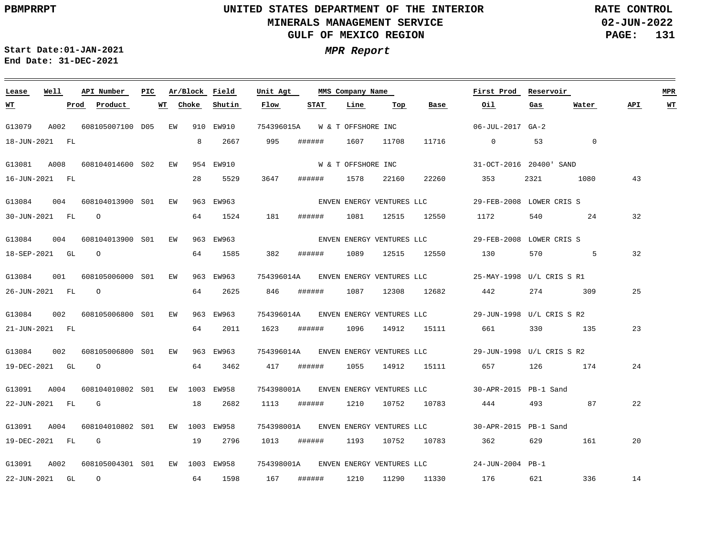**02-JUN-2022 PAGE: 131 RATE CONTROL**

**Start Date:01-JAN-2021 MPR Report End Date: 31-DEC-2021**

### **Lease Well API Number Ar/Block Field PIC MMS Company Name Unit Agt First Prod Reservoir MPR Choke Shutin Flow STAT Line Top Base Oil Water API WT WT Prod Product WT Gas** G13079 A002 608105007100 D05 EW 910 EW910 754396015A W & T OFFSHORE INC 06-JUL-2017 GA-2 995 11716 0 18-JUN-2021 FL 8 2667 ###### 1607 11708 53 0 W & T OFFSHORE INC G13081 A008 608104014600 EW S02 954 EW910 31-OCT-2016 20400' SAND 28 5529 3647 ###### 22260 43 16-JUN-2021 FL 1578 22160 353 2321 1080 ENVEN ENERGY VENTURES LLC G13084 004 608104013900 EW S01 963 EW963 29-FEB-2008 LOWER CRIS S O 64 1524 181 ###### 1081 12515 12550 1172 540 24 32 30-JUN-2021 FL G13084 004 608104013900 EW S01 963 EW963 29-FEB-2008 LOWER CRIS S ENVEN ENERGY VENTURES LLC O 64 1585 382 ###### 32 18-SEP-2021 GL 1089 12515 12550 130 570 5 G13084 001 754396014A 608105006000 EW S01 963 EW963 25-MAY-1998 U/L CRIS S R1 ENVEN ENERGY VENTURES LLC O 64 2625 846 ###### 1087 12308 274 309 25 26-JUN-2021 FL 12682 442 754396014A G13084 002 608105006800 S01 EW 963 EW963 29-JUN-1998 U/L CRIS S R2 ENVEN ENERGY VENTURES LLC 64 2011 1623 ###### 23 21-JUN-2021 FL 1096 14912 15111 661 330 135 G13084 002 608105006800 EW S01 963 EW963 754396014A 29-JUN-1998 U/L CRIS S R2 ENVEN ENERGY VENTURES LLC 19-DEC-2021 GL O 64 3462 417 ###### 1055 14912 15111 657 126 174 24 G13091 A004 608104010802 S01 EW 1003 EW958 754398001A 30-APR-2015 PB-1 Sand ENVEN ENERGY VENTURES LLC 18 22-JUN-2021 FL G 2682 1113 ###### 1210 10752 10783 444 493 87 22 754398001A ENVEN ENERGY VENTURES LLC G13091 A004 608104010802 EW 1003 EW958 S01 30-APR-2015 PB-1 Sand 19-DEC-2021 FL G 19 2796 1013 ###### 1193 10752 10783 362 629 161 20 754398001A ENVEN ENERGY VENTURES LLC G13091 A002 608105004301 S01 EW 1003 EW958 24-JUN-2004 PB-1 O 64 1598 167 ###### 1210 11290 11330 336 14 22-JUN-2021 GL 176 621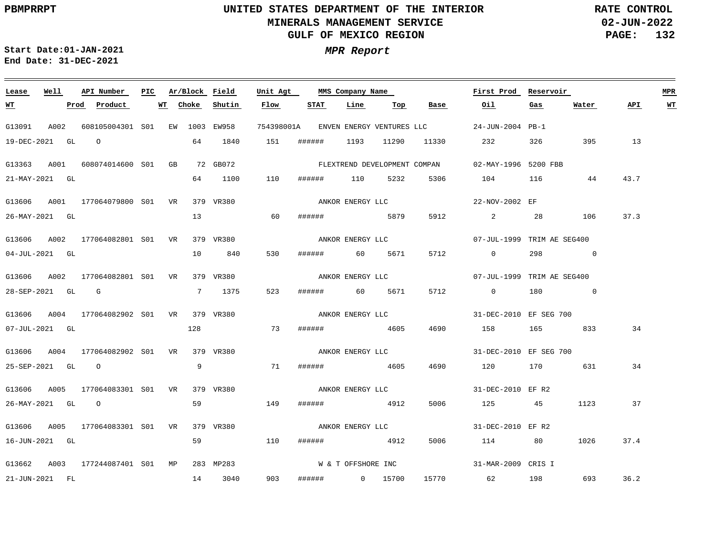**02-JUN-2022 PAGE: 132 RATE CONTROL**

<u> 1980 - Jan Barbara Barat, politik a</u>

**Start Date:01-JAN-2021 MPR Report End Date: 31-DEC-2021**

<u> 1989 - Johann Stein, marwolaethau a bhann an t-Amhair an t-Amhair an t-Amhair an t-Amhair an t-Amhair an t-A</u>

| Lease             | Well | API Number                                | PIC. |          | Ar/Block Field | Unit Agt |        | MMS Company Name             |         |                                      | First Prod                                                                                                                                                                                                                                                                                                                                                                                            | Reservoir                                                                                                                                                                                                                       |          |      | MPR       |
|-------------------|------|-------------------------------------------|------|----------|----------------|----------|--------|------------------------------|---------|--------------------------------------|-------------------------------------------------------------------------------------------------------------------------------------------------------------------------------------------------------------------------------------------------------------------------------------------------------------------------------------------------------------------------------------------------------|---------------------------------------------------------------------------------------------------------------------------------------------------------------------------------------------------------------------------------|----------|------|-----------|
| <u>WT</u>         |      | <u>Prod</u> Product                       |      | WT Choke | Shutin         | Flow     | STAT   | Line                         | Тор     | Base                                 | Oil                                                                                                                                                                                                                                                                                                                                                                                                   | Gas                                                                                                                                                                                                                             | Water    | API  | <u>WT</u> |
| G13091            | A002 | 608105004301 S01 EW 1003 EW958            |      |          |                |          |        |                              |         | 754398001A ENVEN ENERGY VENTURES LLC | 24-JUN-2004 PB-1                                                                                                                                                                                                                                                                                                                                                                                      |                                                                                                                                                                                                                                 |          |      |           |
| 19-DEC-2021 GL    |      | $\Omega$                                  |      | 64       | 1840           | 151      | ###### | 1193                         | 11290   | 11330                                | 232                                                                                                                                                                                                                                                                                                                                                                                                   | 326                                                                                                                                                                                                                             | 395      | 13   |           |
| G13363            |      | A001 608074014600 S01 GB                  |      |          | 72 GB072       |          |        | FLEXTREND DEVELOPMENT COMPAN |         |                                      | 02-MAY-1996 5200 FBB                                                                                                                                                                                                                                                                                                                                                                                  |                                                                                                                                                                                                                                 |          |      |           |
| 21-MAY-2021 GL    |      |                                           |      | 64       | 1100           | 110      | ###### | 110                          | 5232    | 5306                                 | 104 116                                                                                                                                                                                                                                                                                                                                                                                               |                                                                                                                                                                                                                                 | 44       | 43.7 |           |
|                   |      | G13606 A001 177064079800 S01 VR 379 VR380 |      |          |                |          |        | ANKOR ENERGY LLC             |         |                                      | 22-NOV-2002 EF                                                                                                                                                                                                                                                                                                                                                                                        |                                                                                                                                                                                                                                 |          |      |           |
| 26-MAY-2021 GL    |      |                                           |      | 13       |                | 60       |        | ####### 5879                 |         | 5912                                 | $\overline{\mathbf{a}}$ and $\overline{\mathbf{a}}$ and $\overline{\mathbf{a}}$ and $\overline{\mathbf{a}}$ and $\overline{\mathbf{a}}$ and $\overline{\mathbf{a}}$ and $\overline{\mathbf{a}}$ and $\overline{\mathbf{a}}$ and $\overline{\mathbf{a}}$ and $\overline{\mathbf{a}}$ and $\overline{\mathbf{a}}$ and $\overline{\mathbf{a}}$ and $\overline{\mathbf{a}}$ and $\overline{\mathbf{a}}$ a | 28                                                                                                                                                                                                                              | 106      | 37.3 |           |
|                   |      | G13606 A002 177064082801 S01 VR           |      |          | 379 VR380      |          |        | ANKOR ENERGY LLC             |         |                                      | 07-JUL-1999 TRIM AE SEG400                                                                                                                                                                                                                                                                                                                                                                            |                                                                                                                                                                                                                                 |          |      |           |
| $04$ -JUL-2021 GL |      |                                           |      | 10       | 840            | 530      | ###### |                              | 60 5671 | 5712                                 | $\overline{0}$                                                                                                                                                                                                                                                                                                                                                                                        | 298                                                                                                                                                                                                                             | $\sim$ 0 |      |           |
|                   |      | G13606 A002 177064082801 S01 VR 379 VR380 |      |          |                |          |        | ANKOR ENERGY LLC             |         |                                      | 07-JUL-1999 TRIM AE SEG400                                                                                                                                                                                                                                                                                                                                                                            |                                                                                                                                                                                                                                 |          |      |           |
|                   |      | $28 - SEP - 2021$ GL G                    |      |          | 7 1375         | 523      |        | ####### 60 5671              |         | 5712                                 | $\overline{0}$                                                                                                                                                                                                                                                                                                                                                                                        | 180                                                                                                                                                                                                                             | $\sim$ 0 |      |           |
|                   |      | G13606 A004 177064082902 S01 VR 379 VR380 |      |          |                |          |        | ANKOR ENERGY LLC             |         |                                      | 31-DEC-2010 EF SEG 700                                                                                                                                                                                                                                                                                                                                                                                |                                                                                                                                                                                                                                 |          |      |           |
| 07-JUL-2021 GL    |      |                                           |      | 128      |                | 73       | ###### | 4605                         |         | 4690                                 | 158                                                                                                                                                                                                                                                                                                                                                                                                   |                                                                                                                                                                                                                                 | 165 833  | 34   |           |
|                   |      | G13606 A004 177064082902 S01 VR 379 VR380 |      |          |                |          |        | ANKOR ENERGY LLC             |         |                                      | 31-DEC-2010 EF SEG 700                                                                                                                                                                                                                                                                                                                                                                                |                                                                                                                                                                                                                                 |          |      |           |
| 25-SEP-2021 GL 0  |      |                                           |      | 9        |                | 71       |        | ####### 4605                 |         | 4690                                 | 120                                                                                                                                                                                                                                                                                                                                                                                                   | 170 — 170 — 170 — 170 — 170 — 170 — 170 — 170 — 170 — 170 — 170 — 171 — 171 — 172 — 172 — 172 — 173 — 174 — 175 — 176 — 177 — 177 — 177 — 177 — 177 — 177 — 177 — 177 — 177 — 177 — 177 — 177 — 177 — 177 — 177 — 177 — 177 — 1 | 631      | 34   |           |
| G13606            |      | A005 177064083301 S01 VR                  |      |          | 379 VR380      |          |        | ANKOR ENERGY LLC             |         |                                      | 31-DEC-2010 EF R2                                                                                                                                                                                                                                                                                                                                                                                     |                                                                                                                                                                                                                                 |          |      |           |
| 26-MAY-2021 GL    |      | $\circ$                                   |      | 59       |                | 149      | ###### | 4912                         |         | 5006                                 | 125 45                                                                                                                                                                                                                                                                                                                                                                                                |                                                                                                                                                                                                                                 | 1123     | 37   |           |
|                   |      | G13606 A005 177064083301 S01 VR           |      |          | 379 VR380      |          |        | ANKOR ENERGY LLC             |         |                                      | 31-DEC-2010 EF R2                                                                                                                                                                                                                                                                                                                                                                                     |                                                                                                                                                                                                                                 |          |      |           |
| 16-JUN-2021 GL    |      |                                           |      | 59       |                | 110      |        | ####### 4912                 |         | 5006                                 | 114                                                                                                                                                                                                                                                                                                                                                                                                   | 80                                                                                                                                                                                                                              | 1026     | 37.4 |           |
|                   |      | G13662 A003 177244087401 S01 MP           |      |          | 283 MP283      |          |        | W & T OFFSHORE INC           |         |                                      | 31-MAR-2009 CRIS I                                                                                                                                                                                                                                                                                                                                                                                    |                                                                                                                                                                                                                                 |          |      |           |
| 21-JUN-2021 FL    |      |                                           |      |          | 14 3040        | 903      |        | ####### 0 15700              |         | 15770                                | 62 198                                                                                                                                                                                                                                                                                                                                                                                                |                                                                                                                                                                                                                                 | 693      | 36.2 |           |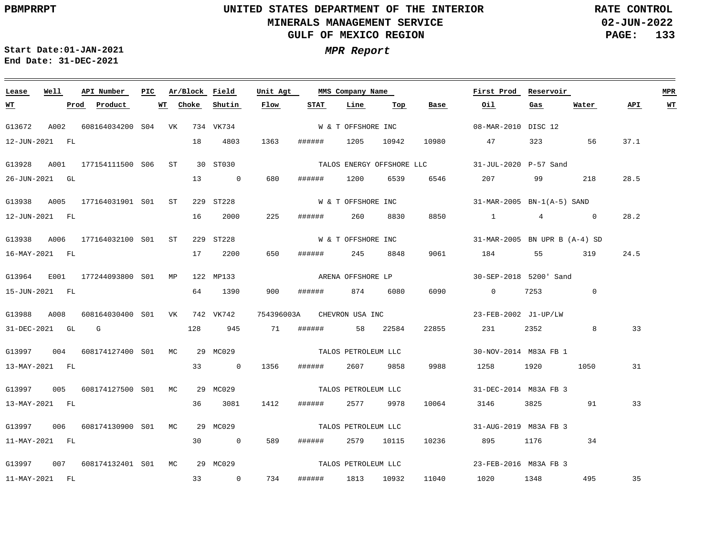**02-JUN-2022 PAGE: 133 RATE CONTROL**

 $\equiv$ 

**Start Date:01-JAN-2021 MPR Report End Date: 31-DEC-2021**

<u> 1989 - Johann Stein, marwolaethau a bhann an t-Amhair an t-Amhair an t-Amhair an t-Amhair an t-Amhair an t-A</u>

| Lease          | Well | API Number                                | PIC | Ar/Block Field |                | Unit Agt   |        | MMS Company Name    |            |       | First Prod                                      | Reservoir                                                                                                                                                                                                                       |                |      | MPR       |
|----------------|------|-------------------------------------------|-----|----------------|----------------|------------|--------|---------------------|------------|-------|-------------------------------------------------|---------------------------------------------------------------------------------------------------------------------------------------------------------------------------------------------------------------------------------|----------------|------|-----------|
| <u>WT</u>      |      | Prod Product                              |     | WT Choke       | Shutin         | Flow       | STAT   | Line                | Тор        | Base  | Oil                                             | $\frac{Gas}{2}$                                                                                                                                                                                                                 | Water          | API  | <b>WT</b> |
| G13672         | A002 | 608164034200 S04 VK 734 VK734             |     |                |                |            |        | W & T OFFSHORE INC  |            |       | 08-MAR-2010 DISC 12                             |                                                                                                                                                                                                                                 |                |      |           |
| 12-JUN-2021 FL |      |                                           |     | 18             | 4803           | 1363       |        | ###### 1205 10942   |            | 10980 | 47                                              | 323 and $\overline{a}$                                                                                                                                                                                                          | 56             | 37.1 |           |
| G13928         |      | A001 177154111500 S06 ST                  |     |                | 30 ST030       |            |        |                     |            |       | TALOS ENERGY OFFSHORE LLC 31-JUL-2020 P-57 Sand |                                                                                                                                                                                                                                 |                |      |           |
| 26-JUN-2021 GL |      |                                           |     | 13             | $\overline{0}$ | 680        | ###### | 1200                | 6539       | 6546  | 207                                             | 99 — 100 — 100 — 100 — 100 — 100 — 100 — 100 — 100 — 100 — 100 — 100 — 100 — 100 — 100 — 100 — 100 — 100 — 100 — 100 — 100 — 100 — 100 — 100 — 100 — 100 — 100 — 100 — 100 — 100 — 100 — 100 — 100 — 100 — 100 — 100 — 100 — 10 | 218            | 28.5 |           |
|                |      | G13938 A005 177164031901 S01 ST           |     |                | 229 ST228      |            |        | W & T OFFSHORE INC  |            |       | 31-MAR-2005 BN-1(A-5) SAND                      |                                                                                                                                                                                                                                 |                |      |           |
| 12-JUN-2021 FL |      |                                           |     | 16             | 2000           | 225        |        | ###### 260 8830     |            | 8850  | $1$ 4 0                                         |                                                                                                                                                                                                                                 |                | 28.2 |           |
|                |      | G13938 A006 177164032100 S01 ST           |     |                | 229 ST228      |            |        | W & T OFFSHORE INC  |            |       | 31-MAR-2005 BN UPR B (A-4) SD                   |                                                                                                                                                                                                                                 |                |      |           |
| 16-MAY-2021 FL |      |                                           |     | 17             | 2200           | 650        | ###### | 245 8848            |            | 9061  | 184                                             |                                                                                                                                                                                                                                 | 319            | 24.5 |           |
|                |      | G13964 E001 177244093800 S01 MP 122 MP133 |     |                |                |            |        | ARENA OFFSHORE LP   |            |       | 30-SEP-2018 5200' Sand                          |                                                                                                                                                                                                                                 |                |      |           |
| 15-JUN-2021 FL |      |                                           |     | 64             | 1390           | 900        |        | ####### 874 6080    |            | 6090  | $\overline{0}$                                  | 7253                                                                                                                                                                                                                            | $\overline{0}$ |      |           |
|                |      | G13988 A008 608164030400 S01 VK 742 VK742 |     |                |                | 754396003A |        | CHEVRON USA INC     |            |       | 23-FEB-2002 J1-UP/LW                            |                                                                                                                                                                                                                                 |                |      |           |
| 31-DEC-2021 GL |      | <b>G</b>                                  |     | 128            | 945            | 71         |        | ####### 58 22584    |            | 22855 | 231                                             | 2352 and 2352                                                                                                                                                                                                                   | 8              | 33   |           |
|                |      | G13997 004 608174127400 S01 MC 29 MC029   |     |                |                |            |        | TALOS PETROLEUM LLC |            |       | 30-NOV-2014 M83A FB 1                           |                                                                                                                                                                                                                                 |                |      |           |
| 13-MAY-2021 FL |      |                                           |     | 33             | $\sim$ 0       | 1356       | ###### |                     | 2607 9858  | 9988  | 1258 1920                                       |                                                                                                                                                                                                                                 | 1050           | 31   |           |
|                |      | G13997 005 608174127500 S01 MC            |     |                | 29 MC029       |            |        | TALOS PETROLEUM LLC |            |       | 31-DEC-2014 M83A FB 3                           |                                                                                                                                                                                                                                 |                |      |           |
| 13-MAY-2021 FL |      |                                           |     | 36             | 3081           | 1412       | ###### | 2577 9978           |            | 10064 | 3146                                            | 3825 389                                                                                                                                                                                                                        | 91             | 33   |           |
|                |      | G13997 006 608174130900 S01 MC            |     |                | 29 MC029       |            |        | TALOS PETROLEUM LLC |            |       | 31-AUG-2019 M83A FB 3                           |                                                                                                                                                                                                                                 |                |      |           |
| 11-MAY-2021 FL |      |                                           |     | 30             | $\overline{0}$ | 589        | ###### |                     | 2579 10115 | 10236 | 895 — 1                                         | 1176 — 1176 — 117                                                                                                                                                                                                               | 34             |      |           |
|                |      |                                           |     |                |                |            |        |                     |            |       |                                                 |                                                                                                                                                                                                                                 |                |      |           |
|                |      | G13997 007 608174132401 S01 MC            |     |                | 29 MC029       |            |        | TALOS PETROLEUM LLC |            |       | 23-FEB-2016 M83A FB 3                           |                                                                                                                                                                                                                                 |                |      |           |
| 11-MAY-2021 FL |      |                                           |     | 33             | $\overline{0}$ | 734        |        | ###### 1813 10932   |            | 11040 | 1020 1348 495                                   |                                                                                                                                                                                                                                 |                | 35   |           |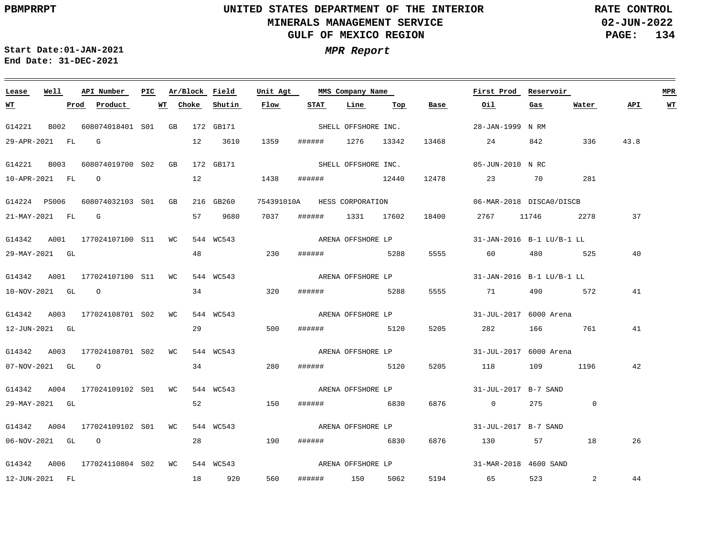**02-JUN-2022 PAGE: 134 RATE CONTROL**

 $\equiv$ 

**Start Date:01-JAN-2021 MPR Report End Date: 31-DEC-2021**

| Lease            | Well | API Number                       | PIC |    | Ar/Block Field |                        | Unit Agt |        | MMS Company Name            |      |       | First Prod                | Reservoir      |                | <b>MPR</b> |           |
|------------------|------|----------------------------------|-----|----|----------------|------------------------|----------|--------|-----------------------------|------|-------|---------------------------|----------------|----------------|------------|-----------|
| <u>WT</u>        |      | Prod Product                     |     | WT | Choke          | Shutin                 | Flow     | STAT   | Line                        | Top  | Base  | Oil                       | Gas            | Water          | API.       | <u>WT</u> |
| G14221           | B002 | 608074018401 S01 GB 172 GB171    |     |    |                |                        |          |        | SHELL OFFSHORE INC.         |      |       | 28-JAN-1999 N RM          |                |                |            |           |
|                  |      | 29-APR-2021 FL G                 |     |    |                | 12 3610                | 1359     |        | ###### 1276 13342           |      | 13468 | 24                        | 842            | 336            | 43.8       |           |
| G14221 B003      |      | 608074019700 S02 GB              |     |    |                | 172 GB171              |          |        | SHELL OFFSHORE INC.         |      |       | 05-JUN-2010 N RC          |                |                |            |           |
| 10-APR-2021 FL 0 |      |                                  |     |    |                | 12                     | 1438     | ###### | 12440                       |      |       | 12478 23                  | 70 281         |                |            |           |
|                  |      | G14224 PS006 608074032103 S01 GB |     |    |                | 216 GB260              |          |        | 754391010A HESS CORPORATION |      |       | 06-MAR-2018 DISCA0/DISCB  |                |                |            |           |
|                  |      | $21 - \text{MAY} - 2021$ FL G    |     |    |                | 57 9680                | 7037     |        | ###### 1331 17602           |      |       | 18400 2767 11746 2278     |                |                | 37         |           |
|                  |      | G14342 A001 177024107100 S11 WC  |     |    |                | 544 WC543              |          |        | ARENA OFFSHORE LP           |      |       | 31-JAN-2016 B-1 LU/B-1 LL |                |                |            |           |
| 29-MAY-2021 GL   |      |                                  |     |    |                | 48 230                 |          | ###### | 5288                        |      |       | 5555 60                   | 480 525        |                | 40         |           |
|                  |      | G14342 A001 177024107100 S11 WC  |     |    |                | 544 WC543              |          |        | ARENA OFFSHORE LP           |      |       | 31-JAN-2016 B-1 LU/B-1 LL |                |                |            |           |
| 10-NOV-2021 GL 0 |      |                                  |     |    |                | 34                     | 320      |        | ####### 5288                |      | 5555  | 71                        | 490 572        |                | 41         |           |
|                  |      | G14342 A003 177024108701 S02 WC  |     |    |                | 544 WC543              |          |        | ARENA OFFSHORE LP           |      |       | 31-JUL-2017 6000 Arena    |                |                |            |           |
| 12-JUN-2021 GL   |      |                                  |     |    |                | 29                     | 500      |        | ####### 5120                |      | 5205  | 282                       | 166 761        |                | 41         |           |
|                  |      | G14342 A003 177024108701 S02 WC  |     |    |                | 544 WC543              |          |        | ARENA OFFSHORE LP           |      |       | 31-JUL-2017 6000 Arena    |                |                |            |           |
|                  |      | 07-NOV-2021 GL O                 |     |    |                | 34 and $\overline{34}$ | 280      |        | ####### 5120                |      | 5205  | 118 109                   |                | 1196           | 42         |           |
|                  |      | G14342 A004 177024109102 S01 WC  |     |    |                | 544 WC543              |          |        | ARENA OFFSHORE LP           |      |       | 31-JUL-2017 B-7 SAND      |                |                |            |           |
| 29-MAY-2021 GL   |      |                                  |     |    |                | 52                     | 150      | ###### | 6830                        |      | 6876  | $\overline{0}$            | 275 0          |                |            |           |
|                  |      | G14342 A004 177024109102 S01 WC  |     |    |                | 544 WC543              |          |        | ARENA OFFSHORE LP           |      |       | 31-JUL-2017 B-7 SAND      |                |                |            |           |
| 06-NOV-2021 GL 0 |      |                                  |     |    |                | 28 190                 |          |        | ###### 6830                 |      | 6876  | 130                       | 57 — 17        | 18             | 26         |           |
|                  |      |                                  |     |    |                |                        |          |        |                             |      |       |                           |                |                |            |           |
|                  |      | G14342 A006 177024110804 S02 WC  |     |    |                | 544 WC543              |          |        | ARENA OFFSHORE LP           |      |       | 31-MAR-2018 4600 SAND     |                |                |            |           |
| 12-JUN-2021 FL   |      |                                  |     |    |                | 18 920                 | 560      |        | ###### 150                  | 5062 |       | 5194 65                   | 523 and $\sim$ | $\overline{2}$ | 44         |           |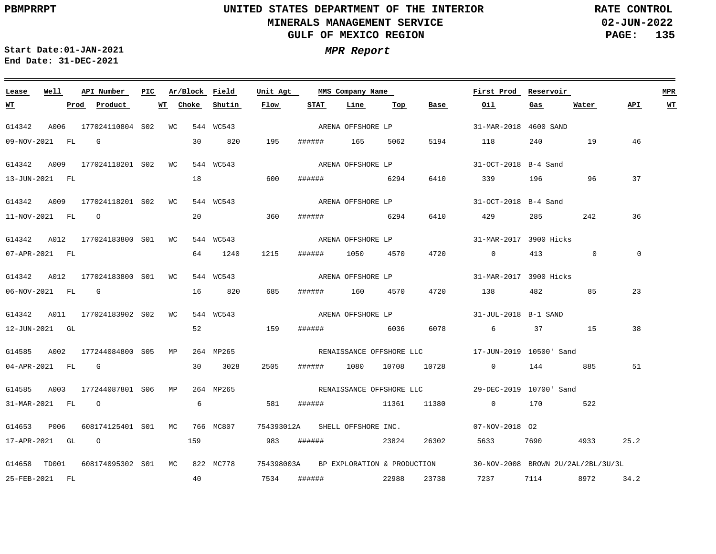**02-JUN-2022 PAGE: 135 RATE CONTROL**

**Start Date:01-JAN-2021 MPR Report End Date: 31-DEC-2021**

### <u> 1989 - Andrea Barbara, Amerikaansk politiker (d. 1989)</u> **Lease Well API Number Ar/Block Field Unit Agt PIC MMS Company Name First Prod Reservoir MPR Choke Shutin Flow STAT Line Top API WT WT Prod Product WT Base Oil Gas Water** ARENA OFFSHORE LP G14342 A006 177024110804 S02 WC 544 WC543 31-MAR-2018 4600 SAND 5194 09-NOV-2021 FL G 30 820 195 ###### 165 5062 118 240 19 46 ARENA OFFSHORE LP G14342 A009 177024118201 S02 WC 544 WC543 31-OCT-2018 B-4 Sand 18 600 37 13-JUN-2021 FL ###### 6294 6410 339 196 96 ARENA OFFSHORE LP G14342 A009 177024118201 S02 WC 544 WC543 31-OCT-2018 B-4 Sand 20 36 11-NOV-2021 FL O 360 ###### 6294 6410 429 285 242 G14342 A012 177024183800 S01 WC 544 WC543 31-MAR-2017 3900 Hicks ARENA OFFSHORE LP 1215 0  $\overline{0}$ 07-APR-2021 FL 64 1240 ###### 1050 4570 4720 0 413 ARENA OFFSHORE LP G14342 A012 177024183800 S01 WC 544 WC543 31-MAR-2017 3900 Hicks 482 85 23 06-NOV-2021 FL G 16 820 685 ###### 160 4570 4720 138 G14342 A011 177024183902 S02 WC 544 WC543 31-JUL-2018 B-1 SAND ARENA OFFSHORE LP 52 159 38 12-JUN-2021 GL ###### 6036 6078 6 37 15 G14585 A002 177244084800 S05 MP 264 MP265 17-JUN-2019 10500' Sand RENAISSANCE OFFSHORE LLC 04-APR-2021 FL G 30 3028 2505 ###### 1080 10708 10728 0 144 885 51 G14585 A003 177244087801 S06 MP 264 MP265 29-DEC-2019 10700' Sand RENAISSANCE OFFSHORE LLC 6 31-MAR-2021 FL O 581 ###### 11361 11380 0 170 522 G14653 P006 608174125401 S01 MC 766 MC807 754393012A SHELL OFFSHORE INC. 07-NOV-2018 O2 17-APR-2021 GL O 159 983 ###### 23824 26302 5633 7690 4933 25.2 G14658 TD001 608174095302 S01 MC 822 MC778 754398003A BP EXPLORATION & PRODUCTION 30-NOV-2008 BROWN 2U/2AL/2BL/3U/3L 40 25-FEB-2021 FL 7534 ###### 22988 23738 7237 7114 8972 34.2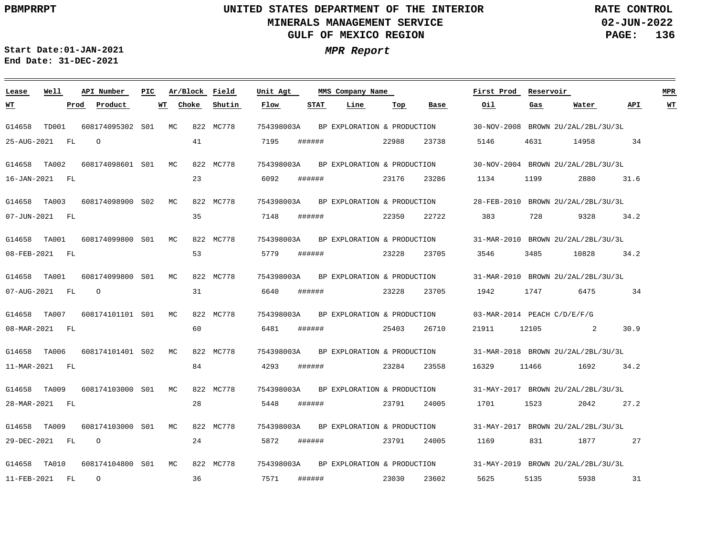<u> 1989 - Johann Stoff, deutscher Stoff, der Stoff, der Stoff, der Stoff, der Stoff, der Stoff, der Stoff, der S</u>

**02-JUN-2022 PAGE: 136 RATE CONTROL**

**Start Date:01-JAN-2021 MPR Report End Date: 31-DEC-2021**

### G14658 TD001 G14658 TA002 G14658 TA003 G14658 TA001 G14658 TA001 G14658 TA007 G14658 TA006 G14658 TA009 G14658 TA009 G14658 TA010 **Lease Well** 608174095302 MC S01 608174098601 MC S01 608174098900 S02 608174099800 S01 608174099800 S01 608174101101 S01 608174101401 S02 608174103000 S01 608174103000 S01 608174104800 MC S01**API Number Ar/Block Field PIC MMS Company Name**  $MC$  $MC$  $MC$  $MC$  $M<sup>C</sup>$ MC  $MC$  822 MC778 822 MC778 822 MC778 822 MC778 822 MC778 822 MC778 822 MC778 822 MC778 822 MC778 822 MC778 754398003A 754398003A 754398003A 754398003A 754398003A 754398003A 754398003A 754398003A 754398003A 754398003A **Unit Agt**  30-NOV-2008 BROWN 2U/2AL/2BL/3U/3L 30-NOV-2004 BROWN 2U/2AL/2BL/3U/3L 28-FEB-2010 BROWN 2U/2AL/2BL/3U/3L 31-MAR-2010 BROWN 2U/2AL/2BL/3U/3L 31-MAR-2010 BROWN 2U/2AL/2BL/3U/3L 03-MAR-2014 PEACH C/D/E/F/G 31-MAR-2018 BROWN 2U/2AL/2BL/3U/3L 31-MAY-2017 BROWN 2U/2AL/2BL/3U/3L 31-MAY-2017 BROWN 2U/2AL/2BL/3U/3L 31-MAY-2019 BROWN 2U/2AL/2BL/3U/3L **First Prod Reservoir MPR** 25-AUG-2021 FL 16-JAN-2021 FL 07-JUN-2021 FL 08-FEB-2021 FL 07-AUG-2021 FL 08-MAR-2021 FL 11-MAR-2021 FL 28-MAR-2021 FL 29-DEC-2021 FL 11-FEB-2021 FL **WT Prod Product WT**  $\Omega$ O O  $\Omega$ 41 23 35 53 31 60 84 28 24 36 **Choke Shutin** 7195 6092 7148 5779 6640 6481 4293 5448 5872 7571 **Flow** ###### ###### ###### ###### ###### ###### ###### ###### ###### ###### **STAT Line** 22988 23176 22350 23228 23228 25403 23284 23791 23791 23030 **Top** 23738 23286 22722 23705 23705 26710 23558 24005 24005 23602 **Base** 5146 1134 383 3546 1942 21911 16329 1701 1169 5625 **Oil** 4631 1199 728 3485 1747 12105 11466 1523 831 5135 **Gas** 14958 2880 9328 10828 6475  $\overline{2}$ 1692 2042 1877 5938 **Water** 34 31.6 34.2 34.2 34 30.9 34.2 27.2 27 31 **API WT** BP EXPLORATION & PRODUCTION BP EXPLORATION & PRODUCTION BP EXPLORATION & PRODUCTION BP EXPLORATION & PRODUCTION BP EXPLORATION & PRODUCTION BP EXPLORATION & PRODUCTION BP EXPLORATION & PRODUCTION BP EXPLORATION & PRODUCTION BP EXPLORATION & PRODUCTION BP EXPLORATION & PRODUCTION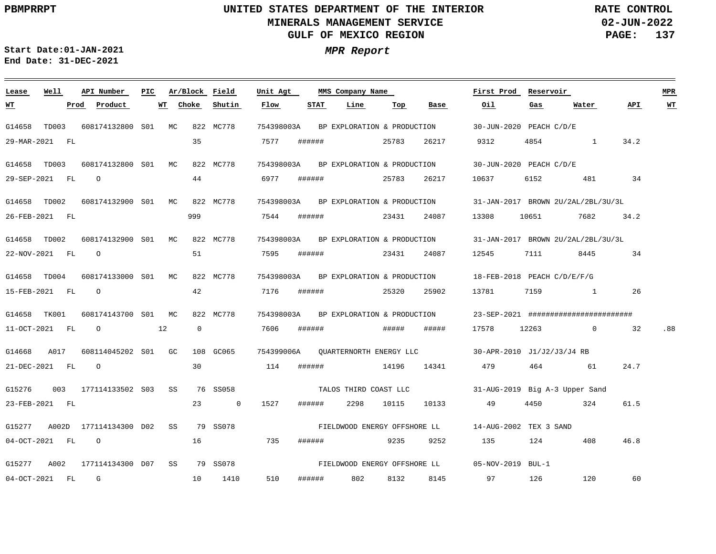**02-JUN-2022 PAGE: 137 RATE CONTROL**

**Start Date:01-JAN-2021 MPR Report End Date: 31-DEC-2021**

### <u> 1989 - Andrea Station Barbara, amerikan personal di sebagai personal di sebagai personal di sebagai personal</u> **Lease Well API Number Ar/Block Field PIC MMS Company Name Unit Agt First Prod Reservoir MPR Shutin Flow STAT Line Top Oil Water API WT Prod Product WT Choke Base Gas WT** 754398003A BP EXPLORATION & PRODUCTION G14658 TD003 608174132800 S01 MC 822 MC778 30-JUN-2020 PEACH C/D/E 35 29-MAR-2021 FL 7577 ###### 25783 26217 9312 4854 1 34.2 G14658 TD003 608174132800 S01 MC 822 MC778 754398003A 30-JUN-2020 PEACH C/D/E BP EXPLORATION & PRODUCTION O 44 6977 ###### 34 29-SEP-2021 FL 25783 26217 10637 6152 481 G14658 TD002 608174132900 S01 MC 822 MC778 754398003A 31-JAN-2017 BROWN 2U/2AL/2BL/3U/3L BP EXPLORATION & PRODUCTION 999 7544 ###### 26-FEB-2021 FL 23431 24087 13308 10651 7682 34.2 G14658 TD002 608174132900 S01 MC 822 MC778 754398003A 31-JAN-2017 BROWN 2U/2AL/2BL/3U/3L BP EXPLORATION & PRODUCTION 51 22-NOV-2021 FL O 7595 ###### 23431 24087 12545 7111 8445 34 G14658 TD004 608174133000 S01 MC 822 MC778 754398003A 18-FEB-2018 PEACH C/D/E/F/G BP EXPLORATION & PRODUCTION O 42 7176 ###### 15-FEB-2021 FL 25320 25902 13781 7159 1 26 G14658 TK001 608174143700 S01 MC 822 MC778 754398003A 23-SEP-2021 ######################## BP EXPLORATION & PRODUCTION  $\overline{0}$ .88 11-OCT-2021 FL O 12 7606 ###### ##### ##### 17578 12263 0 32 G14668 A017 608114045202 S01 GC 108 GC065 754399006A 30-APR-2010 J1/J2/J3/J4 RB QUARTERNORTH ENERGY LLC 30 21-DEC-2021 FL O 114 ###### 14196 14341 479 464 61 24.7 G15276 003 177114133502 S03 SS 76 SS058 31-AUG-2019 Big A-3 Upper Sand TALOS THIRD COAST LLC 10133 61.5 23-FEB-2021 FL 23 0 1527 ###### 2298 10115 49 4450 324 FIELDWOOD ENERGY OFFSHORE LL G15277 A002D 177114134300 D02 SS 79 SS078 14-AUG-2002 TEX 3 SAND 04-OCT-2021 FL O 16 735 ###### 9235 9252 135 124 408 46.8 FIELDWOOD ENERGY OFFSHORE LL G15277 A002 177114134300 D07 SS 79 SS078 05-NOV-2019 BUL-1 G 510 60 04-OCT-2021 FL 10 1410 ###### 802 8132 8145 97 126 120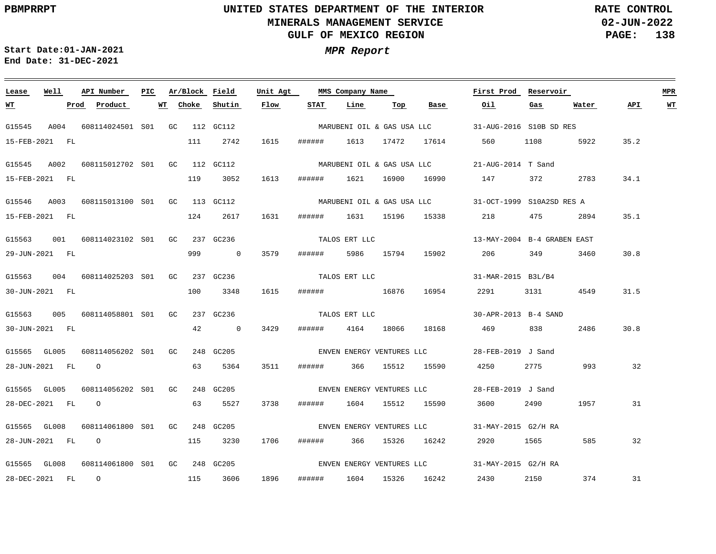**02-JUN-2022 PAGE: 138 RATE CONTROL**

**Start Date:01-JAN-2021 MPR Report End Date: 31-DEC-2021**

### G15545 A004 608114024501 S01 GC 112 GC112 G15545 A002 608115012702 S01 GC 112 GC112 G15546 A003 608115013100 S01 GC 113 GC112 G15563 001 608114023102 S01 GC 237 GC236 G15563 004 608114025203 S01 GC 237 GC236 G15563 005 608114058801 S01 GC 237 GC236 G15565 GL005 608114056202 S01 GC 248 GC205 G15565 GL005 608114056202 S01 GC 248 GC205 G15565 GL008 G15565 GL008 608114061800 S01 GC 248 GC205 **Lease Well API Number Ar/Block** 608114061800 S01 GC 248 GC205 **Field Unit Agt First Prod Reservoir MPR PIC MMS Company Name** 31-AUG-2016 S10B SD RES MARUBENI OIL & GAS USA LLC 21-AUG-2014 T Sand MARUBENI OIL & GAS USA LLC 31-OCT-1999 S10A2SD RES A MARUBENI OIL & GAS USA LLC 13-MAY-2004 B-4 GRABEN EAST 31-MAR-2015 B3L/B4 30-APR-2013 B-4 SAND 28-FEB-2019 J Sand ENVEN ENERGY VENTURES LLC 28-FEB-2019 J Sand ENVEN ENERGY VENTURES LLC 31-MAY-2015 G2/H RA ENVEN ENERGY VENTURES LLC 31-MAY-2015 G2/H RA ENVEN ENERGY VENTURES LLC 15-FEB-2021 FL 15-FEB-2021 FL 15-FEB-2021 FL 29-JUN-2021 FL 30-JUN-2021 FL 30-JUN-2021 FL 28-JUN-2021 FL O 28-DEC-2021 FL 28-JUN-2021 FL O 28-DEC-2021 FL O **WT Prod Product WT** O 111 119 3052 124 999 100 42 63 5364 63 5527 115 3230 1706 ###### 366 15326 16242 115 3606 **Choke** 2742 2617 1631 ###### 1631 15196 15338 218 475 0 3579 3348 0 3429 **Shutin** 1615 ###### 1613 17472 17614 1613 ###### 1621 16900 16990 147 372 2783 34.1 1615 ###### 16876 16954 2291 3131 4549 31.5 3511 ###### 366 15512 15590 4250 2775 993 32 3738 1896 **Flow** ###### 5986 15794 15902 206 349 3460 ###### 4164 18066 ###### 1604 15512 15590 3600 2490 ###### 1604 15326 16242 **STAT Line Top** 18168 469 838 **Base Oil** 560 1108 5922 35.2 2920 1565 585 2430 2150 374 **Gas** 2894 35.1 2486 1957 **Water** 30.8 30.8 31 32 31 **API WT** TALOS ERT LLC TALOS ERT LLC TALOS ERT LLC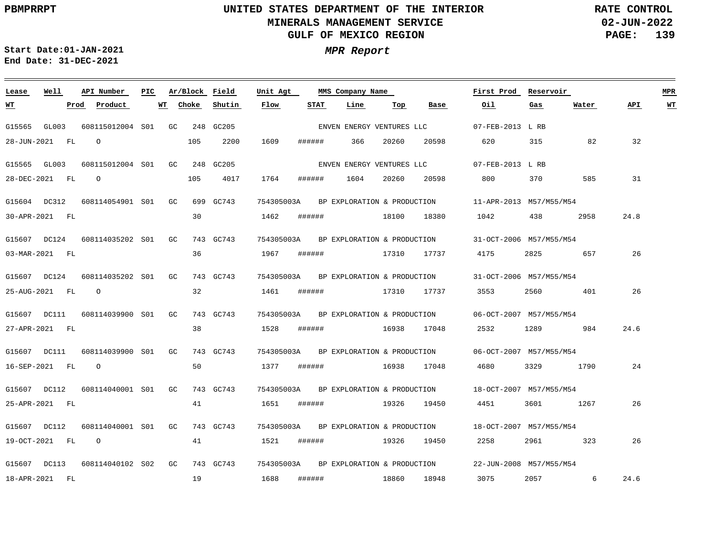**Lease Well**

## **UNITED STATES DEPARTMENT OF THE INTERIOR MINERALS MANAGEMENT SERVICE GULF OF MEXICO REGION**

**02-JUN-2022 PAGE: 139 RATE CONTROL**

<u> 1980 - Jan Barat, politik amerikan politik (</u>

**First Prod Reservoir MPR**

**Start Date:01-JAN-2021 MPR Report End Date: 31-DEC-2021**

### **API Number Ar/Block Field Unit Agt PIC MMS Company Name Flow STAT Line Top**

| <u> WТ</u>   | Prod           | Product             | WТ | Choke |           | Shutin | Flow       | STAT   | Line                        | Top   | Base                        | 0il                     | Gas      | Water | API  | WT |
|--------------|----------------|---------------------|----|-------|-----------|--------|------------|--------|-----------------------------|-------|-----------------------------|-------------------------|----------|-------|------|----|
| G15565       | GL003          | 608115012004 S01 GC |    |       | 248       | GC205  |            |        | ENVEN ENERGY VENTURES LLC   |       |                             | 07-FEB-2013 L RB        |          |       |      |    |
|              | 28-JUN-2021 FL | $\Omega$            |    | 105   |           | 2200   | 1609       | ###### | 366                         | 20260 | 20598                       | 620                     | 315      | 82    | 32   |    |
|              | G15565 GL003   | 608115012004 S01 GC |    |       | 248 GC205 |        |            |        |                             |       | ENVEN ENERGY VENTURES LLC   | 07-FEB-2013 L RB        |          |       |      |    |
|              | 28-DEC-2021 FL | $\Omega$            |    | 105   |           | 4017   | 1764       | ###### | 1604                        | 20260 | 20598                       | 800                     | 370      | 585   | 31   |    |
|              | G15604 DC312   | 608114054901 S01 GC |    |       | 699 GC743 |        | 754305003A |        | BP EXPLORATION & PRODUCTION |       |                             | 11-APR-2013 M57/M55/M54 |          |       |      |    |
|              | 30-APR-2021 FL |                     |    |       | 30        |        | 1462       | ###### |                             | 18100 | 18380                       | 1042                    | 438      | 2958  | 24.8 |    |
|              | G15607 DC124   | 608114035202 S01 GC |    |       | 743 GC743 |        | 754305003A |        | BP EXPLORATION & PRODUCTION |       |                             | 31-OCT-2006 M57/M55/M54 |          |       |      |    |
|              | 03-MAR-2021 FL |                     |    |       | 36        |        | 1967       | ###### |                             | 17310 | 17737                       | 4175                    | 2825     | 657   | 26   |    |
| G15607 DC124 |                | 608114035202 S01 GC |    |       | 743 GC743 |        | 754305003A |        |                             |       | BP EXPLORATION & PRODUCTION | 31-OCT-2006 M57/M55/M54 |          |       |      |    |
|              | 25-AUG-2021 FL | $\Omega$            |    |       | 32        |        | 1461       | ###### |                             | 17310 | 17737                       | 3553                    | 2560     | 401   | 26   |    |
|              | G15607 DC111   | 608114039900 S01 GC |    |       | 743 GC743 |        | 754305003A |        | BP EXPLORATION & PRODUCTION |       |                             | 06-OCT-2007 M57/M55/M54 |          |       |      |    |
|              | 27-APR-2021 FL |                     |    |       | 38        |        | 1528       | ###### |                             | 16938 | 17048                       | 2532                    |          | 984   | 24.6 |    |
|              | G15607 DC111   | 608114039900 S01 GC |    |       | 743 GC743 |        | 754305003A |        | BP EXPLORATION & PRODUCTION |       |                             | 06-OCT-2007 M57/M55/M54 |          |       |      |    |
|              | 16-SEP-2021 FL | $\circ$             |    |       | 50        |        | 1377       | ###### |                             | 16938 | 17048                       | 4680                    | 3329     | 1790  | 24   |    |
|              | G15607 DC112   | 608114040001 S01 GC |    |       | 743 GC743 |        | 754305003A |        | BP EXPLORATION & PRODUCTION |       |                             | 18-OCT-2007 M57/M55/M54 |          |       |      |    |
|              | 25-APR-2021 FL |                     |    |       | 41        |        | 1651       | ###### |                             | 19326 | 19450                       | 4451                    | 3601     | 1267  | 26   |    |
|              | G15607 DC112   | 608114040001 S01 GC |    |       | 743 GC743 |        | 754305003A |        | BP EXPLORATION & PRODUCTION |       |                             | 18-OCT-2007 M57/M55/M54 |          |       |      |    |
|              | 19-OCT-2021 FL | $\circ$             |    |       | 41        |        | 1521       | ###### |                             | 19326 | 19450                       | 2258                    | 2961 200 | 323   | 26   |    |
|              | G15607 DC113   | 608114040102 S02 GC |    |       | 743 GC743 |        | 754305003A |        | BP EXPLORATION & PRODUCTION |       |                             | 22-JUN-2008 M57/M55/M54 |          |       |      |    |
|              | 18-APR-2021 FL |                     |    |       | 19        |        | 1688       | ###### |                             | 18860 | 18948                       | 3075                    | 2057     | 6     | 24.6 |    |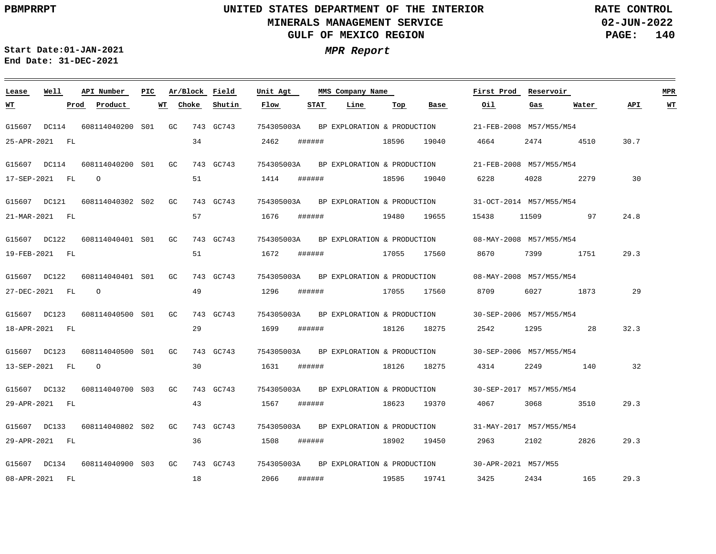**02-JUN-2022 PAGE: 140 RATE CONTROL**

**Start Date:01-JAN-2021 MPR Report End Date: 31-DEC-2021**

### G15607 DC114 G15607 DC114 G15607 DC121 G15607 DC122 G15607 DC122 G15607 DC123 G15607 DC123 G15607 DC132 608114040700 S03 G15607 DC133 G15607 DC134 **Lease Well** 608114040200 GC S01 608114040200 GC S01 608114040302 GC S02 608114040401 GC S01 608114040401 GC S01 608114040500 GC S01 608114040500 S01 608114040802 S02 608114040900 GC 743 GC743 S03**API Number Ar/Block Field PIC MMS Company Name** G<sub>C</sub> GC<sub>1</sub> GC 743 GC743 743 GC743 743 GC743 743 GC743 743 GC743 743 GC743 743 GC743 743 GC743 743 GC743 754305003A 754305003A 754305003A 754305003A 754305003A 754305003A 754305003A 754305003A 754305003A 754305003A **Unit Agt**  21-FEB-2008 M57/M55/M54 21-FEB-2008 M57/M55/M54 31-OCT-2014 M57/M55/M54 08-MAY-2008 M57/M55/M54 08-MAY-2008 M57/M55/M54 30-SEP-2006 M57/M55/M54 30-SEP-2006 M57/M55/M54 30-SEP-2017 M57/M55/M54 31-MAY-2017 M57/M55/M54 30-APR-2021 M57/M55 **First Prod Reservoir MPR** 25-APR-2021 FL 17-SEP-2021 FL 21-MAR-2021 FL 19-FEB-2021 FL 27-DEC-2021 FL 18-APR-2021 FL 13-SEP-2021 FL 29-APR-2021 FL 29-APR-2021 FL 08-APR-2021 FL **WT Prod Product WT** O O O 34 51 57 51 49 29 30 43 36 18 **Choke Shutin** 2462 1414 1676 1672 1296 1699 1631 1567 1508 2066 **Flow** ###### ###### ###### ###### ###### ###### ###### ###### ###### ###### **STAT Line** 18596 18596 19480 17055 17055 18126 18126 18623 18902 19585 **Top** 19040 19040 19655 17560 17560 18275 18275 19370 19450 19741 **Base** 4664 6228 15438 8670 8709 2542 4314 4067 2963 3425 **Oil** 2474 4028 11509 7399 6027 1295 2249 3068 2102 2434 **Gas** 4510 2279 97 1751 1873 28 140 3510 2826 165 **Water** 30.7 30 24.8 29.3 29 32.3 32 29.3 29.3 29.3 **API WT** BP EXPLORATION & PRODUCTION BP EXPLORATION & PRODUCTION BP EXPLORATION & PRODUCTION BP EXPLORATION & PRODUCTION BP EXPLORATION & PRODUCTION BP EXPLORATION & PRODUCTION BP EXPLORATION & PRODUCTION BP EXPLORATION & PRODUCTION BP EXPLORATION & PRODUCTION BP EXPLORATION & PRODUCTION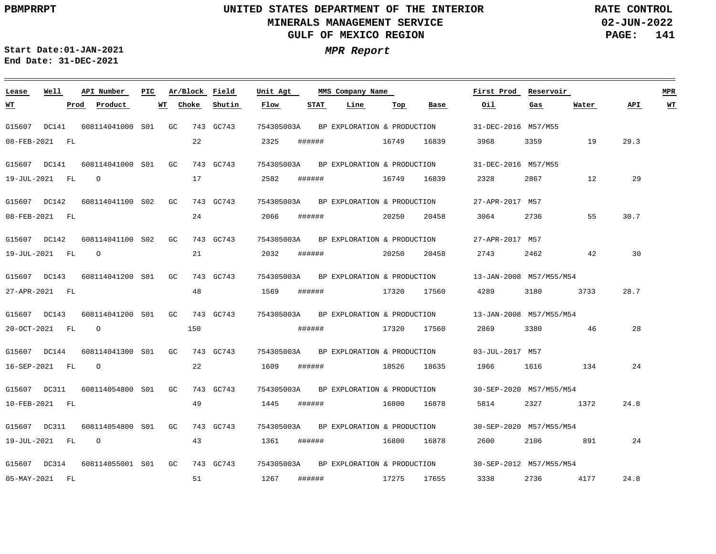**02-JUN-2022 PAGE: 141 RATE CONTROL**

**Start Date:01-JAN-2021 MPR Report End Date: 31-DEC-2021**

### G15607 DC141 G15607 DC141 G15607 DC142 G15607 DC142 G15607 DC143 G15607 DC143 G15607 DC144 G15607 DC311 G15607 DC311 G15607 DC314 **Lease Well** 608114041000 GC S01 608114041000 S01 608114041100 S02 608114041100 S02 608114041200 S01 608114041200 S01 608114041300 S01 608114054800 S01 608114054800 S01 608114055001 GC 743 GC743 S01**API Number Ar/Block Field PIC MMS Company Name** GC GC  $G<sub>C</sub>$ GC  $G<sub>C</sub>$ GC GC GC 743 GC743 743 GC743 743 GC743 743 GC743 743 GC743 743 GC743 743 GC743 743 GC743 743 GC743 754305003A 754305003A 754305003A 754305003A 754305003A 754305003A 754305003A 754305003A 754305003A 754305003A **Unit Agt**  31-DEC-2016 M57/M55 31-DEC-2016 M57/M55 27-APR-2017 M57 27-APR-2017 M57 13-JAN-2008 M57/M55/M54 13-JAN-2008 M57/M55/M54 03-JUL-2017 M57 30-SEP-2020 M57/M55/M54 30-SEP-2020 M57/M55/M54 30-SEP-2012 M57/M55/M54 **First Prod Reservoir MPR** 08-FEB-2021 FL 19-JUL-2021 FL 08-FEB-2021 FL 19-JUL-2021 FL 27-APR-2021 FL 20-OCT-2021 FL 16-SEP-2021 FL 10-FEB-2021 FL 19-JUL-2021 FL 05-MAY-2021 FL **WT Prod Product WT** O O O O O 22 17 24 21 48 150 22 49 43 51 **Choke Shutin** 2325 2582 2066 2032 1569 1609 1445 1361 1267 **Flow** ###### ###### ###### ###### ###### ###### ###### ###### ###### ###### **STAT Line** 16749 16749 20250 20250 17320 17320 18526 16800 16800 17275 **Top** 16839 16839 20458 20458 17560 17560 18635 16878 16878 17655 **Base** 3968 2328 3064 2743 4289 2869 1966 5814 2600 3338 **Oil** 3359 2867 2736 2462 3180 3380 1616 2327 2106 2736 **Gas** 19 12 55 42 3733 46 134 1372 891 4177 **Water** 29.3 29 30.7 30 28.7 28 24 24.8 24 24.8 **API WT** BP EXPLORATION & PRODUCTION BP EXPLORATION & PRODUCTION BP EXPLORATION & PRODUCTION BP EXPLORATION & PRODUCTION BP EXPLORATION & PRODUCTION BP EXPLORATION & PRODUCTION BP EXPLORATION & PRODUCTION BP EXPLORATION & PRODUCTION BP EXPLORATION & PRODUCTION BP EXPLORATION & PRODUCTION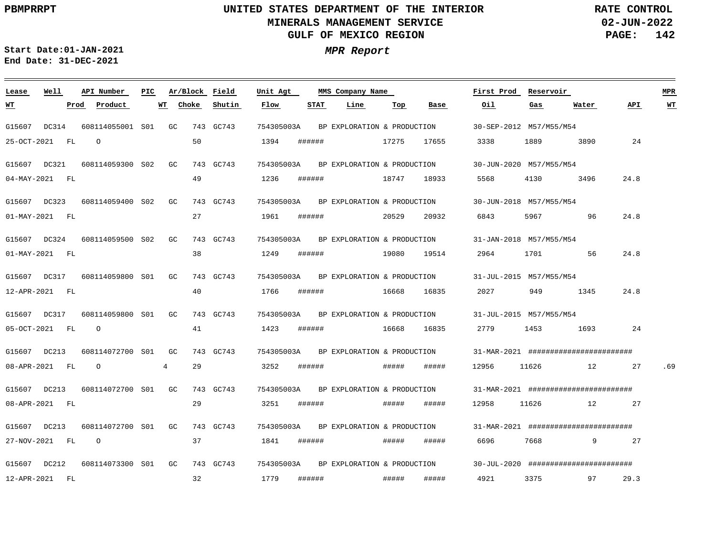**02-JUN-2022 PAGE: 142 RATE CONTROL**

**Start Date:01-JAN-2021 MPR Report End Date: 31-DEC-2021**

### G15607 DC314 G15607 DC321 G15607 DC323 G15607 DC324 G15607 DC317 G15607 DC317 G15607 DC213 G15607 DC213 G15607 DC213 G15607 DC212 **Lease Well** 608114055001 GC S01 608114059300 S02 608114059400 S02 608114059500 S02 608114059800 S01 608114059800 S01 608114072700 S01 608114072700 GC S01 608114072700 S01 608114073300 S01 GC 743 GC743 **API Number Ar/Block Field PIC MMS Company Name** GC GC  $G<sub>C</sub>$ GC GC  $G<sub>C</sub>$ GC 743 GC743 743 GC743 743 GC743 743 GC743 743 GC743 743 GC743 743 GC743 743 GC743 743 GC743 754305003A 754305003A 754305003A 754305003A 754305003A 754305003A 754305003A 754305003A 754305003A 754305003A **Unit Agt**  30-SEP-2012 M57/M55/M54 30-JUN-2020 M57/M55/M54 30-JUN-2018 M57/M55/M54 31-JAN-2018 M57/M55/M54 31-JUL-2015 M57/M55/M54 31-JUL-2015 M57/M55/M54 31-MAR-2021 ######################## 31-MAR-2021 ######################## 31-MAR-2021 ######################## 30-JUL-2020 ######################## **First Prod Reservoir MPR** 25-OCT-2021 FL 04-MAY-2021 FL 01-MAY-2021 FL 01-MAY-2021 FL 12-APR-2021 FL 05-OCT-2021 FL 08-APR-2021 FL 08-APR-2021 FL 27-NOV-2021 FL 12-APR-2021 FL **WT Prod Product**  $\Omega$  $\cap$ O O 4 **WT** 50 49 27 38 40 41 29 29 37 32 **Choke Shutin** 1394 1236 1961 1249 1766 1423 3252 3251 1841 1779 **Flow** ###### ###### ###### ###### ###### ###### ###### ###### ###### ###### **STAT Line** 17275 18747 20529 19080 16668 16668 ##### ##### ##### ##### **Top** 17655 18933 20932 19514 16835 16835 ##### ##### ##### ##### **Base** 3338 5568 6843 2964 2027 2779 12956 12958 6696 4921 **Oil** 1889 4130 5967 1701 949 1453 11626 11626 7668 3375 **Gas** 3890 3496 96 56 1345 1693 12 12 9 97 **Water**  $24$ 24.8 24.8 24.8 24.8 24 27 27 27 29.3 **API** .69 **WT** BP EXPLORATION & PRODUCTION BP EXPLORATION & PRODUCTION BP EXPLORATION & PRODUCTION BP EXPLORATION & PRODUCTION BP EXPLORATION & PRODUCTION BP EXPLORATION & PRODUCTION BP EXPLORATION & PRODUCTION BP EXPLORATION & PRODUCTION BP EXPLORATION & PRODUCTION BP EXPLORATION & PRODUCTION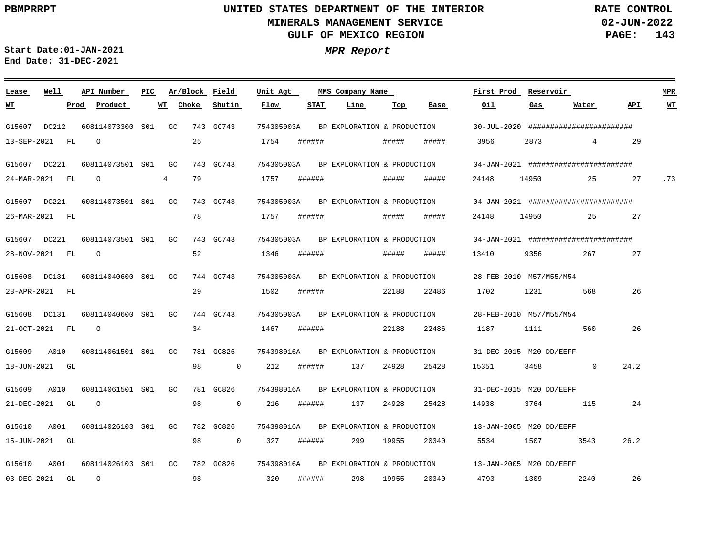**02-JUN-2022 PAGE: 143 RATE CONTROL**

**Start Date:01-JAN-2021 MPR Report End Date: 31-DEC-2021**

### G15607 DC212 G15607 DC221 G15607 DC221 G15607 DC221 G15608 DC131 G15608 DC131 G15609 G15609 G15610 G15610 **Lease Well** A010 A010 A001 A001 608114073300 GC S01 608114073501 S01 608114073501 GC S01 608114073501 GC S01 608114040600 S01 608114040600 S01 608114061501 S01 608114061501 S01 608114026103 S01 608114026103 GC S01**API Number Ar/Block Field PIC MMS Company Name** GC GC GC GC GC GC 743 GC743 743 GC743 743 GC743 743 GC743 744 GC743 744 GC743 781 GC826 781 GC826 782 GC826 782 GC826 754305003A 754305003A 754305003A 754305003A 754305003A 754305003A 754398016A 754398016A 754398016A 754398016A **Unit Agt**  30-JUL-2020 ######################## 04-JAN-2021 ######################## 04-JAN-2021 ####################### 04-JAN-2021 ######################## 28-FEB-2010 M57/M55/M54 28-FEB-2010 M57/M55/M54 31-DEC-2015 M20 DD/EEFF 31-DEC-2015 M20 DD/EEFF 13-JAN-2005 M20 DD/EEFF 13-JAN-2005 M20 DD/EEFF **First Prod Reservoir MPR** 13-SEP-2021 FL 24-MAR-2021 FL 26-MAR-2021 FL 28-NOV-2021 FL 28-APR-2021 FL 21-OCT-2021 FL 18-JUN-2021 GL 21-DEC-2021 GL 15-JUN-2021 GL 03-DEC-2021 GL **WT Prod Product**  $\Omega$ O  $\cap$  $\Omega$ O  $\Omega$ 4 **WT** 25 79 78 52 29 34 98 98 98 98 **Choke**  $\overline{0}$ 0 0 **Shutin** 1754 1757 1757 1346 1502 1467 212 216 327 320 **Flow** ###### ###### ###### ###### ###### ###### ###### ###### ###### ###### **STAT** 137 137 299 298 **Line** ##### ##### ##### ##### 22188 22188 24928 24928 19955 19955 **Top** ##### ##### ##### ##### 22486 22486 25428 25428 20340 20340 **Base** 3956 24148 24148 13410 1702 1187 15351 14938 5534 4793 **Oil** 2873 14950 14950 9356 1231 1111 3458 3764 1507 1309 **Gas** 4 25 25 267 568 560  $\Omega$ 115 3543 2240 **Water** 29 27 27 27 26 26 24.2 24 26.2 26 **API** .73 **WT** BP EXPLORATION & PRODUCTION BP EXPLORATION & PRODUCTION BP EXPLORATION & PRODUCTION BP EXPLORATION & PRODUCTION BP EXPLORATION & PRODUCTION BP EXPLORATION & PRODUCTION BP EXPLORATION & PRODUCTION BP EXPLORATION & PRODUCTION BP EXPLORATION & PRODUCTION BP EXPLORATION & PRODUCTION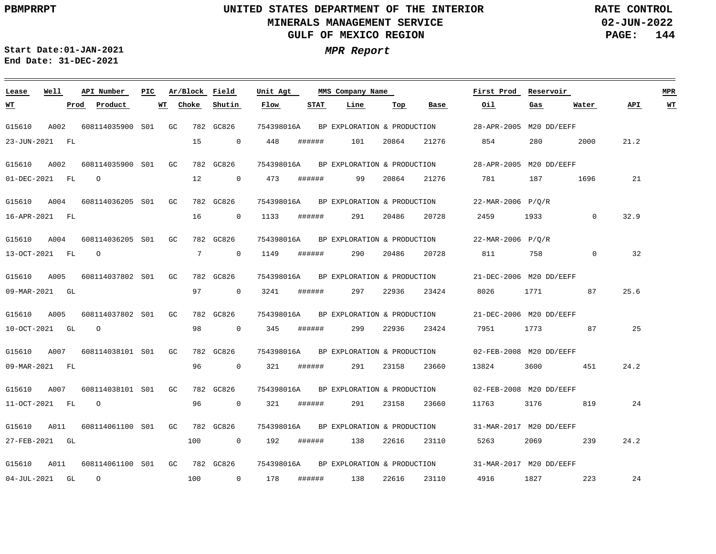**02-JUN-2022 PAGE: 144 RATE CONTROL**

<u> 1989 - Johann Barnett, fransk politik (</u>

**Start Date:01-JAN-2021 MPR Report End Date: 31-DEC-2021**

<u> 1989 - Johann Stein, marwolaethau a bhann an t-Amhair an t-Amhair an t-Amhair an t-Amhair an t-Amhair an t-A</u>

| Lease             | Well  | API Number          | PIC | Ar/Block Field |                | Unit Agt   |        | MMS Company Name            |       |       | First Prod              | Reservoir |             |      | <b>MPR</b>              |  |
|-------------------|-------|---------------------|-----|----------------|----------------|------------|--------|-----------------------------|-------|-------|-------------------------|-----------|-------------|------|-------------------------|--|
| <u> WТ</u>        |       | Prod<br>Product     | WT  | Choke          | Shutin         | Flow       | STAT   | Line                        | Тор   | Base  | Oil                     | Gas       | Water       | API  | $\underline{\text{WT}}$ |  |
| G15610            | A002  | 608114035900 S01    |     | GC             | 782 GC826      | 754398016A |        | BP EXPLORATION & PRODUCTION |       |       | 28-APR-2005 M20 DD/EEFF |           |             |      |                         |  |
| 23-JUN-2021 FL    |       |                     |     | 15             | $\overline{0}$ | 448        | ###### | 101                         | 20864 | 21276 | 854                     | 280       | 2000        | 21.2 |                         |  |
| G15610            | A002  | 608114035900 S01    |     | GC             | 782 GC826      | 754398016A |        | BP EXPLORATION & PRODUCTION |       |       | 28-APR-2005 M20 DD/EEFF |           |             |      |                         |  |
| 01-DEC-2021 FL    |       | $\circ$             |     | 12             | 0              | 473        | ###### | 99                          | 20864 | 21276 | 781                     | 187       | 1696        | 21   |                         |  |
| G15610            | A004  | 608114036205 S01    |     | GC             | 782 GC826      | 754398016A |        | BP EXPLORATION & PRODUCTION |       |       | 22-MAR-2006 P/Q/R       |           |             |      |                         |  |
| 16-APR-2021 FL    |       |                     |     | 16             | $\overline{0}$ | 1133       | ###### | 291                         | 20486 | 20728 | 2459                    | 1933      | $\mathbf 0$ | 32.9 |                         |  |
| G15610            | A004  | 608114036205 S01    |     | GC             | 782 GC826      | 754398016A |        | BP EXPLORATION & PRODUCTION |       |       | 22-MAR-2006 P/O/R       |           |             |      |                         |  |
| 13-OCT-2021       | FL FL | $\circ$             |     | 7              | $\overline{0}$ | 1149       | ###### | 290                         | 20486 | 20728 | 811                     | 758       | 0           | 32   |                         |  |
| G15610            | A005  | 608114037802 S01    |     | GC             | 782 GC826      | 754398016A |        | BP EXPLORATION & PRODUCTION |       |       | 21-DEC-2006 M20 DD/EEFF |           |             |      |                         |  |
| 09-MAR-2021 GL    |       |                     |     | 97             | $\overline{0}$ | 3241       | ###### | 297                         | 22936 | 23424 | 8026                    | 1771      | 87          | 25.6 |                         |  |
| G15610            | A005  | 608114037802 S01    |     | GC             | 782 GC826      | 754398016A |        | BP EXPLORATION & PRODUCTION |       |       | 21-DEC-2006 M20 DD/EEFF |           |             |      |                         |  |
| 10-OCT-2021 GL    |       | $\circ$             |     | 98             | 0              | 345        | ###### | 299                         | 22936 | 23424 | 7951                    | 1773      | 87          | 25   |                         |  |
| G15610            | A007  | 608114038101 S01    |     | GC             | 782 GC826      | 754398016A |        | BP EXPLORATION & PRODUCTION |       |       | 02-FEB-2008 M20 DD/EEFF |           |             |      |                         |  |
| 09-MAR-2021 FL    |       |                     |     | 96             | $\mathbf 0$    | 321        | ###### | 291                         | 23158 | 23660 | 13824                   | 3600      | 451         | 24.2 |                         |  |
| G15610            | A007  | 608114038101 S01    |     | GC             | 782 GC826      | 754398016A |        | BP EXPLORATION & PRODUCTION |       |       | 02-FEB-2008 M20 DD/EEFF |           |             |      |                         |  |
| 11-OCT-2021 FL    |       | $\circ$             |     | 96             | $\overline{0}$ | 321        | ###### | 291                         | 23158 | 23660 | 11763                   | 3176      | 819         | 24   |                         |  |
| G15610            | A011  | 608114061100 S01    |     | GC             | 782 GC826      | 754398016A |        | BP EXPLORATION & PRODUCTION |       |       | 31-MAR-2017 M20 DD/EEFF |           |             |      |                         |  |
| 27-FEB-2021 GL    |       |                     |     | 100            | $\overline{0}$ | 192        | ###### | 138                         | 22616 | 23110 | 5263                    | 2069      | 239         | 24.2 |                         |  |
| G15610            | A011  | 608114061100 S01 GC |     |                | 782 GC826      | 754398016A |        | BP EXPLORATION & PRODUCTION |       |       | 31-MAR-2017 M20 DD/EEFF |           |             |      |                         |  |
| $04 - JUL - 2021$ | GL    | $\circ$             |     | 100            | $\overline{0}$ | 178        | ###### | 138                         | 22616 | 23110 | 4916                    | 1827      | 223         | 24   |                         |  |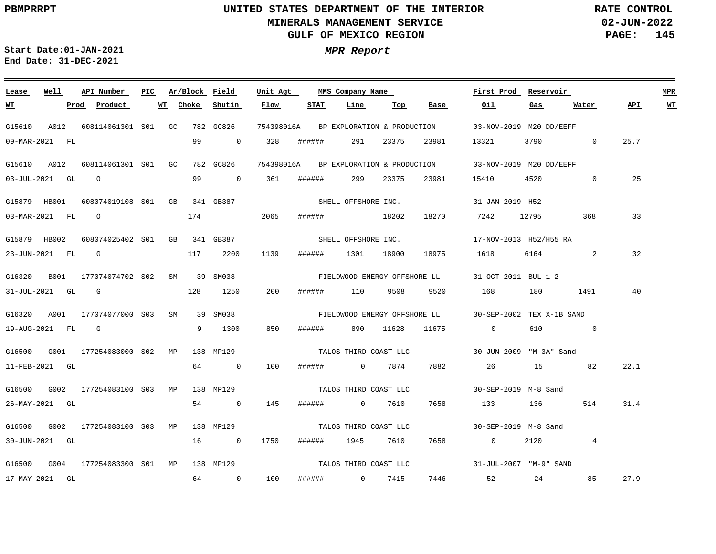<u> 1989 - Anna Maria Alemania, amerikana amerikana amerikana amerikana amerikana amerikana amerikana amerikana a</u>

**02-JUN-2022 PAGE: 145 RATE CONTROL**

**Start Date:01-JAN-2021 MPR Report End Date: 31-DEC-2021**

### **Lease Well API Number Ar/Block Field Unit Agt First Prod Reservoir MPR PIC MMS Company Name Choke STAT Oil API WT WT Prod Product WT Shutin Flow Line Top Base Gas Water** G15610 A012 608114061301 S01 GC 782 GC826 754398016A BP EXPLORATION & PRODUCTION 03-NOV-2019 M20 DD/EEFF 09-MAR-2021 FL 99 0 328 ###### 291 23375 23981 13321 3790 0 25.7 G15610 A012 608114061301 S01 GC 782 GC826 754398016A BP EXPLORATION & PRODUCTION 03-NOV-2019 M20 DD/EEFF 25 03-JUL-2021 GL O 99 0 361 ###### 299 23375 23981 15410 4520 0 SHELL OFFSHORE INC. G15879 HB001 608074019108 S01 GB 341 GB387 31-JAN-2019 H52 174 33 03-MAR-2021 FL O 2065 ###### 18202 18270 7242 12795 368 SHELL OFFSHORE INC. G15879 HB002 608074025402 S01 GB 341 GB387 17-NOV-2013 H52/H55 RA 1139 32 23-JUN-2021 FL G 117 2200 ###### 1301 18900 18975 1618 6164 2 G16320 B001 177074074702 S02 SM 39 SM038 31-OCT-2011 BUL 1-2 FIELDWOOD ENERGY OFFSHORE LL 128 1250 31-JUL-2021 GL G 200 ###### 110 9508 9520 168 180 1491 40 G16320 A001 177074077000 S03 SM 39 SM038 30-SEP-2002 TEX X-1B SAND FIELDWOOD ENERGY OFFSHORE LL 850 19-AUG-2021 FL G 9 1300 ###### 890 11628 11675 0 610 0 G16500 G001 177254083000 MP 138 MP129 S02 30-JUN-2009 "M-3A" Sand TALOS THIRD COAST LLC 11-FEB-2021 GL 64 0 100 ###### 0 7874 7882 26 15 82 22.1 G16500 G002 177254083100 MP S03 138 MP129 30-SEP-2019 M-8 Sand TALOS THIRD COAST LLC 26-MAY-2021 GL 54 0 145 ###### 0 7610 7658 133 136 514 31.4 G16500 G002 177254083100 MP 138 MP129 S03 30-SEP-2019 M-8 Sand TALOS THIRD COAST LLC 30-JUN-2021 GL 16 0 1750 ###### 1945 7610 7658 0 2120 4 TALOS THIRD COAST LLC G16500 G004 177254083300 MP 138 MP129 S0131-JUL-2007 "M-9" SAND 7446 27.9 17-MAY-2021 GL 64 0 100 ###### 0 7415 52 24 85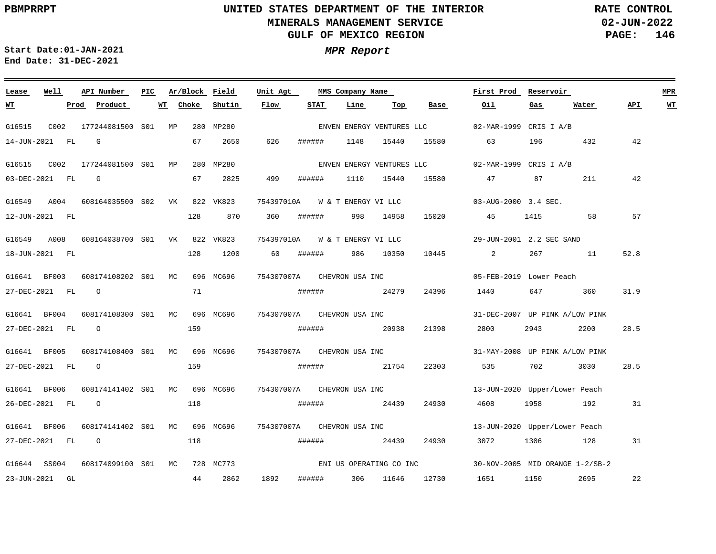**02-JUN-2022 PAGE: 146 RATE CONTROL**

 $\equiv$ 

**Start Date:01-JAN-2021 MPR Report End Date: 31-DEC-2021**

<u> 1989 - Johann Stein, marwolaethau a bhann an t-Amhair an t-Amhair an t-Amhair an t-Amhair an t-Amhair an t-A</u>

| Lease          | Well |      | API Number                    | PIC |    | Ar/Block | Field     | Unit Agt                       |        |        | MMS Company Name    |       |                           | First Prod                        | Reservoir                                                                                                                                                                                                                       |                                 |      | MPR |
|----------------|------|------|-------------------------------|-----|----|----------|-----------|--------------------------------|--------|--------|---------------------|-------|---------------------------|-----------------------------------|---------------------------------------------------------------------------------------------------------------------------------------------------------------------------------------------------------------------------------|---------------------------------|------|-----|
| WT             |      | Prod | Product                       |     | WT | Choke    | Shutin    | Flow                           |        | STAT   | Line                | Top   | Base                      | Oil                               | Gas                                                                                                                                                                                                                             | Water                           | API  | WT  |
| G16515         |      |      | C002 177244081500 S01 MP      |     |    |          | 280 MP280 |                                |        |        |                     |       | ENVEN ENERGY VENTURES LLC | 02-MAR-1999 CRIS I A/B            |                                                                                                                                                                                                                                 |                                 |      |     |
| 14-JUN-2021 FL |      |      | G                             |     |    | 67       | 2650      | 626                            | ###### |        | 1148                | 15440 | 15580                     | 63                                | 196                                                                                                                                                                                                                             | 432                             | 42   |     |
| G16515         | C002 |      | 177244081500 S01 MP           |     |    |          | 280 MP280 |                                |        |        |                     |       | ENVEN ENERGY VENTURES LLC | 02-MAR-1999 CRIS I A/B            |                                                                                                                                                                                                                                 |                                 |      |     |
| 03-DEC-2021 FL |      |      | G                             |     |    | 67       | 2825      | 499                            | ###### |        | 1110                | 15440 | 15580                     | 47                                | 87                                                                                                                                                                                                                              | 211                             | 42   |     |
| G16549 A004    |      |      | 608164035500 S02 VK 822 VK823 |     |    |          |           | 754397010A                     |        |        | W & T ENERGY VI LLC |       |                           | $03 - \text{AUG} - 2000$ 3.4 SEC. |                                                                                                                                                                                                                                 |                                 |      |     |
| 12-JUN-2021 FL |      |      |                               |     |    | 128      | 870       | 360                            | ###### |        | 998                 | 14958 | 15020                     | 45                                | 1415                                                                                                                                                                                                                            | 58                              | 57   |     |
| G16549 A008    |      |      | 608164038700 S01 VK 822 VK823 |     |    |          |           | 754397010A W & T ENERGY VI LLC |        |        |                     |       |                           | 29-JUN-2001 2.2 SEC SAND          |                                                                                                                                                                                                                                 |                                 |      |     |
| 18-JUN-2021 FL |      |      |                               |     |    | 128      | 1200      | 60                             | ###### |        | 986                 | 10350 | 10445                     | $\overline{2}$                    |                                                                                                                                                                                                                                 | 267 11                          | 52.8 |     |
| G16641 BF003   |      |      | 608174108202 S01 MC 696 MC696 |     |    |          |           | 754307007A CHEVRON USA INC     |        |        |                     |       |                           | 05-FEB-2019 Lower Peach           |                                                                                                                                                                                                                                 |                                 |      |     |
| 27-DEC-2021 FL |      |      | $\circ$                       |     |    | 71       |           |                                |        |        | ####### 24279       |       | 24396                     | 1440                              | 647 — 100                                                                                                                                                                                                                       | 360                             | 31.9 |     |
| G16641 BF004   |      |      | 608174108300 S01 MC 696 MC696 |     |    |          |           | 754307007A CHEVRON USA INC     |        |        |                     |       |                           | 31-DEC-2007 UP PINK A/LOW PINK    |                                                                                                                                                                                                                                 |                                 |      |     |
| 27-DEC-2021 FL |      |      | $\circ$                       |     |    | 159      |           |                                | ###### |        | 20938               |       | 21398                     | 2800                              | 2943                                                                                                                                                                                                                            | 2200                            | 28.5 |     |
| G16641 BF005   |      |      | 608174108400 S01 MC 696 MC696 |     |    |          |           | 754307007A CHEVRON USA INC     |        |        |                     |       |                           | 31-MAY-2008 UP PINK A/LOW PINK    |                                                                                                                                                                                                                                 |                                 |      |     |
| 27-DEC-2021 FL |      |      | $\Omega$                      |     |    | 159      |           |                                |        |        | ####### 21754       |       | 22303                     |                                   | 702 — 102 — 102 — 102 — 102 — 102 — 102 — 102 — 102 — 102 — 102 — 102 — 102 — 102 — 102 — 102 — 102 — 102 — 102 — 102 — 102 — 102 — 102 — 102 — 102 — 102 — 102 — 102 — 102 — 102 — 102 — 102 — 102 — 102 — 102 — 102 — 102 — 1 | 3030                            | 28.5 |     |
| G16641 BF006   |      |      | 608174141402 S01 MC 696 MC696 |     |    |          |           | 754307007A CHEVRON USA INC     |        |        |                     |       |                           | 13-JUN-2020 Upper/Lower Peach     |                                                                                                                                                                                                                                 |                                 |      |     |
| 26-DEC-2021 FL |      |      | $\circ$                       |     |    | 118      |           |                                | ###### |        | 24439               |       | 24930                     | 4608                              |                                                                                                                                                                                                                                 | 1958 192                        | 31   |     |
| G16641 BF006   |      |      | 608174141402 S01 MC 696 MC696 |     |    |          |           | 754307007A CHEVRON USA INC     |        |        |                     |       |                           | 13-JUN-2020 Upper/Lower Peach     |                                                                                                                                                                                                                                 |                                 |      |     |
| 27-DEC-2021 FL |      |      | $\Omega$                      |     |    | 118      |           |                                | ###### |        | 24439               |       | 24930                     | 3072                              | 1306 130                                                                                                                                                                                                                        | 128                             | 31   |     |
| G16644 SS004   |      |      | 608174099100 S01 MC           |     |    |          | 728 MC773 |                                |        |        |                     |       | ENI US OPERATING CO INC   |                                   |                                                                                                                                                                                                                                 | 30-NOV-2005 MID ORANGE 1-2/SB-2 |      |     |
| 23-JUN-2021 GL |      |      |                               |     |    | 44       | 2862      | 1892                           |        | ###### | 306                 | 11646 | 12730                     | 1651                              | 1150                                                                                                                                                                                                                            | 2695                            | 22   |     |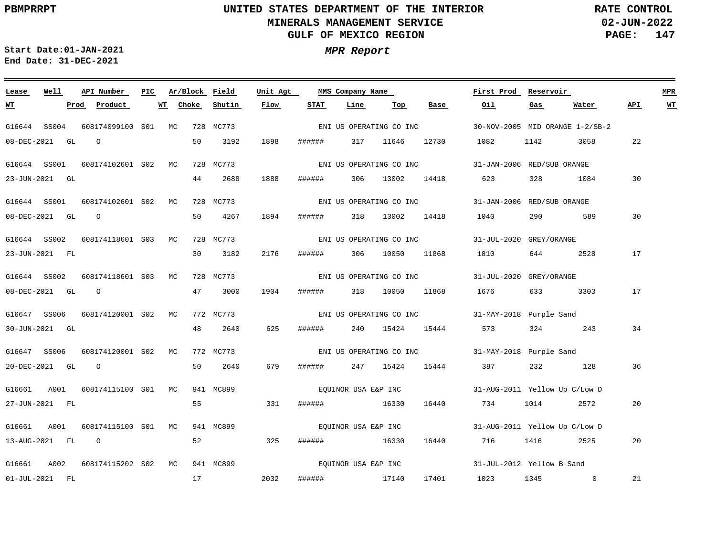**02-JUN-2022 PAGE: 147 RATE CONTROL**

**Start Date:01-JAN-2021 MPR Report End Date: 31-DEC-2021**

### **Lease Well API Number Ar/Block Field Unit Agt First Prod Reservoir MPR PIC MMS Company Name Choke Shutin Flow STAT Line Oil Water API WT WT Prod Product WT Top Base Gas** ENI US OPERATING CO INC G16644 SS004 608174099100 S01 MC 728 MC773 30-NOV-2005 MID ORANGE 1-2/SB-2 08-DEC-2021 GL O 50 3192 1898 ###### 317 11646 12730 1082 1142 3058 22 G16644 SS001 608174102601 S02 MC 728 MC773 31-JAN-2006 RED/SUB ORANGE ENI US OPERATING CO INC 1888 23-JUN-2021 GL 44 2688 ###### 306 13002 14418 623 328 1084 30 G16644 SS001 608174102601 S02 MC 728 MC773 31-JAN-2006 RED/SUB ORANGE ENI US OPERATING CO INC 30 08-DEC-2021 GL O 50 4267 1894 ###### 318 13002 14418 1040 290 589 G16644 SS002 608174118601 S03 MC 728 MC773 31-JUL-2020 GREY/ORANGE ENI US OPERATING CO INC 30 3182 2176 17 23-JUN-2021 FL ###### 306 10050 11868 1810 644 2528 G16644 SS002 608174118601 S03 MC 728 MC773 31-JUL-2020 GREY/ORANGE ENI US OPERATING CO INC 08-DEC-2021 GL O 47 3000 1904 ###### 318 10050 11868 1676 633 3303 17 G16647 SS006 608174120001 S02 MC 772 MC773 31-MAY-2018 Purple Sand ENI US OPERATING CO INC 48 2640 625 34 30-JUN-2021 GL ###### 240 15424 15444 573 324 243 G16647 SS006 608174120001 S02 MC 772 MC773 31-MAY-2018 Purple Sand ENI US OPERATING CO INC 20-DEC-2021 GL O 50 2640 679 ###### 247 15424 15444 387 232 128 36 G16661 A001 608174115100 S01 MC 941 MC899 EQUINOR USA E&P INC 31-AUG-2011 Yellow Up C/Low D 55 331 27-JUN-2021 FL ###### 16330 16440 734 1014 2572 20 EQUINOR USA E&P INC G16661 A001 608174115100 S01 MC 941 MC899 31-AUG-2011 Yellow Up C/Low D 13-AUG-2021 FL O 52 325 ###### 16330 16440 716 1416 2525 20 EQUINOR USA E&P INC G16661 A002 608174115202 S02 MC 941 MC899 31-JUL-2012 Yellow B Sand 17 2032 21 01-JUL-2021 FL ###### 17140 17401 1023 1345 0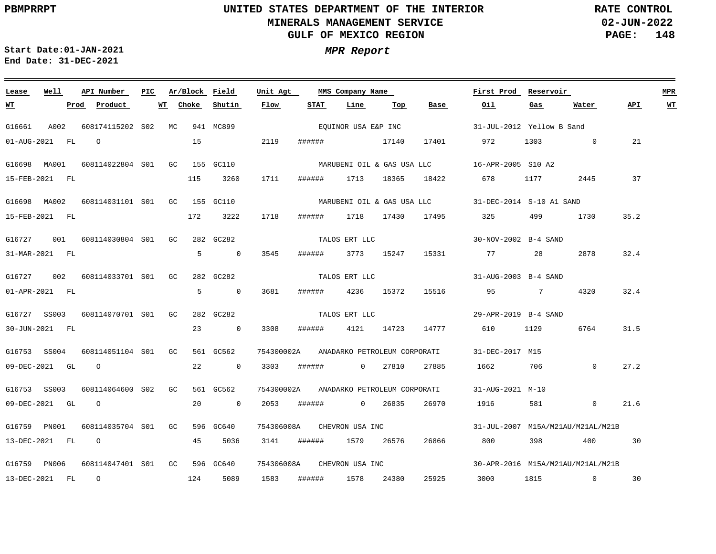**02-JUN-2022 PAGE: 148 RATE CONTROL**

<u> 1980 - Andrea Station Barbara (b. 1980)</u>

**Start Date:01-JAN-2021 MPR Report End Date: 31-DEC-2021**

<u> 1989 - Johann Stein, marwolaethau a bhann an t-Amhair an t-Amhair an t-Amhair an t-Amhair an t-Amhair an t-A</u>

| Lease                | Well | API Number                    | PIC |    |       | Ar/Block Field | Unit Agt   |        | MMS Company Name             |            |                  | First Prod                                          | Reservoir                                                                                                                                                                                                                       |                                   |      | MPR       |
|----------------------|------|-------------------------------|-----|----|-------|----------------|------------|--------|------------------------------|------------|------------------|-----------------------------------------------------|---------------------------------------------------------------------------------------------------------------------------------------------------------------------------------------------------------------------------------|-----------------------------------|------|-----------|
| <u>WТ</u>            |      | Prod<br>Product               |     | WT | Choke | Shutin         | Flow       | STAT   | Line                         | Тор        | Base             | Oil                                                 | Gas                                                                                                                                                                                                                             | Water                             | API. | <u>WT</u> |
| G16661               | A002 | 608174115202 S02 MC           |     |    |       | 941 MC899      |            |        | EQUINOR USA E&P INC          |            |                  | 31-JUL-2012 Yellow B Sand                           |                                                                                                                                                                                                                                 |                                   |      |           |
| 01-AUG-2021 FL       |      | $\Omega$                      |     |    | 15    |                | 2119       |        | ####### 17140                |            | 17401            | 972                                                 | 1303 and 1303                                                                                                                                                                                                                   | $\overline{0}$                    | 21   |           |
| G16698 MA001         |      | 608114022804 S01 GC           |     |    |       | 155 GC110      |            |        |                              |            |                  |                                                     |                                                                                                                                                                                                                                 |                                   |      |           |
| 15-FEB-2021 FL       |      |                               |     |    | 115   | 3260           | 1711       | ###### | 1713                         | 18365      | 18422            | 678                                                 | 1177                                                                                                                                                                                                                            | 2445                              | 37   |           |
| G16698 MA002         |      | 608114031101 S01 GC 155 GC110 |     |    |       |                |            |        |                              |            |                  | MARUBENI OIL & GAS USA LLC 31-DEC-2014 S-10 A1 SAND |                                                                                                                                                                                                                                 |                                   |      |           |
| 15-FEB-2021 FL       |      |                               |     |    | 172   | 3222           | 1718       | ###### |                              |            | 1718 17430 17495 | 325                                                 | 499                                                                                                                                                                                                                             | 1730                              | 35.2 |           |
| G16727               | 001  | 608114030804 S01 GC           |     |    |       | 282 GC282      |            |        | TALOS ERT LLC                |            |                  | 30-NOV-2002 B-4 SAND                                |                                                                                                                                                                                                                                 |                                   |      |           |
| 31-MAR-2021 FL       |      |                               |     |    | 5     | $\overline{0}$ | 3545       | ###### |                              | 3773 15247 | 15331            |                                                     | 28                                                                                                                                                                                                                              | 2878                              | 32.4 |           |
| G16727               |      | 002 608114033701 S01 GC       |     |    |       | 282 GC282      |            |        | TALOS ERT LLC                |            |                  | 31-AUG-2003 B-4 SAND                                |                                                                                                                                                                                                                                 |                                   |      |           |
| $01 - APR - 2021$ FL |      |                               |     |    | 5     | $\overline{0}$ | 3681       | ###### | 4236                         | 15372      | 15516            | 95 7                                                |                                                                                                                                                                                                                                 | 4320                              | 32.4 |           |
| G16727 SS003         |      | 608114070701 S01 GC           |     |    |       | 282 GC282      |            |        | TALOS ERT LLC                |            |                  | 29-APR-2019 B-4 SAND                                |                                                                                                                                                                                                                                 |                                   |      |           |
| 30-JUN-2021 FL       |      |                               |     |    | 23    | $\sim$ 0       | 3308       | ###### | 4121                         | 14723      | 14777            | 610                                                 | 1129                                                                                                                                                                                                                            | 6764                              | 31.5 |           |
| G16753 SS004         |      | 608114051104 S01 GC           |     |    |       | 561 GC562      | 754300002A |        | ANADARKO PETROLEUM CORPORATI |            |                  | 31-DEC-2017 M15                                     |                                                                                                                                                                                                                                 |                                   |      |           |
| 09-DEC-2021 GL       |      | $\overline{O}$                |     |    | 22    | $\overline{0}$ | 3303       | ###### | $\overline{0}$               | 27810      | 27885            | 1662                                                | 706                                                                                                                                                                                                                             | $\mathbf 0$                       | 27.2 |           |
| G16753 SS003         |      | 608114064600 S02 GC           |     |    |       | 561 GC562      | 754300002A |        | ANADARKO PETROLEUM CORPORATI |            |                  | 31-AUG-2021 M-10                                    |                                                                                                                                                                                                                                 |                                   |      |           |
| 09-DEC-2021 GL       |      | $\circ$                       |     |    | 20    | $\overline{0}$ | 2053       | ###### | $\overline{0}$               | 26835      | 26970            | 1916                                                | 581                                                                                                                                                                                                                             | $\mathbf{0}$                      | 21.6 |           |
| G16759 PN001         |      | 608114035704 S01 GC           |     |    |       | 596 GC640      | 754306008A |        | CHEVRON USA INC              |            |                  |                                                     |                                                                                                                                                                                                                                 | 31-JUL-2007 M15A/M21AU/M21AL/M21B |      |           |
| 13-DEC-2021 FL       |      | $\circ$                       |     |    | 45    | 5036           | 3141       | ###### | 1579                         | 26576      | 26866            | 800                                                 | 398 — 100                                                                                                                                                                                                                       | 400                               | 30   |           |
| G16759 PN006         |      | 608114047401 S01 GC           |     |    |       | 596 GC640      | 754306008A |        | CHEVRON USA INC              |            |                  |                                                     |                                                                                                                                                                                                                                 | 30-APR-2016 M15A/M21AU/M21AL/M21B |      |           |
| 13-DEC-2021 FL       |      | $\circ$                       |     |    | 124   | 5089           | 1583       | ###### | 1578                         | 24380      | 25925            | 3000                                                | 1815 — 1815 — 1825 — 1826 — 1827 — 1828 — 1828 — 1828 — 1828 — 1828 — 1828 — 1828 — 1828 — 1828 — 1828 — 1828 — 1828 — 1828 — 1828 — 1828 — 1828 — 1828 — 1828 — 1828 — 1828 — 1828 — 1828 — 1828 — 1828 — 1828 — 1828 — 1828 — | $\overline{0}$                    | 30   |           |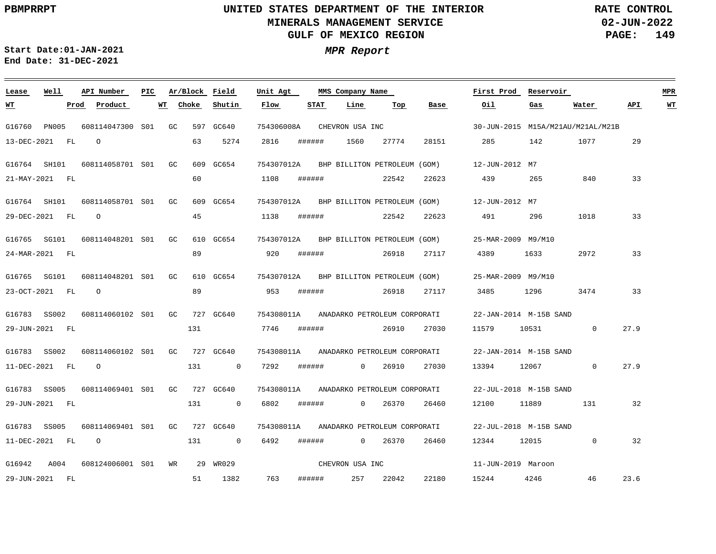**02-JUN-2022 PAGE: 149 RATE CONTROL**

**Start Date:01-JAN-2021 MPR Report End Date: 31-DEC-2021**

| Lease          | Well         |      | API Number       | PIC |    | Ar/Block | Field       | Unit Agt   |        | MMS Company Name |                              |       | First Prod             | Reservoir |                                   |      | <b>MPR</b> |
|----------------|--------------|------|------------------|-----|----|----------|-------------|------------|--------|------------------|------------------------------|-------|------------------------|-----------|-----------------------------------|------|------------|
| <u> WТ</u>     |              | Prod | Product          |     | WT | Choke    | Shutin      | Flow       | STAT   | Line             | Top                          | Base  | Oil                    | Gas       | Water                             | API  | WT         |
| G16760         | <b>PN005</b> |      | 608114047300 S01 |     | GC |          | 597 GC640   | 754306008A |        | CHEVRON USA INC  |                              |       |                        |           | 30-JUN-2015 M15A/M21AU/M21AL/M21B |      |            |
| 13-DEC-2021    |              | FL   | $\circ$          |     |    | 63       | 5274        | 2816       | ###### | 1560             | 27774                        | 28151 | 285                    | 142       | 1077                              | 29   |            |
| G16764         | SH101        |      | 608114058701 S01 |     | GC | 609      | GC654       | 754307012A |        |                  | BHP BILLITON PETROLEUM (GOM) |       | 12-JUN-2012 M7         |           |                                   |      |            |
| 21-MAY-2021 FL |              |      |                  |     |    | 60       |             | 1108       | ###### |                  | 22542                        | 22623 | 439                    | 265       | 840                               | 33   |            |
| G16764 SH101   |              |      | 608114058701 S01 |     | GC |          | 609 GC654   | 754307012A |        |                  | BHP BILLITON PETROLEUM (GOM) |       | 12-JUN-2012 M7         |           |                                   |      |            |
| 29-DEC-2021 FL |              |      | $\circ$          |     |    | 45       |             | 1138       | ###### |                  | 22542                        | 22623 | 491                    | 296       | 1018                              | 33   |            |
| G16765         | SG101        |      | 608114048201 S01 |     | GC |          | 610 GC654   | 754307012A |        |                  | BHP BILLITON PETROLEUM (GOM) |       | 25-MAR-2009 M9/M10     |           |                                   |      |            |
| 24-MAR-2021    | FL           |      |                  |     |    | 89       |             | 920        | ###### |                  | 26918                        | 27117 | 4389                   | 1633      | 2972                              | 33   |            |
|                |              |      |                  |     |    |          |             |            |        |                  |                              |       |                        |           |                                   |      |            |
| G16765 SG101   |              |      | 608114048201 S01 |     | GC |          | 610 GC654   | 754307012A |        |                  | BHP BILLITON PETROLEUM (GOM) |       | 25-MAR-2009 M9/M10     |           |                                   |      |            |
| 23-OCT-2021 FL |              |      | $\circ$          |     |    | 89       |             | 953        | ###### |                  | 26918                        | 27117 | 3485                   | 1296      | 3474                              | 33   |            |
| G16783         | SS002        |      | 608114060102 S01 |     | GC |          | 727 GC640   | 754308011A |        |                  | ANADARKO PETROLEUM CORPORATI |       | 22-JAN-2014 M-15B SAND |           |                                   |      |            |
| 29-JUN-2021    |              | FL   |                  |     |    | 131      |             | 7746       | ###### |                  | 26910                        | 27030 | 11579                  | 10531     | $\mathbf 0$                       | 27.9 |            |
| G16783 SS002   |              |      | 608114060102 S01 |     | GC |          | 727 GC640   | 754308011A |        |                  | ANADARKO PETROLEUM CORPORATI |       | 22-JAN-2014 M-15B SAND |           |                                   |      |            |
| 11-DEC-2021 FL |              |      | $\circ$          |     |    | 131      | $\mathbf 0$ | 7292       | ###### | $\Omega$         | 26910                        | 27030 | 13394                  | 12067     | $\mathbf 0$                       | 27.9 |            |
| G16783 SS005   |              |      | 608114069401 S01 |     | GC |          | 727 GC640   | 754308011A |        |                  | ANADARKO PETROLEUM CORPORATI |       | 22-JUL-2018 M-15B SAND |           |                                   |      |            |
| 29-JUN-2021    | FL           |      |                  |     |    | 131      | 0           | 6802       | ###### | $\mathbf{0}$     | 26370                        | 26460 | 12100                  | 11889     | 131                               | 32   |            |
|                |              |      |                  |     |    |          |             |            |        |                  |                              |       |                        |           |                                   |      |            |
| G16783         | SS005        |      | 608114069401 S01 |     | GC |          | 727 GC640   | 754308011A |        |                  | ANADARKO PETROLEUM CORPORATI |       | 22-JUL-2018 M-15B SAND |           |                                   |      |            |
| 11-DEC-2021    |              | FL   | $\circ$          |     |    | 131      | $\mathbf 0$ | 6492       | ###### | $\mathbf{0}$     | 26370                        | 26460 | 12344                  | 12015     | $\mathbf 0$                       | 32   |            |
| G16942         | A004         |      | 608124006001 S01 |     | WR | 29       | WR029       |            |        | CHEVRON USA INC  |                              |       | 11-JUN-2019 Maroon     |           |                                   |      |            |
| 29-JUN-2021    |              | FL   |                  |     |    | 51       | 1382        | 763        | ###### | 257              | 22042                        | 22180 | 15244                  | 4246      | 46                                | 23.6 |            |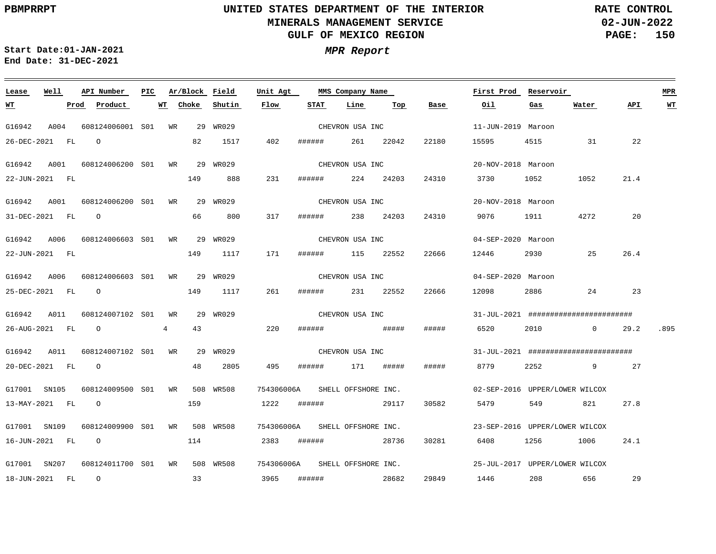**02-JUN-2022 PAGE: 150 RATE CONTROL**

 $\overline{\phantom{a}}$ 

**Start Date:01-JAN-2021 MPR Report End Date: 31-DEC-2021**

| Lease          | Well | API Number          | PIC. |                | Ar/Block Field |           | Unit Agt                       |             |        | MMS Company Name    |       |       | First Prod                                   | Reservoir       |                   |      | <b>MPR</b> |
|----------------|------|---------------------|------|----------------|----------------|-----------|--------------------------------|-------------|--------|---------------------|-------|-------|----------------------------------------------|-----------------|-------------------|------|------------|
| <u>WТ</u>      |      | Prod Product        |      | WТ             | Choke          | Shutin    | Flow                           | <b>STAT</b> |        | Line                | Тор   | Base  | Oil                                          | Gas             | Water             | API  | <b>WT</b>  |
| G16942         | A004 | 608124006001 S01 WR |      |                |                | 29 WR029  |                                |             |        | CHEVRON USA INC     |       |       | 11-JUN-2019 Maroon                           |                 |                   |      |            |
| 26-DEC-2021 FL |      | $\circ$             |      |                | 82             | 1517      | 402                            | ######      |        | 261                 | 22042 | 22180 | 15595                                        | 4515            | 31                | 22   |            |
| G16942         | A001 | 608124006200 S01    |      | <b>WR</b>      |                | 29 WR029  |                                |             |        | CHEVRON USA INC     |       |       | 20-NOV-2018 Maroon                           |                 |                   |      |            |
| 22-JUN-2021 FL |      |                     |      |                | 149            | 888       | 231                            | ######      |        | 224                 | 24203 | 24310 | 3730                                         | 1052            | 1052              | 21.4 |            |
| G16942 A001    |      | 608124006200 S01 WR |      |                |                | 29 WR029  |                                |             |        | CHEVRON USA INC     |       |       | 20-NOV-2018 Maroon                           |                 |                   |      |            |
| 31-DEC-2021 FL |      | $\overline{O}$      |      |                | 66             | 800       | 317                            |             | ###### | 238 24203           |       | 24310 | 9076 70                                      | 1911 7          | 4272              | 20   |            |
| G16942 A006    |      | 608124006603 S01 WR |      |                |                | 29 WR029  |                                |             |        | CHEVRON USA INC     |       |       | 04-SEP-2020 Maroon                           |                 |                   |      |            |
| 22-JUN-2021 FL |      |                     |      |                | 149            | 1117      | 171                            |             |        | ###### 115 22552    |       | 22666 | 12446                                        | 2930            | 25                | 26.4 |            |
| G16942 A006    |      | 608124006603 S01 WR |      |                |                | 29 WR029  |                                |             |        | CHEVRON USA INC     |       |       | 04-SEP-2020 Maroon                           |                 |                   |      |            |
| 25-DEC-2021 FL |      | $\overline{O}$      |      |                | 149            | 1117      | 261                            | ######      |        | 231 22552           |       | 22666 | 12098                                        | 2886            | 24                | 23   |            |
| G16942         | A011 | 608124007102 S01    |      | WR             |                | 29 WR029  |                                |             |        | CHEVRON USA INC     |       |       | $31 - JUL - 2021$ ########################## |                 |                   |      |            |
| 26-AUG-2021 FL |      | $\Omega$            |      | $\overline{4}$ | 43             |           | 220                            | ######      |        | <b>#####</b>        |       | ##### | 6520                                         | 2010            | $0 \qquad \qquad$ | 29.2 | .895       |
| G16942 A011    |      | 608124007102 S01 WR |      |                |                | 29 WR029  |                                |             |        | CHEVRON USA INC     |       |       | 31-JUL-2021 #########################        |                 |                   |      |            |
| 20-DEC-2021 FL |      | $\overline{O}$      |      |                | 48             | 2805      | 495                            | ######      |        | 171 #####           |       | ##### | 8779                                         | 2252 and $\sim$ | $9 \quad \Box$    | 27   |            |
| G17001 SN105   |      | 608124009500 S01 WR |      |                |                | 508 WR508 | 754306006A                     |             |        | SHELL OFFSHORE INC. |       |       | 02-SEP-2016 UPPER/LOWER WILCOX               |                 |                   |      |            |
| 13-MAY-2021 FL |      | $\circ$             |      |                | 159            |           | 1222                           | ######      |        |                     | 29117 | 30582 | 5479                                         | 549             | 821               | 27.8 |            |
| G17001 SN109   |      | 608124009900 S01    |      | WR             |                | 508 WR508 | 754306006A SHELL OFFSHORE INC. |             |        |                     |       |       | 23-SEP-2016 UPPER/LOWER WILCOX               |                 |                   |      |            |
| 16-JUN-2021 FL |      | $\overline{O}$      |      |                | 114            |           | 2383                           |             |        | ####### 28736       |       | 30281 | 6408                                         | 1256 120        | 1006              | 24.1 |            |
| G17001 SN207   |      | 608124011700 S01 WR |      |                |                | 508 WR508 | 754306006A SHELL OFFSHORE INC. |             |        |                     |       |       | 25-JUL-2017 UPPER/LOWER WILCOX               |                 |                   |      |            |
| 18-JUN-2021 FL |      | $\overline{O}$      |      |                | 33             |           | 3965                           |             |        | # # # # # #         | 28682 | 29849 | 1446                                         | 208 656         |                   | 29   |            |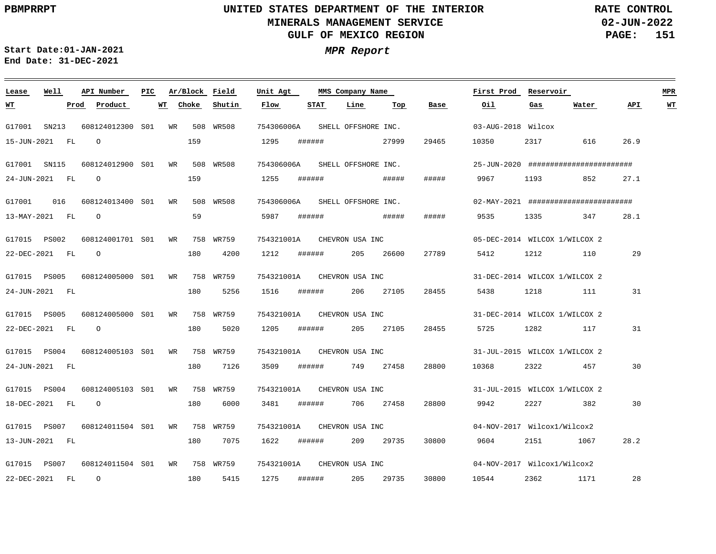**02-JUN-2022 PAGE: 151 RATE CONTROL**

**Start Date:01-JAN-2021 MPR Report End Date: 31-DEC-2021**

| Lease          | Well  | API Number       | PIC. |    |       | Ar/Block Field | Unit Agt                   |        |      | MMS Company Name    |       |       | First Prod                                    | Reservoir                     |       |      | <b>MPR</b>              |
|----------------|-------|------------------|------|----|-------|----------------|----------------------------|--------|------|---------------------|-------|-------|-----------------------------------------------|-------------------------------|-------|------|-------------------------|
| <u> WТ</u>     |       | Product<br>Prod  |      | WT | Choke | Shutin         | Flow                       |        | STAT | Line                | Top   | Base  | Oil                                           | Gas                           | Water | API  | $\underline{\text{WT}}$ |
| G17001         | SN213 | 608124012300 S01 |      | WR |       | 508 WR508      | 754306006A                 |        |      | SHELL OFFSHORE INC. |       |       | 03-AUG-2018 Wilcox                            |                               |       |      |                         |
| 15-JUN-2021 FL |       | $\Omega$         |      |    | 159   |                | 1295                       | ###### |      |                     | 27999 | 29465 | 10350                                         | 2317                          | 616   | 26.9 |                         |
| G17001 SN115   |       | 608124012900 S01 |      | WR |       | 508 WR508      | 754306006A                 |        |      | SHELL OFFSHORE INC. |       |       | $25 - JUN - 2020$ ########################### |                               |       |      |                         |
| 24-JUN-2021 FL |       | $\circ$          |      |    | 159   |                | 1255                       | ###### |      |                     | ##### | ##### | 9967                                          | 1193                          | 852   | 27.1 |                         |
| G17001         | 016   | 608124013400 S01 |      | WR |       | 508 WR508      | 754306006A                 |        |      | SHELL OFFSHORE INC. |       |       | $02-MAY-2021$ ###########################     |                               |       |      |                         |
| 13-MAY-2021 FL |       | $\Omega$         |      |    | 59    |                | 5987                       | ###### |      |                     | ##### | ##### | 9535                                          | 1335                          | 347   | 28.1 |                         |
| G17015 PS002   |       | 608124001701 S01 |      | WR |       | 758 WR759      | 754321001A                 |        |      | CHEVRON USA INC     |       |       |                                               | 05-DEC-2014 WILCOX 1/WILCOX 2 |       |      |                         |
| 22-DEC-2021 FL |       | $\circ$          |      |    | 180   | 4200           | 1212                       | ###### |      | 205                 | 26600 | 27789 | 5412                                          | 1212                          | 110   | 29   |                         |
| G17015 PS005   |       | 608124005000 S01 |      | WR |       | 758 WR759      | 754321001A                 |        |      | CHEVRON USA INC     |       |       |                                               | 31-DEC-2014 WILCOX 1/WILCOX 2 |       |      |                         |
| 24-JUN-2021 FL |       |                  |      |    | 180   | 5256           | 1516                       | ###### |      | 206                 | 27105 | 28455 | 5438                                          | 1218                          | 111   | 31   |                         |
| G17015 PS005   |       | 608124005000 S01 |      |    |       | WR 758 WR759   | 754321001A                 |        |      | CHEVRON USA INC     |       |       |                                               | 31-DEC-2014 WILCOX 1/WILCOX 2 |       |      |                         |
| 22-DEC-2021 FL |       | $\circ$          |      |    | 180   | 5020           | 1205                       | ###### |      | 205                 | 27105 | 28455 | 5725                                          | 1282                          | 117   | 31   |                         |
| G17015 PS004   |       | 608124005103 S01 |      |    |       | WR 758 WR759   | 754321001A CHEVRON USA INC |        |      |                     |       |       | 31-JUL-2015 WILCOX 1/WILCOX 2                 |                               |       |      |                         |
| 24-JUN-2021 FL |       |                  |      |    | 180   | 7126           | 3509                       | ###### |      | 749                 | 27458 | 28800 | 10368                                         | 2322                          | 457   | 30   |                         |
| G17015 PS004   |       | 608124005103 S01 |      | WR |       | 758 WR759      | 754321001A                 |        |      | CHEVRON USA INC     |       |       | 31-JUL-2015 WILCOX 1/WILCOX 2                 |                               |       |      |                         |
| 18-DEC-2021 FL |       | $\circ$          |      |    | 180   | 6000           | 3481                       | ###### |      | 706                 | 27458 | 28800 | 9942                                          | 2227                          | 382   | 30   |                         |
| G17015 PS007   |       | 608124011504 S01 |      |    |       | WR 758 WR759   | 754321001A CHEVRON USA INC |        |      |                     |       |       | 04-NOV-2017 Wilcox1/Wilcox2                   |                               |       |      |                         |
| 13-JUN-2021 FL |       |                  |      |    | 180   | 7075           | 1622                       | ###### |      | 209                 | 29735 | 30800 | 9604                                          | 2151                          | 1067  | 28.2 |                         |
| G17015 PS007   |       | 608124011504 S01 |      |    |       | WR 758 WR759   | 754321001A                 |        |      | CHEVRON USA INC     |       |       | 04-NOV-2017 Wilcox1/Wilcox2                   |                               |       |      |                         |
| 22-DEC-2021    | FL    | $\circ$          |      |    | 180   | 5415           | 1275                       | ###### |      | 205                 | 29735 | 30800 | 10544                                         | 2362                          | 1171  | 28   |                         |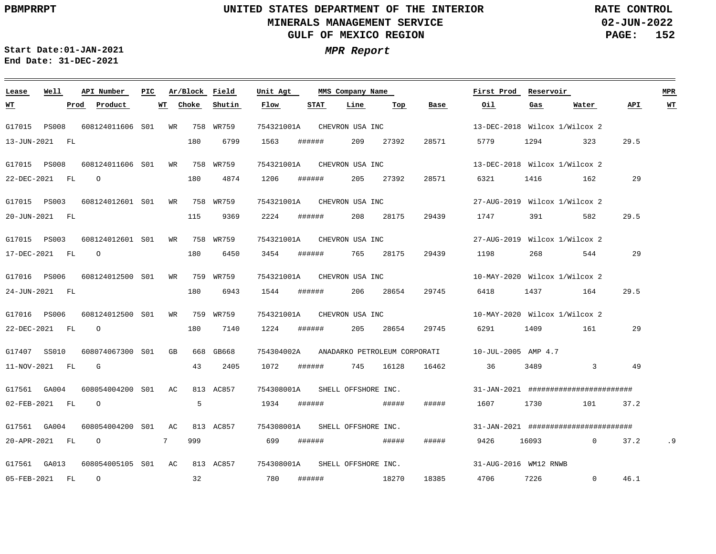**02-JUN-2022 PAGE: 152 RATE CONTROL**

**Start Date:01-JAN-2021 MPR Report End Date: 31-DEC-2021**

| Lease        | Well             | API Number                                 | PIC. | Ar/Block Field |        | Unit Agt   |             | MMS Company Name               |           |                                         |      | First Prod Reservoir                                                             |                                              |      | <b>MPR</b> |
|--------------|------------------|--------------------------------------------|------|----------------|--------|------------|-------------|--------------------------------|-----------|-----------------------------------------|------|----------------------------------------------------------------------------------|----------------------------------------------|------|------------|
| W'I'         |                  | Prod Product                               |      | WT Choke       | Shutin | Flow       | STAT        | Line                           | Top       | Base                                    | Oil. | Gas                                                                              | Water                                        | API  | <u>WT</u>  |
| G17015 PS008 |                  | 608124011606 S01 WR 758 WR759              |      |                |        | 754321001A |             | CHEVRON USA INC                |           |                                         |      | 13-DEC-2018 Wilcox 1/Wilcox 2                                                    |                                              |      |            |
|              | 13-JUN-2021 FL   |                                            |      | 180            | 6799   | 1563       | ######      | 209                            | 27392     | 28571                                   | 5779 | 1294                                                                             | 323                                          | 29.5 |            |
|              |                  | G17015 PS008 608124011606 S01 WR 758 WR759 |      |                |        |            |             | 754321001A CHEVRON USA INC     |           |                                         |      | 13-DEC-2018 Wilcox 1/Wilcox 2                                                    |                                              |      |            |
|              | 22-DEC-2021 FL   | $\overline{O}$                             |      | 180            | 4874   | 1206       | ######      |                                | 205 27392 | 28571                                   | 6321 | 1416                                                                             | 162                                          | 29   |            |
|              |                  | G17015 PS003 608124012601 S01 WR 758 WR759 |      |                |        |            |             | 754321001A CHEVRON USA INC     |           |                                         |      | 27-AUG-2019 Wilcox 1/Wilcox 2                                                    |                                              |      |            |
|              | 20-JUN-2021 FL   |                                            |      | 115            | 9369   | 2224       | ######      |                                | 208 28175 | 29439                                   | 1747 | 391 — 1                                                                          | 582                                          | 29.5 |            |
|              |                  |                                            |      |                |        |            |             |                                |           |                                         |      |                                                                                  |                                              |      |            |
|              |                  | G17015 PS003 608124012601 S01 WR 758 WR759 |      |                |        |            |             | 754321001A CHEVRON USA INC     |           |                                         |      | 27-AUG-2019 Wilcox 1/Wilcox 2                                                    |                                              |      |            |
|              | 17-DEC-2021 FL   | $\overline{O}$                             |      | 180            | 6450   | 3454       | ######      |                                | 765 28175 | 29439                                   | 1198 | 268                                                                              | 544                                          | 29   |            |
|              |                  | G17016 PS006 608124012500 S01 WR 759 WR759 |      |                |        |            |             | 754321001A CHEVRON USA INC     |           |                                         |      | 10-MAY-2020 Wilcox 1/Wilcox 2                                                    |                                              |      |            |
|              | 24-JUN-2021 FL   |                                            |      | 180            | 6943   |            | 1544 ###### |                                | 206 28654 | 29745                                   | 6418 |                                                                                  | 1437 164                                     | 29.5 |            |
|              |                  |                                            |      |                |        |            |             |                                |           |                                         |      |                                                                                  |                                              |      |            |
|              |                  | G17016 PS006 608124012500 S01 WR 759 WR759 |      |                |        |            |             | 754321001A CHEVRON USA INC     |           |                                         |      | 10-MAY-2020 Wilcox 1/Wilcox 2                                                    |                                              |      |            |
|              | 22-DEC-2021 FL 0 |                                            |      | 180            | 7140   | 1224       | ######      |                                | 205 28654 | 29745                                   | 6291 | 1409 — 1409 — 1409 — 1409 — 1409 — 1409 — 1409 — 1409 — 1409 — 1409 — 1409 — 140 | 161                                          | 29   |            |
|              |                  | G17407 SS010 608074067300 S01 GB 668 GB668 |      |                |        |            |             |                                |           | 754304002A ANADARKO PETROLEUM CORPORATI |      | 10-JUL-2005 AMP 4.7                                                              |                                              |      |            |
|              | 11-NOV-2021 FL   | $\mathbf{G}$                               |      | 43             | 2405   |            |             | 1072 ###### 745 16128          |           | 16462                                   | 36   | 3489 3489                                                                        | $\overline{3}$                               | 49   |            |
|              |                  |                                            |      |                |        |            |             | 754308001A SHELL OFFSHORE INC. |           |                                         |      |                                                                                  | $31 - JAN - 2021$ ########################## |      |            |
|              | 02-FEB-2021 FL   | $\overline{O}$                             |      | 5              |        | 1934       | ######      |                                | #####     | #####                                   | 1607 | 1730                                                                             | 101                                          | 37.2 |            |
|              |                  |                                            |      |                |        |            |             |                                |           |                                         |      |                                                                                  |                                              |      |            |
|              | G17561 GA004     | 608054004200 S01 AC 813 AC857              |      |                |        |            |             | 754308001A SHELL OFFSHORE INC. |           |                                         |      |                                                                                  | $31 - JAN - 2021$ ########################## |      |            |
|              | 20-APR-2021 FL   | $\circ$ 7                                  |      | 999            |        | 699        | ######      |                                | #####     | #####                                   | 9426 | 16093 and 16093                                                                  | $\Omega$                                     | 37.2 | . 9        |
|              |                  |                                            |      |                |        |            |             | 754308001A SHELL OFFSHORE INC. |           |                                         |      | 31-AUG-2016 WM12 RNWB                                                            |                                              |      |            |
|              | 05-FEB-2021 FL   | $\overline{O}$                             |      | 32             |        | 780        | ######      | 18270                          |           | 18385                                   | 4706 | 7226 and the state of $\sim$                                                     | $\overline{0}$                               | 46.1 |            |
|              |                  |                                            |      |                |        |            |             |                                |           |                                         |      |                                                                                  |                                              |      |            |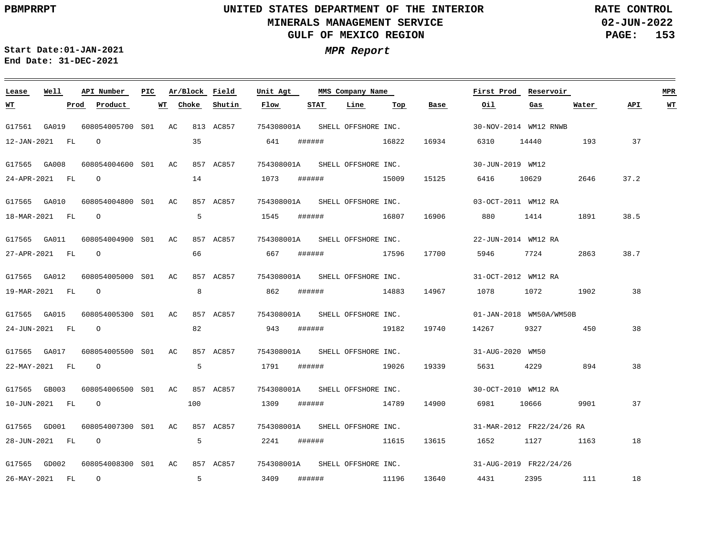**02-JUN-2022 PAGE: 153 RATE CONTROL**

**Start Date:01-JAN-2021 MPR Report End Date: 31-DEC-2021**

| Lease          | Well | API Number          | PIC. |    | Ar/Block Field |           | Unit Agt                       |        | MMS Company Name    |       |       | First Prod          | Reservoir                 |       |      | <b>MPR</b> |
|----------------|------|---------------------|------|----|----------------|-----------|--------------------------------|--------|---------------------|-------|-------|---------------------|---------------------------|-------|------|------------|
| <u>WT</u>      |      | Prod Product        |      | WТ | Choke          | Shutin    | Flow                           | STAT   | Line                | Тор   | Base  | Oil                 | Gas                       | Water | API  | WТ         |
| G17561 GA019   |      | 608054005700 S01 AC |      |    |                | 813 AC857 | 754308001A                     |        | SHELL OFFSHORE INC. |       |       |                     | 30-NOV-2014 WM12 RNWB     |       |      |            |
| 12-JAN-2021 FL |      | $\circ$             |      |    | 35             |           | 641                            | ###### | 16822               |       | 16934 | 6310                | 14440                     | 193   | 37   |            |
| G17565 GA008   |      | 608054004600 S01 AC |      |    |                | 857 AC857 | 754308001A SHELL OFFSHORE INC. |        |                     |       |       | 30-JUN-2019 WM12    |                           |       |      |            |
| 24-APR-2021 FL |      | $\overline{O}$      |      |    | 14             |           | 1073                           | ###### |                     | 15009 | 15125 | 6416                | 10629                     | 2646  | 37.2 |            |
| G17565 GA010   |      | 608054004800 S01 AC |      |    |                | 857 AC857 | 754308001A SHELL OFFSHORE INC. |        |                     |       |       | 03-OCT-2011 WM12 RA |                           |       |      |            |
| 18-MAR-2021 FL |      | $\overline{O}$      |      |    | -5             |           | 1545                           |        | ####### 16807       |       | 16906 | 880 380             | 1414                      | 1891  | 38.5 |            |
| G17565 GA011   |      | 608054004900 S01 AC |      |    |                | 857 AC857 | 754308001A                     |        | SHELL OFFSHORE INC. |       |       |                     | 22-JUN-2014 WM12 RA       |       |      |            |
| 27-APR-2021 FL |      | $\overline{O}$      |      |    | 66             |           | 667                            | ###### | 17596               |       | 17700 | 5946                | 7724                      | 2863  | 38.7 |            |
| G17565 GA012   |      | 608054005000 S01 AC |      |    |                | 857 AC857 | 754308001A SHELL OFFSHORE INC. |        |                     |       |       |                     | 31-OCT-2012 WM12 RA       |       |      |            |
| 19-MAR-2021 FL |      | $\overline{O}$      |      |    | 8              |           | 862                            |        | ###### 14883        |       | 14967 | 1078                | 1072                      | 1902  | 38   |            |
| G17565 GA015   |      | 608054005300 S01 AC |      |    |                | 857 AC857 | 754308001A SHELL OFFSHORE INC. |        |                     |       |       |                     | 01-JAN-2018 WM50A/WM50B   |       |      |            |
| 24-JUN-2021 FL |      | $\overline{O}$      |      |    | 82             |           | 943                            | ###### | 19182               |       | 19740 | 14267               | 9327                      | 450   | 38   |            |
| G17565 GA017   |      | 608054005500 S01 AC |      |    |                | 857 AC857 | 754308001A SHELL OFFSHORE INC. |        |                     |       |       | 31-AUG-2020 WM50    |                           |       |      |            |
| 22-MAY-2021 FL |      | $\overline{O}$      |      |    | 5              |           | 1791                           |        | ###### 19026        |       | 19339 | 5631                | 4229                      | 894   | 38   |            |
| G17565 GB003   |      | 608054006500 S01 AC |      |    |                | 857 AC857 | 754308001A                     |        | SHELL OFFSHORE INC. |       |       |                     | 30-OCT-2010 WM12 RA       |       |      |            |
| 10-JUN-2021 FL |      | $\overline{O}$      |      |    | 100            |           | 1309                           |        | ####### 14789       |       | 14900 | 6981                | 10666                     | 9901  | 37   |            |
| G17565 GD001   |      | 608054007300 S01 AC |      |    |                | 857 AC857 | 754308001A SHELL OFFSHORE INC. |        |                     |       |       |                     | 31-MAR-2012 FR22/24/26 RA |       |      |            |
| 28-JUN-2021 FL |      | $\overline{O}$      |      |    | -5             |           | 2241                           |        | ####### 11615       |       | 13615 | 1652                | 1127                      | 1163  | 18   |            |
| G17565 GD002   |      | 608054008300 S01 AC |      |    |                | 857 AC857 | 754308001A SHELL OFFSHORE INC. |        |                     |       |       |                     | 31-AUG-2019 FR22/24/26    |       |      |            |
| 26-MAY-2021 FL |      | $\overline{O}$      |      |    | 5              |           | 3409                           |        | ###### 11196        |       | 13640 | 4431                | 2395 111                  |       | 18   |            |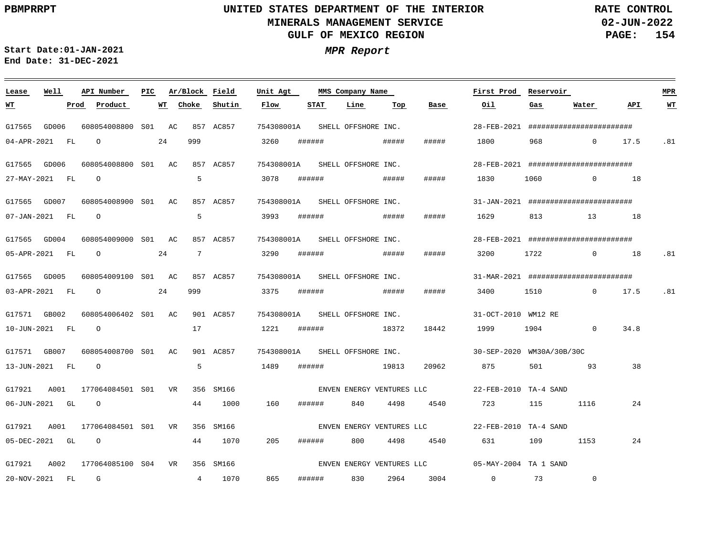**02-JUN-2022 PAGE: 154 RATE CONTROL**

 $\equiv$ 

**Start Date:01-JAN-2021 MPR Report End Date: 31-DEC-2021**

<u> 1989 - Johann Stein, marwolaethau a bhann an t-Albann an t-Albann an t-Albann an t-Albann an t-Albann an t-Al</u>

| Lease            | Well |      | API Number                       | PIC. |    | Ar/Block Field  |           | Unit Agt                       |        | MMS Company Name    |       |                           | First Prod                                                      | Reservoir   |                |      | <b>MPR</b> |
|------------------|------|------|----------------------------------|------|----|-----------------|-----------|--------------------------------|--------|---------------------|-------|---------------------------|-----------------------------------------------------------------|-------------|----------------|------|------------|
| <u>WT</u>        |      | Prod | Product                          |      |    | WT Choke        | Shutin    | Flow                           | STAT   | Line                | Тор   | Base                      | Oil                                                             | Gas         | Water          | API. | $WT$       |
| G17565 GD006     |      |      | 608054008800 S01 AC              |      |    |                 | 857 AC857 | 754308001A SHELL OFFSHORE INC. |        |                     |       |                           | 28-FEB-2021 #########################                           |             |                |      |            |
| 04-APR-2021 FL   |      |      | $\overline{O}$                   |      | 24 | 999             |           | 3260                           |        |                     |       | #####                     | 1800 1800                                                       |             | 968 0 17.5     |      | .81        |
| G17565 GD006     |      |      | 608054008800 S01 AC              |      |    |                 | 857 AC857 | 754308001A                     |        | SHELL OFFSHORE INC. |       |                           | 28-FEB-2021 #########################                           |             |                |      |            |
| 27-MAY-2021 FL   |      |      | $\overline{O}$                   |      |    | 5               |           | 3078                           | ###### |                     | ##### | #####                     | 1830                                                            | 1060        | $\sim$ 0 18    |      |            |
|                  |      |      | G17565 GD007 608054008900 S01 AC |      |    |                 | 857 AC857 | 754308001A SHELL OFFSHORE INC. |        |                     |       |                           | $31 - JAN - 2021$ ###########################                   |             |                |      |            |
| 07-JAN-2021 FL   |      |      | $\overline{O}$                   |      |    | 5               |           | 3993                           |        |                     |       | #####                     | 1629                                                            | 813 13 18   |                |      |            |
| G17565 GD004     |      |      | 608054009000 S01 AC              |      |    |                 | 857 AC857 | 754308001A                     |        | SHELL OFFSHORE INC. |       |                           | 28-FEB-2021 #########################                           |             |                |      |            |
| 05-APR-2021 FL   |      |      | $\overline{O}$                   |      | 24 | $7\phantom{.0}$ |           | 3290                           | ###### |                     | ##### | #####                     | 3200                                                            | 1722        | $\sim$ 0 18    |      | .81        |
| G17565 GD005     |      |      | 608054009100 S01 AC 857 AC857    |      |    |                 |           | 754308001A SHELL OFFSHORE INC. |        |                     |       |                           | 31-MAR-2021 #########################                           |             |                |      |            |
| 03-APR-2021 FL   |      |      | $\circ$ 24                       |      |    | 999             |           | 3375                           |        |                     |       | #####                     | 3400                                                            | 1510 0 17.5 |                |      | .81        |
| G17571 GB002     |      |      | 608054006402 S01 AC              |      |    |                 | 901 AC857 | 754308001A                     |        | SHELL OFFSHORE INC. |       |                           | 31-OCT-2010 WM12 RE                                             |             |                |      |            |
| 10-JUN-2021 FL   |      |      | $\overline{O}$                   |      |    | 17              |           | 1221                           |        | ####### 18372       |       | 18442                     | 1999                                                            | 1904 0      |                | 34.8 |            |
|                  |      |      | G17571 GB007 608054008700 S01 AC |      |    |                 | 901 AC857 | 754308001A SHELL OFFSHORE INC. |        |                     |       |                           | 30-SEP-2020 WM30A/30B/30C                                       |             |                |      |            |
| 13-JUN-2021 FL   |      |      | $\overline{O}$                   |      |    | 5               |           | 1489                           |        | ####### 19813       |       | 20962                     | 875                                                             | 501 700     | 93             | 38   |            |
| G17921 A001      |      |      | 177064084501 S01 VR              |      |    |                 | 356 SM166 |                                |        |                     |       | ENVEN ENERGY VENTURES LLC | 22-FEB-2010 TA-4 SAND                                           |             |                |      |            |
| 06-JUN-2021 GL 0 |      |      |                                  |      |    | 44              | 1000      | 160                            | ###### | 840                 | 4498  | 4540                      | 723                                                             | 115         | 1116           | 24   |            |
| G17921           | A001 |      | 177064084501 S01 VR              |      |    |                 | 356 SM166 |                                |        |                     |       |                           | ENVEN ENERGY VENTURES LLC                 22-FEB-2010 TA-4 SAND |             |                |      |            |
| 05-DEC-2021 GL   |      |      | $\circ$                          |      |    | 44              | 1070      | 205                            | ###### | 800                 | 4498  | 4540                      | 631                                                             | 109 100     | 1153           | 24   |            |
| G17921 A002      |      |      | 177064085100 S04 VR              |      |    |                 | 356 SM166 |                                |        |                     |       |                           | ENVEN ENERGY VENTURES LLC 05-MAY-2004 TA 1 SAND                 |             |                |      |            |
| 20-NOV-2021 FL   |      |      | <b>G</b>                         |      |    |                 | 4 1070    | 865                            |        | ###### 830          | 2964  | 3004                      | 0 73                                                            |             | $\overline{0}$ |      |            |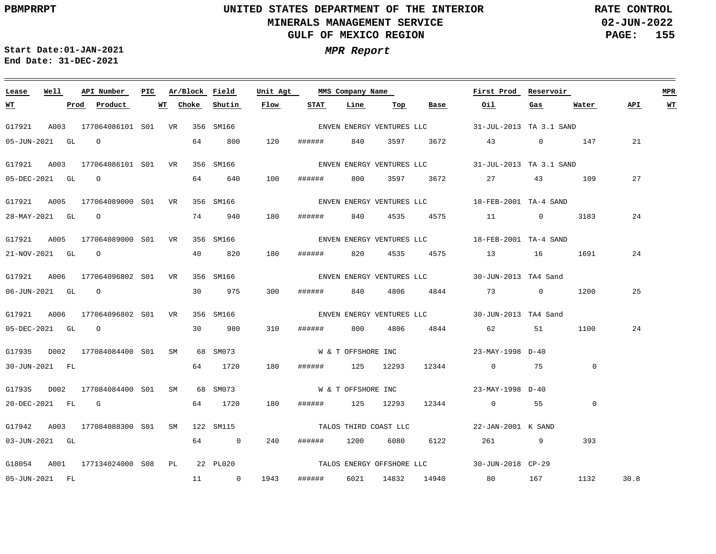**02-JUN-2022 PAGE: 155 RATE CONTROL**

**Start Date:01-JAN-2021 MPR Report End Date: 31-DEC-2021**

### **Lease Well API Number Ar/Block Field Unit Agt First Prod Reservoir MPR PIC MMS Company Name Choke Shutin Flow STAT Line API WT WT Prod Product WT Top Base Oil Gas Water** G17921 A003 177064086101 S01 VR 356 SM166 31-JUL-2013 TA 3.1 SAND ENVEN ENERGY VENTURES LLC 05-JUN-2021 GL O 64 800 120 ###### 840 3597 3672 43 0 147 21 G17921 A003 177064086101 S01 VR 356 SM166 31-JUL-2013 TA 3.1 SAND ENVEN ENERGY VENTURES LLC 100 27 05-DEC-2021 GL O 64 640 ###### 800 3597 3672 27 43 109 G17921 A005 177064089000 S01 VR 356 SM166 18-FEB-2001 TA-4 SAND ENVEN ENERGY VENTURES LLC 24 28-MAY-2021 GL O 74 940 180 ###### 840 4535 4575 11 0 3183 G17921 A005 177064089000 S01 VR 356 SM166 18-FEB-2001 TA-4 SAND ENVEN ENERGY VENTURES LLC 180 24 21-NOV-2021 GL O 40 820 ###### 820 4535 4575 13 16 1691 G17921 A006 177064096802 S01 VR 356 SM166 30-JUN-2013 TA4 Sand ENVEN ENERGY VENTURES LLC 25 06-JUN-2021 GL O 30 975 300 ###### 840 4806 4844 73 0 1200 G17921 A006 177064096802 S01 VR 356 SM166 30-JUN-2013 TA4 Sand ENVEN ENERGY VENTURES LLC 310 24 05-DEC-2021 GL O 30 980 ###### 800 4806 4844 62 51 1100 G17935 D002 177084084400 S01 SM 68 SM073 W & T OFFSHORE INC 23-MAY-1998 D-40  $\overline{0}$ 30-JUN-2021 FL 64 1720 180 ###### 125 12293 12344 0 75 G17935 D002 177084084400 S01 SM 68 SM073 W & T OFFSHORE INC 23-MAY-1998 D-40 20-DEC-2021 FL G 64 1720 180 ###### 125 12293 12344 0 55 0 G17942 A003 177084088300 S01 SM 122 SM115 22-JAN-2001 K SAND TALOS THIRD COAST LLC 03-JUN-2021 GL 64 0 240 ###### 1200 6080 6122 261 9 393 TALOS ENERGY OFFSHORE LLC G18054 A001 177134024000 S08 PL 22 PL020 30-JUN-2018 CP-29 05-JUN-2021 FL 11 0 1943 ###### 6021 14832 14940 80 167 1132 30.8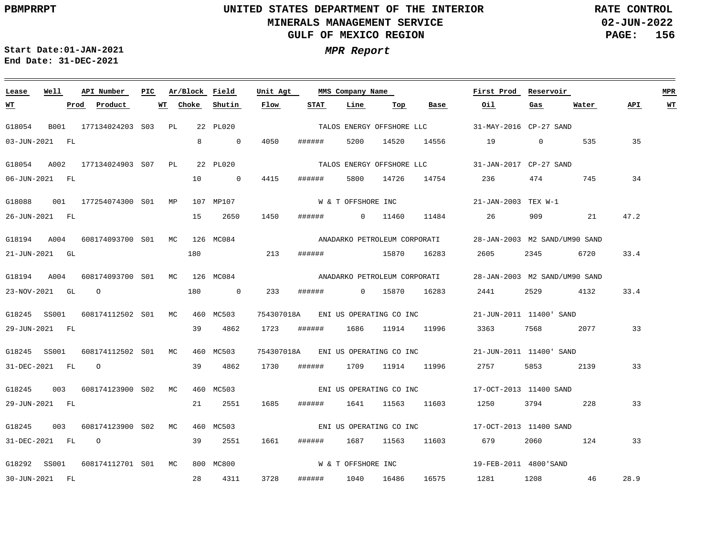**02-JUN-2022 PAGE: 156 RATE CONTROL**

**Start Date:01-JAN-2021 MPR Report End Date: 31-DEC-2021**

### **Lease Well API Number Ar/Block Field Unit Agt First Prod Reservoir MPR PIC MMS Company Name Choke Shutin Flow STAT Line Top API WT WT Prod Product WT Base Oil Gas Water** G18054 B001 177134024203 S03 PL 22 PL020 31-MAY-2016 CP-27 SAND TALOS ENERGY OFFSHORE LLC 03-JUN-2021 FL 8 0 4050 ###### 5200 14520 14556 19 0 535 35 G18054 A002 177134024903 S07 PL 22 PL020 31-JAN-2017 CP-27 SAND TALOS ENERGY OFFSHORE LLC 34 06-JUN-2021 FL 10 0 4415 ####### 5800 14726 14754 236 474 745 W & T OFFSHORE INC G18088 001 177254074300 MP 107 MP107 S01 21-JAN-2003 TEX W-1 1450 47.2 26-JUN-2021 FL 15 2650 ###### 0 11460 11484 26 909 21 G18194 A004 608174093700 S01 MC 126 MC084 28-JAN-2003 M2 SAND/UM90 SAND ANADARKO PETROLEUM CORPORATI 180 213 33.4 21-JUN-2021 GL ###### 15870 16283 2605 2345 6720 G18194 A004 608174093700 S01 MC 126 MC084 28-JAN-2003 M2 SAND/UM90 SAND ANADARKO PETROLEUM CORPORATI 180 33.4 23-NOV-2021 GL O 0 233 ###### 0 15870 16283 2441 2529 4132 G18245 SS001 608174112502 S01 MC 460 MC503 754307018A 21-JUN-2011 11400' SAND ENI US OPERATING CO INC 39 4862 33 29-JUN-2021 FL 1723 ###### 1686 11914 11996 3363 7568 2077 G18245 SS001 608174112502 S01 MC 460 MC503 754307018A 21-JUN-2011 11400' SAND ENI US OPERATING CO INC 31-DEC-2021 FL O 39 4862 1730 ###### 1709 11914 11996 2757 5853 2139 33 G18245 003 608174123900 S02 MC 460 MC503 17-OCT-2013 11400 SAND ENI US OPERATING CO INC 29-JUN-2021 FL 21 2551 1685 ###### 1641 11563 11603 1250 3794 228 33 G18245 003 608174123900 S02 MC 460 MC503 17-OCT-2013 11400 SAND ENI US OPERATING CO INC 31-DEC-2021 FL O 39 2551 1661 ###### 1687 11563 11603 679 2060 124 33 W & T OFFSHORE INC G18292 SS001 608174112701 S01 MC 800 MC800 19-FEB-2011 4800'SAND 28.9 30-JUN-2021 FL 28 4311 3728 ###### 1040 16486 16575 1281 1208 46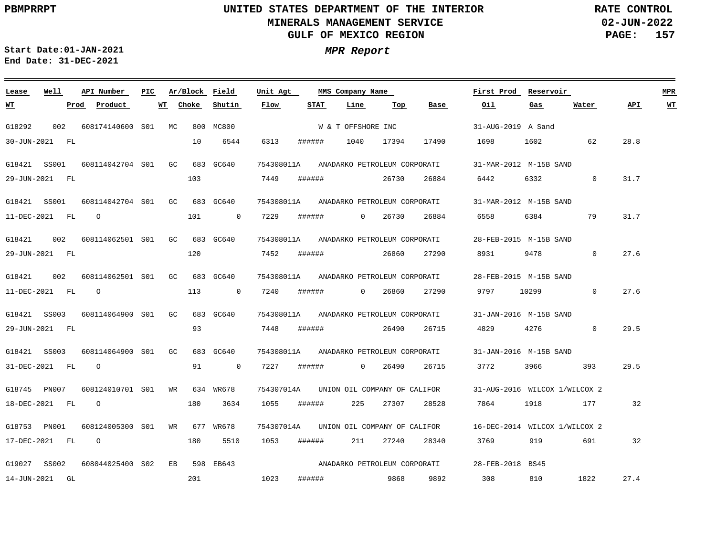**02-JUN-2022 PAGE: 157 RATE CONTROL**

**Start Date:01-JAN-2021 MPR Report End Date: 31-DEC-2021**

### **Lease Well API Number Ar/Block Field PIC MMS Company Name Unit Agt First Prod Reservoir MPR Choke Shutin Flow STAT Line Top Base Oil Water API WT WT Prod Product WT Gas** G18292 002 W & T OFFSHORE INC 608174140600 MC S01 800 MC800 31-AUG-2019 A Sand 30-JUN-2021 FL 10 6544 6313 ###### 1040 17394 17490 1698 1602 62 28.8 754308011A ANADARKO PETROLEUM CORPORATI G18421 SS001 608114042704 GC S01 683 GC640 31-MAR-2012 M-15B SAND 103 7449 ###### 26730 26884 6442 6332  $\Omega$ 31.7 29-JUN-2021 FL 754308011A ANADARKO PETROLEUM CORPORATI G18421 SS001 608114042704 GC S01 683 GC640 31-MAR-2012 M-15B SAND O 101  $\overline{0}$ 7229 ###### 0 26730 26884 6558 6384 79 31.7 11-DEC-2021 FL G18421  $002$ 608114062501 GC 683 GC640 S01 754308011A ANADARKO PETROLEUM CORPORATI 28-FEB-2015 M-15B SAND 120 7452 ###### 26860 27290 8931 9478 0 27.6 29-JUN-2021 FL G18421 002 754308011A ANADARKO PETROLEUM CORPORATI 608114062501 GC S01 683 GC640 28-FEB-2015 M-15B SAND O 113  $\overline{0}$ 7240 ###### 0 26860 27290 9797 10299  $\overline{0}$ 27.6 11-DEC-2021 FL 754308011A G18421 SS003 608114064900 S01 GC 683 GC640 ANADARKO PETROLEUM CORPORATI 31-JAN-2016 M-15B SAND 93 7448 ###### 26490 26715 4829 4276  $\Omega$ 29.5 29-JUN-2021 FL 754308011A ANADARKO PETROLEUM CORPORATI G18421 SS003 608114064900 S01  $G<sub>G</sub>$  683 GC640 31-JAN-2016 M-15B SAND 91  $\overline{0}$ 7227 ###### 3772 3966 31-DEC-2021 FL O 0 26490 26715 393 29.5 G18745 PN007 608124010701 WR S01 634 WR678 754307014A UNION OIL COMPANY OF CALIFOR 31-AUG-2016 WILCOX 1/WILCOX 2 7864 18-DEC-2021 FL O 180 3634 1055 ###### 225 27307 28528 1918 177 32 WR 754307014A UNION OIL COMPANY OF CALIFOR G18753 PN001 608124005300 S01 677 WR678 16-DEC-2014 WILCOX 1/WILCOX 2 17-DEC-2021 FL O 180 5510 1053 ###### 211 27240 28340 3769 919 691 32 ANADARKO PETROLEUM CORPORATI G19027 SS002 608044025400 EB 598 EB643 S0228-FEB-2018 BS45 308 1822 201 1023 ###### 9868 9892 810 27.4 14-JUN-2021 GL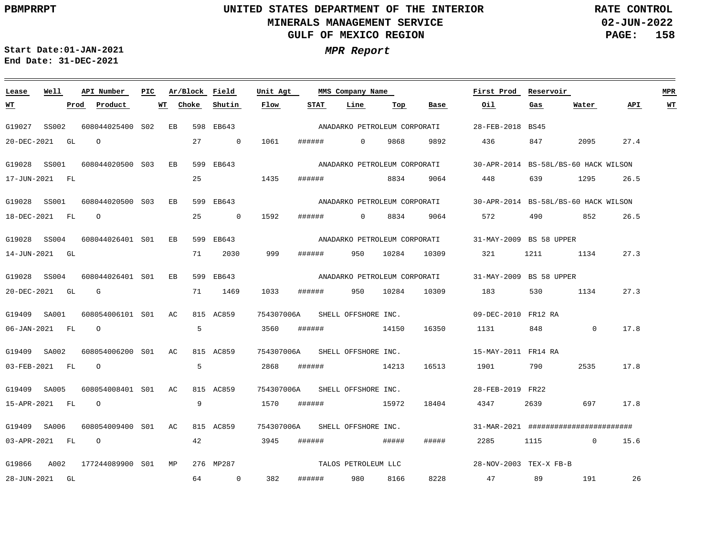**02-JUN-2022 PAGE: 158 RATE CONTROL**

**Start Date:01-JAN-2021 MPR Report End Date: 31-DEC-2021**

### **Lease Well API Number Ar/Block Field Unit Agt First Prod Reservoir MPR PIC MMS Company Name Choke Shutin Flow STAT Line Top Oil Water API WT WT Prod Product WT Base Gas** ANADARKO PETROLEUM CORPORATI G19027 SS002 608044025400 S02 EB 598 EB643 28-FEB-2018 BS45 20-DEC-2021 GL O 27 0 1061 ###### 0 9868 9892 436 847 2095 27.4 G19028 SS001 608044020500 S03 EB 599 EB643 30-APR-2014 BS-58L/BS-60 HACK WILSON ANADARKO PETROLEUM CORPORATI 25 1435 17-JUN-2021 FL ###### 8834 9064 448 639 1295 26.5 G19028 SS001 608044020500 S03 EB 599 EB643 30-APR-2014 BS-58L/BS-60 HACK WILSON ANADARKO PETROLEUM CORPORATI 25 26.5 18-DEC-2021 FL O 0 1592 ###### 0 8834 9064 572 490 852 G19028 SS004 608044026401 S01 EB 599 EB643 31-MAY-2009 BS 58 UPPER ANADARKO PETROLEUM CORPORATI 999 14-JUN-2021 GL 71 2030 ###### 950 10284 10309 321 1211 1134 27.3 G19028 SS004 608044026401 S01 EB 599 EB643 31-MAY-2009 BS 58 UPPER ANADARKO PETROLEUM CORPORATI 20-DEC-2021 GL G 71 1469 1033 ###### 950 10284 10309 183 530 1134 27.3 G19409 SA001 608054006101 S01 AC 815 AC859 754307006A SHELL OFFSHORE INC. 09-DEC-2010 FR12 RA 5 3560 17.8 06-JAN-2021 FL O ###### 14150 16350 1131 848 0 G19409 SA002 608054006200 S01 AC 815 AC859 754307006A SHELL OFFSHORE INC. 15-MAY-2011 FR14 RA 5 03-FEB-2021 FL O 2868 ###### 14213 16513 1901 790 2535 17.8 G19409 SA005 608054008401 S01 AC 815 AC859 754307006A SHELL OFFSHORE INC. 28-FEB-2019 FR22 9 15-APR-2021 FL O 1570 ###### 15972 18404 4347 2639 697 17.8 G19409 SA006 608054009400 S01 AC 815 AC859 754307006A SHELL OFFSHORE INC. 31-MAR-2021 ######################## 03-APR-2021 FL O 42 3945 ###### ##### ##### 2285 1115 0 15.6 TALOS PETROLEUM LLC G19866 A002 177244089900 S01 MP 276 MP287 28-NOV-2003 TEX-X FB-B 8228 26 28-JUN-2021 GL 64 0 382 ###### 980 8166 47 89 191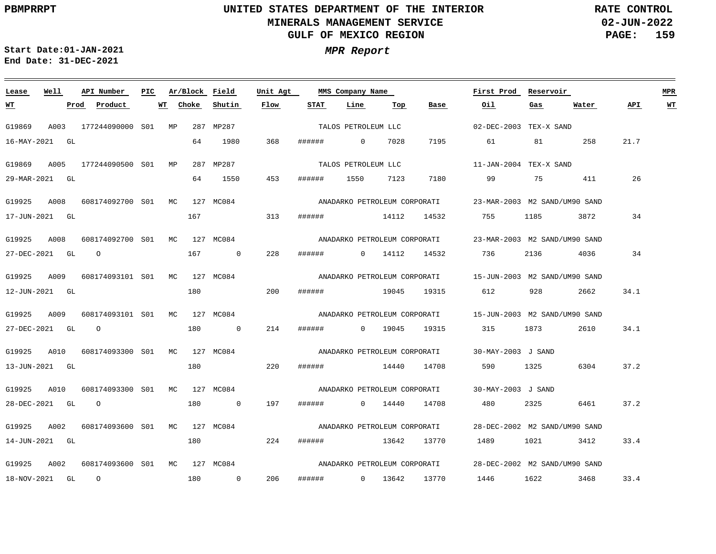**02-JUN-2022 PAGE: 159 RATE CONTROL**

**Start Date:01-JAN-2021 MPR Report End Date: 31-DEC-2021**

### **Lease Well API Number Ar/Block Field Unit Agt PIC MMS Company Name First Prod Reservoir MPR Choke Shutin Flow STAT Base Oil Water API WT WT Prod Product WT Line Top Gas** TALOS PETROLEUM LLC G19869 A003 177244090000 S01 MP 287 MP287 02-DEC-2003 TEX-X SAND 16-MAY-2021 GL 64 1980 368 ###### 0 7028 7195 61 81 258 21.7 G19869 A005 177244090500 S01 MP 287 MP287 11-JAN-2004 TEX-X SAND TALOS PETROLEUM LLC 64 1550 453 26 29-MAR-2021 GL ###### 1550 7123 7180 99 75 411 G19925 A008 608174092700 S01 MC 127 MC084 23-MAR-2003 M2 SAND/UM90 SAND ANADARKO PETROLEUM CORPORATI 167 17-JUN-2021 GL 313 ###### 14112 14532 755 1185 3872 34 G19925 A008 608174092700 S01 MC 127 MC084 23-MAR-2003 M2 SAND/UM90 SAND ANADARKO PETROLEUM CORPORATI 228 27-DEC-2021 GL O 167 0 ###### 0 14112 14532 736 2136 4036 34 G19925 A009 608174093101 S01 MC 127 MC084 15-JUN-2003 M2 SAND/UM90 SAND ANADARKO PETROLEUM CORPORATI 180 34.1 12-JUN-2021 GL 200 ###### 19045 19315 612 928 2662 G19925 A009 608174093101 S01 MC 127 MC084 15-JUN-2003 M2 SAND/UM90 SAND ANADARKO PETROLEUM CORPORATI 214 34.1 27-DEC-2021 GL O 180 0 ###### 0 19045 19315 315 1873 2610 G19925 A010 608174093300 S01 MC 127 MC084 30-MAY-2003 J SAND ANADARKO PETROLEUM CORPORATI 13-JUN-2021 GL 180 220 ###### 14440 14708 590 1325 6304 37.2 G19925 A010 608174093300 S01 MC 127 MC084 ANADARKO PETROLEUM CORPORATI 30-MAY-2003 J SAND 28-DEC-2021 GL O 180 0 197 ###### 0 14440 14708 480 2325 6461 37.2 G19925 A002 608174093600 S01 MC 127 MC084 28-DEC-2002 M2 SAND/UM90 SAND ANADARKO PETROLEUM CORPORATI 14-JUN-2021 GL 180 224 ###### 13642 13770 1489 1021 3412 33.4 ANADARKO PETROLEUM CORPORATI G19925 A002 608174093600 S01 MC 127 MC084 28-DEC-2002 M2 SAND/UM90 SAND 206 3468 33.4 18-NOV-2021 GL O 180 0 ###### 0 13642 13770 1446 1622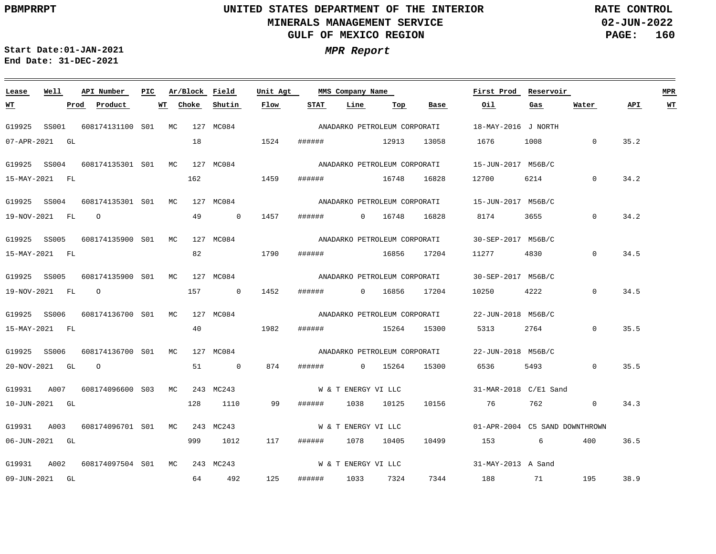**02-JUN-2022 PAGE: 160 RATE CONTROL**

**Start Date:01-JAN-2021 MPR Report End Date: 31-DEC-2021**

| Lease          | Well  |      | API Number                    | PIC. |    | Ar/Block Field |                | Unit Agt                               |             | MMS Company Name             |         |                              | First Prod Reservoir                                     |                         |          |      | <b>MPR</b>              |
|----------------|-------|------|-------------------------------|------|----|----------------|----------------|----------------------------------------|-------------|------------------------------|---------|------------------------------|----------------------------------------------------------|-------------------------|----------|------|-------------------------|
| <u> WТ</u>     |       | Prod | Product                       |      | WT | Choke          | Shutin         | Flow                                   | STAT        | Line                         | Тор     | Base                         | Oil                                                      | Gas                     | Water    | API  | $\underline{\text{WT}}$ |
| G19925         | SS001 |      | 608174131100 S01 MC           |      |    |                | 127 MC084      |                                        |             | ANADARKO PETROLEUM CORPORATI |         |                              | 18-MAY-2016 J NORTH                                      |                         |          |      |                         |
| 07-APR-2021 GL |       |      |                               |      |    | 18             |                | 1524                                   |             | ###### 12913                 |         | 13058                        | 1676                                                     | 1008                    | $\Omega$ | 35.2 |                         |
| G19925 SS004   |       |      | 608174135301 S01 MC 127 MC084 |      |    |                |                |                                        |             | ANADARKO PETROLEUM CORPORATI |         |                              | 15-JUN-2017 M56B/C                                       |                         |          |      |                         |
| 15-MAY-2021 FL |       |      |                               |      |    | 162            |                | 1459                                   |             | ####### 16748                |         | 16828                        | 12700                                                    | 6214                    | $\Omega$ | 34.2 |                         |
| G19925 SS004   |       |      | 608174135301 S01 MC           |      |    |                | 127 MC084      |                                        |             | ANADARKO PETROLEUM CORPORATI |         |                              | 15-JUN-2017 M56B/C                                       |                         |          |      |                         |
| 19-NOV-2021 FL |       |      | $\overline{O}$                |      |    | 49             | $\sim$ 0       | 1457                                   |             | ####### 0 16748              |         | 16828                        | 8174                                                     | 3655                    | $\Omega$ | 34.2 |                         |
| G19925 SS005   |       |      | 608174135900 S01 MC           |      |    |                | 127 MC084      |                                        |             |                              |         | ANADARKO PETROLEUM CORPORATI | 30-SEP-2017 M56B/C                                       |                         |          |      |                         |
| 15-MAY-2021 FL |       |      |                               |      |    |                | 82 1790        |                                        |             | ####### 16856 17204          |         |                              | 11277                                                    | 4830                    | $\Omega$ | 34.5 |                         |
| G19925 SS005   |       |      | 608174135900 S01 MC           |      |    |                | 127 MC084      |                                        |             |                              |         | ANADARKO PETROLEUM CORPORATI | 30-SEP-2017 M56B/C                                       |                         |          |      |                         |
| 19-NOV-2021 FL |       |      | $\Omega$                      |      |    | 157            | $\overline{0}$ | 1452                                   | # # # # # # |                              | 0 16856 | 17204                        | 10250                                                    | 4222 and $\overline{a}$ | $\Omega$ | 34.5 |                         |
| G19925 SS006   |       |      | 608174136700 S01 MC           |      |    |                | 127 MC084      |                                        |             | ANADARKO PETROLEUM CORPORATI |         |                              | 22-JUN-2018 M56B/C                                       |                         |          |      |                         |
| 15-MAY-2021 FL |       |      |                               |      |    |                | 40             | 1982                                   |             | ###### 15264                 |         | 15300                        | 5313                                                     | 2764                    | $\Omega$ | 35.5 |                         |
| G19925 SS006   |       |      | 608174136700 S01 MC           |      |    |                |                | 127 MC084 ANADARKO PETROLEUM CORPORATI |             |                              |         |                              | 22-JUN-2018 M56B/C                                       |                         |          |      |                         |
| 20-NOV-2021 GL |       |      | $\overline{O}$                |      |    | 51             | $\overline{0}$ | 874                                    |             | ###### 0 15264               |         | 15300                        | 6536                                                     | 5493 and $\sim$         | $\Omega$ | 35.5 |                         |
| G19931         | A007  |      | 608174096600 S03 MC           |      |    |                | 243 MC243      |                                        |             | W & T ENERGY VI LLC          |         |                              | 31-MAR-2018 C/E1 Sand                                    |                         |          |      |                         |
| 10-JUN-2021 GL |       |      |                               |      |    | 128            | 1110           | 99                                     | ######      | 1038 10125                   |         | 10156                        | 76 762                                                   |                         | $\Omega$ | 34.3 |                         |
| G19931         | A003  |      | 608174096701 S01 MC 243 MC243 |      |    |                |                |                                        |             |                              |         |                              | W & T ENERGY VI LLC $01 - APR - 2004$ C5 SAND DOWNTHROWN |                         |          |      |                         |
| 06-JUN-2021 GL |       |      |                               |      |    | 999            | 1012           | 117                                    | ######      | 1078 10405                   |         | 10499                        | 153                                                      | 6                       | 400      | 36.5 |                         |
| G19931         | A002  |      | 608174097504 S01 MC           |      |    |                | 243 MC243      |                                        |             | W & T ENERGY VI LLC          |         |                              | 31-MAY-2013 A Sand                                       |                         |          |      |                         |
| 09-JUN-2021 GL |       |      |                               |      |    | 64             | 492            | 125                                    | ######      | 1033 7324                    |         |                              | 7344 188 71                                              |                         | 195      | 38.9 |                         |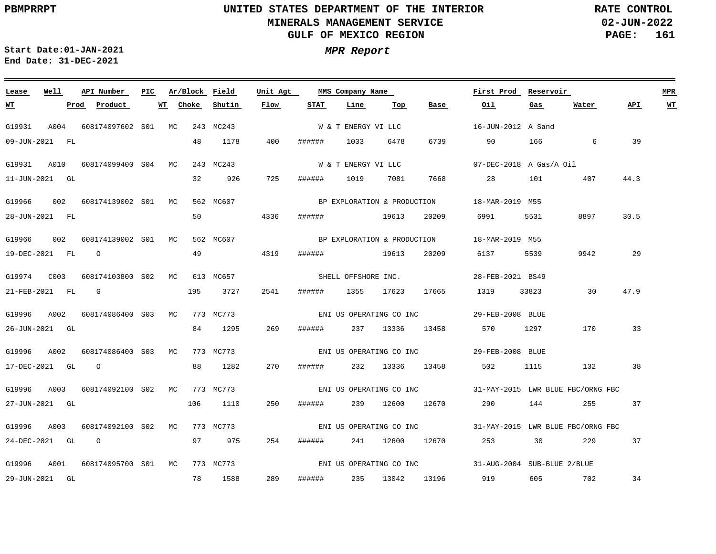**02-JUN-2022 PAGE: 161 RATE CONTROL**

 $\equiv$ 

**Start Date:01-JAN-2021 MPR Report End Date: 31-DEC-2021**

<u> 1989 - Johann Stein, marwolaethau a bhann an t-Amhair an t-Amhair an t-Amhair an t-Amhair an t-Amhair an t-A</u>

| Lease            | Well | API Number                     | PIC. | Ar/Block Field |           | Unit Agt |        | MMS Company Name         |                 |                             | First Prod                                                | Reservoir |       |      | <b>MPR</b> |
|------------------|------|--------------------------------|------|----------------|-----------|----------|--------|--------------------------|-----------------|-----------------------------|-----------------------------------------------------------|-----------|-------|------|------------|
| <u>WT</u>        |      | Prod Product                   |      | Choke<br>WT    | Shutin    | Flow     | STAT   | Line                     | Тор             | Base                        | Oil                                                       | Gas       | Water | API  | WT         |
| G19931           |      | A004 608174097602 S01 MC       |      |                | 243 MC243 |          |        | W & T ENERGY VI LLC      |                 |                             | 16-JUN-2012 A Sand                                        |           |       |      |            |
| 09-JUN-2021 FL   |      |                                |      | 48             | 1178      | 400      | ###### | 1033                     | 6478            | 6739                        | 90                                                        | 166 700   | 6     | 39   |            |
| G19931 A010      |      | 608174099400 S04 MC            |      |                | 243 MC243 |          |        | W & T ENERGY VI LLC      |                 |                             | $07-PEC-2018$ A Gas/A Oil                                 |           |       |      |            |
| 11-JUN-2021 GL   |      |                                |      | 32             | 926       | 725      | ###### | 1019                     | 7081            | 7668                        | 28                                                        | 101       | 407   | 44.3 |            |
|                  |      | G19966 002 608174139002 S01 MC |      |                | 562 MC607 |          |        |                          |                 | BP EXPLORATION & PRODUCTION | 18-MAR-2019 M55                                           |           |       |      |            |
| 28-JUN-2021 FL   |      |                                |      | 50             |           | 4336     |        | ####### 19613            |                 | 20209                       | 6991 — 100                                                | 5531      | 8897  | 30.5 |            |
| G19966           | 002  | 608174139002 S01 MC            |      |                | 562 MC607 |          |        |                          |                 | BP EXPLORATION & PRODUCTION | 18-MAR-2019 M55                                           |           |       |      |            |
| 19-DEC-2021 FL 0 |      |                                |      | 49             |           | 4319     | ###### | 19613                    |                 | 20209                       | 6137                                                      | 5539      | 9942  | 29   |            |
| G19974 C003      |      | 608174103800 S02 MC            |      |                | 613 MC657 |          |        | SHELL OFFSHORE INC.      |                 |                             | 28-FEB-2021 BS49                                          |           |       |      |            |
|                  |      | $21$ -FEB-2021 FL G            |      | 195            | 3727      | 2541     |        | ####### 1355 17623 17665 |                 |                             | 1319                                                      | 33823     | 30    | 47.9 |            |
| G19996 A002      |      | 608174086400 S03 MC            |      |                | 773 MC773 |          |        |                          |                 | ENI US OPERATING CO INC     | 29-FEB-2008 BLUE                                          |           |       |      |            |
| 26-JUN-2021 GL   |      |                                |      |                | 84 1295   | 269      | ###### |                          | 237 13336 13458 |                             | 570 1297                                                  |           | 170   | 33   |            |
| G19996 A002      |      | 608174086400 S03 MC            |      |                | 773 MC773 |          |        |                          |                 |                             |                                                           |           |       |      |            |
| 17-DEC-2021 GL 0 |      |                                |      | 88             | 1282      | 270      |        | ####### 232 13336 13458  |                 |                             | 502                                                       | 1115      | 132   | 38   |            |
| G19996           | A003 | 608174092100 S02 MC            |      |                | 773 MC773 |          |        |                          |                 | ENI US OPERATING CO INC     | 31-MAY-2015 LWR BLUE FBC/ORNG FBC                         |           |       |      |            |
| 27-JUN-2021 GL   |      |                                |      | 106            | 1110      | 250      | ###### |                          | 239 12600       | 12670                       | 290                                                       | 144       | 255   | 37   |            |
| G19996           | A003 | 608174092100 S02 MC 773 MC773  |      |                |           |          |        |                          |                 |                             | ENI US OPERATING CO INC 31-MAY-2015 LWR BLUE FBC/ORNG FBC |           |       |      |            |
| 24-DEC-2021 GL   |      | $\overline{O}$                 |      | 97             | 975       | 254      |        | ####### 241 12600 12670  |                 |                             | 253                                                       | 30        | 229   | 37   |            |
| G19996 A001      |      | 608174095700 S01 MC            |      |                | 773 MC773 |          |        |                          |                 |                             | ENI US OPERATING CO INC 31-AUG-2004 SUB-BLUE 2/BLUE       |           |       |      |            |
| 29-JUN-2021 GL   |      |                                |      |                | 78 1588   | 289      | ###### | 235                      | 13042 13196     |                             | 919 605 702                                               |           |       | 34   |            |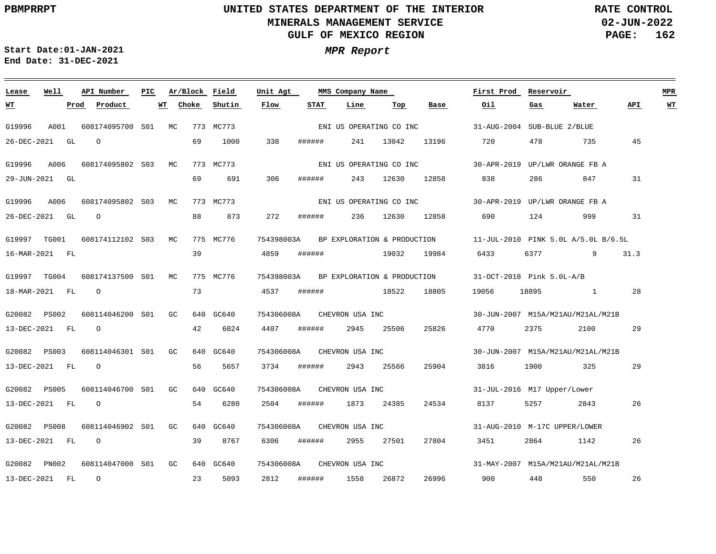**02-JUN-2022 PAGE: 162 RATE CONTROL**

**Start Date:01-JAN-2021 MPR Report End Date: 31-DEC-2021**

### **Lease Well API Number Ar/Block Field Unit Agt PIC MMS Company Name First Prod Reservoir MPR Choke Shutin Flow STAT Line Top Base Oil API WT WT Prod Product WT Gas Water** ENI US OPERATING CO INC G19996 A001 608174095700 S01 MC 773 MC773 31-AUG-2004 SUB-BLUE 2/BLUE 26-DEC-2021 GL O 69 1000 338 ###### 241 13042 13196 720 478 735 45 G19996 A006 608174095802 S03 MC 773 MC773 30-APR-2019 UP/LWR ORANGE FB A ENI US OPERATING CO INC 69 691 306 838 31 29-JUN-2021 GL ###### 243 12630 12858 286 847 G19996 A006 608174095802 S03 MC 773 MC773 30-APR-2019 UP/LWR ORANGE FB A ENI US OPERATING CO INC 88 873 26-DEC-2021 GL O 272 ###### 236 12630 12858 690 124 999 31 G19997 TG001 608174112102 S03 MC 775 MC776 754398003A 11-JUL-2010 PINK 5.0L A/5.0L B/6.5L BP EXPLORATION & PRODUCTION 39 16-MAR-2021 FL 4859 ###### 19032 19984 6433 6377 9 31.3 G19997 TG004 608174137500 S01 MC 775 MC776 754398003A 31-OCT-2018 Pink 5.0L-A/B BP EXPLORATION & PRODUCTION 73 18-MAR-2021 FL O 4537 ###### 18522 18805 19056 18895 1 28 G20082 PS002 608114046200 S01 GC 640 GC640 754306008A CHEVRON USA INC 30-JUN-2007 M15A/M21AU/M21AL/M21B O 42 6024 4407 29 13-DEC-2021 FL ###### 2945 25506 25826 4770 2375 2100 G20082 PS003 608114046301 S01 GC 640 GC640 754306008A CHEVRON USA INC 30-JUN-2007 M15A/M21AU/M21AL/M21B 13-DEC-2021 FL O 56 5657 3734 ###### 2943 25566 25904 3816 1900 325 29 G20082 PS005 608114046700 S01 GC 640 GC640 754306008A CHEVRON USA INC 31-JUL-2016 M17 Upper/Lower 54 13-DEC-2021 FL O 6280 2504 ###### 1873 24385 24534 8137 5257 2843 26 754306008A CHEVRON USA INC G20082 PS008 608114046902 S01 GC 640 GC640 31-AUG-2010 M-17C UPPER/LOWER 13-DEC-2021 FL O 39 8767 6306 ###### 2955 27501 27804 3451 2864 1142 26 G20082 PN002 608114047000 S01 GC 640 GC640 754306008A CHEVRON USA INC 31-MAY-2007 M15A/M21AU/M21AL/M21B O 2812 26996 26 13-DEC-2021 FL 23 5093 ###### 1558 26872 900 448 550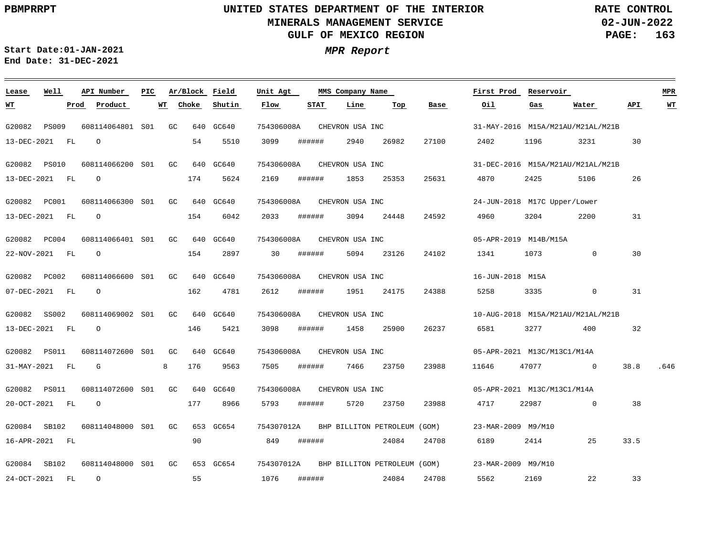**Lease**

 $\equiv$   $\equiv$   $\equiv$ 

# **UNITED STATES DEPARTMENT OF THE INTERIOR MINERALS MANAGEMENT SERVICE GULF OF MEXICO REGION**

**API Number Ar/Block Field PIC MMS Company Name**

**Unit Agt** 

**02-JUN-2022 PAGE: 163 RATE CONTROL**

**WT**

 $\sim$ 

**First Prod Reservoir MPR**

**Start Date:01-JAN-2021 MPR Report End Date: 31-DEC-2021**

**Well**

| WТ          |                | Prod | Product                       | WТ | Choke | Shutin    | Flow       | <b>STAT</b> | Line                         | Top   | Base  | Oil   | Gas                               | Water          | APT  | WT   |
|-------------|----------------|------|-------------------------------|----|-------|-----------|------------|-------------|------------------------------|-------|-------|-------|-----------------------------------|----------------|------|------|
| G20082      | <b>PS009</b>   |      | 608114064801 S01              | GC |       | 640 GC640 | 754306008A |             | CHEVRON USA INC              |       |       |       | 31-MAY-2016 M15A/M21AU/M21AL/M21B |                |      |      |
|             | 13-DEC-2021 FL |      | $\circ$                       |    | 54    | 5510      | 3099       | ######      | 2940                         | 26982 | 27100 | 2402  | 1196                              | 3231           | 30   |      |
|             | G20082 PS010   |      | 608114066200 S01              | GC |       | 640 GC640 | 754306008A |             | CHEVRON USA INC              |       |       |       | 31-DEC-2016 M15A/M21AU/M21AL/M21B |                |      |      |
| 13-DEC-2021 | FL             |      | $\circ$                       |    | 174   | 5624      | 2169       | ######      | 1853                         | 25353 | 25631 | 4870  | 2425                              | 5106           | 26   |      |
|             | G20082 PC001   |      | 608114066300 S01              | GC |       | 640 GC640 | 754306008A |             | CHEVRON USA INC              |       |       |       | 24-JUN-2018 M17C Upper/Lower      |                |      |      |
|             | 13-DEC-2021 FL |      | $\circ$                       |    | 154   | 6042      | 2033       | ######      | 3094                         | 24448 | 24592 | 4960  | 3204                              | 2200           | 31   |      |
|             | G20082 PC004   |      | 608114066401 S01              | GC |       | 640 GC640 | 754306008A |             | CHEVRON USA INC              |       |       |       | 05-APR-2019 M14B/M15A             |                |      |      |
|             | 22-NOV-2021 FL |      | $\circ$                       |    | 154   | 2897      | 30         | ######      | 5094                         | 23126 | 24102 | 1341  | 1073                              | $\mathbf{0}$   | 30   |      |
|             | G20082 PC002   |      | 608114066600 S01              | GC |       | 640 GC640 | 754306008A |             | CHEVRON USA INC              |       |       |       | 16-JUN-2018 M15A                  |                |      |      |
|             | 07-DEC-2021 FL |      | $\circ$                       |    | 162   | 4781      | 2612       | ######      | 1951                         | 24175 | 24388 | 5258  | 3335                              | $\overline{0}$ | 31   |      |
| G20082      | SS002          |      | 608114069002 S01 GC 640 GC640 |    |       |           |            |             | 754306008A CHEVRON USA INC   |       |       |       | 10-AUG-2018 M15A/M21AU/M21AL/M21B |                |      |      |
|             | 13-DEC-2021 FL |      | $\overline{O}$                |    | 146   | 5421      | 3098       | ######      | 1458                         | 25900 | 26237 | 6581  | 3277                              | 400            | 32   |      |
|             | G20082 PS011   |      | 608114072600 S01 GC           |    |       | 640 GC640 | 754306008A |             | CHEVRON USA INC              |       |       |       | 05-APR-2021 M13C/M13C1/M14A       |                |      |      |
|             | 31-MAY-2021 FL |      | G                             | 8  | 176   | 9563      | 7505       | ######      | 7466                         | 23750 | 23988 | 11646 | 47077 0                           |                | 38.8 | .646 |
|             | G20082 PS011   |      | 608114072600 S01              | GC |       | 640 GC640 | 754306008A |             | CHEVRON USA INC              |       |       |       | 05-APR-2021 M13C/M13C1/M14A       |                |      |      |
|             | 20-OCT-2021 FL |      | $\circ$                       |    | 177   | 8966      | 5793       | ######      | 5720                         | 23750 | 23988 | 4717  | 22987                             | $\Omega$       | 38   |      |
|             | G20084 SB102   |      | 608114048000 S01 GC           |    |       | 653 GC654 | 754307012A |             | BHP BILLITON PETROLEUM (GOM) |       |       |       | 23-MAR-2009 M9/M10                |                |      |      |
|             | 16-APR-2021 FL |      |                               |    | 90    |           | 849        | ######      |                              | 24084 | 24708 | 6189  | 2414                              | 25             | 33.5 |      |
|             | G20084 SB102   |      | 608114048000 S01 GC           |    |       | 653 GC654 | 754307012A |             | BHP BILLITON PETROLEUM (GOM) |       |       |       | 23-MAR-2009 M9/M10                |                |      |      |
|             | 24-OCT-2021 FL |      | $\Omega$                      |    | 55    |           | 1076       | ######      |                              | 24084 | 24708 | 5562  | 2169                              | 22             | 33   |      |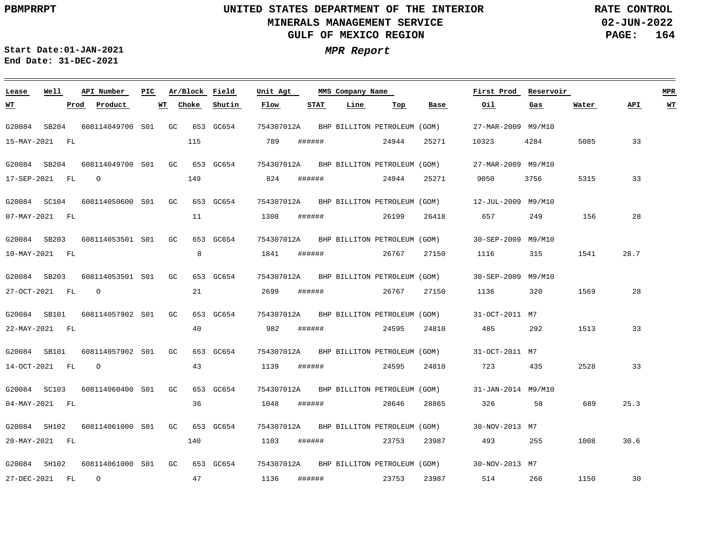**02-JUN-2022 PAGE: 164 RATE CONTROL**

**Start Date:01-JAN-2021 MPR Report End Date: 31-DEC-2021**

### G20084 SB204 G20084 SB204 G20084 SC104 G20084 SB203 G20084 SB203 G20084 SB101 G20084 SB101 G20084 SC103 G20084 SH102 G20084 SH102 **Lease Well** 608114049700 GC S01 608114049700 GC S01 608114050600 S01 608114053501 S01 608114053501 GC S01 608114057902 S01 608114057902 S01 608114060400 S01 608114061000 S01 608114061000 S01 GC 653 GC654 **API Number Ar/Block Field PIC MMS Company Name** GC<sub>1</sub>  $G<sub>C</sub>$  $G<sub>G</sub>$ GC GC GC 653 GC654 653 GC654 653 GC654 653 GC654 653 GC654 653 GC654 653 GC654 653 GC654 653 GC654 754307012A 754307012A 754307012A 754307012A 754307012A 754307012A 754307012A 754307012A 754307012A 754307012A **Unit Agt**  27-MAR-2009 M9/M10 27-MAR-2009 M9/M10 12-JUL-2009 M9/M10 30-SEP-2009 M9/M10 30-SEP-2009 M9/M10 31-OCT-2011 M7 31-OCT-2011 M7 31-JAN-2014 M9/M10 30-NOV-2013 M7 30-NOV-2013 M7 **First Prod Reservoir MPR** 15-MAY-2021 FL 17-SEP-2021 FL 07-MAY-2021 FL 10-MAY-2021 FL 27-OCT-2021 FL 22-MAY-2021 FL 14-OCT-2021 FL 04-MAY-2021 FL 20-MAY-2021 FL 27-DEC-2021 FL **WT Prod Product WT** O O O  $\Omega$ 115 149 11 8 21 40 43 36 140 47 **Choke Shutin** 789 824 1308 1841 2699 982 1139 1048 1103 1136 **Flow** ###### ###### ###### ###### ###### ###### ###### ###### ###### ###### **STAT Line** 24944 24944 26199 26767 26767 24595 24595 28646 23753 23753 **Top** 25271 25271 26418 27150 27150 24810 24810 28865 23987 23987 **Base** 10323 9050 657 1116 1136 485 723 326 493 514 **Oil** 4284 3756 249 315 320 292 435 58 255 266 **Gas** 5085 5315 156 1541 1569 1513 2528 689 1008 1150 **Water** 33 33 28 28.7 28 33 33 25.3 30.6 30 **API WT** BHP BILLITON PETROLEUM (GOM) BHP BILLITON PETROLEUM (GOM) BHP BILLITON PETROLEUM (GOM) BHP BILLITON PETROLEUM (GOM) BHP BILLITON PETROLEUM (GOM) BHP BILLITON PETROLEUM (GOM) BHP BILLITON PETROLEUM (GOM) BHP BILLITON PETROLEUM (GOM) BHP BILLITON PETROLEUM (GOM) BHP BILLITON PETROLEUM (GOM)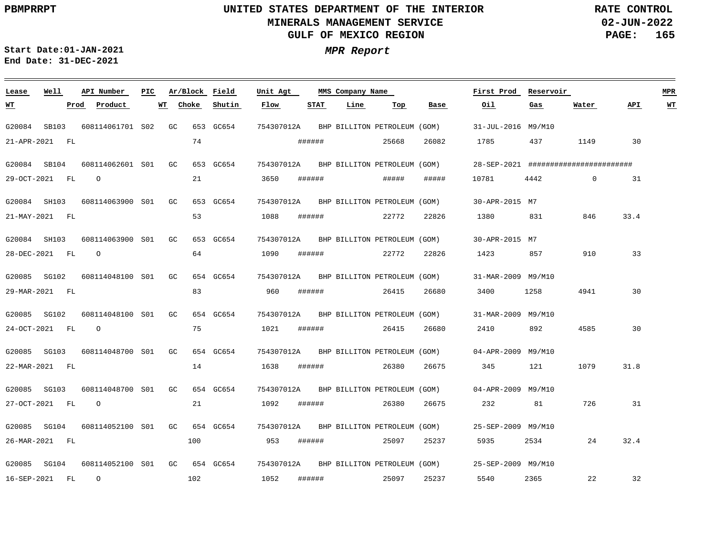**02-JUN-2022 PAGE: 165 RATE CONTROL**

**Start Date:01-JAN-2021 MPR Report End Date: 31-DEC-2021**

### G20084 SB103 G20084 SB104 G20084 SH103 G20084 SH103 G20085 SG102 G20085 SG102 G20085 SG103 G20085 SG103 G20085 SG104 G20085 SG104 **Lease Well** 608114061701 S02 608114062601 S01 608114063900 S01 608114063900 S01 608114048100 S01 608114048100 S01 608114048700 S01 608114048700 S01 608114052100 S01 608114052100 S01 GC 654 GC654 **API Number Ar/Block Field PIC MMS Company Name** GC GC GC  $G<sub>C</sub>$ GC GC  $C^{\prime}$ GC GC 653 GC654 653 GC654 653 GC654 653 GC654 654 GC654 654 GC654 654 GC654 654 GC654 654 GC654 754307012A 754307012A 754307012A 754307012A 754307012A 754307012A 754307012A 754307012A 754307012A 754307012A **Unit Agt**  31-JUL-2016 M9/M10 28-SEP-2021 ######################## 30-APR-2015 M7 30-APR-2015 M7 31-MAR-2009 M9/M10 31-MAR-2009 M9/M10 04-APR-2009 M9/M10 04-APR-2009 M9/M10 25-SEP-2009 M9/M10 25-SEP-2009 M9/M10 **First Prod Reservoir MPR** 21-APR-2021 FL 29-OCT-2021 FL 21-MAY-2021 FL 28-DEC-2021 FL 29-MAR-2021 FL 24-OCT-2021 FL 22-MAR-2021 FL 27-OCT-2021 FL 26-MAR-2021 FL 16-SEP-2021 FL **WT Prod Product WT** O O O O  $\Omega$ 74 21 53 64 83 75 14 21 100 102 **Choke Shutin** 3650 1088 1090 960 1021 1638 1092 953 1052 **Flow** ###### ###### ###### ###### ###### ###### ###### ###### ###### ###### **STAT Line** 25668 ##### 22772 22772 26415 26415 26380 26380 25097 25097 **Top** 26082 ##### 22826 22826 26680 26680 26675 26675 25237 25237 **Base** 1785 10781 1380 1423 3400 2410 345 232 5935 5540 **Oil** 437 4442 831 857 1258 892 121 81 2534 2365 **Gas** 1149  $\Omega$ 846 910 4941 4585 1079 726 24 22 **Water** 30 31 33.4 33 30 30 31.8 31 32.4 32 **API WT** BHP BILLITON PETROLEUM (GOM) BHP BILLITON PETROLEUM (GOM) BHP BILLITON PETROLEUM (GOM) BHP BILLITON PETROLEUM (GOM) BHP BILLITON PETROLEUM (GOM) BHP BILLITON PETROLEUM (GOM) BHP BILLITON PETROLEUM (GOM) BHP BILLITON PETROLEUM (GOM) BHP BILLITON PETROLEUM (GOM) BHP BILLITON PETROLEUM (GOM)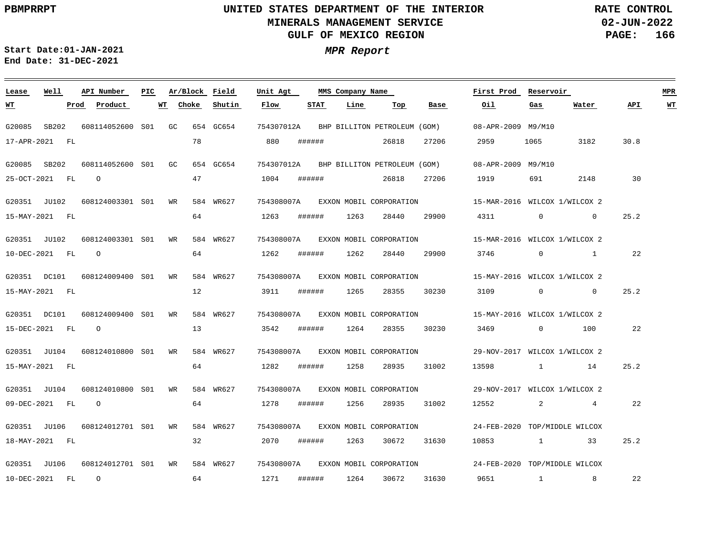**02-JUN-2022 PAGE: 166 RATE CONTROL**

**Start Date:01-JAN-2021 MPR Report End Date: 31-DEC-2021**

### **Lease Well API Number Ar/Block Field PIC MMS Company Name Unit Agt First Prod Reservoir MPR Choke Shutin Flow STAT Line Top Oil Water API WT WT Prod Product WT Base Gas** G20085 SB202 608114052600 S01 GC 654 GC654 754307012A BHP BILLITON PETROLEUM (GOM) 08-APR-2009 M9/M10 26818 17-APR-2021 FL 78 880 ###### 27206 2959 1065 3182 30.8 G20085 SB202 608114052600 S01 GC 654 GC654 754307012A BHP BILLITON PETROLEUM (GOM) 08-APR-2009 M9/M10 O 47 1004 ###### 2148 30 25-OCT-2021 FL 26818 27206 1919 691 G20351 JU102 608124003301 S01 WR 584 WR627 754308007A 15-MAR-2016 WILCOX 1/WILCOX 2 EXXON MOBIL CORPORATION 64 1263 ###### 1263 25.2 15-MAY-2021 FL 28440 29900 4311 0 0 G20351 JU102 608124003301 S01 WR 584 WR627 754308007A 15-MAR-2016 WILCOX 1/WILCOX 2 EXXON MOBIL CORPORATION 64 29900 22 10-DEC-2021 FL O 1262 ###### 1262 28440 3746 0 1 G20351 DC101 608124009400 S01 WR 584 WR627 754308007A 15-MAY-2016 WILCOX 1/WILCOX 2 EXXON MOBIL CORPORATION 12 3911 ###### 1265 25.2 15-MAY-2021 FL 28355 30230 3109 0 0 G20351 DC101 608124009400 S01 WR 584 WR627 754308007A 15-MAY-2016 WILCOX 1/WILCOX 2 EXXON MOBIL CORPORATION 13  $22$ 15-DEC-2021 FL O 3542 ###### 1264 28355 30230 3469 0 100 G20351 JU104 608124010800 S01 WR 584 WR627 754308007A EXXON MOBIL CORPORATION 29-NOV-2017 WILCOX 1/WILCOX 2 64 25.2 15-MAY-2021 FL 1282 ###### 1258 28935 31002 13598 1 14 G20351 JU104 608124010800 S01 WR 584 WR627 754308007A 29-NOV-2017 WILCOX 1/WILCOX 2 EXXON MOBIL CORPORATION 64 09-DEC-2021 FL O 1278 ###### 1256 28935 31002 12552 2 4 22 G20351 JU106 608124012701 S01 WR 584 WR627 754308007A EXXON MOBIL CORPORATION 24-FEB-2020 TOP/MIDDLE WILCOX 18-MAY-2021 FL 32 2070 ###### 1263 30672 31630 10853 1 33 25.2 G20351 JU106 608124012701 S01 WR 584 WR627 754308007A EXXON MOBIL CORPORATION 24-FEB-2020 TOP/MIDDLE WILCOX 64 1271 22 10-DEC-2021 FL O ###### 1264 30672 31630 9651 1 8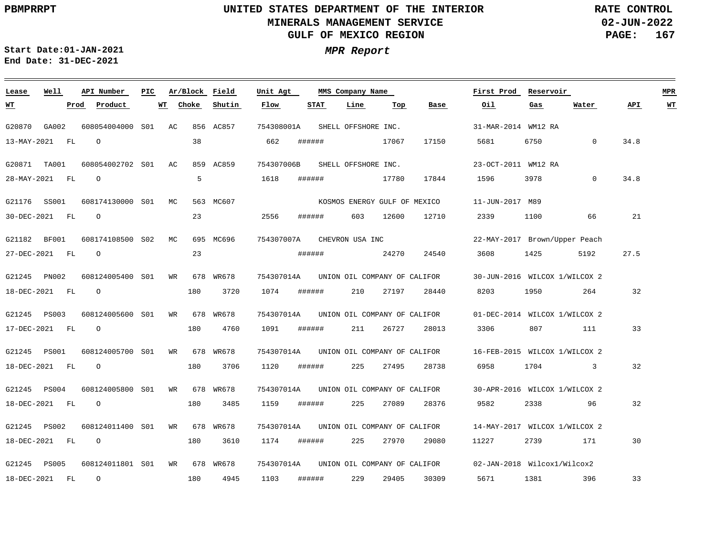**02-JUN-2022 PAGE: 167 RATE CONTROL**

 $\equiv$ 

**Start Date:01-JAN-2021 MPR Report End Date: 31-DEC-2021**

<u> 1989 - Johann Stein, marwolaethau a bhann an t-Amhair an t-Amhair an t-Amhair an t-Amhair an t-Amhair an t-A</u>

| Lease          | Well         | API Number       | PIC. | Ar/Block Field |           | Unit Agt   |        | MMS Company Name             |       |       | First Prod                    | Reservoir |              |      | <b>MPR</b>              |
|----------------|--------------|------------------|------|----------------|-----------|------------|--------|------------------------------|-------|-------|-------------------------------|-----------|--------------|------|-------------------------|
| <u>WТ</u>      |              | Product<br>Prod  | WT   | Choke          | Shutin    | Flow       | STAT   | Line                         | Top   | Base  | Oil                           | Gas       | Water        | API  | $\underline{\text{WT}}$ |
| G20870         | GA002        | 608054004000 S01 |      | AC             | 856 AC857 | 754308001A |        | SHELL OFFSHORE INC.          |       |       | 31-MAR-2014 WM12 RA           |           |              |      |                         |
| 13-MAY-2021    | FL           | $\circ$          |      | 38             |           | 662        | ###### |                              | 17067 | 17150 | 5681                          | 6750      | $\mathbf{0}$ | 34.8 |                         |
| G20871         | TA001        | 608054002702 S01 |      | AC             | 859 AC859 | 754307006B |        | SHELL OFFSHORE INC.          |       |       | 23-OCT-2011 WM12 RA           |           |              |      |                         |
| 28-MAY-2021    | FL           | $\circ$          |      | 5              |           | 1618       | ###### |                              | 17780 | 17844 | 1596                          | 3978      | $\Omega$     | 34.8 |                         |
| G21176         | SS001        | 608174130000 S01 |      | МC             | 563 MC607 |            |        | KOSMOS ENERGY GULF OF MEXICO |       |       | 11-JUN-2017 M89               |           |              |      |                         |
| 30-DEC-2021    | FL           | $\circ$          |      | 23             |           | 2556       | ###### | 603                          | 12600 | 12710 | 2339                          | 1100      | 66           | 21   |                         |
| G21182         | BF001        | 608174108500 S02 |      | MC             | 695 MC696 | 754307007A |        | CHEVRON USA INC              |       |       | 22-MAY-2017 Brown/Upper Peach |           |              |      |                         |
| 27-DEC-2021    | FL           | $\circ$          |      | 23             |           |            | ###### |                              | 24270 | 24540 | 3608                          | 1425      | 5192         | 27.5 |                         |
| G21245 PN002   |              | 608124005400 S01 |      | WR             | 678 WR678 | 754307014A |        | UNION OIL COMPANY OF CALIFOR |       |       | 30-JUN-2016 WILCOX 1/WILCOX 2 |           |              |      |                         |
| 18-DEC-2021 FL |              | $\circ$          |      | 180            | 3720      | 1074       | ###### | 210                          | 27197 | 28440 | 8203                          | 1950      | 264          | 32   |                         |
| G21245         | PS003        | 608124005600 S01 |      | WR             | 678 WR678 | 754307014A |        | UNION OIL COMPANY OF CALIFOR |       |       | 01-DEC-2014 WILCOX 1/WILCOX 2 |           |              |      |                         |
| 17-DEC-2021    | FL           | $\circ$          |      | 180            | 4760      | 1091       | ###### | 211                          | 26727 | 28013 | 3306                          | 807       | 111          | 33   |                         |
| G21245 PS001   |              | 608124005700 S01 |      | WR             | 678 WR678 | 754307014A |        | UNION OIL COMPANY OF CALIFOR |       |       | 16-FEB-2015 WILCOX 1/WILCOX 2 |           |              |      |                         |
| 18-DEC-2021 FL |              | $\circ$          |      | 180            | 3706      | 1120       | ###### | 225                          | 27495 | 28738 | 6958                          | 1704      | $\mathbf{3}$ | 32   |                         |
| G21245         | <b>PS004</b> | 608124005800 S01 |      | WR             | 678 WR678 | 754307014A |        | UNION OIL COMPANY OF CALIFOR |       |       | 30-APR-2016 WILCOX 1/WILCOX 2 |           |              |      |                         |
| 18-DEC-2021    | FL           | $\circ$          |      | 180            | 3485      | 1159       | ###### | 225                          | 27089 | 28376 | 9582                          | 2338      | 96           | 32   |                         |
| G21245 PS002   |              | 608124011400 S01 |      | WR             | 678 WR678 | 754307014A |        | UNION OIL COMPANY OF CALIFOR |       |       | 14-MAY-2017 WILCOX 1/WILCOX 2 |           |              |      |                         |
| 18-DEC-2021 FL |              | $\circ$          |      | 180            | 3610      | 1174       | ###### | 225                          | 27970 | 29080 | 11227                         | 2739      | 171          | 30   |                         |
| G21245 PS005   |              | 608124011801 S01 |      | WR             | 678 WR678 | 754307014A |        | UNION OIL COMPANY OF CALIFOR |       |       | 02-JAN-2018 Wilcox1/Wilcox2   |           |              |      |                         |
| 18-DEC-2021    | FL           | $\circ$          |      | 180            | 4945      | 1103       | ###### | 229                          | 29405 | 30309 | 5671                          | 1381      | 396          | 33   |                         |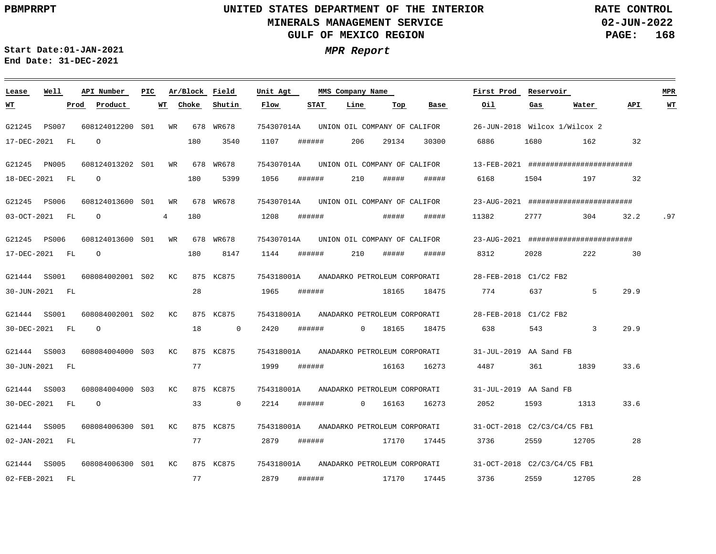**02-JUN-2022 PAGE: 168 RATE CONTROL**

**Start Date:01-JAN-2021 MPR Report End Date: 31-DEC-2021**

### **Lease Well API Number Ar/Block Field PIC MMS Company Name Unit Agt First Prod Reservoir MPR WT Choke Shutin Flow STAT Line Oil Water API WT Prod Product Top Base Gas WT** WR 754307014A UNION OIL COMPANY OF CALIFOR G21245 PS007 608124012200 S01 678 WR678 26-JUN-2018 Wilcox 1/Wilcox 2 17-DEC-2021 FL  $\Omega$ 180 3540 1107 ###### 206 29134 30300 6886 1680 162 32 WR 754307014A UNION OIL COMPANY OF CALIFOR G21245 PN005 608124013202 S01 678 WR678 13-FEB-2021 ####################### O 180 5399 1056 ###### 210 ##### ##### 6168 1504 197 32 18-DEC-2021 FL WR 754307014A UNION OIL COMPANY OF CALIFOR G21245 PS006 608124013600 S01 678 WR678 23-AUG-2021 ######################## O 4 180 1208 ###### ##### ##### 11382 2777 304 03-OCT-2021 FL 32.2 .97 754307014A UNION OIL COMPANY OF CALIFOR G21245 PS006 608124013600 WR 678 WR678 S01 23-AUG-2021 ####################### O 180 8147 1144 ###### 210 ##### ##### 8312 2028 222 30 17-DEC-2021 FL 754318001A ANADARKO PETROLEUM CORPORATI G21444 SS001 608084002001 S02  $K\cap$  875 KC875 28-FEB-2018 C1/C2 FB2 28 1965 ###### 18165 18475 774 637 5 29.9 30-JUN-2021 FL 754318001A G21444 SS001 608084002001 S02  $K<sub>C</sub>$  875 KC875 ANADARKO PETROLEUM CORPORATI 28-FEB-2018 C1/C2 FB2  $\Omega$ 18  $\overline{0}$ 2420 ###### 18475 638 543 3 29.9 30-DEC-2021 FL 0 18165 754318001A G21444 SS003 608084004000 S03  $K\cap$  875 KC875 ANADARKO PETROLEUM CORPORATI 31-JUL-2019 AA Sand FB 77 1999 ###### 361 1839 33.6 30-JUN-2021 FL 16163 16273 4487 G21444 SS003 608084004000 S03 KC 875 KC875 754318001A ANADARKO PETROLEUM CORPORATI 31-JUL-2019 AA Sand FB 0 2214 30-DEC-2021 FL O 33 ###### 0 16163 16273 2052 1593 1313 33.6  $K\Gamma$ 754318001A ANADARKO PETROLEUM CORPORATI G21444 SS005 608084006300 S01 875 KC875 31-OCT-2018 C2/C3/C4/C5 FB1 02-JAN-2021 FL 77 2879 ###### 17170 17445 3736 2559 12705 28 754318001A ANADARKO PETROLEUM CORPORATI G21444 SS005 608084006300 KC S01 875 KC875 31-OCT-2018 C2/C3/C4/C5 FB1 77 2879 ###### 17170 17445 3736 2559 12705 28 02-FEB-2021 FL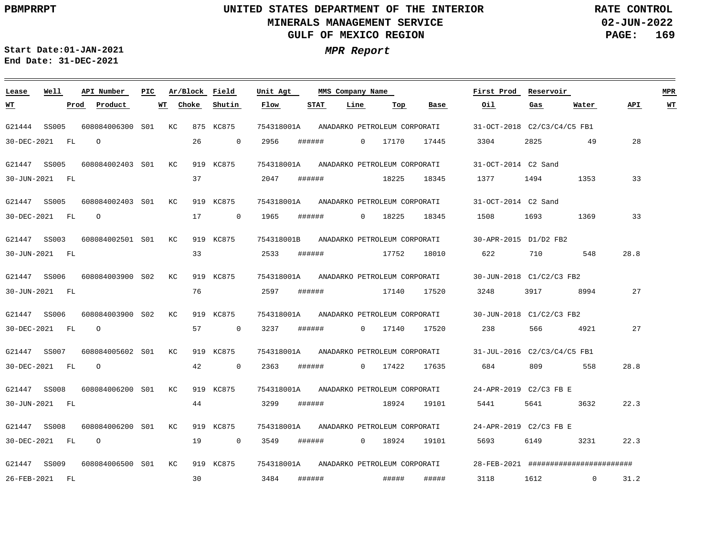**02-JUN-2022 PAGE: 169 RATE CONTROL**

**Start Date:01-JAN-2021 MPR Report End Date: 31-DEC-2021**

### G21444 SS005 G21447 SS005 G21447 SS005 G21447 SS003 G21447 SS006 G21447 SS006 G21447 SS007 G21447 SS008 G21447 SS008 G21447 SS009 **Lease Well** 608084006300 KC S01 608084002403 KC S01 608084002403 KC S01 608084002501 KC S01 608084003900 S02 608084003900 S02 608084005602 KC S01 608084006200 KC S01 608084006200 S01 608084006500 S01 KC 919 KC875 **API Number Ar/Block Field PIC MMS Company Name**  $K\cap$  $K<sub>C</sub>$  $K<sub>C</sub>$  875 KC875 919 KC875 919 KC875 919 KC875 919 KC875 919 KC875 919 KC875 919 KC875 919 KC875 754318001A 754318001A 754318001A 754318001B ANADARKO PETROLEUM CORPORATI 754318001A ANADARKO PETROLEUM CORPORATI 754318001A ANADARKO PETROLEUM CORPORATI 754318001A 754318001A 754318001A 754318001A ANADARKO PETROLEUM CORPORATI **Unit Agt**  31-OCT-2018 C2/C3/C4/C5 FB1 31-OCT-2014 C2 Sand 31-OCT-2014 C2 Sand 30-APR-2015 D1/D2 FB2 30-JUN-2018 C1/C2/C3 FB2 30-JUN-2018 C1/C2/C3 FB2 31-JUL-2016 C2/C3/C4/C5 FB1 24-APR-2019 C2/C3 FB E 24-APR-2019 C2/C3 FB E 28-FEB-2021 ####################### **First Prod Reservoir MPR** 30-DEC-2021 FL 30-JUN-2021 FL 30-DEC-2021 FL 30-JUN-2021 FL 30-JUN-2021 FL 30-DEC-2021 FL 30-DEC-2021 FL 30-JUN-2021 FL 30-DEC-2021 FL 26-FEB-2021 FL **WT Prod Product WT**  $\Omega$  $\cap$ O  $\Omega$ O 26 37 17 33 76 57 42 44 19 30 **Choke**  $\Omega$ 0  $\overline{0}$  $\overline{0}$  $\overline{0}$ **Shutin** 2956 2047 1965 2533 2597 3237 2363 3299 3549 3484 **Flow** ###### ###### ###### ###### ###### ###### ###### ###### ###### ###### **STAT** 0 17170 0 18225 0 17140 0 17422 0 18924 **Line** 18225 17752 17140 18924 ##### **Top** 17445 18345 18345 18010 17520 17520 17635 19101 19101 ##### **Base** 3304 1377 1508 622 3248 238 684 5441 5693 3118 **Oil** 2825 1494 1693 710 3917 566 809 5641 6149 1612 **Gas** 49 1353 1369 548 8994 4921 558 3632 3231  $\overline{0}$ **Water** 28 33 33 28.8 27 27 28.8 22.3 22.3 31.2 **API WT** ANADARKO PETROLEUM CORPORATI ANADARKO PETROLEUM CORPORATI ANADARKO PETROLEUM CORPORATI ANADARKO PETROLEUM CORPORATI ANADARKO PETROLEUM CORPORATI ANADARKO PETROLEUM CORPORATI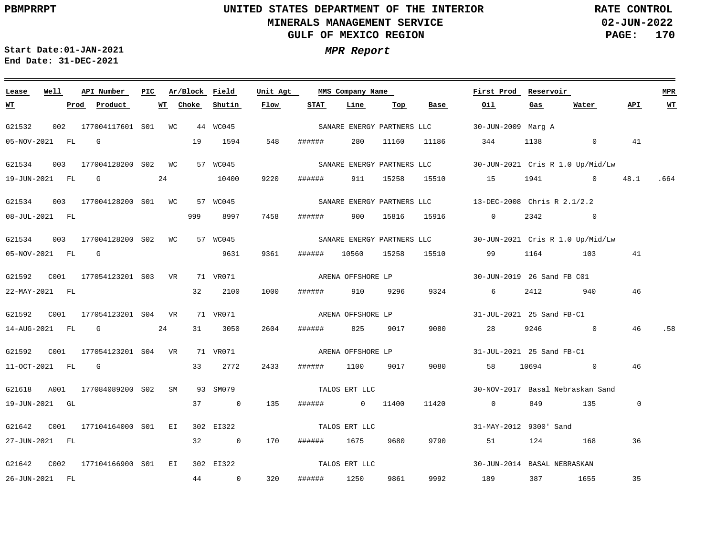**02-JUN-2022 PAGE: 170 RATE CONTROL**

**Start Date:01-JAN-2021 MPR Report End Date: 31-DEC-2021**

### <u> 1989 - Johann Barn, mars ann an t-Amhain Aonaichte ann an t-Aonaichte ann an t-Aonaichte ann an t-Aonaichte a</u> **Lease Well API Number Ar/Block PIC MMS Company Name Field Unit Agt First Prod Reservoir MPR Shutin Flow STAT Line Top Base Oil Water WT Prod Product WT Choke Gas API WT** G21532 002 177004117601 WC 44 WC045 S01 30-JUN-2009 Marg A SANARE ENERGY PARTNERS LLC 05-NOV-2021 FL G 19 1594 548 ###### 280 11160 11186 344 1138 0 41 G21534 003 177004128200 S02 WC 57 WC045 SANARE ENERGY PARTNERS LLC 30-JUN-2021 Cris R 1.0 Up/Mid/Lw 10400 9220 19-JUN-2021 FL G 24 ###### 911 15258 15510 15 1941 0 48.1 .664 G21534 003 177004128200 WC 57 WC045 S01 13-DEC-2008 Chris R 2.1/2.2 SANARE ENERGY PARTNERS LLC 999 8997 08-JUL-2021 FL 7458 ###### 900 15816 15916 0 2342 0 G21534 003 177004128200 S02 WC 57 WC045 SANARE ENERGY PARTNERS LLC 30-JUN-2021 Cris R 1.0 Up/Mid/Lw 9631 9361 05-NOV-2021 FL G ###### 10560 15258 15510 99 1164 103 41 ARENA OFFSHORE LP G21592 C001 177054123201 VR 71 VR071 S03 30-JUN-2019 26 Sand FB C01 22-MAY-2021 FL 32 2100 1000 ###### 910 9296 9324 6 2412 940 46 G21592 C001 177054123201 VR 71 VR071 S04 31-JUL-2021 25 Sand FB-C1 ARENA OFFSHORE LP 31 3050 2604 14-AUG-2021 FL G 24 ###### 825 9017 9080 28 9246 0 46 .58 G21592 C001 177054123201 VR 71 VR071 S04 ARENA OFFSHORE LP 31-JUL-2021 25 Sand FB-C1 11-OCT-2021 FL G 33 2772 2433 ###### 1100 9017 9080 58 10694 0 46 TALOS ERT LLC G21618 A001 177084089200 S02 SM 93 SM079 30-NOV-2017 Basal Nebraskan Sand 19-JUN-2021 GL 37 0 135 ###### 0 11400 11420 0 849 135 0 TALOS ERT LLC G21642 C001 177104164000 EI 302 EI322 S01 31-MAY-2012 9300' Sand 27-JUN-2021 FL 32 0 170 ###### 1675 9680 9790 51 124 168 36 TALOS ERT LLC G21642 C002 177104166900 EI 302 EI322 S0130-JUN-2014 BASAL NEBRASKAN 9992 35 26-JUN-2021 FL 44 0 320 ###### 1250 9861 189 387 1655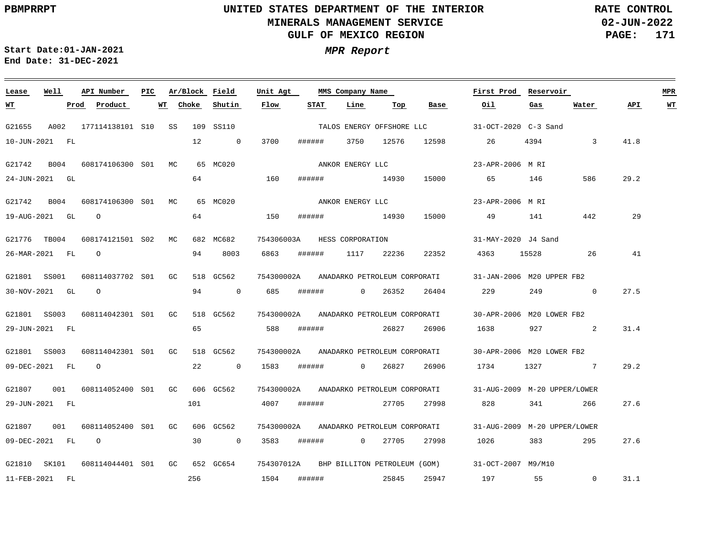# **UNITED STATES DEPARTMENT OF THE INTERIOR MINERALS MANAGEMENT SERVICE GULF OF MEXICO REGION**

**02-JUN-2022 PAGE: 171 RATE CONTROL**

 $\equiv$ 

**Start Date:01-JAN-2021 MPR Report End Date: 31-DEC-2021**

| Lease        | Well           | API Number          | PIC. |             |     | Ar/Block Field | Unit Agt   | MMS Company Name |                              |         |                                         | First Prod                   | Reservoir |                |      | <b>MPR</b> |
|--------------|----------------|---------------------|------|-------------|-----|----------------|------------|------------------|------------------------------|---------|-----------------------------------------|------------------------------|-----------|----------------|------|------------|
| <u> WТ</u>   | Prod           | Product             |      | WT<br>Choke |     | Shutin         | Flow       | STAT             | Line                         | Top     | Base                                    | Oil                          | Gas       | Water          | API  | <b>WT</b>  |
| G21655       | A002           | 177114138101 S10 SS |      |             |     | 109 SS110      |            |                  |                              |         | TALOS ENERGY OFFSHORE LLC               | 31-OCT-2020 C-3 Sand         |           |                |      |            |
|              | 10-JUN-2021 FL |                     |      |             | 12  | $\overline{0}$ | 3700       | ######           | 3750                         | 12576   | 12598                                   | 26                           | 4394      | 3              | 41.8 |            |
| G21742       | B004           | 608174106300 S01 MC |      |             |     | 65 MC020       |            |                  | ANKOR ENERGY LLC             |         |                                         | 23-APR-2006 M RI             |           |                |      |            |
|              | 24-JUN-2021 GL |                     |      |             | 64  |                | 160        | ######           | 14930                        |         | 15000                                   | 65                           | 146       | 586            | 29.2 |            |
| G21742       | B004           | 608174106300 S01 MC |      |             |     | 65 MC020       |            |                  | ANKOR ENERGY LLC             |         |                                         | 23-APR-2006 M RI             |           |                |      |            |
|              | 19-AUG-2021 GL | $\circ$             |      |             | 64  |                | 150        | ######           | 14930                        |         | 15000                                   | 49                           | 141       | 442            | 29   |            |
| G21776 TB004 |                | 608174121501 S02 MC |      |             |     | 682 MC682      | 754306003A |                  | HESS CORPORATION             |         |                                         | 31-MAY-2020 J4 Sand          |           |                |      |            |
|              | 26-MAR-2021 FL | $\circ$             |      |             | 94  | 8003           | 6863       | ######           | 1117                         | 22236   | 22352                                   | 4363                         | 15528     | -26            | 41   |            |
| G21801 SS001 |                | 608114037702 S01 GC |      |             |     | 518 GC562      |            |                  |                              |         | 754300002A ANADARKO PETROLEUM CORPORATI | 31-JAN-2006 M20 UPPER FB2    |           |                |      |            |
|              | 30-NOV-2021 GL | $\circ$             |      |             | 94  | $\overline{0}$ | 685        | ######           |                              | 0 26352 | 26404                                   | 229                          | 249       | $\overline{0}$ | 27.5 |            |
| G21801 SS003 |                | 608114042301 S01    |      | GC.         |     | 518 GC562      | 754300002A |                  | ANADARKO PETROLEUM CORPORATI |         |                                         | 30-APR-2006 M20 LOWER FB2    |           |                |      |            |
|              | 29-JUN-2021 FL |                     |      |             | 65  |                | 588        | ######           |                              | 26827   | 26906                                   | 1638 7                       | 927       | $\sim$ 2       | 31.4 |            |
| G21801 SS003 |                | 608114042301 S01 GC |      |             |     | 518 GC562      |            |                  |                              |         | 754300002A ANADARKO PETROLEUM CORPORATI | 30-APR-2006 M20 LOWER FB2    |           |                |      |            |
|              | 09-DEC-2021 FL | $\Omega$            |      |             | 22  | $\overline{0}$ | 1583       | ######           | $\overline{0}$               | 26827   | 26906                                   | 1734                         |           | 1327 7         | 29.2 |            |
| G21807       | 001            | 608114052400 S01 GC |      |             |     | 606 GC562      | 754300002A |                  | ANADARKO PETROLEUM CORPORATI |         |                                         | 31-AUG-2009 M-20 UPPER/LOWER |           |                |      |            |
|              | 29-JUN-2021 FL |                     |      |             | 101 |                | 4007       | ######           |                              | 27705   | 27998                                   | 828                          |           | 266            | 27.6 |            |
| G21807       | 001            | 608114052400 S01 GC |      |             |     | 606 GC562      | 754300002A |                  |                              |         | ANADARKO PETROLEUM CORPORATI            | 31-AUG-2009 M-20 UPPER/LOWER |           |                |      |            |
|              | 09-DEC-2021 FL | $\overline{O}$      |      |             | 30  | $\sim$ 0       | 3583       | ######           | $\overline{0}$               | 27705   | 27998                                   | 1026                         | 383       | 295            | 27.6 |            |
| G21810 SK101 |                | 608114044401 S01 GC |      |             |     | 652 GC654      |            |                  |                              |         | 754307012A BHP BILLITON PETROLEUM (GOM) | 31-OCT-2007 M9/M10           |           |                |      |            |
|              | 11-FEB-2021 FL |                     |      |             | 256 |                | 1504       | ######           | 25845                        |         | 25947                                   | 197                          | 55        | $\Omega$       | 31.1 |            |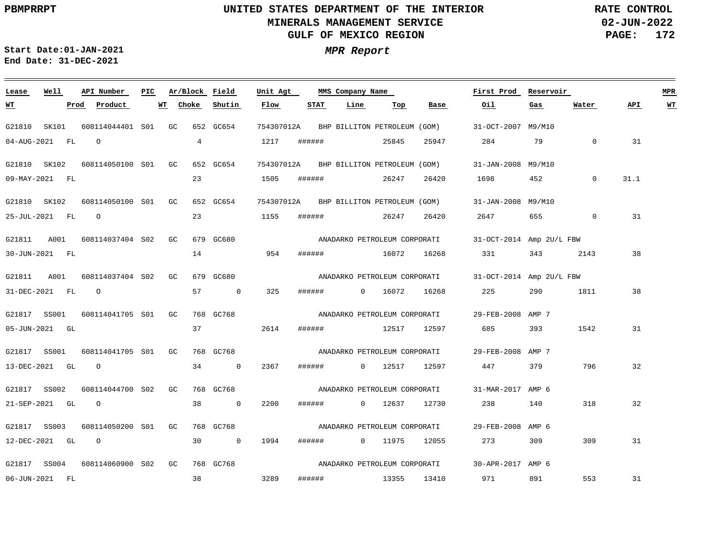**02-JUN-2022 PAGE: 172 RATE CONTROL**

**Start Date:01-JAN-2021 MPR Report End Date: 31-DEC-2021**

### **Lease Well API Number Ar/Block Field Unit Agt PIC MMS Company Name First Prod Reservoir MPR Choke Shutin Flow STAT Line Top Oil Water API WT WT Prod Product WT Base Gas** G21810 SK101 608114044401 S01 GC 652 GC654 754307012A BHP BILLITON PETROLEUM (GOM) 31-OCT-2007 M9/M10 4 04-AUG-2021 FL O 1217 ###### 25845 25947 284 79 0 31 G21810 SK102 608114050100 S01 GC 652 GC654 754307012A BHP BILLITON PETROLEUM (GOM) 31-JAN-2008 M9/M10 23 31.1 09-MAY-2021 FL 1505 ###### 26247 26420 1698 452 0 G21810 SK102 608114050100 S01 GC 652 GC654 754307012A 31-JAN-2008 M9/M10 BHP BILLITON PETROLEUM (GOM) 23 26247 25-JUL-2021 FL O 1155 ###### 26420 2647 655 0 31 G21811 A001 608114037404 S02 GC 679 GC680 31-OCT-2014 Amp 2U/L FBW ANADARKO PETROLEUM CORPORATI 14 38 30-JUN-2021 FL 954 ###### 16072 16268 331 343 2143 G21811 A001 608114037404 S02 GC 679 GC680 31-OCT-2014 Amp 2U/L FBW ANADARKO PETROLEUM CORPORATI 31-DEC-2021 FL O 57 0 325 ###### 0 16072 16268 225 290 1811 38 G21817 SS001 608114041705 S01 GC 768 GC768 29-FEB-2008 AMP 7 ANADARKO PETROLEUM CORPORATI 1542 31 05-JUN-2021 GL 37 2614 ###### 12517 12597 685 393 G21817 SS001 608114041705 S01 GC 768 GC768 ANADARKO PETROLEUM CORPORATI 29-FEB-2008 AMP 7 13-DEC-2021 GL O 34 0 2367 ###### 0 12517 12597 447 379 796 32 G21817 SS002 608114044700 S02 GC 768 GC768 31-MAR-2017 AMP 6 ANADARKO PETROLEUM CORPORATI 21-SEP-2021 GL O 38 0 2200 ###### 0 12637 12730 238 140 318 32 ANADARKO PETROLEUM CORPORATI G21817 SS003 608114050200 S01 GC 768 GC768 29-FEB-2008 AMP 6 12-DEC-2021 GL O 30 0 1994 ###### 0 11975 12055 273 309 309 31 ANADARKO PETROLEUM CORPORATI G21817 SS004 608114060900 S02 GC 768 GC768 30-APR-2017 AMP 6 38 3289 553 31 06-JUN-2021 FL ###### 13355 13410 971 891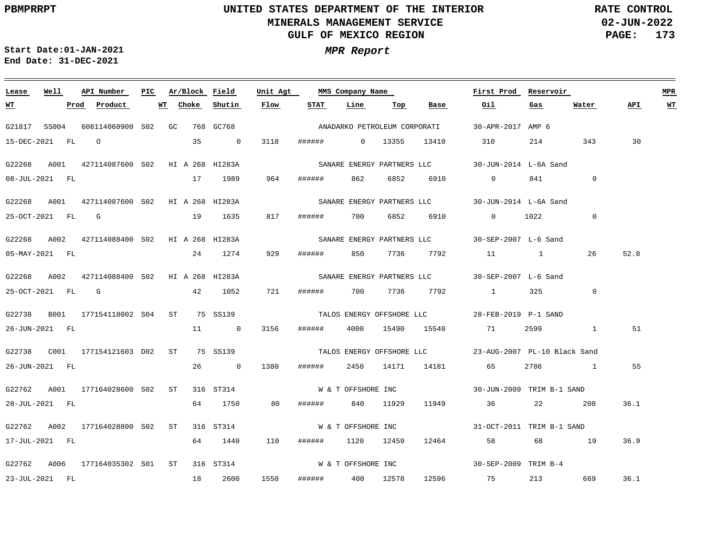**02-JUN-2022 PAGE: 173 RATE CONTROL**

**Start Date:01-JAN-2021 MPR Report End Date: 31-DEC-2021**

### <u> 1989 - Johann Stein, marwolaethau (b. 1989)</u> **Lease Well API Number Ar/Block Field Unit Agt First Prod Reservoir MPR PIC MMS Company Name Choke STAT API WT WT Prod Product WT Shutin Flow Line Top Base Oil Gas Water** ANADARKO PETROLEUM CORPORATI G21817 SS004 608114060900 S02 GC 768 GC768 30-APR-2017 AMP 6 15-DEC-2021 FL O 35 0 3118 ###### 0 13355 13410 310 214 343 30 G22268 A001 427114087600 S02 HI A 268 HI283A 30-JUN-2014 L-6A Sand SANARE ENERGY PARTNERS LLC  $\Omega$ 08-JUL-2021 FL 17 1989 964 ###### 862 6852 6910 0 841 G22268 A001 427114087600 HI A 268 HI283A S02 30-JUN-2014 L-6A Sand SANARE ENERGY PARTNERS LLC 0 25-OCT-2021 FL G 19 1635 817 ###### 700 6852 6910 0 1022 G22268 A002 427114088400 S02 HI A 268 HI283A 30-SEP-2007 L-6 Sand SANARE ENERGY PARTNERS LLC 929 52.8 05-MAY-2021 FL 24 1274 ###### 850 7736 7792 11 1 26 G22268 A002 427114088400 S02 HI A 268 HI283A 30-SEP-2007 L-6 Sand SANARE ENERGY PARTNERS LLC 25-OCT-2021 FL G 42 1052 721 ###### 700 7736 7792 1 325 0 G22738 B001 177154118002 S04 ST 75 SS139 28-FEB-2019 P-1 SAND TALOS ENERGY OFFSHORE LLC 51 26-JUN-2021 FL 11 0 3156 ###### 4000 15490 15540 71 2599 1 G22738 C001 177154121603 ST 75 SS139 D02 23-AUG-2007 PL-10 Black Sand TALOS ENERGY OFFSHORE LLC 26-JUN-2021 FL 26 0 1380 ###### 2450 14171 14181 65 2786 1 55 G22762 A001 177164028600 S02 ST 316 ST314 W & T OFFSHORE INC 30-JUN-2009 TRIM B-1 SAND 28-JUL-2021 FL 64 1750 80 ###### 840 11929 11949 36 22 208 36.1 W & T OFFSHORE INC G22762 A002 177164028800 S02 ST 316 ST314 31-OCT-2011 TRIM B-1 SAND 17-JUL-2021 FL 64 1440 110 ###### 1120 12459 12464 58 68 19 36.9 W & T OFFSHORE INC G22762 A006 177164035302 S01 ST 316 ST314 30-SEP-2009 TRIM B-4 1550 36.1 23-JUL-2021 FL 18 2600 ###### 400 12578 12596 75 213 669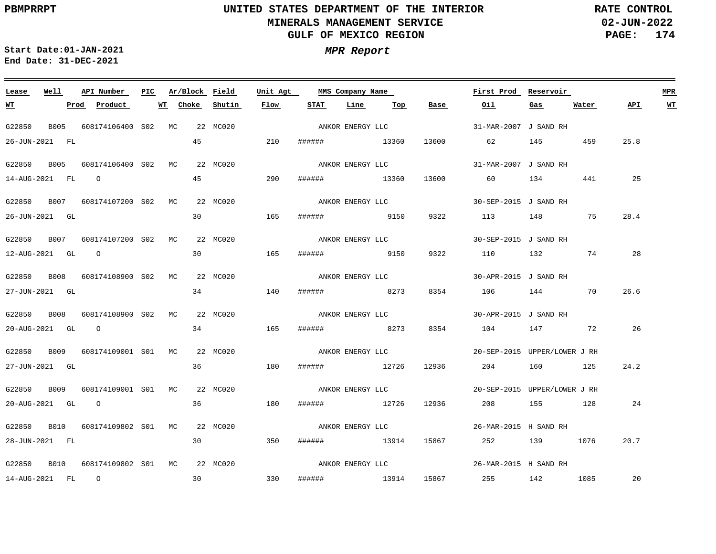**02-JUN-2022 PAGE: 174 RATE CONTROL**

 $\equiv$ 

**Start Date:01-JAN-2021 MPR Report End Date: 31-DEC-2021**

| Lease          | Well | API Number                               | PIC. | Ar/Block Field |          | Unit Agt |                  | MMS Company Name |       | First Prod            | Reservoir                    |         |           | <b>MPR</b> |  |
|----------------|------|------------------------------------------|------|----------------|----------|----------|------------------|------------------|-------|-----------------------|------------------------------|---------|-----------|------------|--|
| <u> WТ</u>     |      | Product<br>Prod                          |      | WT Choke       | Shutin   | Flow     | STAT             | Line<br>Тор      | Base  | Oil                   | Gas                          | Water   | API       | <u>WT</u>  |  |
| G22850         |      | B005 608174106400 S02 MC                 |      |                | 22 MC020 |          |                  | ANKOR ENERGY LLC |       | 31-MAR-2007 J SAND RH |                              |         |           |            |  |
| 26-JUN-2021 FL |      |                                          |      | 45             |          | 210      |                  | ###### 13360     | 13600 | 62 62                 | 145                          | 459     | 25.8      |            |  |
| G22850         |      | B005 608174106400 S02 MC                 |      |                | 22 MC020 |          | ANKOR ENERGY LLC |                  |       | 31-MAR-2007 J SAND RH |                              |         |           |            |  |
| 14-AUG-2021 FL |      | $\overline{O}$                           |      | 45             |          | 290      | ######           | 13360            | 13600 | 60 — 10               |                              | 134 441 | 25        |            |  |
|                |      | G22850 B007 608174107200 S02 MC          |      |                | 22 MC020 |          | ANKOR ENERGY LLC |                  |       | 30-SEP-2015 J SAND RH |                              |         |           |            |  |
| 26-JUN-2021 GL |      |                                          |      | 30             |          | 165      |                  | ####### 9150     | 9322  | 113 148               |                              | 75      | 28.4      |            |  |
| G22850         |      | B007 608174107200 S02 MC                 |      |                | 22 MC020 |          |                  | ANKOR ENERGY LLC |       | 30-SEP-2015 J SAND RH |                              |         |           |            |  |
| 12-AUG-2021 GL |      | $\overline{O}$                           |      | 30             |          | 165      | ######           | 9150             | 9322  | 110 132 74            |                              |         | 28        |            |  |
|                |      | G22850 B008 608174108900 S02 MC          |      |                | 22 MC020 |          | ANKOR ENERGY LLC |                  |       | 30-APR-2015 J SAND RH |                              |         |           |            |  |
| 27-JUN-2021 GL |      |                                          |      | 34             |          | 140      |                  | ####### 8273     | 8354  | 106 144               |                              | 70      | 26.6      |            |  |
|                |      | G22850 B008 608174108900 S02 MC          |      |                | 22 MC020 |          |                  | ANKOR ENERGY LLC |       | 30-APR-2015 J SAND RH |                              |         |           |            |  |
| 20-AUG-2021 GL |      | $\circ$                                  |      | 34             |          | 165      | ######           | 8273             | 8354  | 104 147 72            |                              |         | 26        |            |  |
|                |      | G22850 B009 608174109001 S01 MC          |      |                | 22 MC020 |          |                  | ANKOR ENERGY LLC |       |                       | 20-SEP-2015 UPPER/LOWER J RH |         |           |            |  |
| 27-JUN-2021 GL |      |                                          |      | 36             |          | 180      |                  | ###### 12726     | 12936 | 204 160 125           |                              |         | 24.2      |            |  |
| G22850         |      | B009 608174109001 S01 MC                 |      |                | 22 MC020 |          |                  | ANKOR ENERGY LLC |       |                       | 20-SEP-2015 UPPER/LOWER J RH |         |           |            |  |
| 20-AUG-2021 GL |      | $\circ$                                  |      | 36             |          | 180      | ######           | 12726            | 12936 | 208                   |                              | 155 128 | 24        |            |  |
|                |      | G22850 B010 608174109802 S01 MC 22 MC020 |      |                |          |          |                  | ANKOR ENERGY LLC |       | 26-MAR-2015 H SAND RH |                              |         |           |            |  |
| 28-JUN-2021 FL |      |                                          |      | 30             |          | 350      |                  | ###### 13914     |       | 15867 252 139 1076    |                              |         | 20.7      |            |  |
|                |      | G22850 B010 608174109802 S01 MC          |      |                | 22 MC020 |          |                  | ANKOR ENERGY LLC |       | 26-MAR-2015 H SAND RH |                              |         |           |            |  |
| 14-AUG-2021 FL |      | $\overline{O}$                           |      | 30             |          | 330      |                  | ####### 13914    |       | 15867 255 142 1085    |                              |         | $\sim$ 20 |            |  |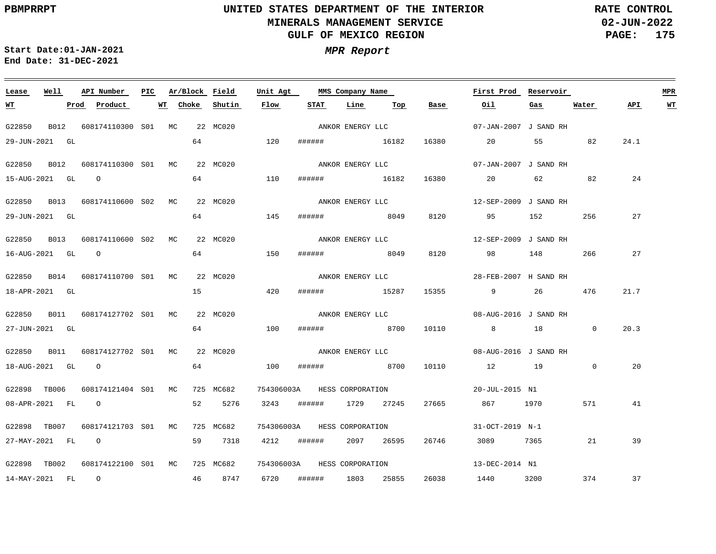**02-JUN-2022 PAGE: 175 RATE CONTROL**

 $\equiv$ 

**Start Date:01-JAN-2021 MPR Report End Date: 31-DEC-2021**

<u> 1989 - Johann Stein, marwolaethau a bhann an t-Amhair an t-Amhair an t-Amhair an t-Amhair an t-Amhair an t-A</u>

| Lease            | Well | API Number                      | PIC | Ar/Block    | Field       | Unit Agt | MMS Company Name |                             |       |       | First Prod            | Reservoir |              |      | <b>MPR</b> |
|------------------|------|---------------------------------|-----|-------------|-------------|----------|------------------|-----------------------------|-------|-------|-----------------------|-----------|--------------|------|------------|
| <u>WТ</u>        |      | Product<br>Prod                 |     | Choke<br>WT | Shutin      | Flow     | STAT             | Line                        | Тор   | Base  | Oil                   | Gas       | Water        | API  | <u>WT</u>  |
| G22850           |      | B012 608174110300 S01 MC        |     |             | 22 MC020    |          |                  | ANKOR ENERGY LLC            |       |       | 07-JAN-2007 J SAND RH |           |              |      |            |
| 29-JUN-2021 GL   |      |                                 |     | 64          |             | 120      |                  | ###### 16182                |       | 16380 | 20                    | 55 7      | 82           | 24.1 |            |
| G22850 B012      |      | 608174110300 S01 MC             |     |             | 22 MC020    |          |                  | ANKOR ENERGY LLC            |       |       | 07-JAN-2007 J SAND RH |           |              |      |            |
| 15-AUG-2021 GL   |      | $\overline{O}$                  |     |             |             | 110      | ######           | 16182                       |       | 16380 | 20                    |           | 82           | 24   |            |
|                  |      | G22850 B013 608174110600 S02 MC |     |             | 22 MC020    |          |                  | ANKOR ENERGY LLC            |       |       | 12-SEP-2009 J SAND RH |           |              |      |            |
| 29-JUN-2021 GL   |      |                                 |     | 64          |             | 145      |                  | ###### 8049                 |       | 8120  | 95 152                |           | 256          | 27   |            |
| G22850           |      | B013 608174110600 S02 MC        |     |             | 22 MC020    |          |                  | ANKOR ENERGY LLC            |       |       | 12-SEP-2009 J SAND RH |           |              |      |            |
| 16-AUG-2021 GL   |      | $\overline{O}$                  |     |             | 64 64 64 65 | 150      | ######           | 8049                        |       | 8120  | 98                    | 148       | 266          | 27   |            |
|                  |      | G22850 B014 608174110700 S01 MC |     |             | 22 MC020    |          |                  | ANKOR ENERGY LLC            |       |       | 28-FEB-2007 H SAND RH |           |              |      |            |
| 18-APR-2021 GL   |      |                                 |     | 15          |             | 420      |                  | ####### 15287               |       | 15355 | 9                     | 26        | 476          | 21.7 |            |
|                  |      | G22850 B011 608174127702 S01 MC |     |             | 22 MC020    |          |                  | ANKOR ENERGY LLC            |       |       | 08-AUG-2016 J SAND RH |           |              |      |            |
| 27-JUN-2021 GL   |      |                                 |     |             | 64 64       | 100      | ######           | 8700                        |       | 10110 | 8 18 18               |           | $\Omega$     | 20.3 |            |
|                  |      | G22850 B011 608174127702 S01 MC |     |             | 22 MC020    |          |                  | ANKOR ENERGY LLC            |       |       | 08-AUG-2016 J SAND RH |           |              |      |            |
| 18-AUG-2021 GL 0 |      |                                 |     |             | 64 64       | 100      |                  | ####### 8700                |       | 10110 | 12 19                 |           | $\mathbf{0}$ | 20   |            |
| G22898 TB006     |      | 608174121404 S01 MC             |     |             | 725 MC682   |          |                  | 754306003A HESS CORPORATION |       |       | 20-JUL-2015 N1        |           |              |      |            |
| 08-APR-2021 FL   |      | $\overline{O}$                  |     | 52          | 5276        | 3243     | ######           | 1729 27245                  |       | 27665 | 867 1970              |           | 571          | 41   |            |
| G22898 TB007     |      | 608174121703 S01 MC             |     |             | 725 MC682   |          |                  | 754306003A HESS CORPORATION |       |       | 31-OCT-2019 N-1       |           |              |      |            |
| 27-MAY-2021 FL   |      | $\overline{O}$                  |     | 59          | 7318        | 4212     | ######           | 2097 26595                  |       | 26746 | 3089                  | 7365      | 21           | 39   |            |
|                  |      |                                 |     |             |             |          |                  |                             |       |       |                       |           |              |      |            |
| G22898 TB002     |      | 608174122100 S01 MC             |     |             | 725 MC682   |          |                  | 754306003A HESS CORPORATION |       |       | 13-DEC-2014 N1        |           |              |      |            |
| 14-MAY-2021 FL   |      | $\overline{O}$                  |     |             | 46 8747     | 6720     | ######           | 1803                        | 25855 | 26038 | 1440                  | 3200      | 374          | 37   |            |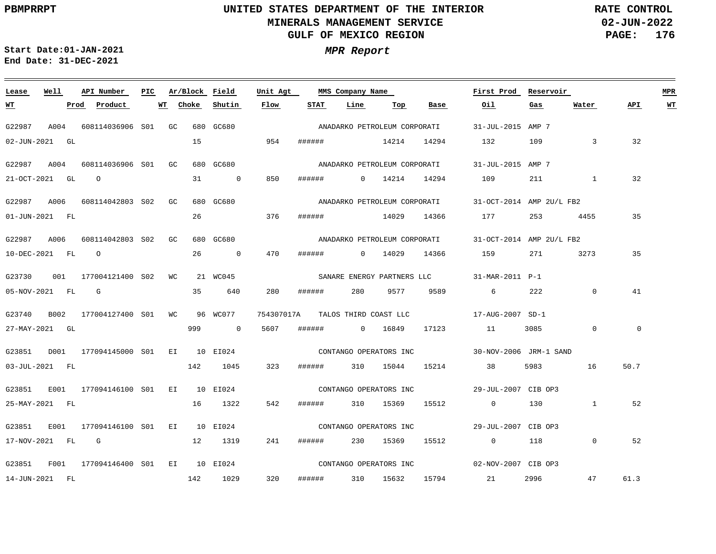**02-JUN-2022 PAGE: 176 RATE CONTROL**

**Start Date:01-JAN-2021 MPR Report End Date: 31-DEC-2021**

### **Lease Well API Number Ar/Block Field Unit Agt First Prod Reservoir MPR PIC MMS Company Name Choke Shutin Flow STAT Line Oil Water API WT WT Prod Product WT Top Base Gas** ANADARKO PETROLEUM CORPORATI G22987 A004 608114036906 S01 GC 680 GC680 31-JUL-2015 AMP 7 02-JUN-2021 GL 15 954 ###### 14214 14294 132 109 3 32 G22987 A004 608114036906 S01 GC 680 GC680 ANADARKO PETROLEUM CORPORATI 31-JUL-2015 AMP 7 850 32 21-OCT-2021 GL O 31 0 ###### 0 14214 14294 109 211 1 G22987 A006 608114042803 S02 GC 680 GC680 31-OCT-2014 AMP 2U/L FB2 ANADARKO PETROLEUM CORPORATI 26 01-JUN-2021 FL 376 ###### 14029 14366 177 253 4455 35 G22987 A006 608114042803 S02 GC 680 GC680 31-OCT-2014 AMP 2U/L FB2 ANADARKO PETROLEUM CORPORATI 10-DEC-2021 FL O 26 0 470 ###### 0 14029 14366 159 271 3273 35 G23730 001 177004121400 S02 WC 21 WC045 31-MAR-2011 P-1 SANARE ENERGY PARTNERS LLC 41 05-NOV-2021 FL G 35 640 280 ###### 280 9577 9589 6 222 0 G23740 B002 177004127400 S01 WC 96 WC077 754307017A 17-AUG-2007 SD-1 TALOS THIRD COAST LLC  $\overline{0}$  $\overline{0}$ 27-MAY-2021 GL 999 0 5607 ###### 0 16849 17123 11 3085 G23851 D001 177094145000 S01 EI 10 EI024 30-NOV-2006 JRM-1 SAND CONTANGO OPERATORS INC 03-JUL-2021 FL 142 1045 323 ###### 310 15044 15214 38 5983 16 50.7 G23851 E001 177094146100 S01 EI 10 EI024 29-JUL-2007 CIB OP3 CONTANGO OPERATORS INC 25-MAY-2021 FL 16 1322 542 ###### 310 15369 15512 0 130 1 52 G23851 E001 177094146100 S01 EI 10 EI024 29-JUL-2007 CIB OP3 CONTANGO OPERATORS INC 17-NOV-2021 FL G 12 1319 241 ###### 230 15369 15512 0 118 0 52 CONTANGO OPERATORS INC G23851 F001 177094146400 S01 EI 10 EI024 02-NOV-2007 CIB OP3 320 61.3 14-JUN-2021 FL 142 1029 ###### 310 15632 15794 21 2996 47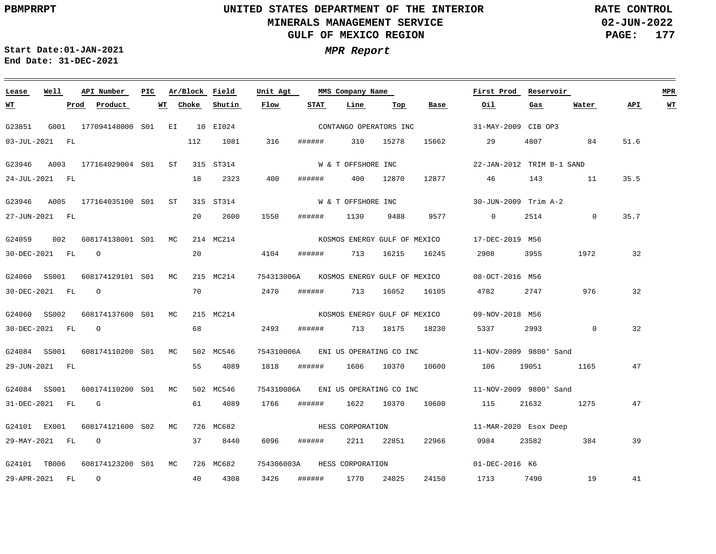**02-JUN-2022 PAGE: 177 RATE CONTROL**

**Start Date:01-JAN-2021 MPR Report End Date: 31-DEC-2021**

### **Lease Well API Number Ar/Block Field PIC MMS Company Name Unit Agt First Prod Reservoir MPR Choke Shutin Flow STAT Line Top Base Oil Water API WT WT Prod Product WT Gas** CONTANGO OPERATORS INC G23851 G001 177094148000 EI 10 EI024 S01 31-MAY-2009 CIB OP3 03-JUL-2021 FL 112 1081 316 ###### 310 15278 15662 29 4807 84 51.6 W & T OFFSHORE INC G23946 A003 177164029004 S01 ST 315 ST314 22-JAN-2012 TRIM B-1 SAND 18 2323 400 12877 35.5 24-JUL-2021 FL ###### 400 12870 46 143 11 W & T OFFSHORE INC G23946 A005 177164035100 S01 ST 315 ST314 30-JUN-2009 Trim A-2 20 2600 27-JUN-2021 FL 1550 ###### 1130 9488 9577 0 2514 0 35.7 G24059 002 608174138001 S01 MC 214 MC214 17-DEC-2019 M56 KOSMOS ENERGY GULF OF MEXICO 20 4104 32 30-DEC-2021 FL O ###### 713 16215 16245 2908 3955 1972 G24060 SS001 608174129101 S01 MC 215 MC214 754313006A 08-OCT-2016 M56 KOSMOS ENERGY GULF OF MEXICO 70 2470 ###### 713 16052 32 30-DEC-2021 FL O 16105 4782 2747 976 G24060 SS002 608174137600 S01 MC 215 MC214 09-NOV-2018 M56 KOSMOS ENERGY GULF OF MEXICO O 68 2493 32 30-DEC-2021 FL ###### 713 18175 18230 5337 2993 0 G24084 SS001 608174110200 S01 MC 502 MC546 754310006A 11-NOV-2009 9800' Sand ENI US OPERATING CO INC 29-JUN-2021 FL 55 4089 1818 ###### 1606 10370 10600 106 19051 1165 47 G24084 SS001 608174110200 S01 MC 502 MC546 754310006A 11-NOV-2009 9800' Sand ENI US OPERATING CO INC 31-DEC-2021 FL G 61 4089 1766 ###### 1622 10370 10600 115 21632 1275 47 HESS CORPORATION G24101 EX001 608174121600 S02 MC 726 MC682 11-MAR-2020 Esox Deep 29-MAY-2021 FL O 37 8440 6096 ###### 2211 22851 22966 9984 23582 384 39 G24101 TB006 608174123200 S01 MC 726 MC682 754306003A HESS CORPORATION 01-DEC-2016 K6 3426 41 29-APR-2021 FL O 40 4308 ###### 1770 24025 24150 1713 7490 19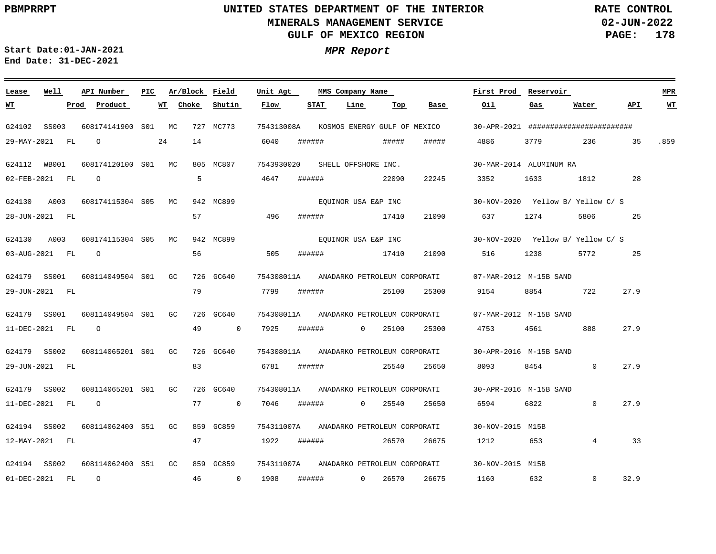**02-JUN-2022 PAGE: 178 RATE CONTROL**

**Start Date:01-JAN-2021 MPR Report End Date: 31-DEC-2021**

### **Lease Well API Number Ar/Block Field PIC MMS Company Name Unit Agt First Prod Reservoir MPR Shutin Flow STAT Line Top Oil Water API WT Prod Product WT Choke Base Gas WT** G24102 SS003 608174141900 S01 MC 727 MC773 754313008A KOSMOS ENERGY GULF OF MEXICO 30-APR-2021 ####################### 24 14 29-MAY-2021 FL O 6040 ###### ##### ##### 4886 3779 236 35 .859 G24112 WB001 608174120100 MC 805 MC807 S01 7543930020 SHELL OFFSHORE INC. 30-MAR-2014 ALUMINUM RA 5 O 4647 ###### 22090 02-FEB-2021 FL 22245 3352 1633 1812 28 EQUINOR USA E&P INC G24130 A003 608174115304 S05 MC 942 MC899 30-NOV-2020 Yellow B/ Yellow C/ S 57 21090 637 1274 28-JUN-2021 FL 496 ###### 17410 5806 25 EQUINOR USA E&P INC G24130 A003 608174115304 S05 MC 942 MC899 30-NOV-2020 Yellow B/ Yellow C/ S 56 21090 03-AUG-2021 FL O 505 ###### 17410 516 1238 5772 25 G24179 SS001 608114049504 S01 GC 726 GC640 754308011A ANADARKO PETROLEUM CORPORATI 07-MAR-2012 M-15B SAND 79 7799 ###### 25100 27.9 29-JUN-2021 FL 25300 9154 8854 722 G24179 SS001 608114049504 S01 GC 726 GC640 754308011A 07-MAR-2012 M-15B SAND ANADARKO PETROLEUM CORPORATI O 888 27.9 11-DEC-2021 FL 49 0 7925 ###### 0 25100 25300 4753 4561 G24179 SS002 608114065201 S01 GC 726 GC640 754308011A 30-APR-2016 M-15B SAND ANADARKO PETROLEUM CORPORATI 83 27.9 29-JUN-2021 FL 6781 ###### 25540 25650 8093 8454 0 G24179 SS002 608114065201 S01 GC 726 GC640 754308011A ANADARKO PETROLEUM CORPORATI 30-APR-2016 M-15B SAND 27.9 11-DEC-2021 FL O 77 0 7046 ###### 0 25540 25650 6594 6822  $\overline{0}$ G24194 SS002 608114062400 GC S51 859 GC859 754311007A ANADARKO PETROLEUM CORPORATI 30-NOV-2015 M15B 12-MAY-2021 FL 47 1922 ###### 26570 26675 1212 653 4 33 G24194 SS002 608114062400 S51 GC 859 GC859 754311007A ANADARKO PETROLEUM CORPORATI 30-NOV-2015 M15B O  $\Omega$ 32.9 01-DEC-2021 FL 46 0 1908 ###### 0 26570 26675 1160 632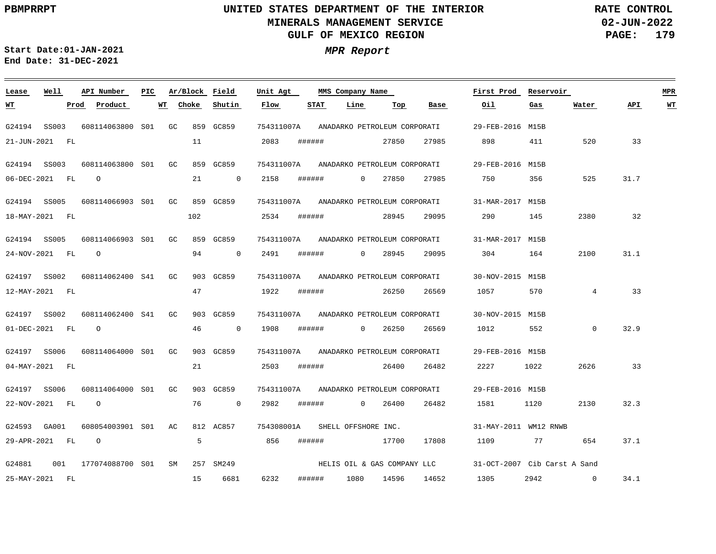**02-JUN-2022 PAGE: 179 RATE CONTROL**

**Start Date:01-JAN-2021 MPR Report End Date: 31-DEC-2021**

### **Lease Well API Number Ar/Block Field PIC MMS Company Name Unit Agt First Prod Reservoir MPR Choke Shutin Flow STAT Line Top Oil Water API WT WT Prod Product WT Base Gas** 754311007A ANADARKO PETROLEUM CORPORATI G24194 SS003 608114063800 GC S01 859 GC859 29-FEB-2016 M15B 21-JUN-2021 FL 11 2083 ###### 27850 27985 898 411 520 33 754311007A ANADARKO PETROLEUM CORPORATI G24194 SS003 608114063800 GC S01 859 GC859 29-FEB-2016 M15B O 21  $\overline{0}$ 2158 ###### 27985 750 356 525 31.7 06-DEC-2021 FL 0 27850 G24194 SS005 608114066903 GC S01 859 GC859 754311007A ANADARKO PETROLEUM CORPORATI 31-MAR-2017 M15B 102 2534 ###### 28945 29095 290 145 2380 32 18-MAY-2021 FL G24194 SS005 608114066903 GC S01 859 GC859 754311007A ANADARKO PETROLEUM CORPORATI 31-MAR-2017 M15B O 94  $\overline{0}$ 2491 ###### 29095 304 164 2100 31.1 24-NOV-2021 FL 0 28945 G24197 SS002 608114062400 GC S41 903 GC859 754311007A ANADARKO PETROLEUM CORPORATI 30-NOV-2015 M15B 47 1922 ###### 26250 26569 1057 570 4 33 12-MAY-2021 FL G24197 SS002 608114062400 S41 GC 903 GC859 754311007A ANADARKO PETROLEUM CORPORATI 30-NOV-2015 M15B O 46  $\bigcap$ 1908 ###### 26569 1012 552  $\Omega$ 32.9 01-DEC-2021 FL 0 26250 754311007A G24197 SS006 608114064000 S01 GC 903 GC859 ANADARKO PETROLEUM CORPORATI 29-FEB-2016 M15B 2503 ###### 1022 2626 33 04-MAY-2021 FL 21 26400 26482 2227 G24197 SS006 608114064000 GC S01 903 GC859 754311007A ANADARKO PETROLEUM CORPORATI 29-FEB-2016 M15B  $\overline{0}$ 2982 1581 22-NOV-2021 FL O 76 ###### 0 26400 26482 1120 2130 32.3 754308001A SHELL OFFSHORE INC. G24593 GA001 608054003901 AC S01 812 AC857 31-MAY-2011 WM12 RNWB 29-APR-2021 FL O 5 856 ###### 17700 17808 1109 77 654 37.1 HELIS OIL & GAS COMPANY LLC G24881 001 177074088700 SM 257 SM249 S0131-OCT-2007 Cib Carst A Sand 15 6681 6232 ###### 14652 1305 2942  $\overline{0}$ 34.1 25-MAY-2021 FL 1080 14596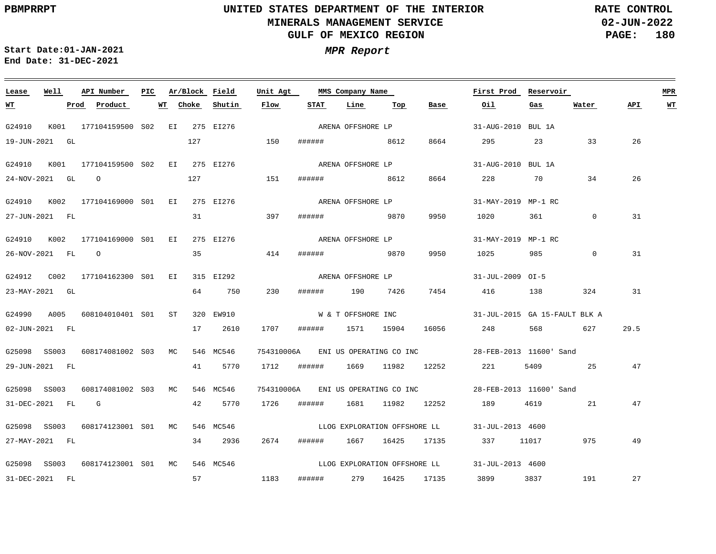**02-JUN-2022 PAGE: 180 RATE CONTROL**

 $\equiv$ 

**Start Date:01-JAN-2021 MPR Report End Date: 31-DEC-2021**

| Lease            | Well | API Number                                | PIC | Ar/Block Field |           | Unit Agt   |      | MMS Company Name             |     |      | First Prod                                                 | Reservoir       |             |      | <b>MPR</b> |
|------------------|------|-------------------------------------------|-----|----------------|-----------|------------|------|------------------------------|-----|------|------------------------------------------------------------|-----------------|-------------|------|------------|
| <u>WT</u>        |      | Prod Product                              | WT  | Choke          | Shutin    | Flow       | STAT | Line                         | Тор | Base | Oil                                                        | Gas             | Water       | API  | <b>WT</b>  |
| G24910           |      | K001 177104159500 S02 EI 275 EI276        |     |                |           |            |      | ARENA OFFSHORE LP            |     |      | 31-AUG-2010 BUL 1A                                         |                 |             |      |            |
| 19-JUN-2021 GL   |      |                                           |     |                | 127 150   |            |      | ###### 8612                  |     | 8664 | 295 200                                                    | 23              | 33          | 26   |            |
| G24910           | K001 | 177104159500 SO2 EI 275 EI276             |     |                |           |            |      | ARENA OFFSHORE LP            |     |      | 31-AUG-2010 BUL 1A                                         |                 |             |      |            |
| 24-NOV-2021 GL 0 |      |                                           |     |                | 127 151   |            |      | ####### 8612                 |     | 8664 | 228                                                        | 70 — 20         | 34          | 26   |            |
|                  |      | G24910 K002 177104169000 S01 EI 275 EI276 |     |                |           |            |      | ARENA OFFSHORE LP            |     |      | 31-MAY-2019 MP-1 RC                                        |                 |             |      |            |
| 27-JUN-2021 FL   |      |                                           |     | 31             |           | 397        |      | ###### 9870                  |     | 9950 | 1020 000                                                   | 361 7           | $\mathbf 0$ | 31   |            |
|                  |      | G24910 K002 177104169000 S01 EI 275 EI276 |     |                |           |            |      | ARENA OFFSHORE LP            |     |      | 31-MAY-2019 MP-1 RC                                        |                 |             |      |            |
| 26-NOV-2021 FL 0 |      |                                           |     | 35             |           | 414        |      | ####### 9870                 |     | 9950 | 1025                                                       | 985             | $\Omega$    | 31   |            |
|                  |      | G24912 C002 177104162300 S01 EI 315 EI292 |     |                |           |            |      | ARENA OFFSHORE LP            |     |      | 31-JUL-2009 OI-5                                           |                 |             |      |            |
| 23-MAY-2021 GL   |      |                                           |     |                | 64 750    | 230        |      | ###### 190 7426              |     | 7454 | 416 138                                                    |                 | 324         | 31   |            |
|                  |      | G24990 A005 608104010401 S01 ST           |     |                | 320 EW910 |            |      | W & T OFFSHORE INC           |     |      | $31 - JUL - 2015$ GA 15-FAULT BLK A                        |                 |             |      |            |
| 02-JUN-2021 FL   |      |                                           |     |                | 17 2610   | 1707       |      | ###### 1571 15904            |     |      | 16056 248 568 627                                          |                 |             | 29.5 |            |
|                  |      | G25098 SS003 608174081002 S03 MC          |     |                | 546 MC546 |            |      |                              |     |      | 754310006A ENI US OPERATING CO INC 28-FEB-2013 11600' Sand |                 |             |      |            |
| 29-JUN-2021 FL   |      |                                           |     |                | 41 5770   | 1712       |      |                              |     |      | ###### 1669 11982 12252 221                                | 5409 and $\sim$ | 25          | 47   |            |
| G25098 SS003     |      | 608174081002 S03 MC                       |     |                | 546 MC546 | 754310006A |      |                              |     |      |                                                            |                 |             |      |            |
| 31-DEC-2021 FL G |      |                                           |     |                | 42 5770   | 1726       |      | ####### 1681 11982 12252     |     |      | 189                                                        | 4619            | 21          | 47   |            |
| G25098 SS003     |      | 608174123001 S01 MC                       |     |                | 546 MC546 |            |      |                              |     |      | LLOG EXPLORATION OFFSHORE LL 31-JUL-2013 4600              |                 |             |      |            |
| 27-MAY-2021 FL   |      |                                           |     |                | 34 2936   | 2674       |      |                              |     |      | ###### 1667 16425 17135 337 11017                          |                 | 975         | 49   |            |
| G25098 SS003     |      | 608174123001 S01 MC                       |     |                | 546 MC546 |            |      | LLOG EXPLORATION OFFSHORE LL |     |      | 31-JUL-2013 4600                                           |                 |             |      |            |
| 31-DEC-2021 FL   |      |                                           |     | 57             |           | 1183       |      |                              |     |      | ###### 279 16425 17135 3899                                | 3837            | 191         | 27   |            |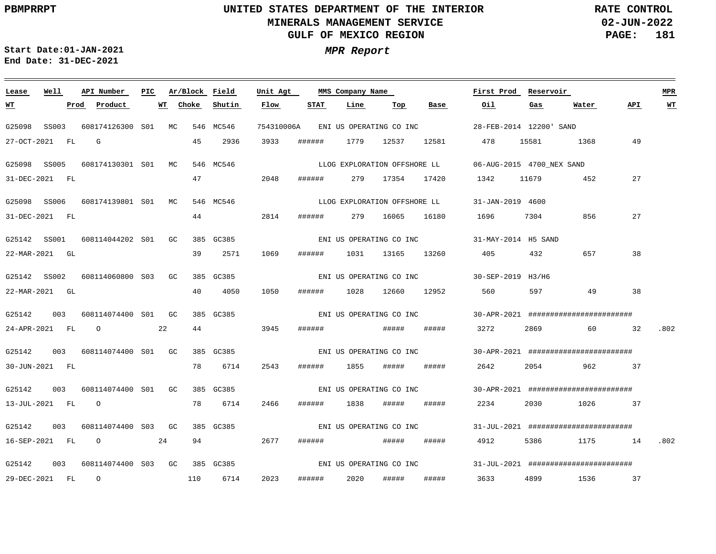**02-JUN-2022 PAGE: 181 RATE CONTROL**

**Start Date:01-JAN-2021 MPR Report End Date: 31-DEC-2021**

### **Lease Well API Number Ar/Block Field Unit Agt First Prod Reservoir MPR PIC MMS Company Name Shutin Flow STAT Line Top Base Oil API WT Prod Product WT Choke Gas Water WT** G25098 SS003 608174126300 S01 MC 546 MC546 754310006A ENI US OPERATING CO INC 28-FEB-2014 12200' SAND 27-OCT-2021 FL G 45 2936 3933 ###### 1779 12537 12581 478 15581 1368 49 G25098 SS005 608174130301 S01 MC 546 MC546 06-AUG-2015 4700\_NEX SAND LLOG EXPLORATION OFFSHORE LL 2048 47 27 31-DEC-2021 FL ###### 279 17354 17420 1342 11679 452 G25098 SS006 608174139801 S01 MC 546 MC546 31-JAN-2019 4600 LLOG EXPLORATION OFFSHORE LL 44 27 31-DEC-2021 FL 2814 ###### 279 16065 16180 1696 7304 856 G25142 SS001 608114044202 S01 GC 385 GC385 31-MAY-2014 H5 SAND ENI US OPERATING CO INC 39 2571 1069 657 38 22-MAR-2021 GL ###### 1031 13165 13260 405 432 G25142 SS002 608114060800 S03 GC 385 GC385 30-SEP-2019 H3/H6 ENI US OPERATING CO INC 22-MAR-2021 GL 40 4050 1050 ###### 1028 12660 12952 560 597 49 38 G25142 003 608114074400 GC S01 385 GC385 30-APR-2021 ######################## ENI US OPERATING CO INC 44 3945 24-APR-2021 FL O 22 ###### ##### ##### 3272 2869 60 32 .802 G25142 003 608114074400 S01 GC 385 GC385 30-APR-2021 ######################## ENI US OPERATING CO INC 30-JUN-2021 FL 78 6714 2543 ###### 1855 ##### ###### 2642 2054 962 37 G25142 003 608114074400 S01 GC 385 GC385 30-APR-2021 ######################## ENI US OPERATING CO INC 13-JUL-2021 FL O 78 6714 2466 ###### 1838 ##### ##### 2234 2030 1026 37 G25142 003 608114074400 S03 GC 385 GC385 31-JUL-2021 ######################## ENI US OPERATING CO INC 16-SEP-2021 FL O 24 94 2677 ###### ##### ##### 4912 5386 1175 14 .802 ENI US OPERATING CO INC G25142 003 608114074400 GC 385 GC385 S0331-JUL-2021 ######################## 2023 ##### 29-DEC-2021 FL O 110 6714 ###### 2020 ##### 3633 4899 1536 37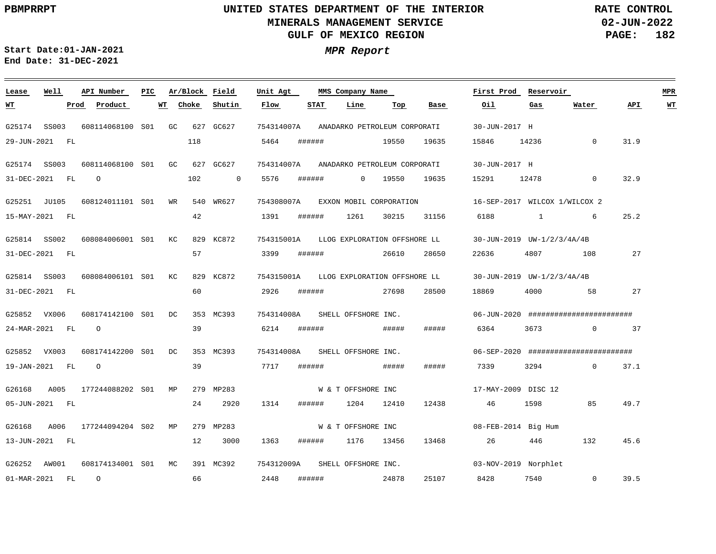**02-JUN-2022 PAGE: 182 RATE CONTROL**

 $\equiv$ 

**Start Date:01-JAN-2021 MPR Report End Date: 31-DEC-2021**

| Lease        | Well           | API Number          | PIC |           | Ar/Block Field | Unit Agt   |        | MMS Company Name             |       |       | First Prod          | Reservoir                     |                                               |      | <b>MPR</b> |
|--------------|----------------|---------------------|-----|-----------|----------------|------------|--------|------------------------------|-------|-------|---------------------|-------------------------------|-----------------------------------------------|------|------------|
| <u> WТ</u>   | Prod           | Product             | WT  | Choke     | Shutin         | Flow       | STAT   | Line                         | Тор   | Base  | Oil                 | Gas                           | Water                                         | API. | $WT$       |
| G25174       | SS003          | 608114068100 S01 GC |     |           | 627 GC627      | 754314007A |        | ANADARKO PETROLEUM CORPORATI |       |       | 30-JUN-2017 H       |                               |                                               |      |            |
|              | 29-JUN-2021 FL |                     |     | 118       |                | 5464       | ###### |                              | 19550 | 19635 | 15846               | 14236                         | $\mathbf{0}$                                  | 31.9 |            |
| G25174 SS003 |                | 608114068100 S01 GC |     |           | 627 GC627      | 754314007A |        | ANADARKO PETROLEUM CORPORATI |       |       | 30-JUN-2017 H       |                               |                                               |      |            |
|              | 31-DEC-2021 FL | $\circ$             |     | 102       | $\overline{0}$ | 5576       | ###### | $\mathbf{0}$                 | 19550 | 19635 | 15291               | 12478                         | $\mathbf{0}$                                  | 32.9 |            |
| G25251 JU105 |                | 608124011101 S01 WR |     |           | 540 WR627      | 754308007A |        | EXXON MOBIL CORPORATION      |       |       |                     | 16-SEP-2017 WILCOX 1/WILCOX 2 |                                               |      |            |
|              | 15-MAY-2021 FL |                     |     | 42        |                | 1391       | ###### | 1261                         | 30215 | 31156 | 6188                | 1                             | 6                                             | 25.2 |            |
| G25814 SS002 |                | 608084006001 S01 KC |     |           | 829 KC872      | 754315001A |        | LLOG EXPLORATION OFFSHORE LL |       |       |                     | 30-JUN-2019 UW-1/2/3/4A/4B    |                                               |      |            |
|              | 31-DEC-2021 FL |                     |     | 57        |                | 3399       | ###### |                              | 26610 | 28650 | 22636               | 4807                          | 108                                           | 27   |            |
| G25814 SS003 |                | 608084006101 S01    |     | КC        | 829 KC872      | 754315001A |        | LLOG EXPLORATION OFFSHORE LL |       |       |                     | 30-JUN-2019 UW-1/2/3/4A/4B    |                                               |      |            |
|              | 31-DEC-2021 FL |                     |     | 60        |                | 2926       | ###### |                              | 27698 | 28500 | 18869               | 4000                          | 58                                            | 27   |            |
| G25852 VX006 |                | 608174142100 S01    |     | DC        | 353 MC393      | 754314008A |        | SHELL OFFSHORE INC.          |       |       |                     |                               | $06 - JUN - 2020$ ########################### |      |            |
|              | 24-MAR-2021 FL | $\circ$             |     | 39        |                | 6214       | ###### |                              | ##### | ##### | 6364                | 3673                          | $\circ$                                       | 37   |            |
| G25852 VX003 |                | 608174142200 S01    |     | DC        | 353 MC393      | 754314008A |        | SHELL OFFSHORE INC.          |       |       |                     |                               | 06-SEP-2020 #########################         |      |            |
|              | 19-JAN-2021 FL | $\circ$             |     | 39        |                | 7717       | ###### |                              | ##### | ##### | 7339                | 3294                          | $\Omega$                                      | 37.1 |            |
| G26168       | A005           | 177244088202 S01 MP |     |           | 279 MP283      |            |        | W & T OFFSHORE INC           |       |       | 17-MAY-2009 DISC 12 |                               |                                               |      |            |
|              | 05-JUN-2021 FL |                     |     | 24        | 2920           | 1314       | ###### | 1204                         | 12410 | 12438 | 46                  | 1598                          | 85                                            | 49.7 |            |
| G26168       | A006           | 177244094204 S02    |     | МP<br>279 | MP283          |            |        | W & T OFFSHORE INC           |       |       |                     | 08-FEB-2014 Big Hum           |                                               |      |            |
|              | 13-JUN-2021 FL |                     |     | 12        | 3000           | 1363       | ###### | 1176                         | 13456 | 13468 | 26                  | 446                           | 132                                           | 45.6 |            |
| G26252 AW001 |                | 608174134001 S01 MC |     |           | 391 MC392      | 754312009A |        | SHELL OFFSHORE INC.          |       |       |                     | 03-NOV-2019 Norphlet          |                                               |      |            |
| 01-MAR-2021  | <b>FL</b>      | $\circ$             |     | 66        |                | 2448       | ###### |                              | 24878 | 25107 | 8428                | 7540                          | $\mathbf{0}$                                  | 39.5 |            |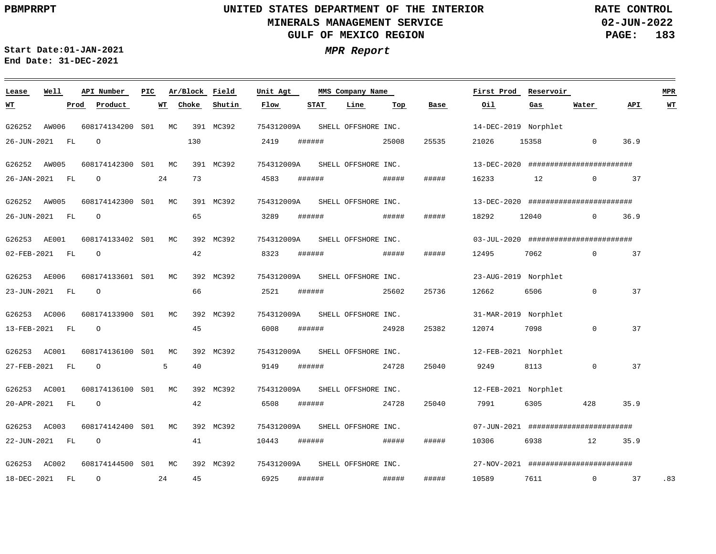**02-JUN-2022 PAGE: 183 RATE CONTROL**

 $\equiv$ 

**Start Date:01-JAN-2021 MPR Report End Date: 31-DEC-2021**

| Lease          | Well  |      | API Number          | PIC |    | Ar/Block Field |           | Unit Agt   |        | MMS Company Name    |       |       | First Prod           | Reservoir                    |                                               |      | <b>MPR</b> |
|----------------|-------|------|---------------------|-----|----|----------------|-----------|------------|--------|---------------------|-------|-------|----------------------|------------------------------|-----------------------------------------------|------|------------|
| <u>WТ</u>      |       | Prod | Product             |     | WT | Choke          | Shutin    | Flow       | STAT   | Line                | Top   | Base  | Oil                  | Gas                          | Water                                         | API  | <u>WT</u>  |
| G26252         | AW006 |      | 608174134200 S01    |     | MC |                | 391 MC392 | 754312009A |        | SHELL OFFSHORE INC. |       |       | 14-DEC-2019 Norphlet |                              |                                               |      |            |
| 26-JUN-2021    |       | FL   | $\Omega$            |     |    | 130            |           | 2419       | ###### |                     | 25008 | 25535 | 21026                | 15358                        | $\Omega$                                      | 36.9 |            |
| G26252 AW005   |       |      | 608174142300 S01 MC |     |    |                | 391 MC392 | 754312009A |        | SHELL OFFSHORE INC. |       |       |                      |                              | $13 - DEC - 2020$ ##########################  |      |            |
| 26-JAN-2021    |       | FL   | $\circ$             |     | 24 | 73             |           | 4583       | ###### |                     | ##### | ##### | 16233                | 12                           | $\overline{0}$                                | 37   |            |
| G26252 AW005   |       |      | 608174142300 S01    |     | MC |                | 391 MC392 | 754312009A |        | SHELL OFFSHORE INC. |       |       |                      |                              | $13 - DEC - 2020$ ########################### |      |            |
| 26-JUN-2021 FL |       |      | $\Omega$            |     |    | 65             |           | 3289       | ###### |                     | ##### | ##### | 18292                | 12040                        | $\Omega$                                      | 36.9 |            |
| G26253 AE001   |       |      | 608174133402 S01    |     | MC |                | 392 MC392 | 754312009A |        | SHELL OFFSHORE INC. |       |       |                      |                              | $03 - JUL - 2020$ ########################### |      |            |
| 02-FEB-2021 FL |       |      | $\circ$             |     |    | 42             |           | 8323       | ###### |                     | ##### | ##### | 12495                | 7062                         | $\Omega$                                      | 37   |            |
| G26253 AE006   |       |      | 608174133601 S01    |     | MC |                | 392 MC392 | 754312009A |        | SHELL OFFSHORE INC. |       |       | 23-AUG-2019 Norphlet |                              |                                               |      |            |
| 23-JUN-2021 FL |       |      | $\circ$             |     |    | 66             |           | 2521       | ###### |                     | 25602 | 25736 | 12662                | 6506                         | $\mathbf 0$                                   | 37   |            |
| G26253 AC006   |       |      | 608174133900 S01    |     | MC |                | 392 MC392 | 754312009A |        | SHELL OFFSHORE INC. |       |       | 31-MAR-2019 Norphlet |                              |                                               |      |            |
| 13-FEB-2021 FL |       |      | $\circ$             |     |    | 45             |           | 6008       | ###### |                     | 24928 | 25382 | 12074                | 7098                         | $\Omega$                                      | 37   |            |
| G26253 AC001   |       |      | 608174136100 S01    |     | МC |                | 392 MC392 | 754312009A |        | SHELL OFFSHORE INC. |       |       | 12-FEB-2021 Norphlet |                              |                                               |      |            |
| 27-FEB-2021 FL |       |      | $\circ$             |     | 5  | 40             |           | 9149       | ###### |                     | 24728 | 25040 | 9249                 | 8113                         | $\mathbf 0$                                   | 37   |            |
| G26253 AC001   |       |      | 608174136100 S01    |     | MC |                | 392 MC392 | 754312009A |        | SHELL OFFSHORE INC. |       |       | 12-FEB-2021 Norphlet |                              |                                               |      |            |
| 20-APR-2021 FL |       |      | $\circ$             |     |    | 42             |           | 6508       | ###### |                     | 24728 | 25040 | 7991                 | 6305                         | 428                                           | 35.9 |            |
| G26253 AC003   |       |      | 608174142400 S01    |     | MC |                | 392 MC392 | 754312009A |        | SHELL OFFSHORE INC. |       |       |                      |                              | 07-JUN-2021 #########################         |      |            |
| 22-JUN-2021 FL |       |      | $\circ$             |     |    | 41             |           | 10443      | ###### |                     | ##### | ##### | 10306                | 6938 and the state of $\sim$ | 12                                            | 35.9 |            |
| G26253 AC002   |       |      | 608174144500 S01    |     | MC |                | 392 MC392 | 754312009A |        | SHELL OFFSHORE INC. |       |       |                      |                              | $27-NOV-2021$ ##########################      |      |            |
| 18-DEC-2021    |       | FL   | $\circ$             |     | 24 | 45             |           | 6925       | ###### |                     | ##### | ##### | 10589                | 7611                         | $\mathbf 0$                                   | 37   | .83        |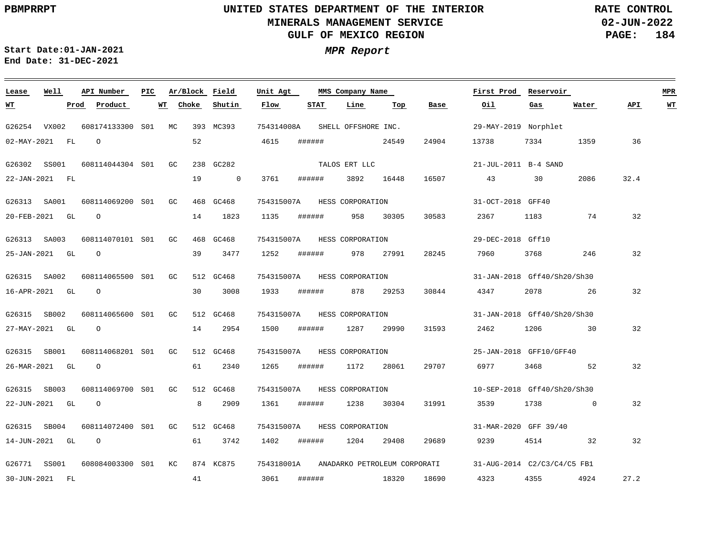**Lease Well**

**WT**

### **UNITED STATES DEPARTMENT OF THE INTERIOR MINERALS MANAGEMENT SERVICE GULF OF MEXICO REGION**

**02-JUN-2022 PAGE: 184 RATE CONTROL**

**API WT**

<u> 1980 - Andrea Station Books, amerikansk politik (</u>

**First Prod Reservoir MPR**

**Water**

**Gas**

**Oil**

**Start Date:01-JAN-2021 MPR Report End Date: 31-DEC-2021**

### **API Number Ar/Block Field PIC MMS Company Name** MC 393 MC393 754314008A **Unit Agt Prod Product WT Choke Shutin Flow STAT Line Top Base** SHELL OFFSHORE INC.

| G26254 VX002 |                |                                                                                                                                                                               |                                                                                                  |                                                                                                                    |                |                                                                                                                                |                                                                                                                      |                                                                                                  |                                                                            |                                                                                                                                                                                            |                                         |             |                                                                                                                 |                                                                                                                                                     |
|--------------|----------------|-------------------------------------------------------------------------------------------------------------------------------------------------------------------------------|--------------------------------------------------------------------------------------------------|--------------------------------------------------------------------------------------------------------------------|----------------|--------------------------------------------------------------------------------------------------------------------------------|----------------------------------------------------------------------------------------------------------------------|--------------------------------------------------------------------------------------------------|----------------------------------------------------------------------------|--------------------------------------------------------------------------------------------------------------------------------------------------------------------------------------------|-----------------------------------------|-------------|-----------------------------------------------------------------------------------------------------------------|-----------------------------------------------------------------------------------------------------------------------------------------------------|
|              | $\Omega$       |                                                                                                                                                                               |                                                                                                  | 52                                                                                                                 |                | 4615                                                                                                                           |                                                                                                                      |                                                                                                  |                                                                            | 24904                                                                                                                                                                                      |                                         | 7334        | 1359                                                                                                            | 36                                                                                                                                                  |
| G26302 SS001 |                |                                                                                                                                                                               | GC                                                                                               |                                                                                                                    |                |                                                                                                                                |                                                                                                                      |                                                                                                  |                                                                            |                                                                                                                                                                                            |                                         |             |                                                                                                                 |                                                                                                                                                     |
|              |                |                                                                                                                                                                               |                                                                                                  | 19                                                                                                                 | $\overline{0}$ | 3761                                                                                                                           |                                                                                                                      |                                                                                                  |                                                                            | 16507                                                                                                                                                                                      |                                         | 30          | 2086                                                                                                            | 32.4                                                                                                                                                |
| G26313 SA001 |                |                                                                                                                                                                               | GC                                                                                               |                                                                                                                    |                |                                                                                                                                |                                                                                                                      |                                                                                                  |                                                                            |                                                                                                                                                                                            |                                         |             |                                                                                                                 |                                                                                                                                                     |
|              | $\Omega$       |                                                                                                                                                                               |                                                                                                  | 14                                                                                                                 | 1823           | 1135                                                                                                                           |                                                                                                                      |                                                                                                  | 30305                                                                      | 30583                                                                                                                                                                                      | 2367                                    | 1183        | 74                                                                                                              | 32                                                                                                                                                  |
| G26313 SA003 |                |                                                                                                                                                                               |                                                                                                  |                                                                                                                    |                |                                                                                                                                |                                                                                                                      |                                                                                                  |                                                                            |                                                                                                                                                                                            |                                         |             |                                                                                                                 |                                                                                                                                                     |
|              | $\Omega$       |                                                                                                                                                                               |                                                                                                  | 39                                                                                                                 | 3477           | 1252                                                                                                                           |                                                                                                                      |                                                                                                  | 27991                                                                      | 28245                                                                                                                                                                                      | 7960                                    | 3768        | 246                                                                                                             | 32                                                                                                                                                  |
| G26315 SA002 |                |                                                                                                                                                                               | GC                                                                                               |                                                                                                                    |                |                                                                                                                                |                                                                                                                      |                                                                                                  |                                                                            |                                                                                                                                                                                            |                                         |             |                                                                                                                 |                                                                                                                                                     |
|              | $\Omega$       |                                                                                                                                                                               |                                                                                                  | 30                                                                                                                 | 3008           | 1933                                                                                                                           |                                                                                                                      |                                                                                                  | 29253                                                                      | 30844                                                                                                                                                                                      | 4347                                    | 2078        | 26                                                                                                              | 32                                                                                                                                                  |
| G26315 SB002 |                |                                                                                                                                                                               | GC                                                                                               |                                                                                                                    |                |                                                                                                                                |                                                                                                                      |                                                                                                  |                                                                            |                                                                                                                                                                                            |                                         |             |                                                                                                                 |                                                                                                                                                     |
|              | $\circ$        |                                                                                                                                                                               |                                                                                                  | 14                                                                                                                 | 2954           | 1500                                                                                                                           |                                                                                                                      |                                                                                                  | 29990                                                                      | 31593                                                                                                                                                                                      | 2462                                    | 1206        | 30                                                                                                              | 32                                                                                                                                                  |
| SB001        |                |                                                                                                                                                                               | GC                                                                                               |                                                                                                                    |                |                                                                                                                                |                                                                                                                      |                                                                                                  |                                                                            |                                                                                                                                                                                            |                                         |             |                                                                                                                 |                                                                                                                                                     |
|              | $\Omega$       |                                                                                                                                                                               |                                                                                                  | 61                                                                                                                 | 2340           | 1265                                                                                                                           |                                                                                                                      |                                                                                                  | 28061                                                                      | 29707                                                                                                                                                                                      | 6977                                    | 3468        | 52                                                                                                              | 32                                                                                                                                                  |
| SB003        |                |                                                                                                                                                                               | GC                                                                                               |                                                                                                                    |                |                                                                                                                                |                                                                                                                      |                                                                                                  |                                                                            |                                                                                                                                                                                            |                                         |             |                                                                                                                 |                                                                                                                                                     |
|              | $\circ$        |                                                                                                                                                                               |                                                                                                  | 8                                                                                                                  | 2909           | 1361                                                                                                                           |                                                                                                                      |                                                                                                  | 30304                                                                      | 31991                                                                                                                                                                                      | 3539                                    | 1738        | $\overline{0}$                                                                                                  | 32                                                                                                                                                  |
| SB004        |                |                                                                                                                                                                               |                                                                                                  |                                                                                                                    |                |                                                                                                                                |                                                                                                                      |                                                                                                  |                                                                            |                                                                                                                                                                                            |                                         |             |                                                                                                                 |                                                                                                                                                     |
|              | $\overline{O}$ |                                                                                                                                                                               |                                                                                                  | 61                                                                                                                 | 3742           | 1402                                                                                                                           |                                                                                                                      |                                                                                                  | 29408                                                                      | 29689                                                                                                                                                                                      | 9239                                    | 4514        | 32                                                                                                              | 32                                                                                                                                                  |
| G26771 SS001 |                |                                                                                                                                                                               |                                                                                                  |                                                                                                                    |                |                                                                                                                                |                                                                                                                      |                                                                                                  |                                                                            |                                                                                                                                                                                            |                                         |             |                                                                                                                 |                                                                                                                                                     |
| 30-JUN-2021  |                |                                                                                                                                                                               |                                                                                                  | 41                                                                                                                 |                |                                                                                                                                |                                                                                                                      |                                                                                                  |                                                                            | 18690                                                                                                                                                                                      | 4323                                    | 4355        | 4924                                                                                                            | 27.2                                                                                                                                                |
|              |                | $02-MAY-2021$ FL<br>22-JAN-2021 FL<br>20-FEB-2021 GL<br>25-JAN-2021 GL<br>16-APR-2021 GL<br>27-MAY-2021 GL<br>26-MAR-2021 GL<br>22-JUN-2021 GL<br>14-JUN-2021 GL<br><b>FL</b> | 608114044304 S01<br>608114069200 S01<br>608114070101 S01<br>608114065500 S01<br>608114072400 S01 | 608174133300 S01 MC<br>GC<br>608114065600 S01<br>608114068201 S01<br>608114069700 S01<br>GC<br>608084003300 S01 KC |                | 393 MC393<br>238 GC282<br>468 GC468<br>468 GC468<br>512 GC468<br>512 GC468<br>512 GC468<br>512 GC468<br>512 GC468<br>874 KC875 | 754314008A<br>754315007A<br>754315007A<br>754315007A<br>754315007A<br>754315007A<br>754315007A<br>754315007A<br>3061 | ######<br>######<br>######<br>######<br>######<br>######<br>######<br>######<br>######<br>###### | TALOS ERT LLC<br>3892<br>958<br>978<br>878<br>1287<br>1172<br>1238<br>1204 | SHELL OFFSHORE INC.<br>24549<br>16448<br>HESS CORPORATION<br>HESS CORPORATION<br>HESS CORPORATION<br>HESS CORPORATION<br>HESS CORPORATION<br>HESS CORPORATION<br>HESS CORPORATION<br>18320 | 754318001A ANADARKO PETROLEUM CORPORATI | 13738<br>43 | 29-MAY-2019 Norphlet<br>21-JUL-2011 B-4 SAND<br>31-OCT-2018 GFF40<br>29-DEC-2018 Gff10<br>31-MAR-2020 GFF 39/40 | 31-JAN-2018 Gff40/Sh20/Sh30<br>31-JAN-2018 Gff40/Sh20/Sh30<br>25-JAN-2018 GFF10/GFF40<br>10-SEP-2018 Gff40/Sh20/Sh30<br>31-AUG-2014 C2/C3/C4/C5 FB1 |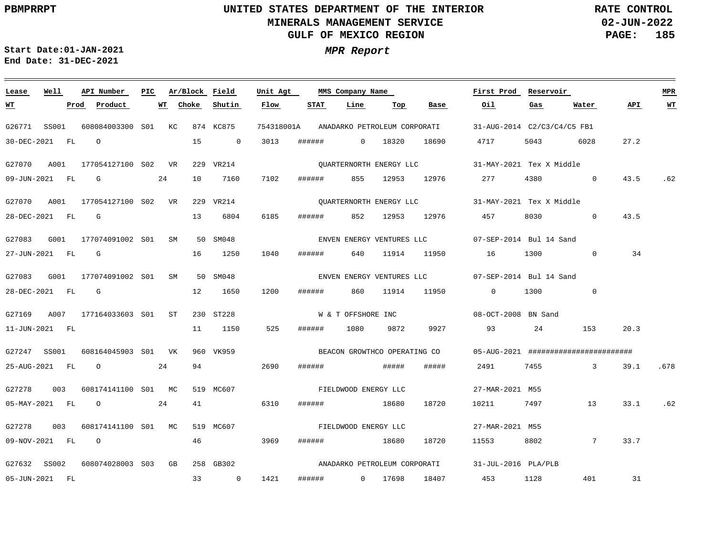**Lease**

 $\equiv$   $\equiv$   $\equiv$ 

05-JUN-2021

FL

33

 $\mathbf 0$ 

1421

######

 $\mathbf{0}$ 

17698

18407

453

1128

401

# **UNITED STATES DEPARTMENT OF THE INTERIOR MINERALS MANAGEMENT SERVICE GULF OF MEXICO REGION**

**Ar/Block Field PIC MMS Company Name**

**Unit Agt** 

**02-JUN-2022 PAGE: 185 RATE CONTROL**

.62

**WT**

 $\equiv$ 

.678

.62

31

**First Prod Reservoir MPR**

**Start Date:01-JAN-2021 MPR Report End Date: 31-DEC-2021**

**API Number**

**Well**

| <u> WТ</u>       |       | Prod | Product                       | WT | Choke | Shutin         | Flow       | <b>STAT</b>          | Line                 | Тор   | Base                         | Oil                                                                | Gas                         | Water           | <b>APT</b> |
|------------------|-------|------|-------------------------------|----|-------|----------------|------------|----------------------|----------------------|-------|------------------------------|--------------------------------------------------------------------|-----------------------------|-----------------|------------|
| G26771           | SS001 |      | 608084003300 S01 KC           |    |       | 874 KC875      | 754318001A |                      |                      |       | ANADARKO PETROLEUM CORPORATI |                                                                    | 31-AUG-2014 C2/C3/C4/C5 FB1 |                 |            |
| 30-DEC-2021 FL   |       |      | $\Omega$                      |    | 15    | $\overline{0}$ | 3013       | ######               | $\Omega$             | 18320 | 18690                        | 4717                                                               | 5043                        | 6028            | 27.2       |
| G27070           | A001  |      | 177054127100 S02 VR 229 VR214 |    |       |                |            |                      |                      |       |                              | QUARTERNORTH ENERGY LLC 31-MAY-2021 Tex X Middle                   |                             |                 |            |
| 09-JUN-2021 FL   |       |      | $\mathbf{G}$                  | 24 | 10    | 7160           | 7102       | ######               | 855                  | 12953 | 12976 277                    |                                                                    | 4380                        | $\mathbf{0}$    | 43.5       |
| G27070           | A001  |      | 177054127100 S02 VR           |    |       | 229 VR214      |            |                      |                      |       |                              |                                                                    |                             |                 |            |
| 28-DEC-2021 FL G |       |      |                               |    | 13    | 6804           | 6185       | ######               | 852                  |       | 12953 12976 457              |                                                                    | 8030                        | $\overline{0}$  | 43.5       |
| G27083           | G001  |      | 177074091002 S01 SM           |    |       | 50 SM048       |            |                      |                      |       |                              | ENVEN ENERGY VENTURES LLC 67-SEP-2014 Bul 14 Sand                  |                             |                 |            |
|                  |       |      | 27-JUN-2021 FL G              |    | 16    | 1250           | 1040       | ######               | 640                  |       |                              | 11914 11950 16                                                     | 1300                        | $\Omega$        | 34         |
| G27083           |       |      | G001 177074091002 S01 SM      |    |       | 50 SM048       |            |                      |                      |       |                              | ENVEN ENERGY VENTURES LLC 07-SEP-2014 Bul 14 Sand                  |                             |                 |            |
| 28-DEC-2021 FL G |       |      |                               |    | 12    | 1650           | 1200       | # # # # # #          | 860                  |       |                              | 11914 11950 0                                                      | 1300                        | $\mathbf 0$     |            |
| G27169           |       |      | A007 177164033603 S01 ST      |    |       | 230 ST228      |            |                      |                      |       |                              | W & T OFFSHORE INC<br>08-OCT-2008 BN Sand                          |                             |                 |            |
| 11-JUN-2021 FL   |       |      |                               |    | 11    | 1150           | 525        | ######               | 1080                 | 9872  | 9927                         | 93                                                                 | 24 and $\sim$               | 153             | 20.3       |
| G27247 SS001     |       |      | 608164045903 S01 VK           |    |       | 960 VK959      |            |                      |                      |       |                              | BEACON GROWTHCO OPERATING CO 05-AUG-2021 ######################### |                             |                 |            |
| 25-AUG-2021 FL   |       |      | $\circ$                       | 24 | 94    |                | 2690       | ######               |                      |       | #####                        | 2491                                                               | 7455 745                    | $\overline{3}$  | 39.1       |
| G27278           | 003   |      | 608174141100 S01 MC           |    |       | 519 MC607      |            |                      | FIELDWOOD ENERGY LLC |       |                              | 27-MAR-2021 M55                                                    |                             |                 |            |
| 05-MAY-2021 FL   |       |      | $\overline{O}$                | 24 | 41    |                | 6310       | ######               |                      | 18680 | 18720                        | 10211                                                              | 7497                        | 13              | 33.1       |
| G27278           | 003   |      | 608174141100 S01 MC           |    |       | 519 MC607      |            | FIELDWOOD ENERGY LLC |                      |       |                              | 27-MAR-2021 M55                                                    |                             |                 |            |
| 09-NOV-2021 FL   |       |      | $\circ$                       |    | 46    |                | 3969       | ######               |                      | 18680 | 18720                        | 11553                                                              | 8802                        | $7\overline{ }$ | 33.7       |
| G27632           | SS002 |      | 608074028003 S03 GB 258 GB302 |    |       |                |            |                      |                      |       | ANADARKO PETROLEUM CORPORATI |                                                                    | 31-JUL-2016 PLA/PLB         |                 |            |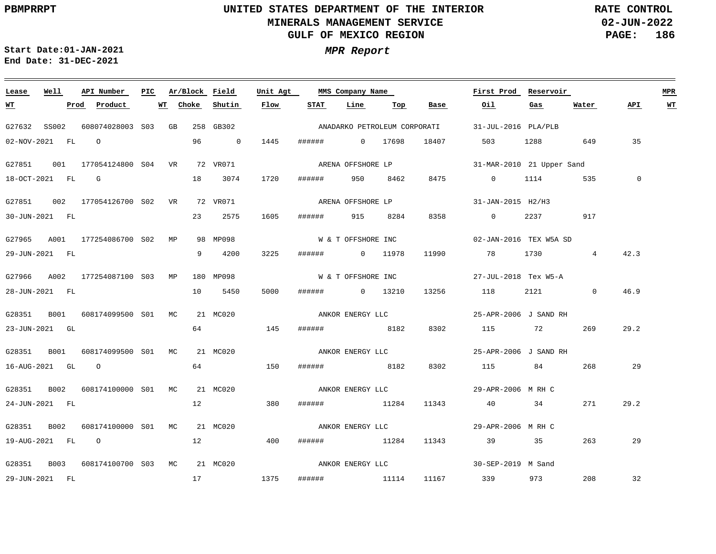**02-JUN-2022 PAGE: 186 RATE CONTROL**

**Start Date:01-JAN-2021 MPR Report End Date: 31-DEC-2021**

### G27632 SS002 608074028003 S03 GB 258 GB302 G27851 001 177054124800 VR 72 VR071 S04 G27851 002 177054126700 VR 72 VR071 S02 G27965 A001 177254086700 S02 MP G27966 A002 177254087100 S03 MP 180 MP098 G28351 B001 608174099500 S01 MC 21 MC020 G28351 B001 608174099500 S01 MC 21 MC020 G28351 B002 608174100000 S01 MC 21 MC020 G28351 B002 608174100000 S01 MC 21 MC020 G28351 B003 608174100700 S03 MC 21 MC020 **Lease Well API Number Ar/Block** 98 MP098 **Field Unit Agt First Prod Reservoir MPR PIC MMS Company Name** 31-JUL-2016 PLA/PLB 31-MAR-2010 21 Upper Sand ARENA OFFSHORE LP 31-JAN-2015 H2/H3 02-JAN-2016 TEX W5A SD 27-JUL-2018 Tex W5-A 25-APR-2006 J SAND RH ANKOR ENERGY LLC 25-APR-2006 J SAND RH ANKOR ENERGY LLC 29-APR-2006 M RH C 29-APR-2006 M RH C 30-SEP-2019 M Sand 02-NOV-2021 FL O 18-OCT-2021 FL G 30-JUN-2021 FL 29-JUN-2021 FL 28-JUN-2021 FL 23-JUN-2021 GL 16-AUG-2021 GL O 24-JUN-2021 FL 19-AUG-2021 FL O 29-JUN-2021 FL **WT Prod Product WT** 96 0 1445 ###### 0 17698 18 3074 23 2575 9 4200 10 5450 64 64 12 12 17 1375 **Choke Shutin Flow** 1720 1605 ###### 915 8284 8358 0 2237 917 3225 5000 ###### 0 13210 13256 118 145 150 ###### 8182 8302 115 84 268 29 380 400 ###### 950 8462 8475 0 1114 535 0 ###### 0 11978 ###### 8182 ###### 11284 11343 40 34 ###### 11284 11343 39 35 263 ###### 11114 11167 339 973 **STAT Line Top Base Oil** 18407 11990 78 1730 4 8302 115 72 503 1288 649 35 2121 0 46.9 **Gas** 269 271 208 **Water** 42.3 29.2 29.2 29 32 **API WT** ANADARKO PETROLEUM CORPORATI ARENA OFFSHORE LP W & T OFFSHORE INC W & T OFFSHORE INC ANKOR ENERGY LLC ANKOR ENERGY LLC ANKOR ENERGY LLC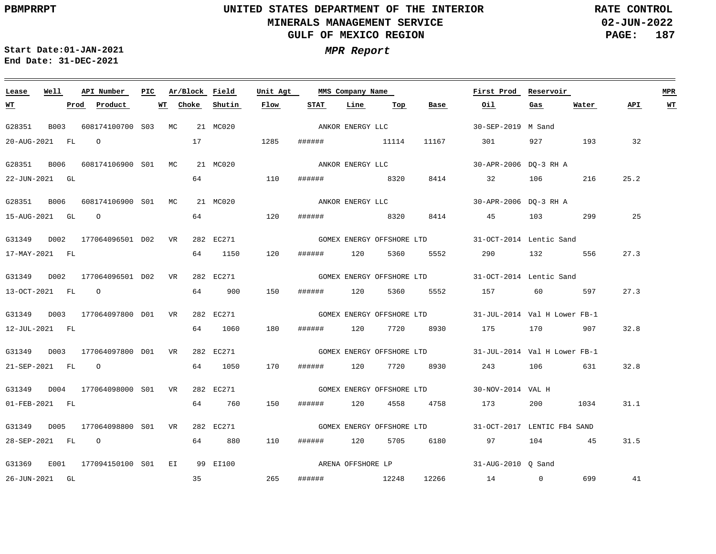**02-JUN-2022 PAGE: 187 RATE CONTROL**

**Start Date:01-JAN-2021 MPR Report End Date: 31-DEC-2021**

### **Lease Well API Number Ar/Block Field Unit Agt First Prod Reservoir MPR PIC MMS Company Name Choke Shutin Flow STAT Line Water API WT WT Prod Product WT Top Base Oil Gas** ANKOR ENERGY LLC G28351 B003 608174100700 S03 MC 21 MC020 30-SEP-2019 M Sand 17 20-AUG-2021 FL O 1285 ###### 11114 11167 301 927 193 32 G28351 B006 608174106900 S01 MC 21 MC020 30-APR-2006 DQ-3 RH A ANKOR ENERGY LLC 110 64 25.2 22-JUN-2021 GL ###### 8320 8414 32 106 216 G28351 B006 608174106900 MC 21 MC020 S01 30-APR-2006 DQ-3 RH A ANKOR ENERGY LLC 64 15-AUG-2021 GL O 120 ###### 8320 8414 45 103 299 25 G31349 D002 177064096501 D02 VR 282 EC271 31-OCT-2014 Lentic Sand GOMEX ENERGY OFFSHORE LTD 120 27.3 17-MAY-2021 FL 64 1150 ###### 120 5360 5552 290 132 556 G31349 D002 177064096501 D02 VR 282 EC271 31-OCT-2014 Lentic Sand GOMEX ENERGY OFFSHORE LTD 27.3 13-OCT-2021 FL O 64 900 150 ###### 120 5360 5552 157 60 597 G31349 D003 177064097800 D01 VR 282 EC271 GOMEX ENERGY OFFSHORE LTD 31-JUL-2014 Val H Lower FB-1 180 32.8 12-JUL-2021 FL 64 1060 ###### 120 7720 8930 175 170 907 G31349 D003 177064097800 D01 VR 282 EC271 31-JUL-2014 Val H Lower FB-1 GOMEX ENERGY OFFSHORE LTD 21-SEP-2021 FL O 64 1050 170 ###### 120 7720 8930 243 106 631 32.8 G31349 D004 177064098000 S01 VR 282 EC271 30-NOV-2014 VAL H GOMEX ENERGY OFFSHORE LTD 01-FEB-2021 FL 64 760 150 ###### 120 4558 4758 173 200 1034 31.1 G31349 D005 177064098800 S01 VR 282 EC271 31-OCT-2017 LENTIC FB4 SAND GOMEX ENERGY OFFSHORE LTD 28-SEP-2021 FL O 64 880 110 ###### 120 5705 6180 97 104 45 31.5 ARENA OFFSHORE LP G31369 E001 177094150100 S01 EI 99 EI100 31-AUG-2010 Q Sand 35 265 41 26-JUN-2021 GL ###### 12248 12266 14 0 699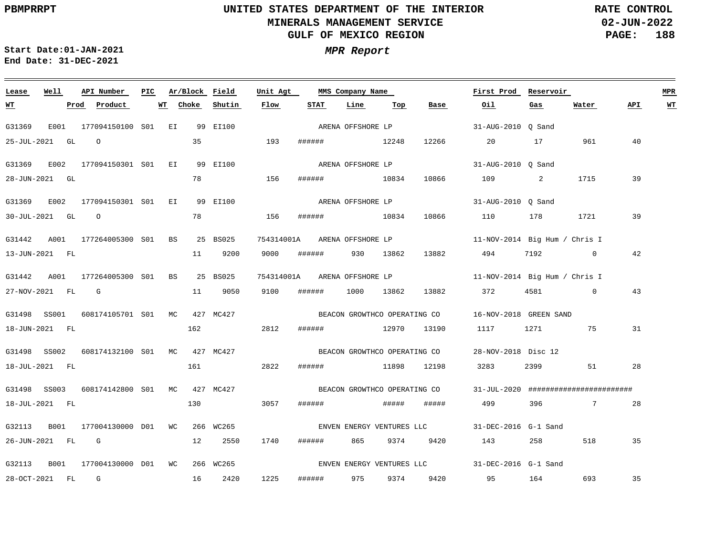**02-JUN-2022 PAGE: 188 RATE CONTROL**

**Start Date:01-JAN-2021 MPR Report End Date: 31-DEC-2021**

### **Lease Well API Number Ar/Block Field Unit Agt First Prod Reservoir MPR PIC MMS Company Name WT Choke STAT Gas Water API WT Prod Product WT Shutin Flow Line Top Base Oil** G31369 E001 177094150100 S01 EI 99 EI100 31-AUG-2010 Q Sand ARENA OFFSHORE LP 25-JUL-2021 GL O 35 193 ###### 12248 12266 20 17 961 40 ARENA OFFSHORE LP G31369 E002 177094150301 S01 EI 99 EI100 31-AUG-2010 Q Sand 28-JUN-2021 GL 78 156 ###### 10834 10866 109 2 1715 39 G31369 E002 177094150301 S01 EI 99 EI100 31-AUG-2010 Q Sand ARENA OFFSHORE LP 30-JUL-2021 GL O 78 156 ###### 10834 10866 110 178 1721 39 G31442 A001 177264005300 S01 BS 25 BS025 754314001A 11-NOV-2014 Big Hum / Chris I ARENA OFFSHORE LP 42 13-JUN-2021 FL 11 9200 9000 ###### 930 13862 13882 494 7192 0 G31442 A001 177264005300 S01 BS 25 BS025 754314001A 11-NOV-2014 Big Hum / Chris I ARENA OFFSHORE LP 43 27-NOV-2021 FL G 11 9050 9100 ###### 1000 13862 13882 372 4581 0 G31498 SS001 608174105701 S01 MC 427 MC427 BEACON GROWTHCO OPERATING CO  $16-NOV-2018$  GREEN SAND 31 18-JUN-2021 FL 162 2812 ###### 12970 13190 1117 1271 75 G31498 SS002 608174132100 S01 MC 427 MC427 28-NOV-2018 Disc 12 BEACON GROWTHCO OPERATING CO 18-JUL-2021 FL 161 2822 ###### 11898 12198 3283 2399 51 28 G31498 SS003 608174142800 S01 MC 427 MC427 31-JUL-2020 ######################## BEACON GROWTHCO OPERATING CO 130 18-JUL-2021 FL 3057 ###### ##### ##### 499 396 7 28 G32113 B001 177004130000 D01 WC 266 WC265 31-DEC-2016 G-1 Sand ENVEN ENERGY VENTURES LLC 26-JUN-2021 FL G 12 2550 1740 ###### 865 9374 9420 143 258 518 35 G32113 B001 177004130000 D01 WC 266 WC265 31-DEC-2016 G-1 Sand ENVEN ENERGY VENTURES LLC 1225 35 28-OCT-2021 FL G 16 2420 ###### 975 9374 9420 95 164 693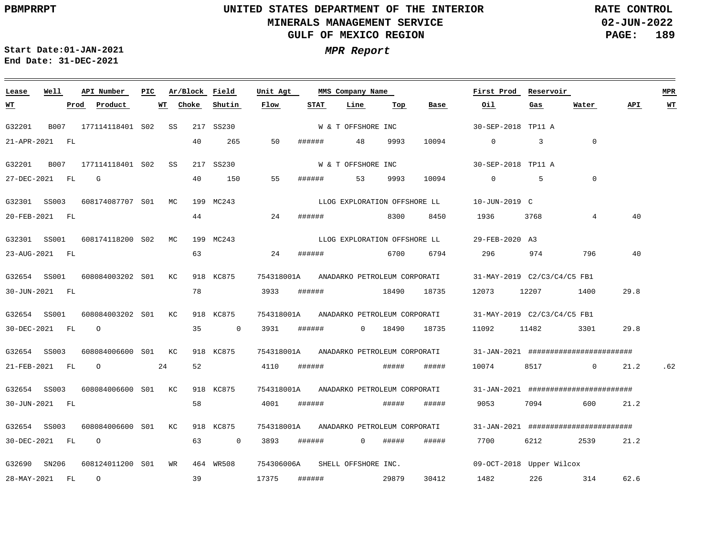**02-JUN-2022 PAGE: 189 RATE CONTROL**

**Start Date:01-JAN-2021 MPR Report End Date: 31-DEC-2021**

### **Lease Well API Number Ar/Block Field Unit Agt PIC MMS Company Name First Prod Reservoir MPR Shutin Flow STAT Line Top Base Oil Water API WT Prod Product WT Choke Gas WT** W & T OFFSHORE INC G32201 B007 177114118401 S02 SS 217 SS230 30-SEP-2018 TP11 A 10094 21-APR-2021 FL  $40$ 265 50 ###### 48 9993 0 3  $\cap$ W & T OFFSHORE INC G32201 B007 177114118401 S02 SS 217 SS230 30-SEP-2018 TP11 A G 40 150 55  $\Omega$ 27-DEC-2021 FL ###### 53 9993 10094 0 5 LLOG EXPLORATION OFFSHORE LL G32301 SS003 608174087707 S01 MC 199 MC243 10-JUN-2019 C 44 8300 40 20-FEB-2021 FL 24 ###### 8450 1936 3768 4 G32301 SS001 608174118200 S02 MC 199 MC243 29-FEB-2020 A3 LLOG EXPLORATION OFFSHORE LL 63 40 23-AUG-2021 FL 24 ###### 6700 6794 296 974 796 G32654 SS001 608084003202 S01 KC 918 KC875 754318001A 31-MAY-2019 C2/C3/C4/C5 FB1 ANADARKO PETROLEUM CORPORATI 78 3933 ###### 30-JUN-2021 FL 18490 18735 12073 12207 1400 29.8 G32654 SS001 608084003202 S01 KC 918 KC875 754318001A 31-MAY-2019 C2/C3/C4/C5 FB1 ANADARKO PETROLEUM CORPORATI O 30-DEC-2021 FL 35 0 3931 ###### 0 18490 18735 11092 11482 3301 29.8 G32654 SS003 608084006600 S01 KC 918 KC875 754318001A 31-JAN-2021 ######################## ANADARKO PETROLEUM CORPORATI 52 21-FEB-2021 FL O 24 4110 ###### ##### ##### 10074 8517 0 21.2 .62 G32654 SS003 608084006600 S01 KC 918 KC875 754318001A 31-JAN-2021 ######################## ANADARKO PETROLEUM CORPORATI 58 4001 ###### 30-JUN-2021 FL ##### ##### 9053 7094 600 21.2 G32654 SS003 608084006600 S01 KC 918 KC875 754318001A ANADARKO PETROLEUM CORPORATI 31-JAN-2021 ######################## 30-DEC-2021 FL O 63 0 3893 ###### 0 ##### ##### 7700 6212 2539 21.2 G32690 SN206 608124011200 S01 WR 464 WR508 754306006A SHELL OFFSHORE INC. 09-OCT-2018 Upper Wilcox 39 O 28-MAY-2021 FL 17375 ###### 29879 30412 1482 226 314 62.6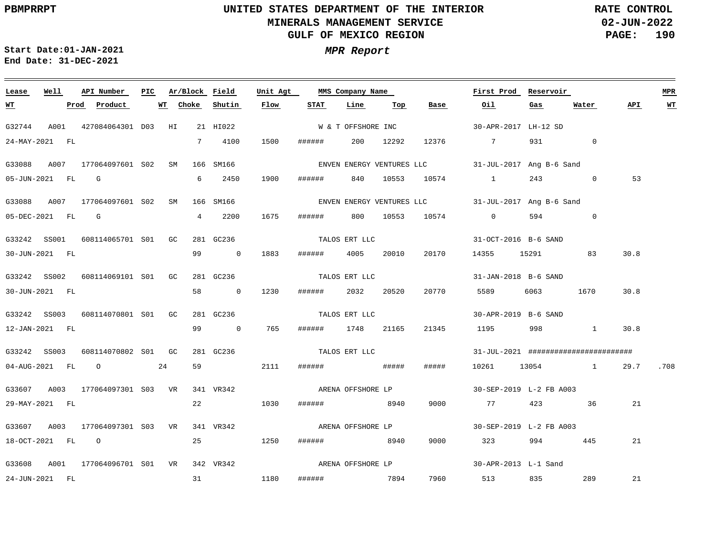**02-JUN-2022 PAGE: 190 RATE CONTROL**

 $\equiv$ 

<u> 1989 - Andrea Andrea Andrea Andrea Andrea Andrea Andrea Andrea Andrea Andrea Andrea Andrea Andrea Andrea And</u>

**Start Date:01-JAN-2021 MPR Report End Date: 31-DEC-2021**

| Lease     | Well             | API Number                                | PIC |           |            | Ar/Block Field | Unit Agt |                   | MMS Company Name   |           |       | First Prod                                         | Reservoir |                                       |      | <b>MPR</b> |
|-----------|------------------|-------------------------------------------|-----|-----------|------------|----------------|----------|-------------------|--------------------|-----------|-------|----------------------------------------------------|-----------|---------------------------------------|------|------------|
| <u>WT</u> |                  | Prod Product                              |     | <b>WT</b> | Choke      | Shutin         | Flow     | <b>STAT</b>       | Line               | Тор       | Base  | Oil.                                               | Gas       | Water                                 | API  | $WT$       |
| G32744    |                  | A001 427084064301 D03 HI                  |     |           |            | 21 HI022       |          |                   | W & T OFFSHORE INC |           |       | 30-APR-2017 LH-12 SD                               |           |                                       |      |            |
|           | 24-MAY-2021 FL   |                                           |     |           |            | 7 4100         | 1500     | ####### 200 12292 |                    |           |       | 12376 7                                            |           | $\overline{0}$<br>931 — 100           |      |            |
| G33088    |                  | A007 177064097601 S02 SM                  |     |           |            | 166 SM166      |          |                   |                    |           |       | ENVEN ENERGY VENTURES LLC 31-JUL-2017 Ang B-6 Sand |           |                                       |      |            |
|           | 05-JUN-2021 FL G |                                           |     |           | 6          | 2450           | 1900     | ######            |                    | 840 10553 |       | 10574 1                                            |           | 243<br>$\overline{0}$                 | 53   |            |
|           |                  | G33088 A007 177064097601 S02 SM           |     |           |            | 166 SM166      |          |                   |                    |           |       | ENVEN ENERGY VENTURES LLC 31-JUL-2017 Ang B-6 Sand |           |                                       |      |            |
|           | 05-DEC-2021 FL G |                                           |     |           | $4\degree$ | 2200           | 1675     |                   |                    |           |       | ###### 800 10553 10574 0                           |           | 594 7<br>$\mathbf 0$                  |      |            |
|           |                  | G33242 SS001 608114065701 S01 GC          |     |           |            | 281 GC236      |          | TALOS ERT LLC     |                    |           |       | 31-OCT-2016 B-6 SAND                               |           |                                       |      |            |
|           | 30-JUN-2021 FL   |                                           |     |           |            | 99 0           | 1883     | ###### 4005 20010 |                    |           | 20170 | 14355 15291 83                                     |           |                                       | 30.8 |            |
|           |                  | G33242 SS002 608114069101 S01 GC          |     |           |            | 281 GC236      |          | TALOS ERT LLC     |                    |           |       | 31-JAN-2018 B-6 SAND                               |           |                                       |      |            |
|           | 30-JUN-2021 FL   |                                           |     |           |            | 58 0           | 1230     | ######            | 2032               | 20520     | 20770 | 5589                                               |           | 1670                                  | 30.8 |            |
|           |                  | G33242 SS003 608114070801 S01 GC          |     |           |            | 281 GC236      |          |                   | TALOS ERT LLC      |           |       | 30-APR-2019 B-6 SAND                               |           |                                       |      |            |
|           | 12-JAN-2021 FL   |                                           |     |           |            | 99 0           | 765      | ###### 1748 21165 |                    |           | 21345 |                                                    |           | 1195 998 1                            | 30.8 |            |
|           |                  | G33242 SS003 608114070802 S01 GC          |     |           |            | 281 GC236      |          | TALOS ERT LLC     |                    |           |       |                                                    |           | 31-JUL-2021 ######################### |      |            |
|           |                  | 04-AUG-2021 FL 0                          |     | 24        |            | 59             | 2111     |                   |                    |           | ##### |                                                    |           | 10261 13054 1                         | 29.7 | .708       |
| G33607    |                  | A003 177064097301 S03 VR 341 VR342        |     |           |            |                |          | ARENA OFFSHORE LP |                    |           |       | 30-SEP-2019 L-2 FB A003                            |           |                                       |      |            |
|           | 29-MAY-2021 FL   |                                           |     |           |            | 22             | 1030     | ###### 8940       |                    |           | 9000  | 77 — 77                                            |           | 423 36                                | 21   |            |
|           |                  | G33607 A003 177064097301 S03 VR           |     |           |            | 341 VR342      |          |                   |                    |           |       | ARENA OFFSHORE LP 30-SEP-2019 L-2 FB A003          |           |                                       |      |            |
|           |                  | 18-OCT-2021 FL O                          |     |           |            | 25 1250        |          | ###### 8940       |                    |           | 9000  | 323 994 445                                        |           |                                       | 21   |            |
|           |                  | G33608 A001 177064096701 S01 VR 342 VR342 |     |           |            |                |          |                   |                    |           |       |                                                    |           |                                       |      |            |
|           | 24-JUN-2021 FL   |                                           |     |           |            | 31 1180        |          | ###### 7894       |                    |           |       | 7960 513 835 289                                   |           |                                       | 21   |            |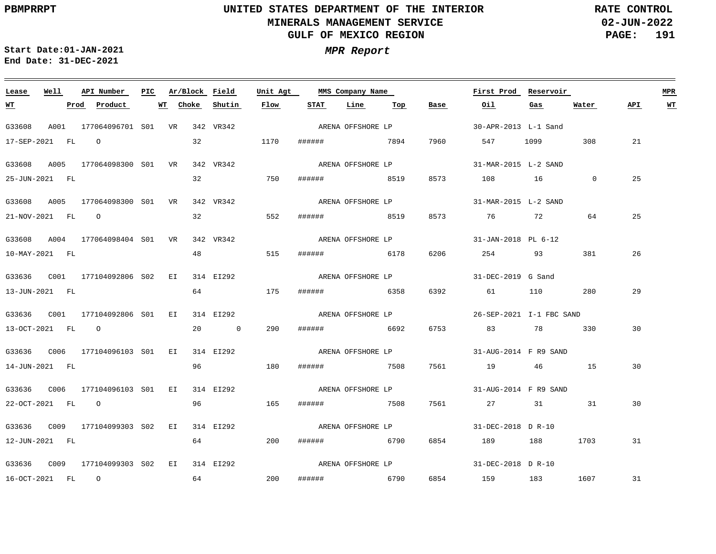**02-JUN-2022 PAGE: 191 RATE CONTROL**

**Start Date:01-JAN-2021 MPR Report End Date: 31-DEC-2021**

### **Lease Well API Number Ar/Block Field Unit Agt PIC MMS Company Name First Prod Reservoir MPR STAT Line Top WT Prod Product WT Choke Shutin Flow Base Oil Gas Water API WT** ARENA OFFSHORE LP G33608 A001 177064096701 S01 VR 342 VR342 30-APR-2013 L-1 Sand 17-SEP-2021 FL O 32 1170 ###### 7894 7960 547 1099 308 21 ARENA OFFSHORE LP G33608 A005 177064098300 S01 VR 342 VR342 31-MAR-2015 L-2 SAND 750 32 25 25-JUN-2021 FL ###### 8519 8573 108 16 0 G33608 A005 177064098300 S01 VR 342 VR342 31-MAR-2015 L-2 SAND ARENA OFFSHORE LP 32 25 21-NOV-2021 FL O 552 ###### 8519 8573 76 72 64 G33608 A004 177064098404 S01 VR 342 VR342 31-JAN-2018 PL 6-12 ARENA OFFSHORE LP 48 515 26 10-MAY-2021 FL ###### 6178 6206 254 93 381 G33636 C001 177104092806 EI 314 EI292 S02 31-DEC-2019 G Sand ARENA OFFSHORE LP 29 13-JUN-2021 FL 64 175 ###### 6358 6392 61 110 280 G33636 C001 177104092806 EI 314 EI292 S01 26-SEP-2021 I-1 FBC SAND ARENA OFFSHORE LP 290 30 13-OCT-2021 FL O 20 0 ###### 6692 6753 83 78 330 G33636 C006 177104096103 EI 314 EI292 S01 31-AUG-2014 F R9 SAND ARENA OFFSHORE LP 14-JUN-2021 FL 96 180 ###### 7508 7561 19 46 15 30 ARENA OFFSHORE LP G33636 C006 177104096103 EI 314 EI292 S01 31-AUG-2014 F R9 SAND 22-OCT-2021 FL O 96 165 ###### 7508 7561 27 31 31 30 ARENA OFFSHORE LP G33636 C009 177104099303 EI 314 EI292 S02 31-DEC-2018 D R-10 12-JUN-2021 FL 64 200 ###### 6790 6854 189 188 1703 31 ARENA OFFSHORE LP G33636 C009 177104099303 EI 314 EI292 S0231-DEC-2018 D R-10 64 200 16-OCT-2021 FL O ###### 6790 6854 159 183 1607 31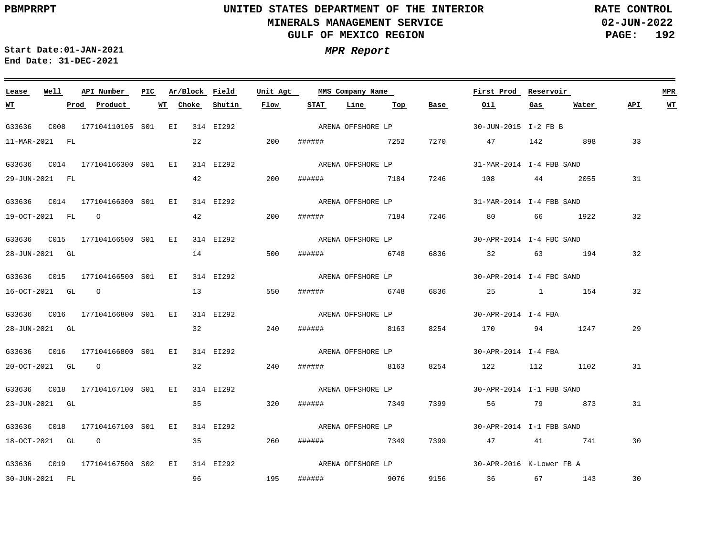**02-JUN-2022 PAGE: 192 RATE CONTROL**

 $\equiv$ 

**Start Date:01-JAN-2021 MPR Report End Date: 31-DEC-2021**

| Lease            | Well | API Number                         | PIC | Ar/Block Field |           | Unit Agt |        | MMS Company Name   |     |      | First Prod                                                                                                                                                                                                                      | Reservoir |         |     | <b>MPR</b> |
|------------------|------|------------------------------------|-----|----------------|-----------|----------|--------|--------------------|-----|------|---------------------------------------------------------------------------------------------------------------------------------------------------------------------------------------------------------------------------------|-----------|---------|-----|------------|
| <u>WT</u>        |      | Product<br>Prod                    |     | Choke<br>WT    | Shutin    | Flow     | STAT   | Line               | Тор | Base | Oil                                                                                                                                                                                                                             | Gas       | Water   | API | <u>WT</u>  |
| G33636           |      | C008 177104110105 S01 EI 314 EI292 |     |                |           |          |        | ARENA OFFSHORE LP  |     |      | 30-JUN-2015 I-2 FB B                                                                                                                                                                                                            |           |         |     |            |
| 11-MAR-2021 FL   |      |                                    |     | 22             |           | 200      |        | ####### 7252       |     | 7270 | 47 142                                                                                                                                                                                                                          |           | 898     | 33  |            |
|                  |      |                                    |     |                | 314 EI292 |          |        | ARENA OFFSHORE LP  |     |      | 31-MAR-2014 I-4 FBB SAND                                                                                                                                                                                                        |           |         |     |            |
| 29-JUN-2021 FL   |      |                                    |     | 42             |           | 200      | ###### | 7184               |     | 7246 | 108 44 2055                                                                                                                                                                                                                     |           |         | 31  |            |
|                  |      |                                    |     |                | 314 EI292 |          |        | ARENA OFFSHORE LP  |     |      | 31-MAR-2014 I-4 FBB SAND                                                                                                                                                                                                        |           |         |     |            |
| 19-OCT-2021 FL O |      |                                    |     | 42             |           | 200      |        | ###### 7184        |     | 7246 | 80 30 31 32 33 40 34 40 35 40 36 37 40 37 40 37 40 37 40 37 40 37 40 37 40 37 40 37 40 37 40 37 40 37 40 37 40 37 40 37 40 37 40 37 40 37 40 37 40 37 40 37 40 37 40 37 40 37 40 37 40 37 40 37 40 37 40 37 40 37 40 37 40 37 4 |           | 66 1922 | 32  |            |
|                  |      |                                    |     |                | 314 EI292 |          |        | ARENA OFFSHORE LP  |     |      | 30-APR-2014 I-4 FBC SAND                                                                                                                                                                                                        |           |         |     |            |
| 28-JUN-2021 GL   |      |                                    |     |                |           | 500      | ###### | 6748               |     | 6836 | 32 32                                                                                                                                                                                                                           |           | 63 194  | 32  |            |
|                  |      |                                    |     |                | 314 EI292 |          |        | ARENA OFFSHORE LP  |     |      | 30-APR-2014 I-4 FBC SAND                                                                                                                                                                                                        |           |         |     |            |
| 16-OCT-2021 GL 0 |      |                                    |     | 13             |           | 550      |        | ####### 6748       |     | 6836 | 25 1 154                                                                                                                                                                                                                        |           |         | 32  |            |
|                  |      |                                    |     |                | 314 EI292 |          |        | ARENA OFFSHORE LP  |     |      | 30-APR-2014 I-4 FBA                                                                                                                                                                                                             |           |         |     |            |
| 28-JUN-2021 GL   |      |                                    |     |                | 32        | 240      | ###### | 8163               |     | 8254 | 170 94 1247                                                                                                                                                                                                                     |           |         | 29  |            |
|                  |      |                                    |     |                | 314 EI292 |          |        | ARENA OFFSHORE LP  |     |      | 30-APR-2014 I-4 FBA                                                                                                                                                                                                             |           |         |     |            |
| 20-OCT-2021 GL O |      |                                    |     | 32             |           | 240      |        | ###### 8163        |     | 8254 | 122 112 1102                                                                                                                                                                                                                    |           |         | 31  |            |
|                  |      |                                    |     |                | 314 EI292 |          |        | ARENA OFFSHORE LP  |     |      | 30-APR-2014 I-1 FBB SAND                                                                                                                                                                                                        |           |         |     |            |
| 23-JUN-2021 GL   |      |                                    |     |                | 35        | 320      | ###### | 7349               |     | 7399 | 56 79 873                                                                                                                                                                                                                       |           |         | 31  |            |
|                  |      |                                    |     |                | 314 EI292 |          |        | ARENA OFFSHORE LP  |     |      | 30-APR-2014 I-1 FBB SAND                                                                                                                                                                                                        |           |         |     |            |
| 18-OCT-2021 GL 0 |      |                                    |     | 35             |           | 260      |        | ###### 7349        |     | 7399 | 47 41 741                                                                                                                                                                                                                       |           |         | 30  |            |
|                  |      | G33636 C019 177104167500 S02 EI    |     |                | 314 EI292 |          |        | ARENA OFFSHORE LP  |     |      | 30-APR-2016 K-Lower FB A                                                                                                                                                                                                        |           |         |     |            |
| 30-JUN-2021 FL   |      |                                    |     | 96             | 195       |          |        | <b>###### 9076</b> |     |      | 9156 36 67 143                                                                                                                                                                                                                  |           |         | 30  |            |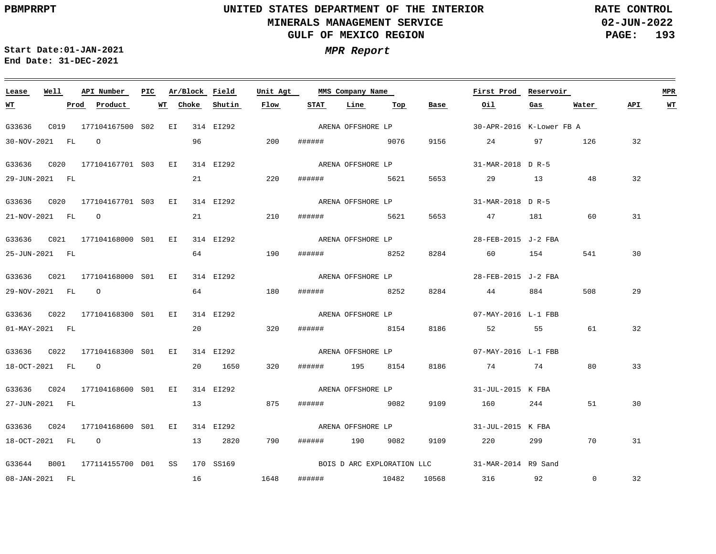**02-JUN-2022 PAGE: 193 RATE CONTROL**

 $\equiv$ 

**Start Date:01-JAN-2021 MPR Report End Date: 31-DEC-2021**

<u> 1989 - Johann Stein, marwolaethau a bhannaich an t-Albann an t-Albann an t-Albann an t-Albann an t-Albann an</u>

| Lease            | Well | API Number                      | PIC. |    |       | Ar/Block Field | Unit Agt |                   | MMS Company Name  |     |      | First Prod                                     | Reservoir |                |     | MPR |
|------------------|------|---------------------------------|------|----|-------|----------------|----------|-------------------|-------------------|-----|------|------------------------------------------------|-----------|----------------|-----|-----|
| <u>WT</u>        |      | Product<br>Prod                 |      | WT | Choke | Shutin         | Flow     | STAT              | Line              | Top | Base | Oil                                            | Gas       | Water          | API | WT  |
| G33636           |      | C019 177104167500 S02 EI        |      |    |       | 314 EI292      |          |                   | ARENA OFFSHORE LP |     |      | 30-APR-2016 K-Lower FB A                       |           |                |     |     |
| 30-NOV-2021 FL   |      | $\overline{O}$                  |      |    | 96    |                | 200      | ###### 9076       |                   |     | 9156 | 24                                             | 97        | 126            | 32  |     |
| G33636 C020      |      | 177104167701 S03 EI             |      |    |       | 314 EI292      |          |                   | ARENA OFFSHORE LP |     |      | 31-MAR-2018 D R-5                              |           |                |     |     |
| 29-JUN-2021 FL   |      |                                 |      |    | 21    |                | 220      | ######            | 5621              |     | 5653 | 29 13                                          |           | 48             | 32  |     |
|                  |      |                                 |      |    |       | 314 EI292      |          |                   | ARENA OFFSHORE LP |     |      | 31-MAR-2018 D R-5                              |           |                |     |     |
| 21-NOV-2021 FL 0 |      |                                 |      |    | 21    |                | 210      | ###### 5621       |                   |     | 5653 | 47                                             | 181       | 60             | 31  |     |
|                  |      |                                 |      |    |       | 314 EI292      |          |                   | ARENA OFFSHORE LP |     |      | 28-FEB-2015 J-2 FBA                            |           |                |     |     |
| 25-JUN-2021 FL   |      |                                 |      |    |       | 64 64          | 190      | ######            | 8252              |     | 8284 |                                                | 60 154    | 541            | 30  |     |
|                  |      |                                 |      |    |       | 314 EI292      |          |                   | ARENA OFFSHORE LP |     |      | 28-FEB-2015 J-2 FBA                            |           |                |     |     |
| 29-NOV-2021 FL 0 |      |                                 |      |    | 64    |                | 180      | ####### 8252      |                   |     | 8284 | 44                                             | 884       | 508            | 29  |     |
|                  |      | G33636 C022 177104168300 S01 EI |      |    |       | 314 EI292      |          |                   | ARENA OFFSHORE LP |     |      | 07-MAY-2016 L-1 FBB                            |           |                |     |     |
| 01-MAY-2021 FL   |      |                                 |      |    | 20    |                | 320      | ######            | 8154              |     | 8186 | 52 55                                          |           | 61             | 32  |     |
|                  |      | G33636 C022 177104168300 S01 EI |      |    |       | 314 EI292      |          |                   | ARENA OFFSHORE LP |     |      | 07-MAY-2016 L-1 FBB                            |           |                |     |     |
| 18-OCT-2021 FL 0 |      |                                 |      |    |       | 20 1650        | 320      | ###### 195 8154   |                   |     | 8186 | 74                                             | 74        | 80             | 33  |     |
|                  |      | G33636 C024 177104168600 S01 EI |      |    |       | 314 EI292      |          |                   | ARENA OFFSHORE LP |     |      | 31-JUL-2015 K FBA                              |           |                |     |     |
| 27-JUN-2021 FL   |      |                                 |      |    | 13    |                | 875      | ######            | 20082             |     | 9109 | 160                                            | 244       | 51             | 30  |     |
|                  |      |                                 |      |    |       | 314 EI292      |          | ARENA OFFSHORE LP |                   |     |      | 31-JUL-2015 K FBA                              |           |                |     |     |
| 18-OCT-2021 FL 0 |      |                                 |      |    |       | 13 2820        | 790      | ###### 190 9082   |                   |     | 9109 | 220 and $\sim$                                 | 299       | 70             | 31  |     |
|                  |      | G33644 B001 177114155700 D01 SS |      |    |       | 170 SS169      |          |                   |                   |     |      | BOIS D ARC EXPLORATION LLC 31-MAR-2014 R9 Sand |           |                |     |     |
|                  |      |                                 |      |    |       |                |          |                   |                   |     |      |                                                |           |                |     |     |
| 08-JAN-2021 FL   |      |                                 |      |    | 16    | 1648           |          | ###### 10482      |                   |     |      | 10568 316 92                                   |           | $\overline{0}$ | 32  |     |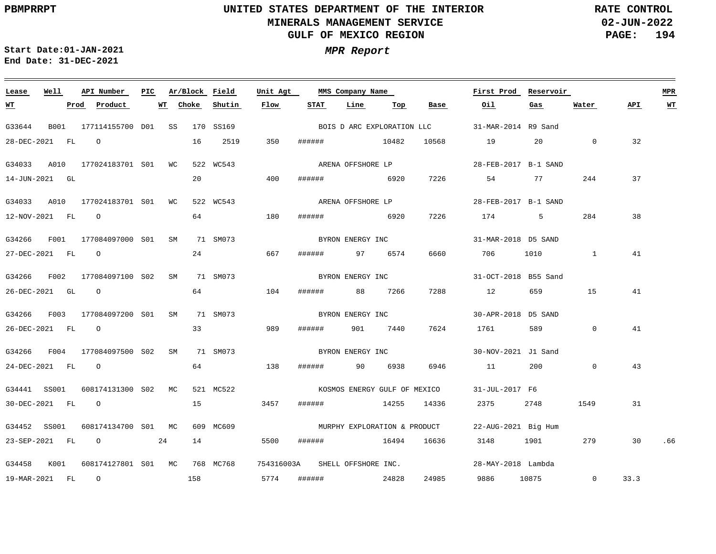**02-JUN-2022 PAGE: 194 RATE CONTROL**

**Start Date:01-JAN-2021 MPR Report End Date: 31-DEC-2021**

### G33644 B001 177114155700 D01 SS 170 SS169 G34033 A010 177024183701 S01 WC 522 WC543 G34033 A010 177024183701 S01 WC 522 WC543 G34266 F001 177084097000 S01 SM 71 SM073 G34266 F002 177084097100 S02 SM G34266 F003 177084097200 S01 SM 71 SM073 G34266 F004 177084097500 S02 SM G34441 SS001 608174131300 S02 MC 521 MC522 G34452 SS001 608174134700 S01 MC 609 MC609 G34458 K001 608174127801 S01 MC 768 MC768 754316003A SHELL-OFFSHORE-INC. **Lease Well API Number Ar/Block Field** 71 SM073 71 SM073 **Unit Agt PIC MMS Company Name** 31-MAR-2014 R9 Sand 28-FEB-2017 B-1 SAND 28-FEB-2017 B-1 SAND 31-MAR-2018 D5 SAND BYRON ENERGY INC 31-OCT-2018 B55 Sand 30-APR-2018 D5 SAND 30-NOV-2021 J1 Sand 31-JUL-2017 F6 KOSMOS ENERGY GULF OF MEXICO 22-AUG-2021 Big Hum MURPHY EXPLORATION & PRODUCT 28-MAY-2018 Lambda **First Prod Reservoir MPR** 28-DEC-2021 FL O 14-JUN-2021 GL 12-NOV-2021 FL O 27-DEC-2021 FL O 26-DEC-2021 GL O 26-DEC-2021 FL O 24-DEC-2021 FL O 30-DEC-2021 FL O 23-SEP-2021 FL O 24 19-MAR-2021 FL O **WT Prod Product WT Choke** 16 20 64 24 64 33 64 15 14 5500 ###### 16494 16636 3148 1901 279 30 .66 158 2519 **Shutin** 350 ###### 10482 400 180 ###### 6920 7226 174 5 284 667 104 ###### 88 7266 989 138 ###### 90 6938 6946 11 200 0 3457 ###### 14255 14336 2375 2748 1549 5774 ###### 24828 24985 **Flow** ###### 6920 7226 ###### 97 6574 ###### 901 7440 **STAT Line Top** 10568 6660 706 1010 1 7288 12 659 15 7624 1761 589 **Base** 19 20 0 54 77 244 9886 10875 0 **Oil Gas**  $\Omega$ **Water** 32 37 38 41 41 41 43 31 33.3 **API WT** BOIS D ARC EXPLORATION LLC ARENA OFFSHORE LP ARENA OFFSHORE LP BYRON ENERGY INC BYRON ENERGY INC BYRON ENERGY INC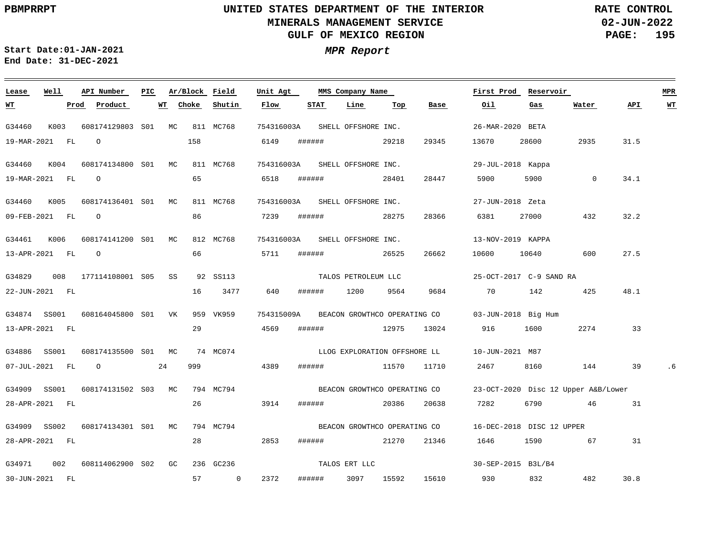**02-JUN-2022 PAGE: 195 RATE CONTROL**

 $\equiv$ 

**Start Date:01-JAN-2021 MPR Report End Date: 31-DEC-2021**

| Lease                    | Well | API Number          | PIC. |    | Ar/Block Field |                      | Unit Agt                       |        | MMS Company Name      |                              |       | First Prod                          | Reservoir |              |      | <b>MPR</b> |
|--------------------------|------|---------------------|------|----|----------------|----------------------|--------------------------------|--------|-----------------------|------------------------------|-------|-------------------------------------|-----------|--------------|------|------------|
| <u> WТ</u>               |      | Product<br>Prod     |      | WT | Choke          | Shutin               | Flow                           | STAT   | Line                  | Top                          | Base  | Oil                                 | Gas       | Water        | API. | <b>WT</b>  |
| G34460                   | K003 | 608174129803 S01 MC |      |    |                | 811 MC768            | 754316003A                     |        | SHELL OFFSHORE INC.   |                              |       | 26-MAR-2020 BETA                    |           |              |      |            |
| 19-MAR-2021 FL           |      | $\circ$             |      |    | 158            |                      | 6149                           | ###### |                       | 29218                        | 29345 | 13670                               | 28600     | 2935         | 31.5 |            |
| G34460                   | K004 | 608174134800 S01 MC |      |    |                | 811 MC768            | 754316003A                     |        | SHELL OFFSHORE INC.   |                              |       | 29-JUL-2018 Kappa                   |           |              |      |            |
| 19-MAR-2021 FL           |      | $\circ$             |      |    | 65             |                      | 6518                           | ###### |                       | 28401                        | 28447 | 5900                                | 5900      | $\mathbf{0}$ | 34.1 |            |
| G34460                   | K005 | 608174136401 S01 MC |      |    |                | 811 MC768            | 754316003A SHELL OFFSHORE INC. |        |                       |                              |       | 27-JUN-2018 Zeta                    |           |              |      |            |
| 09-FEB-2021 FL           |      | $\circ$             |      |    | 86             |                      | 7239                           | ###### |                       | 28275                        | 28366 | 6381                                | 27000     | 432          | 32.2 |            |
| G34461                   | K006 | 608174141200 S01 MC |      |    |                | 812 MC768            | 754316003A                     |        | SHELL OFFSHORE INC.   |                              |       | 13-NOV-2019 KAPPA                   |           |              |      |            |
| 13-APR-2021 FL           |      | $\circ$             |      |    | 66             |                      | 5711                           | ###### |                       | 26525                        | 26662 | 10600                               | 10640     | 600          | 27.5 |            |
| G34829                   | 008  | 177114108001 S05 SS |      |    |                | 92 SS113             |                                |        | TALOS PETROLEUM LLC   |                              |       | 25-OCT-2017 C-9 SAND RA             |           |              |      |            |
| 22-JUN-2021 FL           |      |                     |      |    | 16             | 3477                 | 640                            | ###### | 1200                  | 9564                         | 9684  | 70                                  | 142       | 425          | 48.1 |            |
| G34874 SS001             |      | 608164045800 S01 VK |      |    |                | 959 VK959            | 754315009A                     |        |                       | BEACON GROWTHCO OPERATING CO |       | 03-JUN-2018 Big Hum                 |           |              |      |            |
| 13-APR-2021 FL           |      |                     |      |    | 29             |                      | 4569                           | ###### |                       | 12975                        | 13024 | 916                                 | 1600      | 2274         | 33   |            |
| G34886 SS001             |      | 608174135500 S01 MC |      |    |                | 74 MC074             |                                |        |                       | LLOG EXPLORATION OFFSHORE LL |       | 10-JUN-2021 M87                     |           |              |      |            |
| 07-JUL-2021 FL           |      | $\circ$             |      | 24 | 999            |                      | 4389                           | ###### |                       | 11570                        | 11710 | 2467                                | 8160      | 144          | 39   |            |
| G34909 SS001             |      | 608174131502 S03 MC |      |    |                | 794 MC794            |                                |        |                       | BEACON GROWTHCO OPERATING CO |       | 23-OCT-2020 Disc 12 Upper A&B/Lower |           |              |      |            |
| 28-APR-2021 FL           |      |                     |      |    | 26             |                      | 3914                           | ###### |                       | 20386                        | 20638 | 7282                                | 6790      | 46           | 31   |            |
| G34909 SS002             |      | 608174134301 S01 MC |      |    |                | 794 MC794            |                                |        |                       | BEACON GROWTHCO OPERATING CO |       | 16-DEC-2018 DISC 12 UPPER           |           |              |      |            |
| 28-APR-2021 FL           |      |                     |      |    | 28             |                      | 2853                           | ###### |                       | 21270                        | 21346 | 1646                                | 1590      | 67           | 31   |            |
|                          |      |                     |      |    |                |                      |                                |        |                       |                              |       |                                     |           |              |      |            |
| G34971<br>30-JUN-2021 FL | 002  | 608114062900 S02 GC |      |    | 57             | 236 GC236<br>$\circ$ | 2372                           | ###### | TALOS ERT LLC<br>3097 | 15592                        | 15610 | 30-SEP-2015 B3L/B4<br>930           | 832       | 482          | 30.8 |            |
|                          |      |                     |      |    |                |                      |                                |        |                       |                              |       |                                     |           |              |      |            |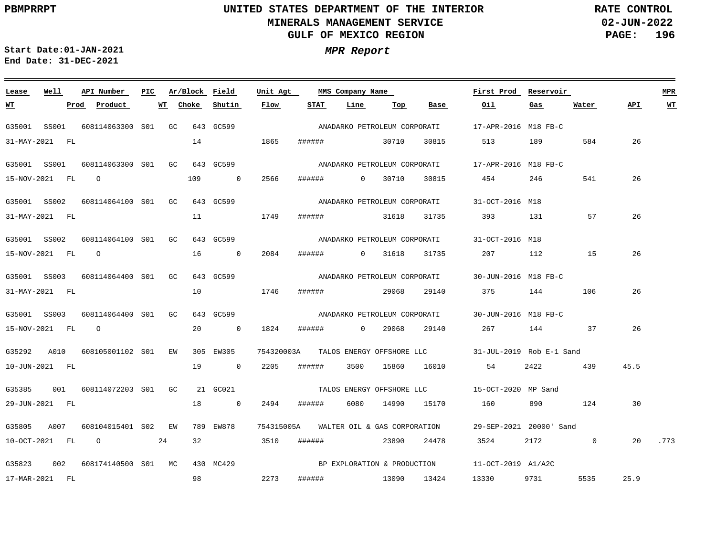**02-JUN-2022 PAGE: 196 RATE CONTROL**

**Start Date:01-JAN-2021 MPR Report End Date: 31-DEC-2021**

### G35001 SS001 608114063300 S01 GC 643 GC599 G35001 SS001 608114063300 S01 GC 643 GC599 G35001 SS002 608114064100 S01 GC 643 GC599 G35001 SS002 608114064100 S01 GC 643 GC599 G35001 SS003 608114064400 S01 GC 643 GC599 G35001 SS003 608114064400 S01 GC 643 GC599 G35292 A010 608105001102 S01 EW 305 EW305 754320003A TALOS\_ENERGY\_OFFSHORE\_LLC 31-JUL-2019 Rob\_E-1\_Sand G35385 001 608114072203 S01 GC 21 GC021 G35805 A007 608104015401 S02 EW 789 EW878 G35823 002 608174140500 MC 430 MC429 S01**Lease Well API Number Ar/Block Field** 754315005A 29-SEP-2021 20000' Sand WALTER OIL & GAS CORPORATION **Unit Agt First Prod Reservoir MPR PIC MMS Company Name** 17-APR-2016 M18 FB-C 17-APR-2016 M18 FB-C ANADARKO PETROLEUM CORPORATI 31-OCT-2016 M18 ANADARKO PETROLEUM CORPORATI 31-OCT-2016 M18 ANADARKO PETROLEUM CORPORATI 30-JUN-2016 M18 FB-C ANADARKO PETROLEUM CORPORATI 30-JUN-2016 M18 FB-C ANADARKO PETROLEUM CORPORATI 15-OCT-2020 MP Sand TALOS ENERGY OFFSHORE LLC 11-OCT-2019 A1/A2C 31-MAY-2021 FL 15-NOV-2021 FL O 31-MAY-2021 FL 15-NOV-2021 FL O 31-MAY-2021 FL 15-NOV-2021 FL O 10-JUN-2021 FL 29-JUN-2021 FL 10-OCT-2021 FL O 24 17-MAR-2021 FL **WT Prod Product WT Choke** 14 109 0 2566 11 16 0 2084 10 20 0 1824 19 0 2205 ###### 3500 15860 16010 54 2422 439 18 0 2494 ###### 6080 14990 15170 32 98 2273 **Shutin Flow** 1865 ###### 30710 30815 1749 ###### 31618 31735 393 131 57 1746 ###### 29068 29140 375 144 106 3510 ###### 23890 24478 3524 2172 0 ###### 0 30710 30815 454 ###### 0 31618 31735 207 112 15 ###### 0 29068 29140 267 144 37 ###### 13090 13424 13330 9731 5535 **STAT Line Top Base** 513 189 584 160 890 124 **Oil** 246 541 **Gas Water** 26 26 26 26 26 26 45.5 30 20 .773 25.9 **API WT** ANADARKO PETROLEUM CORPORATI BP EXPLORATION & PRODUCTION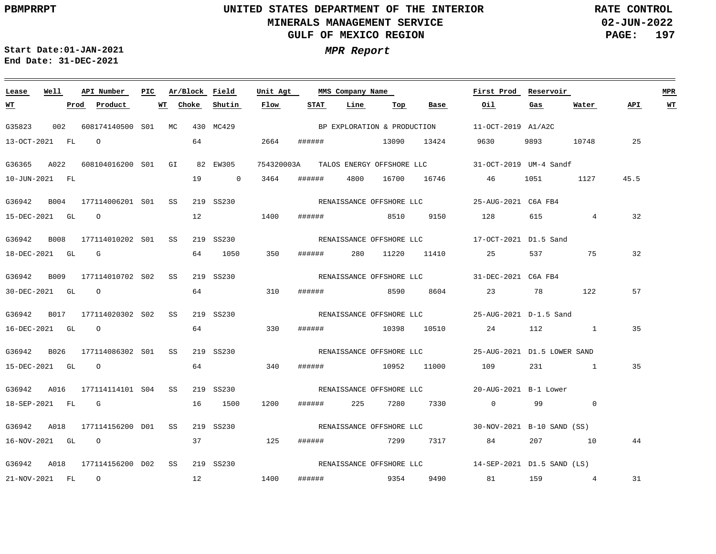**02-JUN-2022 PAGE: 197 RATE CONTROL**

**Start Date:01-JAN-2021 MPR Report End Date: 31-DEC-2021**

### **Lease Well API Number Ar/Block Field Unit Agt First Prod Reservoir MPR PIC MMS Company Name STAT WT Prod Product WT Choke Shutin Flow Line Top Base Oil Gas Water API WT** BP EXPLORATION & PRODUCTION G35823 002 608174140500 MC 430 MC429 S01 11-OCT-2019 A1/A2C 64 13-OCT-2021 FL O 2664 ###### 13090 13424 9630 9893 10748 25 G36365 A022 608104016200 S01 GI 82 EW305 754320003A 31-OCT-2019 UM-4 Sandf TALOS ENERGY OFFSHORE LLC 10-JUN-2021 FL 19 0 3464 ###### 4800 16700 16746 46 1051 1127 45.5 G36942 B004 177114006201 S01 SS 219 SS230 25-AUG-2021 C6A FB4 RENAISSANCE OFFSHORE LLC 12 15-DEC-2021 GL O 1400 ###### 8510 9150 128 615 4 32 G36942 B008 177114010202 S01 SS 219 SS230 17-OCT-2021 D1.5 Sand RENAISSANCE OFFSHORE LLC 350 32 18-DEC-2021 GL G 64 1050 ###### 280 11220 11410 25 537 75 G36942 B009 177114010702 S02 SS 219 SS230 31-DEC-2021 C6A FB4 RENAISSANCE OFFSHORE LLC 64 57 30-DEC-2021 GL O 310 ###### 8590 8604 23 78 122 G36942 B017 177114020302 S02 SS 219 SS230 25-AUG-2021 D-1.5 Sand RENAISSANCE OFFSHORE LLC 64 330 35 16-DEC-2021 GL O ###### 10398 10510 24 112 1 G36942 B026 177114086302 S01 SS 219 SS230 25-AUG-2021 D1.5 LOWER SAND RENAISSANCE OFFSHORE LLC 15-DEC-2021 GL O 64 340 ###### 10952 11000 109 231 1 35 G36942 A016 177114114101 S04 SS 219 SS230 20-AUG-2021 B-1 Lower RENAISSANCE OFFSHORE LLC 18-SEP-2021 FL G 16 1500 1200 ###### 225 7280 7330 0 99 0 G36942 A018 177114156200 D01 SS 219 SS230 30-NOV-2021 B-10 SAND (SS) RENAISSANCE OFFSHORE LLC 16-NOV-2021 GL O 37 125 ###### 7299 7317 84 207 10 44 G36942 A018 177114156200 D02 SS 219 SS230 14-SEP-2021 D1.5 SAND (LS) RENAISSANCE OFFSHORE LLC 12 1400 31 21-NOV-2021 FL O ###### 9354 9490 81 159 4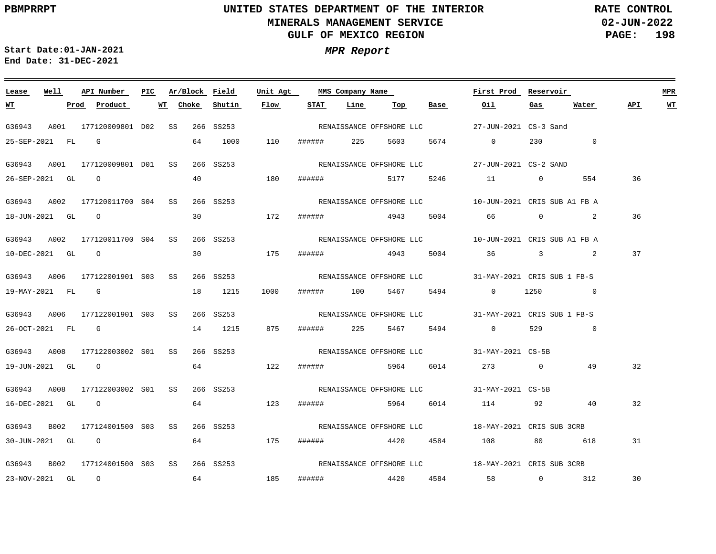**02-JUN-2022 PAGE: 198 RATE CONTROL**

**Start Date:01-JAN-2021 MPR Report End Date: 31-DEC-2021**

| Lease  | Well             | API Number                      | PIC |    |       | Ar/Block Field | Unit Agt |             |            | MMS Company Name         |           | First Prod Reservoir                                            |      |          |     | MPR |
|--------|------------------|---------------------------------|-----|----|-------|----------------|----------|-------------|------------|--------------------------|-----------|-----------------------------------------------------------------|------|----------|-----|-----|
| WT     |                  | Prod Product                    |     | WT | Choke | Shutin         | Flow     | <b>STAT</b> | Line       | Тор                      | Base      | Oil                                                             | Gas  | Water    | API | WT  |
| G36943 |                  | A001 177120009801 D02 SS        |     |    |       | 266 SS253      |          |             |            | RENAISSANCE OFFSHORE LLC |           | 27-JUN-2021 CS-3 Sand                                           |      |          |     |     |
|        | 25-SEP-2021 FL G |                                 |     |    | 64    | 1000           | 110      |             |            |                          |           |                                                                 |      | 230 0    |     |     |
| G36943 |                  | A001 177120009801 D01 SS        |     |    |       | 266 SS253      |          |             |            |                          |           |                                                                 |      |          |     |     |
|        |                  | 26-SEP-2021 GL O                |     |    |       | 40 — 10        | 180      |             |            |                          |           |                                                                 |      | 554      | 36  |     |
|        |                  | G36943 A002 177120011700 S04 SS |     |    |       | 266 SS253      |          |             |            |                          |           |                                                                 |      |          |     |     |
|        | 18-JUN-2021 GL 0 |                                 |     |    |       | 30 172         |          |             |            | ####### 4943 5004        |           | 66 0 2                                                          |      |          | 36  |     |
|        |                  | G36943 A002 177120011700 S04 SS |     |    |       | 266 SS253      |          |             |            |                          |           |                                                                 |      |          |     |     |
|        |                  | 10-DEC-2021 GL O                |     |    |       | 30 175         |          |             |            |                          |           | ###### 4943 5004 36 3 2                                         |      |          | 37  |     |
|        |                  | G36943 A006 177122001901 S03 SS |     |    |       | 266 SS253      |          |             |            |                          |           | RENAISSANCE OFFSHORE LLC 31-MAY-2021 CRIS SUB 1 FB-S            |      |          |     |     |
|        | 19-MAY-2021 FL G |                                 |     |    |       | 18 1215        | 1000     |             | ###### 100 |                          | 5467 5494 | $\overline{0}$                                                  | 1250 | $\sim$ 0 |     |     |
|        |                  | G36943 A006 177122001901 S03 SS |     |    |       | 266 SS253      |          |             |            |                          |           | RENAISSANCE OFFSHORE LLC 31-MAY-2021 CRIS SUB 1 FB-S            |      |          |     |     |
|        |                  | 26-OCT-2021 FL G                |     |    |       | 14 1215        | 875      |             |            | ####### 225 5467 5494    |           | $0 \qquad 529 \qquad 0$                                         |      |          |     |     |
|        |                  | G36943 A008 177122003002 S01 SS |     |    |       |                |          |             |            |                          |           | 266 SS253 SENAISSANCE OFFSHORE LLC 31-MAY-2021 CS-5B            |      |          |     |     |
|        | 19-JUN-2021 GL 0 |                                 |     |    |       | 64 122         |          |             |            |                          |           |                                                                 |      | 49       | 32  |     |
| G36943 |                  | A008 177122003002 S01 SS        |     |    |       | 266 SS253      |          |             |            |                          |           | RENAISSANCE OFFSHORE LLC 31-MAY-2021 CS-5B                      |      |          |     |     |
|        |                  | 16-DEC-2021 GL 0                |     |    |       | 64 123         |          |             |            |                          |           |                                                                 |      |          | 32  |     |
|        |                  | G36943 B002 177124001500 S03 SS |     |    |       |                |          |             |            |                          |           | 266 SS253 STERENAISSANCE OFFSHORE LLC 28-MAY-2021 CRIS SUB 3CRB |      |          |     |     |
|        |                  | 30-JUN-2021 GL 0                |     |    |       | 64 175         |          |             |            |                          |           |                                                                 |      |          | 31  |     |
|        |                  | G36943 B002 177124001500 S03 SS |     |    |       | 266 SS253      |          |             |            |                          |           | RENAISSANCE OFFSHORE LLC 18-MAY-2021 CRIS SUB 3CRB              |      |          |     |     |
|        |                  | 23-NOV-2021 GL O                |     |    | 64    |                | 185      |             |            |                          |           | ####### 4420 4584 58 0 312                                      |      |          | 30  |     |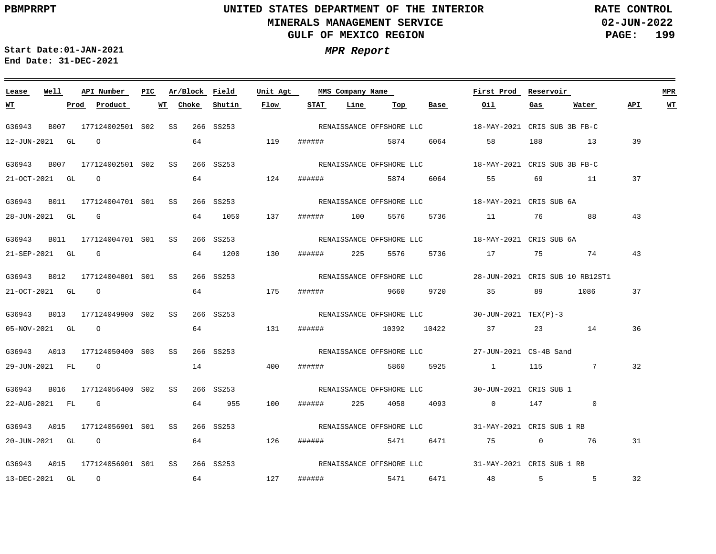**02-JUN-2022 PAGE: 199 RATE CONTROL**

**Start Date:01-JAN-2021 MPR Report End Date: 31-DEC-2021**

### **Lease Well API Number Ar/Block Field Unit Agt First Prod Reservoir MPR PIC MMS Company Name Choke Shutin Flow STAT Line API WT WT Prod Product WT Top Base Oil Gas Water** G36943 B007 177124002501 S02 SS 266 SS253 18-MAY-2021 CRIS SUB 3B FB-C RENAISSANCE OFFSHORE LLC 12-JUN-2021 GL O 64 119 ###### 5874 6064 58 188 13 39 G36943 B007 177124002501 S02 SS 266 SS253 18-MAY-2021 CRIS SUB 3B FB-C RENAISSANCE OFFSHORE LLC 64 37 21-OCT-2021 GL O 124 ###### 5874 6064 55 69 11 G36943 B011 177124004701 S01 SS 266 SS253 18-MAY-2021 CRIS SUB 6A RENAISSANCE OFFSHORE LLC 43 28-JUN-2021 GL G 64 1050 137 ###### 100 5576 5736 11 76 88 G36943 B011 177124004701 S01 SS 266 SS253 18-MAY-2021 CRIS SUB 6A RENAISSANCE OFFSHORE LLC 130 43 21-SEP-2021 GL G 64 1200 ###### 225 5576 5736 17 75 74 G36943 B012 177124004801 S01 SS 266 SS253 28-JUN-2021 CRIS SUB 10 RB12ST1 RENAISSANCE OFFSHORE LLC 64 1086 37 21-OCT-2021 GL O 175 ###### 9660 9720 35 89 G36943 B013 177124049900 S02 SS 266 SS253 30-JUN-2021 TEX(P)-3 RENAISSANCE OFFSHORE LLC 64 131 36 05-NOV-2021 GL O ###### 10392 10422 37 23 14 G36943 A013 177124050400 S03 SS 266 SS253 27-JUN-2021 CS-4B Sand RENAISSANCE OFFSHORE LLC 29-JUN-2021 FL O 14 400 ###### 5860 5925 1 115 7 32 G36943 B016 177124056400 S02 SS 266 SS253 30-JUN-2021 CRIS SUB 1 RENAISSANCE OFFSHORE LLC 22-AUG-2021 FL G 64 955 100 ###### 225 4058 4093 0 147 0 G36943 A015 177124056901 S01 SS 266 SS253 31-MAY-2021 CRIS SUB 1 RB RENAISSANCE OFFSHORE LLC 20-JUN-2021 GL O 64 126 ###### 5471 6471 75 0 76 31 G36943 A015 177124056901 S01 SS 266 SS253 31-MAY-2021 CRIS SUB 1 RB RENAISSANCE OFFSHORE LLC 32 13-DEC-2021 GL O 64 127 ###### 5471 6471 48 5 5